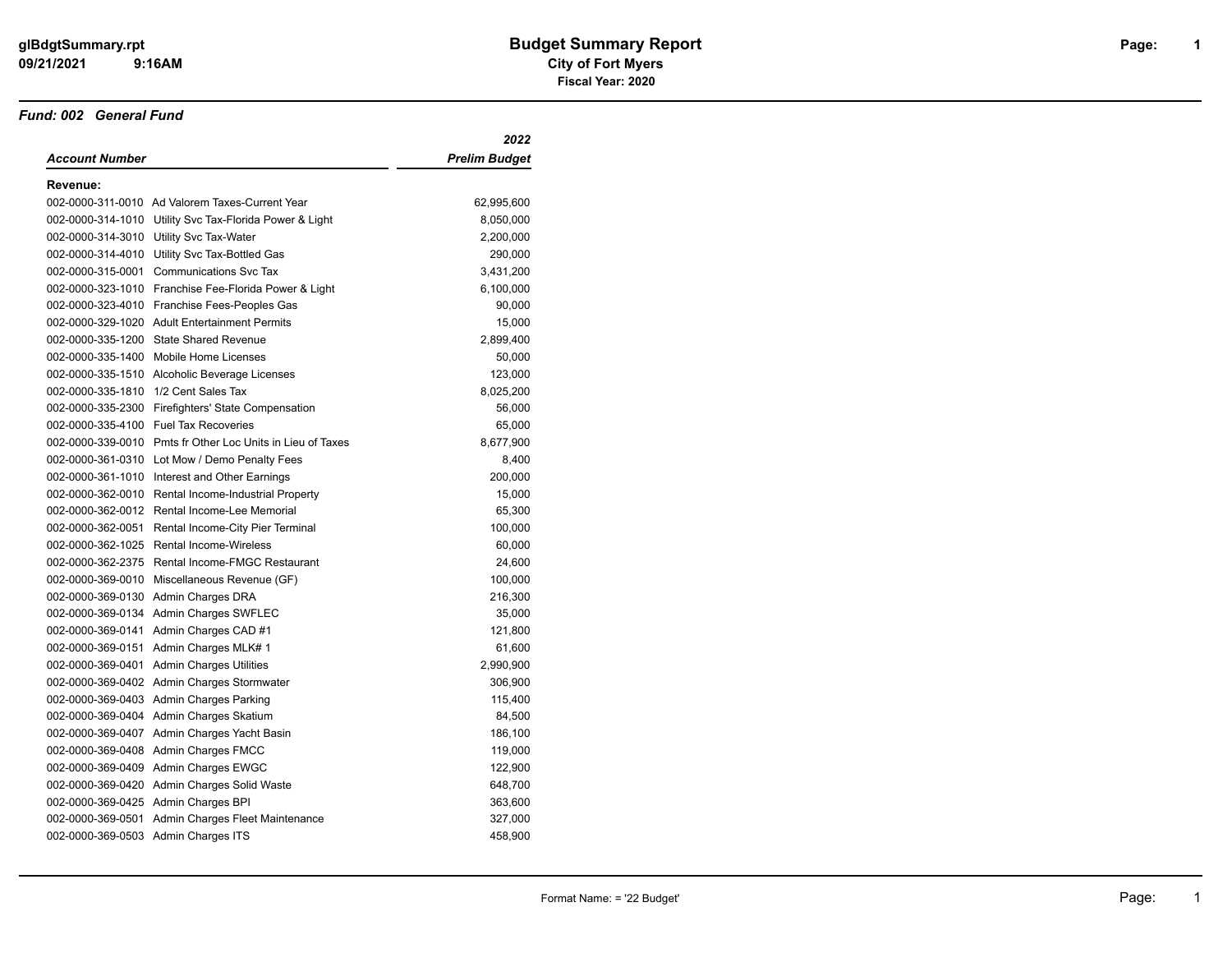#### *Fund: 002 General Fund*

|                   |                                                            | 2022                 |
|-------------------|------------------------------------------------------------|----------------------|
| Account Number    |                                                            | <b>Prelim Budget</b> |
| Revenue:          |                                                            |                      |
|                   | 002-0000-311-0010 Ad Valorem Taxes-Current Year            | 62,995,600           |
|                   | 002-0000-314-1010 Utility Svc Tax-Florida Power & Light    | 8,050,000            |
|                   | 002-0000-314-3010 Utility Svc Tax-Water                    | 2,200,000            |
|                   | 002-0000-314-4010 Utility Svc Tax-Bottled Gas              | 290,000              |
|                   | 002-0000-315-0001 Communications Svc Tax                   | 3,431,200            |
|                   | 002-0000-323-1010 Franchise Fee-Florida Power & Light      | 6,100,000            |
|                   | 002-0000-323-4010 Franchise Fees-Peoples Gas               | 90,000               |
|                   | 002-0000-329-1020 Adult Entertainment Permits              | 15,000               |
|                   | 002-0000-335-1200 State Shared Revenue                     | 2,899,400            |
| 002-0000-335-1400 | Mobile Home Licenses                                       | 50,000               |
|                   | 002-0000-335-1510 Alcoholic Beverage Licenses              | 123,000              |
| 002-0000-335-1810 | 1/2 Cent Sales Tax                                         | 8,025,200            |
|                   | 002-0000-335-2300 Firefighters' State Compensation         | 56,000               |
|                   | 002-0000-335-4100 Fuel Tax Recoveries                      | 65,000               |
|                   | 002-0000-339-0010 Pmts fr Other Loc Units in Lieu of Taxes | 8,677,900            |
|                   | 002-0000-361-0310 Lot Mow / Demo Penalty Fees              | 8,400                |
|                   | 002-0000-361-1010 Interest and Other Earnings              | 200,000              |
|                   | 002-0000-362-0010 Rental Income-Industrial Property        | 15,000               |
|                   | 002-0000-362-0012 Rental Income-Lee Memorial               | 65,300               |
| 002-0000-362-0051 | Rental Income-City Pier Terminal                           | 100,000              |
|                   | 002-0000-362-1025 Rental Income-Wireless                   | 60,000               |
| 002-0000-362-2375 | <b>Rental Income-FMGC Restaurant</b>                       | 24,600               |
| 002-0000-369-0010 | Miscellaneous Revenue (GF)                                 | 100,000              |
|                   | 002-0000-369-0130 Admin Charges DRA                        | 216,300              |
|                   | 002-0000-369-0134 Admin Charges SWFLEC                     | 35,000               |
|                   | 002-0000-369-0141 Admin Charges CAD #1                     | 121,800              |
|                   | 002-0000-369-0151 Admin Charges MLK# 1                     | 61,600               |
|                   | 002-0000-369-0401 Admin Charges Utilities                  | 2,990,900            |
|                   | 002-0000-369-0402 Admin Charges Stormwater                 | 306,900              |
|                   | 002-0000-369-0403 Admin Charges Parking                    | 115,400              |
|                   | 002-0000-369-0404 Admin Charges Skatium                    | 84,500               |
|                   | 002-0000-369-0407 Admin Charges Yacht Basin                | 186,100              |
|                   | 002-0000-369-0408 Admin Charges FMCC                       | 119,000              |
|                   | 002-0000-369-0409 Admin Charges EWGC                       | 122,900              |
|                   | 002-0000-369-0420 Admin Charges Solid Waste                | 648,700              |
|                   | 002-0000-369-0425 Admin Charges BPI                        | 363,600              |
| 002-0000-369-0501 | Admin Charges Fleet Maintenance                            | 327,000              |
|                   | 002-0000-369-0503 Admin Charges ITS                        | 458,900              |

**1**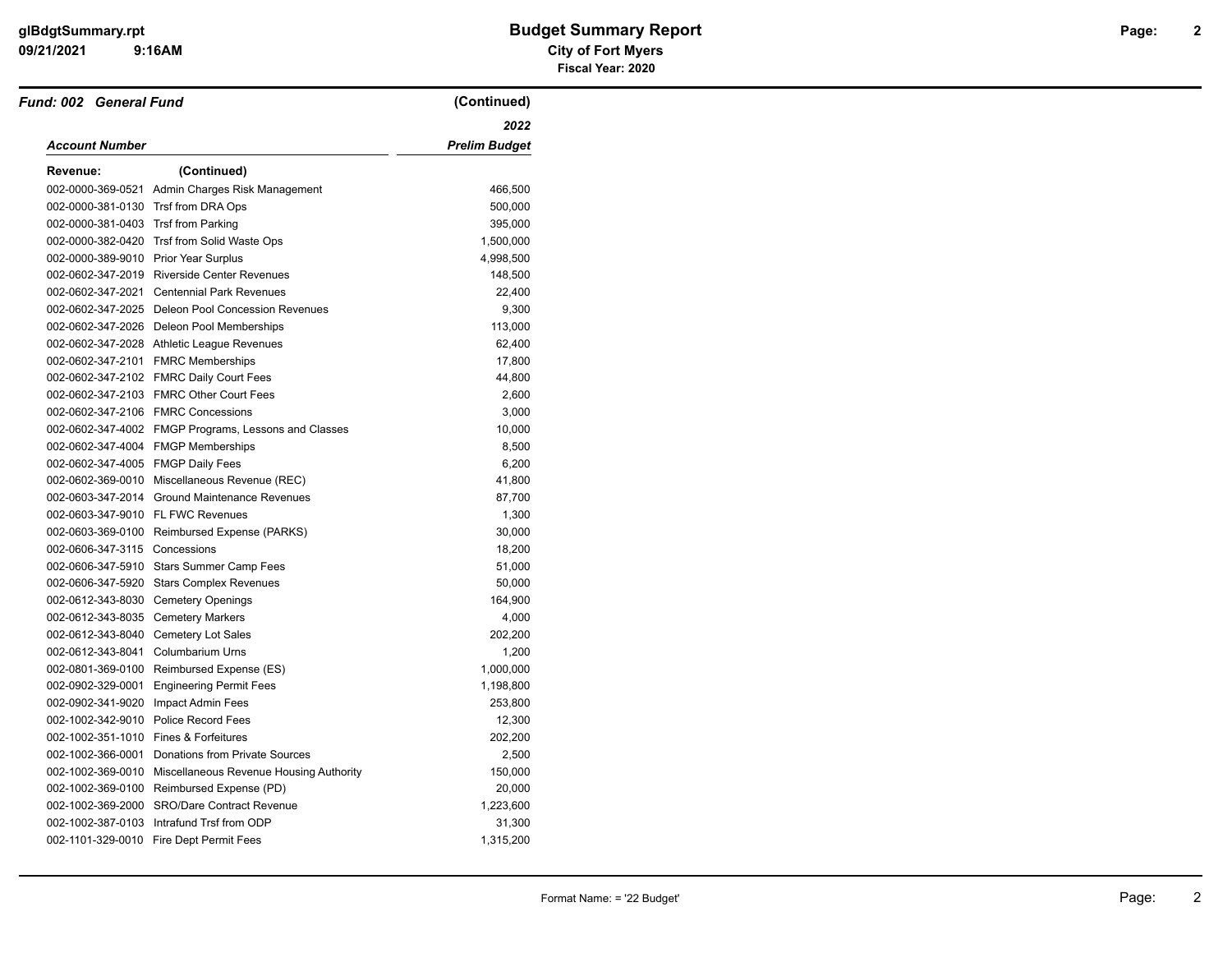| Fund: 002 General Fund                |                                                           | (Continued)          |
|---------------------------------------|-----------------------------------------------------------|----------------------|
|                                       |                                                           | 2022                 |
| <b>Account Number</b>                 |                                                           | <b>Prelim Budget</b> |
| Revenue:                              | (Continued)                                               |                      |
|                                       | 002-0000-369-0521 Admin Charges Risk Management           | 466,500              |
| 002-0000-381-0130 Trsf from DRA Ops   |                                                           | 500,000              |
| 002-0000-381-0403 Trsf from Parking   |                                                           | 395,000              |
|                                       | 002-0000-382-0420 Trsf from Solid Waste Ops               | 1,500,000            |
| 002-0000-389-9010 Prior Year Surplus  |                                                           | 4,998,500            |
|                                       | 002-0602-347-2019 Riverside Center Revenues               | 148,500              |
|                                       | 002-0602-347-2021 Centennial Park Revenues                | 22,400               |
|                                       | 002-0602-347-2025 Deleon Pool Concession Revenues         | 9,300                |
|                                       | 002-0602-347-2026 Deleon Pool Memberships                 | 113,000              |
|                                       | 002-0602-347-2028 Athletic League Revenues                | 62,400               |
|                                       | 002-0602-347-2101 FMRC Memberships                        | 17,800               |
|                                       | 002-0602-347-2102 FMRC Daily Court Fees                   | 44,800               |
|                                       | 002-0602-347-2103 FMRC Other Court Fees                   | 2,600                |
|                                       | 002-0602-347-2106 FMRC Concessions                        | 3,000                |
|                                       | 002-0602-347-4002 FMGP Programs, Lessons and Classes      | 10,000               |
|                                       | 002-0602-347-4004 FMGP Memberships                        | 8,500                |
| 002-0602-347-4005 FMGP Daily Fees     |                                                           | 6,200                |
|                                       | 002-0602-369-0010 Miscellaneous Revenue (REC)             | 41,800               |
|                                       | 002-0603-347-2014 Ground Maintenance Revenues             | 87,700               |
| 002-0603-347-9010 FL FWC Revenues     |                                                           | 1,300                |
|                                       | 002-0603-369-0100 Reimbursed Expense (PARKS)              | 30,000               |
| 002-0606-347-3115 Concessions         |                                                           | 18,200               |
|                                       | 002-0606-347-5910 Stars Summer Camp Fees                  | 51,000               |
|                                       | 002-0606-347-5920 Stars Complex Revenues                  | 50,000               |
|                                       | 002-0612-343-8030 Cemetery Openings                       | 164,900              |
| 002-0612-343-8035 Cemetery Markers    |                                                           | 4,000                |
|                                       | 002-0612-343-8040 Cemetery Lot Sales                      | 202,200              |
| 002-0612-343-8041 Columbarium Urns    |                                                           | 1,200                |
|                                       | 002-0801-369-0100 Reimbursed Expense (ES)                 | 1,000,000            |
| 002-0902-329-0001                     | <b>Engineering Permit Fees</b>                            | 1,198,800            |
| 002-0902-341-9020 Impact Admin Fees   |                                                           | 253,800              |
|                                       | 002-1002-342-9010 Police Record Fees                      | 12,300               |
| 002-1002-351-1010 Fines & Forfeitures |                                                           | 202,200              |
|                                       | 002-1002-366-0001 Donations from Private Sources          | 2,500                |
|                                       | 002-1002-369-0010 Miscellaneous Revenue Housing Authority | 150,000              |
|                                       | 002-1002-369-0100 Reimbursed Expense (PD)                 | 20,000               |
|                                       | 002-1002-369-2000 SRO/Dare Contract Revenue               | 1,223,600            |
|                                       | 002-1002-387-0103 Intrafund Trsf from ODP                 | 31,300               |
|                                       | 002-1101-329-0010 Fire Dept Permit Fees                   | 1,315,200            |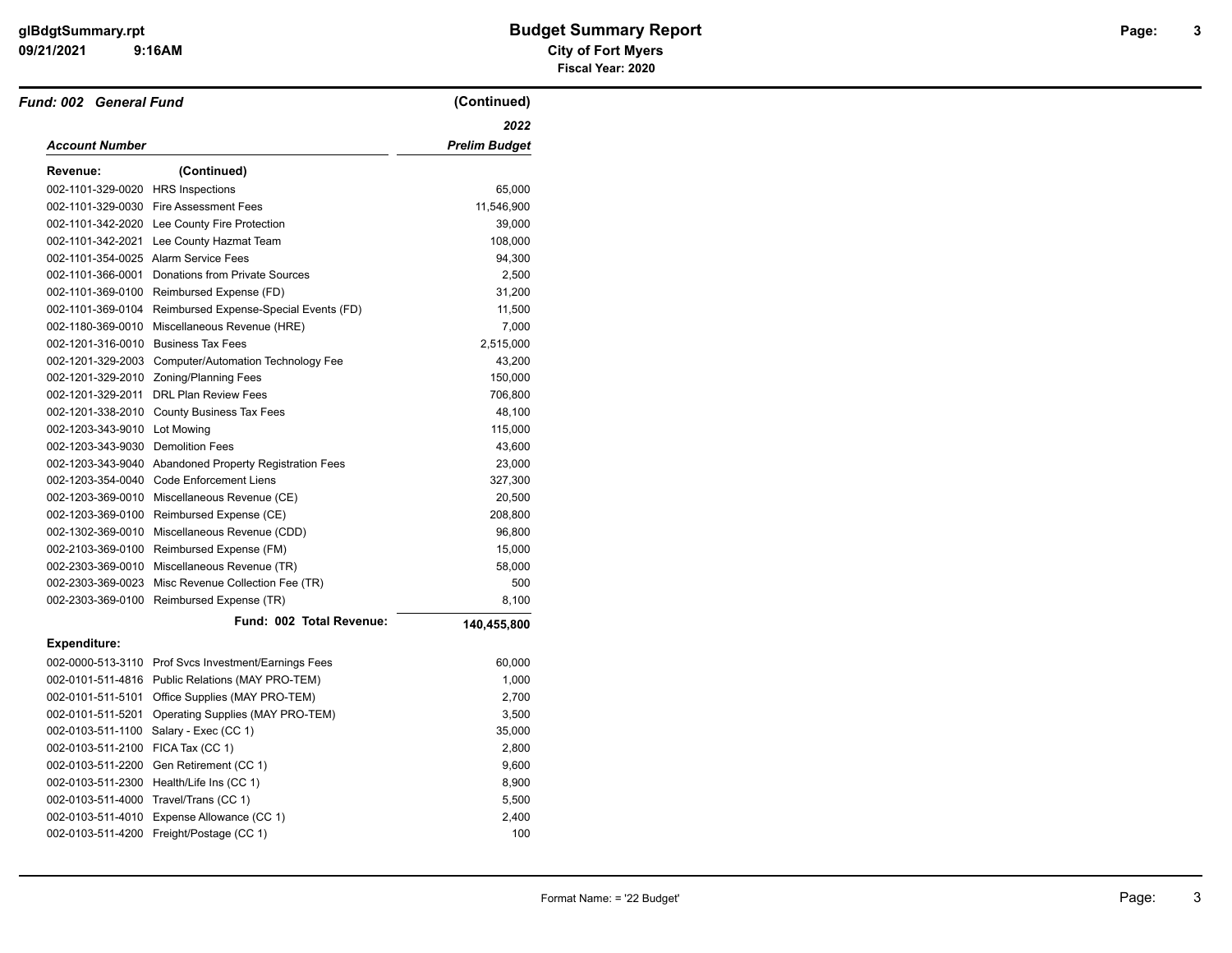| Fund: 002 General Fund              |                                                          | (Continued)          |
|-------------------------------------|----------------------------------------------------------|----------------------|
|                                     |                                                          | 2022                 |
| <b>Account Number</b>               |                                                          | <b>Prelim Budget</b> |
| Revenue:                            | (Continued)                                              |                      |
| 002-1101-329-0020 HRS Inspections   |                                                          | 65,000               |
|                                     | 002-1101-329-0030 Fire Assessment Fees                   | 11,546,900           |
|                                     | 002-1101-342-2020 Lee County Fire Protection             | 39,000               |
|                                     | 002-1101-342-2021 Lee County Hazmat Team                 | 108,000              |
|                                     | 002-1101-354-0025 Alarm Service Fees                     | 94,300               |
|                                     | 002-1101-366-0001 Donations from Private Sources         | 2,500                |
|                                     | 002-1101-369-0100 Reimbursed Expense (FD)                | 31,200               |
|                                     | 002-1101-369-0104 Reimbursed Expense-Special Events (FD) | 11,500               |
|                                     | 002-1180-369-0010 Miscellaneous Revenue (HRE)            | 7,000                |
| 002-1201-316-0010 Business Tax Fees |                                                          | 2,515,000            |
|                                     | 002-1201-329-2003 Computer/Automation Technology Fee     | 43,200               |
|                                     | 002-1201-329-2010 Zoning/Planning Fees                   | 150,000              |
|                                     | 002-1201-329-2011 DRL Plan Review Fees                   | 706,800              |
|                                     | 002-1201-338-2010 County Business Tax Fees               | 48,100               |
| 002-1203-343-9010 Lot Mowing        |                                                          | 115,000              |
| 002-1203-343-9030 Demolition Fees   |                                                          | 43,600               |
|                                     | 002-1203-343-9040 Abandoned Property Registration Fees   | 23,000               |
|                                     | 002-1203-354-0040 Code Enforcement Liens                 | 327,300              |
|                                     | 002-1203-369-0010 Miscellaneous Revenue (CE)             | 20,500               |
|                                     | 002-1203-369-0100 Reimbursed Expense (CE)                | 208,800              |
|                                     | 002-1302-369-0010 Miscellaneous Revenue (CDD)            | 96,800               |
|                                     | 002-2103-369-0100 Reimbursed Expense (FM)                | 15,000               |
|                                     | 002-2303-369-0010 Miscellaneous Revenue (TR)             | 58,000               |
|                                     | 002-2303-369-0023 Misc Revenue Collection Fee (TR)       | 500                  |
|                                     | 002-2303-369-0100 Reimbursed Expense (TR)                | 8,100                |
|                                     | Fund: 002 Total Revenue:                                 | 140,455,800          |
| <b>Expenditure:</b>                 |                                                          |                      |
|                                     | 002-0000-513-3110 Prof Svcs Investment/Earnings Fees     | 60,000               |
|                                     | 002-0101-511-4816 Public Relations (MAY PRO-TEM)         | 1,000                |
|                                     | 002-0101-511-5101 Office Supplies (MAY PRO-TEM)          | 2,700                |
|                                     | 002-0101-511-5201 Operating Supplies (MAY PRO-TEM)       | 3,500                |
|                                     | 002-0103-511-1100 Salary - Exec (CC 1)                   | 35,000               |
| 002-0103-511-2100 FICA Tax (CC 1)   |                                                          | 2,800                |
|                                     | 002-0103-511-2200 Gen Retirement (CC 1)                  | 9,600                |
|                                     | 002-0103-511-2300 Health/Life Ins (CC 1)                 | 8,900                |
|                                     | 002-0103-511-4000 Travel/Trans (CC 1)                    | 5,500                |
| 002-0103-511-4010                   | Expense Allowance (CC 1)                                 | 2,400                |
|                                     | 002-0103-511-4200 Freight/Postage (CC 1)                 | 100                  |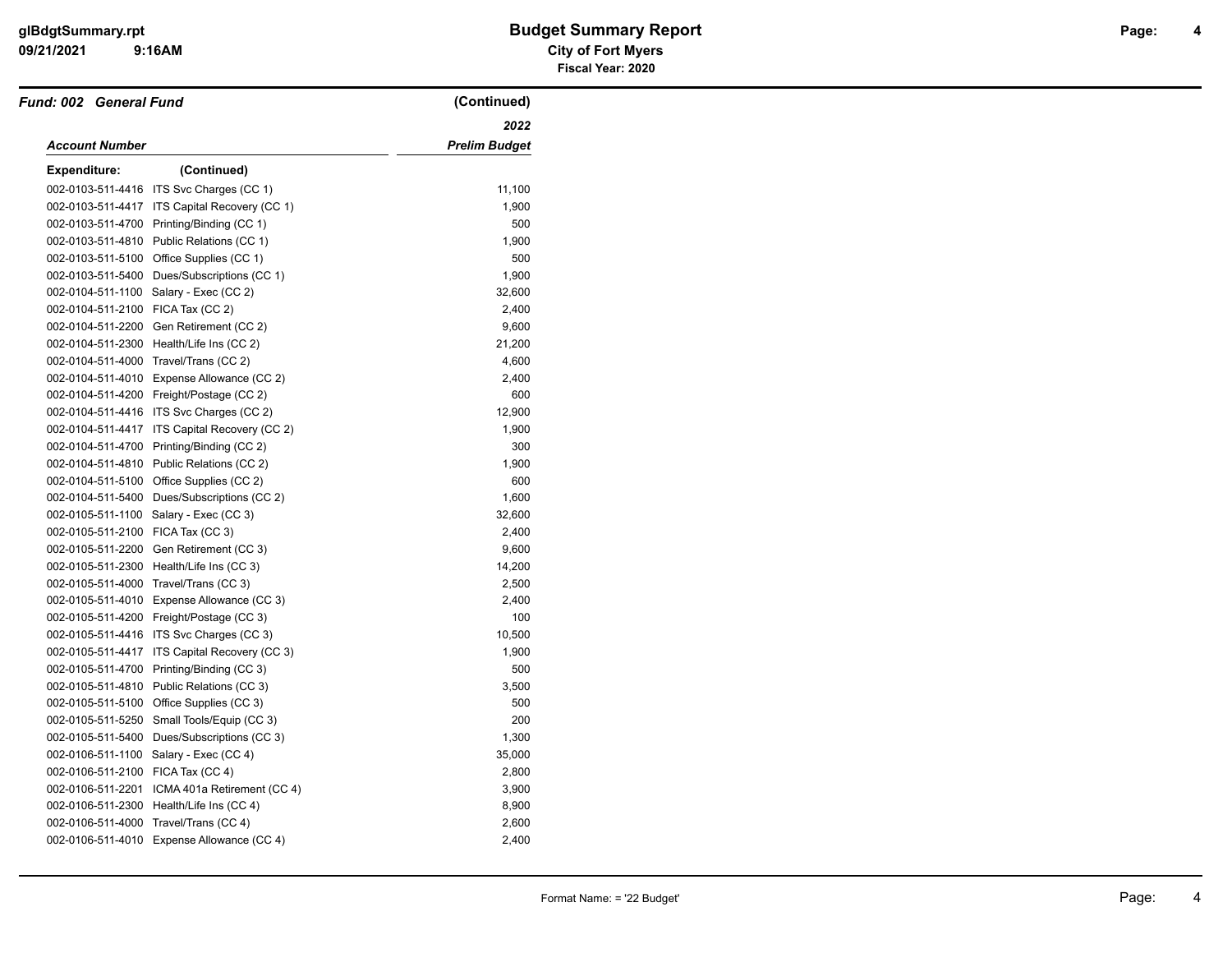# **09/21/2021 City of Fort Myers glBdgtSummary.rpt Budget Summary Report Page: Fiscal Year: 2020**

| <b>Fund: 002 General Fund</b>     |                                               | (Continued)          |
|-----------------------------------|-----------------------------------------------|----------------------|
|                                   |                                               | 2022                 |
| Account Number                    |                                               | <b>Prelim Budget</b> |
| <b>Expenditure:</b>               | (Continued)                                   |                      |
|                                   | 002-0103-511-4416 ITS Svc Charges (CC 1)      | 11,100               |
|                                   | 002-0103-511-4417 ITS Capital Recovery (CC 1) | 1,900                |
| 002-0103-511-4700                 | Printing/Binding (CC 1)                       | 500                  |
|                                   | 002-0103-511-4810 Public Relations (CC 1)     | 1,900                |
|                                   | 002-0103-511-5100 Office Supplies (CC 1)      | 500                  |
| 002-0103-511-5400                 | Dues/Subscriptions (CC 1)                     | 1,900                |
|                                   | 002-0104-511-1100 Salary - Exec (CC 2)        | 32,600               |
| 002-0104-511-2100 FICA Tax (CC 2) |                                               | 2,400                |
| 002-0104-511-2200                 | Gen Retirement (CC 2)                         | 9,600                |
| 002-0104-511-2300                 | Health/Life Ins (CC 2)                        | 21,200               |
|                                   | 002-0104-511-4000 Travel/Trans (CC 2)         | 4,600                |
|                                   | 002-0104-511-4010 Expense Allowance (CC 2)    | 2,400                |
|                                   | 002-0104-511-4200 Freight/Postage (CC 2)      | 600                  |
|                                   | 002-0104-511-4416 ITS Svc Charges (CC 2)      | 12,900               |
| 002-0104-511-4417                 | ITS Capital Recovery (CC 2)                   | 1,900                |
|                                   | 002-0104-511-4700 Printing/Binding (CC 2)     | 300                  |
| 002-0104-511-4810                 | Public Relations (CC 2)                       | 1,900                |
|                                   | 002-0104-511-5100 Office Supplies (CC 2)      | 600                  |
|                                   | 002-0104-511-5400 Dues/Subscriptions (CC 2)   | 1,600                |
| 002-0105-511-1100                 | Salary - Exec (CC 3)                          | 32,600               |
| 002-0105-511-2100                 | FICA Tax (CC 3)                               | 2,400                |
| 002-0105-511-2200                 | Gen Retirement (CC 3)                         | 9,600                |
| 002-0105-511-2300                 | Health/Life Ins (CC 3)                        | 14,200               |
|                                   | 002-0105-511-4000 Travel/Trans (CC 3)         | 2,500                |
|                                   | 002-0105-511-4010 Expense Allowance (CC 3)    | 2,400                |
| 002-0105-511-4200                 | Freight/Postage (CC 3)                        | 100                  |
|                                   | 002-0105-511-4416 ITS Svc Charges (CC 3)      | 10,500               |
|                                   | 002-0105-511-4417 ITS Capital Recovery (CC 3) | 1,900                |
| 002-0105-511-4700                 | Printing/Binding (CC 3)                       | 500                  |
| 002-0105-511-4810                 | Public Relations (CC 3)                       | 3,500                |
| 002-0105-511-5100                 | Office Supplies (CC 3)                        | 500                  |
| 002-0105-511-5250                 | Small Tools/Equip (CC 3)                      | 200                  |
| 002-0105-511-5400                 | Dues/Subscriptions (CC 3)                     | 1,300                |
| 002-0106-511-1100                 | Salary - Exec (CC 4)                          | 35,000               |
| 002-0106-511-2100 FICA Tax (CC 4) |                                               | 2,800                |
| 002-0106-511-2201                 | ICMA 401a Retirement (CC 4)                   | 3,900                |
| 002-0106-511-2300                 | Health/Life Ins (CC 4)                        | 8,900                |
| 002-0106-511-4000                 | Travel/Trans (CC 4)                           | 2,600                |
|                                   | 002-0106-511-4010 Expense Allowance (CC 4)    | 2,400                |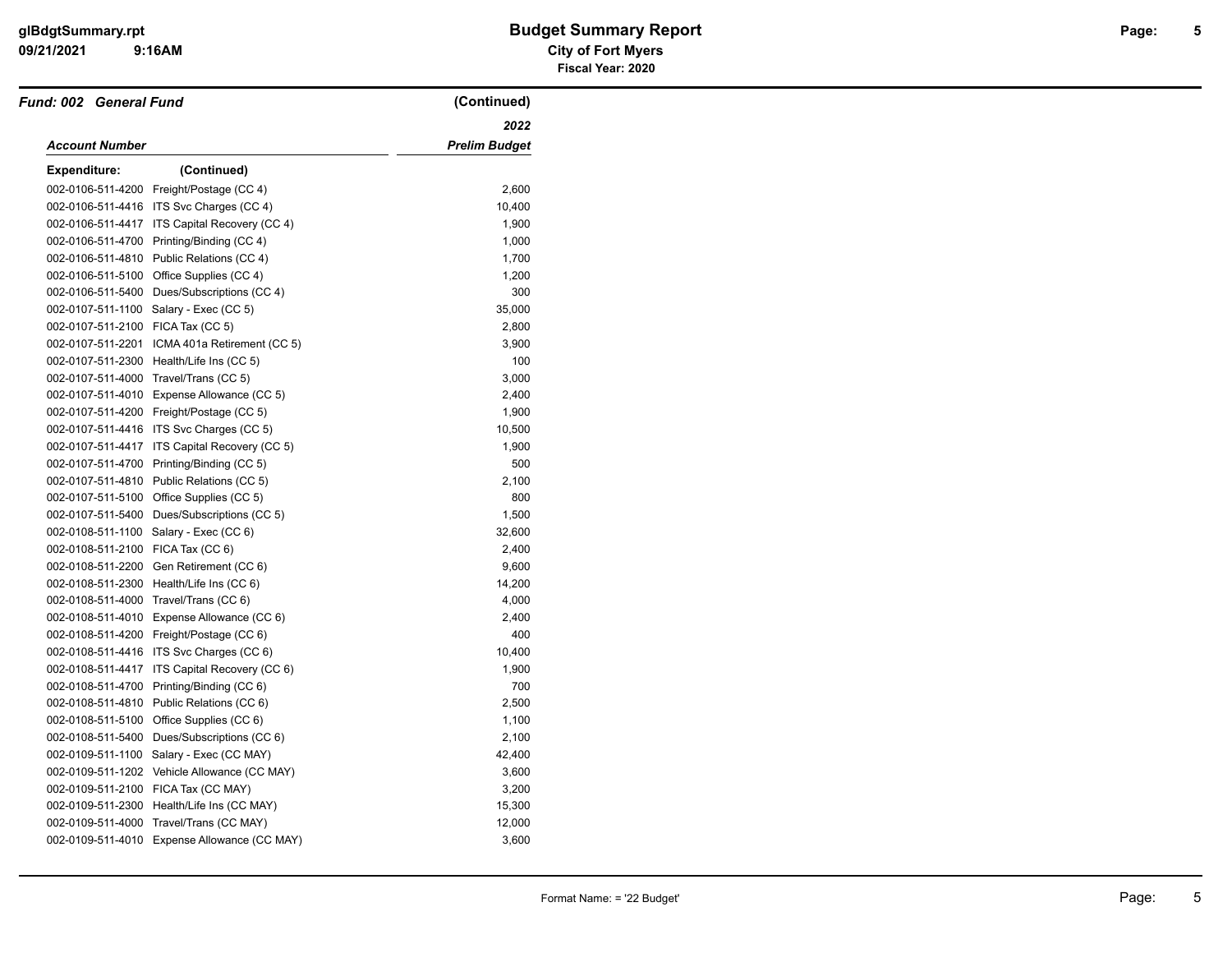| <b>Fund: 002 General Fund</b>     |                                               | (Continued)          |
|-----------------------------------|-----------------------------------------------|----------------------|
|                                   |                                               | 2022                 |
| Account Number                    |                                               | <b>Prelim Budget</b> |
| <b>Expenditure:</b>               | (Continued)                                   |                      |
| 002-0106-511-4200                 | Freight/Postage (CC 4)                        | 2,600                |
|                                   | 002-0106-511-4416 ITS Svc Charges (CC 4)      | 10,400               |
|                                   | 002-0106-511-4417 ITS Capital Recovery (CC 4) | 1,900                |
| 002-0106-511-4700                 | Printing/Binding (CC 4)                       | 1,000                |
| 002-0106-511-4810                 | Public Relations (CC 4)                       | 1,700                |
| 002-0106-511-5100                 | Office Supplies (CC 4)                        | 1,200                |
|                                   | 002-0106-511-5400 Dues/Subscriptions (CC 4)   | 300                  |
|                                   | 002-0107-511-1100 Salary - Exec (CC 5)        | 35,000               |
| 002-0107-511-2100                 | FICA Tax (CC 5)                               | 2,800                |
| 002-0107-511-2201                 | ICMA 401a Retirement (CC 5)                   | 3,900                |
| 002-0107-511-2300                 | Health/Life Ins (CC 5)                        | 100                  |
| 002-0107-511-4000                 | Travel/Trans (CC 5)                           | 3,000                |
|                                   | 002-0107-511-4010 Expense Allowance (CC 5)    | 2,400                |
|                                   | 002-0107-511-4200 Freight/Postage (CC 5)      | 1,900                |
|                                   | 002-0107-511-4416 ITS Svc Charges (CC 5)      | 10,500               |
| 002-0107-511-4417                 | ITS Capital Recovery (CC 5)                   | 1,900                |
| 002-0107-511-4700                 | Printing/Binding (CC 5)                       | 500                  |
| 002-0107-511-4810                 | Public Relations (CC 5)                       | 2,100                |
|                                   | 002-0107-511-5100 Office Supplies (CC 5)      | 800                  |
| 002-0107-511-5400                 | Dues/Subscriptions (CC 5)                     | 1,500                |
| 002-0108-511-1100                 | Salary - Exec (CC 6)                          | 32,600               |
| 002-0108-511-2100 FICA Tax (CC 6) |                                               | 2,400                |
| 002-0108-511-2200                 | Gen Retirement (CC 6)                         | 9,600                |
| 002-0108-511-2300                 | Health/Life Ins (CC 6)                        | 14,200               |
|                                   | 002-0108-511-4000 Travel/Trans (CC 6)         | 4,000                |
| 002-0108-511-4010                 | Expense Allowance (CC 6)                      | 2,400                |
|                                   | 002-0108-511-4200 Freight/Postage (CC 6)      | 400                  |
|                                   | 002-0108-511-4416 ITS Svc Charges (CC 6)      | 10,400               |
| 002-0108-511-4417                 | ITS Capital Recovery (CC 6)                   | 1,900                |
| 002-0108-511-4700                 | Printing/Binding (CC 6)                       | 700                  |
| 002-0108-511-4810                 | Public Relations (CC 6)                       | 2,500                |
| 002-0108-511-5100                 | Office Supplies (CC 6)                        | 1,100                |
| 002-0108-511-5400                 | Dues/Subscriptions (CC 6)                     | 2,100                |
| 002-0109-511-1100                 | Salary - Exec (CC MAY)                        | 42,400               |
|                                   | 002-0109-511-1202 Vehicle Allowance (CC MAY)  | 3,600                |
|                                   | 002-0109-511-2100 FICA Tax (CC MAY)           | 3,200                |
| 002-0109-511-2300                 | Health/Life Ins (CC MAY)                      | 15,300               |
| 002-0109-511-4000                 | Travel/Trans (CC MAY)                         | 12,000               |
|                                   | 002-0109-511-4010 Expense Allowance (CC MAY)  | 3,600                |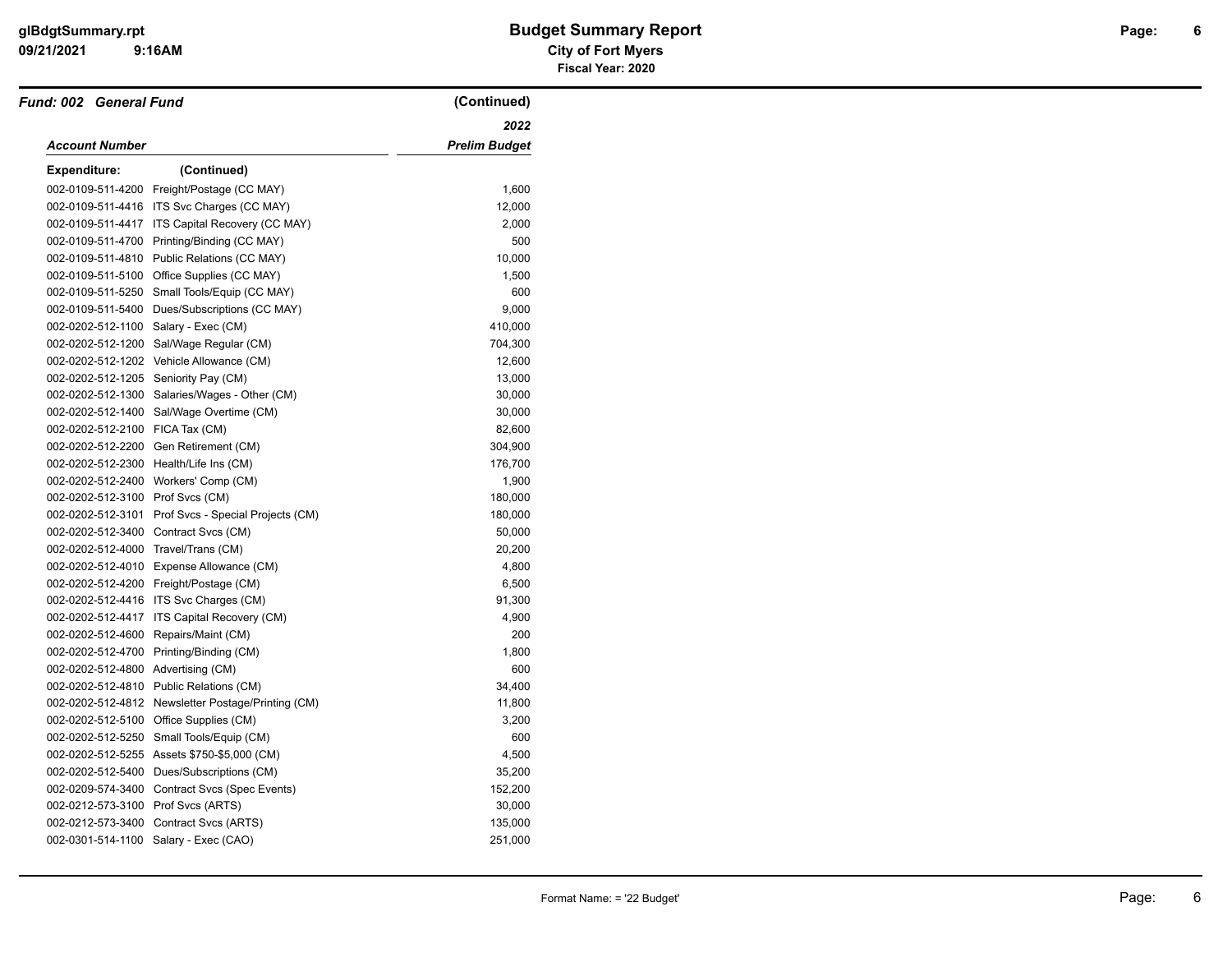# **09/21/2021 City of Fort Myers glBdgtSummary.rpt Budget Summary Report Page: Fiscal Year: 2020**

| Fund: 002 General Fund               |                                                    | (Continued)          |
|--------------------------------------|----------------------------------------------------|----------------------|
|                                      |                                                    | 2022                 |
| <b>Account Number</b>                |                                                    | <b>Prelim Budget</b> |
| <b>Expenditure:</b>                  | (Continued)                                        |                      |
| 002-0109-511-4200                    | Freight/Postage (CC MAY)                           | 1,600                |
|                                      | 002-0109-511-4416 ITS Svc Charges (CC MAY)         | 12,000               |
| 002-0109-511-4417                    | ITS Capital Recovery (CC MAY)                      | 2,000                |
| 002-0109-511-4700                    | Printing/Binding (CC MAY)                          | 500                  |
|                                      | 002-0109-511-4810 Public Relations (CC MAY)        | 10,000               |
|                                      | 002-0109-511-5100 Office Supplies (CC MAY)         | 1,500                |
| 002-0109-511-5250                    | Small Tools/Equip (CC MAY)                         | 600                  |
|                                      | 002-0109-511-5400 Dues/Subscriptions (CC MAY)      | 9,000                |
| 002-0202-512-1100                    | Salary - Exec (CM)                                 | 410,000              |
|                                      | 002-0202-512-1200 Sal/Wage Regular (CM)            | 704,300              |
|                                      | 002-0202-512-1202 Vehicle Allowance (CM)           | 12,600               |
| 002-0202-512-1205 Seniority Pay (CM) |                                                    | 13,000               |
|                                      | 002-0202-512-1300 Salaries/Wages - Other (CM)      | 30,000               |
|                                      | 002-0202-512-1400 Sal/Wage Overtime (CM)           | 30,000               |
| 002-0202-512-2100                    | FICA Tax (CM)                                      | 82,600               |
|                                      | 002-0202-512-2200 Gen Retirement (CM)              | 304,900              |
|                                      | 002-0202-512-2300 Health/Life Ins (CM)             | 176,700              |
|                                      | 002-0202-512-2400 Workers' Comp (CM)               | 1,900                |
| 002-0202-512-3100 Prof Svcs (CM)     |                                                    | 180,000              |
| 002-0202-512-3101                    | Prof Svcs - Special Projects (CM)                  | 180,000              |
|                                      | 002-0202-512-3400 Contract Svcs (CM)               | 50,000               |
| 002-0202-512-4000 Travel/Trans (CM)  |                                                    | 20,200               |
|                                      | 002-0202-512-4010 Expense Allowance (CM)           | 4,800                |
|                                      | 002-0202-512-4200 Freight/Postage (CM)             | 6,500                |
|                                      | 002-0202-512-4416 ITS Svc Charges (CM)             | 91,300               |
| 002-0202-512-4417                    | ITS Capital Recovery (CM)                          | 4,900                |
| 002-0202-512-4600                    | Repairs/Maint (CM)                                 | 200                  |
| 002-0202-512-4700                    | Printing/Binding (CM)                              | 1,800                |
| 002-0202-512-4800                    | Advertising (CM)                                   | 600                  |
|                                      | 002-0202-512-4810 Public Relations (CM)            | 34,400               |
|                                      | 002-0202-512-4812 Newsletter Postage/Printing (CM) | 11,800               |
| 002-0202-512-5100                    | Office Supplies (CM)                               | 3,200                |
|                                      | 002-0202-512-5250 Small Tools/Equip (CM)           | 600                  |
|                                      | 002-0202-512-5255 Assets \$750-\$5,000 (CM)        | 4,500                |
|                                      | 002-0202-512-5400 Dues/Subscriptions (CM)          | 35,200               |
|                                      | 002-0209-574-3400 Contract Svcs (Spec Events)      | 152,200              |
| 002-0212-573-3100 Prof Svcs (ARTS)   |                                                    | 30,000               |
| 002-0212-573-3400                    | Contract Svcs (ARTS)                               | 135,000              |
|                                      | 002-0301-514-1100 Salary - Exec (CAO)              | 251,000              |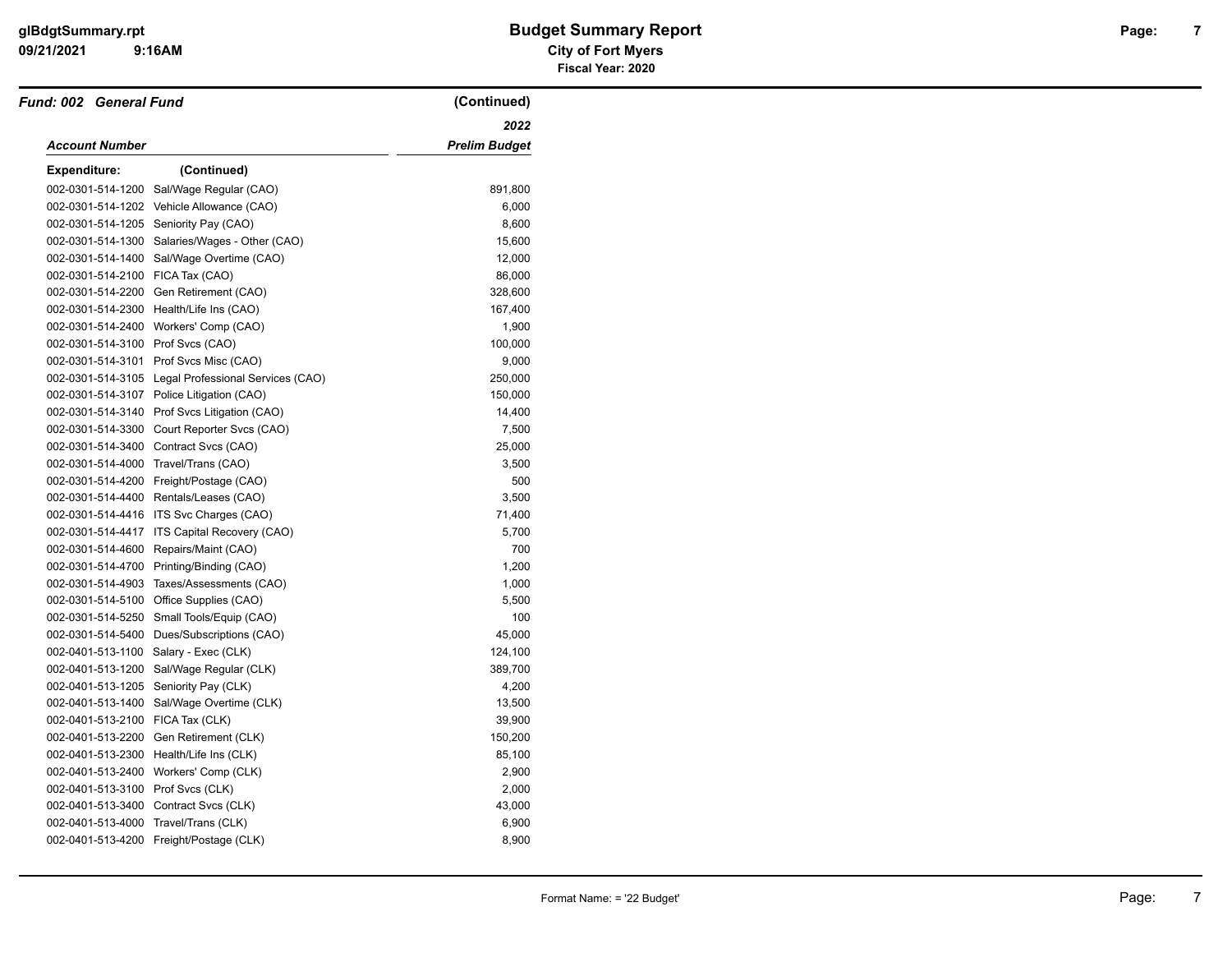# **09/21/2021 City of Fort Myers glBdgtSummary.rpt Budget Summary Report Page: Fiscal Year: 2020**

| Fund: 002 General Fund            |                                           | (Continued)          |
|-----------------------------------|-------------------------------------------|----------------------|
|                                   |                                           | 2022                 |
| <b>Account Number</b>             |                                           | <b>Prelim Budget</b> |
| Expenditure:                      | (Continued)                               |                      |
| 002-0301-514-1200                 | Sal/Wage Regular (CAO)                    | 891,800              |
| 002-0301-514-1202                 | Vehicle Allowance (CAO)                   | 6,000                |
| 002-0301-514-1205                 | Seniority Pay (CAO)                       | 8,600                |
| 002-0301-514-1300                 | Salaries/Wages - Other (CAO)              | 15,600               |
| 002-0301-514-1400                 | Sal/Wage Overtime (CAO)                   | 12,000               |
| 002-0301-514-2100                 | FICA Tax (CAO)                            | 86,000               |
| 002-0301-514-2200                 | Gen Retirement (CAO)                      | 328,600              |
| 002-0301-514-2300                 | Health/Life Ins (CAO)                     | 167,400              |
| 002-0301-514-2400                 | Workers' Comp (CAO)                       | 1,900                |
| 002-0301-514-3100 Prof Svcs (CAO) |                                           | 100,000              |
| 002-0301-514-3101                 | Prof Svcs Misc (CAO)                      | 9,000                |
| 002-0301-514-3105                 | Legal Professional Services (CAO)         | 250,000              |
|                                   | 002-0301-514-3107 Police Litigation (CAO) | 150,000              |
| 002-0301-514-3140                 | Prof Svcs Litigation (CAO)                | 14,400               |
| 002-0301-514-3300                 | Court Reporter Svcs (CAO)                 | 7,500                |
| 002-0301-514-3400                 | Contract Svcs (CAO)                       | 25,000               |
| 002-0301-514-4000                 | Travel/Trans (CAO)                        | 3,500                |
| 002-0301-514-4200                 | Freight/Postage (CAO)                     | 500                  |
| 002-0301-514-4400                 | Rentals/Leases (CAO)                      | 3,500                |
| 002-0301-514-4416                 | ITS Svc Charges (CAO)                     | 71,400               |
| 002-0301-514-4417                 | ITS Capital Recovery (CAO)                | 5,700                |
| 002-0301-514-4600                 | Repairs/Maint (CAO)                       | 700                  |
| 002-0301-514-4700                 | Printing/Binding (CAO)                    | 1,200                |
| 002-0301-514-4903                 | Taxes/Assessments (CAO)                   | 1,000                |
| 002-0301-514-5100                 | Office Supplies (CAO)                     | 5,500                |
| 002-0301-514-5250                 | Small Tools/Equip (CAO)                   | 100                  |
| 002-0301-514-5400                 | Dues/Subscriptions (CAO)                  | 45,000               |
| 002-0401-513-1100                 | Salary - Exec (CLK)                       | 124,100              |
| 002-0401-513-1200                 | Sal/Wage Regular (CLK)                    | 389,700              |
| 002-0401-513-1205                 | Seniority Pay (CLK)                       | 4,200                |
| 002-0401-513-1400                 | Sal/Wage Overtime (CLK)                   | 13,500               |
| 002-0401-513-2100                 | FICA Tax (CLK)                            | 39,900               |
| 002-0401-513-2200                 | Gen Retirement (CLK)                      | 150,200              |
| 002-0401-513-2300                 | Health/Life Ins (CLK)                     | 85,100               |
| 002-0401-513-2400                 | Workers' Comp (CLK)                       | 2,900                |
| 002-0401-513-3100                 | Prof Svcs (CLK)                           | 2,000                |
| 002-0401-513-3400                 | Contract Svcs (CLK)                       | 43,000               |
| 002-0401-513-4000                 | Travel/Trans (CLK)                        | 6,900                |
|                                   | 002-0401-513-4200 Freight/Postage (CLK)   | 8,900                |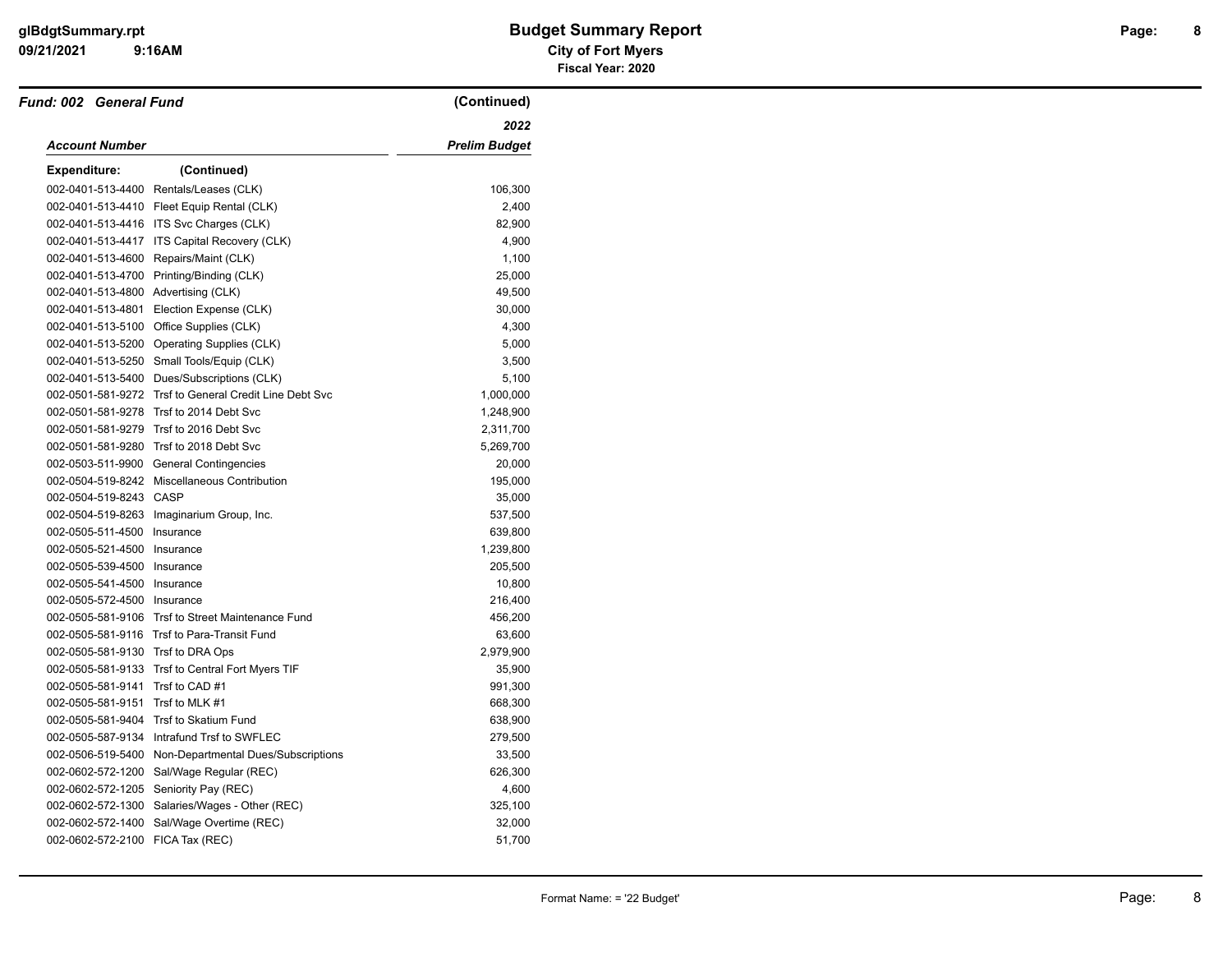# **09/21/2021 City of Fort Myers glBdgtSummary.rpt Budget Summary Report Page: Fiscal Year: 2020**

| Fund: 002 General Fund              |                                                   | (Continued)          |
|-------------------------------------|---------------------------------------------------|----------------------|
|                                     |                                                   | 2022                 |
| Account Number                      |                                                   | <b>Prelim Budget</b> |
| <b>Expenditure:</b>                 | (Continued)                                       |                      |
|                                     | 002-0401-513-4400 Rentals/Leases (CLK)            | 106,300              |
|                                     | 002-0401-513-4410 Fleet Equip Rental (CLK)        | 2,400                |
|                                     | 002-0401-513-4416 ITS Svc Charges (CLK)           | 82,900               |
|                                     | 002-0401-513-4417 ITS Capital Recovery (CLK)      | 4,900                |
| 002-0401-513-4600                   | Repairs/Maint (CLK)                               | 1,100                |
|                                     | 002-0401-513-4700 Printing/Binding (CLK)          | 25,000               |
| 002-0401-513-4800 Advertising (CLK) |                                                   | 49,500               |
| 002-0401-513-4801                   | Election Expense (CLK)                            | 30,000               |
|                                     | 002-0401-513-5100 Office Supplies (CLK)           | 4,300                |
|                                     | 002-0401-513-5200 Operating Supplies (CLK)        | 5,000                |
| 002-0401-513-5250                   | Small Tools/Equip (CLK)                           | 3,500                |
|                                     | 002-0401-513-5400 Dues/Subscriptions (CLK)        | 5,100                |
| 002-0501-581-9272                   | Trsf to General Credit Line Debt Svc              | 1,000,000            |
|                                     | 002-0501-581-9278 Trsf to 2014 Debt Svc           | 1,248,900            |
| 002-0501-581-9279                   | Trsf to 2016 Debt Svc                             | 2,311,700            |
| 002-0501-581-9280                   | Trsf to 2018 Debt Svc                             | 5,269,700            |
|                                     | 002-0503-511-9900 General Contingencies           | 20,000               |
|                                     | 002-0504-519-8242 Miscellaneous Contribution      | 195,000              |
| 002-0504-519-8243 CASP              |                                                   | 35,000               |
|                                     | 002-0504-519-8263 Imaginarium Group, Inc.         | 537,500              |
| 002-0505-511-4500                   | Insurance                                         | 639,800              |
| 002-0505-521-4500                   | Insurance                                         | 1,239,800            |
| 002-0505-539-4500 Insurance         |                                                   | 205,500              |
| 002-0505-541-4500 Insurance         |                                                   | 10,800               |
| 002-0505-572-4500 Insurance         |                                                   | 216,400              |
|                                     | 002-0505-581-9106 Trsf to Street Maintenance Fund | 456,200              |
|                                     | 002-0505-581-9116 Trsf to Para-Transit Fund       | 63,600               |
| 002-0505-581-9130                   | Trsf to DRA Ops                                   | 2,979,900            |
|                                     | 002-0505-581-9133 Trsf to Central Fort Myers TIF  | 35,900               |
| 002-0505-581-9141                   | Trsf to CAD #1                                    | 991,300              |
| 002-0505-581-9151                   | Trsf to MLK #1                                    | 668,300              |
| 002-0505-581-9404                   | Trsf to Skatium Fund                              | 638,900              |
|                                     | 002-0505-587-9134 Intrafund Trsf to SWFLEC        | 279,500              |
| 002-0506-519-5400                   | Non-Departmental Dues/Subscriptions               | 33,500               |
|                                     | 002-0602-572-1200 Sal/Wage Regular (REC)          | 626,300              |
|                                     | 002-0602-572-1205 Seniority Pay (REC)             | 4,600                |
|                                     | 002-0602-572-1300 Salaries/Wages - Other (REC)    | 325,100              |
| 002-0602-572-1400                   | Sal/Wage Overtime (REC)                           | 32,000               |
| 002-0602-572-2100 FICA Tax (REC)    |                                                   | 51,700               |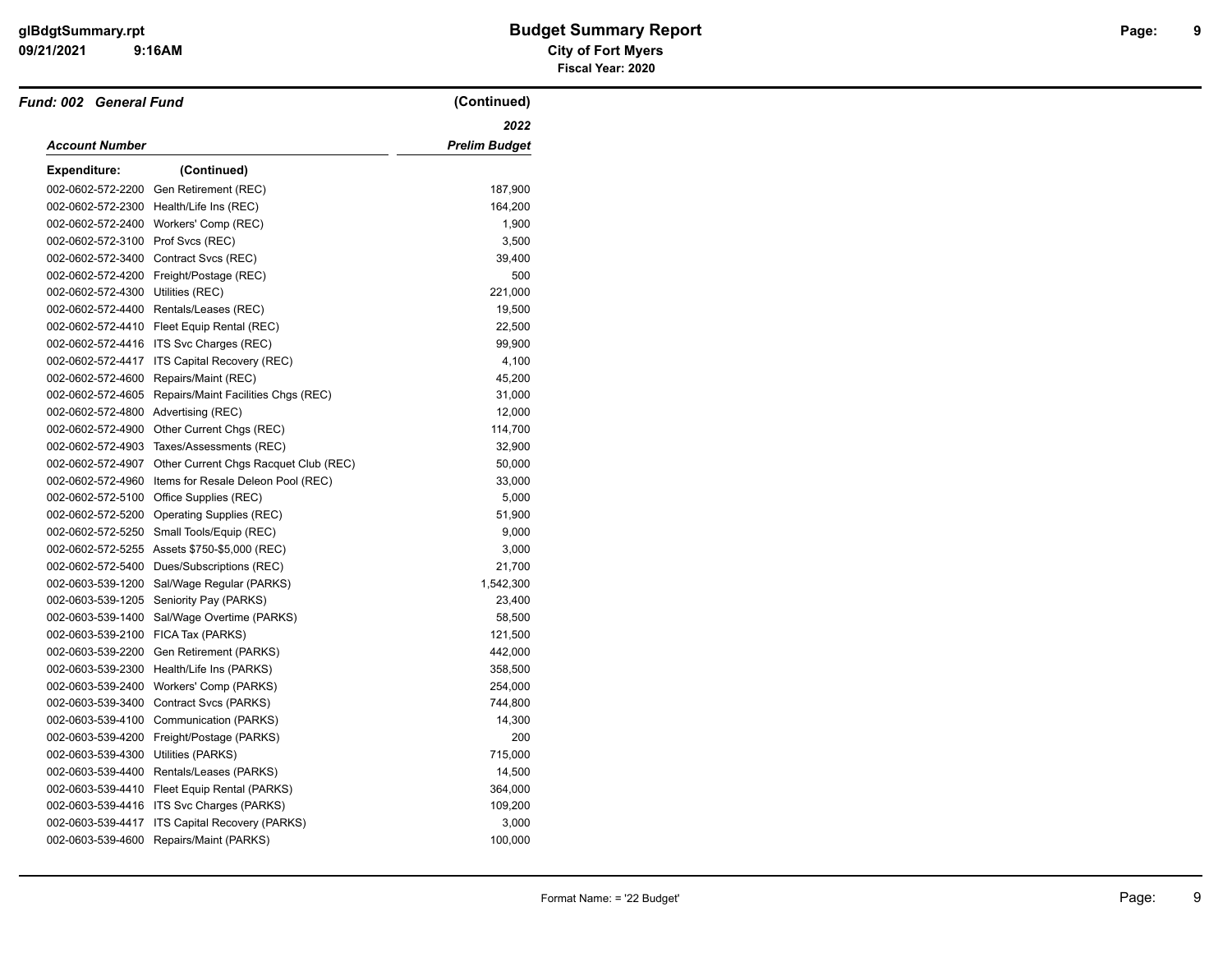| <b>Fund: 002 General Fund</b>       |                                                      | (Continued)          |
|-------------------------------------|------------------------------------------------------|----------------------|
| Account Number                      |                                                      | 2022                 |
|                                     |                                                      | <b>Prelim Budget</b> |
| <b>Expenditure:</b>                 | (Continued)                                          |                      |
| 002-0602-572-2200                   | Gen Retirement (REC)                                 | 187,900              |
|                                     | 002-0602-572-2300 Health/Life Ins (REC)              | 164,200              |
| 002-0602-572-2400                   | Workers' Comp (REC)                                  | 1,900                |
| 002-0602-572-3100                   | Prof Svcs (REC)                                      | 3,500                |
| 002-0602-572-3400                   | Contract Svcs (REC)                                  | 39,400               |
|                                     | 002-0602-572-4200 Freight/Postage (REC)              | 500                  |
| 002-0602-572-4300                   | Utilities (REC)                                      | 221,000              |
|                                     | 002-0602-572-4400 Rentals/Leases (REC)               | 19,500               |
|                                     | 002-0602-572-4410 Fleet Equip Rental (REC)           | 22,500               |
|                                     | 002-0602-572-4416 ITS Svc Charges (REC)              | 99,900               |
| 002-0602-572-4417                   | ITS Capital Recovery (REC)                           | 4,100                |
| 002-0602-572-4600                   | Repairs/Maint (REC)                                  | 45,200               |
| 002-0602-572-4605                   | Repairs/Maint Facilities Chgs (REC)                  | 31,000               |
| 002-0602-572-4800 Advertising (REC) |                                                      | 12,000               |
| 002-0602-572-4900                   | Other Current Chgs (REC)                             | 114,700              |
| 002-0602-572-4903                   | Taxes/Assessments (REC)                              | 32,900               |
| 002-0602-572-4907                   | Other Current Chgs Racquet Club (REC)                | 50,000               |
|                                     | 002-0602-572-4960 Items for Resale Deleon Pool (REC) | 33,000               |
| 002-0602-572-5100                   | Office Supplies (REC)                                | 5,000                |
| 002-0602-572-5200                   | <b>Operating Supplies (REC)</b>                      | 51,900               |
| 002-0602-572-5250                   | Small Tools/Equip (REC)                              | 9,000                |
|                                     | 002-0602-572-5255 Assets \$750-\$5,000 (REC)         | 3,000                |
| 002-0602-572-5400                   | Dues/Subscriptions (REC)                             | 21,700               |
| 002-0603-539-1200                   | Sal/Wage Regular (PARKS)                             | 1,542,300            |
| 002-0603-539-1205                   | Seniority Pay (PARKS)                                | 23,400               |
| 002-0603-539-1400                   | Sal/Wage Overtime (PARKS)                            | 58,500               |
| 002-0603-539-2100                   | FICA Tax (PARKS)                                     | 121,500              |
| 002-0603-539-2200                   | Gen Retirement (PARKS)                               | 442,000              |
| 002-0603-539-2300                   | Health/Life Ins (PARKS)                              | 358,500              |
| 002-0603-539-2400                   | Workers' Comp (PARKS)                                | 254,000              |
| 002-0603-539-3400                   | Contract Svcs (PARKS)                                | 744,800              |
| 002-0603-539-4100                   | Communication (PARKS)                                | 14,300               |
| 002-0603-539-4200                   | Freight/Postage (PARKS)                              | 200                  |
| 002-0603-539-4300                   | Utilities (PARKS)                                    | 715,000              |
|                                     | 002-0603-539-4400 Rentals/Leases (PARKS)             | 14,500               |
| 002-0603-539-4410                   | Fleet Equip Rental (PARKS)                           | 364,000              |
| 002-0603-539-4416                   | ITS Svc Charges (PARKS)                              | 109,200              |
| 002-0603-539-4417                   | ITS Capital Recovery (PARKS)                         | 3,000                |
| 002-0603-539-4600                   | Repairs/Maint (PARKS)                                | 100,000              |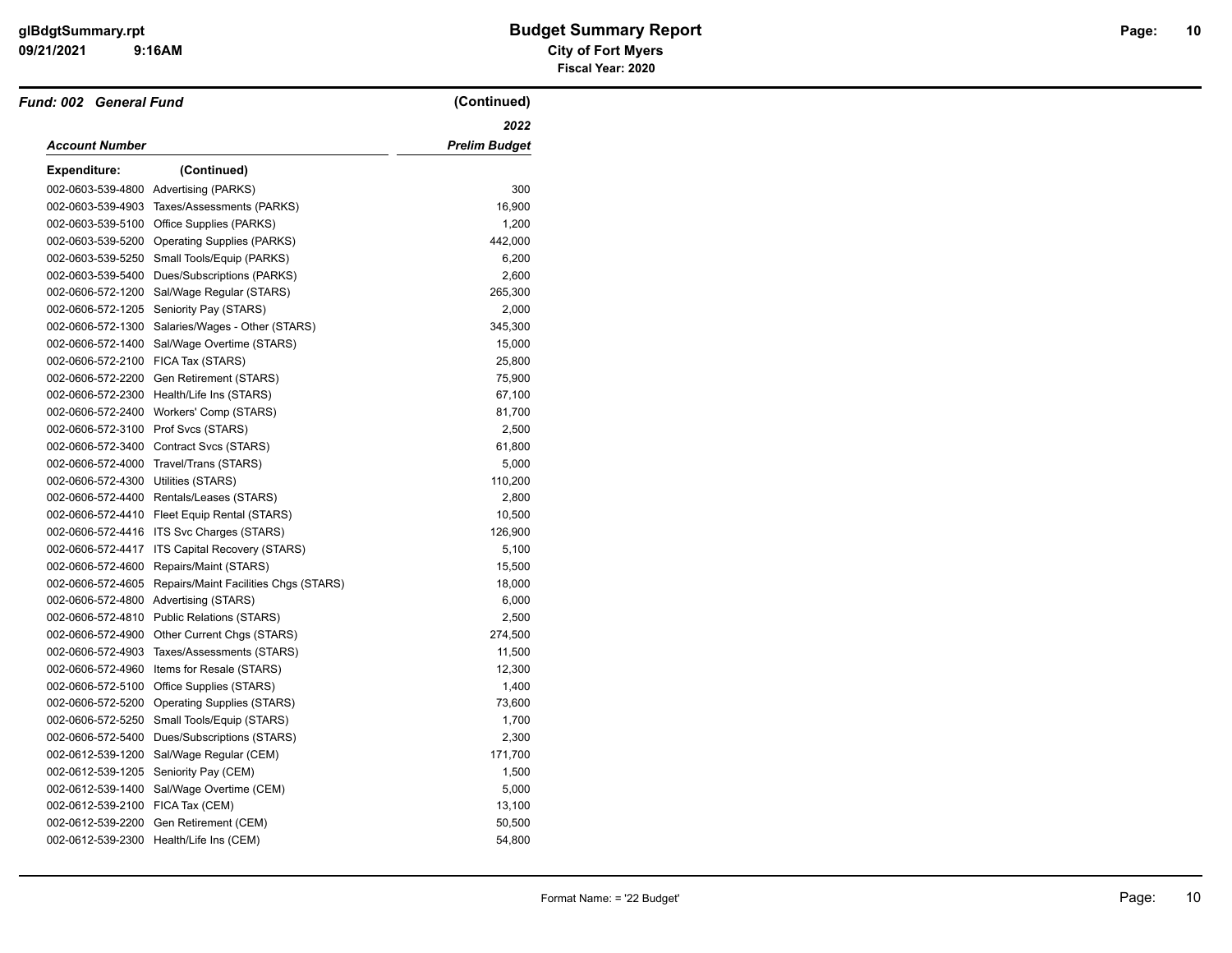# **09/21/2021 City of Fort Myers glBdgtSummary.rpt Budget Summary Report Page: Fiscal Year: 2020**

| <b>Fund: 002 General Fund</b>      |                                              | (Continued)          |
|------------------------------------|----------------------------------------------|----------------------|
|                                    |                                              | 2022                 |
| Account Number                     |                                              | <b>Prelim Budget</b> |
| Expenditure:                       | (Continued)                                  |                      |
|                                    | 002-0603-539-4800 Advertising (PARKS)        | 300                  |
| 002-0603-539-4903                  | Taxes/Assessments (PARKS)                    | 16,900               |
| 002-0603-539-5100                  | Office Supplies (PARKS)                      | 1,200                |
|                                    | 002-0603-539-5200 Operating Supplies (PARKS) | 442,000              |
| 002-0603-539-5250                  | Small Tools/Equip (PARKS)                    | 6,200                |
|                                    | 002-0603-539-5400 Dues/Subscriptions (PARKS) | 2,600                |
|                                    | 002-0606-572-1200 Sal/Wage Regular (STARS)   | 265,300              |
| 002-0606-572-1205                  | Seniority Pay (STARS)                        | 2,000                |
| 002-0606-572-1300                  | Salaries/Wages - Other (STARS)               | 345,300              |
| 002-0606-572-1400                  | Sal/Wage Overtime (STARS)                    | 15,000               |
| 002-0606-572-2100 FICA Tax (STARS) |                                              | 25,800               |
|                                    | 002-0606-572-2200 Gen Retirement (STARS)     | 75,900               |
|                                    | 002-0606-572-2300 Health/Life Ins (STARS)    | 67,100               |
|                                    | 002-0606-572-2400 Workers' Comp (STARS)      | 81,700               |
| 002-0606-572-3100                  | Prof Svcs (STARS)                            | 2,500                |
| 002-0606-572-3400                  | Contract Svcs (STARS)                        | 61,800               |
| 002-0606-572-4000                  | Travel/Trans (STARS)                         | 5,000                |
| 002-0606-572-4300                  | Utilities (STARS)                            | 110,200              |
|                                    | 002-0606-572-4400 Rentals/Leases (STARS)     | 2,800                |
|                                    | 002-0606-572-4410 Fleet Equip Rental (STARS) | 10,500               |
| 002-0606-572-4416                  | ITS Svc Charges (STARS)                      | 126,900              |
| 002-0606-572-4417                  | ITS Capital Recovery (STARS)                 | 5,100                |
| 002-0606-572-4600                  | Repairs/Maint (STARS)                        | 15,500               |
| 002-0606-572-4605                  | Repairs/Maint Facilities Chgs (STARS)        | 18,000               |
|                                    | 002-0606-572-4800 Advertising (STARS)        | 6,000                |
| 002-0606-572-4810                  | <b>Public Relations (STARS)</b>              | 2,500                |
| 002-0606-572-4900                  | Other Current Chgs (STARS)                   | 274,500              |
| 002-0606-572-4903                  | Taxes/Assessments (STARS)                    | 11,500               |
| 002-0606-572-4960                  | Items for Resale (STARS)                     | 12,300               |
| 002-0606-572-5100                  | Office Supplies (STARS)                      | 1,400                |
| 002-0606-572-5200                  | <b>Operating Supplies (STARS)</b>            | 73,600               |
| 002-0606-572-5250                  | Small Tools/Equip (STARS)                    | 1,700                |
| 002-0606-572-5400                  | Dues/Subscriptions (STARS)                   | 2,300                |
| 002-0612-539-1200                  | Sal/Wage Regular (CEM)                       | 171,700              |
| 002-0612-539-1205                  | Seniority Pay (CEM)                          | 1,500                |
| 002-0612-539-1400                  | Sal/Wage Overtime (CEM)                      | 5,000                |
| 002-0612-539-2100 FICA Tax (CEM)   |                                              | 13,100               |
| 002-0612-539-2200                  | Gen Retirement (CEM)                         | 50,500               |
|                                    | 002-0612-539-2300 Health/Life Ins (CEM)      | 54,800               |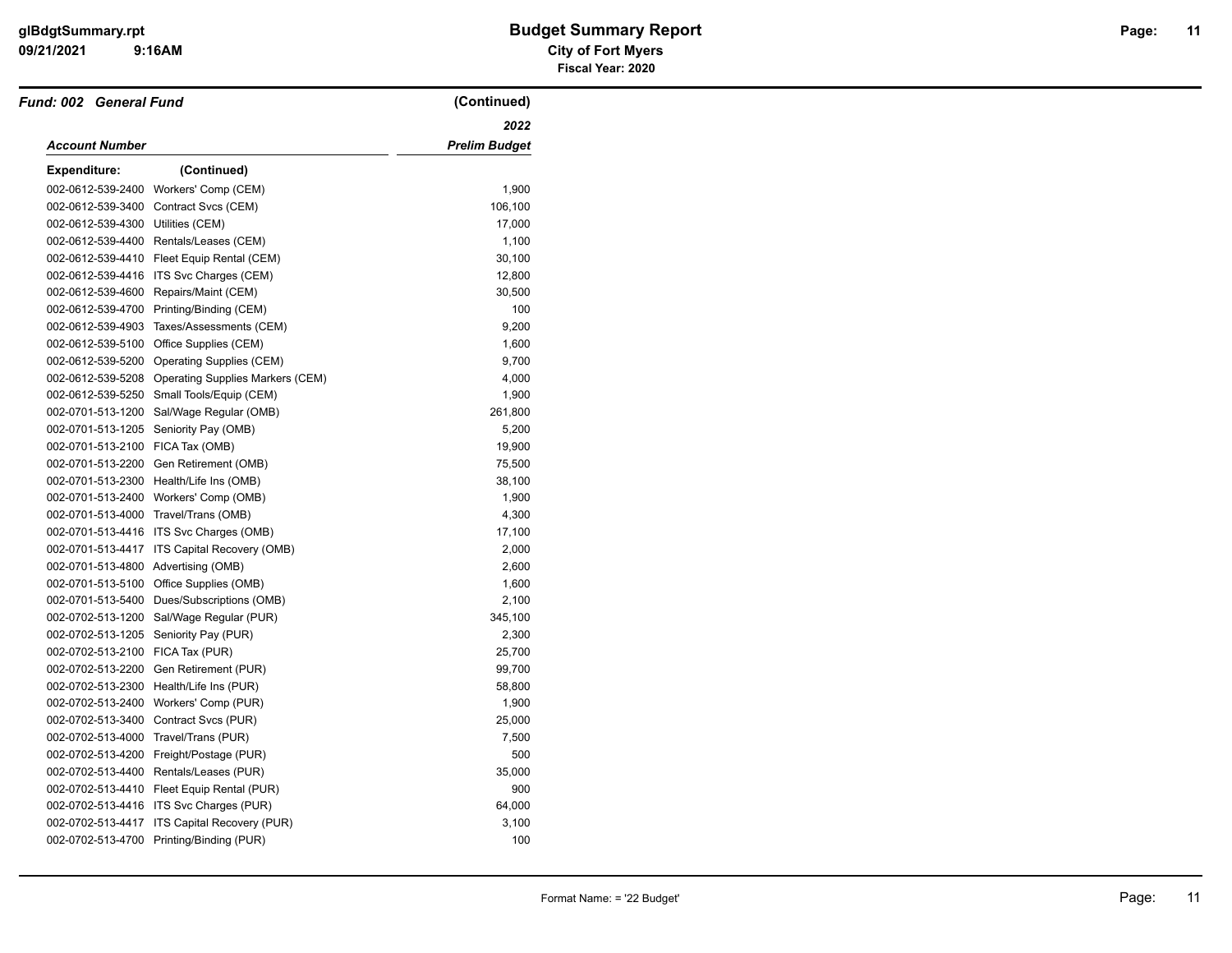| <b>Fund: 002 General Fund</b> |                                            | (Continued)          |
|-------------------------------|--------------------------------------------|----------------------|
|                               |                                            | 2022                 |
| Account Number                |                                            | <b>Prelim Budget</b> |
| <b>Expenditure:</b>           | (Continued)                                |                      |
|                               | 002-0612-539-2400 Workers' Comp (CEM)      | 1,900                |
| 002-0612-539-3400             | Contract Svcs (CEM)                        | 106,100              |
| 002-0612-539-4300             | Utilities (CEM)                            | 17,000               |
| 002-0612-539-4400             | Rentals/Leases (CEM)                       | 1,100                |
| 002-0612-539-4410             | Fleet Equip Rental (CEM)                   | 30,100               |
| 002-0612-539-4416             | ITS Svc Charges (CEM)                      | 12,800               |
| 002-0612-539-4600             | Repairs/Maint (CEM)                        | 30,500               |
| 002-0612-539-4700             | Printing/Binding (CEM)                     | 100                  |
| 002-0612-539-4903             | Taxes/Assessments (CEM)                    | 9,200                |
| 002-0612-539-5100             | Office Supplies (CEM)                      | 1,600                |
| 002-0612-539-5200             | Operating Supplies (CEM)                   | 9,700                |
| 002-0612-539-5208             | <b>Operating Supplies Markers (CEM)</b>    | 4,000                |
| 002-0612-539-5250             | Small Tools/Equip (CEM)                    | 1,900                |
| 002-0701-513-1200             | Sal/Wage Regular (OMB)                     | 261,800              |
| 002-0701-513-1205             | Seniority Pay (OMB)                        | 5,200                |
| 002-0701-513-2100             | FICA Tax (OMB)                             | 19,900               |
| 002-0701-513-2200             | Gen Retirement (OMB)                       | 75,500               |
| 002-0701-513-2300             | Health/Life Ins (OMB)                      | 38,100               |
| 002-0701-513-2400             | Workers' Comp (OMB)                        | 1,900                |
| 002-0701-513-4000             | Travel/Trans (OMB)                         | 4,300                |
| 002-0701-513-4416             | ITS Svc Charges (OMB)                      | 17,100               |
| 002-0701-513-4417             | ITS Capital Recovery (OMB)                 | 2,000                |
| 002-0701-513-4800             | Advertising (OMB)                          | 2,600                |
|                               | 002-0701-513-5100 Office Supplies (OMB)    | 1,600                |
| 002-0701-513-5400             | Dues/Subscriptions (OMB)                   | 2,100                |
| 002-0702-513-1200             | Sal/Wage Regular (PUR)                     | 345,100              |
| 002-0702-513-1205             | Seniority Pay (PUR)                        | 2,300                |
| 002-0702-513-2100             | FICA Tax (PUR)                             | 25,700               |
| 002-0702-513-2200             | Gen Retirement (PUR)                       | 99,700               |
| 002-0702-513-2300             | Health/Life Ins (PUR)                      | 58,800               |
| 002-0702-513-2400             | Workers' Comp (PUR)                        | 1,900                |
| 002-0702-513-3400             | Contract Svcs (PUR)                        | 25,000               |
| 002-0702-513-4000             | Travel/Trans (PUR)                         | 7,500                |
| 002-0702-513-4200             | Freight/Postage (PUR)                      | 500                  |
| 002-0702-513-4400             | Rentals/Leases (PUR)                       | 35,000               |
|                               | 002-0702-513-4410 Fleet Equip Rental (PUR) | 900                  |
|                               | 002-0702-513-4416 ITS Svc Charges (PUR)    | 64,000               |
| 002-0702-513-4417             | ITS Capital Recovery (PUR)                 | 3,100                |
|                               | 002-0702-513-4700 Printing/Binding (PUR)   | 100                  |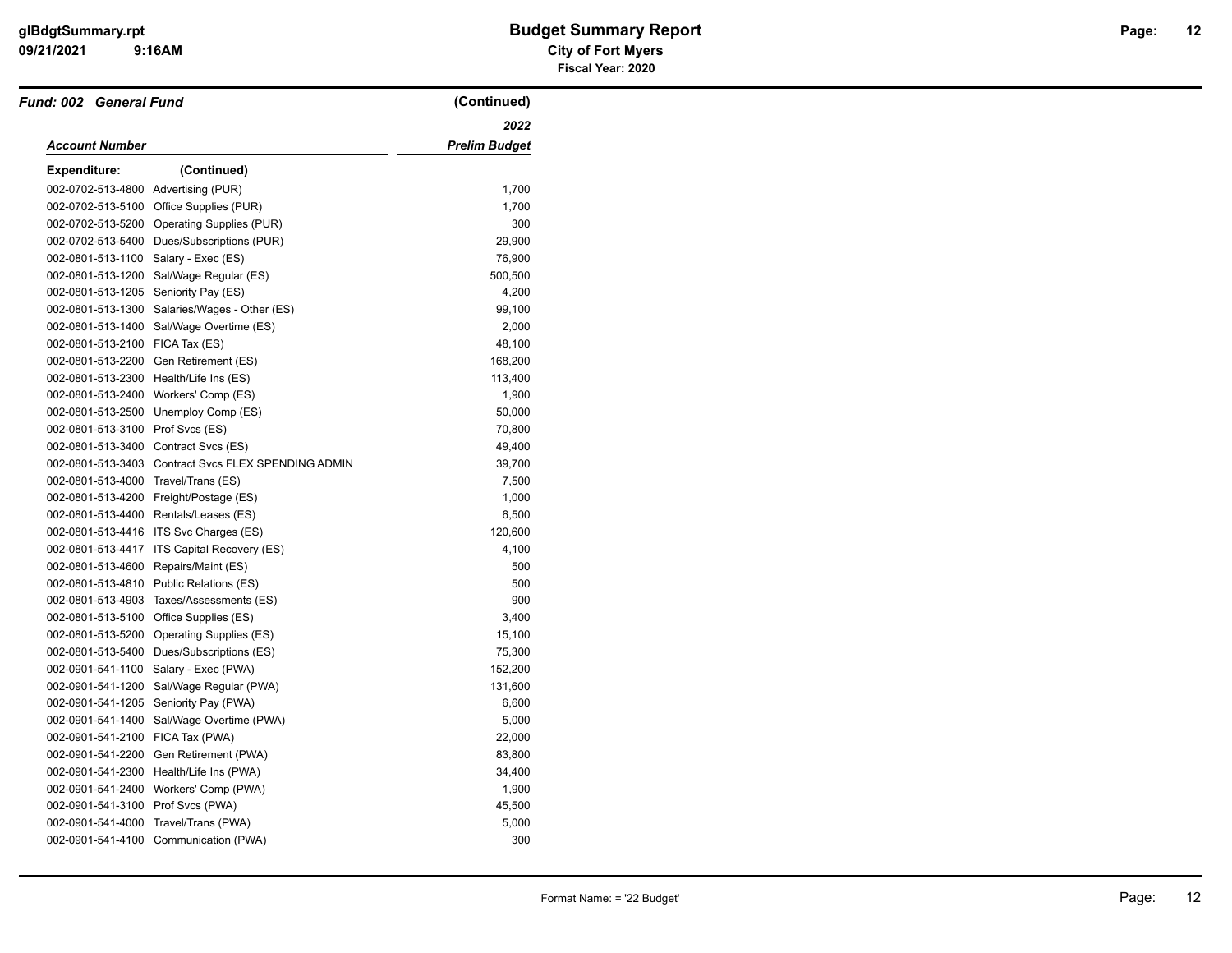| Fund: 002 General Fund               |                                                     | (Continued)   |
|--------------------------------------|-----------------------------------------------------|---------------|
|                                      |                                                     | 2022          |
| <b>Account Number</b>                |                                                     | Prelim Budget |
| <b>Expenditure:</b>                  | (Continued)                                         |               |
| 002-0702-513-4800 Advertising (PUR)  |                                                     | 1,700         |
| 002-0702-513-5100                    | Office Supplies (PUR)                               | 1,700         |
|                                      | 002-0702-513-5200 Operating Supplies (PUR)          | 300           |
| 002-0702-513-5400                    | Dues/Subscriptions (PUR)                            | 29,900        |
| 002-0801-513-1100                    | Salary - Exec (ES)                                  | 76,900        |
| 002-0801-513-1200                    | Sal/Wage Regular (ES)                               | 500,500       |
| 002-0801-513-1205 Seniority Pay (ES) |                                                     | 4,200         |
| 002-0801-513-1300                    | Salaries/Wages - Other (ES)                         | 99,100        |
| 002-0801-513-1400                    | Sal/Wage Overtime (ES)                              | 2,000         |
| 002-0801-513-2100                    | FICA Tax (ES)                                       | 48,100        |
| 002-0801-513-2200                    | Gen Retirement (ES)                                 | 168,200       |
|                                      | 002-0801-513-2300 Health/Life Ins (ES)              | 113,400       |
| 002-0801-513-2400                    | Workers' Comp (ES)                                  | 1,900         |
| 002-0801-513-2500                    | Unemploy Comp (ES)                                  | 50,000        |
| 002-0801-513-3100                    | Prof Svcs (ES)                                      | 70,800        |
|                                      | 002-0801-513-3400 Contract Svcs (ES)                | 49,400        |
|                                      | 002-0801-513-3403 Contract Svcs FLEX SPENDING ADMIN | 39,700        |
| 002-0801-513-4000 Travel/Trans (ES)  |                                                     | 7,500         |
|                                      | 002-0801-513-4200 Freight/Postage (ES)              | 1,000         |
|                                      | 002-0801-513-4400 Rentals/Leases (ES)               | 6,500         |
| 002-0801-513-4416                    | ITS Svc Charges (ES)                                | 120,600       |
| 002-0801-513-4417                    | ITS Capital Recovery (ES)                           | 4,100         |
| 002-0801-513-4600                    | Repairs/Maint (ES)                                  | 500           |
|                                      | 002-0801-513-4810 Public Relations (ES)             | 500           |
| 002-0801-513-4903                    | Taxes/Assessments (ES)                              | 900           |
| 002-0801-513-5100                    | Office Supplies (ES)                                | 3,400         |
| 002-0801-513-5200                    | Operating Supplies (ES)                             | 15,100        |
| 002-0801-513-5400                    | Dues/Subscriptions (ES)                             | 75,300        |
| 002-0901-541-1100                    | Salary - Exec (PWA)                                 | 152,200       |
| 002-0901-541-1200                    | Sal/Wage Regular (PWA)                              | 131,600       |
| 002-0901-541-1205                    | Seniority Pay (PWA)                                 | 6,600         |
| 002-0901-541-1400                    | Sal/Wage Overtime (PWA)                             | 5,000         |
| 002-0901-541-2100                    | FICA Tax (PWA)                                      | 22,000        |
| 002-0901-541-2200                    | Gen Retirement (PWA)                                | 83,800        |
| 002-0901-541-2300                    | Health/Life Ins (PWA)                               | 34,400        |
| 002-0901-541-2400                    | Workers' Comp (PWA)                                 | 1,900         |
| 002-0901-541-3100 Prof Svcs (PWA)    |                                                     | 45,500        |
| 002-0901-541-4000                    | Travel/Trans (PWA)                                  | 5,000         |
|                                      | 002-0901-541-4100 Communication (PWA)               | 300           |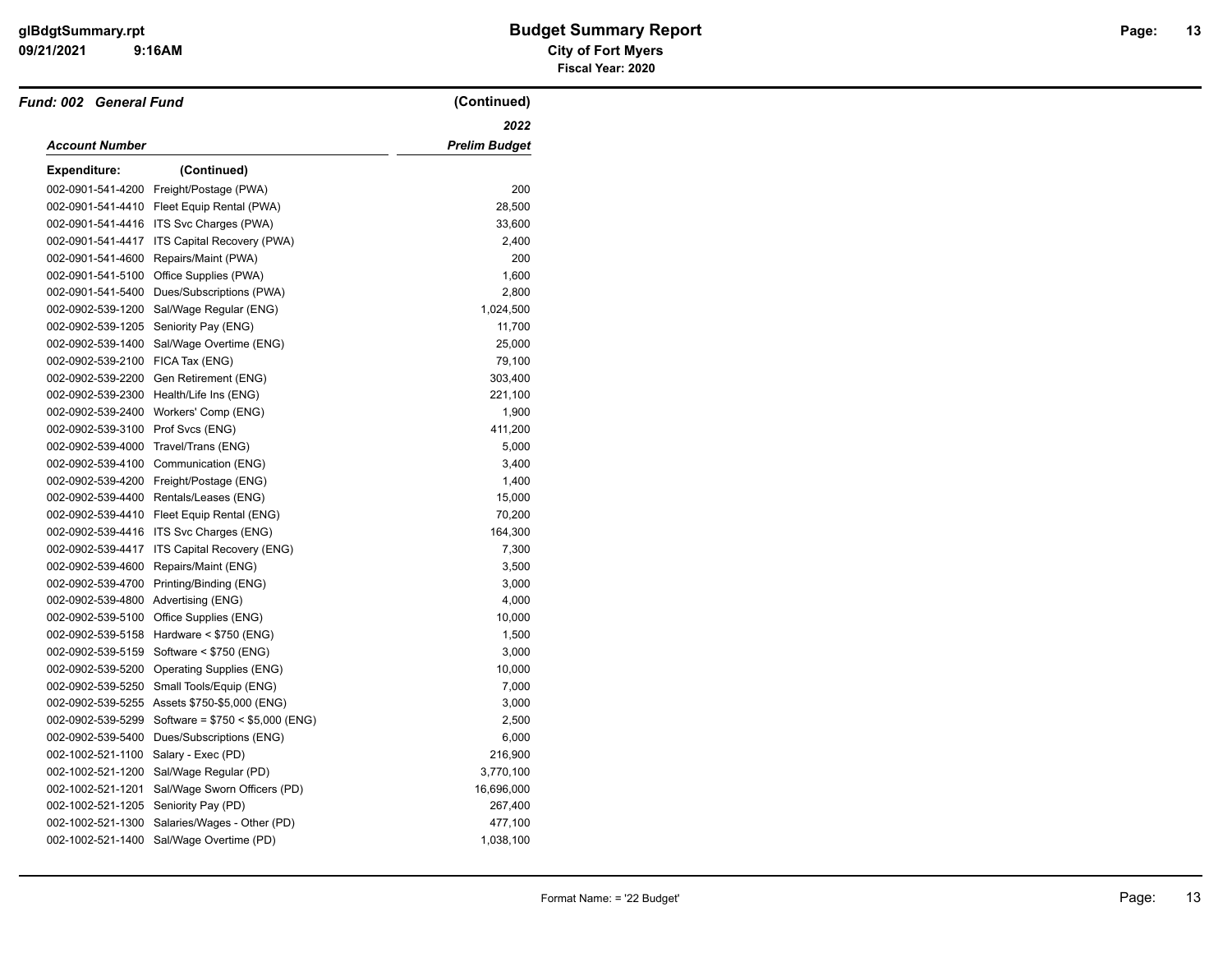| <b>Fund: 002 General Fund</b> |                                          | (Continued)          |
|-------------------------------|------------------------------------------|----------------------|
|                               |                                          | 2022                 |
| <b>Account Number</b>         |                                          | <b>Prelim Budget</b> |
| <b>Expenditure:</b>           | (Continued)                              |                      |
| 002-0901-541-4200             | Freight/Postage (PWA)                    | 200                  |
| 002-0901-541-4410             | Fleet Equip Rental (PWA)                 | 28,500               |
| 002-0901-541-4416             | ITS Svc Charges (PWA)                    | 33,600               |
| 002-0901-541-4417             | ITS Capital Recovery (PWA)               | 2,400                |
| 002-0901-541-4600             | Repairs/Maint (PWA)                      | 200                  |
| 002-0901-541-5100             | Office Supplies (PWA)                    | 1,600                |
| 002-0901-541-5400             | Dues/Subscriptions (PWA)                 | 2,800                |
| 002-0902-539-1200             | Sal/Wage Regular (ENG)                   | 1,024,500            |
| 002-0902-539-1205             | Seniority Pay (ENG)                      | 11,700               |
| 002-0902-539-1400             | Sal/Wage Overtime (ENG)                  | 25,000               |
| 002-0902-539-2100             | FICA Tax (ENG)                           | 79,100               |
| 002-0902-539-2200             | Gen Retirement (ENG)                     | 303,400              |
| 002-0902-539-2300             | Health/Life Ins (ENG)                    | 221,100              |
| 002-0902-539-2400             | Workers' Comp (ENG)                      | 1,900                |
| 002-0902-539-3100             | Prof Svcs (ENG)                          | 411,200              |
| 002-0902-539-4000             | Travel/Trans (ENG)                       | 5,000                |
| 002-0902-539-4100             | Communication (ENG)                      | 3,400                |
| 002-0902-539-4200             | Freight/Postage (ENG)                    | 1,400                |
|                               | 002-0902-539-4400 Rentals/Leases (ENG)   | 15,000               |
| 002-0902-539-4410             | Fleet Equip Rental (ENG)                 | 70,200               |
| 002-0902-539-4416             | ITS Svc Charges (ENG)                    | 164,300              |
| 002-0902-539-4417             | ITS Capital Recovery (ENG)               | 7,300                |
| 002-0902-539-4600             | Repairs/Maint (ENG)                      | 3,500                |
| 002-0902-539-4700             | Printing/Binding (ENG)                   | 3,000                |
| 002-0902-539-4800             | Advertising (ENG)                        | 4,000                |
| 002-0902-539-5100             | Office Supplies (ENG)                    | 10,000               |
| 002-0902-539-5158             | Hardware < \$750 (ENG)                   | 1,500                |
| 002-0902-539-5159             | Software < \$750 (ENG)                   | 3,000                |
| 002-0902-539-5200             | <b>Operating Supplies (ENG)</b>          | 10,000               |
| 002-0902-539-5250             | Small Tools/Equip (ENG)                  | 7,000                |
| 002-0902-539-5255             | Assets \$750-\$5,000 (ENG)               | 3,000                |
| 002-0902-539-5299             | Software = $$750 < $5,000$ (ENG)         | 2,500                |
| 002-0902-539-5400             | Dues/Subscriptions (ENG)                 | 6,000                |
| 002-1002-521-1100             | Salary - Exec (PD)                       | 216,900              |
| 002-1002-521-1200             | Sal/Wage Regular (PD)                    | 3,770,100            |
| 002-1002-521-1201             | Sal/Wage Sworn Officers (PD)             | 16,696,000           |
| 002-1002-521-1205             | Seniority Pay (PD)                       | 267,400              |
| 002-1002-521-1300             | Salaries/Wages - Other (PD)              | 477,100              |
|                               | 002-1002-521-1400 Sal/Wage Overtime (PD) | 1,038,100            |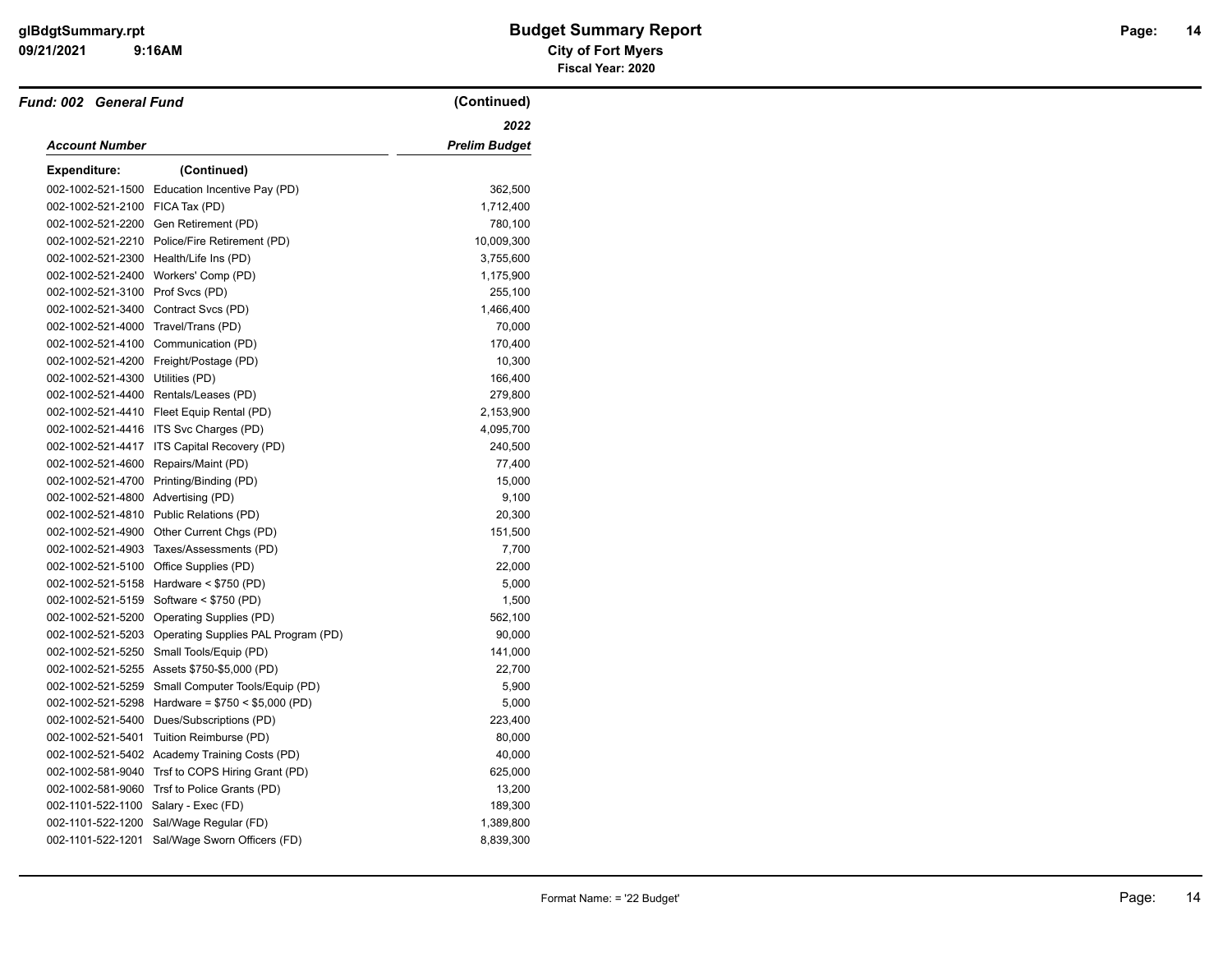| <b>Fund: 002 General Fund</b>      |                                                       | (Continued)          |
|------------------------------------|-------------------------------------------------------|----------------------|
|                                    |                                                       | 2022                 |
| <b>Account Number</b>              |                                                       | <b>Prelim Budget</b> |
| <b>Expenditure:</b>                | (Continued)                                           |                      |
|                                    | 002-1002-521-1500 Education Incentive Pay (PD)        | 362,500              |
| 002-1002-521-2100 FICA Tax (PD)    |                                                       | 1,712,400            |
|                                    | 002-1002-521-2200 Gen Retirement (PD)                 | 780,100              |
|                                    | 002-1002-521-2210 Police/Fire Retirement (PD)         | 10,009,300           |
| 002-1002-521-2300                  | Health/Life Ins (PD)                                  | 3,755,600            |
|                                    | 002-1002-521-2400 Workers' Comp (PD)                  | 1,175,900            |
| 002-1002-521-3100 Prof Svcs (PD)   |                                                       | 255,100              |
|                                    | 002-1002-521-3400 Contract Svcs (PD)                  | 1,466,400            |
| 002-1002-521-4000                  | Travel/Trans (PD)                                     | 70,000               |
|                                    | 002-1002-521-4100 Communication (PD)                  | 170,400              |
|                                    | 002-1002-521-4200 Freight/Postage (PD)                | 10,300               |
| 002-1002-521-4300 Utilities (PD)   |                                                       | 166,400              |
|                                    | 002-1002-521-4400 Rentals/Leases (PD)                 | 279,800              |
|                                    | 002-1002-521-4410 Fleet Equip Rental (PD)             | 2,153,900            |
| 002-1002-521-4416                  | ITS Svc Charges (PD)                                  | 4,095,700            |
| 002-1002-521-4417                  | ITS Capital Recovery (PD)                             | 240,500              |
| 002-1002-521-4600                  | Repairs/Maint (PD)                                    | 77,400               |
|                                    | 002-1002-521-4700 Printing/Binding (PD)               | 15,000               |
| 002-1002-521-4800 Advertising (PD) |                                                       | 9,100                |
|                                    | 002-1002-521-4810 Public Relations (PD)               | 20,300               |
| 002-1002-521-4900                  | Other Current Chgs (PD)                               | 151,500              |
| 002-1002-521-4903                  | Taxes/Assessments (PD)                                | 7,700                |
|                                    | 002-1002-521-5100 Office Supplies (PD)                | 22,000               |
|                                    | 002-1002-521-5158 Hardware < \$750 (PD)               | 5,000                |
|                                    | 002-1002-521-5159 Software < \$750 (PD)               | 1,500                |
|                                    | 002-1002-521-5200 Operating Supplies (PD)             | 562,100              |
|                                    | 002-1002-521-5203 Operating Supplies PAL Program (PD) | 90,000               |
| 002-1002-521-5250                  | Small Tools/Equip (PD)                                | 141,000              |
|                                    | 002-1002-521-5255 Assets \$750-\$5,000 (PD)           | 22,700               |
| 002-1002-521-5259                  | Small Computer Tools/Equip (PD)                       | 5,900                |
| 002-1002-521-5298                  | Hardware = $$750 < $5,000$ (PD)                       | 5,000                |
| 002-1002-521-5400                  | Dues/Subscriptions (PD)                               | 223,400              |
| 002-1002-521-5401                  | Tuition Reimburse (PD)                                | 80,000               |
|                                    | 002-1002-521-5402 Academy Training Costs (PD)         | 40,000               |
| 002-1002-581-9040                  | Trsf to COPS Hiring Grant (PD)                        | 625,000              |
| 002-1002-581-9060                  | Trsf to Police Grants (PD)                            | 13,200               |
| 002-1101-522-1100                  | Salary - Exec (FD)                                    | 189,300              |
| 002-1101-522-1200                  | Sal/Wage Regular (FD)                                 | 1,389,800            |
| 002-1101-522-1201                  | Sal/Wage Sworn Officers (FD)                          | 8,839,300            |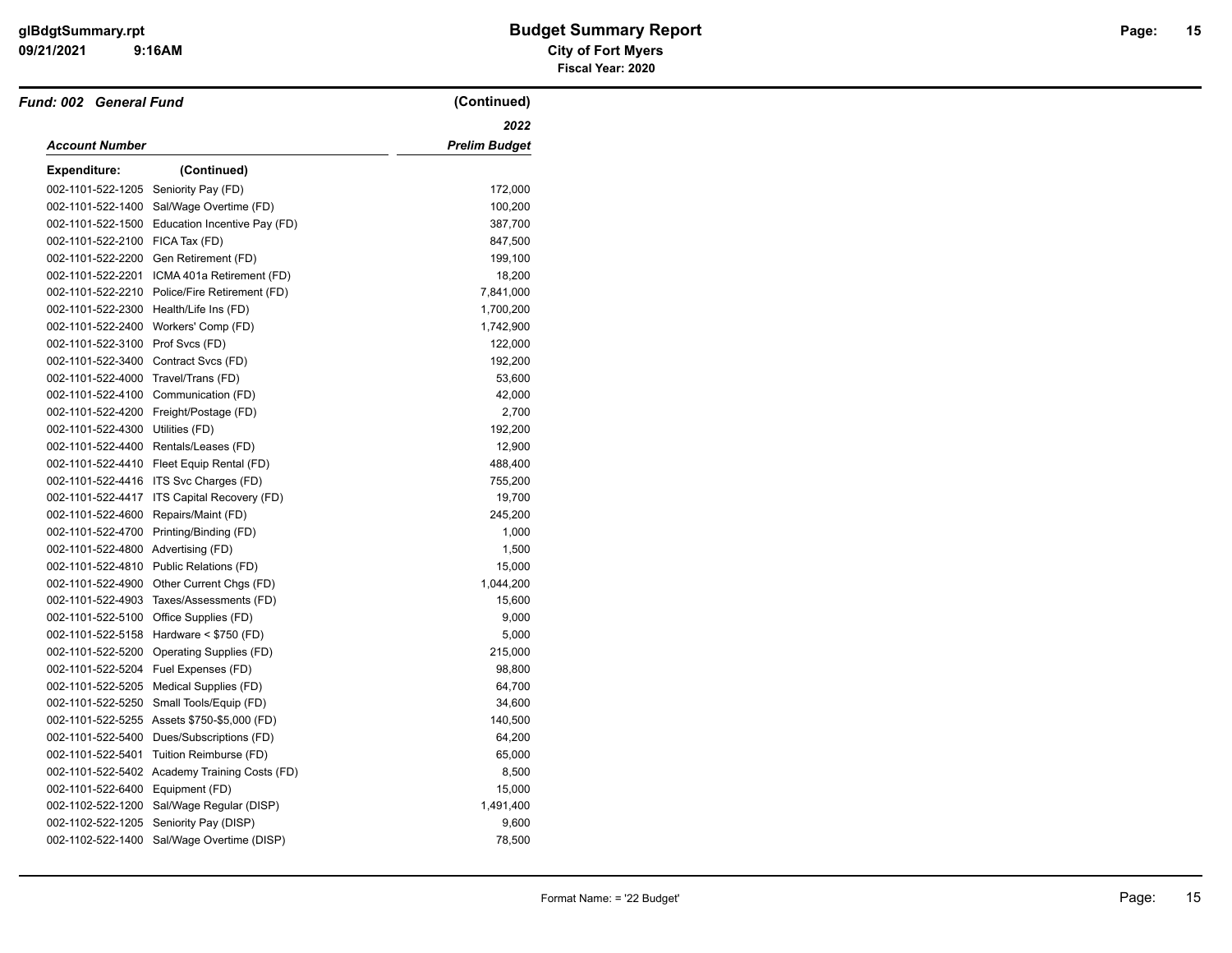| <b>Fund: 002 General Fund</b>        |                                               | (Continued)          |
|--------------------------------------|-----------------------------------------------|----------------------|
|                                      |                                               | 2022                 |
| <b>Account Number</b>                |                                               | <b>Prelim Budget</b> |
| <b>Expenditure:</b>                  | (Continued)                                   |                      |
| 002-1101-522-1205 Seniority Pay (FD) |                                               | 172,000              |
| 002-1101-522-1400                    | Sal/Wage Overtime (FD)                        | 100,200              |
| 002-1101-522-1500                    | Education Incentive Pay (FD)                  | 387,700              |
| 002-1101-522-2100 FICA Tax (FD)      |                                               | 847,500              |
|                                      | 002-1101-522-2200 Gen Retirement (FD)         | 199,100              |
|                                      | 002-1101-522-2201 ICMA 401a Retirement (FD)   | 18,200               |
|                                      | 002-1101-522-2210 Police/Fire Retirement (FD) | 7,841,000            |
|                                      | 002-1101-522-2300 Health/Life Ins (FD)        | 1,700,200            |
| 002-1101-522-2400                    | Workers' Comp (FD)                            | 1,742,900            |
| 002-1101-522-3100 Prof Svcs (FD)     |                                               | 122,000              |
| 002-1101-522-3400 Contract Svcs (FD) |                                               | 192,200              |
| 002-1101-522-4000                    | Travel/Trans (FD)                             | 53,600               |
|                                      | 002-1101-522-4100 Communication (FD)          | 42,000               |
|                                      | 002-1101-522-4200 Freight/Postage (FD)        | 2,700                |
| 002-1101-522-4300 Utilities (FD)     |                                               | 192,200              |
|                                      | 002-1101-522-4400 Rentals/Leases (FD)         | 12,900               |
|                                      | 002-1101-522-4410 Fleet Equip Rental (FD)     | 488,400              |
|                                      | 002-1101-522-4416 ITS Svc Charges (FD)        | 755,200              |
|                                      | 002-1101-522-4417 ITS Capital Recovery (FD)   | 19,700               |
| 002-1101-522-4600 Repairs/Maint (FD) |                                               | 245,200              |
|                                      | 002-1101-522-4700 Printing/Binding (FD)       | 1,000                |
| 002-1101-522-4800 Advertising (FD)   |                                               | 1,500                |
|                                      | 002-1101-522-4810 Public Relations (FD)       | 15,000               |
|                                      | 002-1101-522-4900 Other Current Chgs (FD)     | 1,044,200            |
| 002-1101-522-4903                    | Taxes/Assessments (FD)                        | 15,600               |
| 002-1101-522-5100                    | Office Supplies (FD)                          | 9,000                |
|                                      | 002-1101-522-5158 Hardware < \$750 (FD)       | 5,000                |
|                                      | 002-1101-522-5200 Operating Supplies (FD)     | 215,000              |
|                                      | 002-1101-522-5204 Fuel Expenses (FD)          | 98,800               |
|                                      | 002-1101-522-5205 Medical Supplies (FD)       | 64,700               |
| 002-1101-522-5250                    | Small Tools/Equip (FD)                        | 34,600               |
|                                      | 002-1101-522-5255 Assets \$750-\$5,000 (FD)   | 140,500              |
|                                      | 002-1101-522-5400 Dues/Subscriptions (FD)     | 64,200               |
| 002-1101-522-5401                    | Tuition Reimburse (FD)                        | 65,000               |
|                                      | 002-1101-522-5402 Academy Training Costs (FD) | 8,500                |
| 002-1101-522-6400 Equipment (FD)     |                                               | 15,000               |
|                                      | 002-1102-522-1200 Sal/Wage Regular (DISP)     | 1,491,400            |
| 002-1102-522-1205                    | Seniority Pay (DISP)                          | 9,600                |
|                                      | 002-1102-522-1400 Sal/Wage Overtime (DISP)    | 78,500               |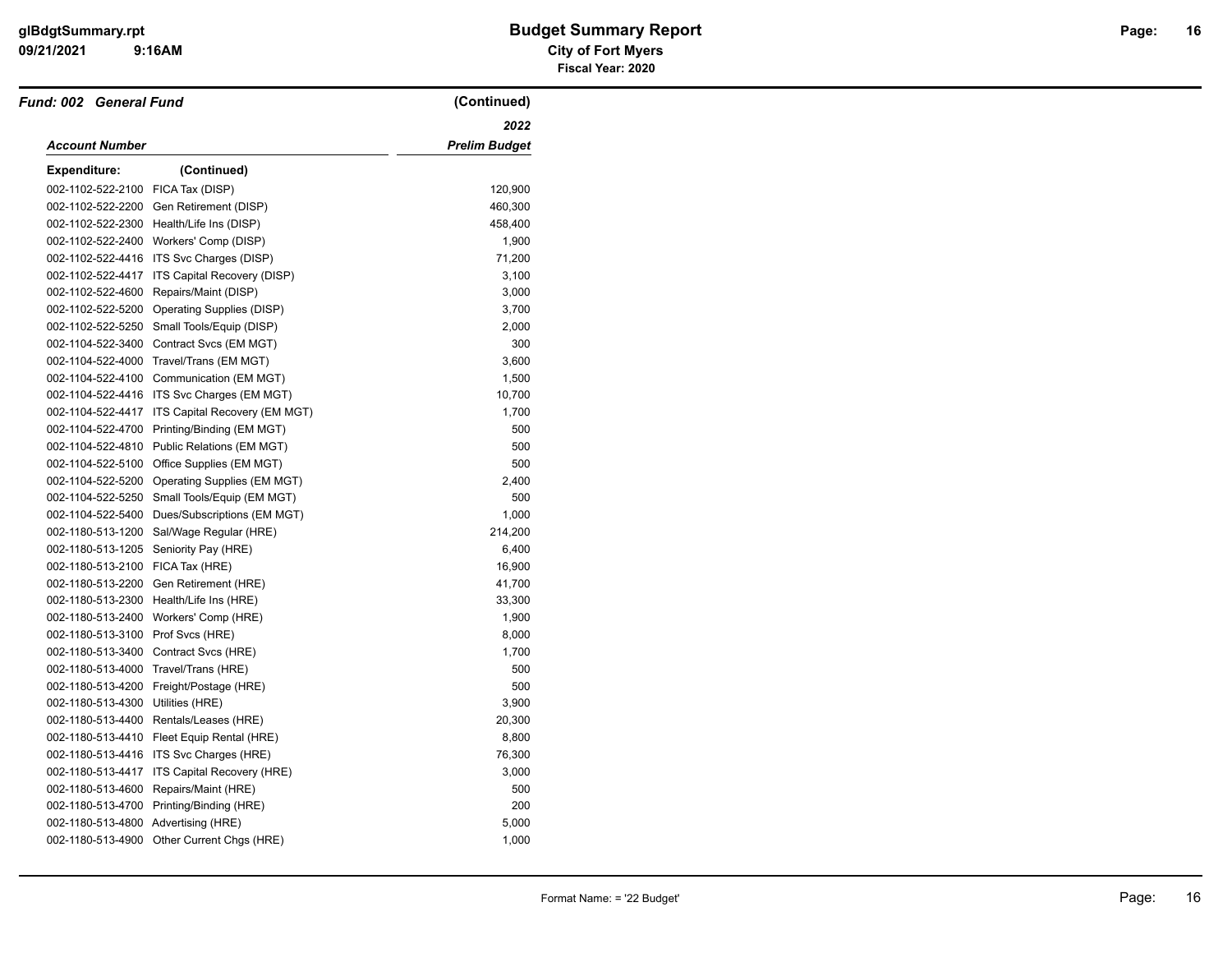| <b>Fund: 002 General Fund</b> |                                               | (Continued)   |
|-------------------------------|-----------------------------------------------|---------------|
|                               |                                               | 2022          |
| Account Number                |                                               | Prelim Budget |
| <b>Expenditure:</b>           | (Continued)                                   |               |
| 002-1102-522-2100             | FICA Tax (DISP)                               | 120,900       |
| 002-1102-522-2200             | Gen Retirement (DISP)                         | 460,300       |
| 002-1102-522-2300             | Health/Life Ins (DISP)                        | 458,400       |
| 002-1102-522-2400             | Workers' Comp (DISP)                          | 1,900         |
|                               | 002-1102-522-4416 ITS Svc Charges (DISP)      | 71,200        |
|                               | 002-1102-522-4417 ITS Capital Recovery (DISP) | 3,100         |
| 002-1102-522-4600             | Repairs/Maint (DISP)                          | 3,000         |
|                               | 002-1102-522-5200 Operating Supplies (DISP)   | 3,700         |
| 002-1102-522-5250             | Small Tools/Equip (DISP)                      | 2,000         |
| 002-1104-522-3400             | Contract Svcs (EM MGT)                        | 300           |
|                               | 002-1104-522-4000 Travel/Trans (EM MGT)       | 3,600         |
| 002-1104-522-4100             | Communication (EM MGT)                        | 1,500         |
|                               | 002-1104-522-4416 ITS Svc Charges (EM MGT)    | 10,700        |
| 002-1104-522-4417             | ITS Capital Recovery (EM MGT)                 | 1,700         |
| 002-1104-522-4700             | Printing/Binding (EM MGT)                     | 500           |
|                               | 002-1104-522-4810 Public Relations (EM MGT)   | 500           |
| 002-1104-522-5100             | Office Supplies (EM MGT)                      | 500           |
| 002-1104-522-5200             | Operating Supplies (EM MGT)                   | 2,400         |
| 002-1104-522-5250             | Small Tools/Equip (EM MGT)                    | 500           |
| 002-1104-522-5400             | Dues/Subscriptions (EM MGT)                   | 1,000         |
| 002-1180-513-1200             | Sal/Wage Regular (HRE)                        | 214,200       |
| 002-1180-513-1205             | Seniority Pay (HRE)                           | 6,400         |
| 002-1180-513-2100             | FICA Tax (HRE)                                | 16,900        |
| 002-1180-513-2200             | Gen Retirement (HRE)                          | 41,700        |
| 002-1180-513-2300             | Health/Life Ins (HRE)                         | 33,300        |
| 002-1180-513-2400             | Workers' Comp (HRE)                           | 1,900         |
| 002-1180-513-3100             | Prof Svcs (HRE)                               | 8,000         |
|                               | 002-1180-513-3400 Contract Svcs (HRE)         | 1,700         |
| 002-1180-513-4000             | Travel/Trans (HRE)                            | 500           |
| 002-1180-513-4200             | Freight/Postage (HRE)                         | 500           |
| 002-1180-513-4300             | Utilities (HRE)                               | 3,900         |
| 002-1180-513-4400             | Rentals/Leases (HRE)                          | 20,300        |
| 002-1180-513-4410             | Fleet Equip Rental (HRE)                      | 8,800         |
|                               | 002-1180-513-4416 ITS Svc Charges (HRE)       | 76,300        |
| 002-1180-513-4417             | ITS Capital Recovery (HRE)                    | 3,000         |
| 002-1180-513-4600             | Repairs/Maint (HRE)                           | 500           |
| 002-1180-513-4700             | Printing/Binding (HRE)                        | 200           |
| 002-1180-513-4800             | Advertising (HRE)                             | 5,000         |
|                               | 002-1180-513-4900 Other Current Chgs (HRE)    | 1,000         |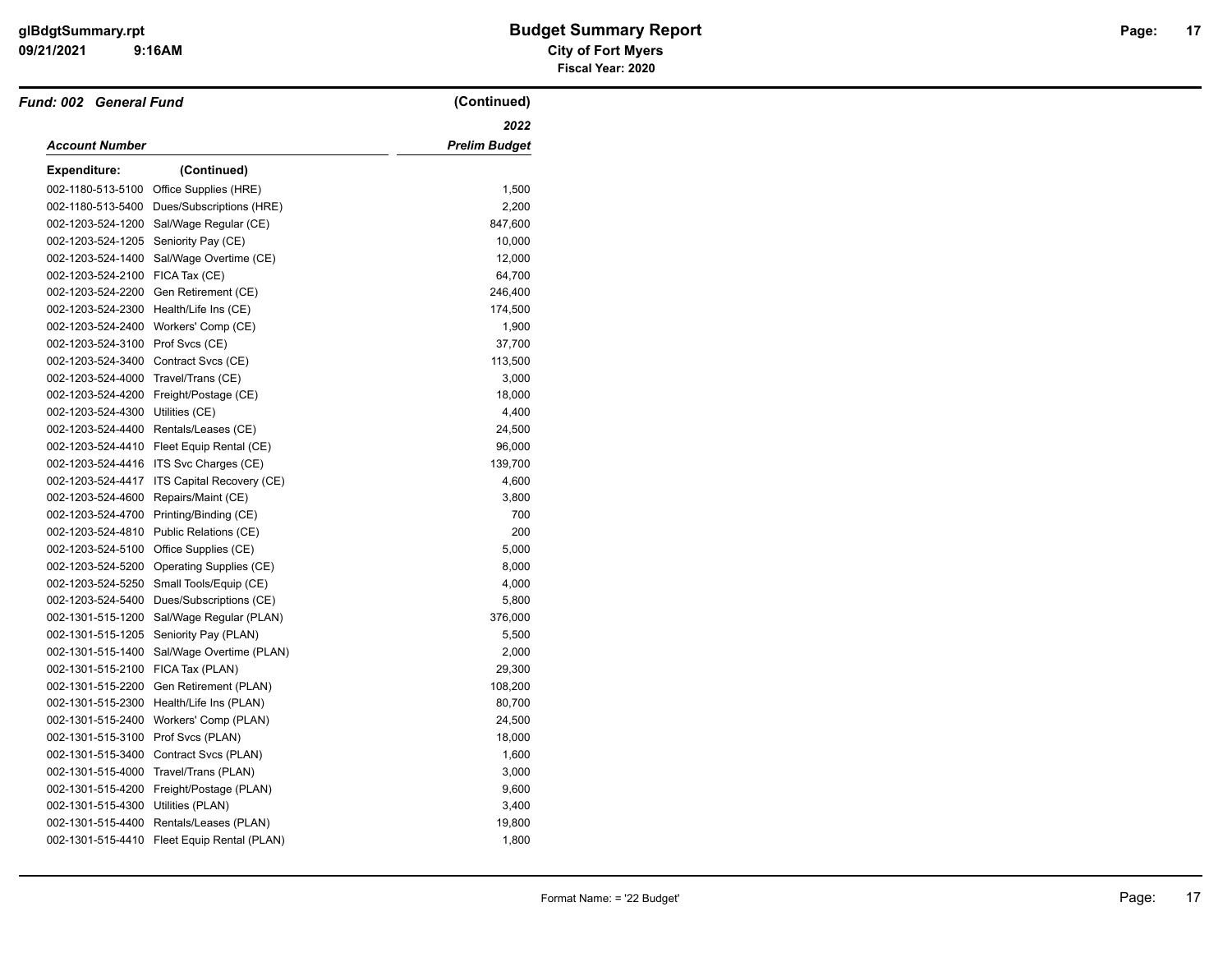| <b>Fund: 002 General Fund</b> |                           | (Continued)          |
|-------------------------------|---------------------------|----------------------|
|                               |                           | 2022                 |
| Account Number                |                           | <b>Prelim Budget</b> |
| <b>Expenditure:</b>           | (Continued)               |                      |
| 002-1180-513-5100             | Office Supplies (HRE)     | 1,500                |
| 002-1180-513-5400             | Dues/Subscriptions (HRE)  | 2,200                |
| 002-1203-524-1200             | Sal/Wage Regular (CE)     | 847,600              |
| 002-1203-524-1205             | Seniority Pay (CE)        | 10,000               |
| 002-1203-524-1400             | Sal/Wage Overtime (CE)    | 12,000               |
| 002-1203-524-2100             | FICA Tax (CE)             | 64,700               |
| 002-1203-524-2200             | Gen Retirement (CE)       | 246,400              |
| 002-1203-524-2300             | Health/Life Ins (CE)      | 174,500              |
| 002-1203-524-2400             | Workers' Comp (CE)        | 1,900                |
| 002-1203-524-3100             | Prof Svcs (CE)            | 37,700               |
| 002-1203-524-3400             | Contract Svcs (CE)        | 113,500              |
| 002-1203-524-4000             | Travel/Trans (CE)         | 3,000                |
| 002-1203-524-4200             | Freight/Postage (CE)      | 18,000               |
| 002-1203-524-4300             | Utilities (CE)            | 4,400                |
| 002-1203-524-4400             | Rentals/Leases (CE)       | 24,500               |
| 002-1203-524-4410             | Fleet Equip Rental (CE)   | 96,000               |
| 002-1203-524-4416             | ITS Svc Charges (CE)      | 139,700              |
| 002-1203-524-4417             | ITS Capital Recovery (CE) | 4,600                |
| 002-1203-524-4600             | Repairs/Maint (CE)        | 3,800                |
| 002-1203-524-4700             | Printing/Binding (CE)     | 700                  |
| 002-1203-524-4810             | Public Relations (CE)     | 200                  |
| 002-1203-524-5100             | Office Supplies (CE)      | 5,000                |
| 002-1203-524-5200             | Operating Supplies (CE)   | 8,000                |
| 002-1203-524-5250             | Small Tools/Equip (CE)    | 4,000                |
| 002-1203-524-5400             | Dues/Subscriptions (CE)   | 5,800                |
| 002-1301-515-1200             | Sal/Wage Regular (PLAN)   | 376,000              |
| 002-1301-515-1205             | Seniority Pay (PLAN)      | 5,500                |
| 002-1301-515-1400             | Sal/Wage Overtime (PLAN)  | 2,000                |
| 002-1301-515-2100             | FICA Tax (PLAN)           | 29,300               |
| 002-1301-515-2200             | Gen Retirement (PLAN)     | 108,200              |
| 002-1301-515-2300             | Health/Life Ins (PLAN)    | 80,700               |
| 002-1301-515-2400             | Workers' Comp (PLAN)      | 24,500               |
| 002-1301-515-3100             | Prof Svcs (PLAN)          | 18,000               |
| 002-1301-515-3400             | Contract Svcs (PLAN)      | 1,600                |
| 002-1301-515-4000             | Travel/Trans (PLAN)       | 3,000                |
| 002-1301-515-4200             | Freight/Postage (PLAN)    | 9,600                |
| 002-1301-515-4300             | Utilities (PLAN)          | 3,400                |
| 002-1301-515-4400             | Rentals/Leases (PLAN)     | 19,800               |
| 002-1301-515-4410             | Fleet Equip Rental (PLAN) | 1,800                |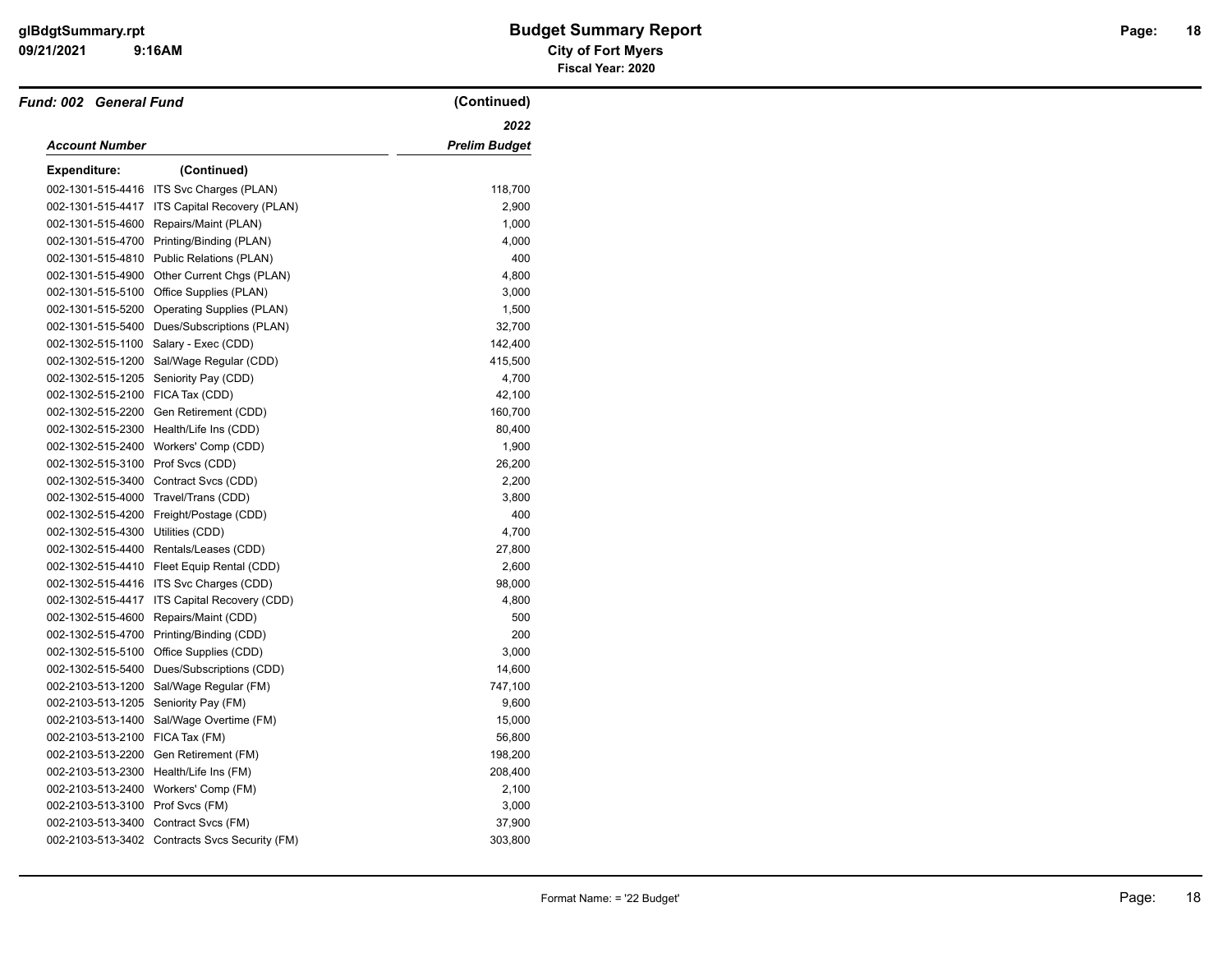| <b>Fund: 002 General Fund</b>    |                                                | (Continued)   |
|----------------------------------|------------------------------------------------|---------------|
|                                  |                                                | 2022          |
| Account Number                   |                                                | Prelim Budget |
| <b>Expenditure:</b>              | (Continued)                                    |               |
| 002-1301-515-4416                | ITS Svc Charges (PLAN)                         | 118,700       |
| 002-1301-515-4417                | ITS Capital Recovery (PLAN)                    | 2,900         |
| 002-1301-515-4600                | Repairs/Maint (PLAN)                           | 1,000         |
| 002-1301-515-4700                | Printing/Binding (PLAN)                        | 4,000         |
| 002-1301-515-4810                | Public Relations (PLAN)                        | 400           |
| 002-1301-515-4900                | Other Current Chgs (PLAN)                      | 4,800         |
| 002-1301-515-5100                | Office Supplies (PLAN)                         | 3,000         |
| 002-1301-515-5200                | <b>Operating Supplies (PLAN)</b>               | 1,500         |
| 002-1301-515-5400                | Dues/Subscriptions (PLAN)                      | 32,700        |
| 002-1302-515-1100                | Salary - Exec (CDD)                            | 142,400       |
| 002-1302-515-1200                | Sal/Wage Regular (CDD)                         | 415,500       |
| 002-1302-515-1205                | Seniority Pay (CDD)                            | 4,700         |
| 002-1302-515-2100 FICA Tax (CDD) |                                                | 42,100        |
| 002-1302-515-2200                | Gen Retirement (CDD)                           | 160,700       |
| 002-1302-515-2300                | Health/Life Ins (CDD)                          | 80,400        |
| 002-1302-515-2400                | Workers' Comp (CDD)                            | 1,900         |
| 002-1302-515-3100                | Prof Svcs (CDD)                                | 26,200        |
| 002-1302-515-3400                | Contract Svcs (CDD)                            | 2,200         |
| 002-1302-515-4000                | Travel/Trans (CDD)                             | 3,800         |
| 002-1302-515-4200                | Freight/Postage (CDD)                          | 400           |
| 002-1302-515-4300                | Utilities (CDD)                                | 4,700         |
| 002-1302-515-4400                | Rentals/Leases (CDD)                           | 27,800        |
|                                  | 002-1302-515-4410 Fleet Equip Rental (CDD)     | 2,600         |
| 002-1302-515-4416                | ITS Svc Charges (CDD)                          | 98,000        |
| 002-1302-515-4417                | ITS Capital Recovery (CDD)                     | 4,800         |
| 002-1302-515-4600                | Repairs/Maint (CDD)                            | 500           |
| 002-1302-515-4700                | Printing/Binding (CDD)                         | 200           |
| 002-1302-515-5100                | Office Supplies (CDD)                          | 3,000         |
| 002-1302-515-5400                | Dues/Subscriptions (CDD)                       | 14,600        |
| 002-2103-513-1200                | Sal/Wage Regular (FM)                          | 747,100       |
| 002-2103-513-1205                | Seniority Pay (FM)                             | 9,600         |
| 002-2103-513-1400                | Sal/Wage Overtime (FM)                         | 15,000        |
| 002-2103-513-2100                | FICA Tax (FM)                                  | 56,800        |
| 002-2103-513-2200                | Gen Retirement (FM)                            | 198,200       |
| 002-2103-513-2300                | Health/Life Ins (FM)                           | 208,400       |
| 002-2103-513-2400                | Workers' Comp (FM)                             | 2,100         |
| 002-2103-513-3100 Prof Svcs (FM) |                                                | 3,000         |
| 002-2103-513-3400                | Contract Svcs (FM)                             | 37,900        |
|                                  | 002-2103-513-3402 Contracts Svcs Security (FM) | 303,800       |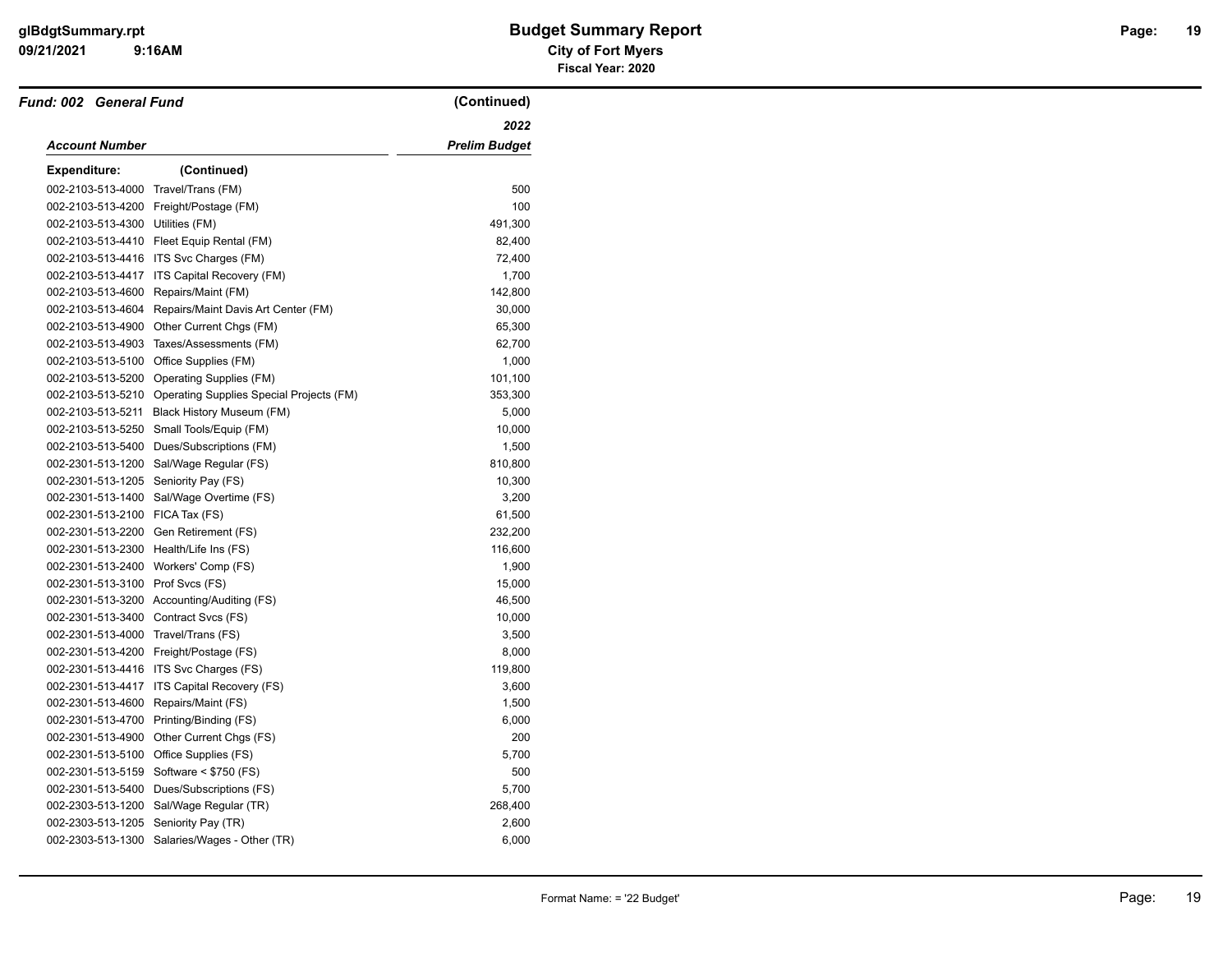| Fund: 002 General Fund               |                                                            | (Continued) |
|--------------------------------------|------------------------------------------------------------|-------------|
|                                      |                                                            | 2022        |
| Account Number                       |                                                            |             |
| <b>Expenditure:</b>                  | (Continued)                                                |             |
| 002-2103-513-4000                    | Travel/Trans (FM)                                          | 500         |
|                                      | 002-2103-513-4200 Freight/Postage (FM)                     | 100         |
| 002-2103-513-4300 Utilities (FM)     |                                                            | 491,300     |
|                                      | 002-2103-513-4410 Fleet Equip Rental (FM)                  | 82,400      |
|                                      | 002-2103-513-4416 ITS Svc Charges (FM)                     | 72,400      |
|                                      | 002-2103-513-4417 ITS Capital Recovery (FM)                | 1,700       |
| 002-2103-513-4600                    | Repairs/Maint (FM)                                         | 142,800     |
| 002-2103-513-4604                    | Repairs/Maint Davis Art Center (FM)                        | 30,000      |
| 002-2103-513-4900                    | Other Current Chgs (FM)                                    | 65,300      |
| 002-2103-513-4903                    | Taxes/Assessments (FM)                                     | 62,700      |
| 002-2103-513-5100                    | Office Supplies (FM)                                       | 1,000       |
| 002-2103-513-5200                    | Operating Supplies (FM)                                    | 101,100     |
|                                      | 002-2103-513-5210 Operating Supplies Special Projects (FM) | 353,300     |
| 002-2103-513-5211                    | Black History Museum (FM)                                  | 5,000       |
| 002-2103-513-5250                    | Small Tools/Equip (FM)                                     | 10,000      |
| 002-2103-513-5400                    | Dues/Subscriptions (FM)                                    | 1,500       |
|                                      | 002-2301-513-1200 Sal/Wage Regular (FS)                    | 810,800     |
| 002-2301-513-1205 Seniority Pay (FS) |                                                            | 10,300      |
| 002-2301-513-1400                    | Sal/Wage Overtime (FS)                                     | 3,200       |
| 002-2301-513-2100 FICA Tax (FS)      |                                                            | 61,500      |
|                                      | 002-2301-513-2200 Gen Retirement (FS)                      | 232,200     |
| 002-2301-513-2300                    | Health/Life Ins (FS)                                       | 116,600     |
| 002-2301-513-2400                    | Workers' Comp (FS)                                         | 1,900       |
| 002-2301-513-3100 Prof Svcs (FS)     |                                                            | 15,000      |
|                                      | 002-2301-513-3200 Accounting/Auditing (FS)                 | 46,500      |
| 002-2301-513-3400                    | Contract Svcs (FS)                                         | 10,000      |
| 002-2301-513-4000                    | Travel/Trans (FS)                                          | 3,500       |
|                                      | 002-2301-513-4200 Freight/Postage (FS)                     | 8,000       |
|                                      | 002-2301-513-4416 ITS Svc Charges (FS)                     | 119,800     |
| 002-2301-513-4417                    | ITS Capital Recovery (FS)                                  | 3,600       |
| 002-2301-513-4600                    | Repairs/Maint (FS)                                         | 1,500       |
| 002-2301-513-4700                    | Printing/Binding (FS)                                      | 6,000       |
| 002-2301-513-4900                    | Other Current Chgs (FS)                                    | 200         |
|                                      | 002-2301-513-5100 Office Supplies (FS)                     | 5,700       |
| 002-2301-513-5159                    | Software < \$750 (FS)                                      | 500         |
|                                      | 002-2301-513-5400 Dues/Subscriptions (FS)                  | 5,700       |
|                                      | 002-2303-513-1200 Sal/Wage Regular (TR)                    | 268,400     |
| 002-2303-513-1205                    | Seniority Pay (TR)                                         | 2,600       |
|                                      | 002-2303-513-1300 Salaries/Wages - Other (TR)              | 6,000       |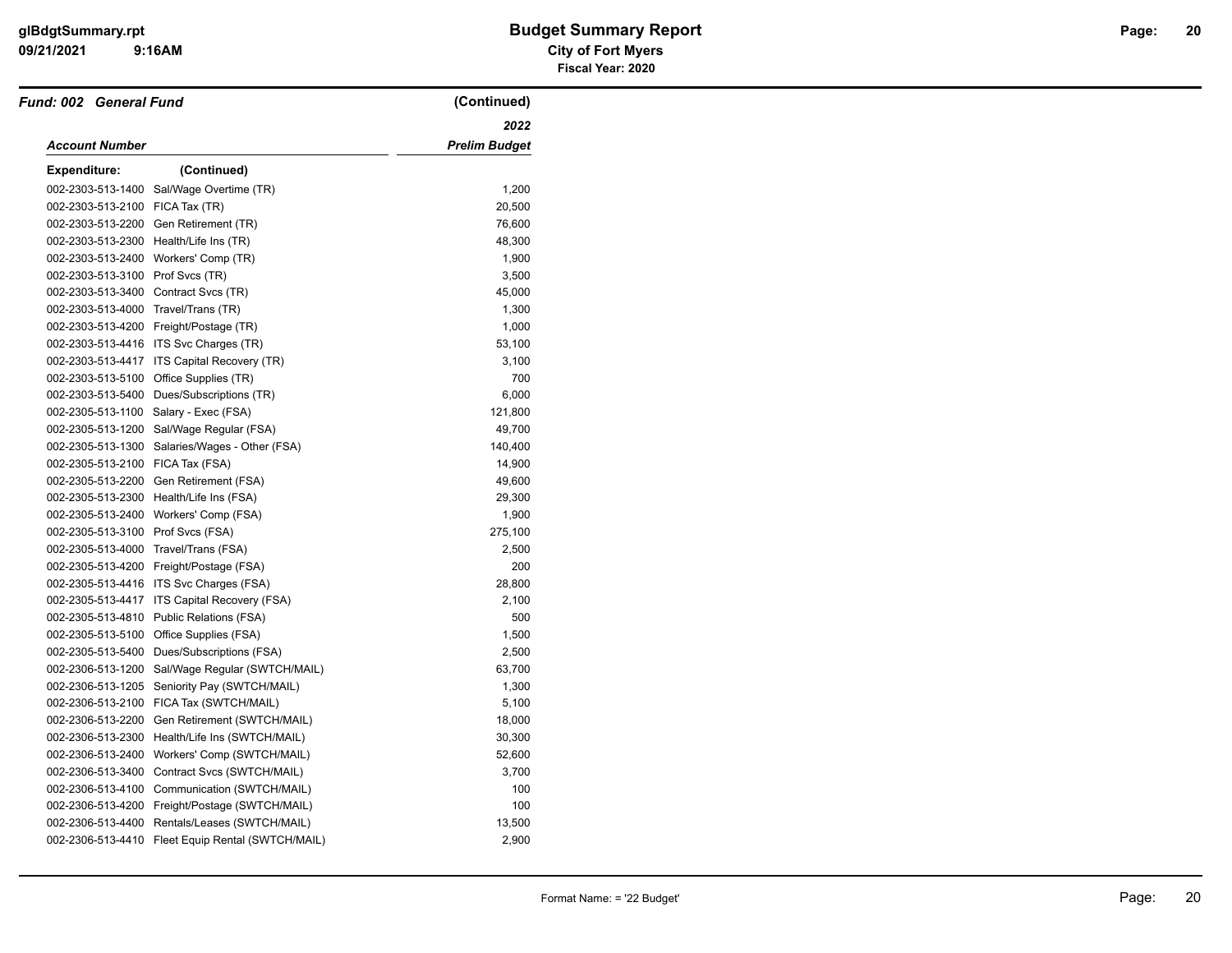| Fund: 002 General Fund               |                                                   | (Continued)          |
|--------------------------------------|---------------------------------------------------|----------------------|
|                                      |                                                   | 2022                 |
| <b>Account Number</b>                |                                                   | <b>Prelim Budget</b> |
| <b>Expenditure:</b>                  | (Continued)                                       |                      |
| 002-2303-513-1400                    | Sal/Wage Overtime (TR)                            | 1,200                |
| 002-2303-513-2100                    | FICA Tax (TR)                                     | 20,500               |
| 002-2303-513-2200                    | Gen Retirement (TR)                               | 76,600               |
| 002-2303-513-2300                    | Health/Life Ins (TR)                              | 48,300               |
| 002-2303-513-2400                    | Workers' Comp (TR)                                | 1,900                |
| 002-2303-513-3100                    | Prof Svcs (TR)                                    | 3,500                |
| 002-2303-513-3400 Contract Svcs (TR) |                                                   | 45,000               |
| 002-2303-513-4000                    | Travel/Trans (TR)                                 | 1,300                |
|                                      | 002-2303-513-4200 Freight/Postage (TR)            | 1,000                |
|                                      | 002-2303-513-4416 ITS Svc Charges (TR)            | 53,100               |
| 002-2303-513-4417                    | ITS Capital Recovery (TR)                         | 3,100                |
| 002-2303-513-5100                    | Office Supplies (TR)                              | 700                  |
| 002-2303-513-5400                    | Dues/Subscriptions (TR)                           | 6,000                |
| 002-2305-513-1100                    | Salary - Exec (FSA)                               | 121,800              |
| 002-2305-513-1200                    | Sal/Wage Regular (FSA)                            | 49,700               |
| 002-2305-513-1300                    | Salaries/Wages - Other (FSA)                      | 140,400              |
| 002-2305-513-2100                    | FICA Tax (FSA)                                    | 14,900               |
| 002-2305-513-2200                    | Gen Retirement (FSA)                              | 49,600               |
| 002-2305-513-2300                    | Health/Life Ins (FSA)                             | 29,300               |
| 002-2305-513-2400                    | Workers' Comp (FSA)                               | 1,900                |
| 002-2305-513-3100 Prof Svcs (FSA)    |                                                   | 275,100              |
| 002-2305-513-4000                    | Travel/Trans (FSA)                                | 2,500                |
|                                      | 002-2305-513-4200 Freight/Postage (FSA)           | 200                  |
|                                      | 002-2305-513-4416 ITS Svc Charges (FSA)           | 28,800               |
| 002-2305-513-4417                    | <b>ITS Capital Recovery (FSA)</b>                 | 2,100                |
| 002-2305-513-4810                    | Public Relations (FSA)                            | 500                  |
| 002-2305-513-5100                    | Office Supplies (FSA)                             | 1,500                |
| 002-2305-513-5400                    | Dues/Subscriptions (FSA)                          | 2,500                |
| 002-2306-513-1200                    | Sal/Wage Regular (SWTCH/MAIL)                     | 63,700               |
| 002-2306-513-1205                    | Seniority Pay (SWTCH/MAIL)                        | 1,300                |
| 002-2306-513-2100                    | FICA Tax (SWTCH/MAIL)                             | 5,100                |
| 002-2306-513-2200                    | Gen Retirement (SWTCH/MAIL)                       | 18,000               |
| 002-2306-513-2300                    | Health/Life Ins (SWTCH/MAIL)                      | 30,300               |
| 002-2306-513-2400                    | Workers' Comp (SWTCH/MAIL)                        | 52,600               |
| 002-2306-513-3400                    | Contract Svcs (SWTCH/MAIL)                        | 3,700                |
| 002-2306-513-4100                    | Communication (SWTCH/MAIL)                        | 100                  |
| 002-2306-513-4200                    | Freight/Postage (SWTCH/MAIL)                      | 100                  |
| 002-2306-513-4400                    | Rentals/Leases (SWTCH/MAIL)                       | 13,500               |
|                                      | 002-2306-513-4410 Fleet Equip Rental (SWTCH/MAIL) | 2,900                |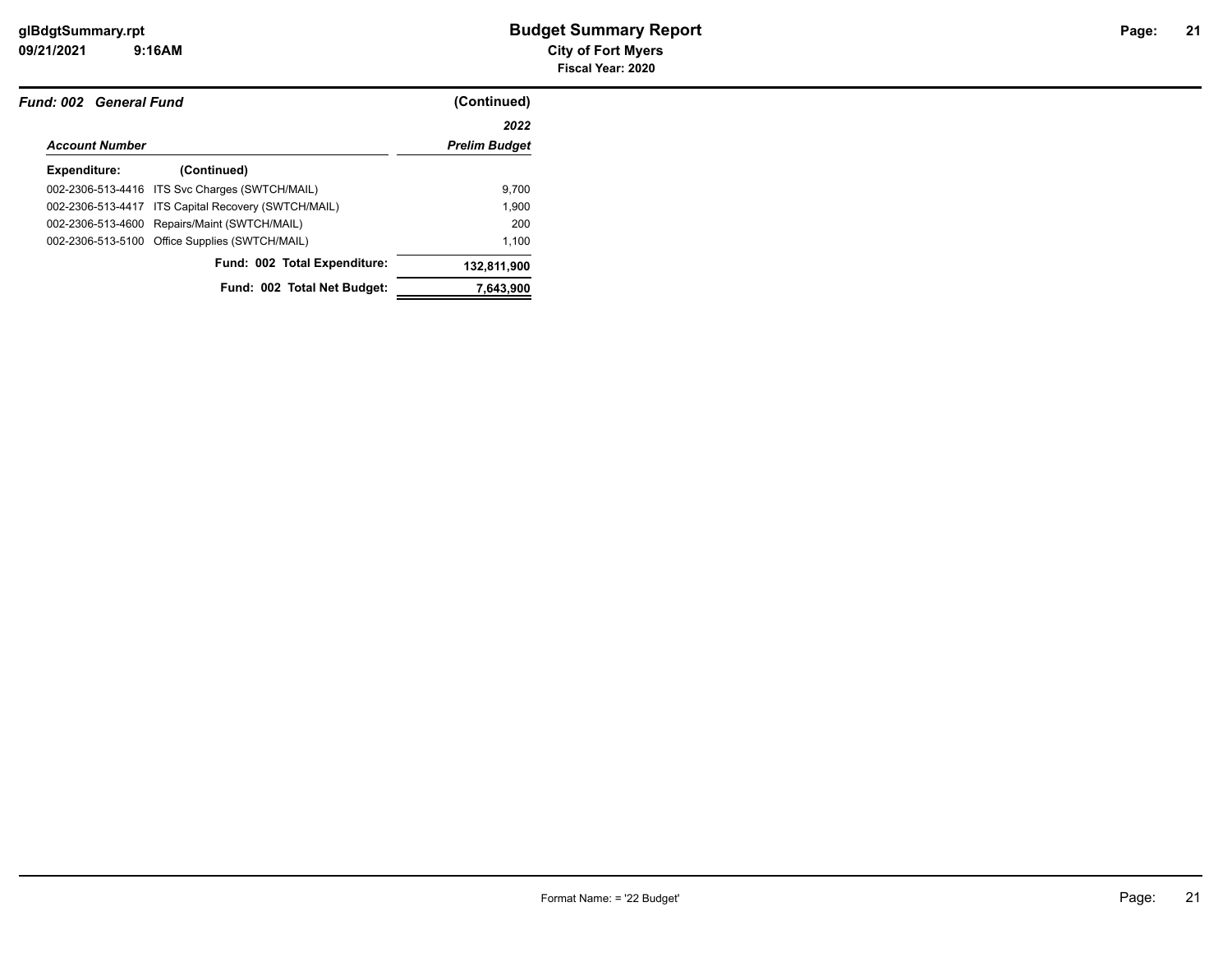| Fund: 002 General Fund |                                                     | (Continued)          |  |
|------------------------|-----------------------------------------------------|----------------------|--|
|                        |                                                     | 2022                 |  |
| <b>Account Number</b>  |                                                     | <b>Prelim Budget</b> |  |
| Expenditure:           | (Continued)                                         |                      |  |
|                        | 002-2306-513-4416 ITS Svc Charges (SWTCH/MAIL)      | 9.700                |  |
|                        | 002-2306-513-4417 ITS Capital Recovery (SWTCH/MAIL) | 1.900                |  |
|                        | 002-2306-513-4600 Repairs/Maint (SWTCH/MAIL)        | 200                  |  |
|                        | 002-2306-513-5100 Office Supplies (SWTCH/MAIL)      | 1.100                |  |
|                        | Fund: 002 Total Expenditure:                        | 132,811,900          |  |
|                        | Fund: 002 Total Net Budget:                         | 7,643,900            |  |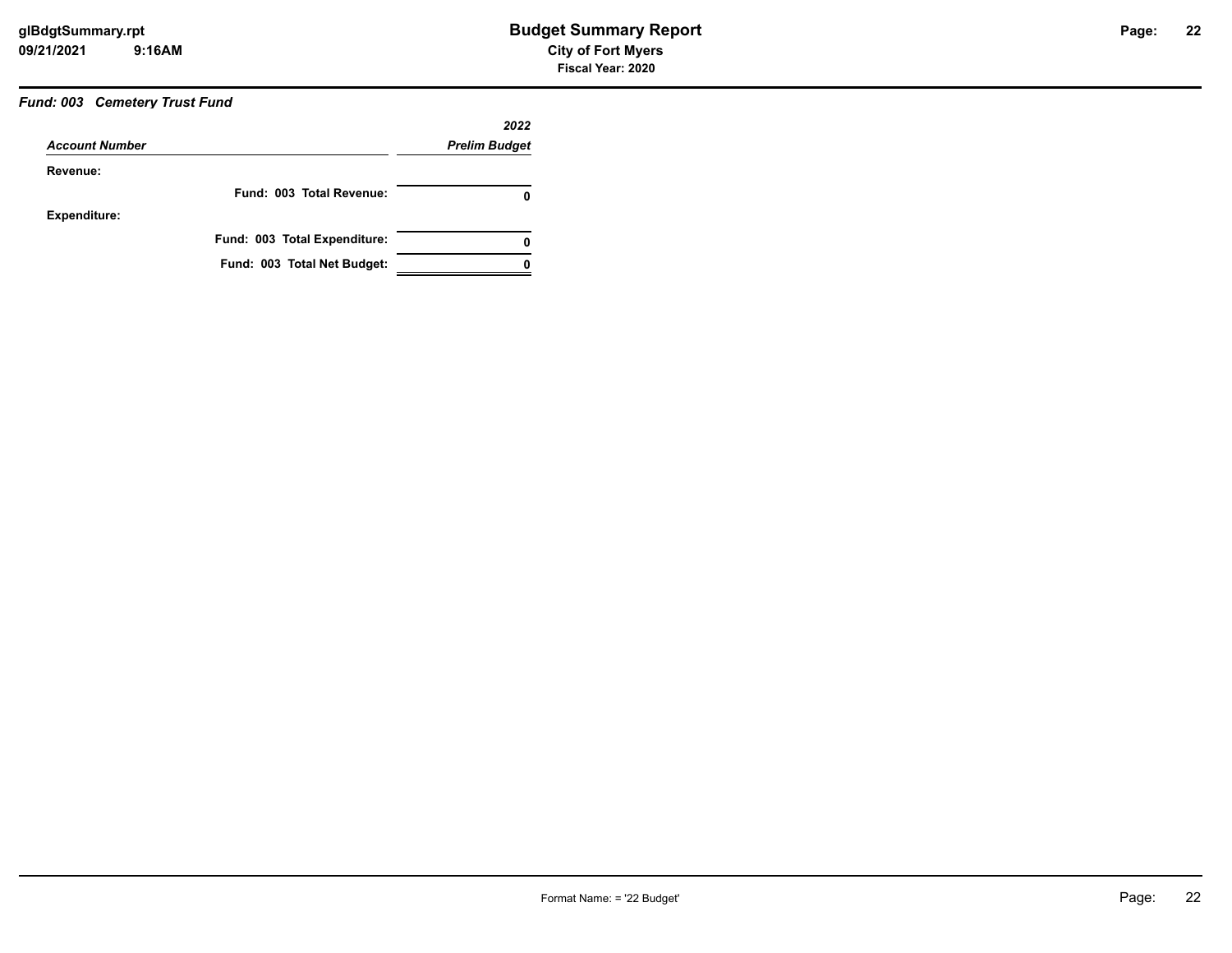### *Fund: 003 Cemetery Trust Fund*

|                       | 2022                         |                      |
|-----------------------|------------------------------|----------------------|
| <b>Account Number</b> |                              | <b>Prelim Budget</b> |
| Revenue:              |                              |                      |
|                       | Fund: 003 Total Revenue:     | 0                    |
| Expenditure:          |                              |                      |
|                       | Fund: 003 Total Expenditure: | 0                    |
|                       | Fund: 003 Total Net Budget:  |                      |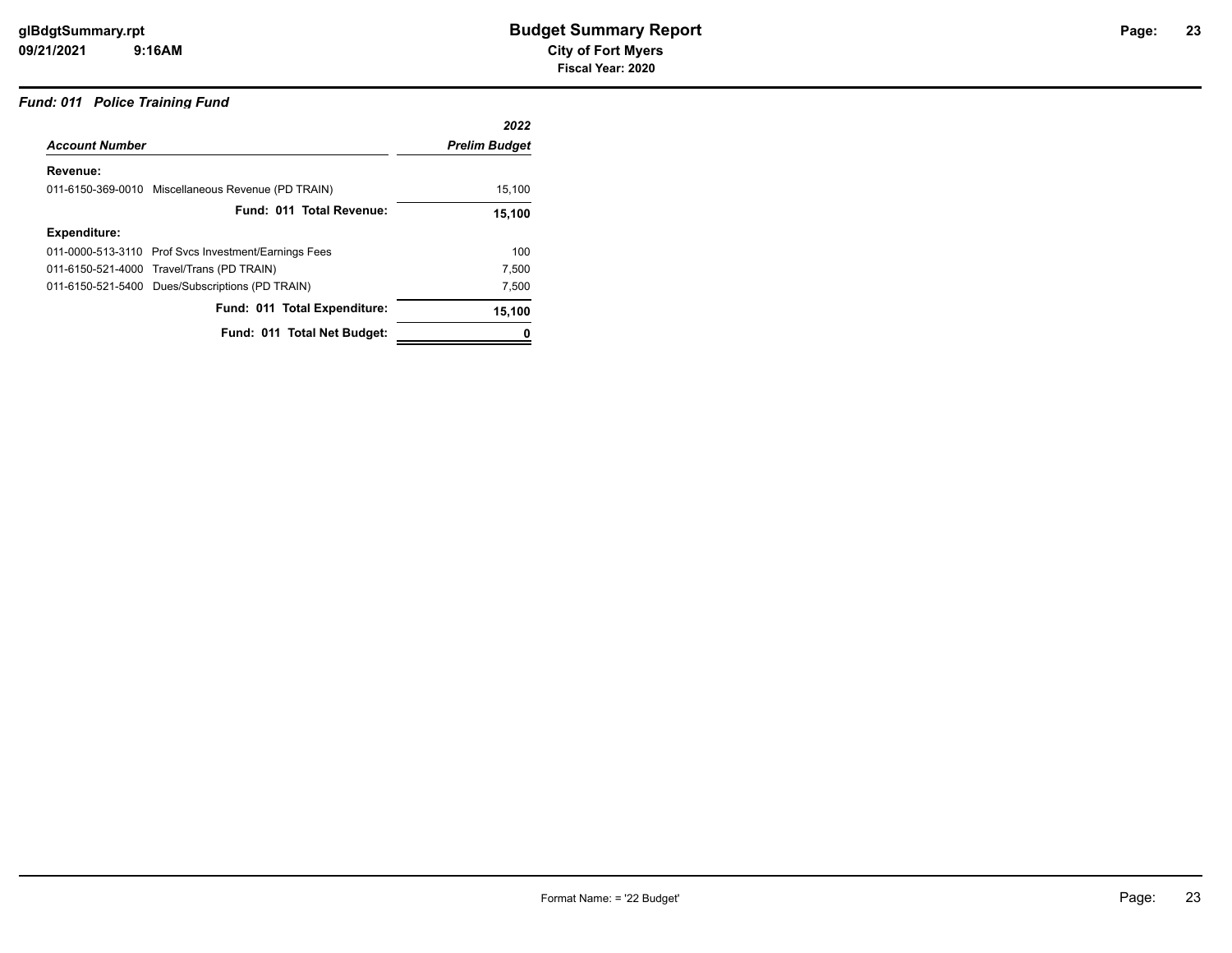#### *Fund: 011 Police Training Fund*

|                                                      | 2022                 |
|------------------------------------------------------|----------------------|
| <b>Account Number</b>                                | <b>Prelim Budget</b> |
|                                                      |                      |
| 011-6150-369-0010 Miscellaneous Revenue (PD TRAIN)   | 15,100               |
| Fund: 011 Total Revenue:                             | 15,100               |
|                                                      |                      |
| 011-0000-513-3110 Prof Svcs Investment/Earnings Fees | 100                  |
| 011-6150-521-4000 Travel/Trans (PD TRAIN)            | 7,500                |
| 011-6150-521-5400 Dues/Subscriptions (PD TRAIN)      | 7,500                |
| Fund: 011 Total Expenditure:                         | 15,100               |
| Fund: 011 Total Net Budget:                          |                      |
|                                                      |                      |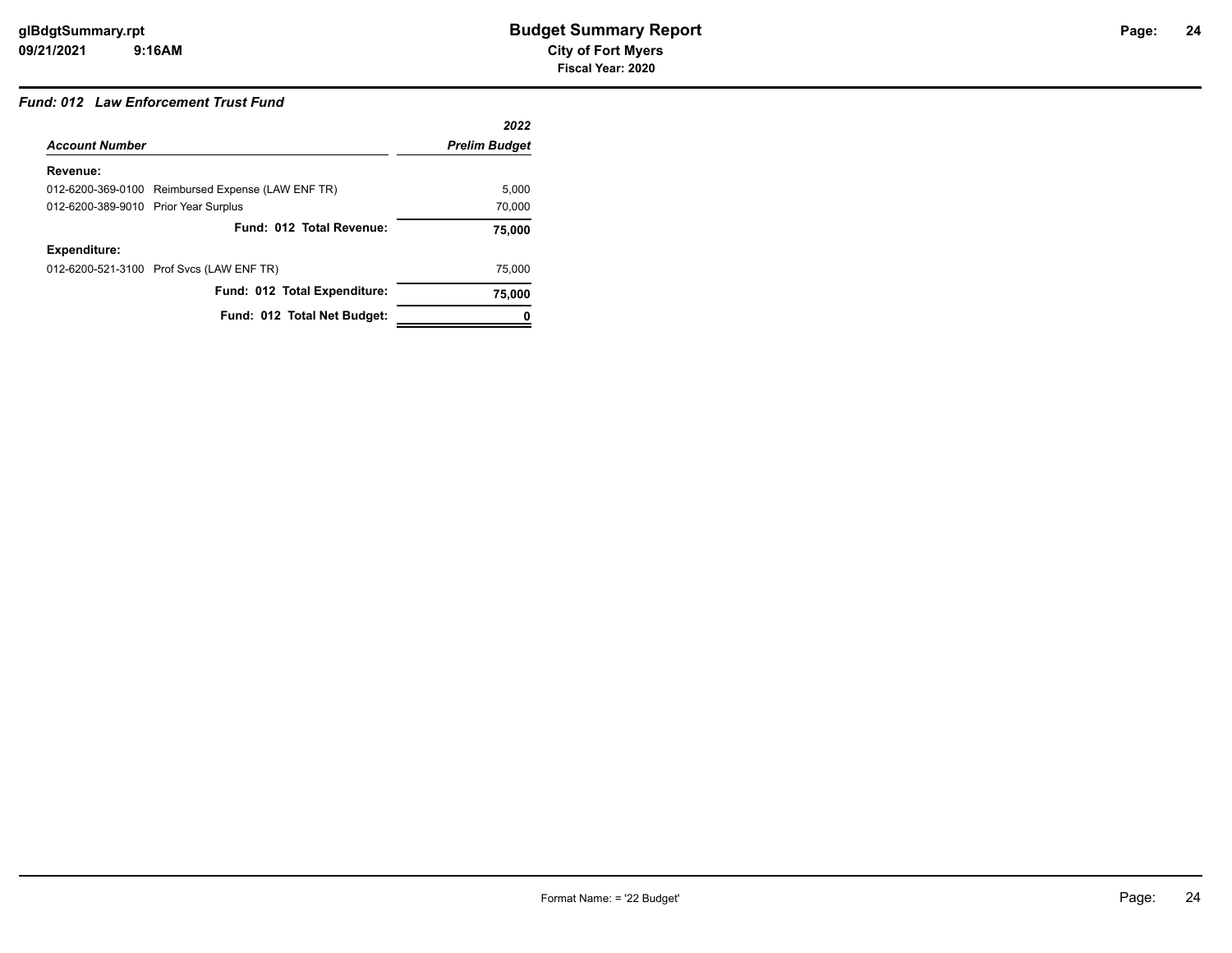#### *Fund: 012 Law Enforcement Trust Fund*

|                                      |                                                   | 2022                 |
|--------------------------------------|---------------------------------------------------|----------------------|
| <b>Account Number</b>                |                                                   | <b>Prelim Budget</b> |
| Revenue:                             |                                                   |                      |
|                                      | 012-6200-369-0100 Reimbursed Expense (LAW ENF TR) | 5.000                |
| 012-6200-389-9010 Prior Year Surplus |                                                   | 70,000               |
|                                      | Fund: 012 Total Revenue:                          | 75.000               |
| Expenditure:                         |                                                   |                      |
|                                      | 012-6200-521-3100 Prof Svcs (LAW ENF TR)          | 75,000               |
|                                      | Fund: 012 Total Expenditure:                      | 75,000               |
|                                      | Fund: 012 Total Net Budget:                       |                      |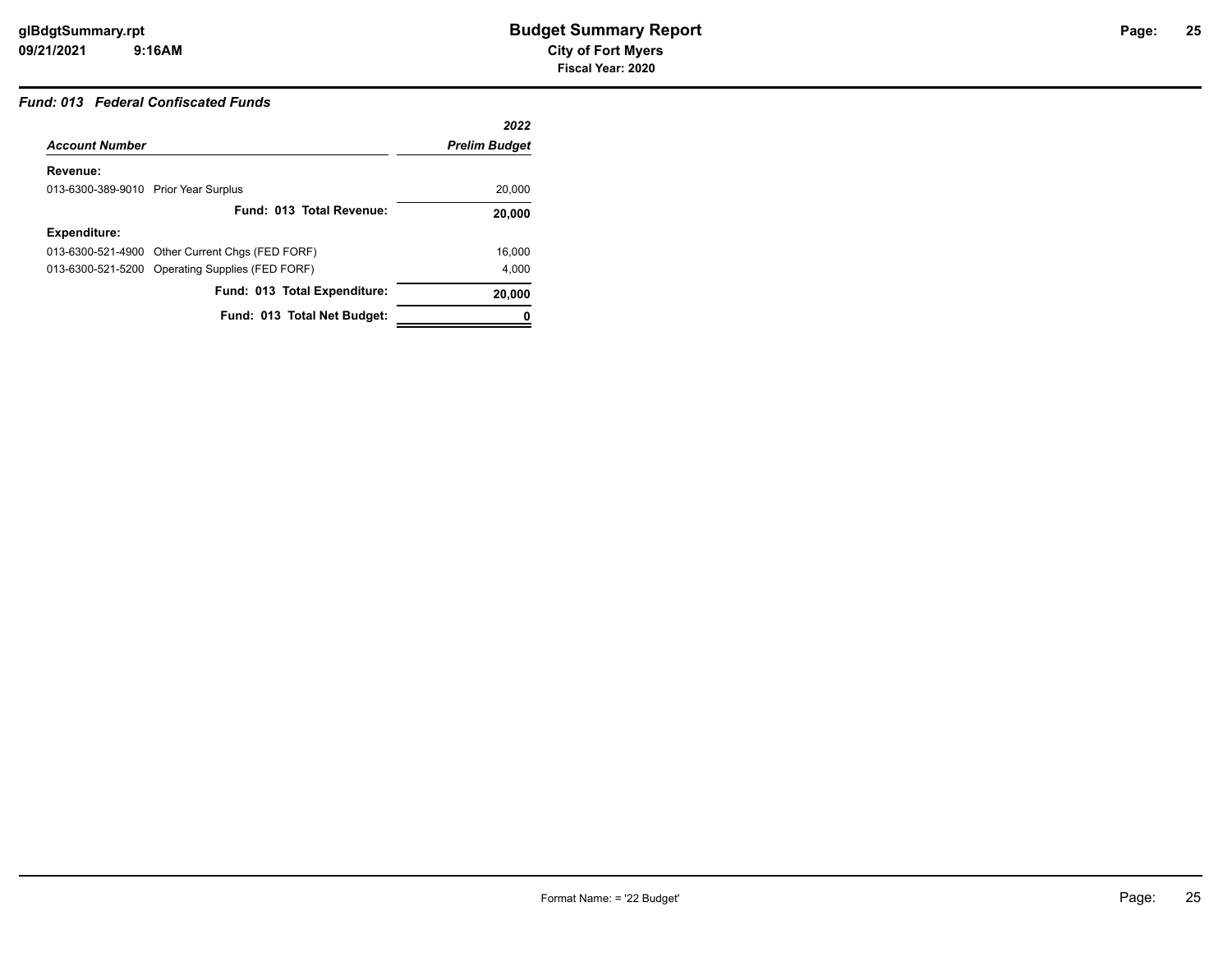# **25**

# *Fund: 013 Federal Confiscated Funds*

|                                      |                                                 | 2022                 |
|--------------------------------------|-------------------------------------------------|----------------------|
| <b>Account Number</b>                |                                                 | <b>Prelim Budget</b> |
| Revenue:                             |                                                 |                      |
| 013-6300-389-9010 Prior Year Surplus |                                                 | 20,000               |
|                                      | Fund: 013 Total Revenue:                        | 20.000               |
| <b>Expenditure:</b>                  |                                                 |                      |
|                                      | 013-6300-521-4900 Other Current Chgs (FED FORF) | 16.000               |
|                                      | 013-6300-521-5200 Operating Supplies (FED FORF) | 4.000                |
|                                      | Fund: 013 Total Expenditure:                    | 20,000               |
|                                      | Fund: 013 Total Net Budget:                     |                      |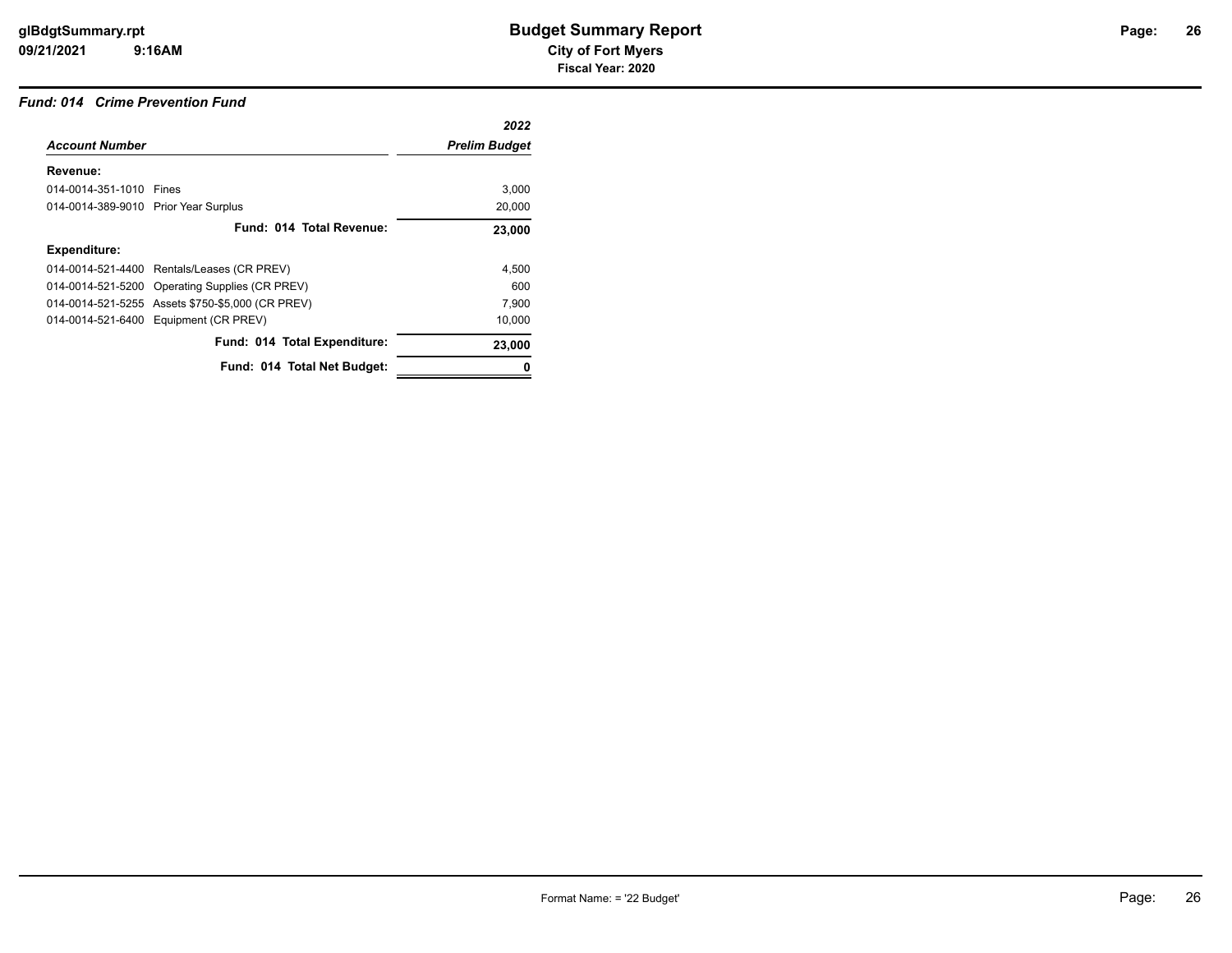#### *Fund: 014 Crime Prevention Fund*

| 2022                 |
|----------------------|
| <b>Prelim Budget</b> |
|                      |
| 3,000                |
| 20,000               |
| 23,000               |
|                      |
| 4,500                |
| 600                  |
| 7,900                |
| 10,000               |
| 23,000               |
|                      |
|                      |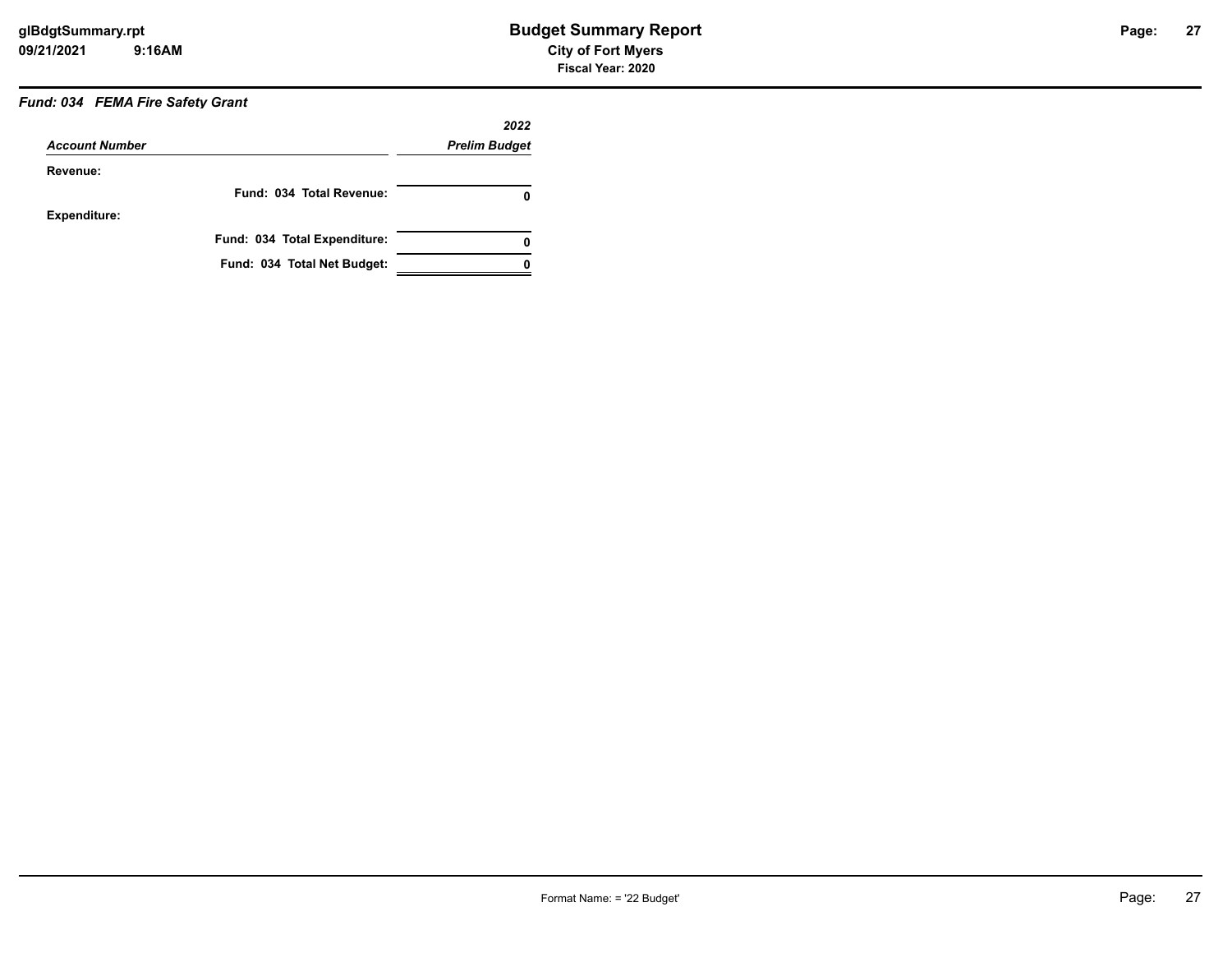# *Fund: 034 FEMA Fire Safety Grant*

|                       |                              | 2022                 |
|-----------------------|------------------------------|----------------------|
| <b>Account Number</b> |                              | <b>Prelim Budget</b> |
| Revenue:              |                              |                      |
|                       | Fund: 034 Total Revenue:     | 0                    |
| Expenditure:          |                              |                      |
|                       | Fund: 034 Total Expenditure: | 0                    |
|                       | Fund: 034 Total Net Budget:  |                      |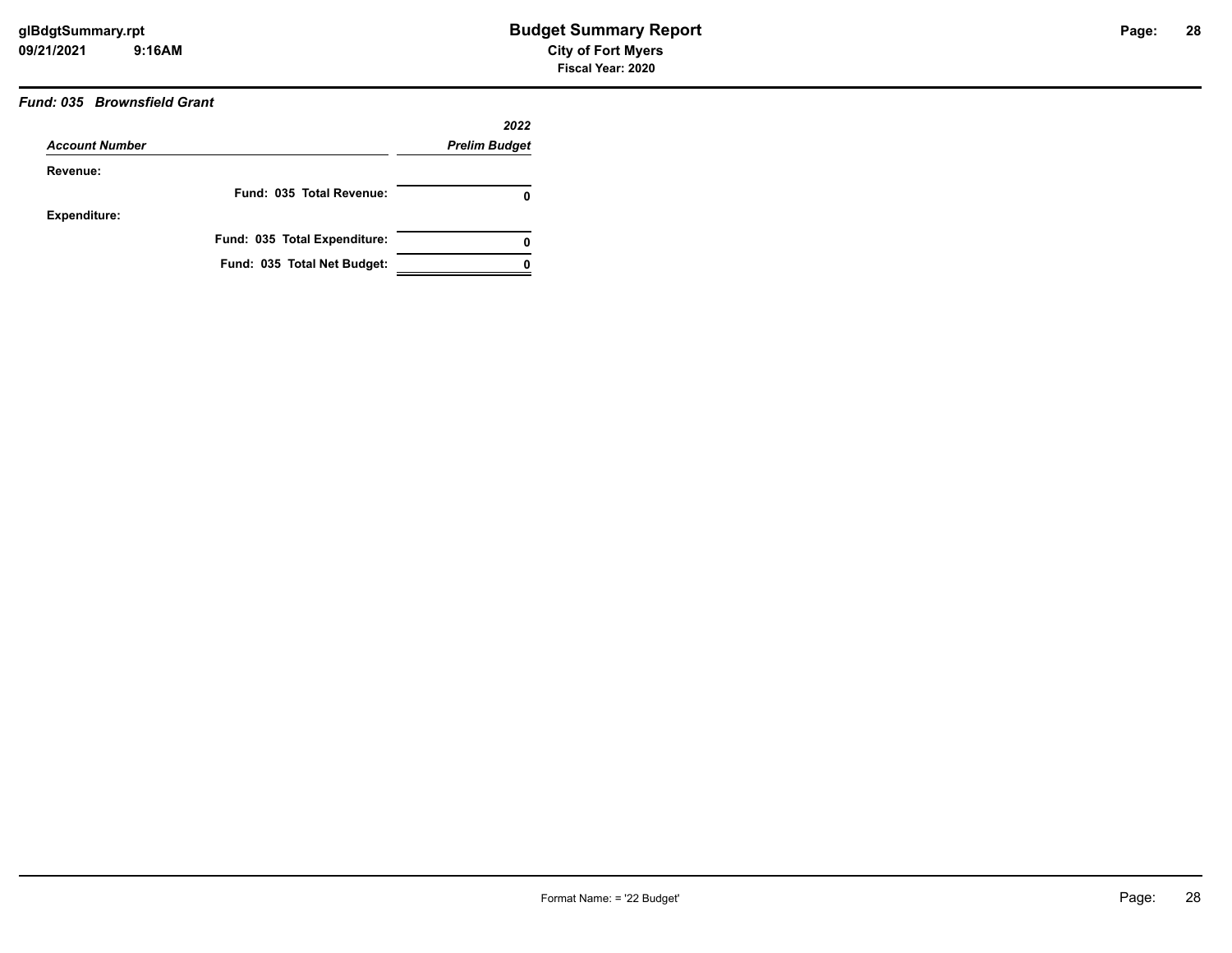## *Fund: 035 Brownsfield Grant*

|                       |                              | 2022                 |
|-----------------------|------------------------------|----------------------|
| <b>Account Number</b> |                              | <b>Prelim Budget</b> |
| Revenue:              |                              |                      |
|                       | Fund: 035 Total Revenue:     | 0                    |
| <b>Expenditure:</b>   |                              |                      |
|                       | Fund: 035 Total Expenditure: | 0                    |
|                       | Fund: 035 Total Net Budget:  |                      |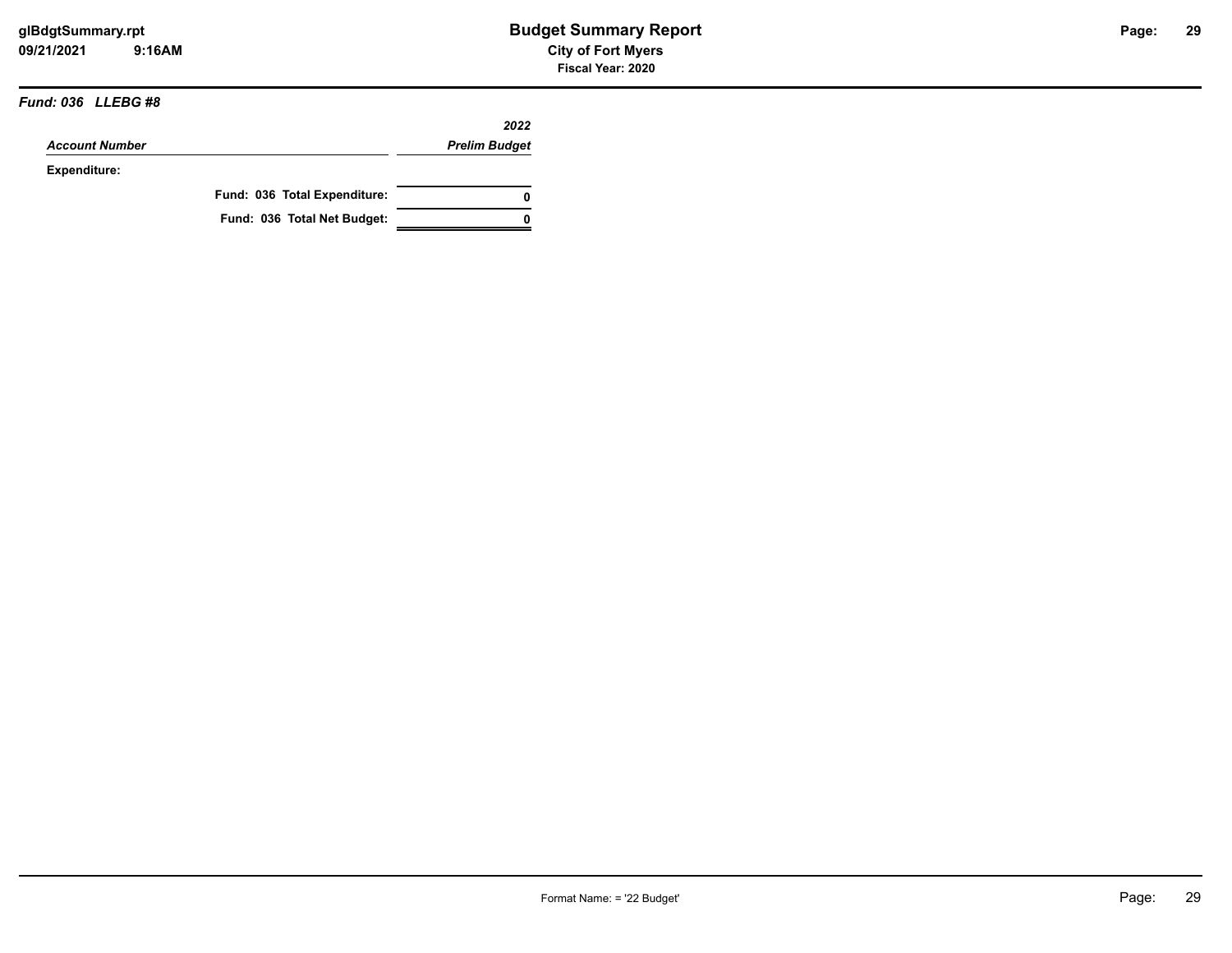#### *Fund: 036 LLEBG #8*

|                       |                              | 2022                 |
|-----------------------|------------------------------|----------------------|
| <b>Account Number</b> |                              | <b>Prelim Budget</b> |
| Expenditure:          |                              |                      |
|                       | Fund: 036 Total Expenditure: | 0                    |
|                       | Fund: 036 Total Net Budget:  | 0                    |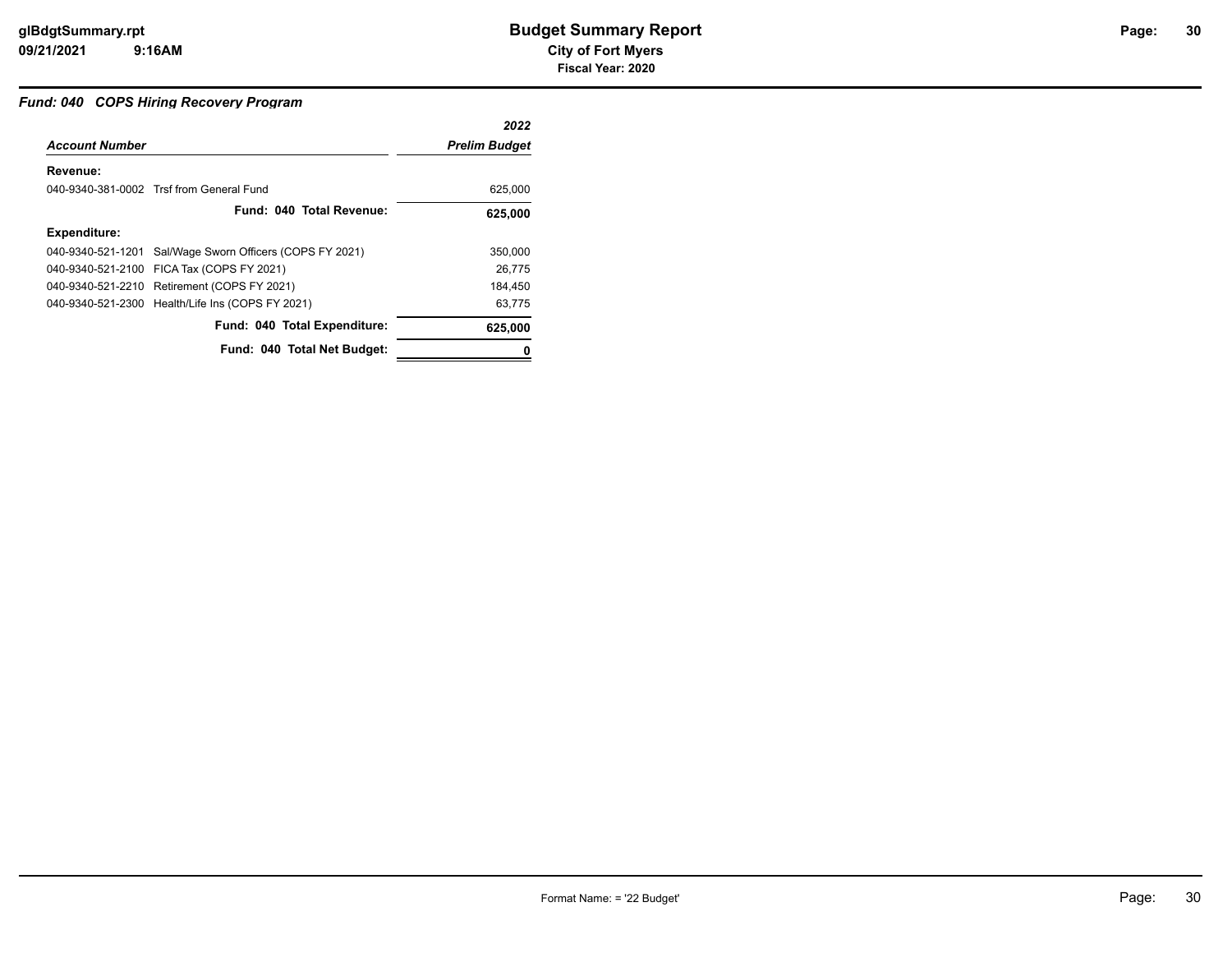#### *Fund: 040 COPS Hiring Recovery Program*

|                       |                                                          | 2022                 |
|-----------------------|----------------------------------------------------------|----------------------|
| <b>Account Number</b> |                                                          | <b>Prelim Budget</b> |
| Revenue:              |                                                          |                      |
|                       | 040-9340-381-0002 Trsf from General Fund                 | 625,000              |
|                       | Fund: 040 Total Revenue:                                 | 625,000              |
| <b>Expenditure:</b>   |                                                          |                      |
|                       | 040-9340-521-1201 Sal/Wage Sworn Officers (COPS FY 2021) | 350.000              |
|                       | 040-9340-521-2100 FICA Tax (COPS FY 2021)                | 26.775               |
|                       | 040-9340-521-2210 Retirement (COPS FY 2021)              | 184.450              |
|                       | 040-9340-521-2300 Health/Life Ins (COPS FY 2021)         | 63.775               |
|                       | Fund: 040 Total Expenditure:                             | 625,000              |
|                       | Fund: 040 Total Net Budget:                              |                      |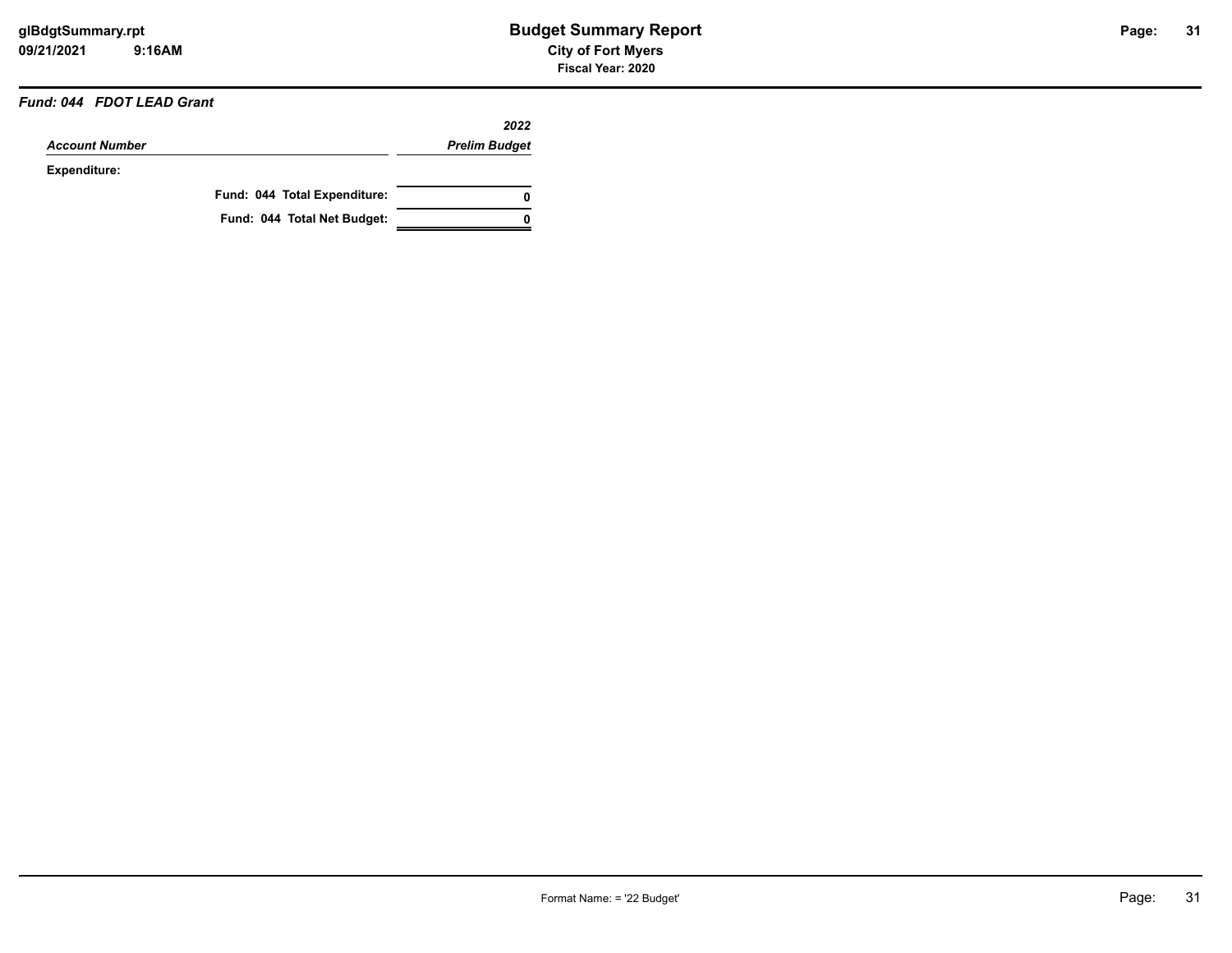#### *Fund: 044 FDOT LEAD Grant*

|                       |                              | 2022                 |
|-----------------------|------------------------------|----------------------|
| <b>Account Number</b> |                              | <b>Prelim Budget</b> |
| Expenditure:          |                              |                      |
|                       | Fund: 044 Total Expenditure: | 0                    |
|                       | Fund: 044 Total Net Budget:  | n                    |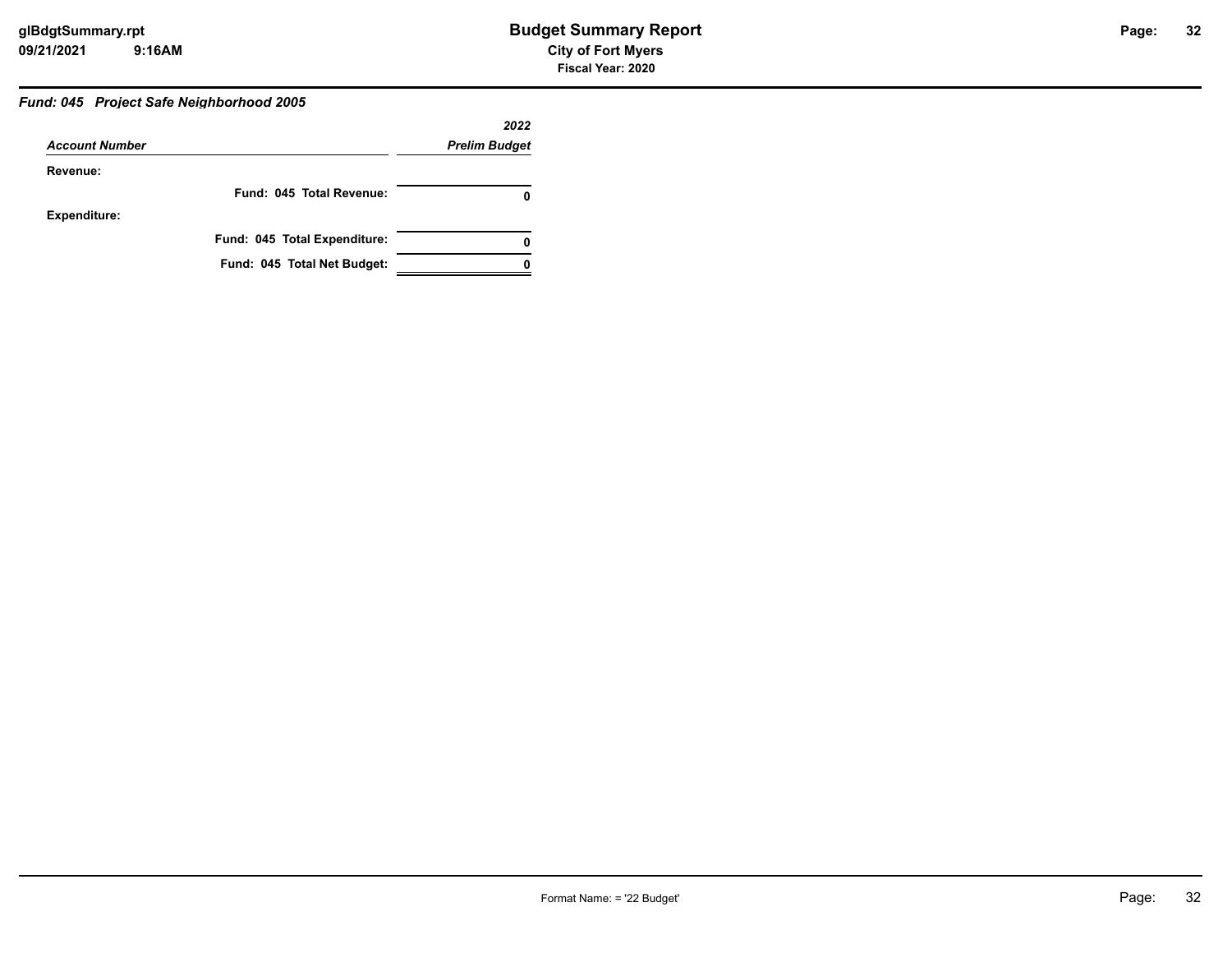#### *Fund: 045 Project Safe Neighborhood 2005*

|                       |                              | 2022                 |
|-----------------------|------------------------------|----------------------|
| <b>Account Number</b> |                              | <b>Prelim Budget</b> |
| Revenue:              |                              |                      |
|                       | Fund: 045 Total Revenue:     |                      |
| <b>Expenditure:</b>   |                              |                      |
|                       | Fund: 045 Total Expenditure: |                      |
|                       | Fund: 045 Total Net Budget:  |                      |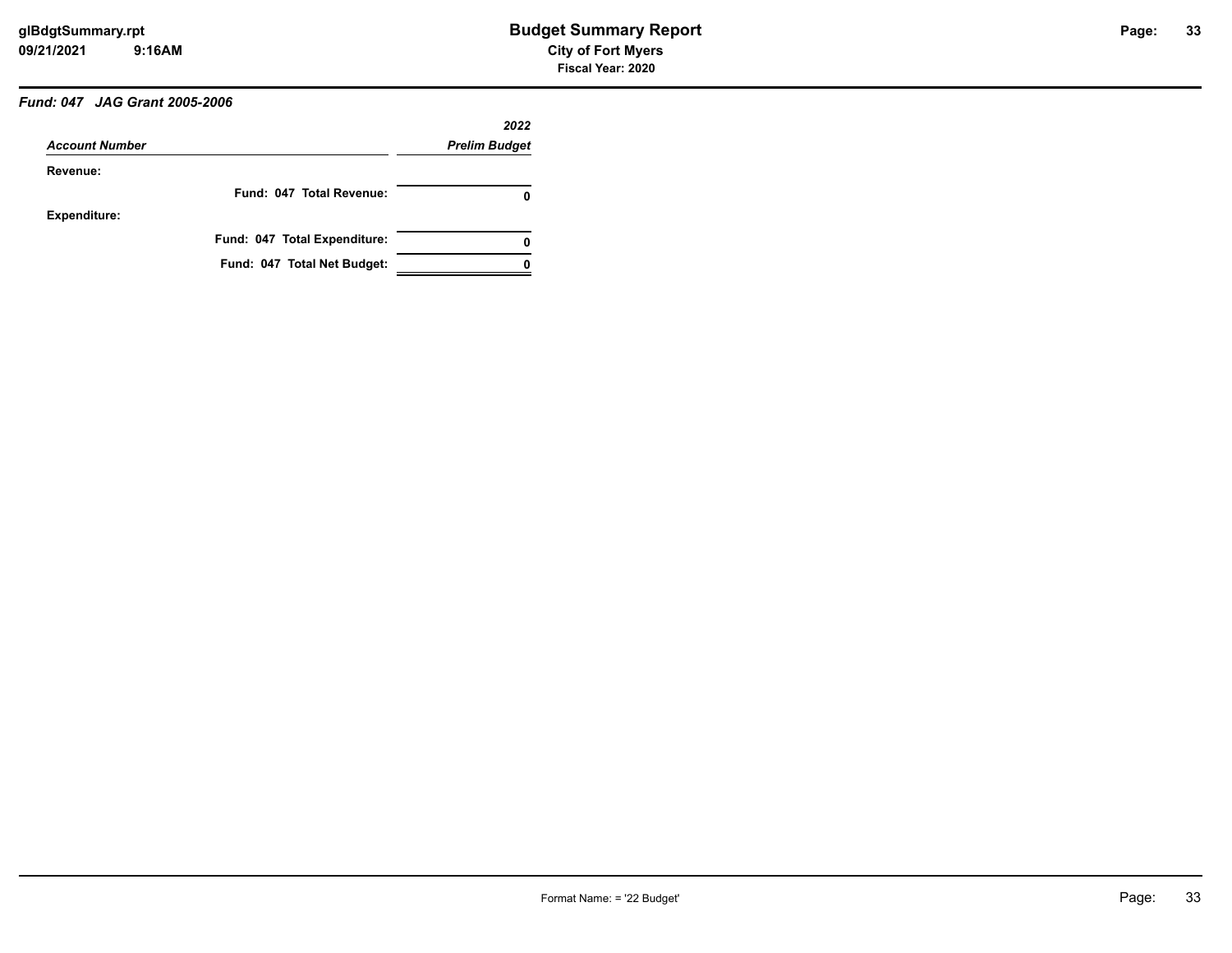# *Fund: 047 JAG Grant 2005-2006*

|                       |                              | 2022                 |
|-----------------------|------------------------------|----------------------|
| <b>Account Number</b> |                              | <b>Prelim Budget</b> |
| Revenue:              |                              |                      |
|                       | Fund: 047 Total Revenue:     | O                    |
| <b>Expenditure:</b>   |                              |                      |
|                       | Fund: 047 Total Expenditure: | 0                    |
|                       | Fund: 047 Total Net Budget:  |                      |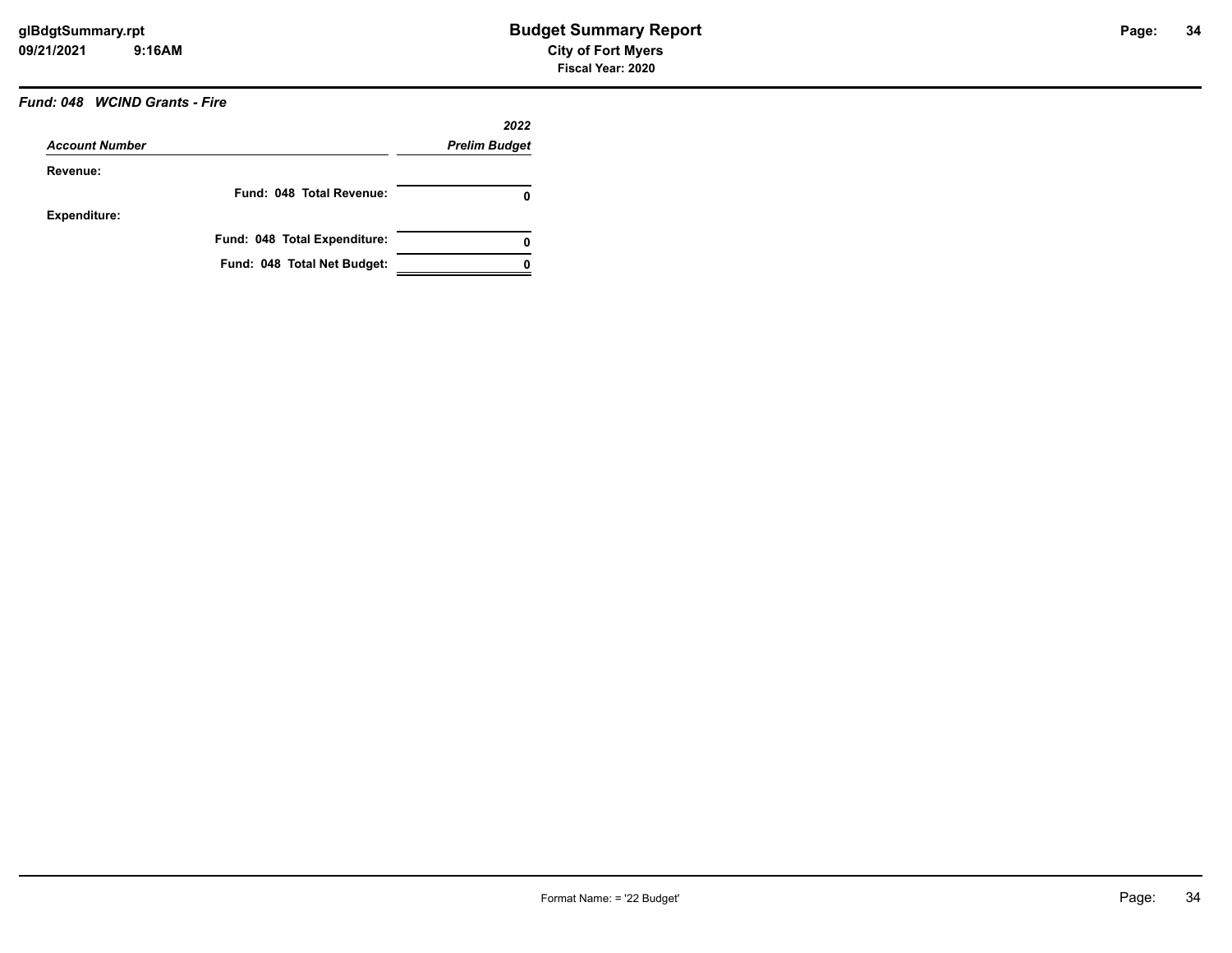### *Fund: 048 WCIND Grants - Fire*

|                       |                              | 2022                 |
|-----------------------|------------------------------|----------------------|
| <b>Account Number</b> |                              | <b>Prelim Budget</b> |
| Revenue:              |                              |                      |
|                       | Fund: 048 Total Revenue:     | 0                    |
| Expenditure:          |                              |                      |
|                       | Fund: 048 Total Expenditure: | 0                    |
|                       | Fund: 048 Total Net Budget:  |                      |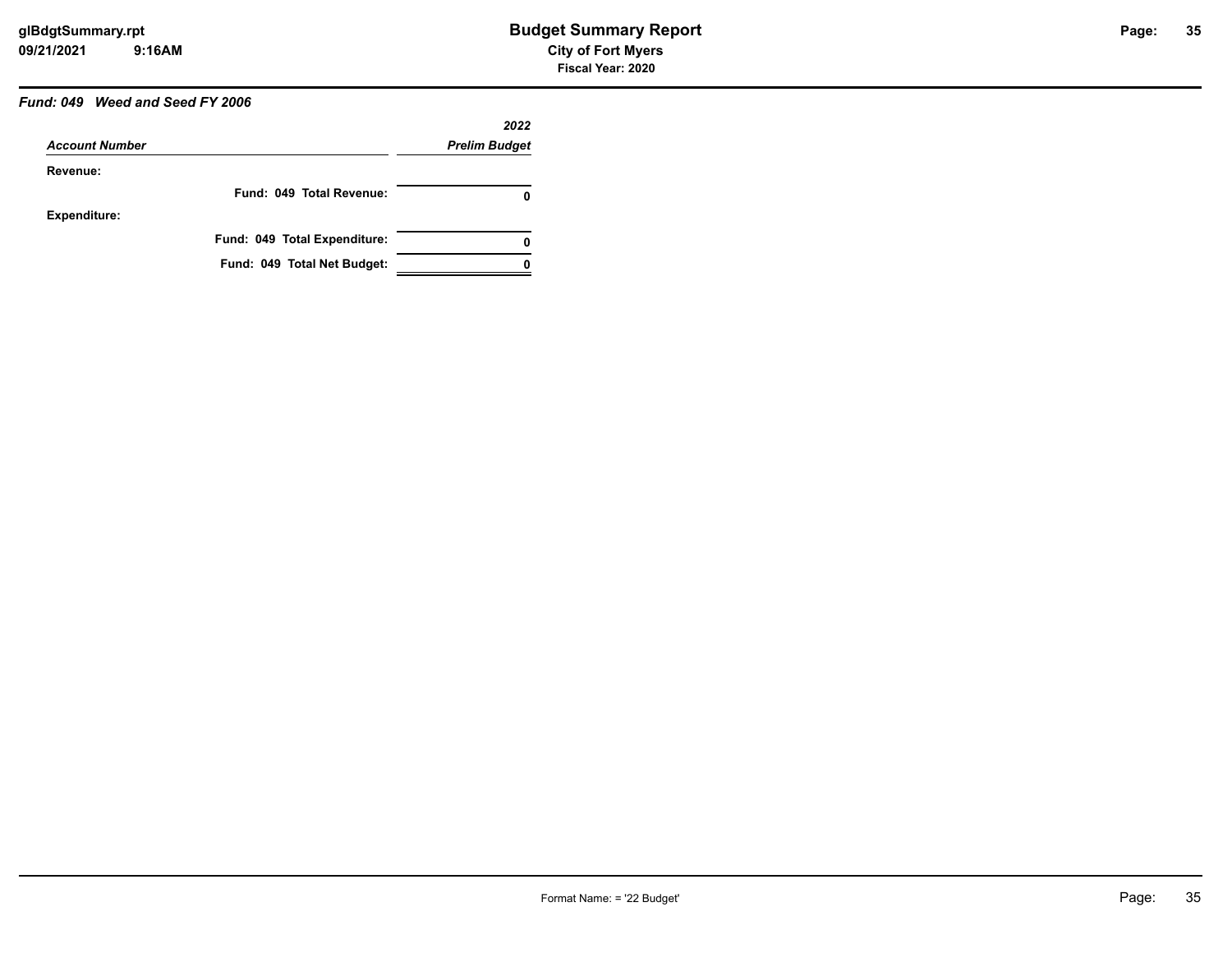# *Fund: 049 Weed and Seed FY 2006*

|                       |                              | 2022                 |
|-----------------------|------------------------------|----------------------|
| <b>Account Number</b> |                              | <b>Prelim Budget</b> |
| Revenue:              |                              |                      |
|                       | Fund: 049 Total Revenue:     | O                    |
| <b>Expenditure:</b>   |                              |                      |
|                       | Fund: 049 Total Expenditure: | 0                    |
|                       | Fund: 049 Total Net Budget:  |                      |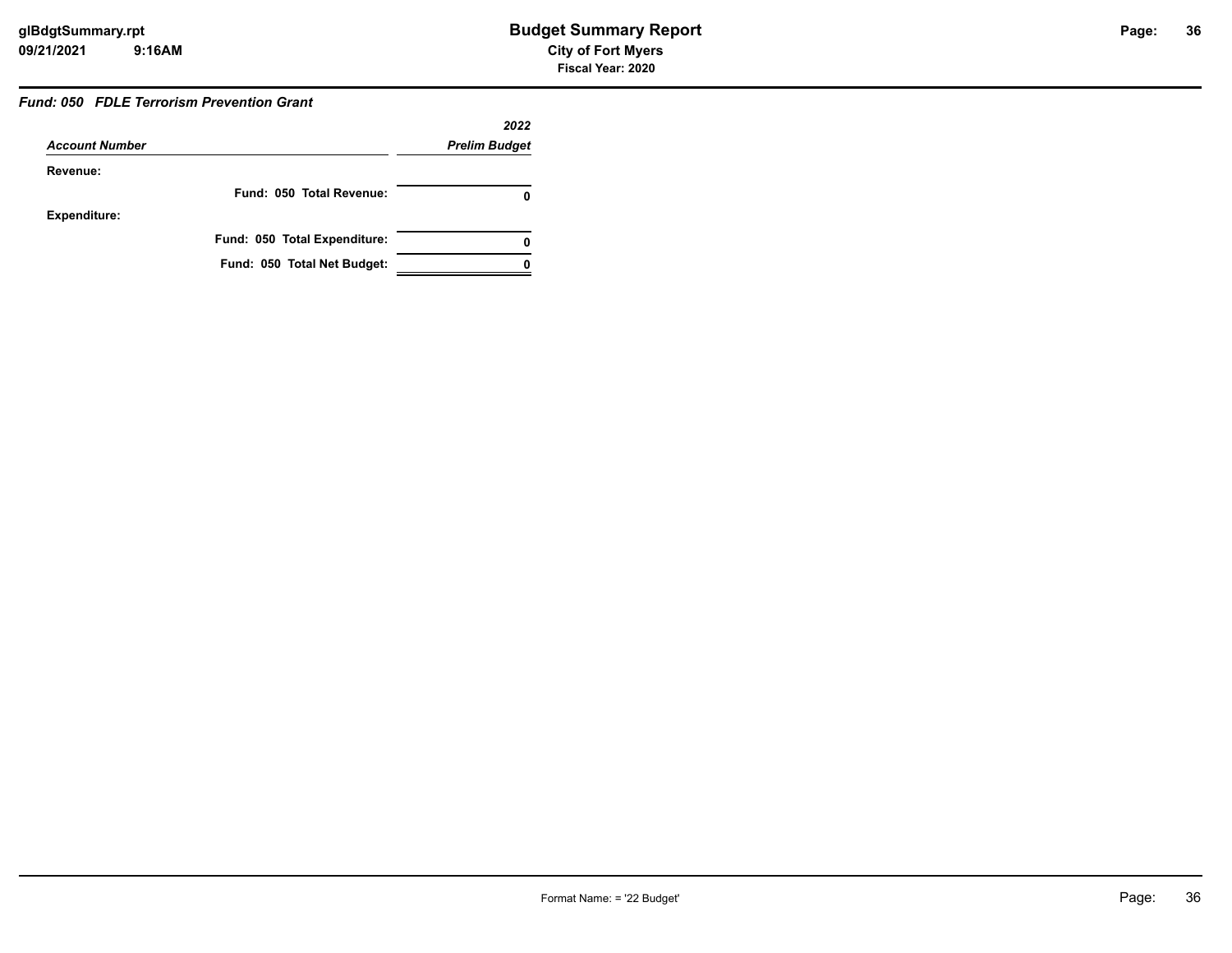#### *Fund: 050 FDLE Terrorism Prevention Grant*

|                       |                              | 2022                 |
|-----------------------|------------------------------|----------------------|
| <b>Account Number</b> |                              | <b>Prelim Budget</b> |
| Revenue:              |                              |                      |
|                       | Fund: 050 Total Revenue:     |                      |
| Expenditure:          |                              |                      |
|                       | Fund: 050 Total Expenditure: | 0                    |
|                       | Fund: 050 Total Net Budget:  |                      |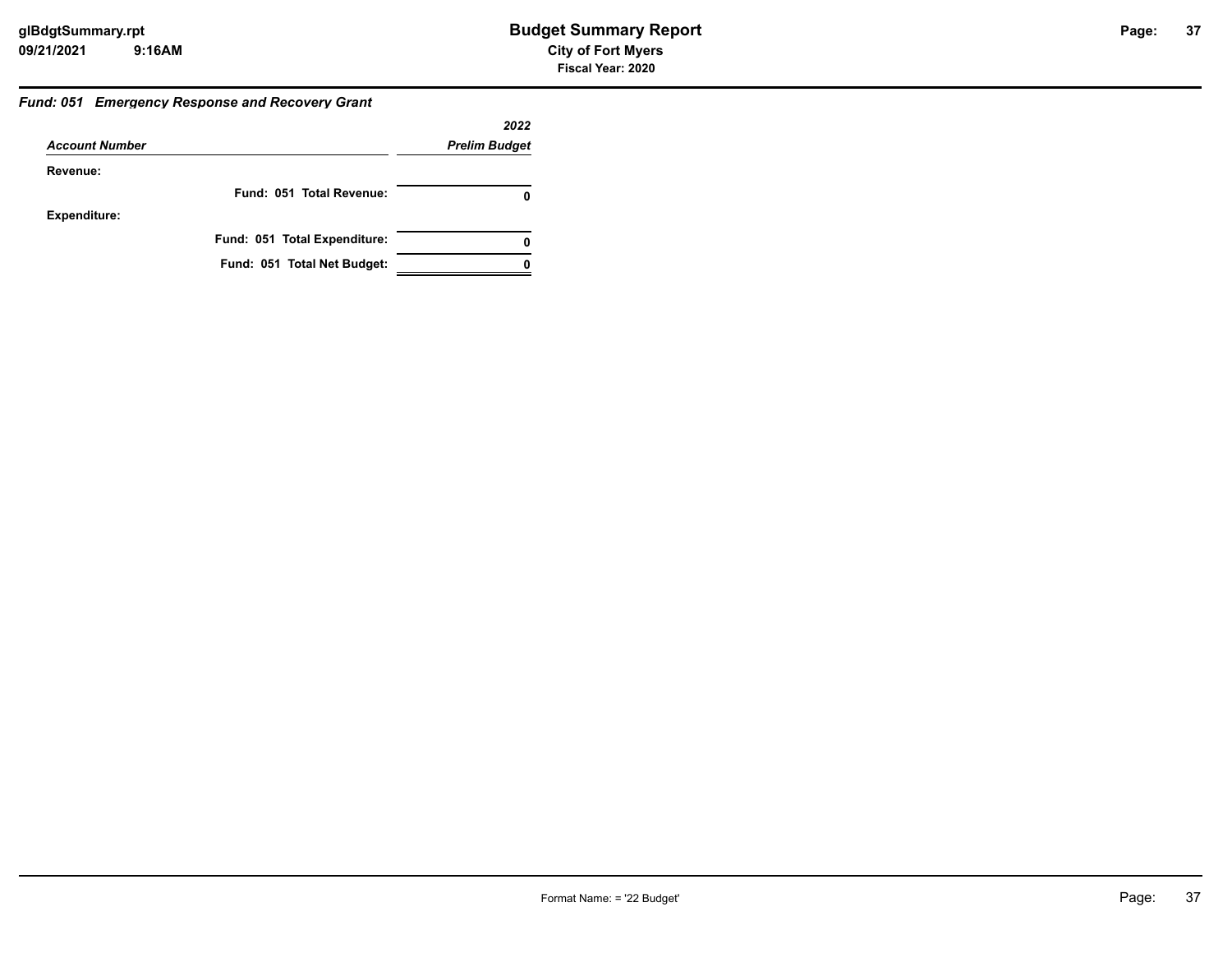#### *Fund: 051 Emergency Response and Recovery Grant*

|                       |                              | 2022                 |
|-----------------------|------------------------------|----------------------|
| <b>Account Number</b> |                              | <b>Prelim Budget</b> |
| Revenue:              |                              |                      |
|                       | Fund: 051 Total Revenue:     |                      |
| <b>Expenditure:</b>   |                              |                      |
|                       | Fund: 051 Total Expenditure: | 0                    |
|                       | Fund: 051 Total Net Budget:  |                      |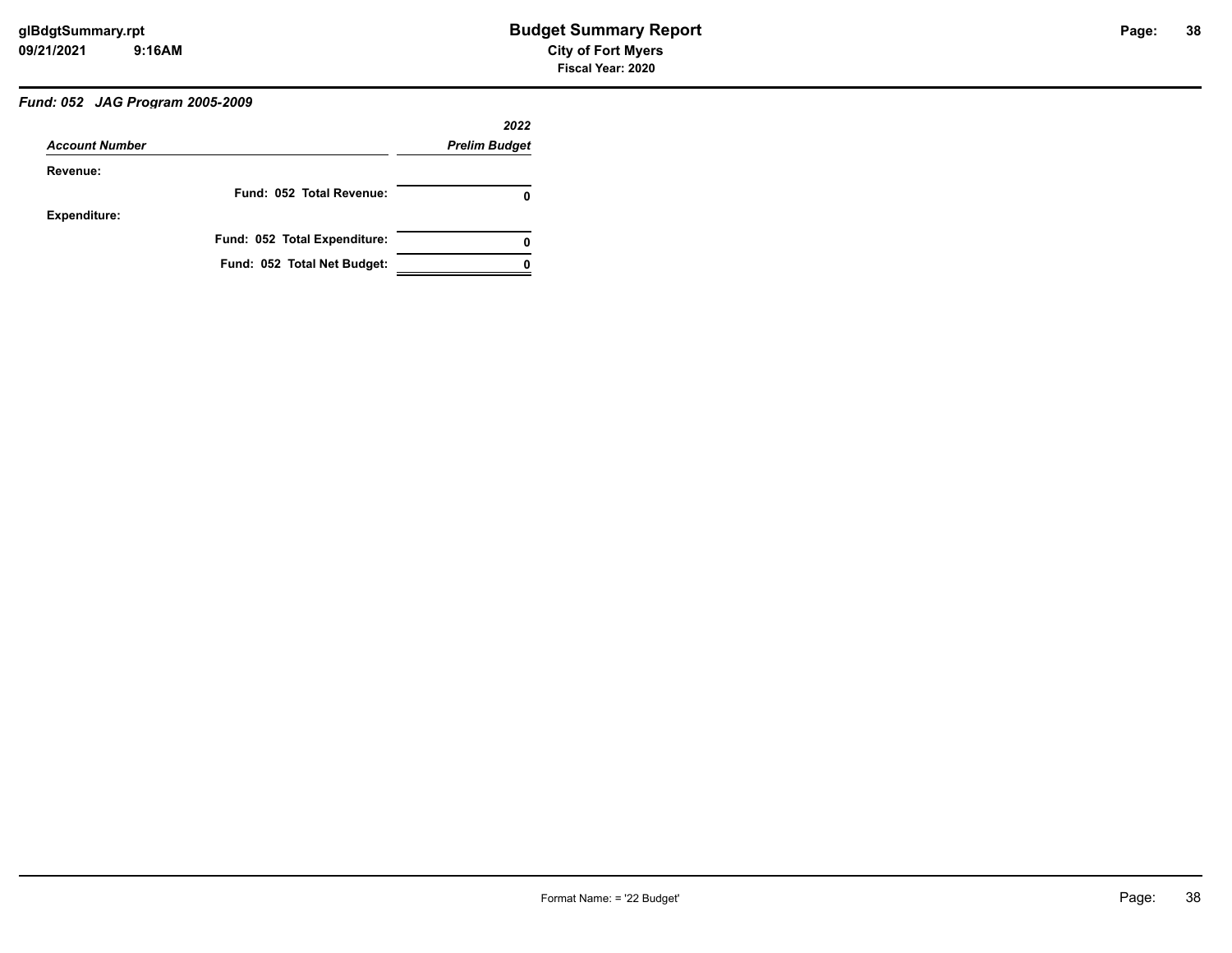# *Fund: 052 JAG Program 2005-2009*

|                       |                              | 2022                 |
|-----------------------|------------------------------|----------------------|
| <b>Account Number</b> |                              | <b>Prelim Budget</b> |
| Revenue:              |                              |                      |
|                       | Fund: 052 Total Revenue:     | o                    |
| <b>Expenditure:</b>   |                              |                      |
|                       | Fund: 052 Total Expenditure: | 0                    |
|                       | Fund: 052 Total Net Budget:  |                      |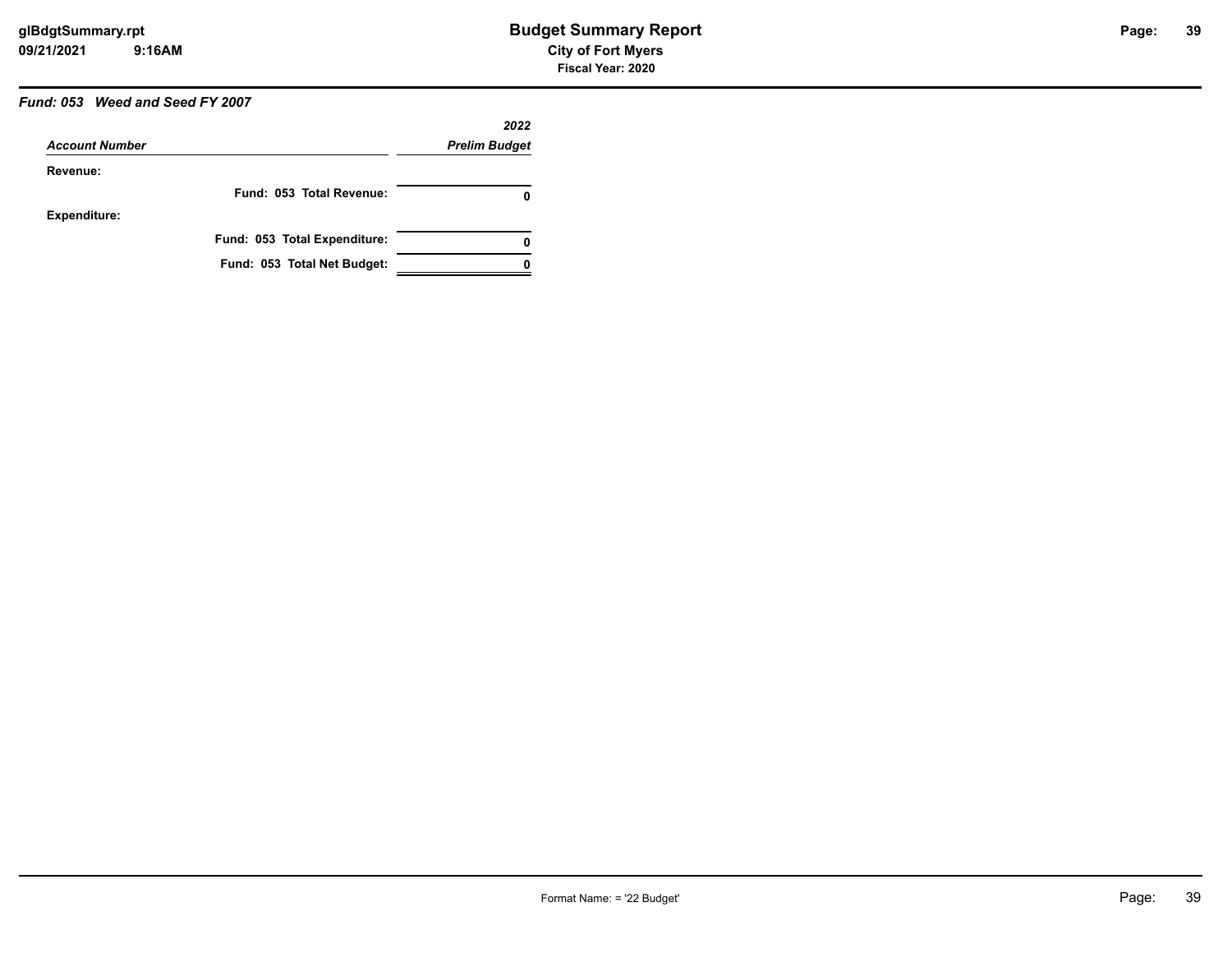# *Fund: 053 Weed and Seed FY 2007*

|                       |                              | 2022                 |
|-----------------------|------------------------------|----------------------|
| <b>Account Number</b> |                              | <b>Prelim Budget</b> |
| Revenue:              |                              |                      |
|                       | Fund: 053 Total Revenue:     | O                    |
| <b>Expenditure:</b>   |                              |                      |
|                       | Fund: 053 Total Expenditure: | 0                    |
|                       | Fund: 053 Total Net Budget:  |                      |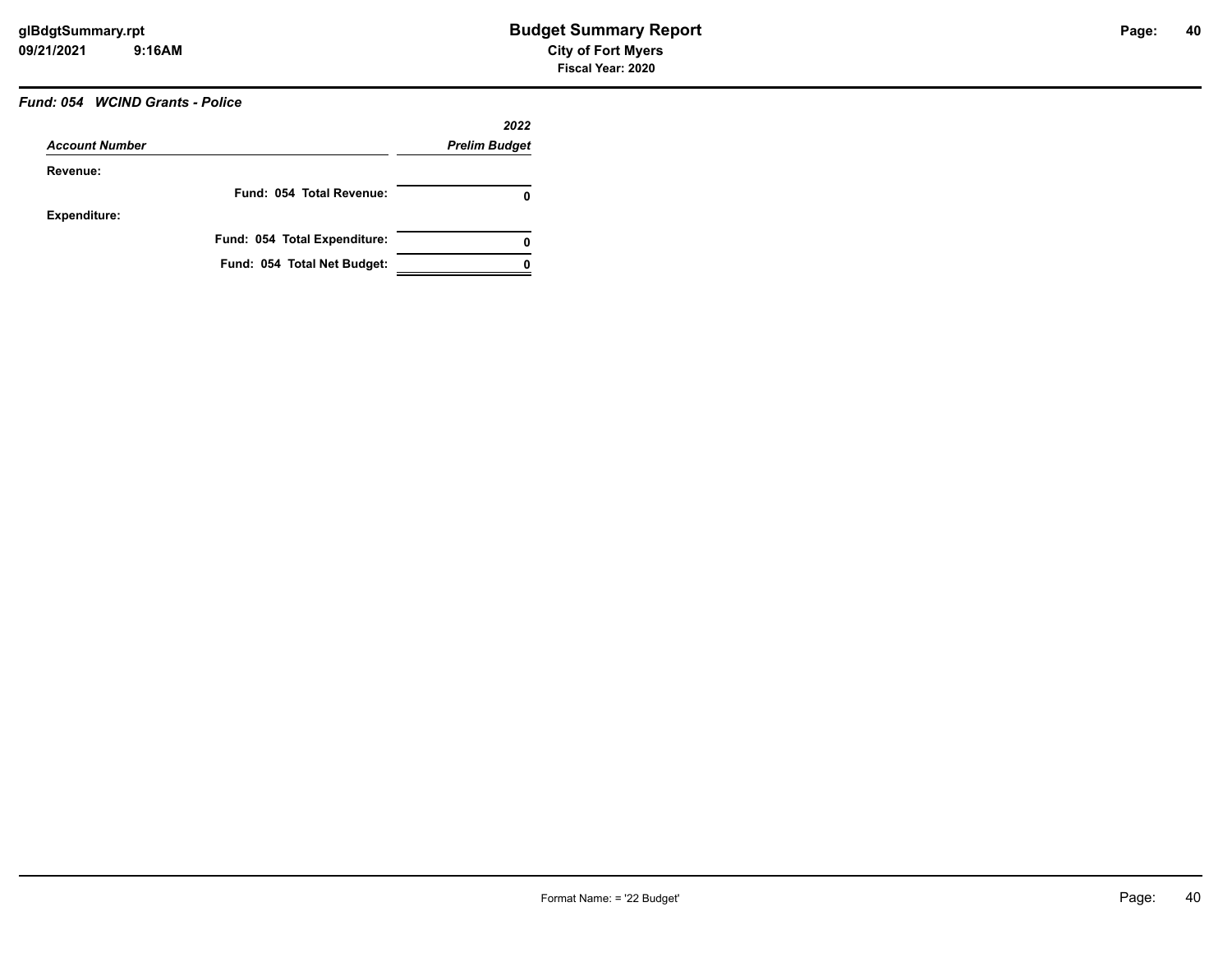# *Fund: 054 WCIND Grants - Police*

|                       |                              | 2022                 |
|-----------------------|------------------------------|----------------------|
| <b>Account Number</b> |                              | <b>Prelim Budget</b> |
| Revenue:              |                              |                      |
|                       | Fund: 054 Total Revenue:     | O                    |
| <b>Expenditure:</b>   |                              |                      |
|                       | Fund: 054 Total Expenditure: | 0                    |
|                       | Fund: 054 Total Net Budget:  |                      |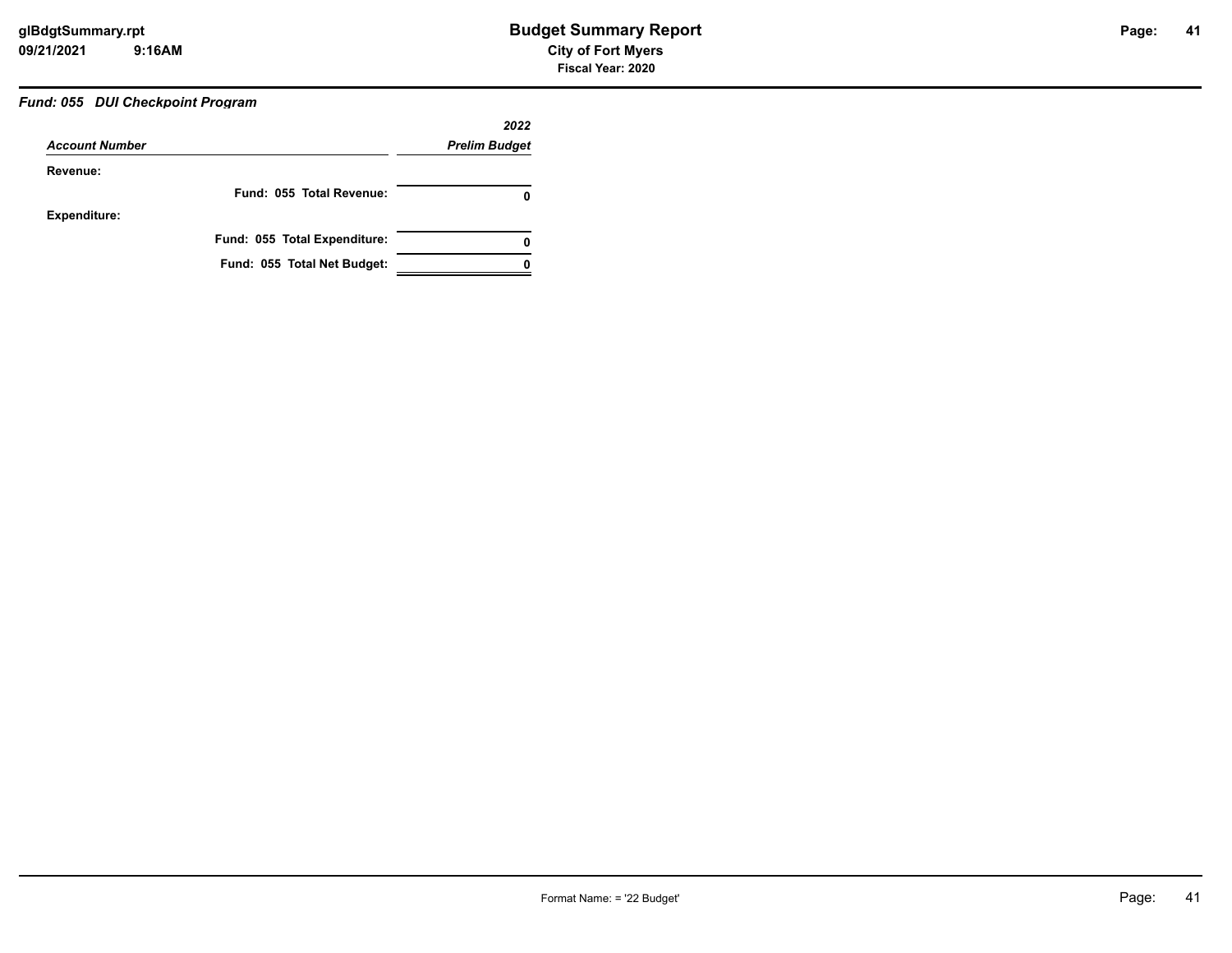# *Fund: 055 DUI Checkpoint Program*

|                       |                              | 2022                 |
|-----------------------|------------------------------|----------------------|
| <b>Account Number</b> |                              | <b>Prelim Budget</b> |
| Revenue:              |                              |                      |
|                       | Fund: 055 Total Revenue:     | 0                    |
| <b>Expenditure:</b>   |                              |                      |
|                       | Fund: 055 Total Expenditure: | 0                    |
|                       | Fund: 055 Total Net Budget:  |                      |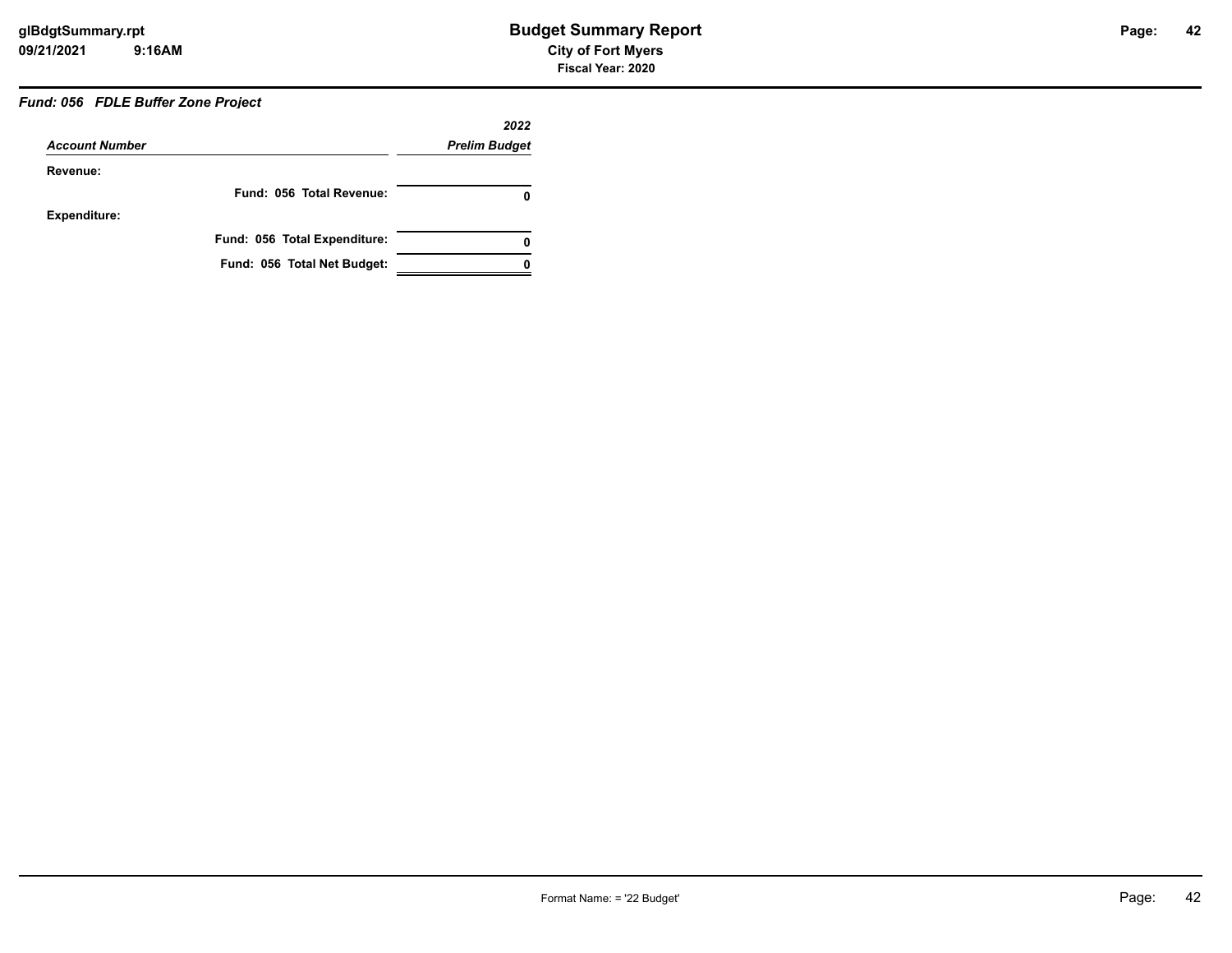# *Fund: 056 FDLE Buffer Zone Project*

|                       |                              | 2022                 |
|-----------------------|------------------------------|----------------------|
| <b>Account Number</b> |                              | <b>Prelim Budget</b> |
| Revenue:              |                              |                      |
|                       | Fund: 056 Total Revenue:     |                      |
| <b>Expenditure:</b>   |                              |                      |
|                       | Fund: 056 Total Expenditure: | 0                    |
|                       | Fund: 056 Total Net Budget:  |                      |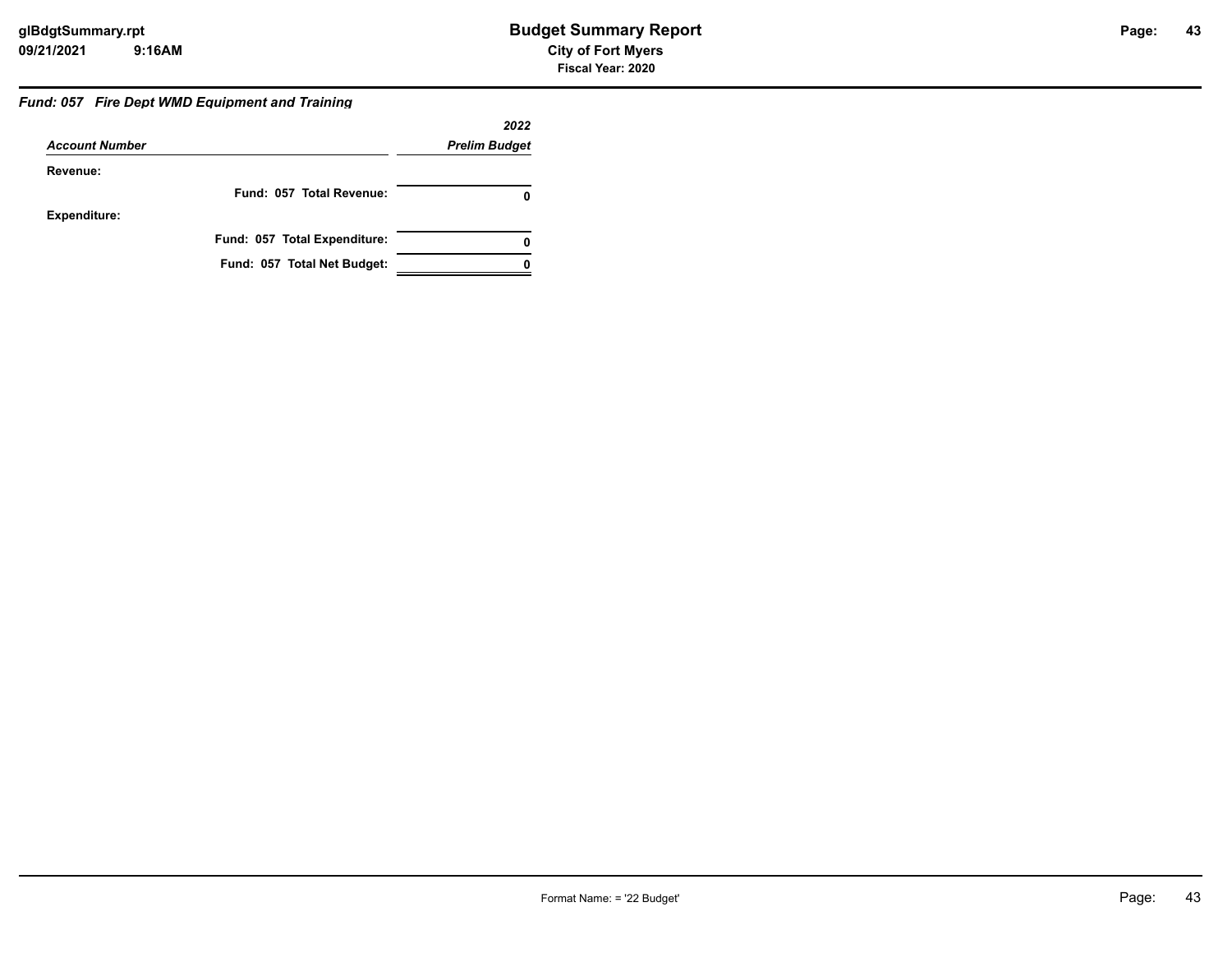#### *Fund: 057 Fire Dept WMD Equipment and Training*

|                       |                              | 2022                 |
|-----------------------|------------------------------|----------------------|
| <b>Account Number</b> |                              | <b>Prelim Budget</b> |
| Revenue:              |                              |                      |
|                       | Fund: 057 Total Revenue:     |                      |
| <b>Expenditure:</b>   |                              |                      |
|                       | Fund: 057 Total Expenditure: |                      |
|                       | Fund: 057 Total Net Budget:  |                      |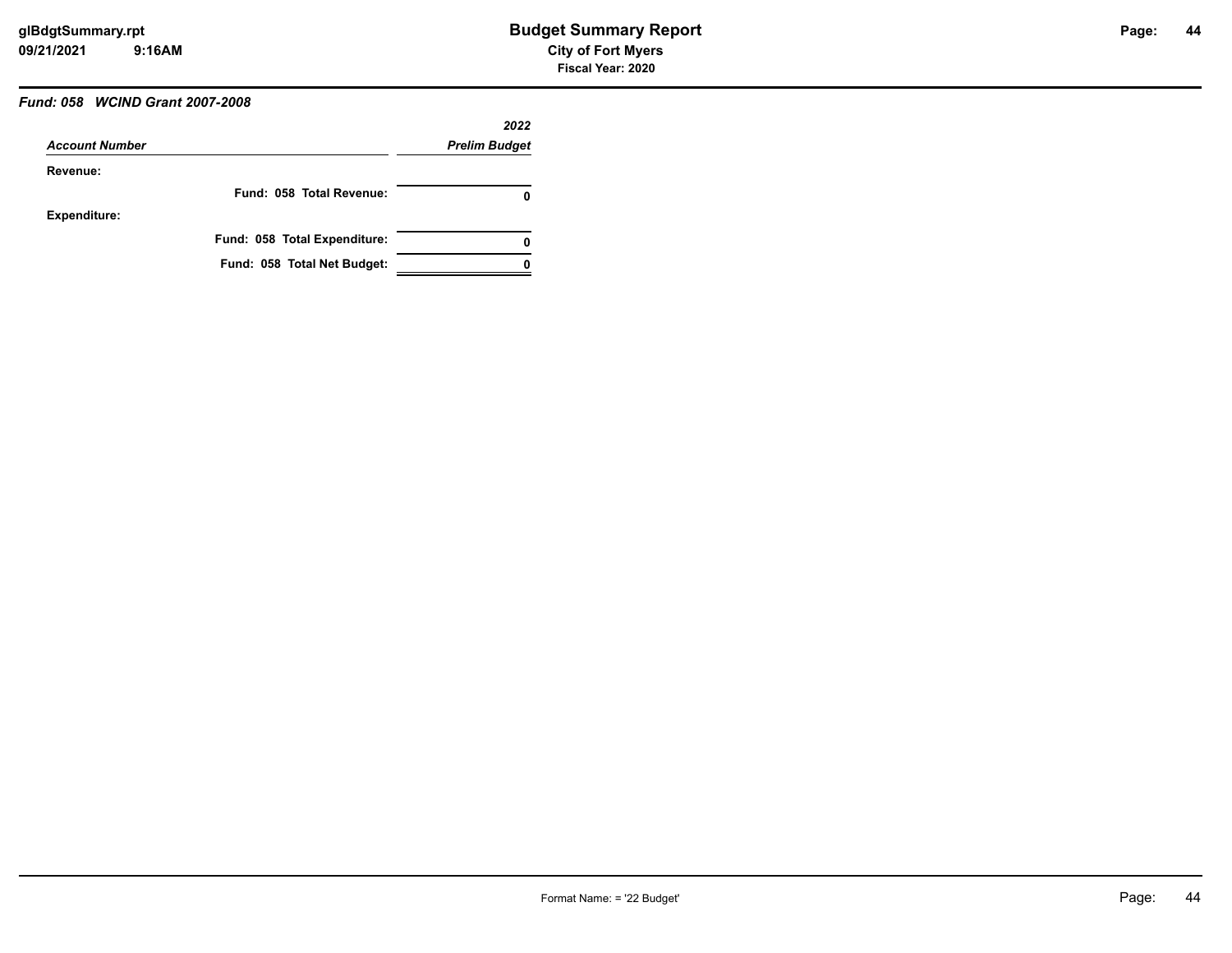# *Fund: 058 WCIND Grant 2007-2008*

|                       |                              | 2022                 |
|-----------------------|------------------------------|----------------------|
| <b>Account Number</b> |                              | <b>Prelim Budget</b> |
| Revenue:              |                              |                      |
|                       | Fund: 058 Total Revenue:     | O                    |
| <b>Expenditure:</b>   |                              |                      |
|                       | Fund: 058 Total Expenditure: | 0                    |
|                       | Fund: 058 Total Net Budget:  |                      |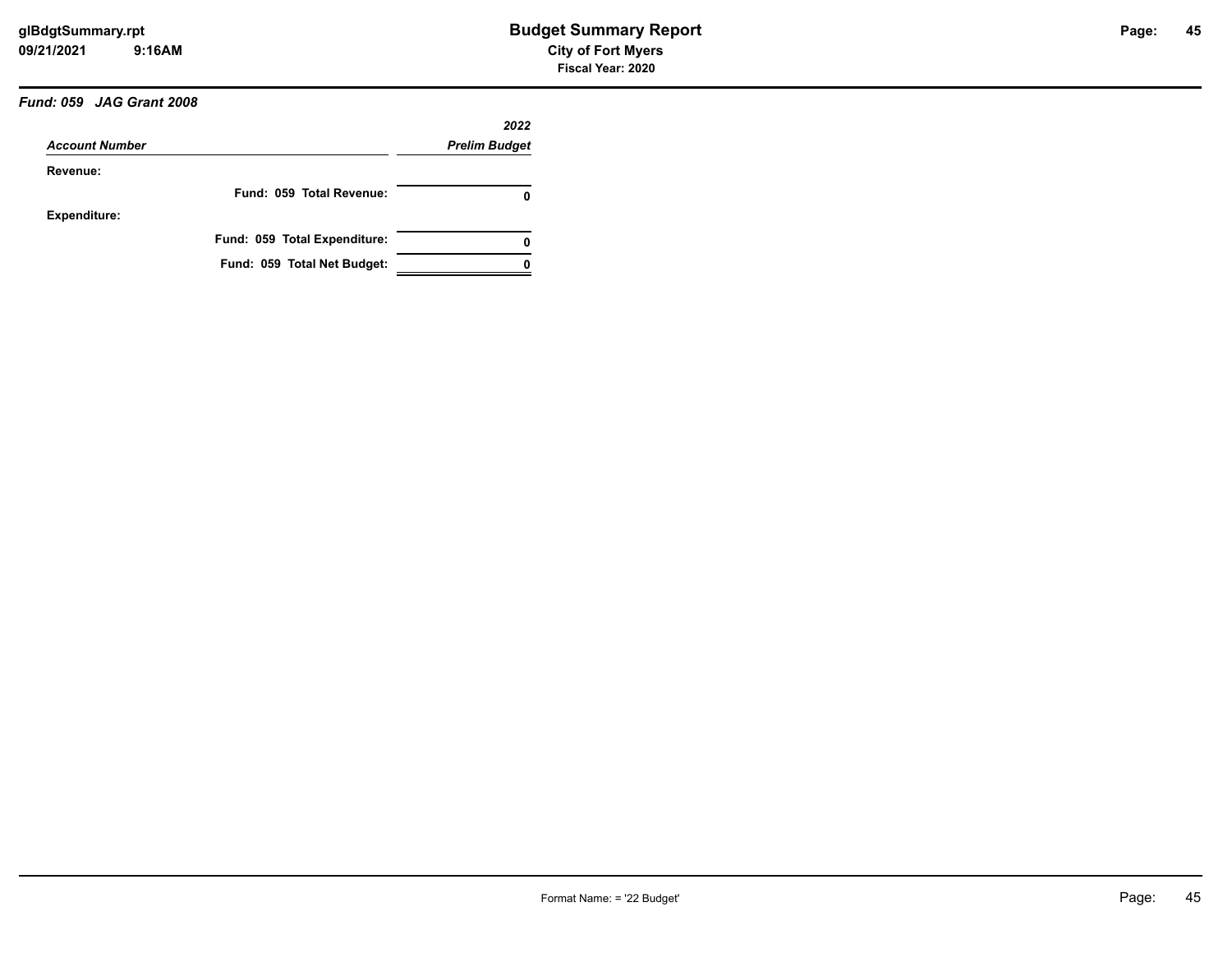### *Fund: 059 JAG Grant 2008*

|                       |                              | 2022                 |
|-----------------------|------------------------------|----------------------|
| <b>Account Number</b> |                              | <b>Prelim Budget</b> |
| Revenue:              |                              |                      |
|                       | Fund: 059 Total Revenue:     | 0                    |
| <b>Expenditure:</b>   |                              |                      |
|                       | Fund: 059 Total Expenditure: | 0                    |
|                       | Fund: 059 Total Net Budget:  |                      |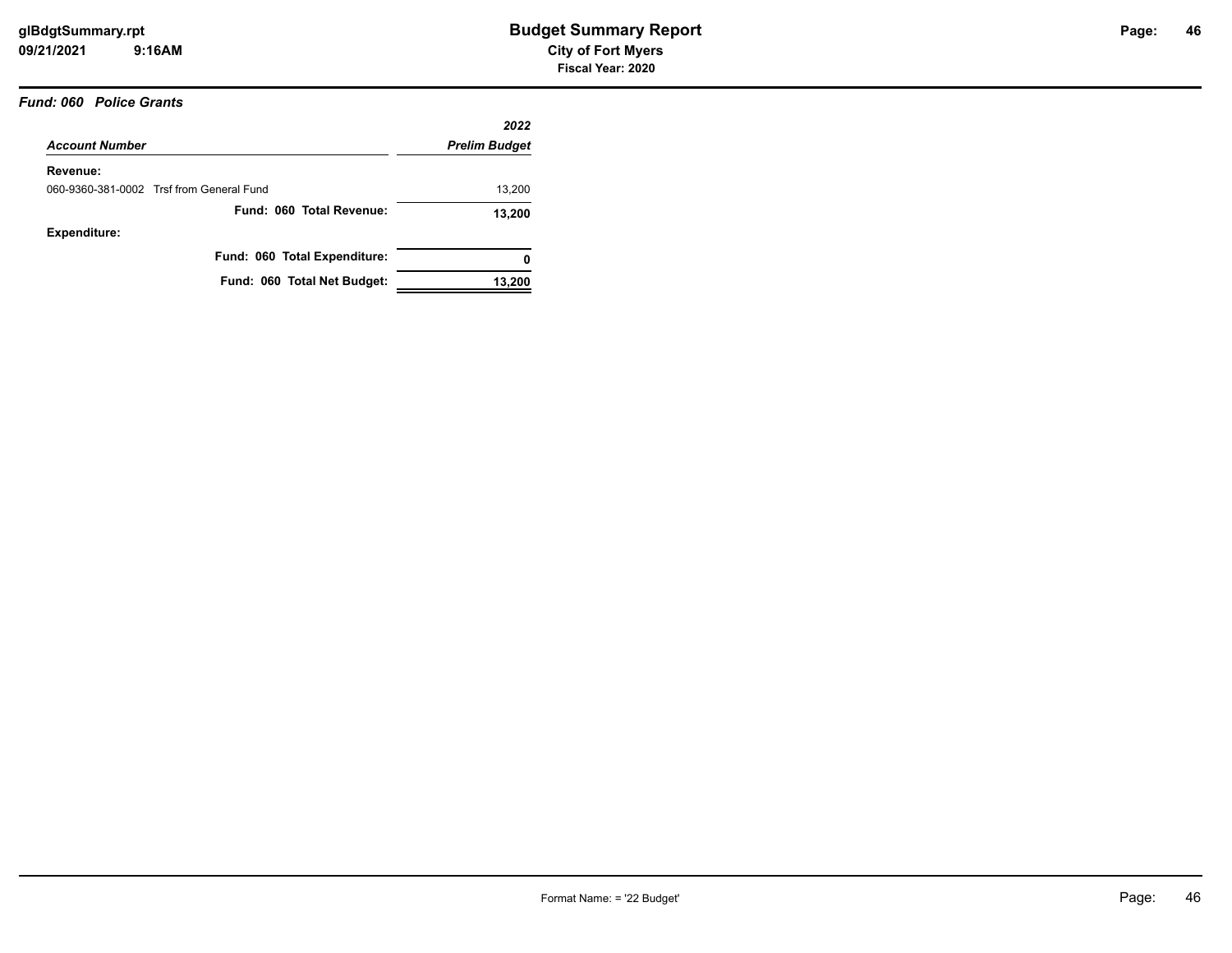#### *Fund: 060 Police Grants*

|                                          | 2022                 |
|------------------------------------------|----------------------|
| <b>Account Number</b>                    | <b>Prelim Budget</b> |
| Revenue:                                 |                      |
| 060-9360-381-0002 Trsf from General Fund | 13,200               |
| Fund: 060 Total Revenue:                 | 13,200               |
| Expenditure:                             |                      |
| Fund: 060 Total Expenditure:             | 0                    |
| Fund: 060 Total Net Budget:              | 13,200               |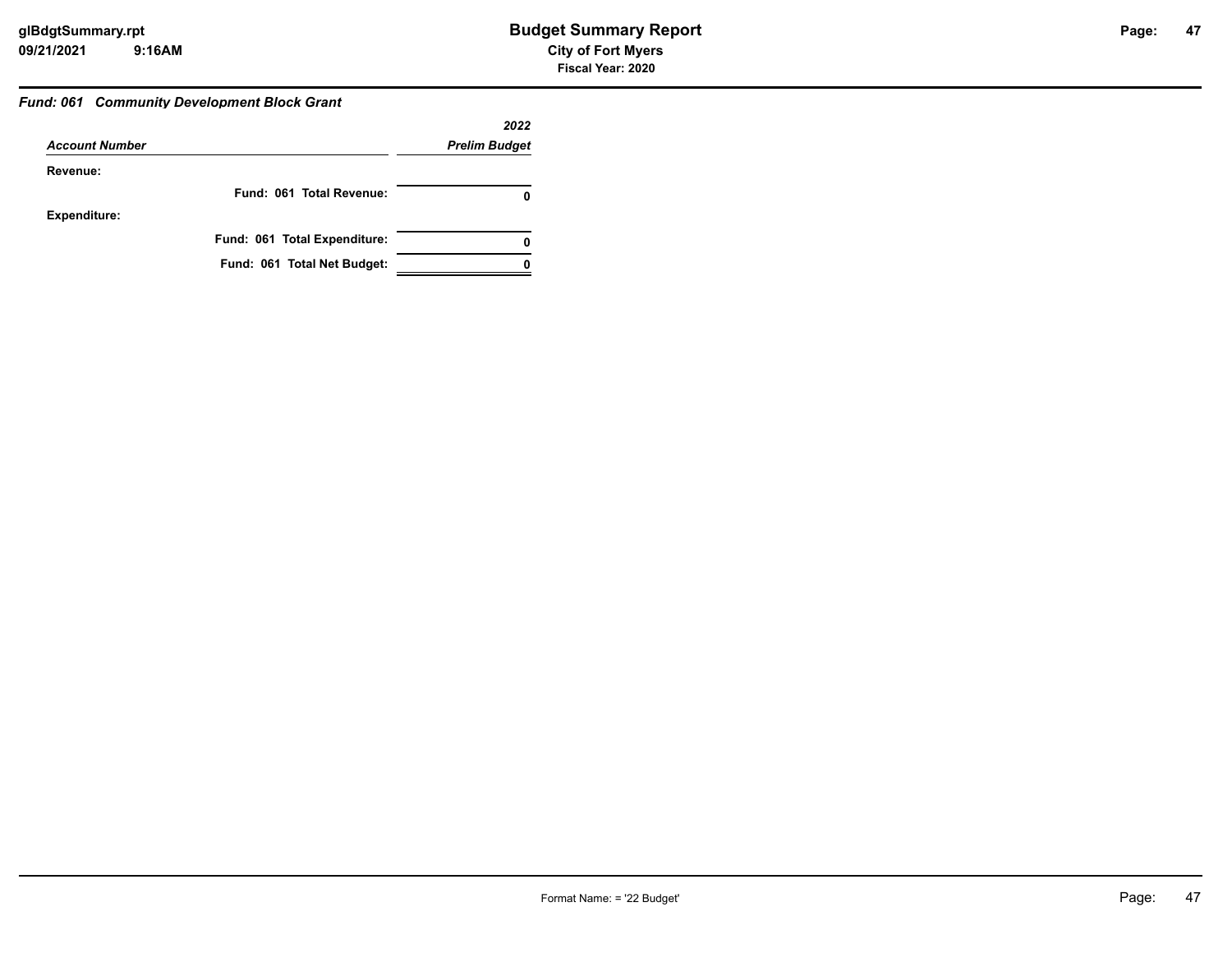#### *Fund: 061 Community Development Block Grant*

|                       |                              | 2022                 |
|-----------------------|------------------------------|----------------------|
| <b>Account Number</b> |                              | <b>Prelim Budget</b> |
| Revenue:              |                              |                      |
|                       | Fund: 061 Total Revenue:     |                      |
| <b>Expenditure:</b>   |                              |                      |
|                       | Fund: 061 Total Expenditure: | 0                    |
|                       | Fund: 061 Total Net Budget:  |                      |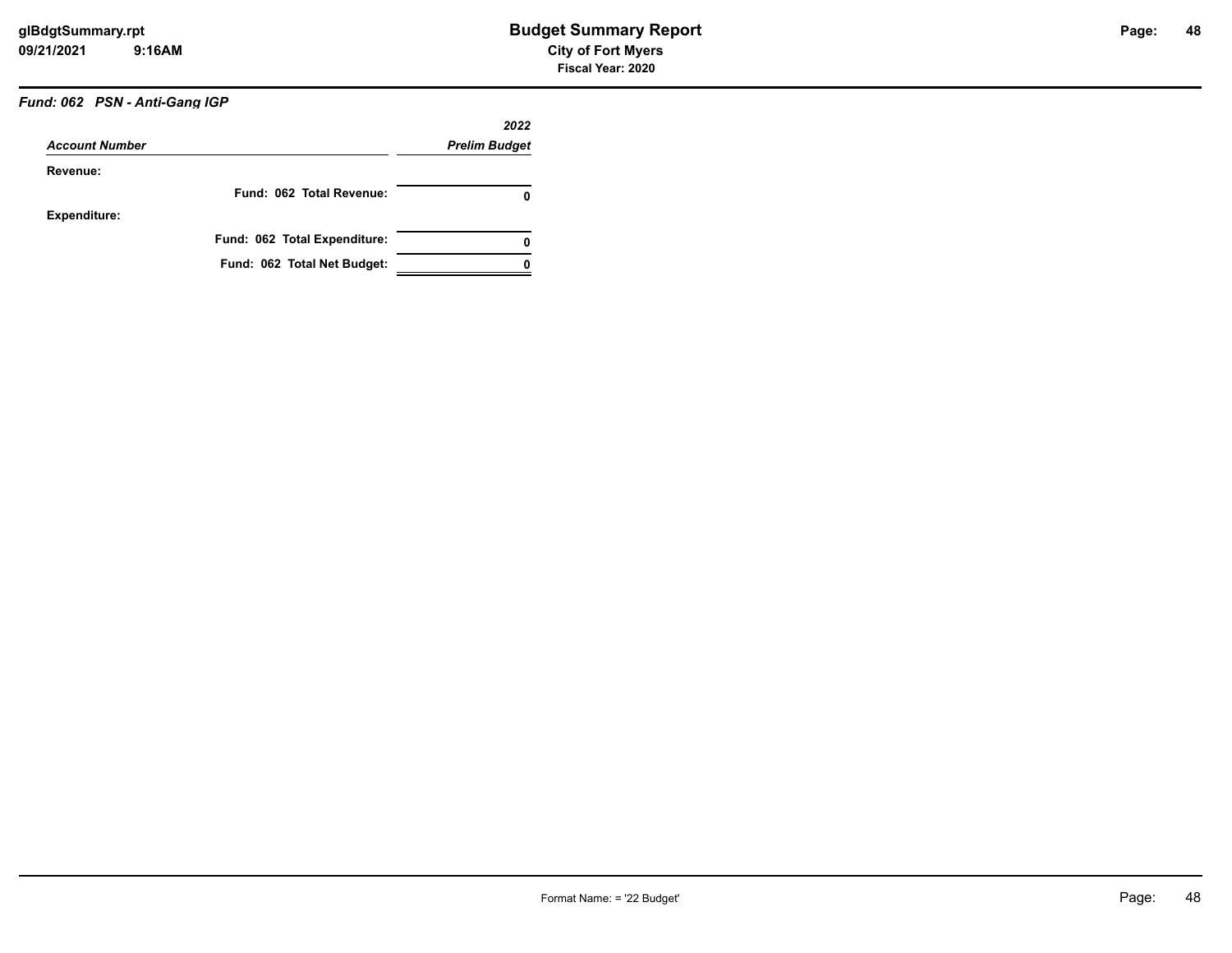# *Fund: 062 PSN - Anti-Gang IGP*

|                       |                              | 2022                 |
|-----------------------|------------------------------|----------------------|
| <b>Account Number</b> |                              | <b>Prelim Budget</b> |
| Revenue:              |                              |                      |
|                       | Fund: 062 Total Revenue:     | 0                    |
| <b>Expenditure:</b>   |                              |                      |
|                       | Fund: 062 Total Expenditure: | 0                    |
|                       | Fund: 062 Total Net Budget:  |                      |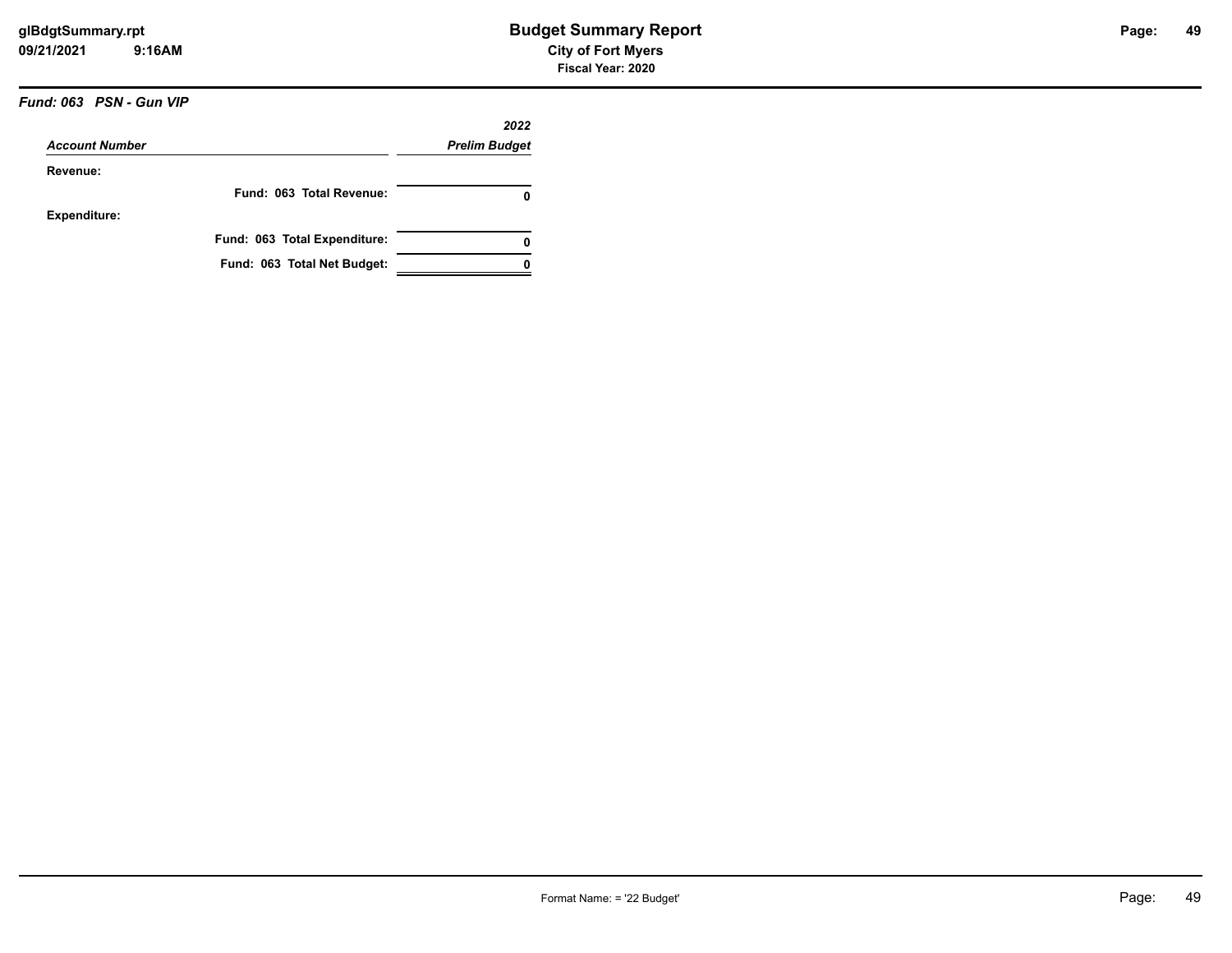# *Fund: 063 PSN - Gun VIP*

| <b>Account Number</b> |                              | 2022                 |
|-----------------------|------------------------------|----------------------|
|                       |                              | <b>Prelim Budget</b> |
| Revenue:              |                              |                      |
|                       | Fund: 063 Total Revenue:     | 0                    |
| <b>Expenditure:</b>   |                              |                      |
|                       | Fund: 063 Total Expenditure: | 0                    |
|                       | Fund: 063 Total Net Budget:  |                      |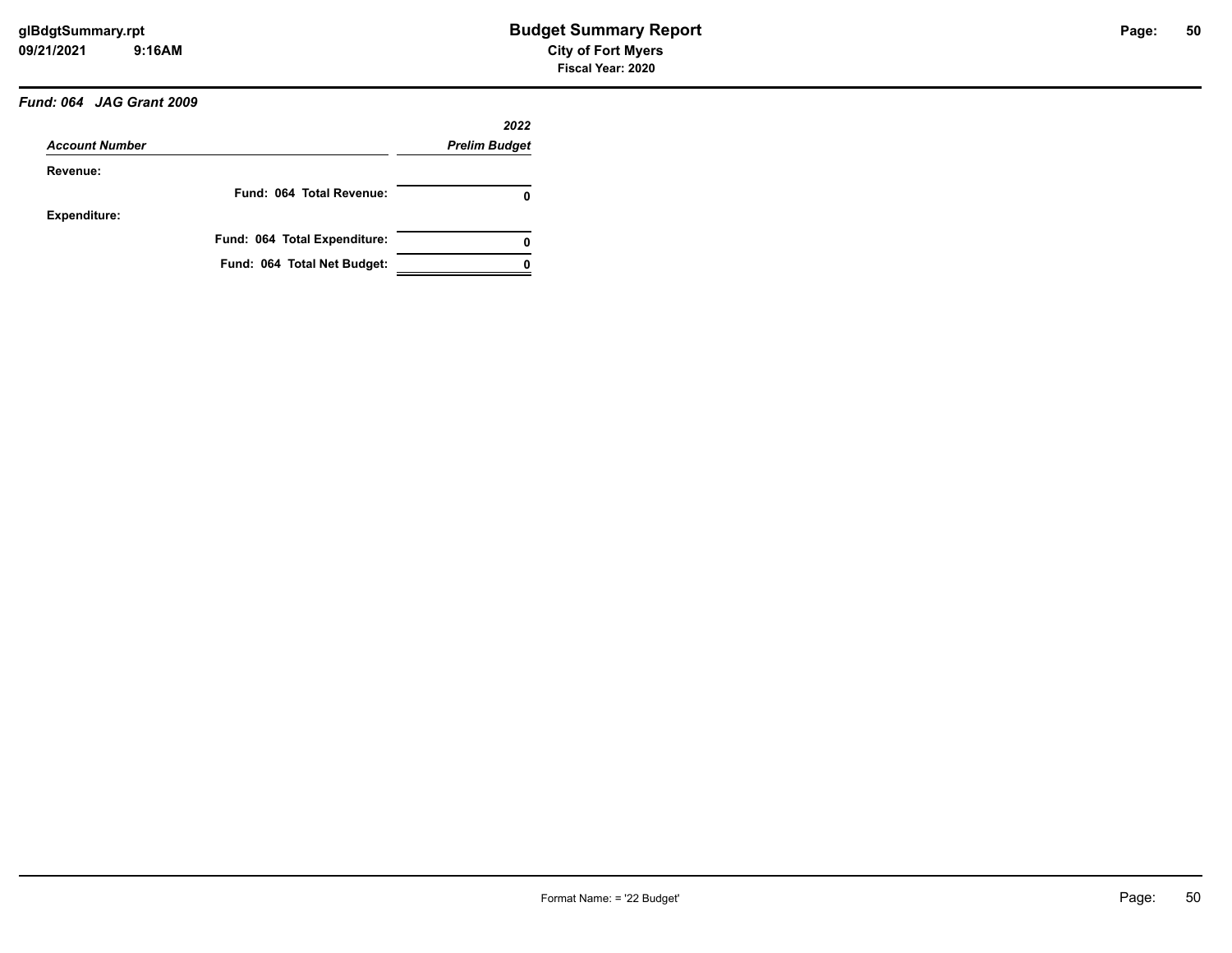# *Fund: 064 JAG Grant 2009*

|                       |                              | 2022                 |
|-----------------------|------------------------------|----------------------|
| <b>Account Number</b> |                              | <b>Prelim Budget</b> |
| Revenue:              |                              |                      |
|                       | Fund: 064 Total Revenue:     | 0                    |
| <b>Expenditure:</b>   |                              |                      |
|                       | Fund: 064 Total Expenditure: | 0                    |
|                       | Fund: 064 Total Net Budget:  |                      |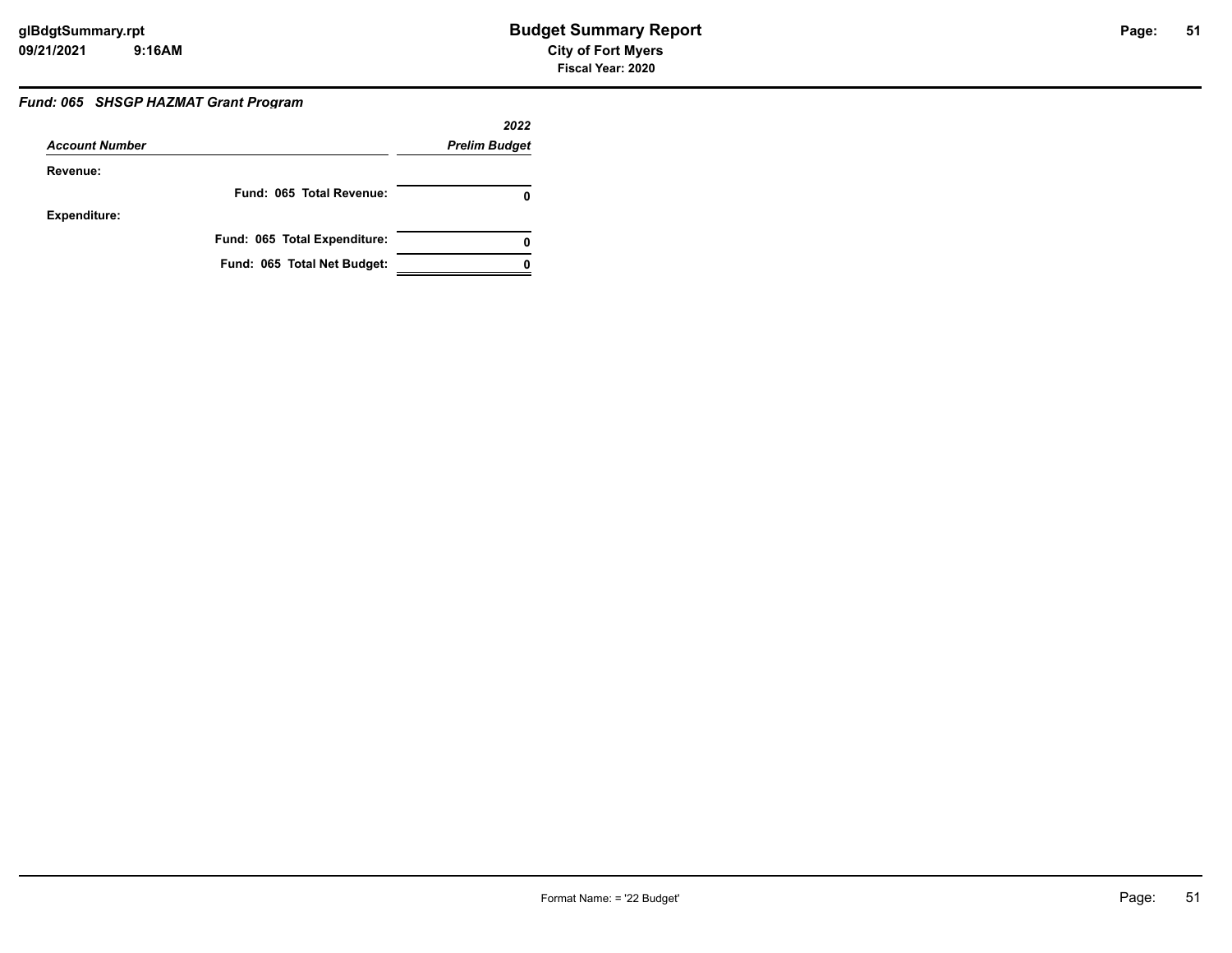### *Fund: 065 SHSGP HAZMAT Grant Program*

|                       |                              | 2022                 |
|-----------------------|------------------------------|----------------------|
| <b>Account Number</b> |                              | <b>Prelim Budget</b> |
| Revenue:              |                              |                      |
|                       | Fund: 065 Total Revenue:     | 0                    |
| <b>Expenditure:</b>   |                              |                      |
|                       | Fund: 065 Total Expenditure: | 0                    |
|                       | Fund: 065 Total Net Budget:  |                      |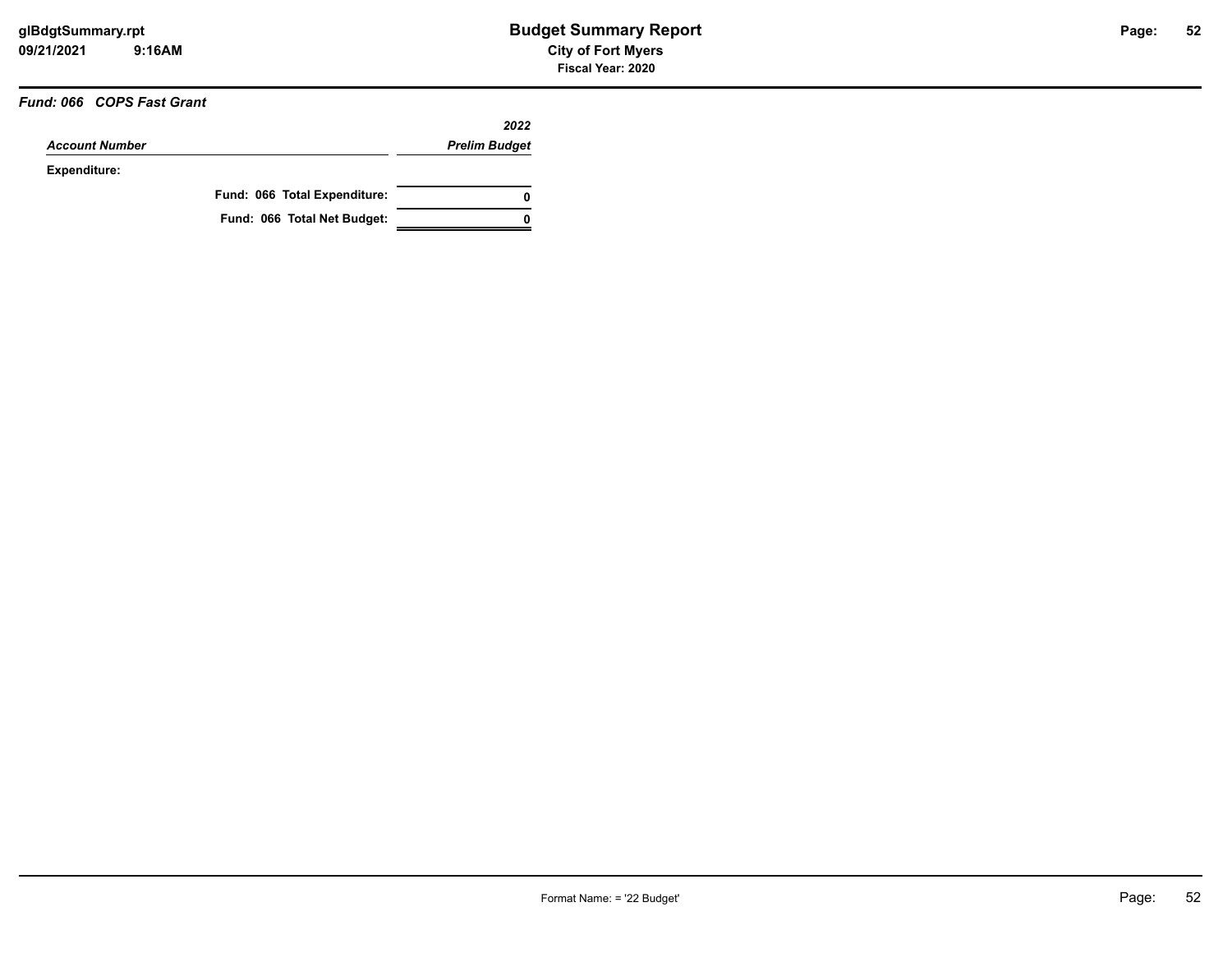#### *Fund: 066 COPS Fast Grant*

|                       |                              | 2022                 |
|-----------------------|------------------------------|----------------------|
| <b>Account Number</b> |                              | <b>Prelim Budget</b> |
| Expenditure:          |                              |                      |
|                       | Fund: 066 Total Expenditure: | 0                    |
|                       | Fund: 066 Total Net Budget:  | n                    |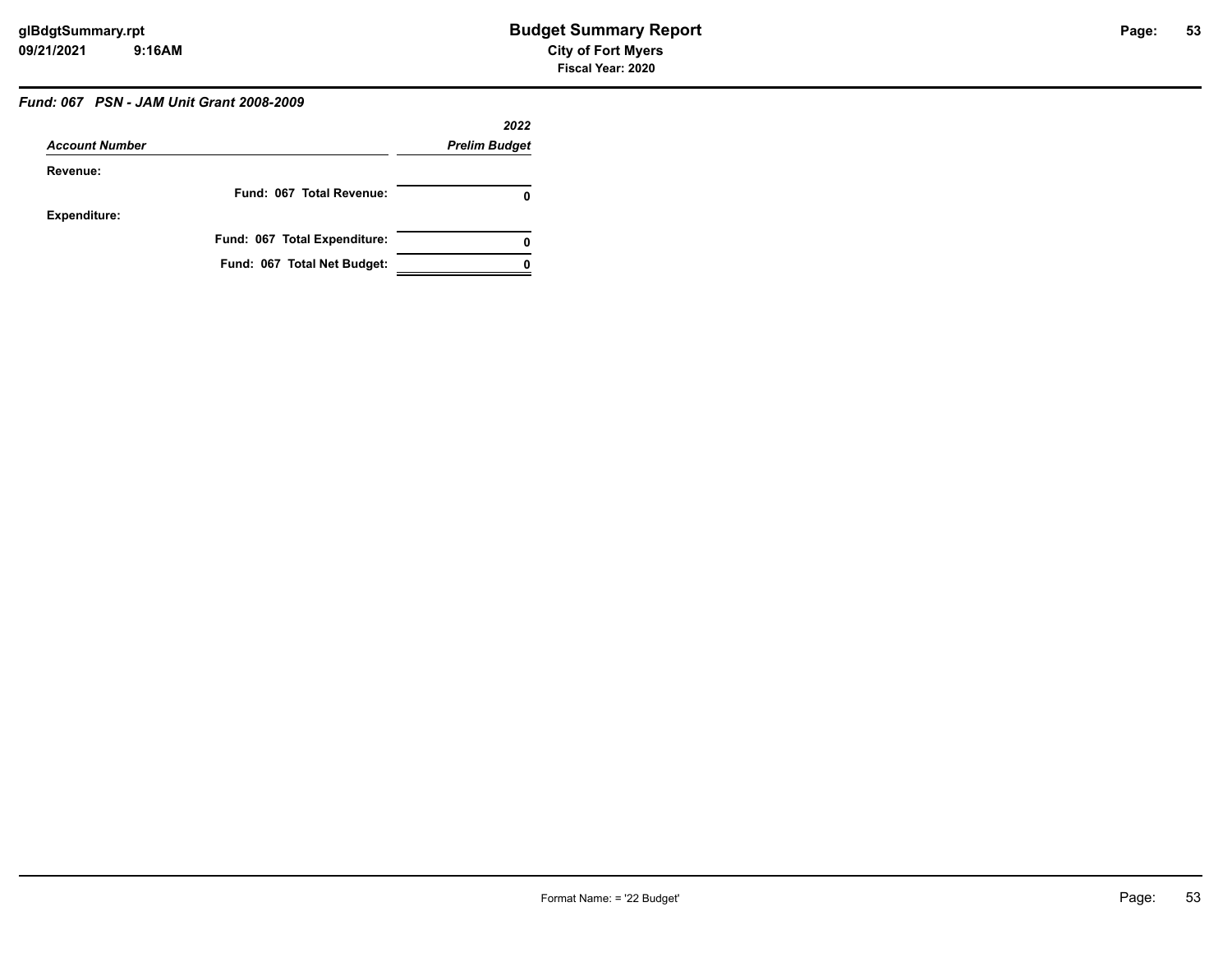# *Fund: 067 PSN - JAM Unit Grant 2008-2009*

|                       |                              | 2022                 |
|-----------------------|------------------------------|----------------------|
| <b>Account Number</b> |                              | <b>Prelim Budget</b> |
| Revenue:              |                              |                      |
|                       | Fund: 067 Total Revenue:     | 0                    |
| <b>Expenditure:</b>   |                              |                      |
|                       | Fund: 067 Total Expenditure: | 0                    |
|                       | Fund: 067 Total Net Budget:  |                      |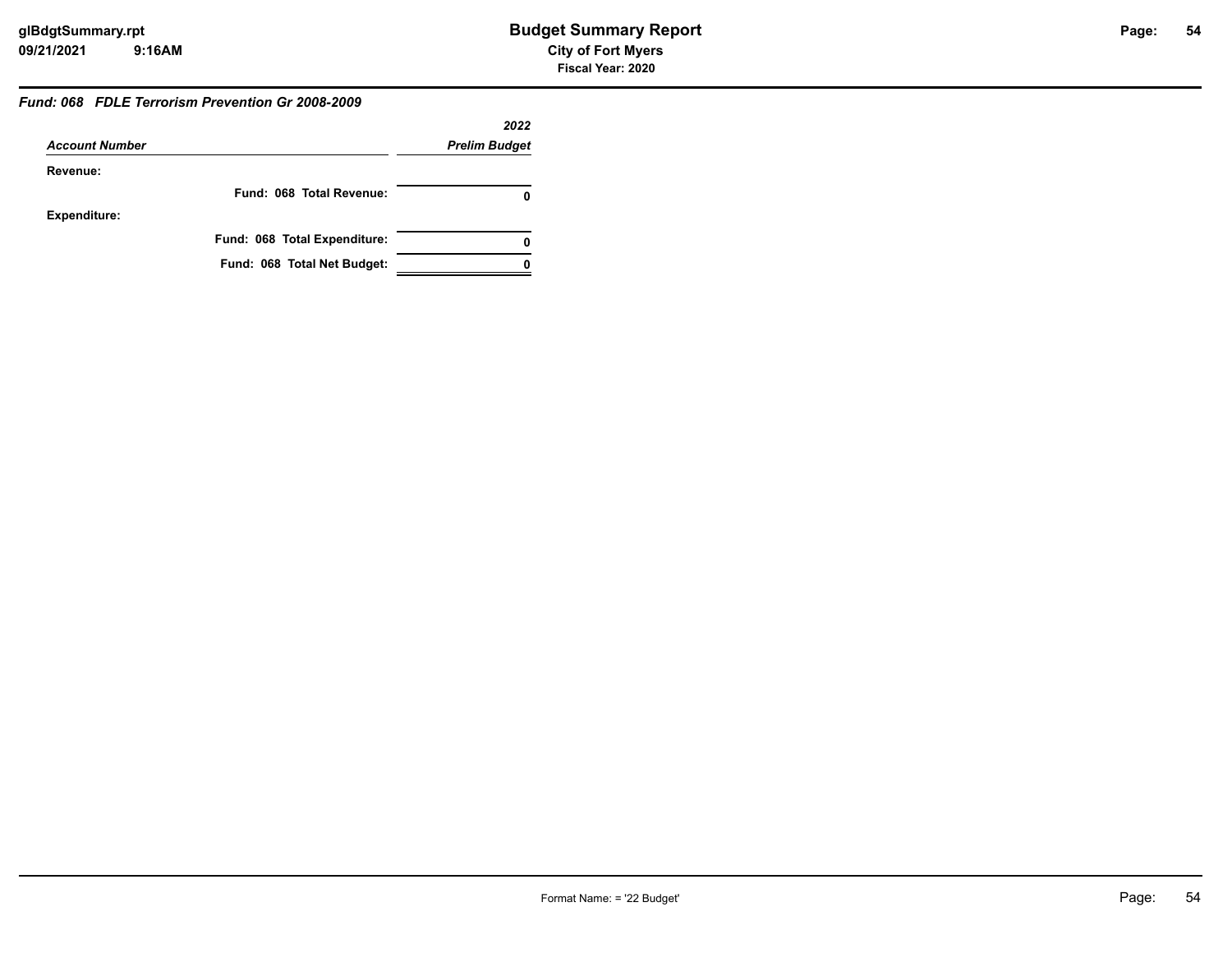#### *Fund: 068 FDLE Terrorism Prevention Gr 2008-2009*

|                       |                              | 2022                 |
|-----------------------|------------------------------|----------------------|
| <b>Account Number</b> |                              | <b>Prelim Budget</b> |
| Revenue:              |                              |                      |
|                       | Fund: 068 Total Revenue:     |                      |
| <b>Expenditure:</b>   |                              |                      |
|                       | Fund: 068 Total Expenditure: | 0                    |
|                       | Fund: 068 Total Net Budget:  |                      |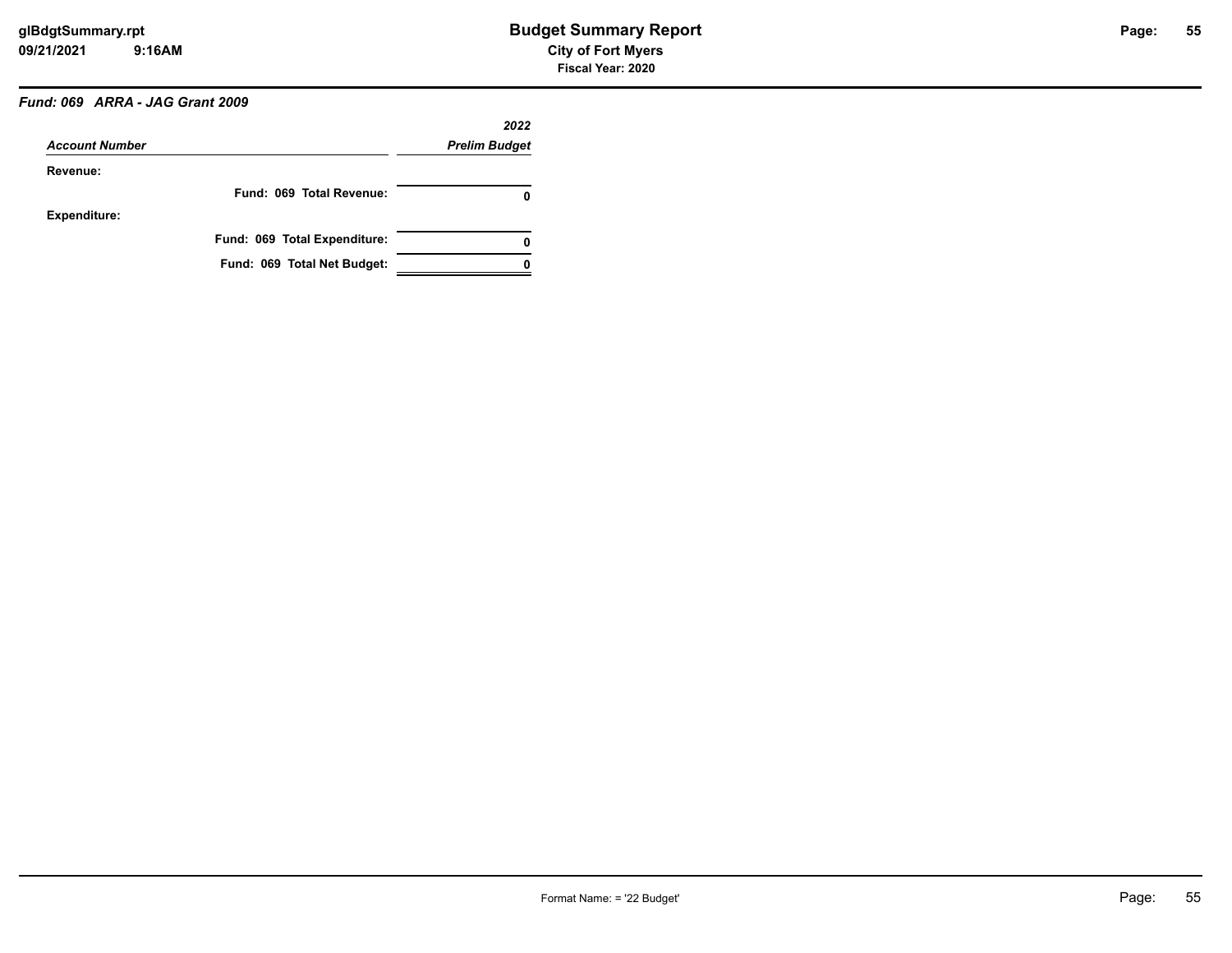# *Fund: 069 ARRA - JAG Grant 2009*

| <b>Account Number</b> |                              | 2022                 |
|-----------------------|------------------------------|----------------------|
|                       |                              | <b>Prelim Budget</b> |
| Revenue:              |                              |                      |
|                       | Fund: 069 Total Revenue:     | 0                    |
| <b>Expenditure:</b>   |                              |                      |
|                       | Fund: 069 Total Expenditure: | 0                    |
|                       | Fund: 069 Total Net Budget:  |                      |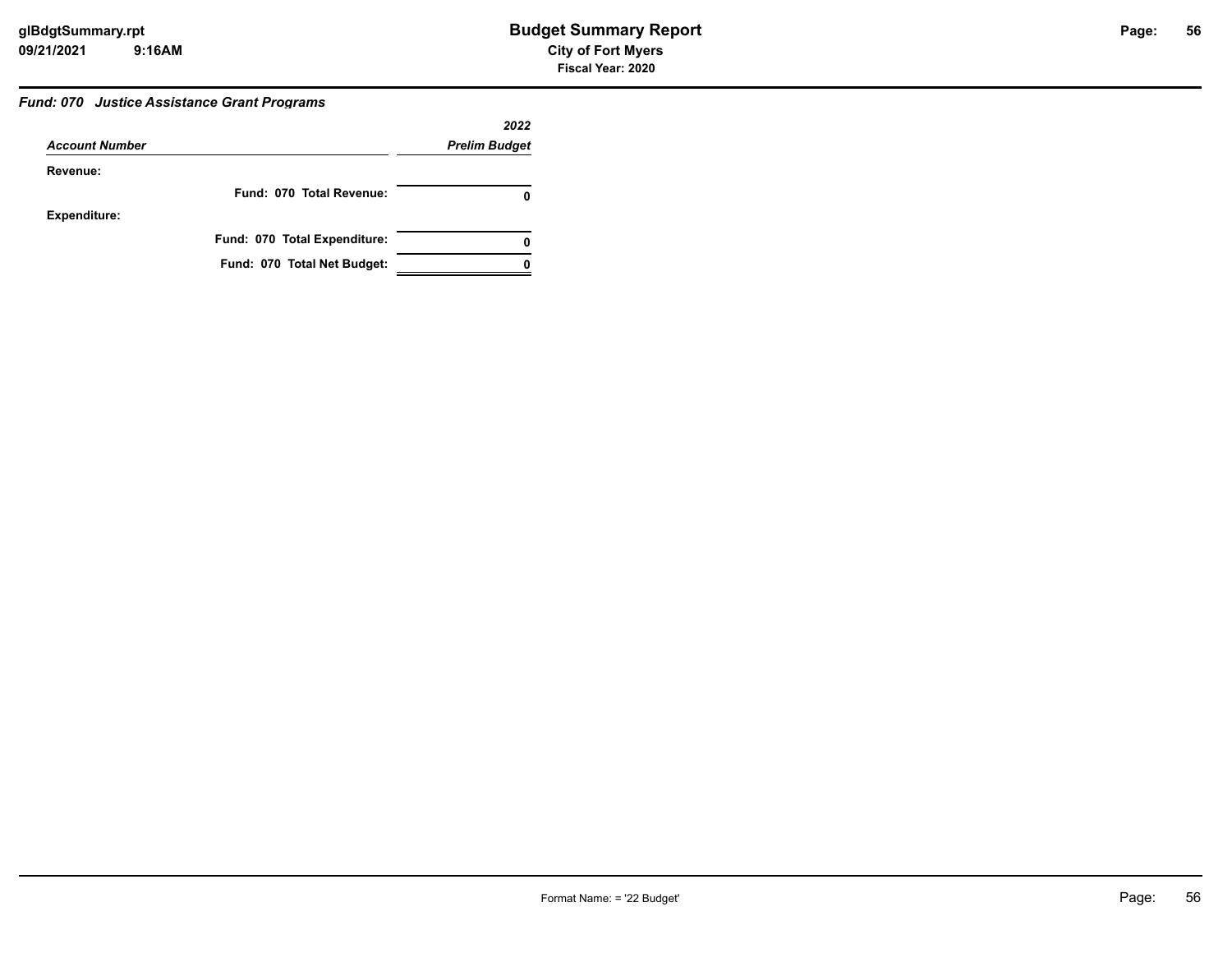#### *Fund: 070 Justice Assistance Grant Programs*

|                       |                              | 2022                 |
|-----------------------|------------------------------|----------------------|
| <b>Account Number</b> |                              | <b>Prelim Budget</b> |
| Revenue:              |                              |                      |
|                       | Fund: 070 Total Revenue:     |                      |
| <b>Expenditure:</b>   |                              |                      |
|                       | Fund: 070 Total Expenditure: |                      |
|                       | Fund: 070 Total Net Budget:  |                      |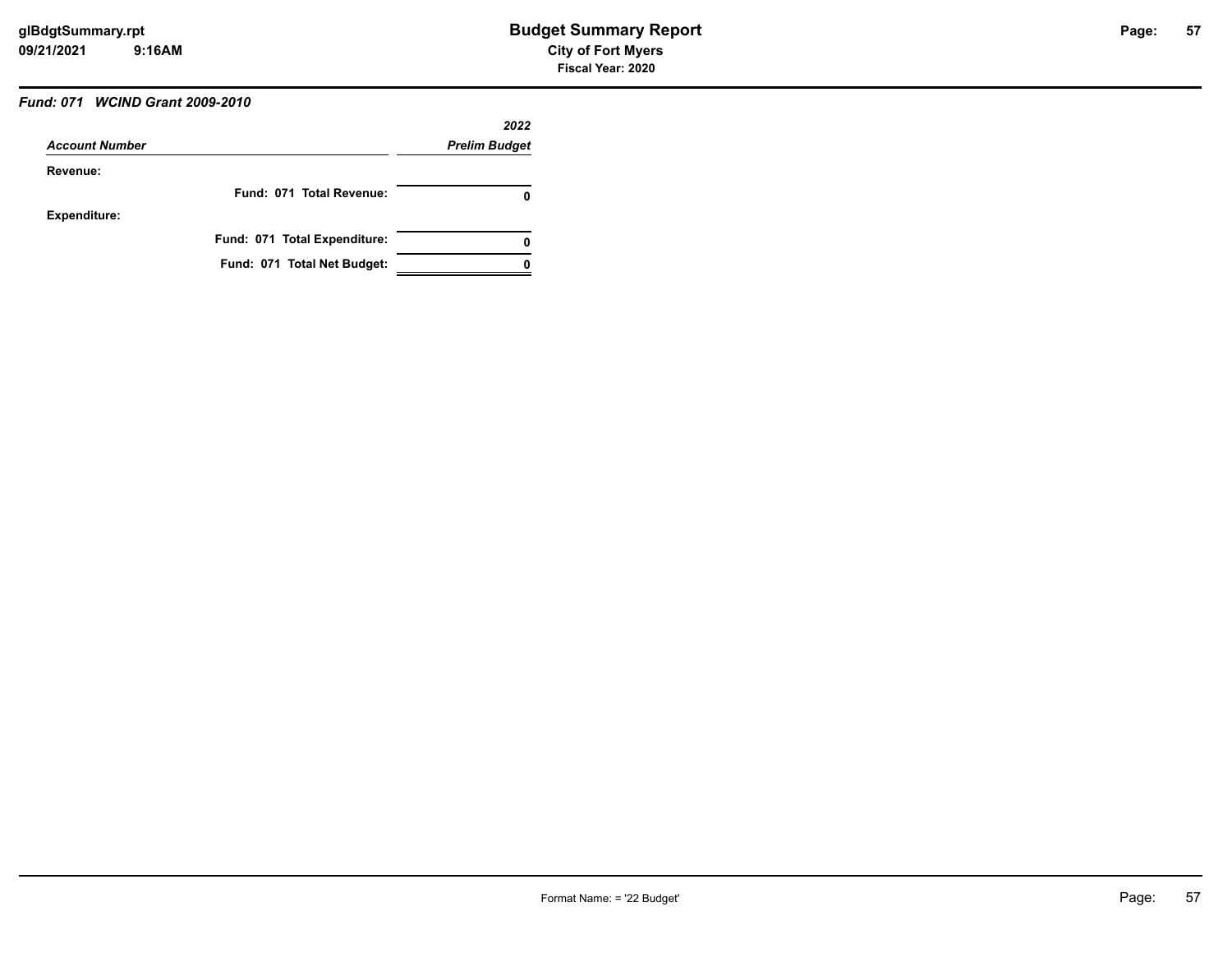# *Fund: 071 WCIND Grant 2009-2010*

|                       |                              | 2022                 |
|-----------------------|------------------------------|----------------------|
| <b>Account Number</b> |                              | <b>Prelim Budget</b> |
| Revenue:              |                              |                      |
|                       | Fund: 071 Total Revenue:     | 0                    |
| <b>Expenditure:</b>   |                              |                      |
|                       | Fund: 071 Total Expenditure: | 0                    |
|                       | Fund: 071 Total Net Budget:  |                      |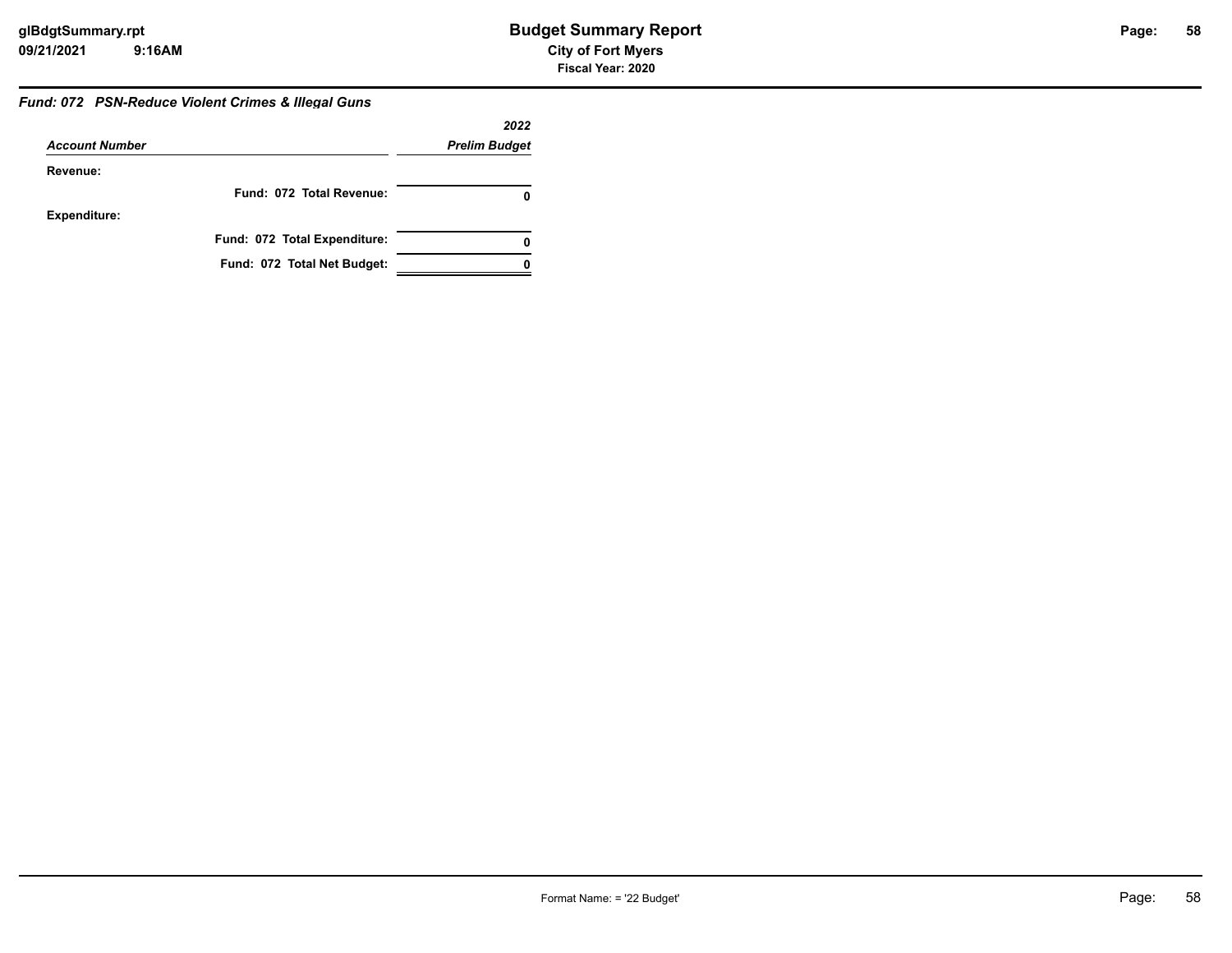#### *Fund: 072 PSN-Reduce Violent Crimes & Illegal Guns*

|                       |                              | 2022                 |
|-----------------------|------------------------------|----------------------|
| <b>Account Number</b> |                              | <b>Prelim Budget</b> |
| Revenue:              |                              |                      |
|                       | Fund: 072 Total Revenue:     |                      |
| <b>Expenditure:</b>   |                              |                      |
|                       | Fund: 072 Total Expenditure: | 0                    |
|                       | Fund: 072 Total Net Budget:  |                      |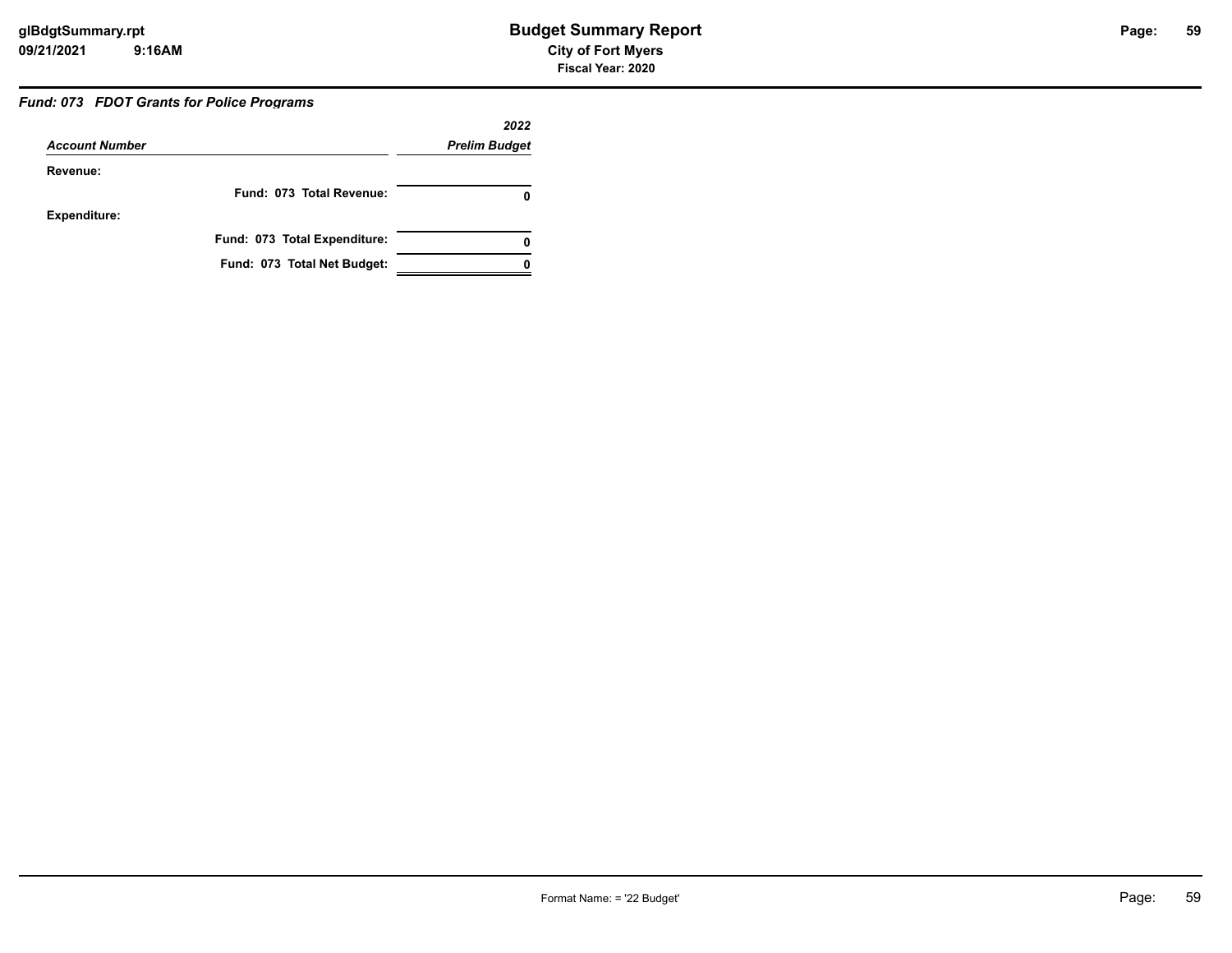# **59**

#### *Fund: 073 FDOT Grants for Police Programs*

|                       |                              | 2022                 |
|-----------------------|------------------------------|----------------------|
| <b>Account Number</b> |                              | <b>Prelim Budget</b> |
| Revenue:              |                              |                      |
|                       | Fund: 073 Total Revenue:     |                      |
| <b>Expenditure:</b>   |                              |                      |
|                       | Fund: 073 Total Expenditure: | 0                    |
|                       | Fund: 073 Total Net Budget:  |                      |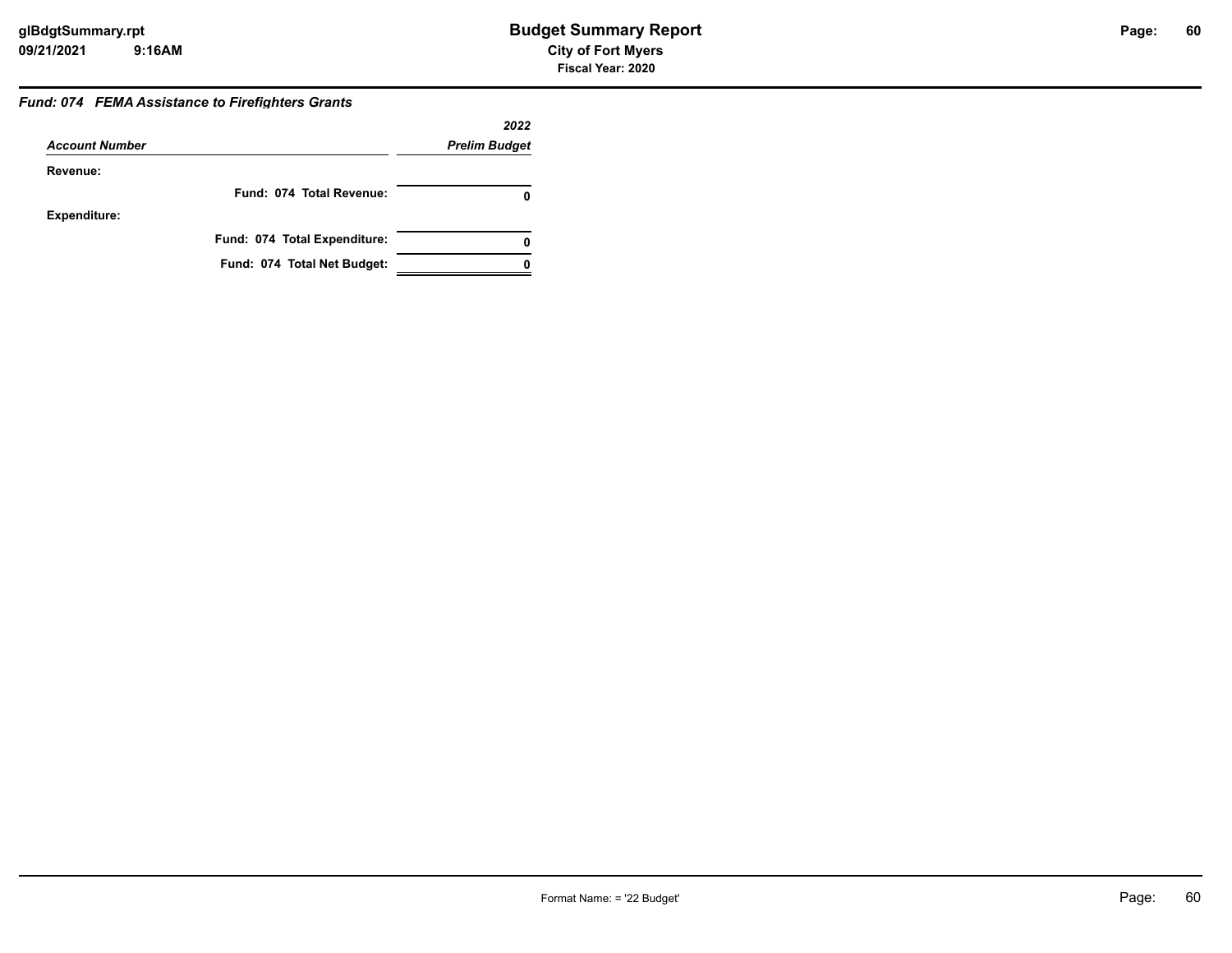#### *Fund: 074 FEMA Assistance to Firefighters Grants*

|                       |                              | 2022                 |
|-----------------------|------------------------------|----------------------|
| <b>Account Number</b> |                              | <b>Prelim Budget</b> |
| Revenue:              |                              |                      |
|                       | Fund: 074 Total Revenue:     |                      |
| <b>Expenditure:</b>   |                              |                      |
|                       | Fund: 074 Total Expenditure: |                      |
|                       | Fund: 074 Total Net Budget:  |                      |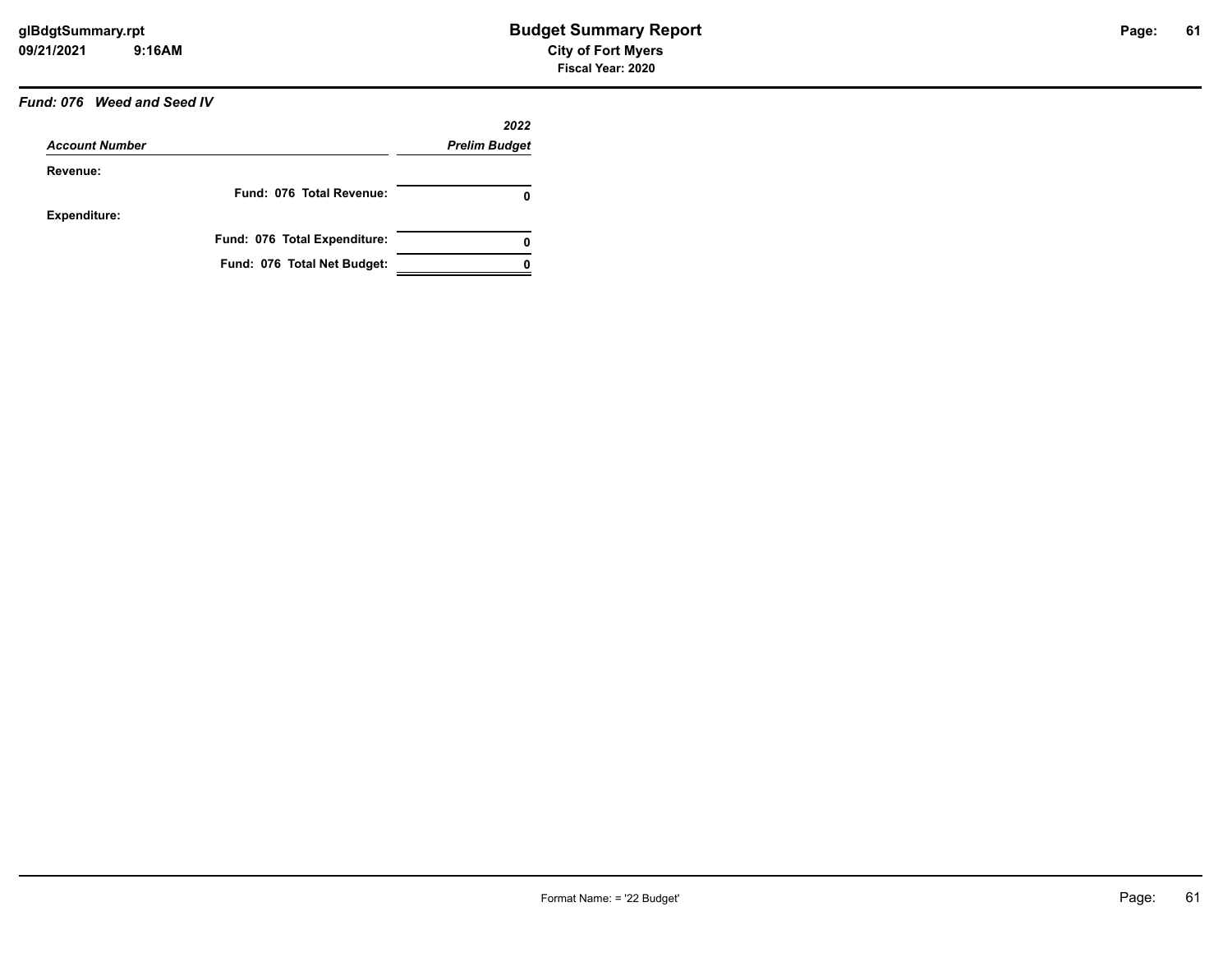# *Fund: 076 Weed and Seed IV*

|                       |                              | 2022                 |
|-----------------------|------------------------------|----------------------|
| <b>Account Number</b> |                              | <b>Prelim Budget</b> |
| Revenue:              |                              |                      |
|                       | Fund: 076 Total Revenue:     | 0                    |
| <b>Expenditure:</b>   |                              |                      |
|                       | Fund: 076 Total Expenditure: | 0                    |
|                       | Fund: 076 Total Net Budget:  |                      |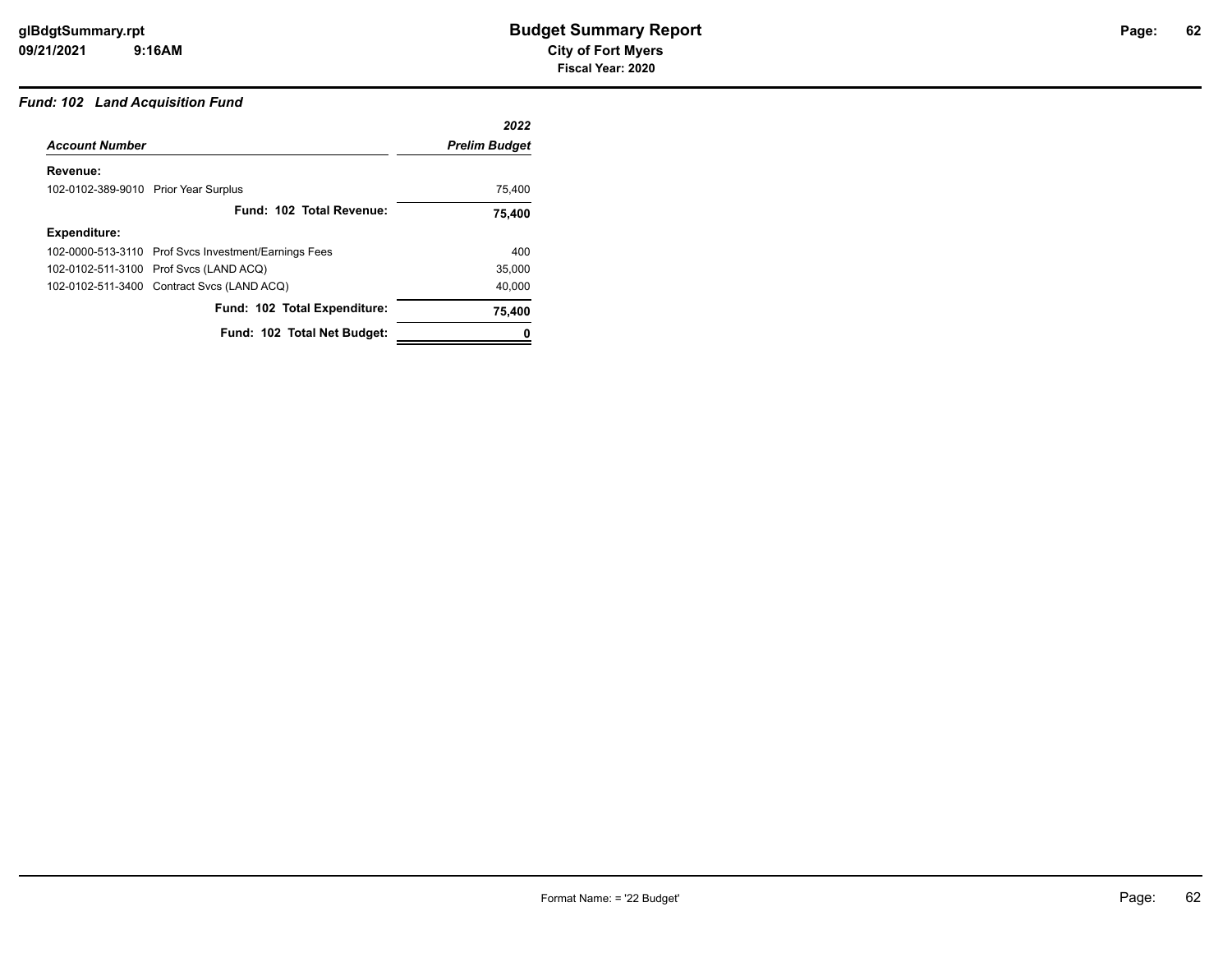# *Fund: 102 Land Acquisition Fund*

|                                      |                                                      | 2022                 |
|--------------------------------------|------------------------------------------------------|----------------------|
| <b>Account Number</b>                |                                                      | <b>Prelim Budget</b> |
| Revenue:                             |                                                      |                      |
| 102-0102-389-9010 Prior Year Surplus |                                                      | 75,400               |
|                                      | Fund: 102 Total Revenue:                             | 75,400               |
| <b>Expenditure:</b>                  |                                                      |                      |
|                                      | 102-0000-513-3110 Prof Svcs Investment/Earnings Fees | 400                  |
|                                      | 102-0102-511-3100 Prof Svcs (LAND ACQ)               | 35,000               |
|                                      | 102-0102-511-3400 Contract Svcs (LAND ACQ)           | 40,000               |
|                                      | Fund: 102 Total Expenditure:                         | 75,400               |
|                                      | Fund: 102 Total Net Budget:                          |                      |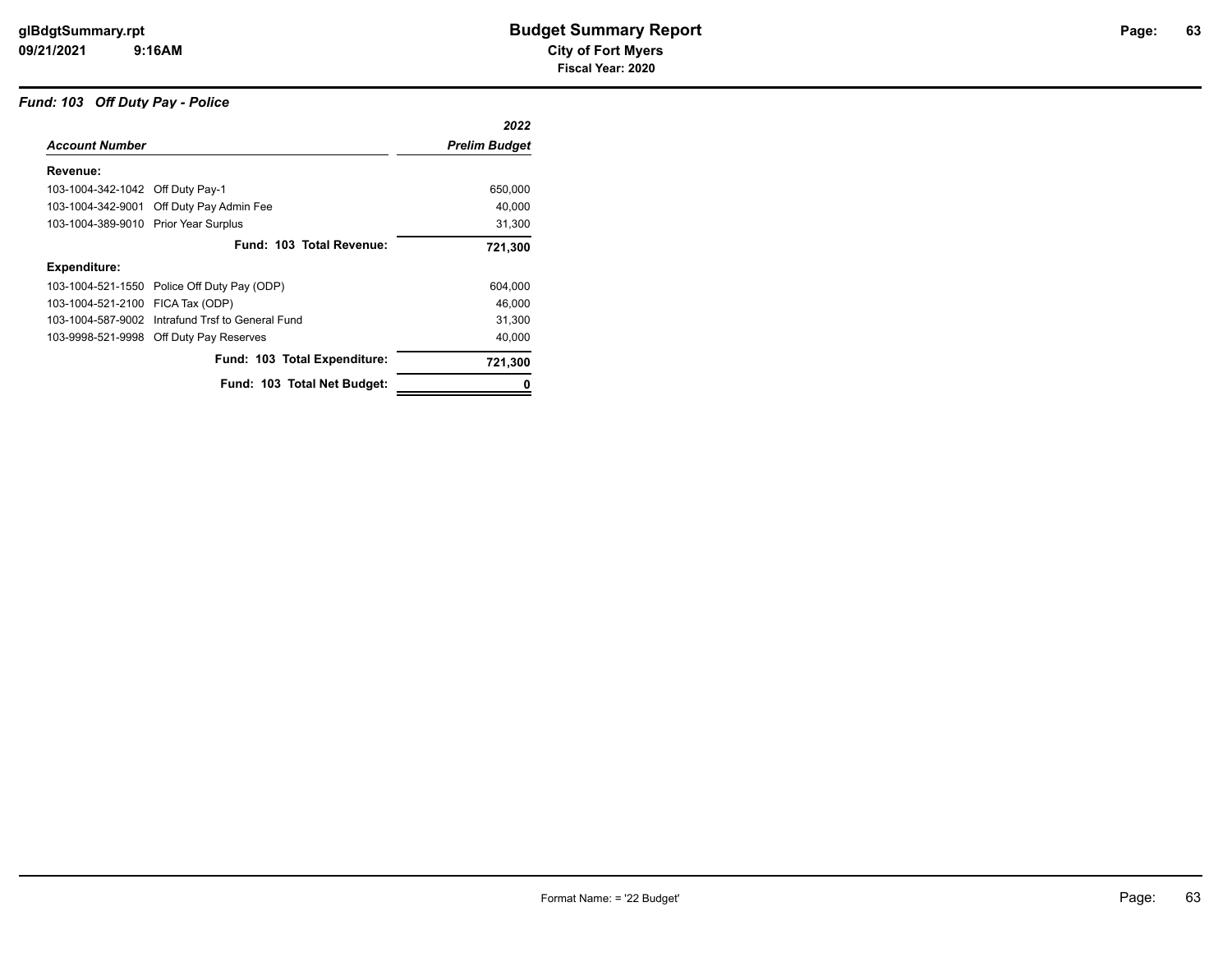#### *Fund: 103 Off Duty Pay - Police*

|                                      |                                                  | 2022                 |
|--------------------------------------|--------------------------------------------------|----------------------|
| <b>Account Number</b>                |                                                  | <b>Prelim Budget</b> |
| Revenue:                             |                                                  |                      |
| 103-1004-342-1042 Off Duty Pay-1     |                                                  | 650,000              |
|                                      | 103-1004-342-9001 Off Duty Pay Admin Fee         | 40,000               |
| 103-1004-389-9010 Prior Year Surplus |                                                  | 31,300               |
|                                      | Fund: 103 Total Revenue:                         | 721,300              |
| Expenditure:                         |                                                  |                      |
|                                      | 103-1004-521-1550 Police Off Duty Pay (ODP)      | 604,000              |
| 103-1004-521-2100 FICA Tax (ODP)     |                                                  | 46,000               |
|                                      | 103-1004-587-9002 Intrafund Trsf to General Fund | 31,300               |
|                                      | 103-9998-521-9998 Off Duty Pay Reserves          | 40.000               |
|                                      | Fund: 103 Total Expenditure:                     | 721,300              |
|                                      | Fund: 103 Total Net Budget:                      |                      |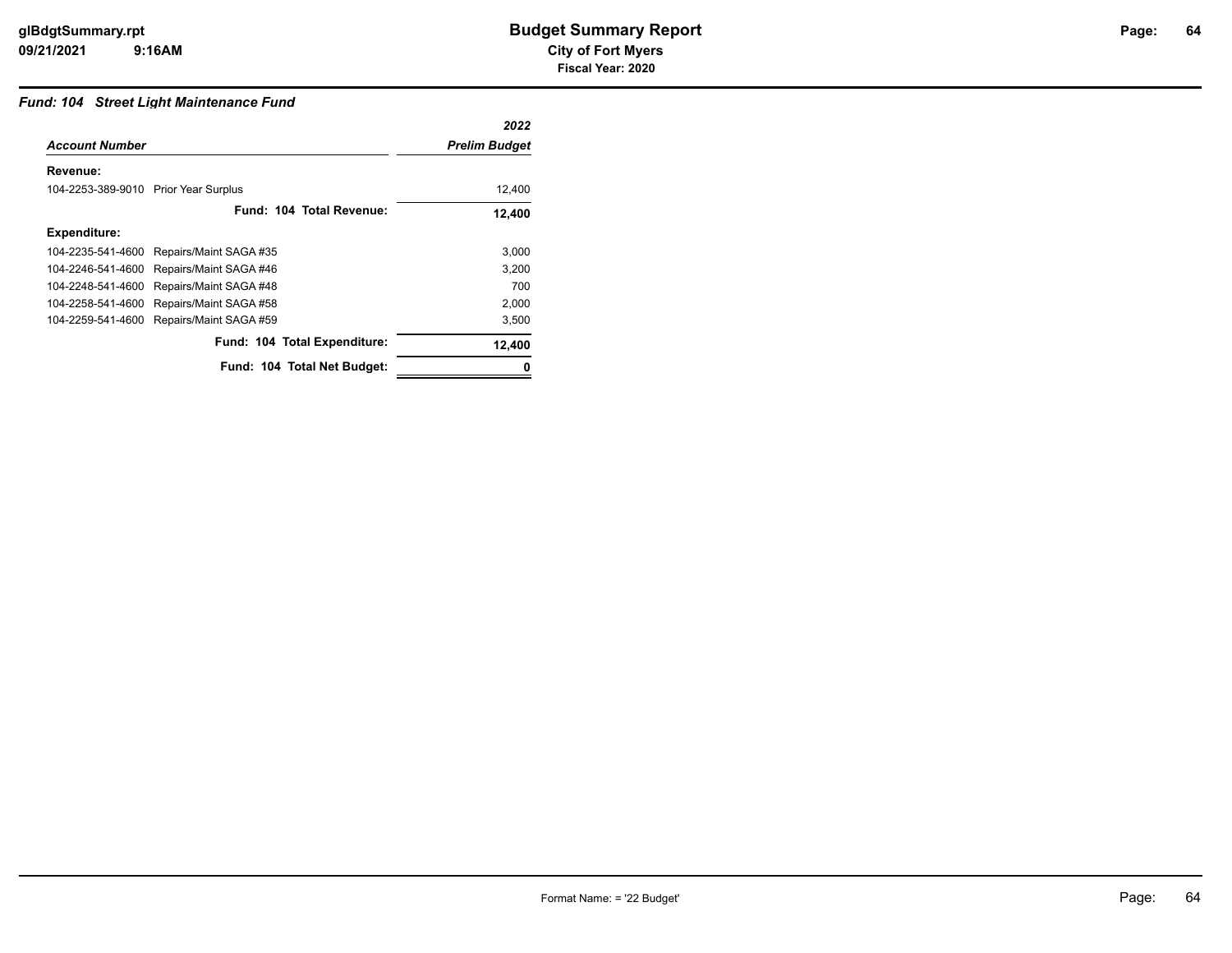# **64**

#### *Fund: 104 Street Light Maintenance Fund*

|                                      |                              | 2022                 |
|--------------------------------------|------------------------------|----------------------|
| <b>Account Number</b>                |                              | <b>Prelim Budget</b> |
| Revenue:                             |                              |                      |
| 104-2253-389-9010 Prior Year Surplus |                              | 12,400               |
|                                      | Fund: 104 Total Revenue:     | 12,400               |
| <b>Expenditure:</b>                  |                              |                      |
| 104-2235-541-4600                    | Repairs/Maint SAGA #35       | 3,000                |
| 104-2246-541-4600                    | Repairs/Maint SAGA #46       | 3,200                |
| 104-2248-541-4600                    | Repairs/Maint SAGA #48       | 700                  |
| 104-2258-541-4600                    | Repairs/Maint SAGA #58       | 2,000                |
| 104-2259-541-4600                    | Repairs/Maint SAGA #59       | 3,500                |
|                                      | Fund: 104 Total Expenditure: | 12,400               |
|                                      | Fund: 104 Total Net Budget:  |                      |
|                                      |                              |                      |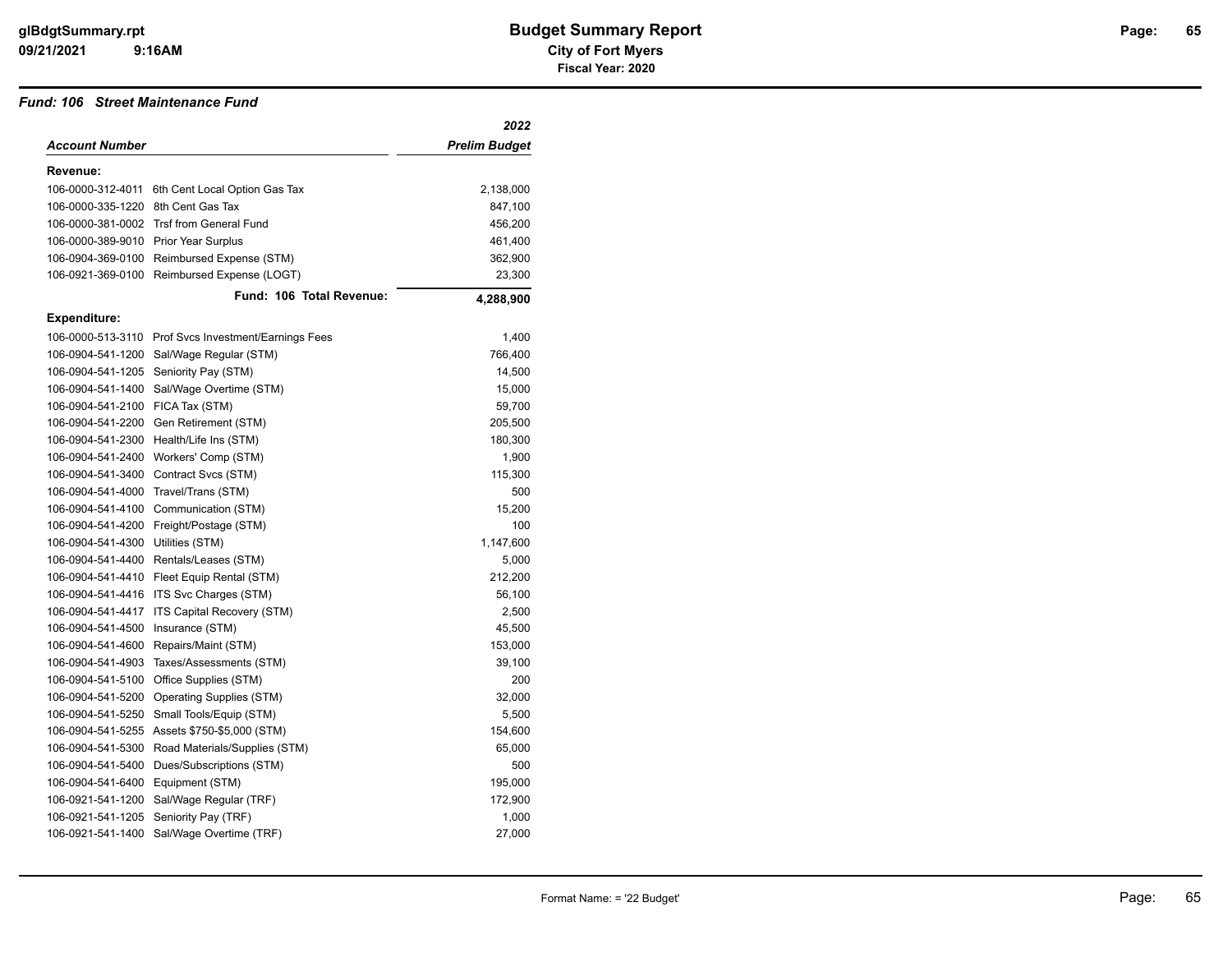#### *Fund: 106 Street Maintenance Fund*

|                                      |                                              | 2022                 |
|--------------------------------------|----------------------------------------------|----------------------|
| Account Number                       |                                              | <b>Prelim Budget</b> |
| Revenue:                             |                                              |                      |
| 106-0000-312-4011                    | 6th Cent Local Option Gas Tax                | 2,138,000            |
| 106-0000-335-1220                    | 8th Cent Gas Tax                             | 847,100              |
| 106-0000-381-0002                    | <b>Trsf from General Fund</b>                | 456,200              |
| 106-0000-389-9010 Prior Year Surplus |                                              | 461,400              |
| 106-0904-369-0100                    | Reimbursed Expense (STM)                     | 362,900              |
|                                      | 106-0921-369-0100 Reimbursed Expense (LOGT)  | 23,300               |
|                                      | Fund: 106 Total Revenue:                     | 4,288,900            |
| <b>Expenditure:</b>                  |                                              |                      |
| 106-0000-513-3110                    | Prof Svcs Investment/Earnings Fees           | 1,400                |
| 106-0904-541-1200                    | Sal/Wage Regular (STM)                       | 766,400              |
| 106-0904-541-1205                    | Seniority Pay (STM)                          | 14,500               |
| 106-0904-541-1400                    | Sal/Wage Overtime (STM)                      | 15,000               |
| 106-0904-541-2100 FICA Tax (STM)     |                                              | 59,700               |
| 106-0904-541-2200                    | Gen Retirement (STM)                         | 205,500              |
| 106-0904-541-2300                    | Health/Life Ins (STM)                        | 180,300              |
| 106-0904-541-2400                    | Workers' Comp (STM)                          | 1,900                |
| 106-0904-541-3400                    | Contract Svcs (STM)                          | 115,300              |
| 106-0904-541-4000                    | Travel/Trans (STM)                           | 500                  |
| 106-0904-541-4100                    | Communication (STM)                          | 15,200               |
| 106-0904-541-4200                    | Freight/Postage (STM)                        | 100                  |
| 106-0904-541-4300                    | Utilities (STM)                              | 1,147,600            |
| 106-0904-541-4400                    | Rentals/Leases (STM)                         | 5,000                |
| 106-0904-541-4410                    | Fleet Equip Rental (STM)                     | 212,200              |
| 106-0904-541-4416                    | ITS Svc Charges (STM)                        | 56,100               |
| 106-0904-541-4417                    | ITS Capital Recovery (STM)                   | 2,500                |
| 106-0904-541-4500                    | Insurance (STM)                              | 45,500               |
| 106-0904-541-4600                    | Repairs/Maint (STM)                          | 153,000              |
| 106-0904-541-4903                    | Taxes/Assessments (STM)                      | 39,100               |
| 106-0904-541-5100                    | Office Supplies (STM)                        | 200                  |
| 106-0904-541-5200                    | Operating Supplies (STM)                     | 32,000               |
| 106-0904-541-5250                    | Small Tools/Equip (STM)                      | 5,500                |
|                                      | 106-0904-541-5255 Assets \$750-\$5,000 (STM) | 154,600              |
| 106-0904-541-5300                    | Road Materials/Supplies (STM)                | 65,000               |
| 106-0904-541-5400                    | Dues/Subscriptions (STM)                     | 500                  |
| 106-0904-541-6400                    | Equipment (STM)                              | 195,000              |
| 106-0921-541-1200                    | Sal/Wage Regular (TRF)                       | 172,900              |
| 106-0921-541-1205                    | Seniority Pay (TRF)                          | 1,000                |
| 106-0921-541-1400                    | Sal/Wage Overtime (TRF)                      | 27,000               |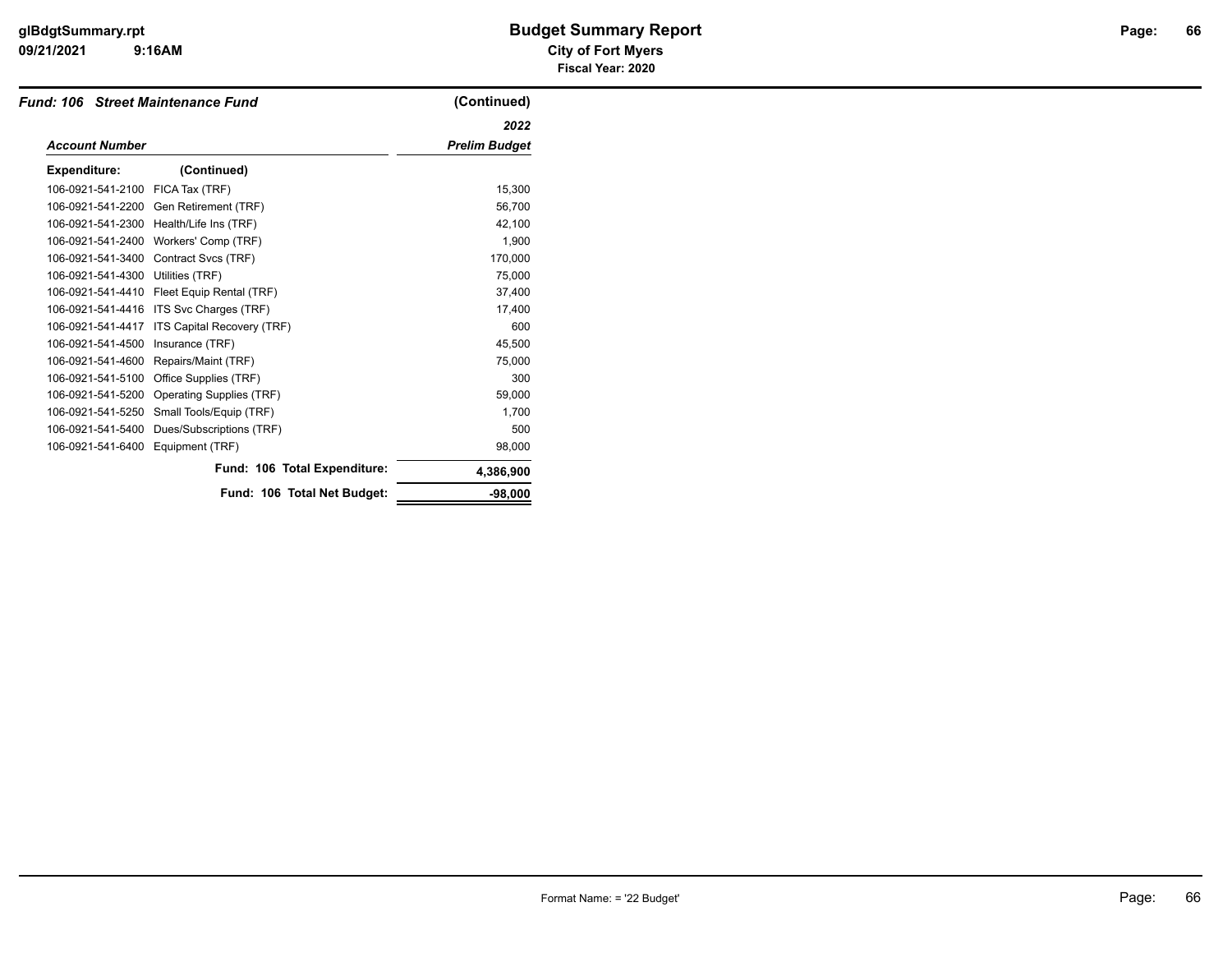#### **09/21/2021 City of Fort Myers 9:16AM**

# **glBdgtSummary.rpt Budget Summary Report Page: Fiscal Year: 2020**

|                       | <b>Fund: 106 Street Maintenance Fund</b> | (Continued)          |
|-----------------------|------------------------------------------|----------------------|
|                       |                                          | 2022                 |
| <b>Account Number</b> |                                          | <b>Prelim Budget</b> |
| <b>Expenditure:</b>   | (Continued)                              |                      |
| 106-0921-541-2100     | FICA Tax (TRF)                           | 15,300               |
| 106-0921-541-2200     | Gen Retirement (TRF)                     | 56,700               |
| 106-0921-541-2300     | Health/Life Ins (TRF)                    | 42,100               |
| 106-0921-541-2400     | Workers' Comp (TRF)                      | 1.900                |
| 106-0921-541-3400     | Contract Svcs (TRF)                      | 170,000              |
| 106-0921-541-4300     | Utilities (TRF)                          | 75,000               |
| 106-0921-541-4410     | Fleet Equip Rental (TRF)                 | 37,400               |
| 106-0921-541-4416     | ITS Svc Charges (TRF)                    | 17,400               |
| 106-0921-541-4417     | ITS Capital Recovery (TRF)               | 600                  |
| 106-0921-541-4500     | Insurance (TRF)                          | 45,500               |
| 106-0921-541-4600     | Repairs/Maint (TRF)                      | 75,000               |
| 106-0921-541-5100     | Office Supplies (TRF)                    | 300                  |
| 106-0921-541-5200     | Operating Supplies (TRF)                 | 59,000               |
| 106-0921-541-5250     | Small Tools/Equip (TRF)                  | 1.700                |
| 106-0921-541-5400     | Dues/Subscriptions (TRF)                 | 500                  |
| 106-0921-541-6400     | Equipment (TRF)                          | 98,000               |
|                       | Fund: 106 Total Expenditure:             | 4,386,900            |
|                       | Fund: 106 Total Net Budget:              | $-98,000$            |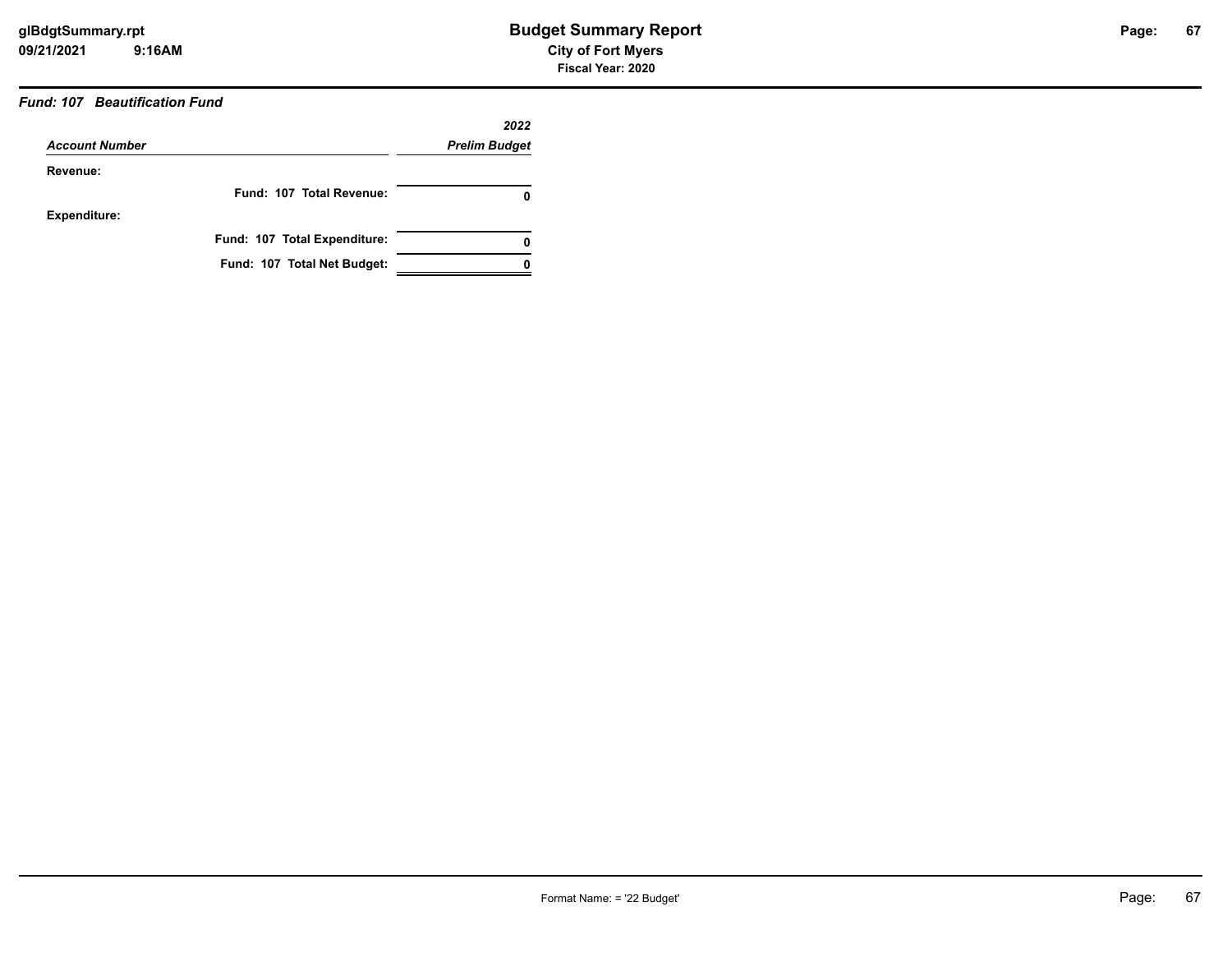# *Fund: 107 Beautification Fund*

|                       |                              | 2022                 |
|-----------------------|------------------------------|----------------------|
| <b>Account Number</b> |                              | <b>Prelim Budget</b> |
| Revenue:              |                              |                      |
|                       | Fund: 107 Total Revenue:     | O                    |
| <b>Expenditure:</b>   |                              |                      |
|                       | Fund: 107 Total Expenditure: | 0                    |
|                       | Fund: 107 Total Net Budget:  |                      |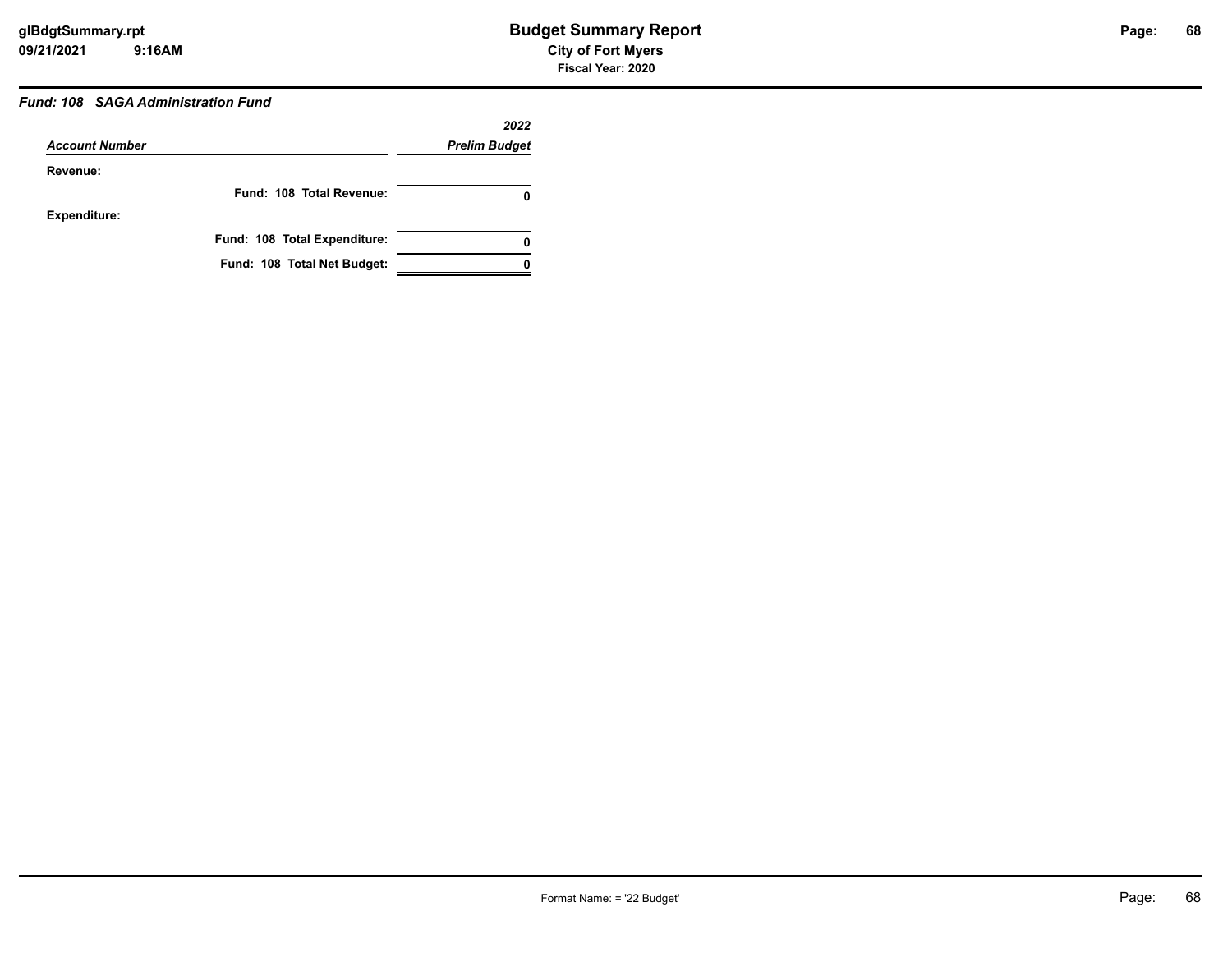# *Fund: 108 SAGA Administration Fund*

|                       |                              | 2022                 |
|-----------------------|------------------------------|----------------------|
| <b>Account Number</b> |                              | <b>Prelim Budget</b> |
| Revenue:              |                              |                      |
|                       | Fund: 108 Total Revenue:     | 0                    |
| <b>Expenditure:</b>   |                              |                      |
|                       | Fund: 108 Total Expenditure: | 0                    |
|                       | Fund: 108 Total Net Budget:  |                      |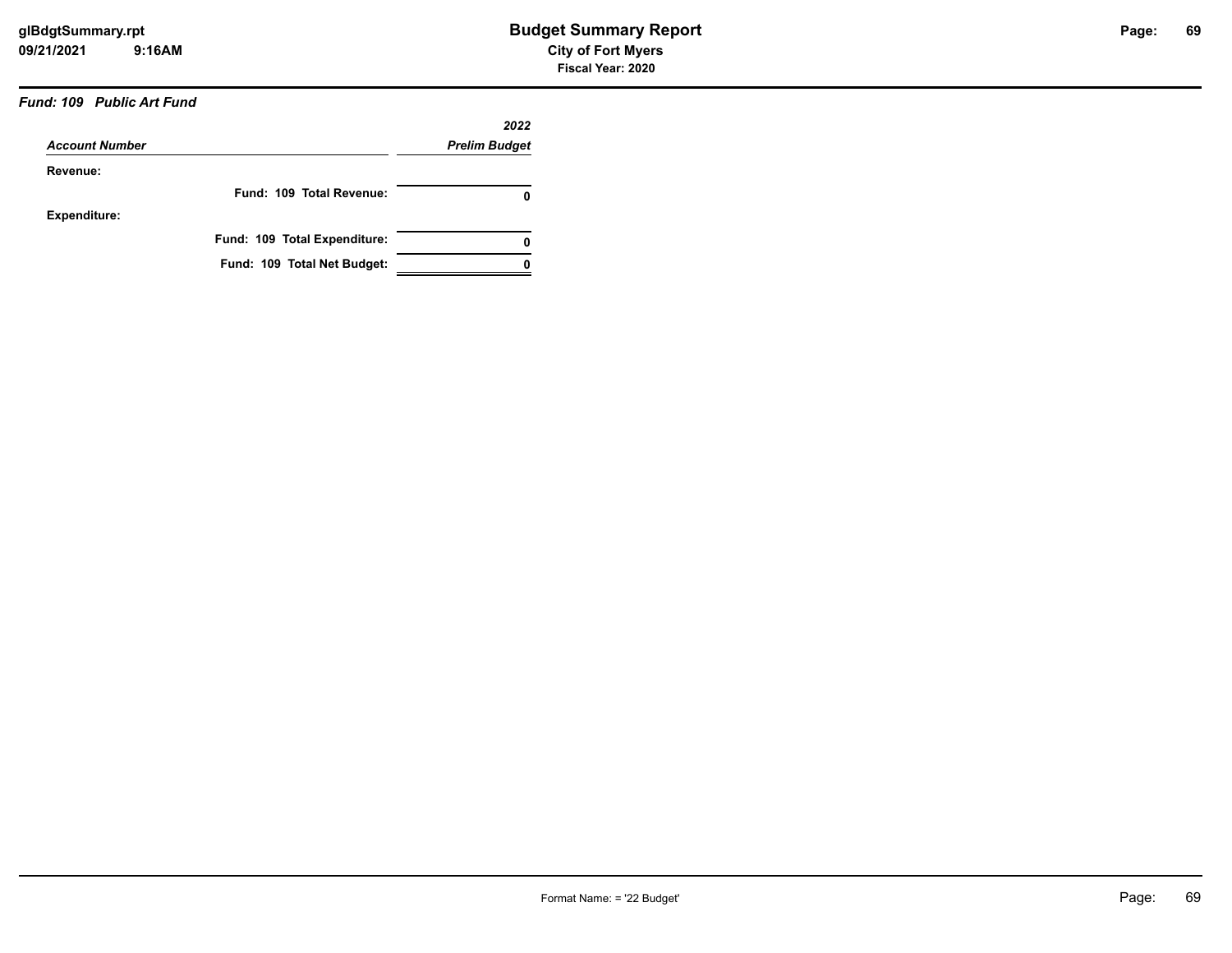# *Fund: 109 Public Art Fund*

|                       |                              | 2022                 |
|-----------------------|------------------------------|----------------------|
| <b>Account Number</b> |                              | <b>Prelim Budget</b> |
| Revenue:              |                              |                      |
|                       | Fund: 109 Total Revenue:     | 0                    |
| Expenditure:          |                              |                      |
|                       | Fund: 109 Total Expenditure: | 0                    |
|                       | Fund: 109 Total Net Budget:  |                      |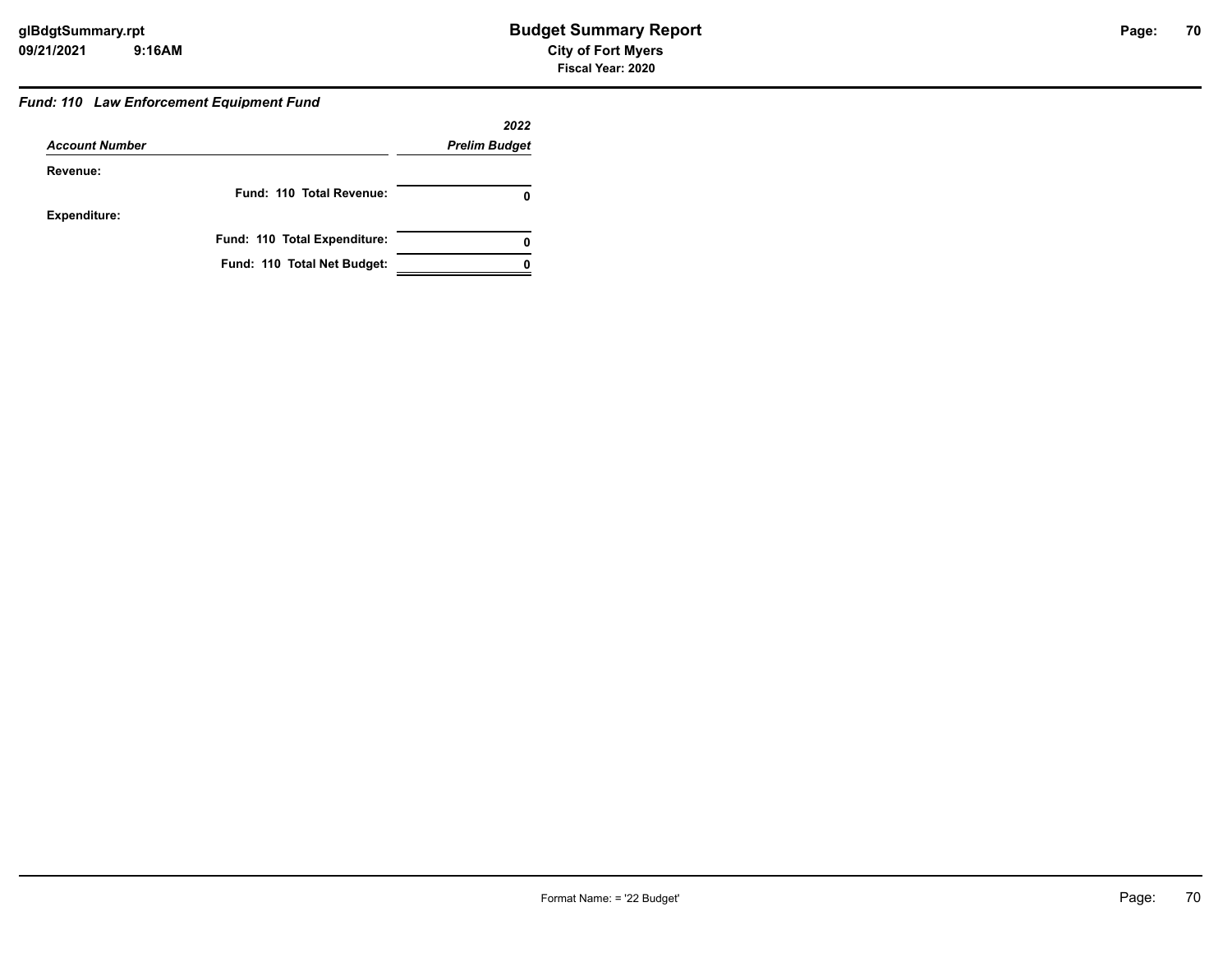#### *Fund: 110 Law Enforcement Equipment Fund*

|                       |                              | 2022                 |
|-----------------------|------------------------------|----------------------|
| <b>Account Number</b> |                              | <b>Prelim Budget</b> |
| Revenue:              |                              |                      |
|                       | Fund: 110 Total Revenue:     |                      |
| <b>Expenditure:</b>   |                              |                      |
|                       | Fund: 110 Total Expenditure: |                      |
|                       | Fund: 110 Total Net Budget:  |                      |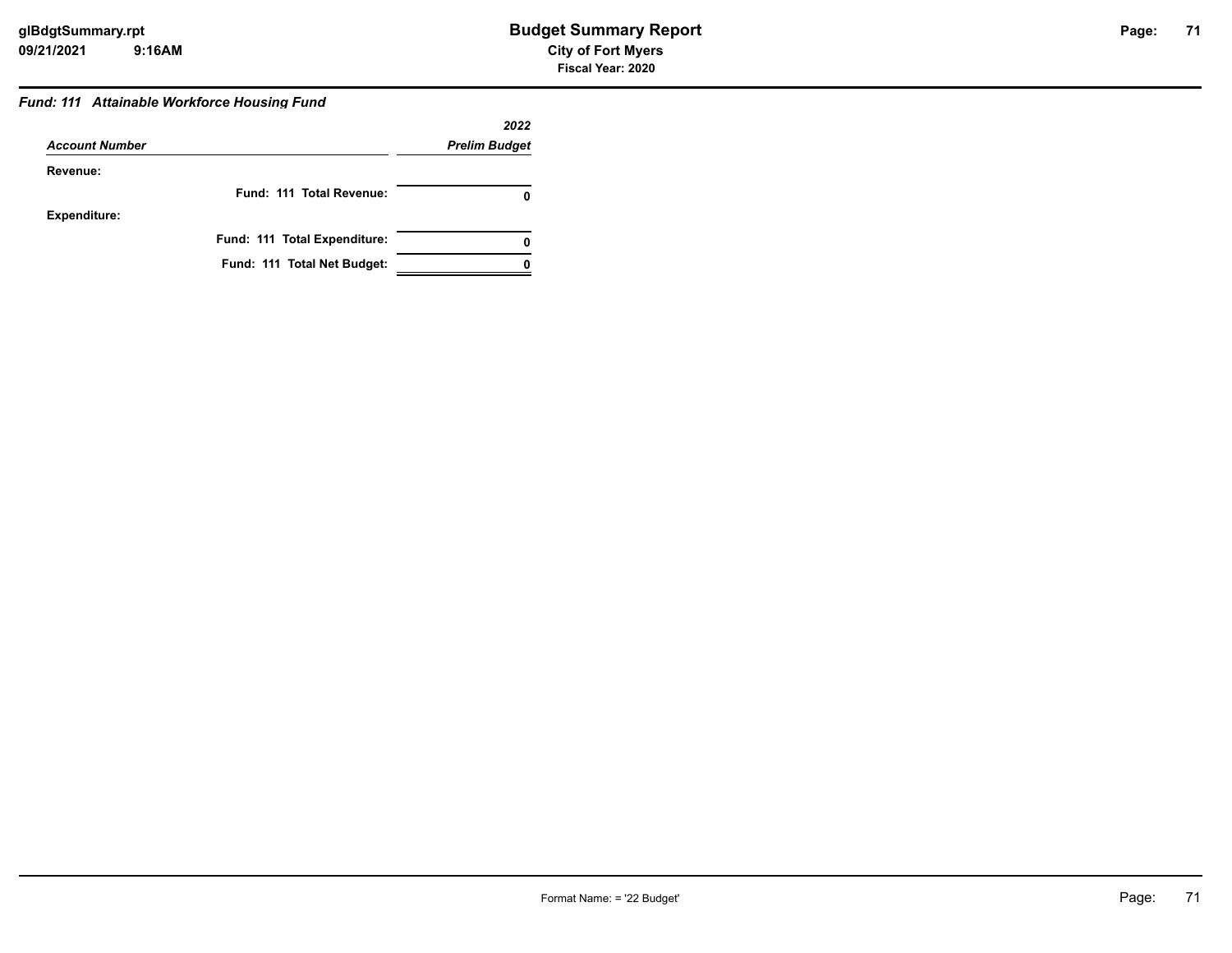# **71**

#### *Fund: 111 Attainable Workforce Housing Fund*

|                       |                              | 2022                 |
|-----------------------|------------------------------|----------------------|
| <b>Account Number</b> |                              | <b>Prelim Budget</b> |
| Revenue:              |                              |                      |
|                       | Fund: 111 Total Revenue:     | 0                    |
| <b>Expenditure:</b>   |                              |                      |
|                       | Fund: 111 Total Expenditure: | 0                    |
|                       | Fund: 111 Total Net Budget:  |                      |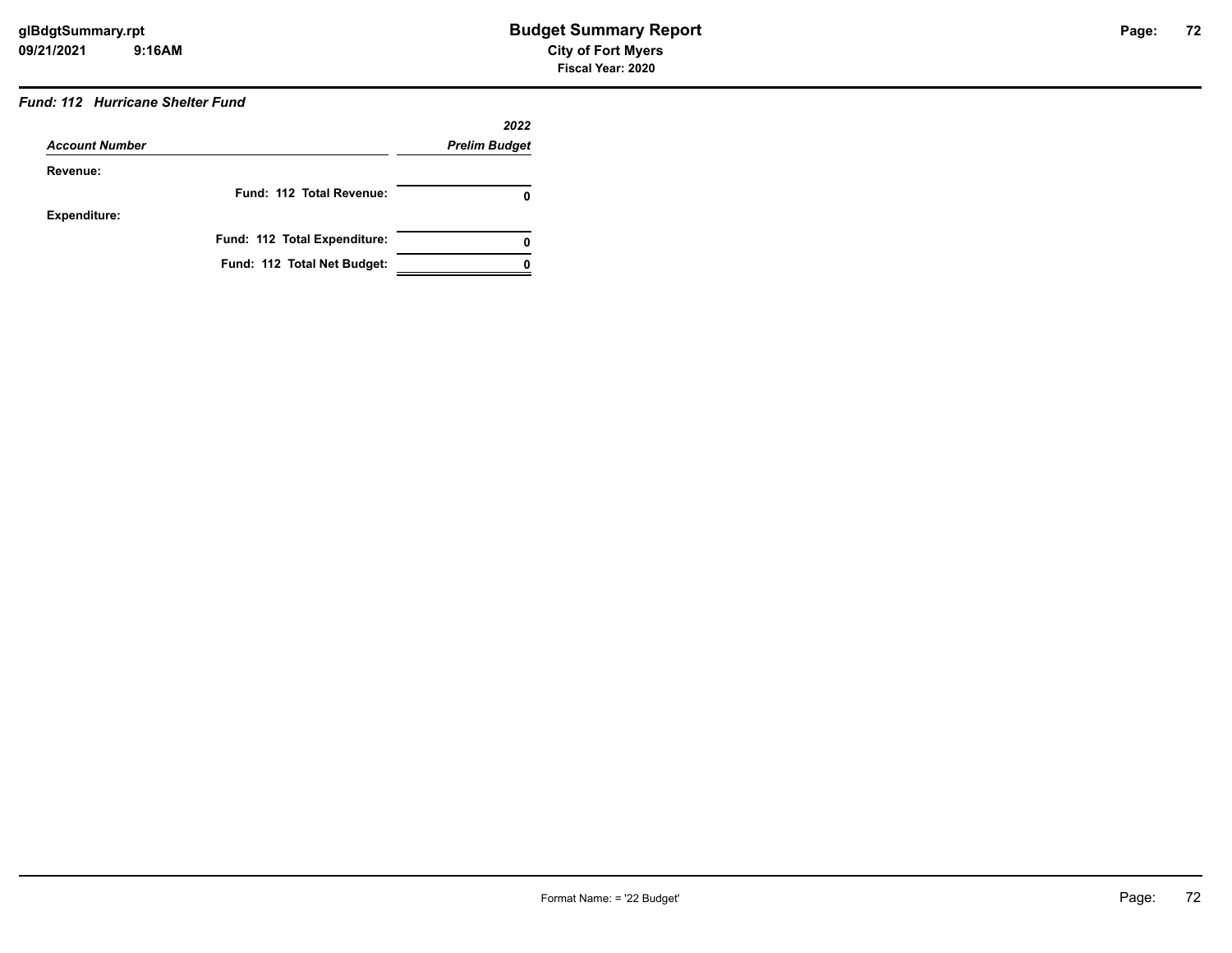# *Fund: 112 Hurricane Shelter Fund*

|                       |                              | 2022                 |
|-----------------------|------------------------------|----------------------|
| <b>Account Number</b> |                              | <b>Prelim Budget</b> |
| Revenue:              |                              |                      |
|                       | Fund: 112 Total Revenue:     | O                    |
| <b>Expenditure:</b>   |                              |                      |
|                       | Fund: 112 Total Expenditure: | 0                    |
|                       | Fund: 112 Total Net Budget:  |                      |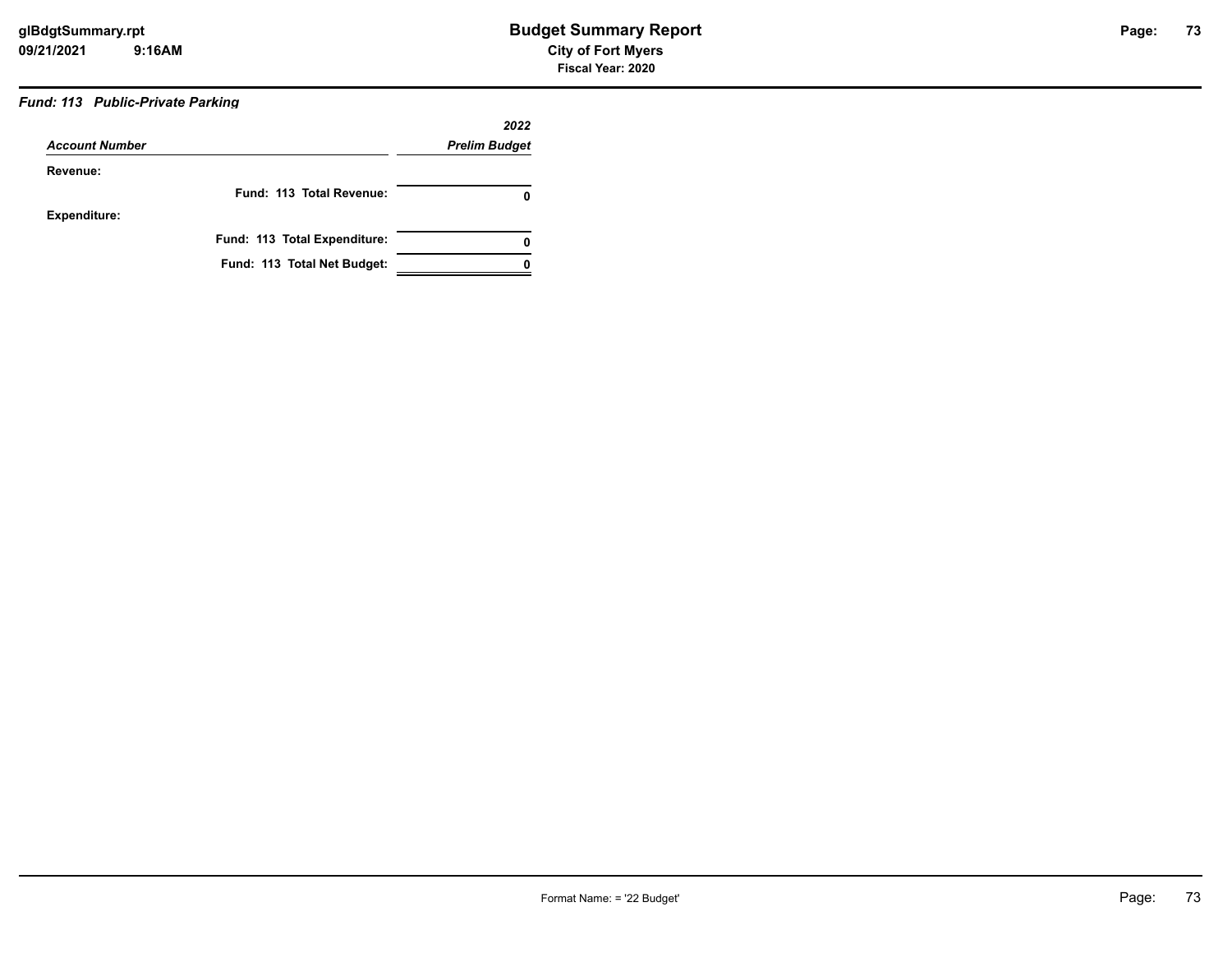# *Fund: 113 Public-Private Parking*

| <b>Account Number</b> |                              | 2022                 |
|-----------------------|------------------------------|----------------------|
|                       |                              | <b>Prelim Budget</b> |
| Revenue:              |                              |                      |
|                       | Fund: 113 Total Revenue:     | 0                    |
| Expenditure:          |                              |                      |
|                       | Fund: 113 Total Expenditure: | 0                    |
|                       | Fund: 113 Total Net Budget:  |                      |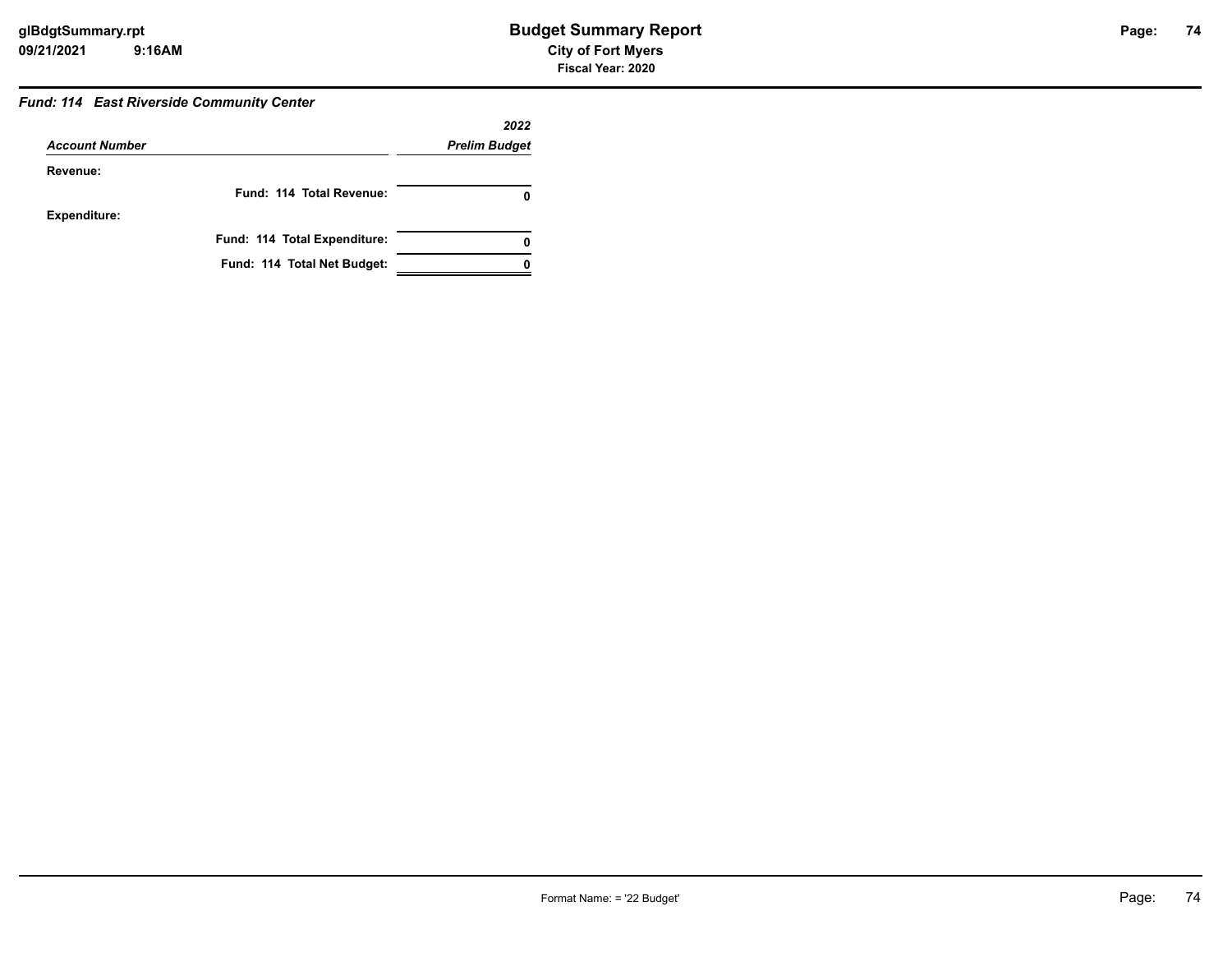### *Fund: 114 East Riverside Community Center*

|                       |                              | 2022                 |
|-----------------------|------------------------------|----------------------|
| <b>Account Number</b> |                              | <b>Prelim Budget</b> |
| Revenue:              |                              |                      |
|                       | Fund: 114 Total Revenue:     | 0                    |
| <b>Expenditure:</b>   |                              |                      |
|                       | Fund: 114 Total Expenditure: | 0                    |
|                       | Fund: 114 Total Net Budget:  |                      |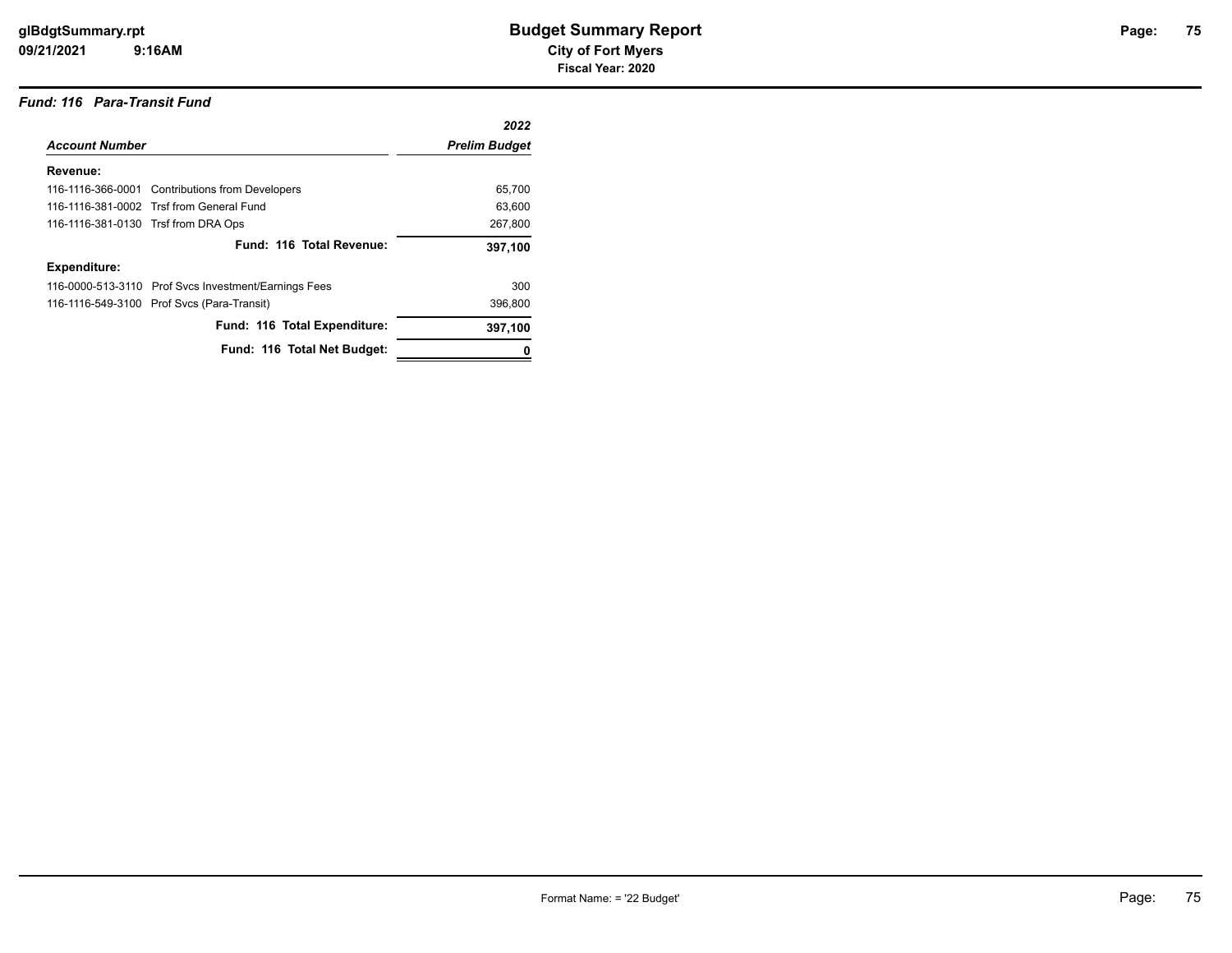#### *Fund: 116 Para-Transit Fund*

|                                     |                                                      | 2022                 |
|-------------------------------------|------------------------------------------------------|----------------------|
| <b>Account Number</b>               |                                                      | <b>Prelim Budget</b> |
| Revenue:                            |                                                      |                      |
|                                     | 116-1116-366-0001 Contributions from Developers      | 65,700               |
|                                     | 116-1116-381-0002 Trsf from General Fund             | 63,600               |
| 116-1116-381-0130 Trsf from DRA Ops |                                                      | 267,800              |
|                                     | Fund: 116 Total Revenue:                             | 397,100              |
| Expenditure:                        |                                                      |                      |
|                                     | 116-0000-513-3110 Prof Svcs Investment/Earnings Fees | 300                  |
|                                     | 116-1116-549-3100 Prof Svcs (Para-Transit)           | 396,800              |
|                                     | Fund: 116 Total Expenditure:                         | 397,100              |
|                                     | Fund: 116 Total Net Budget:                          |                      |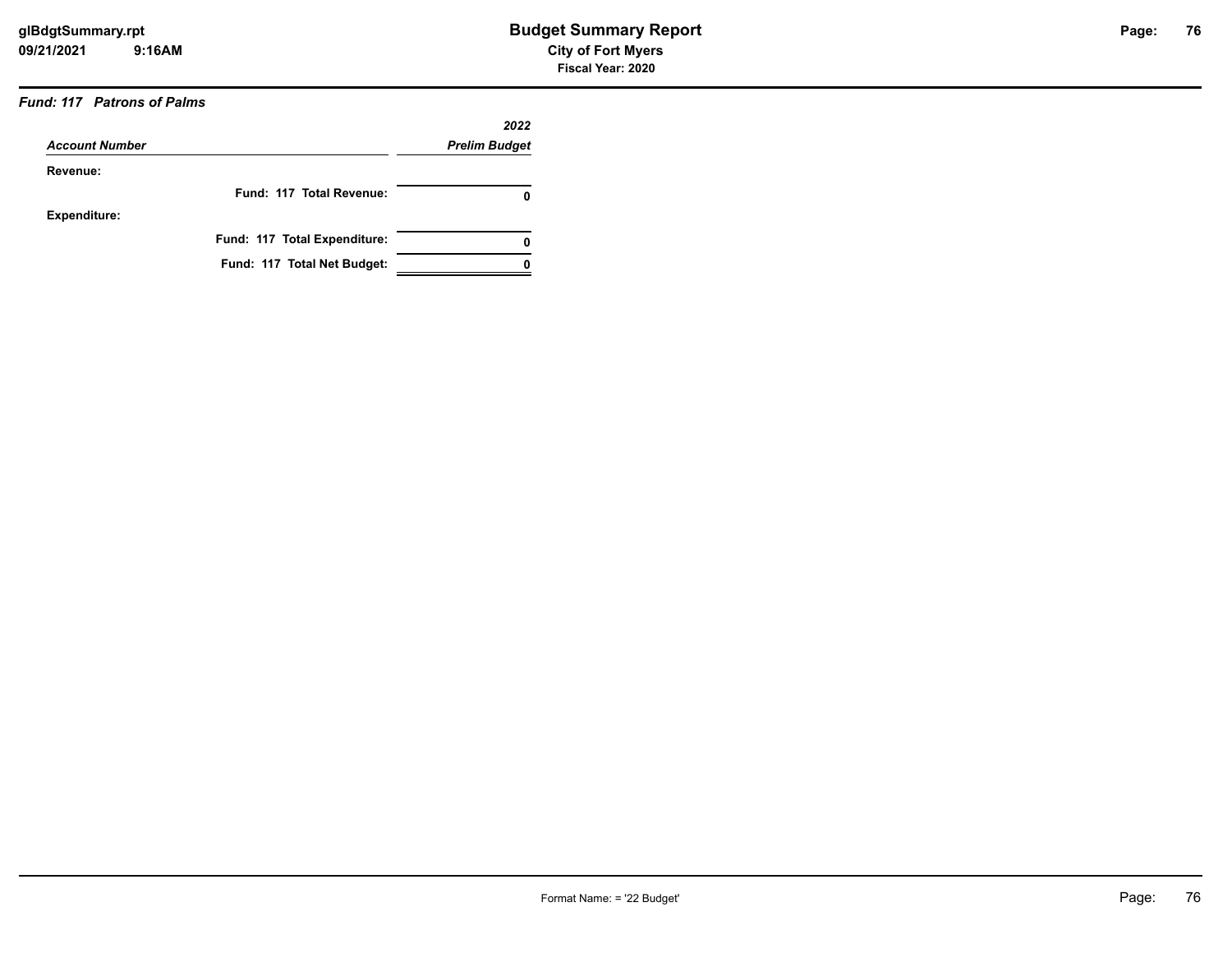### *Fund: 117 Patrons of Palms*

| <b>Account Number</b> |                              | 2022                 |  |
|-----------------------|------------------------------|----------------------|--|
|                       |                              | <b>Prelim Budget</b> |  |
| Revenue:              |                              |                      |  |
|                       | Fund: 117 Total Revenue:     | 0                    |  |
| <b>Expenditure:</b>   |                              |                      |  |
|                       | Fund: 117 Total Expenditure: | 0                    |  |
|                       | Fund: 117 Total Net Budget:  |                      |  |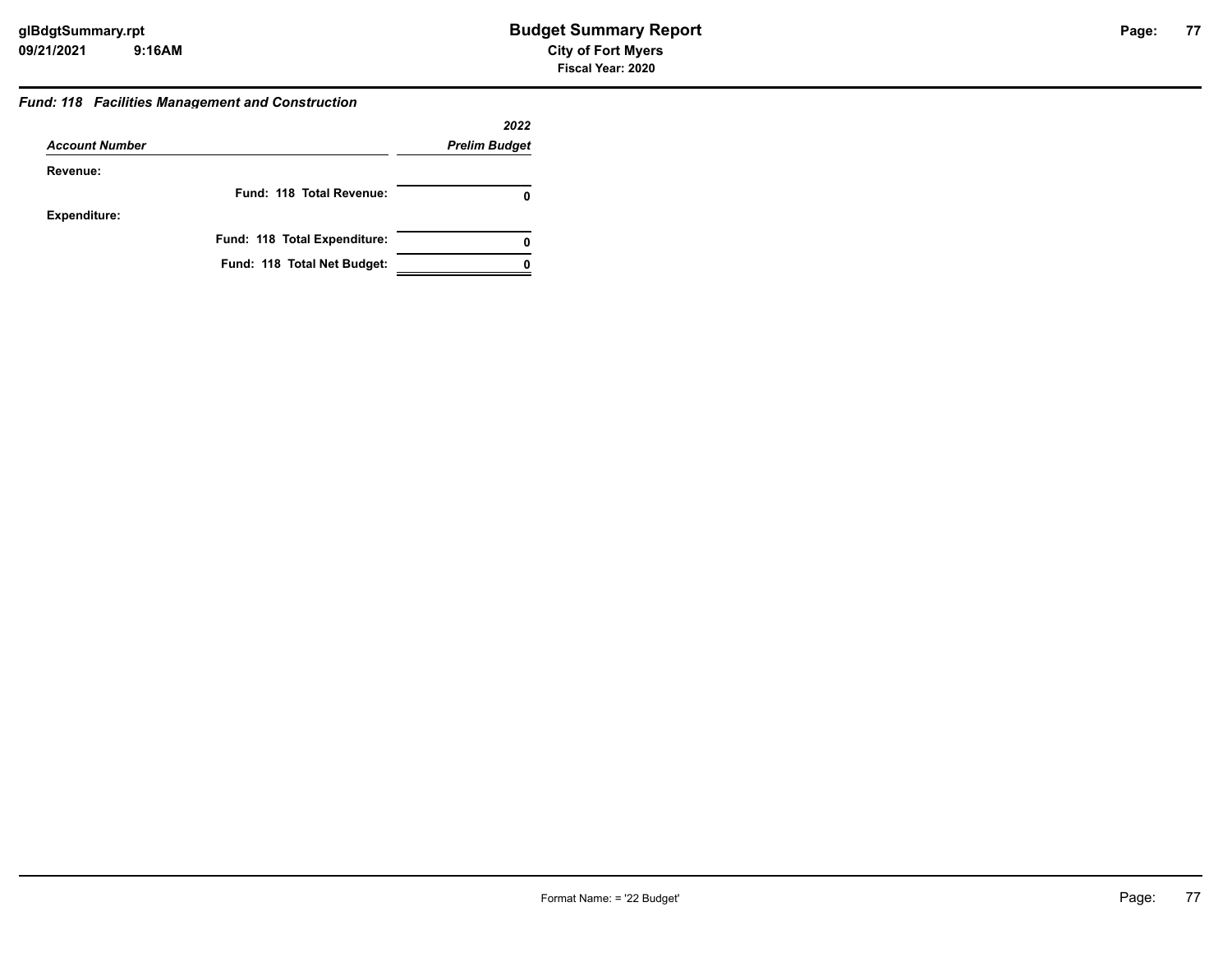#### *Fund: 118 Facilities Management and Construction*

|                       |                              | 2022                 |
|-----------------------|------------------------------|----------------------|
| <b>Account Number</b> |                              | <b>Prelim Budget</b> |
| Revenue:              |                              |                      |
|                       | Fund: 118 Total Revenue:     |                      |
| <b>Expenditure:</b>   |                              |                      |
|                       | Fund: 118 Total Expenditure: | 0                    |
|                       | Fund: 118 Total Net Budget:  |                      |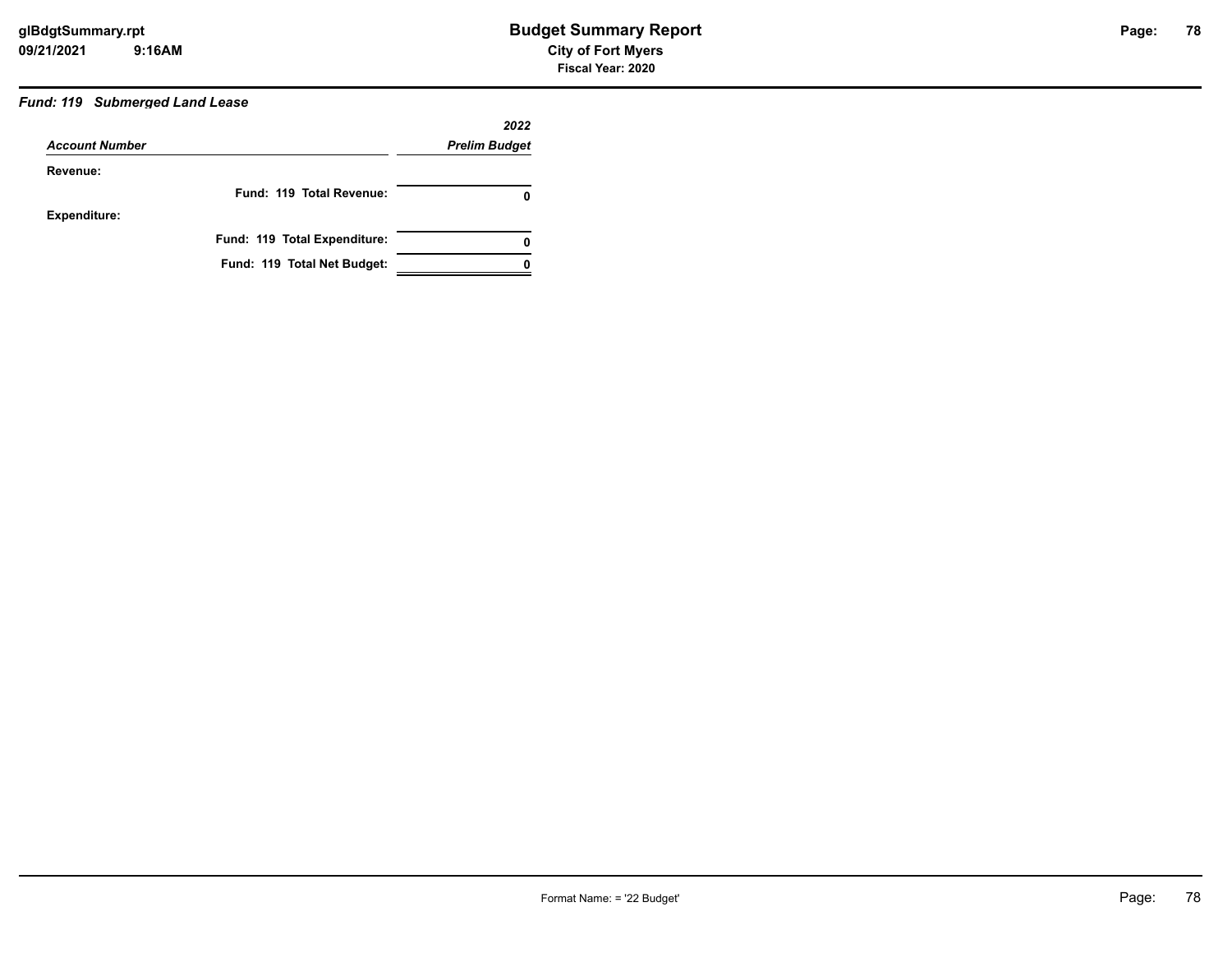### *Fund: 119 Submerged Land Lease*

|                       |                              | 2022                 |
|-----------------------|------------------------------|----------------------|
| <b>Account Number</b> |                              | <b>Prelim Budget</b> |
| Revenue:              |                              |                      |
|                       | Fund: 119 Total Revenue:     | 0                    |
| <b>Expenditure:</b>   |                              |                      |
|                       | Fund: 119 Total Expenditure: | 0                    |
|                       | Fund: 119 Total Net Budget:  |                      |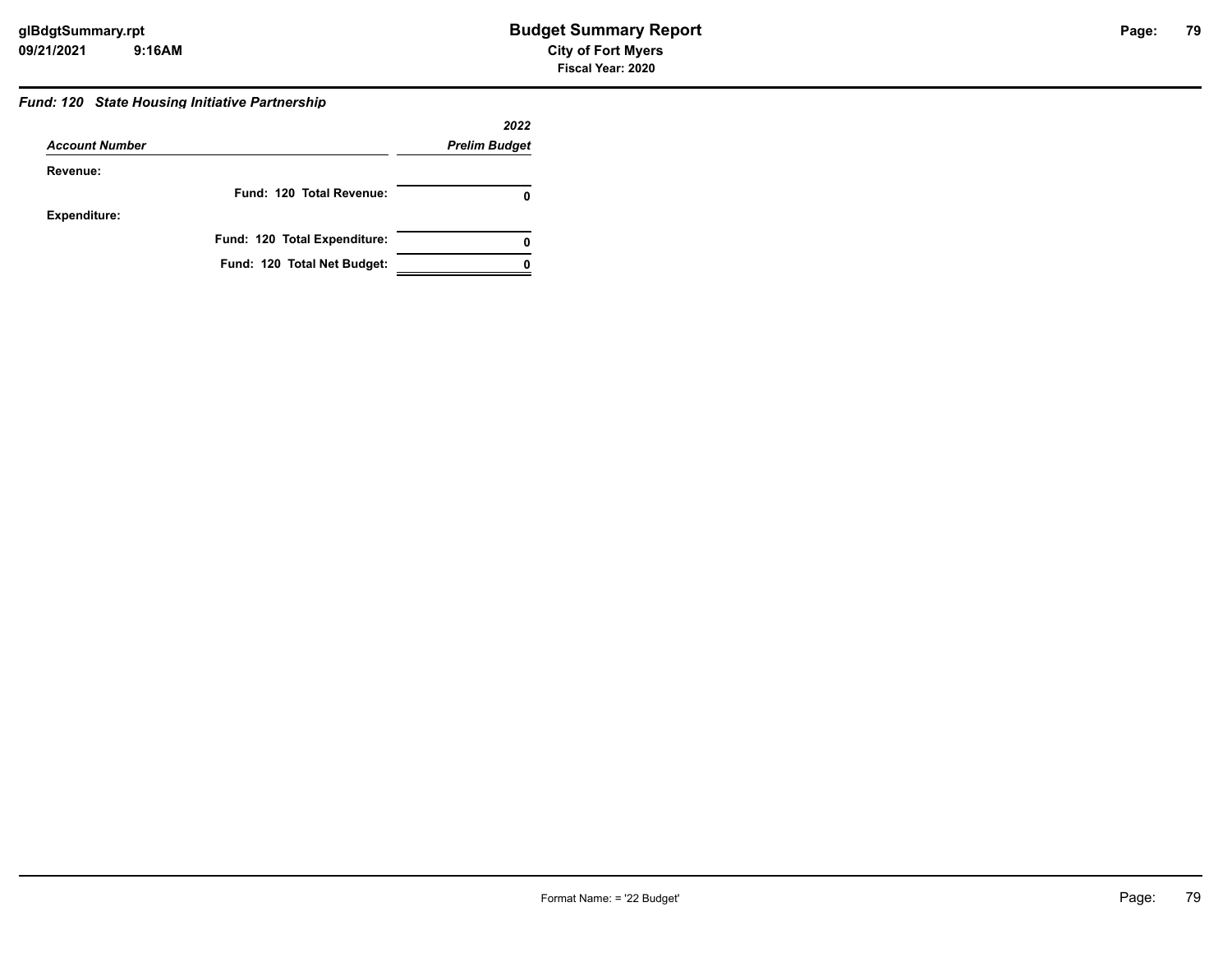#### *Fund: 120 State Housing Initiative Partnership*

|                       |                              | 2022                 |
|-----------------------|------------------------------|----------------------|
| <b>Account Number</b> |                              | <b>Prelim Budget</b> |
| Revenue:              |                              |                      |
|                       | Fund: 120 Total Revenue:     |                      |
| <b>Expenditure:</b>   |                              |                      |
|                       | Fund: 120 Total Expenditure: |                      |
|                       | Fund: 120 Total Net Budget:  |                      |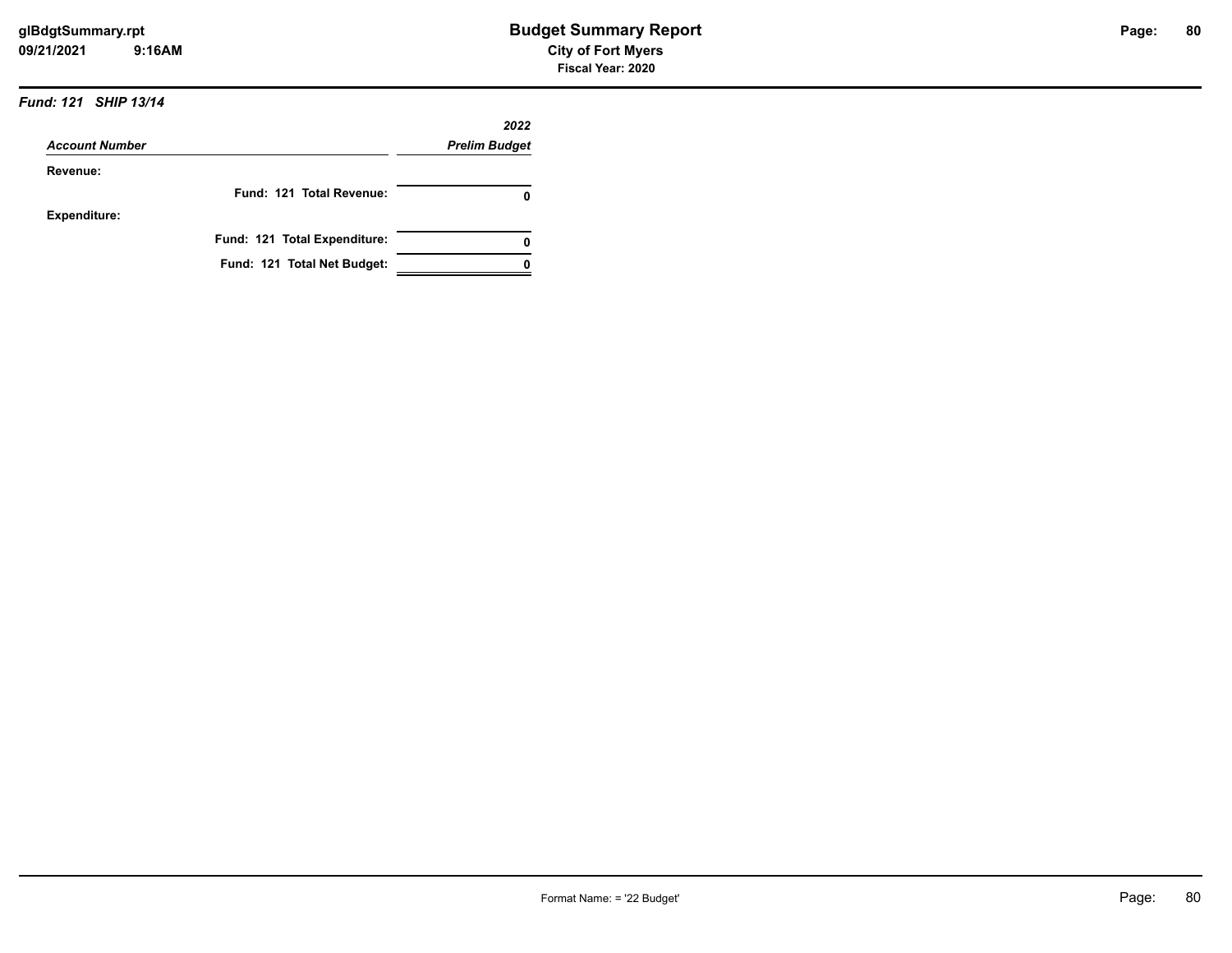#### *Fund: 121 SHIP 13/14*

|                       |                              | 2022                 |
|-----------------------|------------------------------|----------------------|
| <b>Account Number</b> |                              | <b>Prelim Budget</b> |
| Revenue:              |                              |                      |
|                       | Fund: 121 Total Revenue:     |                      |
| <b>Expenditure:</b>   |                              |                      |
|                       | Fund: 121 Total Expenditure: |                      |
|                       | Fund: 121 Total Net Budget:  |                      |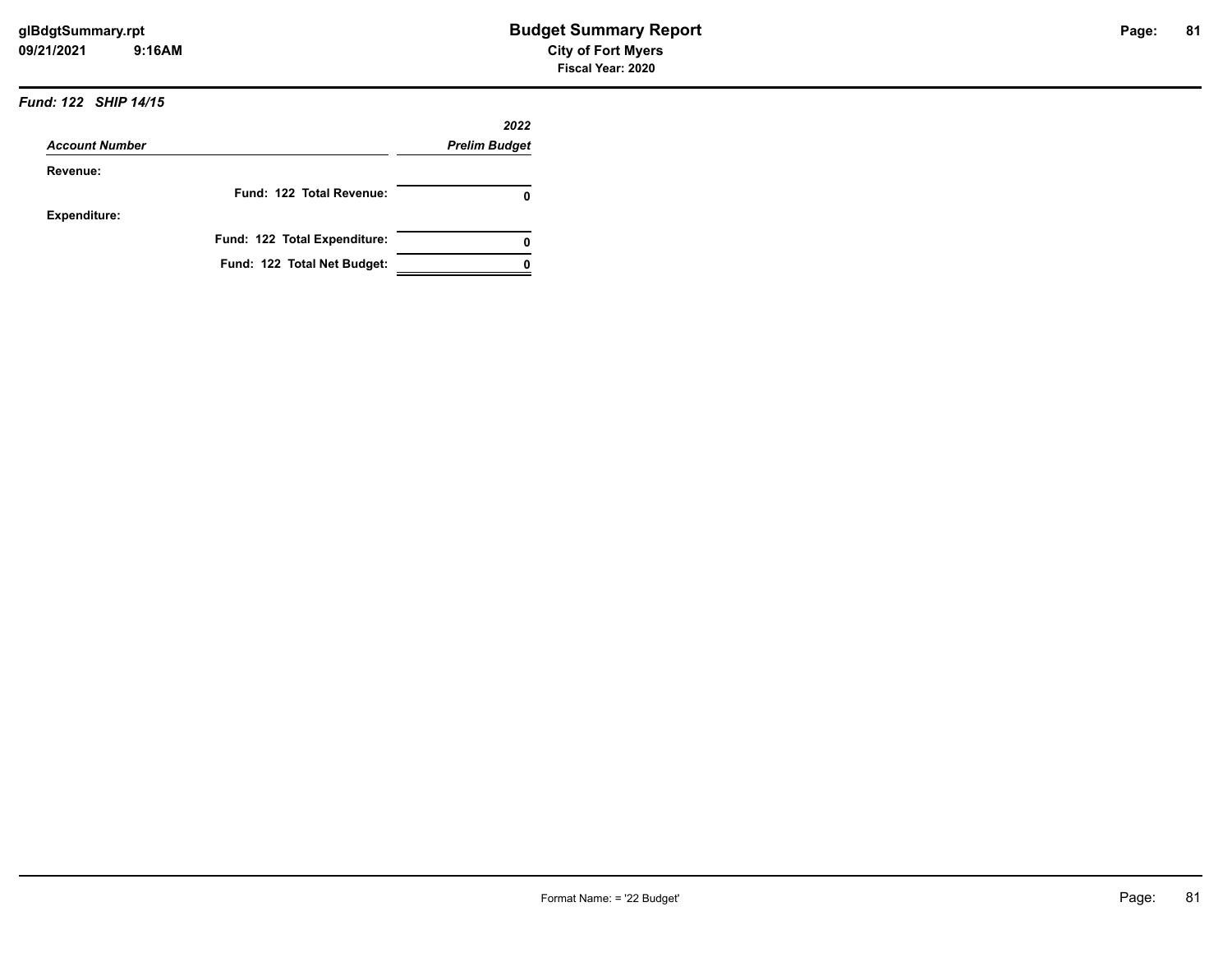#### *Fund: 122 SHIP 14/15*

|                       |                              | 2022                 |
|-----------------------|------------------------------|----------------------|
| <b>Account Number</b> |                              | <b>Prelim Budget</b> |
| Revenue:              |                              |                      |
|                       | Fund: 122 Total Revenue:     |                      |
| <b>Expenditure:</b>   |                              |                      |
|                       | Fund: 122 Total Expenditure: |                      |
|                       | Fund: 122 Total Net Budget:  |                      |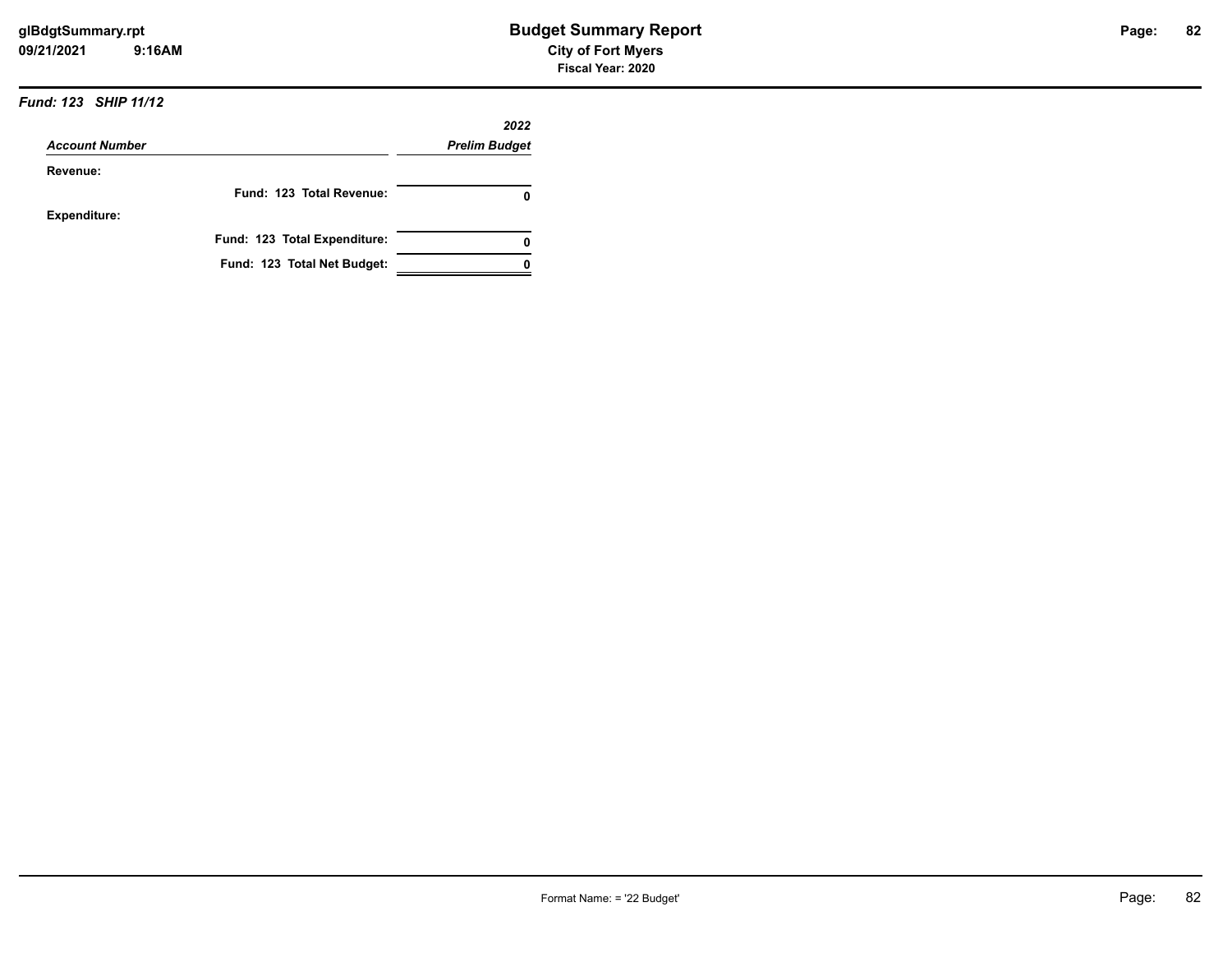#### *Fund: 123 SHIP 11/12*

|                       |                              | 2022                 |
|-----------------------|------------------------------|----------------------|
| <b>Account Number</b> |                              | <b>Prelim Budget</b> |
| Revenue:              |                              |                      |
|                       | Fund: 123 Total Revenue:     |                      |
| <b>Expenditure:</b>   |                              |                      |
|                       | Fund: 123 Total Expenditure: |                      |
|                       | Fund: 123 Total Net Budget:  |                      |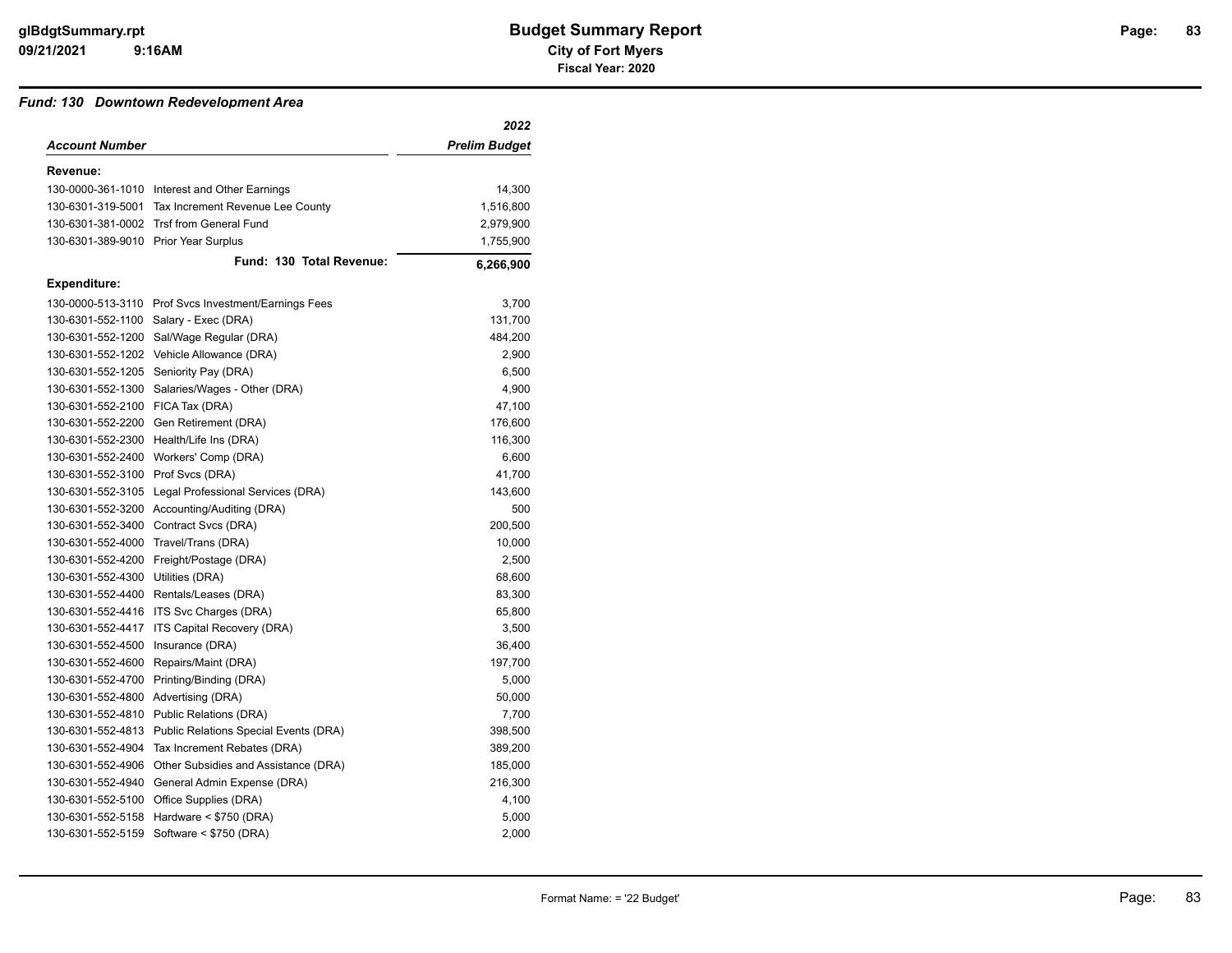#### *Fund: 130 Downtown Redevelopment Area*

|                                      |                                                         | 2022          |
|--------------------------------------|---------------------------------------------------------|---------------|
| <b>Account Number</b>                |                                                         | Prelim Budget |
| Revenue:                             |                                                         |               |
|                                      | 130-0000-361-1010 Interest and Other Earnings           | 14,300        |
| 130-6301-319-5001                    | Tax Increment Revenue Lee County                        | 1,516,800     |
|                                      | 130-6301-381-0002 Trsf from General Fund                | 2,979,900     |
| 130-6301-389-9010 Prior Year Surplus |                                                         | 1,755,900     |
|                                      | Fund: 130 Total Revenue:                                | 6,266,900     |
| <b>Expenditure:</b>                  |                                                         |               |
|                                      | 130-0000-513-3110 Prof Svcs Investment/Earnings Fees    | 3,700         |
|                                      | 130-6301-552-1100 Salary - Exec (DRA)                   | 131,700       |
|                                      | 130-6301-552-1200 Sal/Wage Regular (DRA)                | 484,200       |
|                                      | 130-6301-552-1202 Vehicle Allowance (DRA)               | 2,900         |
|                                      | 130-6301-552-1205 Seniority Pay (DRA)                   | 6,500         |
|                                      | 130-6301-552-1300 Salaries/Wages - Other (DRA)          | 4,900         |
| 130-6301-552-2100 FICA Tax (DRA)     |                                                         | 47,100        |
| 130-6301-552-2200                    | Gen Retirement (DRA)                                    | 176,600       |
|                                      | 130-6301-552-2300 Health/Life Ins (DRA)                 | 116,300       |
|                                      | 130-6301-552-2400 Workers' Comp (DRA)                   | 6,600         |
| 130-6301-552-3100 Prof Svcs (DRA)    |                                                         | 41,700        |
| 130-6301-552-3105                    | Legal Professional Services (DRA)                       | 143,600       |
|                                      | 130-6301-552-3200 Accounting/Auditing (DRA)             | 500           |
|                                      | 130-6301-552-3400 Contract Svcs (DRA)                   | 200,500       |
| 130-6301-552-4000                    | Travel/Trans (DRA)                                      | 10,000        |
| 130-6301-552-4200                    | Freight/Postage (DRA)                                   | 2,500         |
| 130-6301-552-4300 Utilities (DRA)    |                                                         | 68,600        |
|                                      | 130-6301-552-4400 Rentals/Leases (DRA)                  | 83,300        |
|                                      | 130-6301-552-4416 ITS Svc Charges (DRA)                 | 65,800        |
| 130-6301-552-4417                    | ITS Capital Recovery (DRA)                              | 3,500         |
| 130-6301-552-4500                    | Insurance (DRA)                                         | 36,400        |
| 130-6301-552-4600                    | Repairs/Maint (DRA)                                     | 197,700       |
| 130-6301-552-4700                    | Printing/Binding (DRA)                                  | 5,000         |
| 130-6301-552-4800                    | Advertising (DRA)                                       | 50,000        |
| 130-6301-552-4810                    | Public Relations (DRA)                                  | 7,700         |
|                                      | 130-6301-552-4813 Public Relations Special Events (DRA) | 398,500       |
| 130-6301-552-4904                    | Tax Increment Rebates (DRA)                             | 389,200       |
|                                      | 130-6301-552-4906 Other Subsidies and Assistance (DRA)  | 185,000       |
| 130-6301-552-4940                    | General Admin Expense (DRA)                             | 216,300       |
|                                      | 130-6301-552-5100 Office Supplies (DRA)                 | 4,100         |
| 130-6301-552-5158                    | Hardware $<$ \$750 (DRA)                                | 5,000         |
|                                      | 130-6301-552-5159 Software < \$750 (DRA)                | 2,000         |
|                                      |                                                         |               |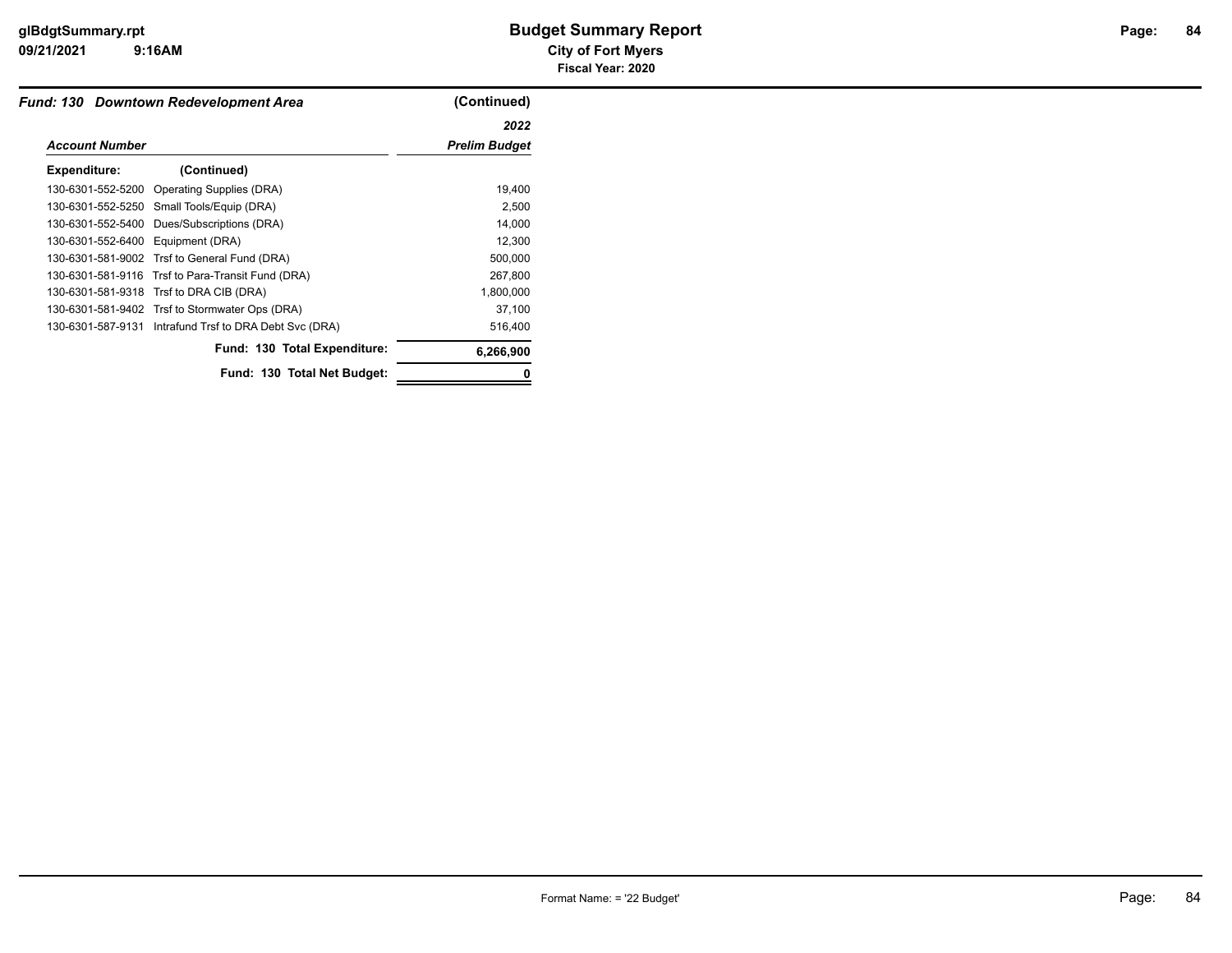# **9:16AM**

| Fund: 130 Downtown Redevelopment Area |                                                        | (Continued)          |
|---------------------------------------|--------------------------------------------------------|----------------------|
|                                       |                                                        | 2022                 |
| <b>Account Number</b>                 |                                                        | <b>Prelim Budget</b> |
| Expenditure:                          | (Continued)                                            |                      |
|                                       | 130-6301-552-5200 Operating Supplies (DRA)             | 19,400               |
|                                       | 130-6301-552-5250 Small Tools/Equip (DRA)              | 2,500                |
| 130-6301-552-5400                     | Dues/Subscriptions (DRA)                               | 14,000               |
| 130-6301-552-6400 Equipment (DRA)     |                                                        | 12,300               |
|                                       | 130-6301-581-9002 Trsf to General Fund (DRA)           | 500,000              |
|                                       | 130-6301-581-9116 Trsf to Para-Transit Fund (DRA)      | 267,800              |
|                                       | 130-6301-581-9318 Trsf to DRA CIB (DRA)                | 1,800,000            |
|                                       | 130-6301-581-9402 Trsf to Stormwater Ops (DRA)         | 37,100               |
|                                       | 130-6301-587-9131 Intrafund Trsf to DRA Debt Svc (DRA) | 516,400              |
|                                       | Fund: 130 Total Expenditure:                           | 6,266,900            |
|                                       | Fund: 130 Total Net Budget:                            | 0                    |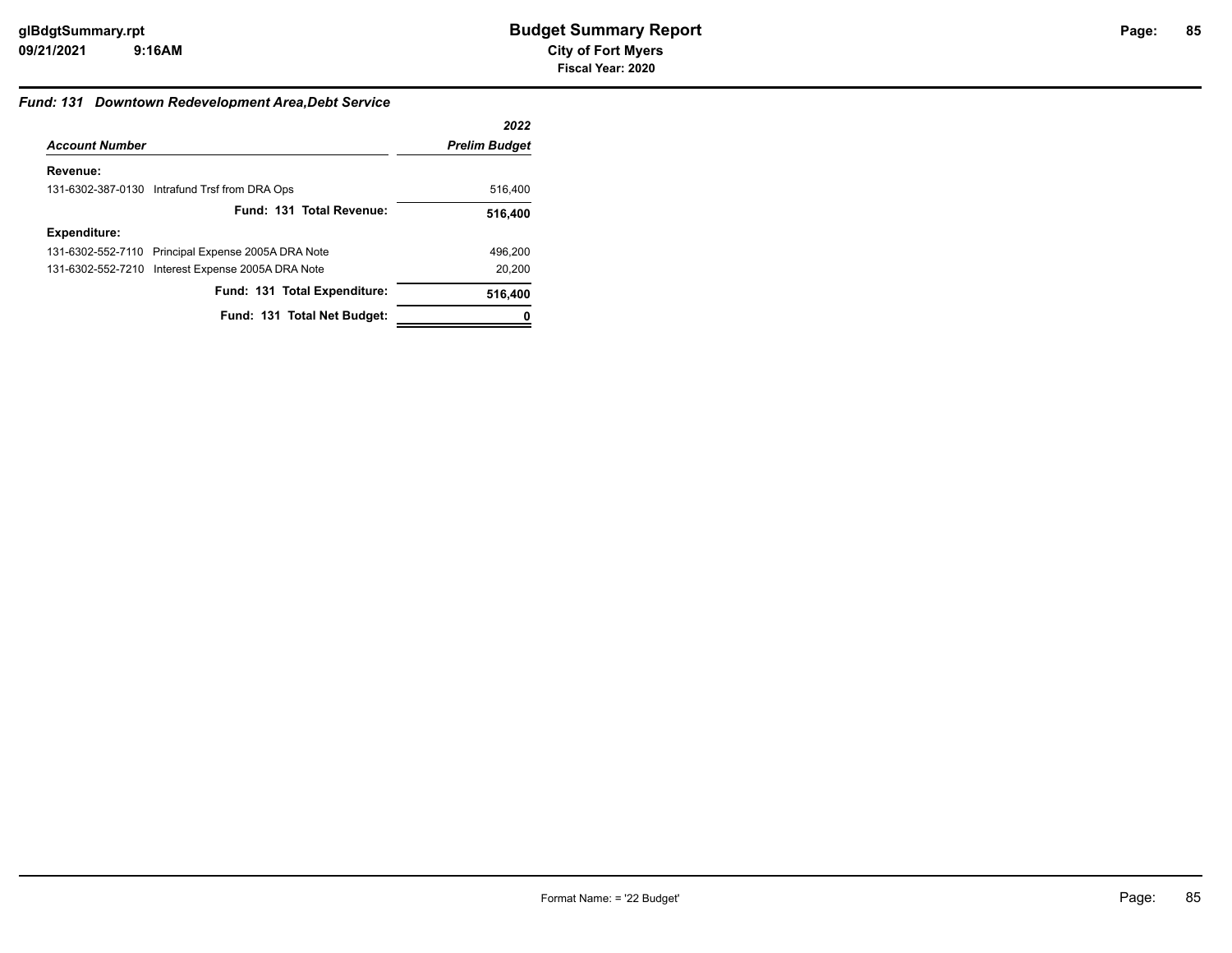# **85**

#### *Fund: 131 Downtown Redevelopment Area,Debt Service*

|                       |                                                    | 2022                 |
|-----------------------|----------------------------------------------------|----------------------|
| <b>Account Number</b> |                                                    | <b>Prelim Budget</b> |
| Revenue:              |                                                    |                      |
|                       | 131-6302-387-0130 Intrafund Trsf from DRA Ops      | 516,400              |
|                       | Fund: 131 Total Revenue:                           | 516,400              |
| <b>Expenditure:</b>   |                                                    |                      |
|                       | 131-6302-552-7110 Principal Expense 2005A DRA Note | 496.200              |
|                       | 131-6302-552-7210 Interest Expense 2005A DRA Note  | 20,200               |
|                       | Fund: 131 Total Expenditure:                       | 516,400              |
|                       | Fund: 131 Total Net Budget:                        |                      |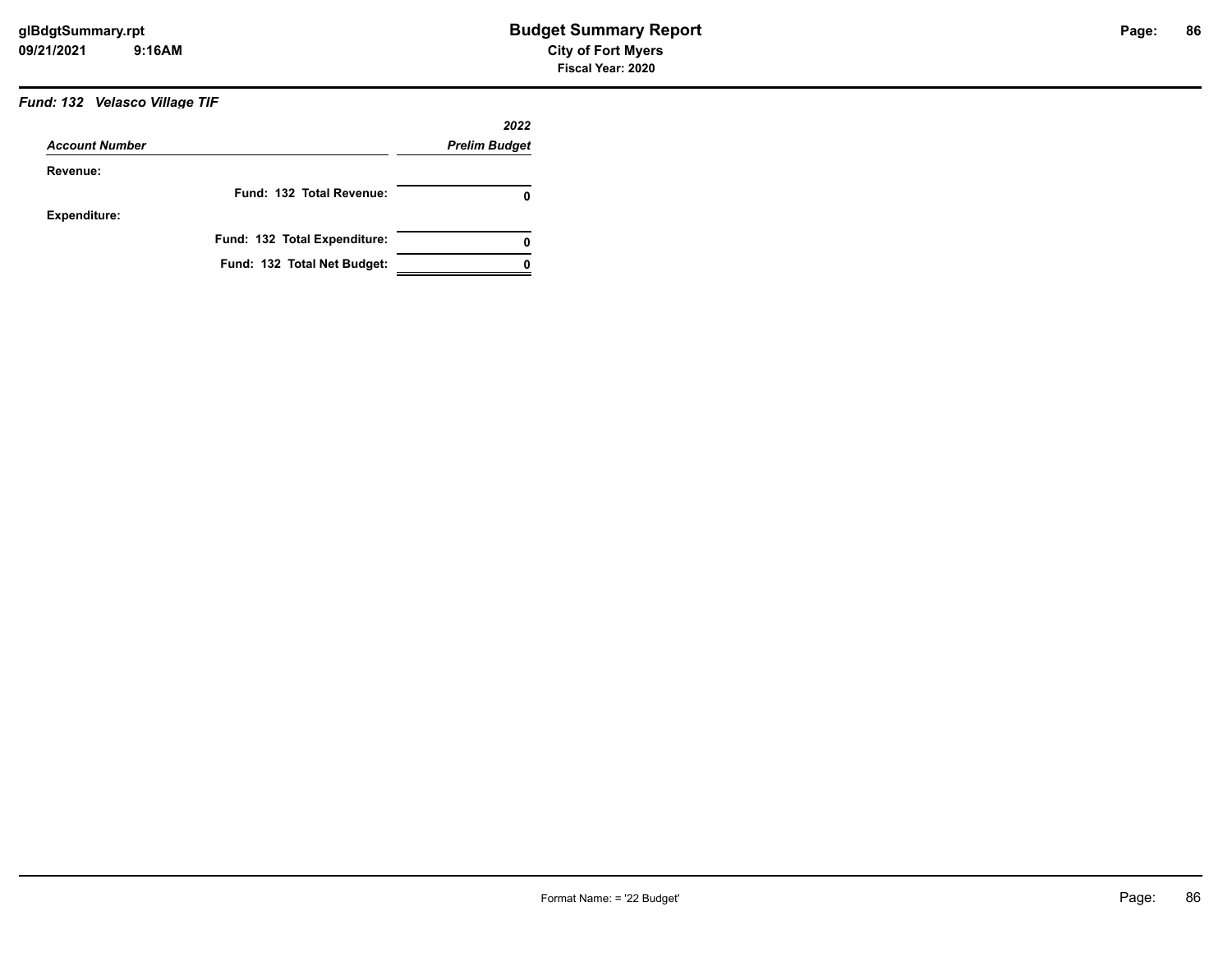## *Fund: 132 Velasco Village TIF*

|                       |                              | 2022                 |
|-----------------------|------------------------------|----------------------|
| <b>Account Number</b> |                              | <b>Prelim Budget</b> |
| Revenue:              |                              |                      |
|                       | Fund: 132 Total Revenue:     | 0                    |
| <b>Expenditure:</b>   |                              |                      |
|                       | Fund: 132 Total Expenditure: | 0                    |
|                       | Fund: 132 Total Net Budget:  |                      |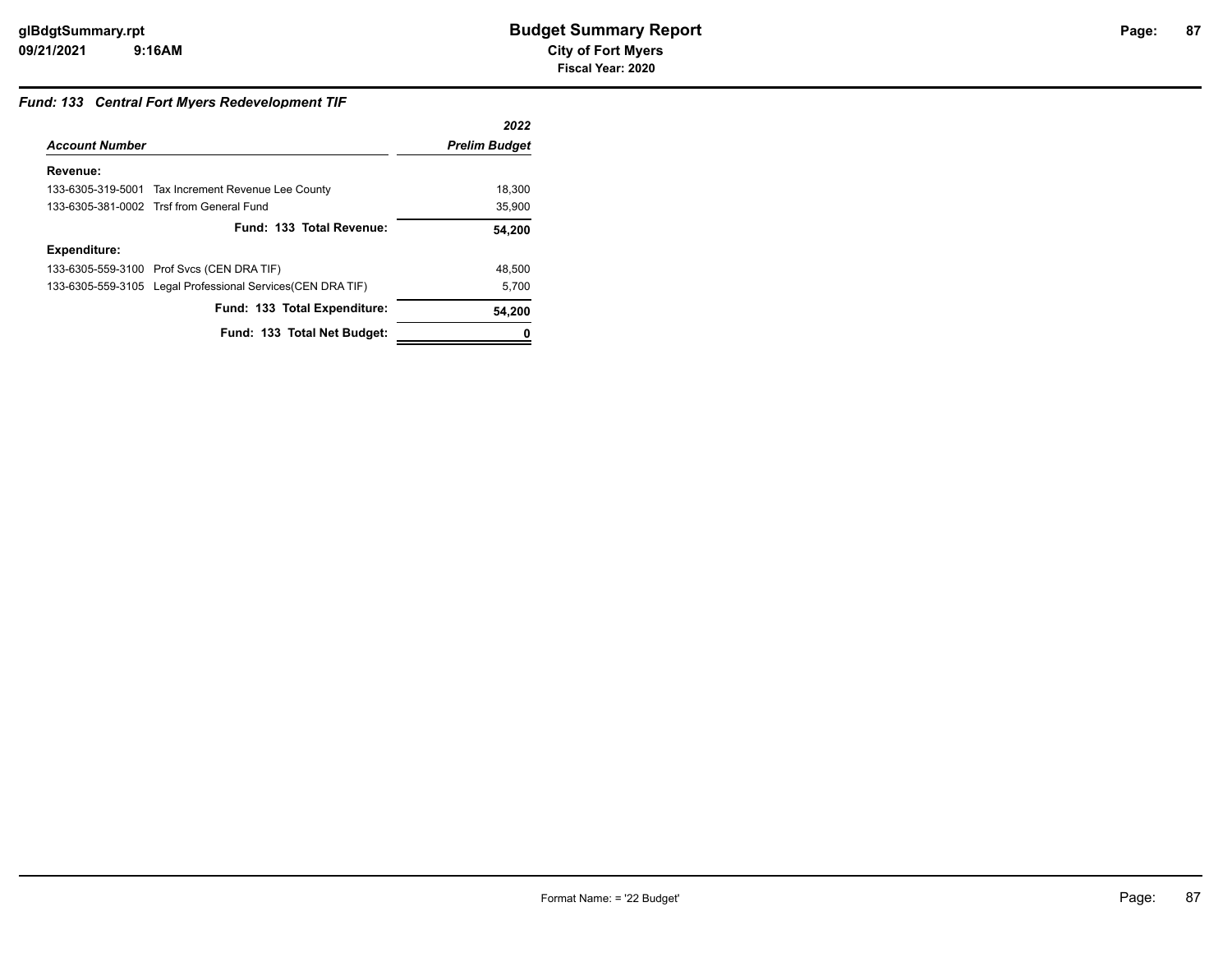### *Fund: 133 Central Fort Myers Redevelopment TIF*

|                       |                                                             | 2022                 |
|-----------------------|-------------------------------------------------------------|----------------------|
| <b>Account Number</b> |                                                             | <b>Prelim Budget</b> |
| Revenue:              |                                                             |                      |
|                       | 133-6305-319-5001 Tax Increment Revenue Lee County          | 18,300               |
|                       | 133-6305-381-0002 Trsf from General Fund                    | 35.900               |
|                       | Fund: 133 Total Revenue:                                    | 54,200               |
| <b>Expenditure:</b>   |                                                             |                      |
|                       | 133-6305-559-3100 Prof Svcs (CEN DRA TIF)                   | 48,500               |
|                       | 133-6305-559-3105 Legal Professional Services (CEN DRA TIF) | 5,700                |
|                       | Fund: 133 Total Expenditure:                                | 54,200               |
|                       | Fund: 133 Total Net Budget:                                 |                      |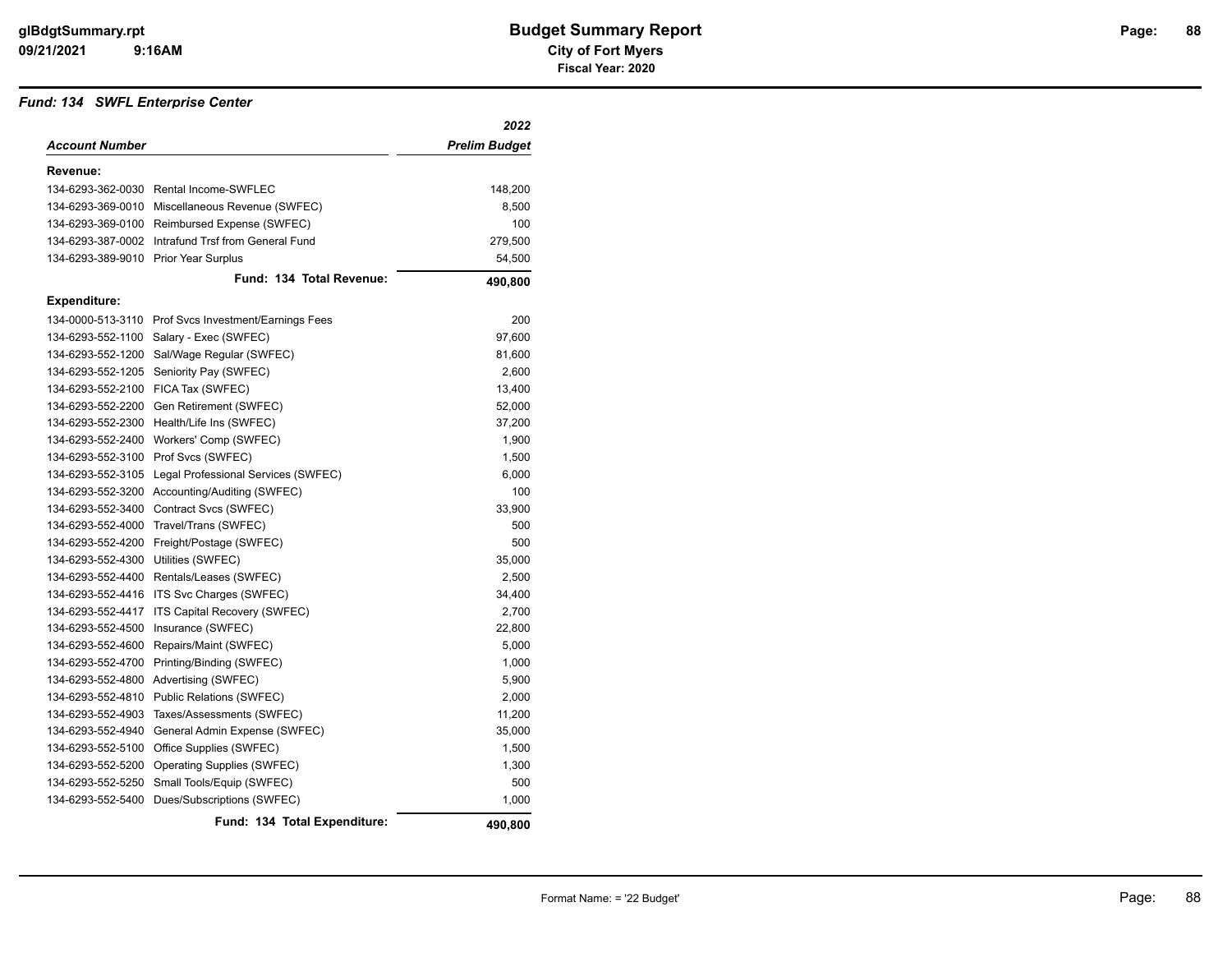#### *Fund: 134 SWFL Enterprise Center*

|                       |                                        | 2022                 |
|-----------------------|----------------------------------------|----------------------|
| <b>Account Number</b> |                                        | <b>Prelim Budget</b> |
| Revenue:              |                                        |                      |
|                       | 134-6293-362-0030 Rental Income-SWFLEC | 148,200              |
| 134-6293-369-0010     | Miscellaneous Revenue (SWFEC)          | 8,500                |
| 134-6293-369-0100     | Reimbursed Expense (SWFEC)             | 100                  |
| 134-6293-387-0002     | Intrafund Trsf from General Fund       | 279,500              |
| 134-6293-389-9010     | <b>Prior Year Surplus</b>              | 54,500               |
|                       | Fund: 134 Total Revenue:               | 490,800              |
| <b>Expenditure:</b>   |                                        |                      |
| 134-0000-513-3110     | Prof Svcs Investment/Earnings Fees     | 200                  |
| 134-6293-552-1100     | Salary - Exec (SWFEC)                  | 97,600               |
| 134-6293-552-1200     | Sal/Wage Regular (SWFEC)               | 81,600               |
| 134-6293-552-1205     | Seniority Pay (SWFEC)                  | 2,600                |
| 134-6293-552-2100     | FICA Tax (SWFEC)                       | 13,400               |
| 134-6293-552-2200     | Gen Retirement (SWFEC)                 | 52,000               |
| 134-6293-552-2300     | Health/Life Ins (SWFEC)                | 37,200               |
| 134-6293-552-2400     | Workers' Comp (SWFEC)                  | 1,900                |
| 134-6293-552-3100     | Prof Svcs (SWFEC)                      | 1,500                |
| 134-6293-552-3105     | Legal Professional Services (SWFEC)    | 6,000                |
| 134-6293-552-3200     | Accounting/Auditing (SWFEC)            | 100                  |
| 134-6293-552-3400     | Contract Svcs (SWFEC)                  | 33,900               |
| 134-6293-552-4000     | Travel/Trans (SWFEC)                   | 500                  |
| 134-6293-552-4200     | Freight/Postage (SWFEC)                | 500                  |
| 134-6293-552-4300     | Utilities (SWFEC)                      | 35,000               |
| 134-6293-552-4400     | Rentals/Leases (SWFEC)                 | 2,500                |
| 134-6293-552-4416     | ITS Svc Charges (SWFEC)                | 34,400               |
| 134-6293-552-4417     | ITS Capital Recovery (SWFEC)           | 2,700                |
| 134-6293-552-4500     | Insurance (SWFEC)                      | 22,800               |
| 134-6293-552-4600     | Repairs/Maint (SWFEC)                  | 5,000                |
| 134-6293-552-4700     | Printing/Binding (SWFEC)               | 1,000                |
| 134-6293-552-4800     | Advertising (SWFEC)                    | 5,900                |
| 134-6293-552-4810     | Public Relations (SWFEC)               | 2,000                |
| 134-6293-552-4903     | Taxes/Assessments (SWFEC)              | 11,200               |
| 134-6293-552-4940     | General Admin Expense (SWFEC)          | 35,000               |
| 134-6293-552-5100     | Office Supplies (SWFEC)                | 1,500                |
| 134-6293-552-5200     | Operating Supplies (SWFEC)             | 1,300                |
| 134-6293-552-5250     | Small Tools/Equip (SWFEC)              | 500                  |
| 134-6293-552-5400     | Dues/Subscriptions (SWFEC)             | 1,000                |
|                       | Fund: 134 Total Expenditure:           | 490,800              |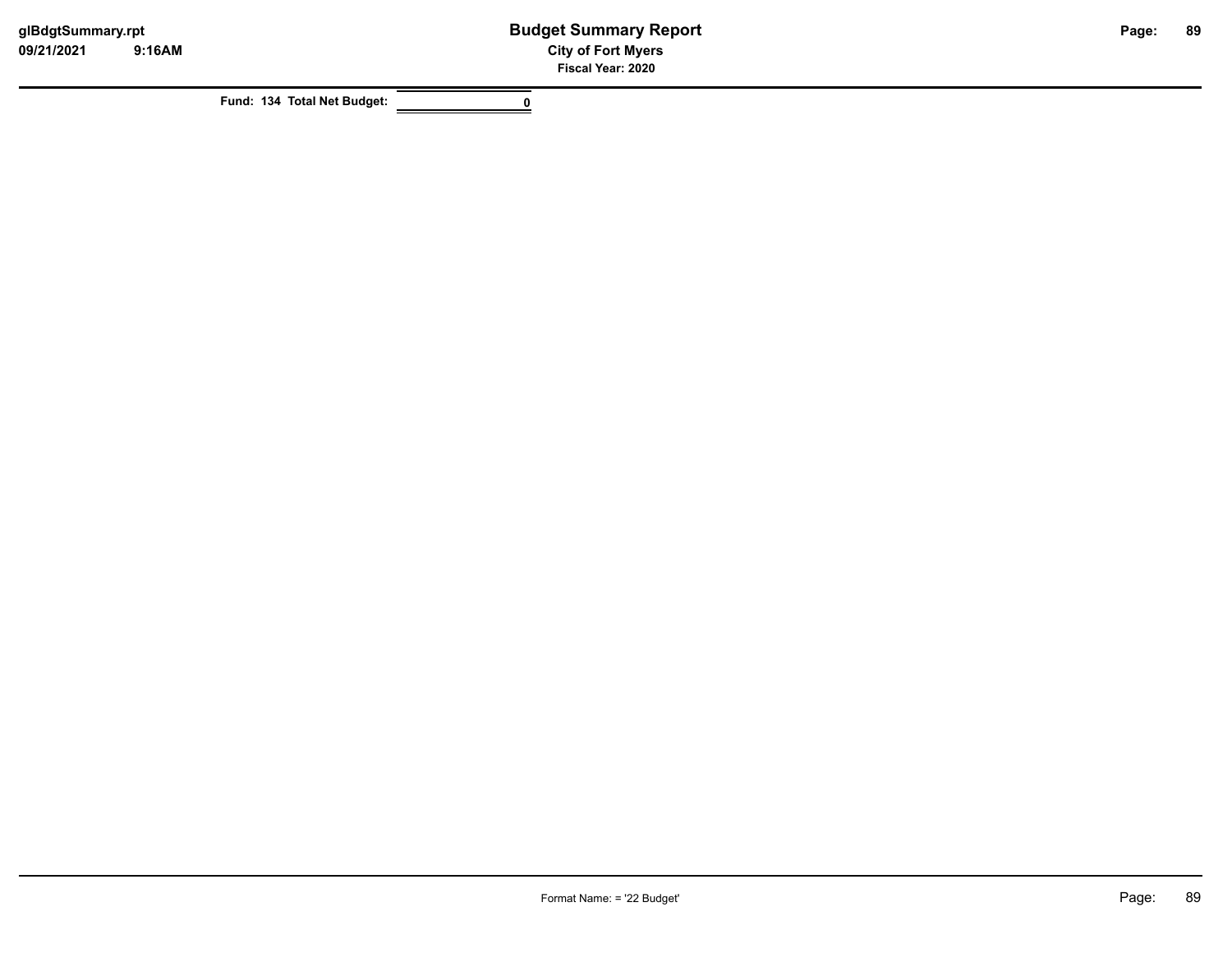**Fund: 134 Total Net Budget: 0**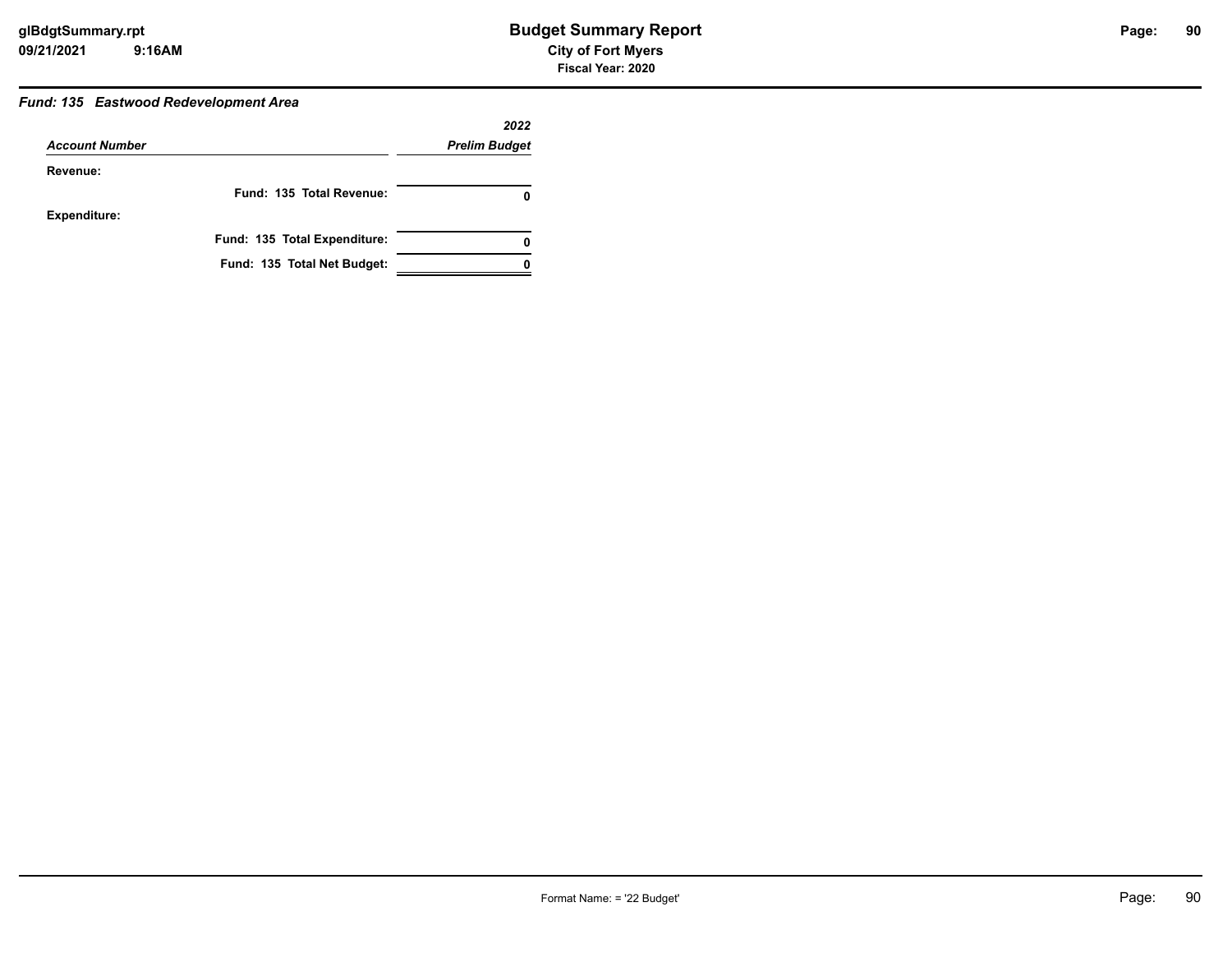### *Fund: 135 Eastwood Redevelopment Area*

|                       |                              | 2022                 |
|-----------------------|------------------------------|----------------------|
| <b>Account Number</b> |                              | <b>Prelim Budget</b> |
| Revenue:              |                              |                      |
|                       | Fund: 135 Total Revenue:     | 0                    |
| <b>Expenditure:</b>   |                              |                      |
|                       | Fund: 135 Total Expenditure: | 0                    |
|                       | Fund: 135 Total Net Budget:  |                      |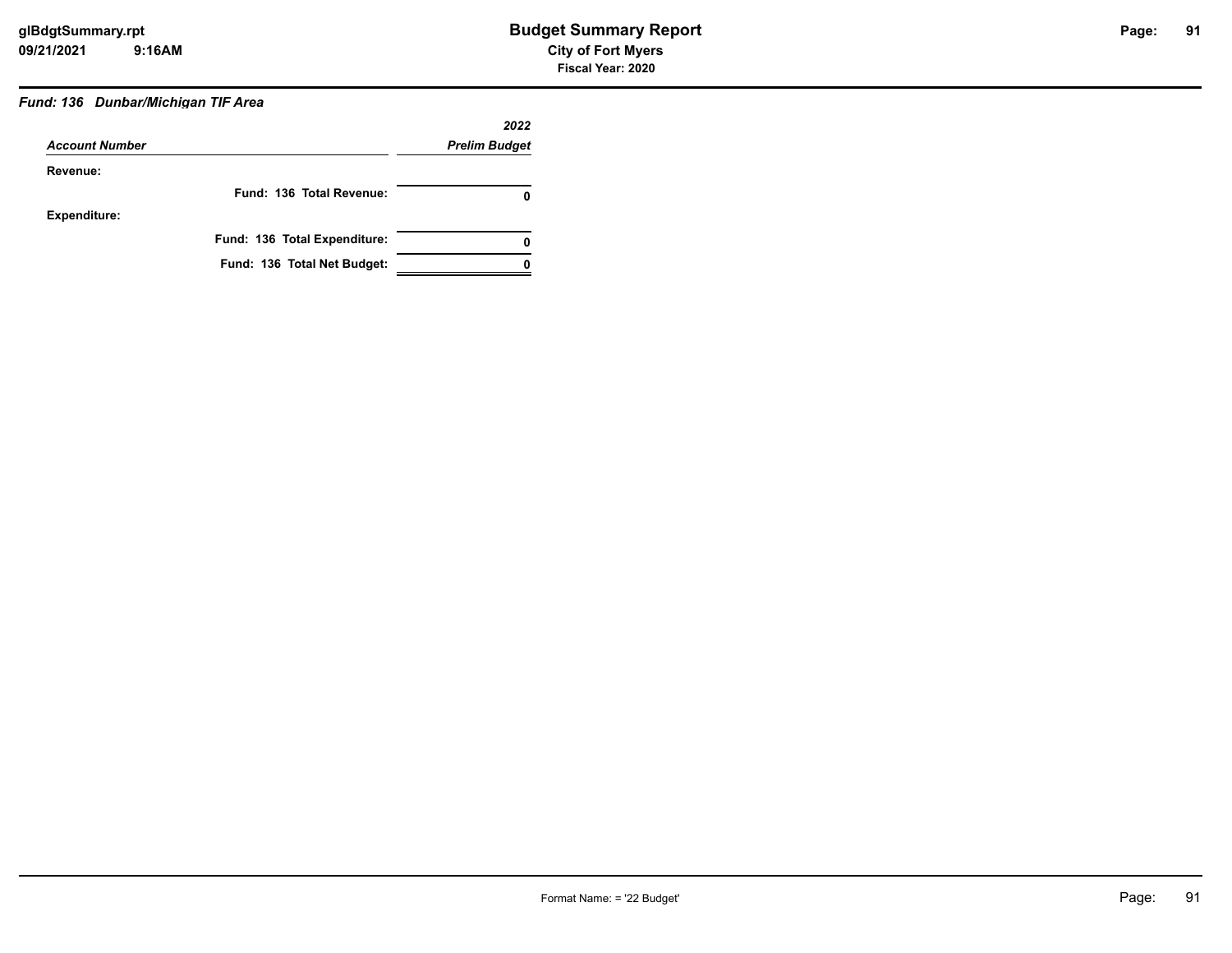# *Fund: 136 Dunbar/Michigan TIF Area*

|                       |                              | 2022                 |
|-----------------------|------------------------------|----------------------|
| <b>Account Number</b> |                              | <b>Prelim Budget</b> |
| Revenue:              |                              |                      |
|                       | Fund: 136 Total Revenue:     | 0                    |
| Expenditure:          |                              |                      |
|                       | Fund: 136 Total Expenditure: | 0                    |
|                       | Fund: 136 Total Net Budget:  |                      |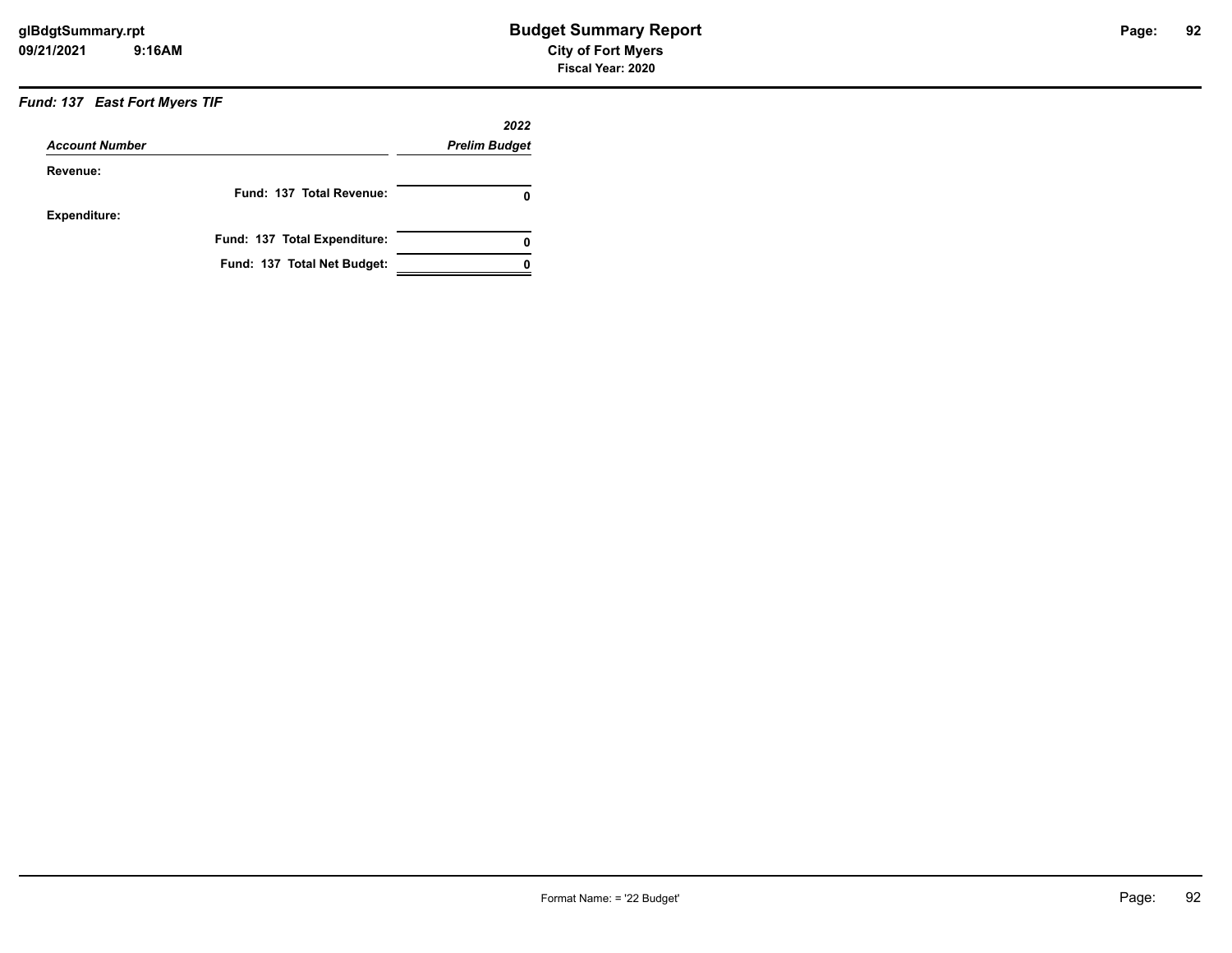### *Fund: 137 East Fort Myers TIF*

|                       |                              | 2022                 |
|-----------------------|------------------------------|----------------------|
| <b>Account Number</b> |                              | <b>Prelim Budget</b> |
| Revenue:              |                              |                      |
|                       | Fund: 137 Total Revenue:     | 0                    |
| <b>Expenditure:</b>   |                              |                      |
|                       | Fund: 137 Total Expenditure: | 0                    |
|                       | Fund: 137 Total Net Budget:  |                      |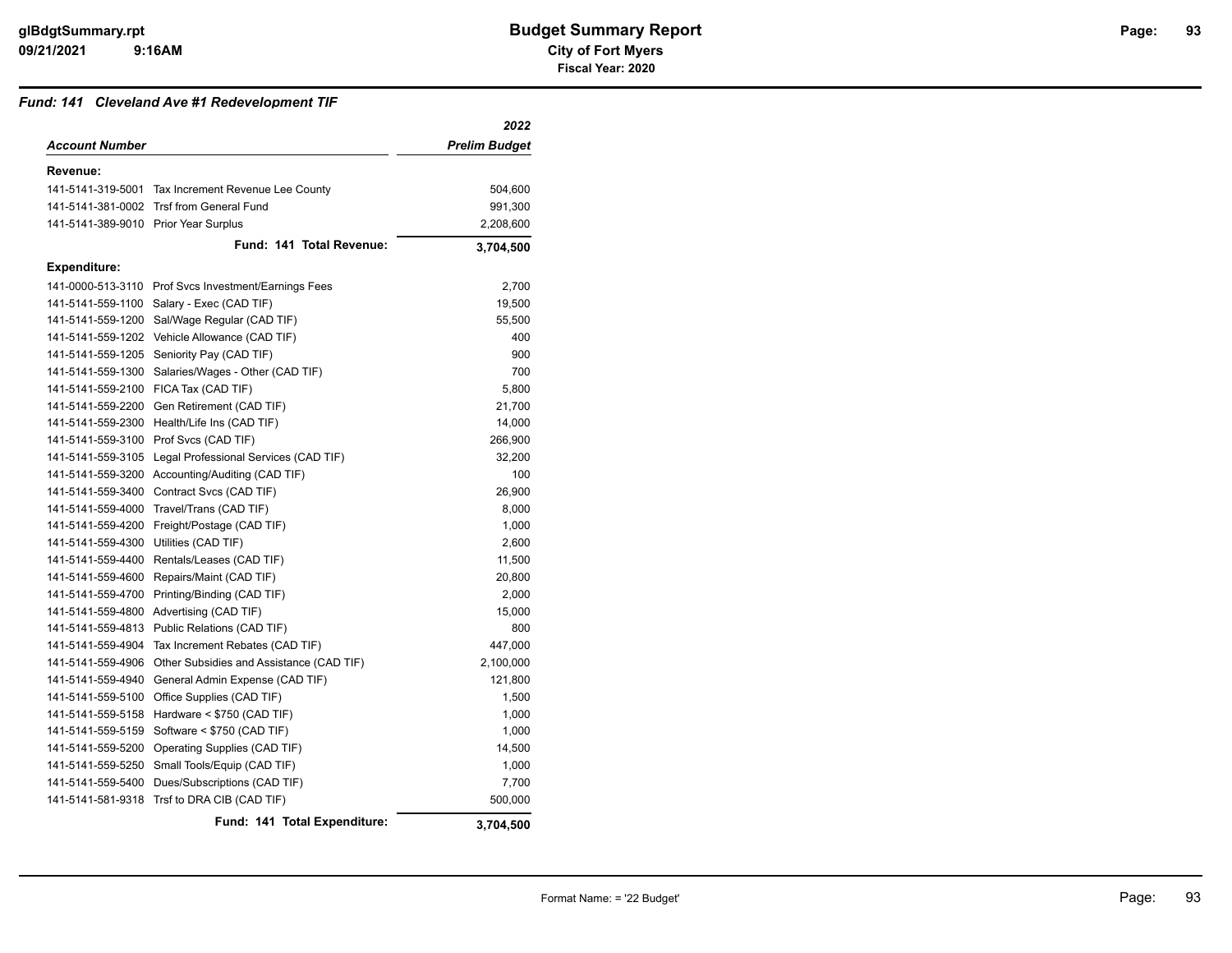#### *Fund: 141 Cleveland Ave #1 Redevelopment TIF*

|                                      |                                                      | 2022                 |
|--------------------------------------|------------------------------------------------------|----------------------|
| <b>Account Number</b>                |                                                      | <b>Prelim Budget</b> |
| Revenue:                             |                                                      |                      |
|                                      | 141-5141-319-5001 Tax Increment Revenue Lee County   | 504,600              |
|                                      | 141-5141-381-0002 Trsf from General Fund             | 991,300              |
| 141-5141-389-9010 Prior Year Surplus |                                                      | 2,208,600            |
|                                      | Fund: 141 Total Revenue:                             | 3,704,500            |
| Expenditure:                         |                                                      |                      |
|                                      | 141-0000-513-3110 Prof Svcs Investment/Earnings Fees | 2,700                |
| 141-5141-559-1100                    | Salary - Exec (CAD TIF)                              | 19,500               |
| 141-5141-559-1200                    | Sal/Wage Regular (CAD TIF)                           | 55,500               |
| 141-5141-559-1202                    | Vehicle Allowance (CAD TIF)                          | 400                  |
| 141-5141-559-1205                    | Seniority Pay (CAD TIF)                              | 900                  |
| 141-5141-559-1300                    | Salaries/Wages - Other (CAD TIF)                     | 700                  |
| 141-5141-559-2100                    | FICA Tax (CAD TIF)                                   | 5,800                |
| 141-5141-559-2200                    | Gen Retirement (CAD TIF)                             | 21,700               |
| 141-5141-559-2300                    | Health/Life Ins (CAD TIF)                            | 14,000               |
|                                      | 141-5141-559-3100 Prof Svcs (CAD TIF)                | 266,900              |
| 141-5141-559-3105                    | Legal Professional Services (CAD TIF)                | 32,200               |
| 141-5141-559-3200                    | Accounting/Auditing (CAD TIF)                        | 100                  |
| 141-5141-559-3400                    | Contract Svcs (CAD TIF)                              | 26,900               |
| 141-5141-559-4000                    | Travel/Trans (CAD TIF)                               | 8,000                |
| 141-5141-559-4200                    | Freight/Postage (CAD TIF)                            | 1,000                |
| 141-5141-559-4300                    | Utilities (CAD TIF)                                  | 2,600                |
| 141-5141-559-4400                    | Rentals/Leases (CAD TIF)                             | 11,500               |
| 141-5141-559-4600                    | Repairs/Maint (CAD TIF)                              | 20,800               |
| 141-5141-559-4700                    | Printing/Binding (CAD TIF)                           | 2,000                |
| 141-5141-559-4800                    | Advertising (CAD TIF)                                | 15,000               |
| 141-5141-559-4813                    | Public Relations (CAD TIF)                           | 800                  |
| 141-5141-559-4904                    | Tax Increment Rebates (CAD TIF)                      | 447,000              |
| 141-5141-559-4906                    | Other Subsidies and Assistance (CAD TIF)             | 2,100,000            |
| 141-5141-559-4940                    | General Admin Expense (CAD TIF)                      | 121,800              |
| 141-5141-559-5100                    | Office Supplies (CAD TIF)                            | 1,500                |
| 141-5141-559-5158                    | Hardware < \$750 (CAD TIF)                           | 1,000                |
| 141-5141-559-5159                    | Software < \$750 (CAD TIF)                           | 1,000                |
| 141-5141-559-5200                    | Operating Supplies (CAD TIF)                         | 14,500               |
| 141-5141-559-5250                    | Small Tools/Equip (CAD TIF)                          | 1,000                |
| 141-5141-559-5400                    | Dues/Subscriptions (CAD TIF)                         | 7,700                |
| 141-5141-581-9318                    | Trsf to DRA CIB (CAD TIF)                            | 500,000              |
|                                      | Fund: 141 Total Expenditure:                         | 3.704.500            |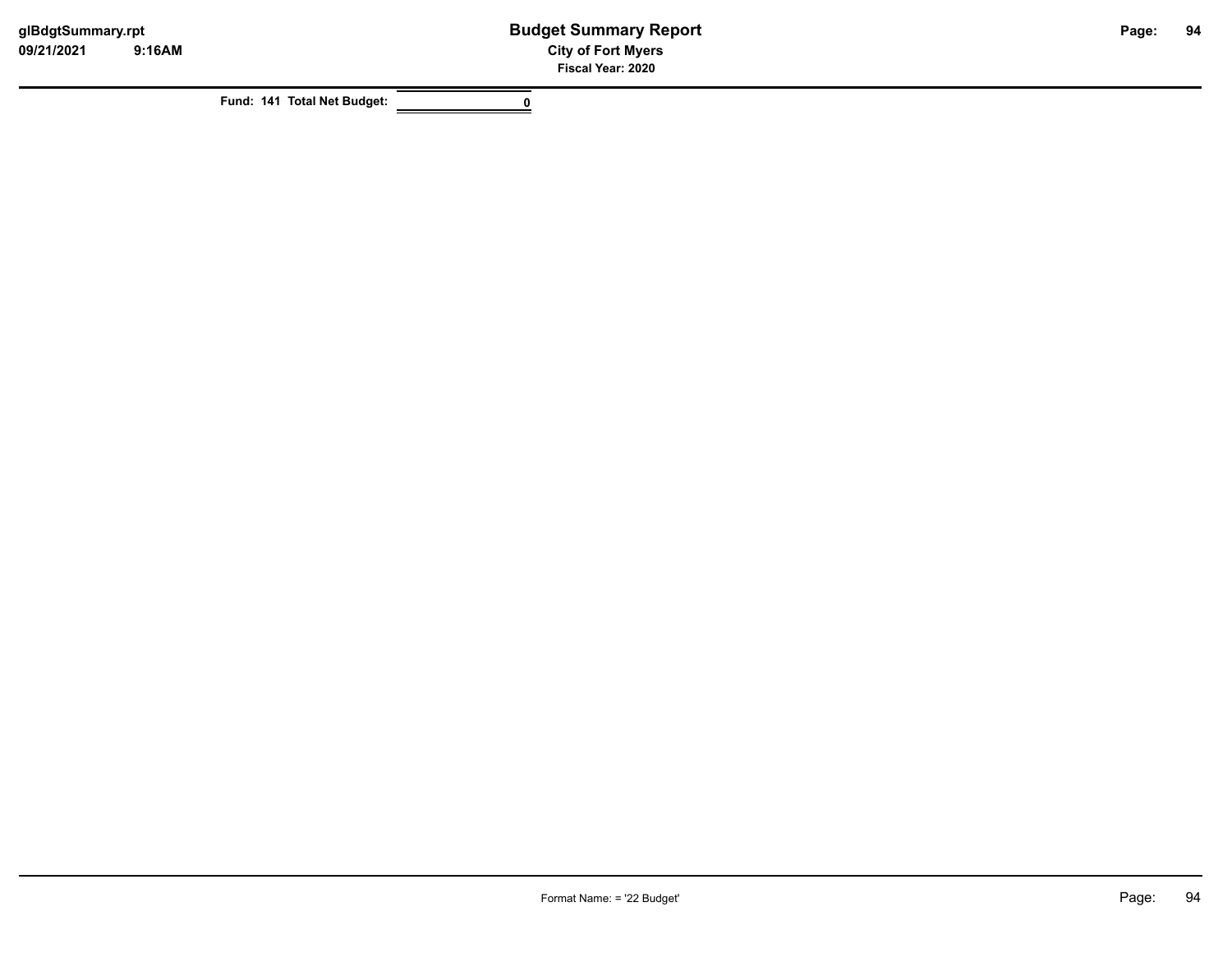**Fund: 141 Total Net Budget: 0**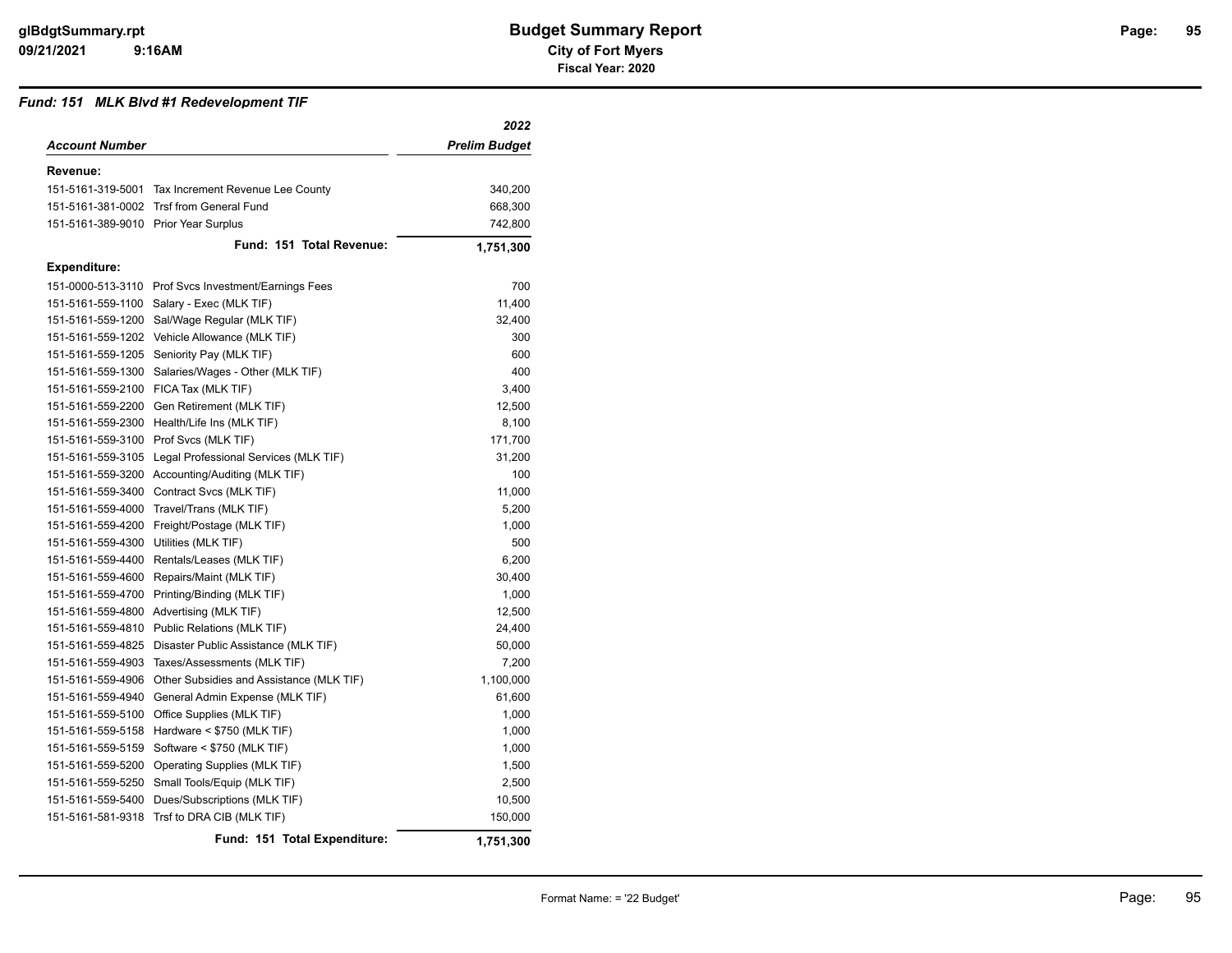#### *Fund: 151 MLK Blvd #1 Redevelopment TIF*

|                                      |                                                      | 2022          |
|--------------------------------------|------------------------------------------------------|---------------|
| Account Number                       |                                                      | Prelim Budget |
| Revenue:                             |                                                      |               |
|                                      | 151-5161-319-5001 Tax Increment Revenue Lee County   | 340,200       |
|                                      | 151-5161-381-0002 Trsf from General Fund             | 668,300       |
| 151-5161-389-9010 Prior Year Surplus |                                                      | 742,800       |
|                                      | Fund: 151 Total Revenue:                             | 1,751,300     |
| <b>Expenditure:</b>                  |                                                      |               |
|                                      | 151-0000-513-3110 Prof Svcs Investment/Earnings Fees | 700           |
|                                      | 151-5161-559-1100 Salary - Exec (MLK TIF)            | 11,400        |
|                                      | 151-5161-559-1200 Sal/Wage Regular (MLK TIF)         | 32,400        |
|                                      | 151-5161-559-1202 Vehicle Allowance (MLK TIF)        | 300           |
|                                      | 151-5161-559-1205 Seniority Pay (MLK TIF)            | 600           |
| 151-5161-559-1300                    | Salaries/Wages - Other (MLK TIF)                     | 400           |
|                                      | 151-5161-559-2100 FICA Tax (MLK TIF)                 | 3,400         |
| 151-5161-559-2200                    | Gen Retirement (MLK TIF)                             | 12,500        |
| 151-5161-559-2300                    | Health/Life Ins (MLK TIF)                            | 8,100         |
|                                      | 151-5161-559-3100 Prof Svcs (MLK TIF)                | 171,700       |
| 151-5161-559-3105                    | Legal Professional Services (MLK TIF)                | 31,200        |
|                                      | 151-5161-559-3200 Accounting/Auditing (MLK TIF)      | 100           |
| 151-5161-559-3400                    | Contract Svcs (MLK TIF)                              | 11,000        |
|                                      | 151-5161-559-4000 Travel/Trans (MLK TIF)             | 5,200         |
| 151-5161-559-4200                    | Freight/Postage (MLK TIF)                            | 1,000         |
| 151-5161-559-4300                    | Utilities (MLK TIF)                                  | 500           |
| 151-5161-559-4400                    | Rentals/Leases (MLK TIF)                             | 6,200         |
| 151-5161-559-4600                    | Repairs/Maint (MLK TIF)                              | 30,400        |
| 151-5161-559-4700                    | Printing/Binding (MLK TIF)                           | 1,000         |
| 151-5161-559-4800                    | Advertising (MLK TIF)                                | 12,500        |
| 151-5161-559-4810                    | Public Relations (MLK TIF)                           | 24,400        |
| 151-5161-559-4825                    | Disaster Public Assistance (MLK TIF)                 | 50,000        |
| 151-5161-559-4903                    | Taxes/Assessments (MLK TIF)                          | 7,200         |
| 151-5161-559-4906                    | Other Subsidies and Assistance (MLK TIF)             | 1,100,000     |
| 151-5161-559-4940                    | General Admin Expense (MLK TIF)                      | 61,600        |
| 151-5161-559-5100                    | Office Supplies (MLK TIF)                            | 1,000         |
|                                      | 151-5161-559-5158 Hardware < \$750 (MLK TIF)         | 1,000         |
| 151-5161-559-5159                    | Software < \$750 (MLK TIF)                           | 1,000         |
| 151-5161-559-5200                    | Operating Supplies (MLK TIF)                         | 1,500         |
| 151-5161-559-5250                    | Small Tools/Equip (MLK TIF)                          | 2,500         |
| 151-5161-559-5400                    | Dues/Subscriptions (MLK TIF)                         | 10,500        |
| 151-5161-581-9318                    | Trsf to DRA CIB (MLK TIF)                            | 150,000       |
|                                      | Fund: 151 Total Expenditure:                         | 1,751,300     |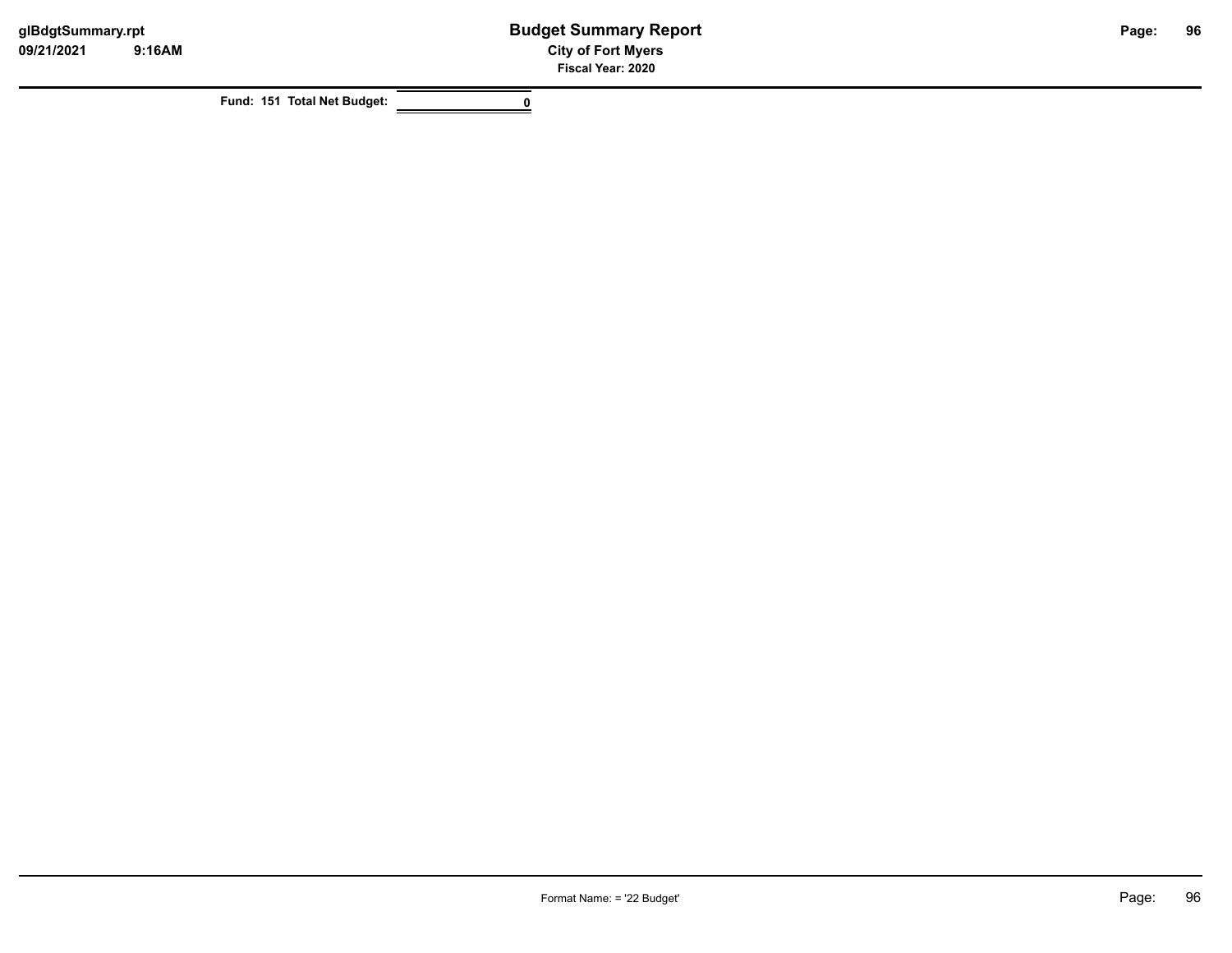**Fund: 151 Total Net Budget: 0**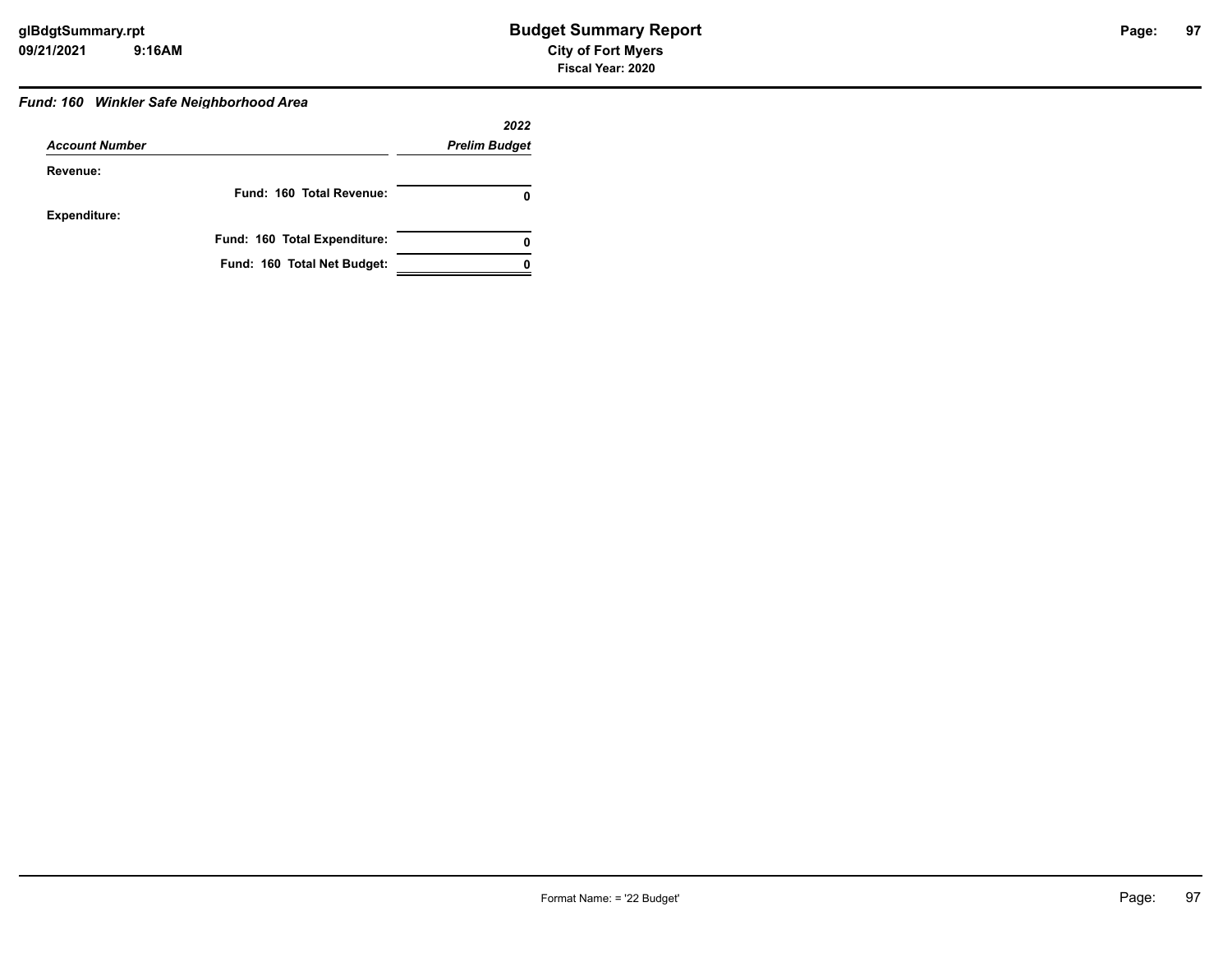#### *Fund: 160 Winkler Safe Neighborhood Area*

|                       |                              | 2022                 |
|-----------------------|------------------------------|----------------------|
| <b>Account Number</b> |                              | <b>Prelim Budget</b> |
| Revenue:              |                              |                      |
|                       | Fund: 160 Total Revenue:     |                      |
| <b>Expenditure:</b>   |                              |                      |
|                       | Fund: 160 Total Expenditure: | 0                    |
|                       | Fund: 160 Total Net Budget:  |                      |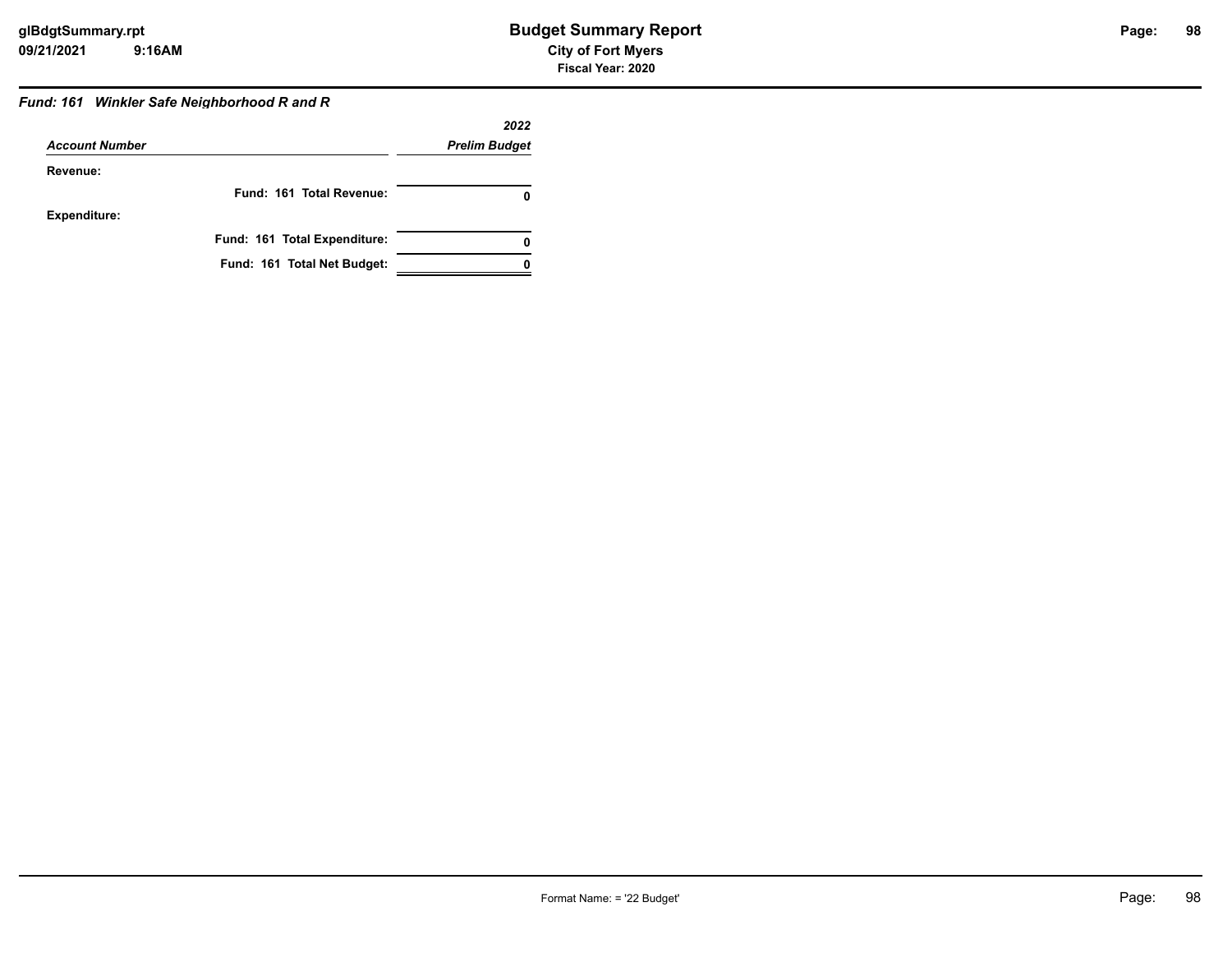# **98**

#### *Fund: 161 Winkler Safe Neighborhood R and R*

|                       |                              | 2022                 |
|-----------------------|------------------------------|----------------------|
| <b>Account Number</b> |                              | <b>Prelim Budget</b> |
| Revenue:              |                              |                      |
|                       | Fund: 161 Total Revenue:     |                      |
| <b>Expenditure:</b>   |                              |                      |
|                       | Fund: 161 Total Expenditure: |                      |
|                       | Fund: 161 Total Net Budget:  |                      |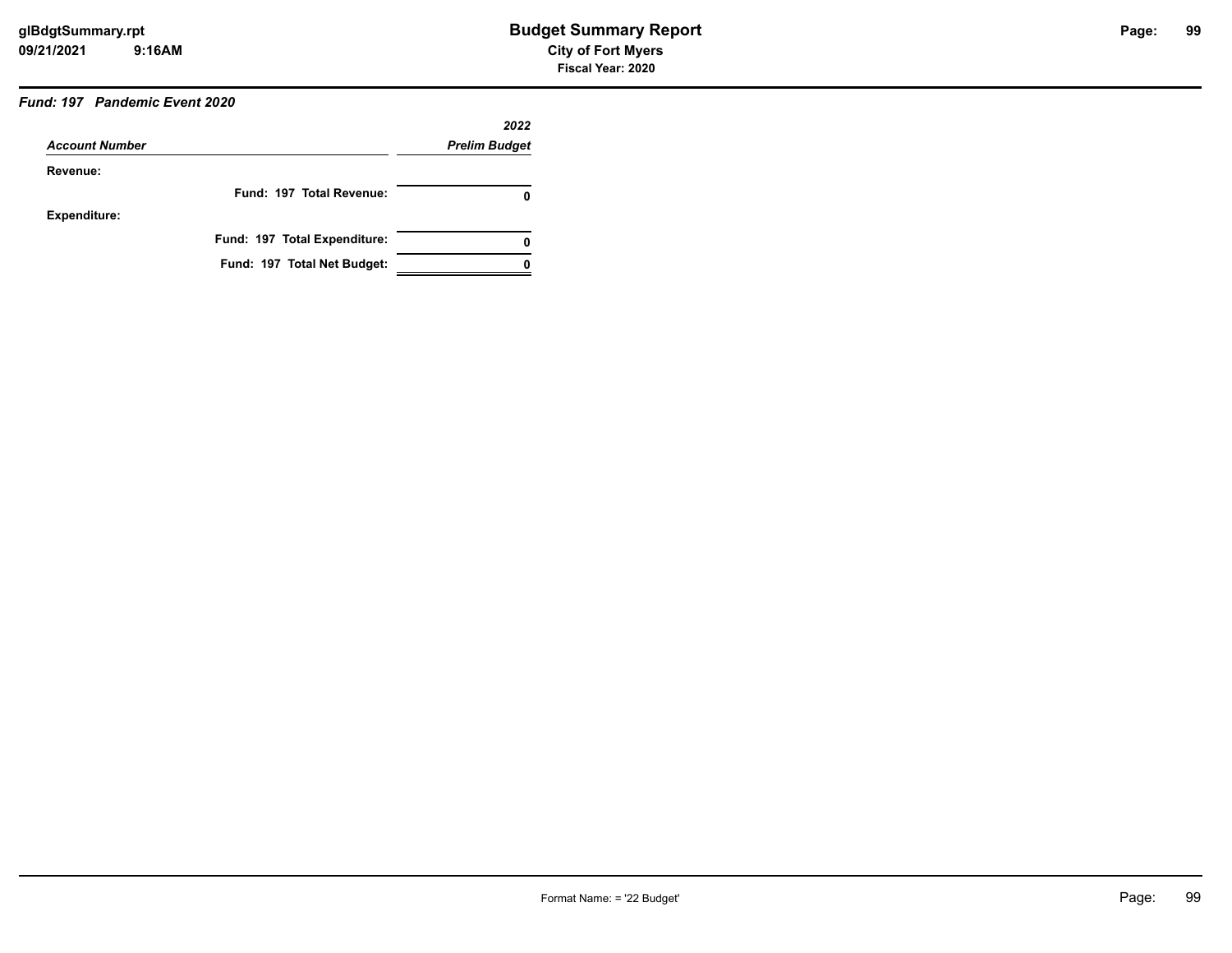## *Fund: 197 Pandemic Event 2020*

|                       |                              | 2022                 |
|-----------------------|------------------------------|----------------------|
| <b>Account Number</b> |                              | <b>Prelim Budget</b> |
| Revenue:              |                              |                      |
|                       | Fund: 197 Total Revenue:     | 0                    |
| Expenditure:          |                              |                      |
|                       | Fund: 197 Total Expenditure: | 0                    |
|                       | Fund: 197 Total Net Budget:  |                      |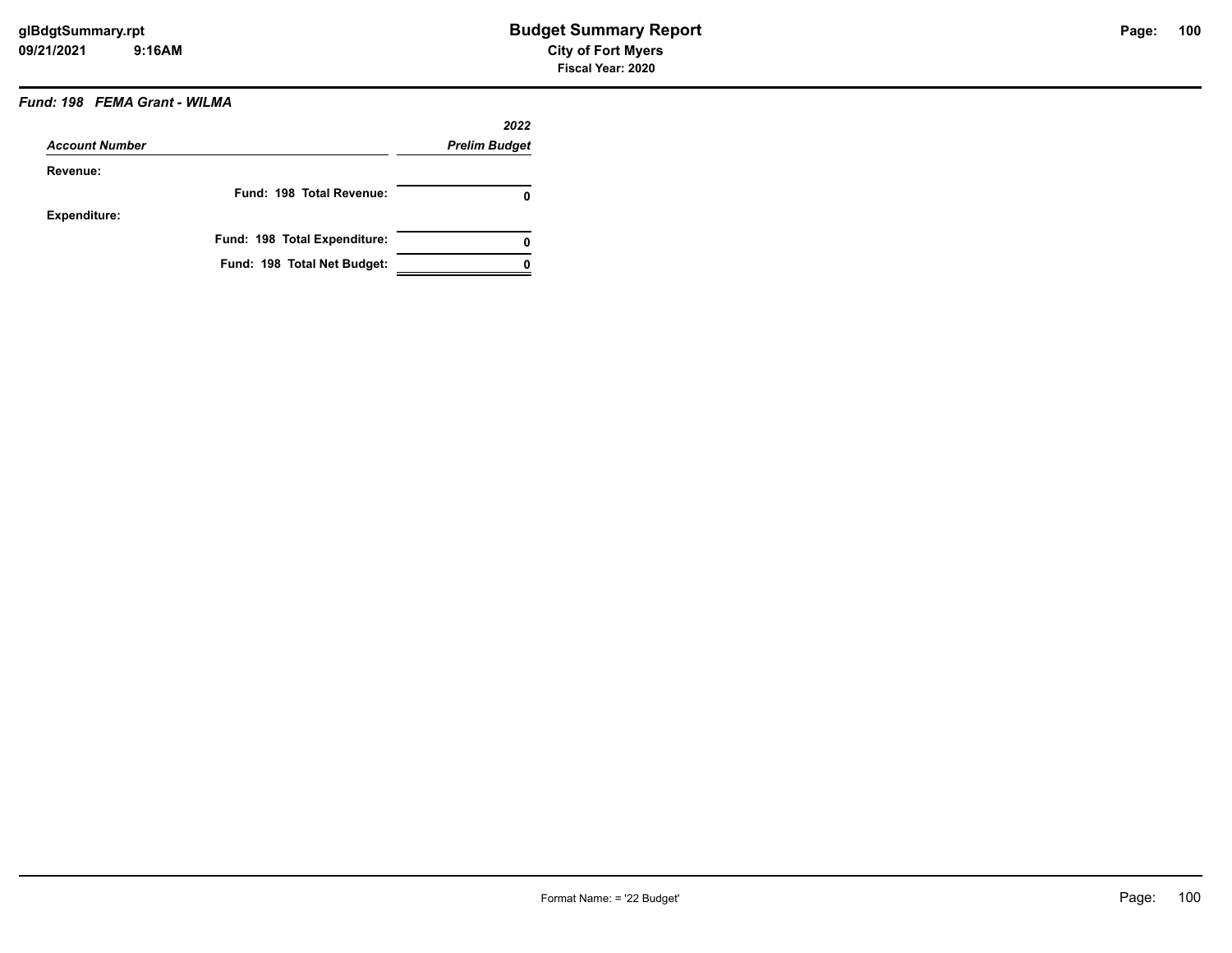### *Fund: 198 FEMA Grant - WILMA*

| <b>Account Number</b> |                              | 2022<br><b>Prelim Budget</b> |
|-----------------------|------------------------------|------------------------------|
|                       |                              |                              |
|                       | Fund: 198 Total Revenue:     | 0                            |
| <b>Expenditure:</b>   |                              |                              |
|                       | Fund: 198 Total Expenditure: | 0                            |
|                       | Fund: 198 Total Net Budget:  |                              |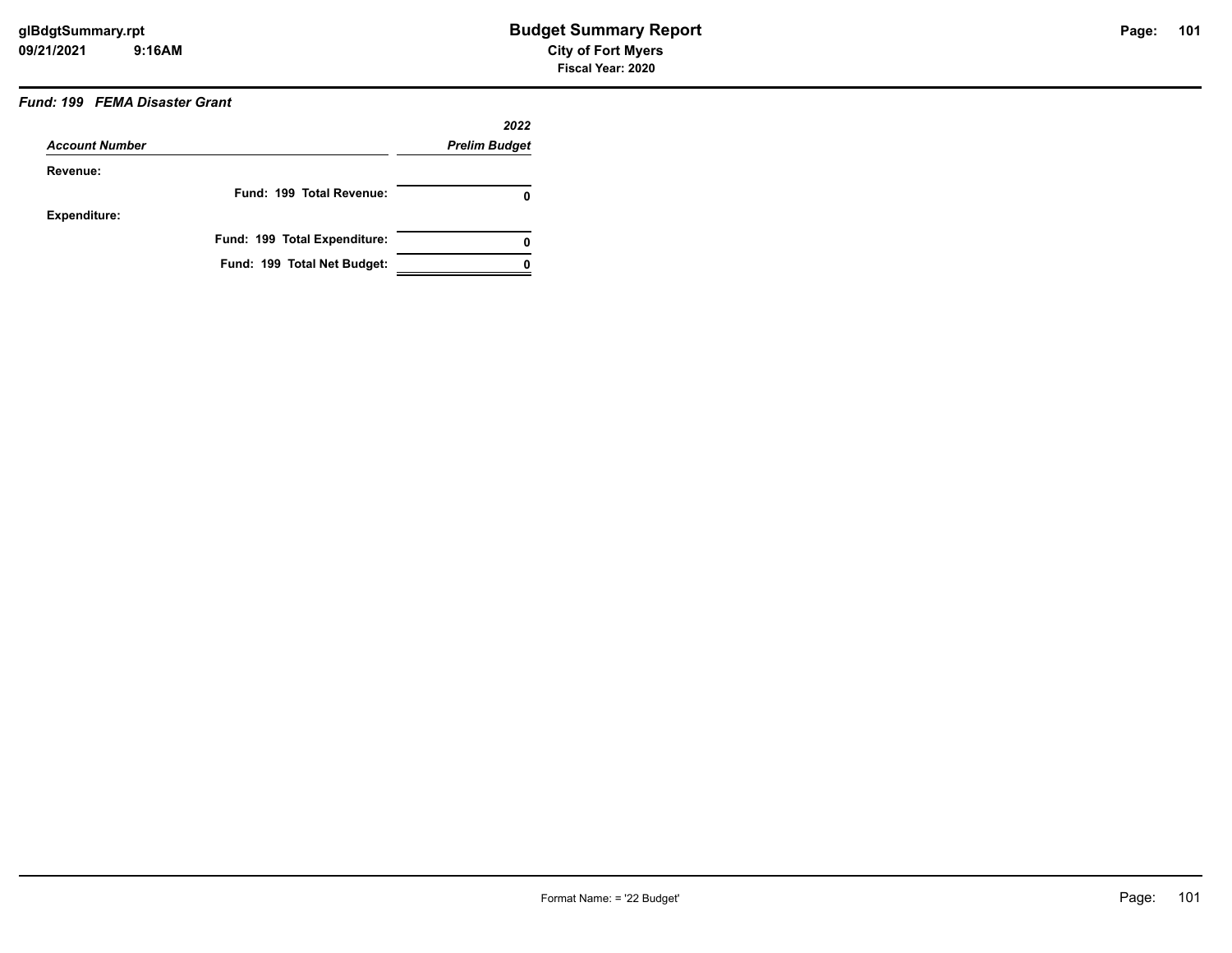### *Fund: 199 FEMA Disaster Grant*

|                       |                              | 2022                 |
|-----------------------|------------------------------|----------------------|
| <b>Account Number</b> |                              | <b>Prelim Budget</b> |
| Revenue:              |                              |                      |
|                       | Fund: 199 Total Revenue:     | 0                    |
| Expenditure:          |                              |                      |
|                       | Fund: 199 Total Expenditure: | 0                    |
|                       | Fund: 199 Total Net Budget:  |                      |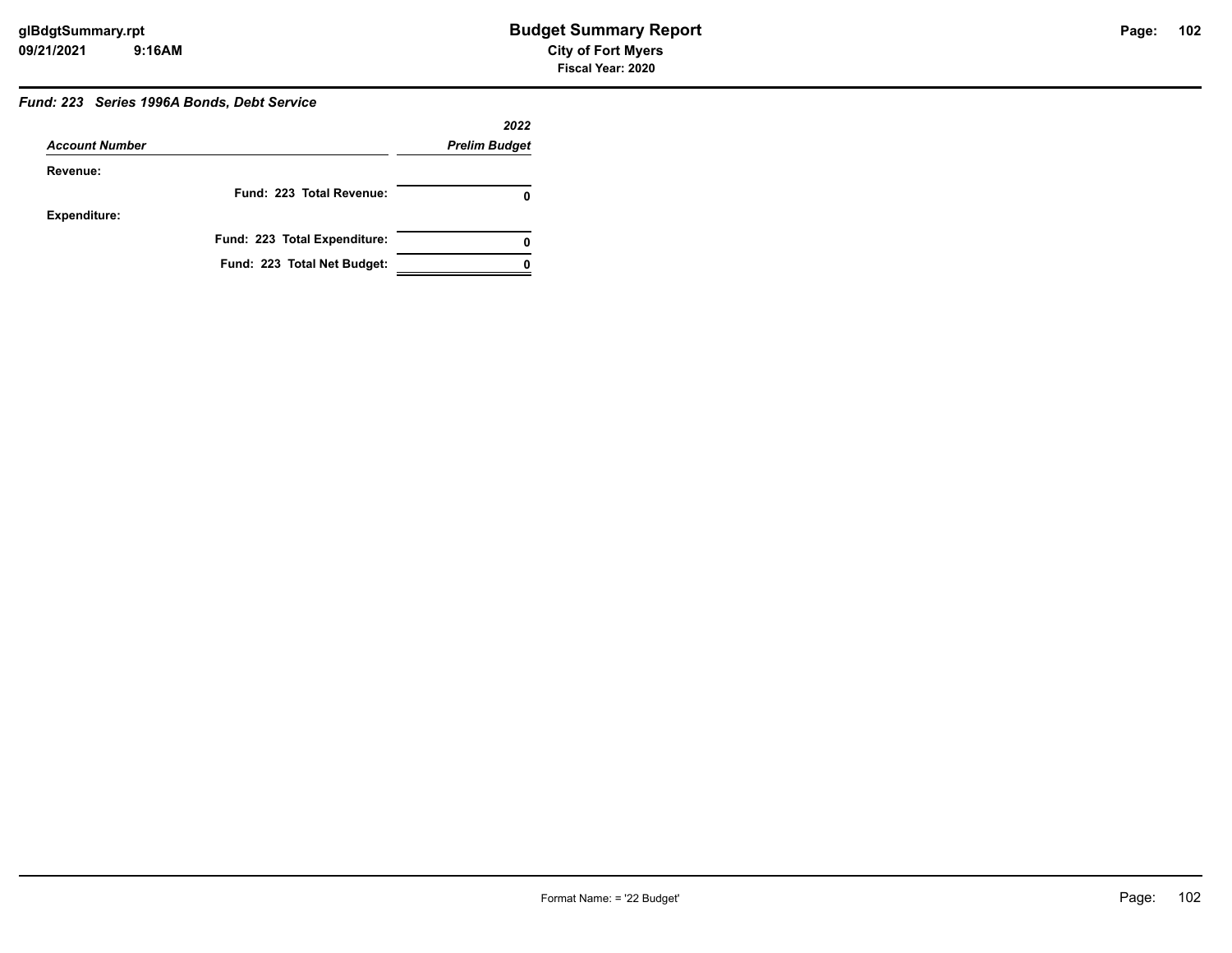# Page: 102

# *Fund: 223 Series 1996A Bonds, Debt Service*

|                       |                              | 2022                 |  |
|-----------------------|------------------------------|----------------------|--|
| <b>Account Number</b> |                              | <b>Prelim Budget</b> |  |
| Revenue:              |                              |                      |  |
|                       | Fund: 223 Total Revenue:     |                      |  |
| <b>Expenditure:</b>   |                              |                      |  |
|                       | Fund: 223 Total Expenditure: |                      |  |
|                       | Fund: 223 Total Net Budget:  |                      |  |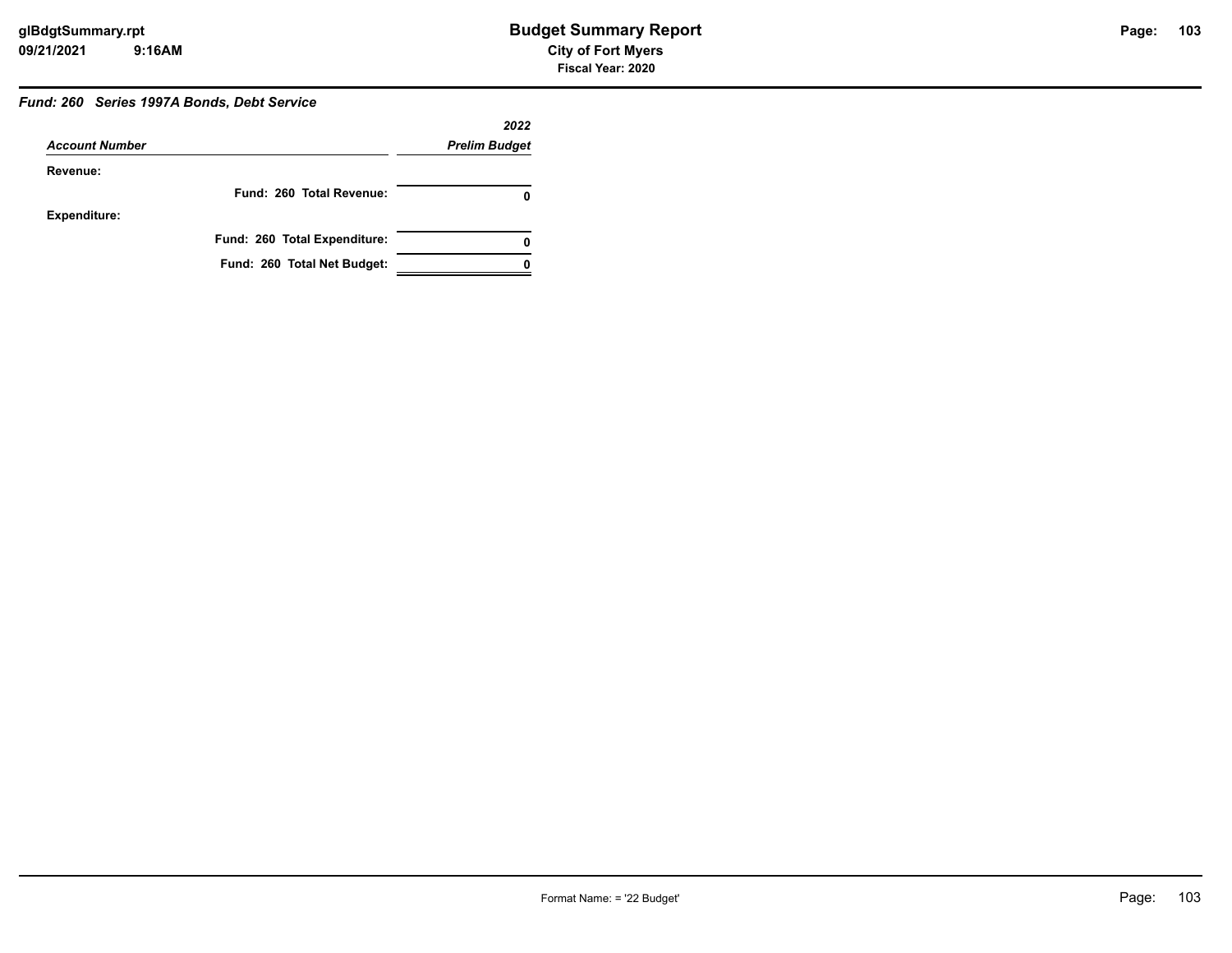# Page: 103

#### *Fund: 260 Series 1997A Bonds, Debt Service*

|                       |                              | 2022                 |
|-----------------------|------------------------------|----------------------|
| <b>Account Number</b> |                              | <b>Prelim Budget</b> |
| Revenue:              |                              |                      |
|                       | Fund: 260 Total Revenue:     |                      |
| <b>Expenditure:</b>   |                              |                      |
|                       | Fund: 260 Total Expenditure: | 0                    |
|                       | Fund: 260 Total Net Budget:  |                      |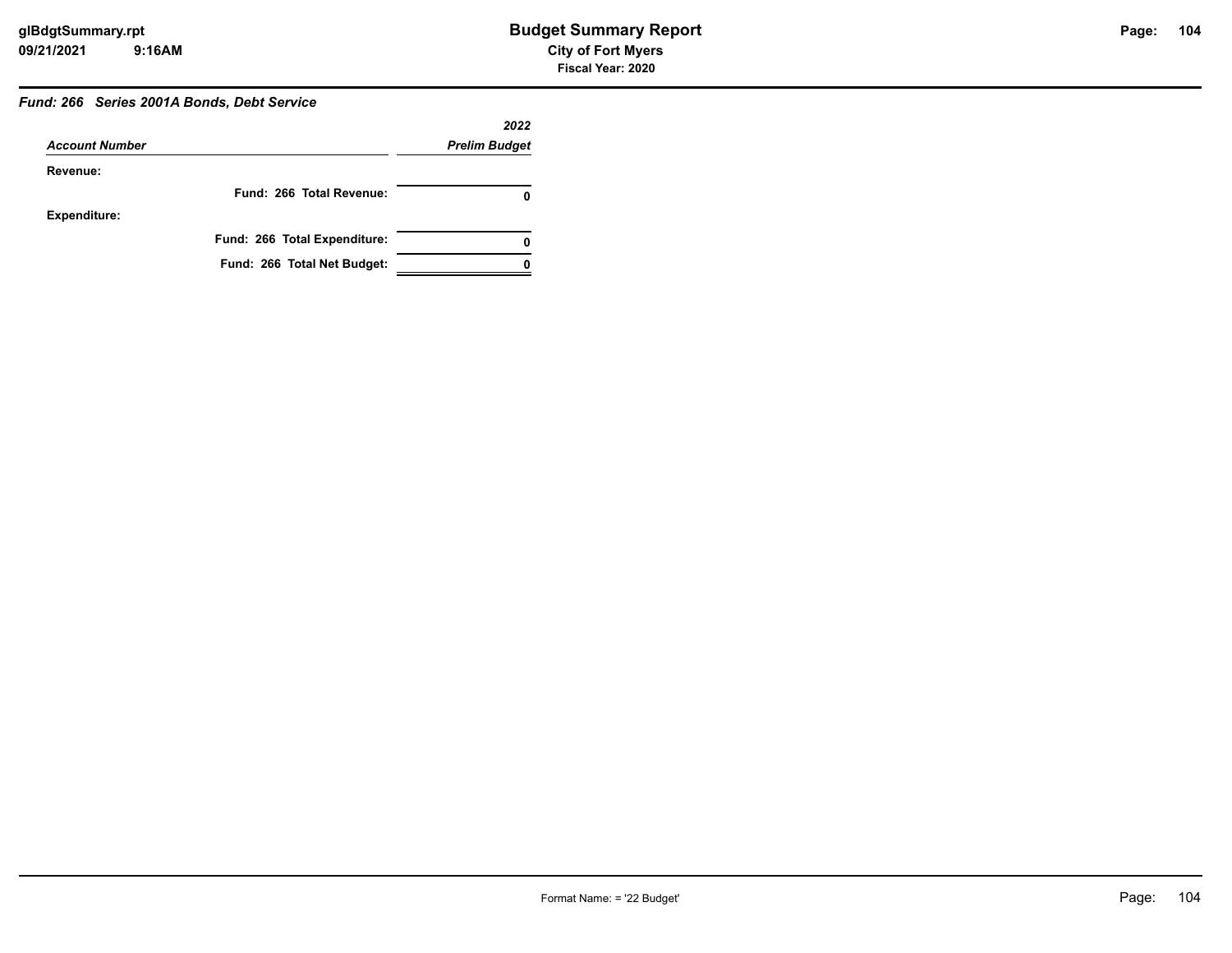# **104**

#### *Fund: 266 Series 2001A Bonds, Debt Service*

|                       |                              | 2022                 |
|-----------------------|------------------------------|----------------------|
| <b>Account Number</b> |                              | <b>Prelim Budget</b> |
| Revenue:              |                              |                      |
|                       | Fund: 266 Total Revenue:     |                      |
| <b>Expenditure:</b>   |                              |                      |
|                       | Fund: 266 Total Expenditure: | 0                    |
|                       | Fund: 266 Total Net Budget:  |                      |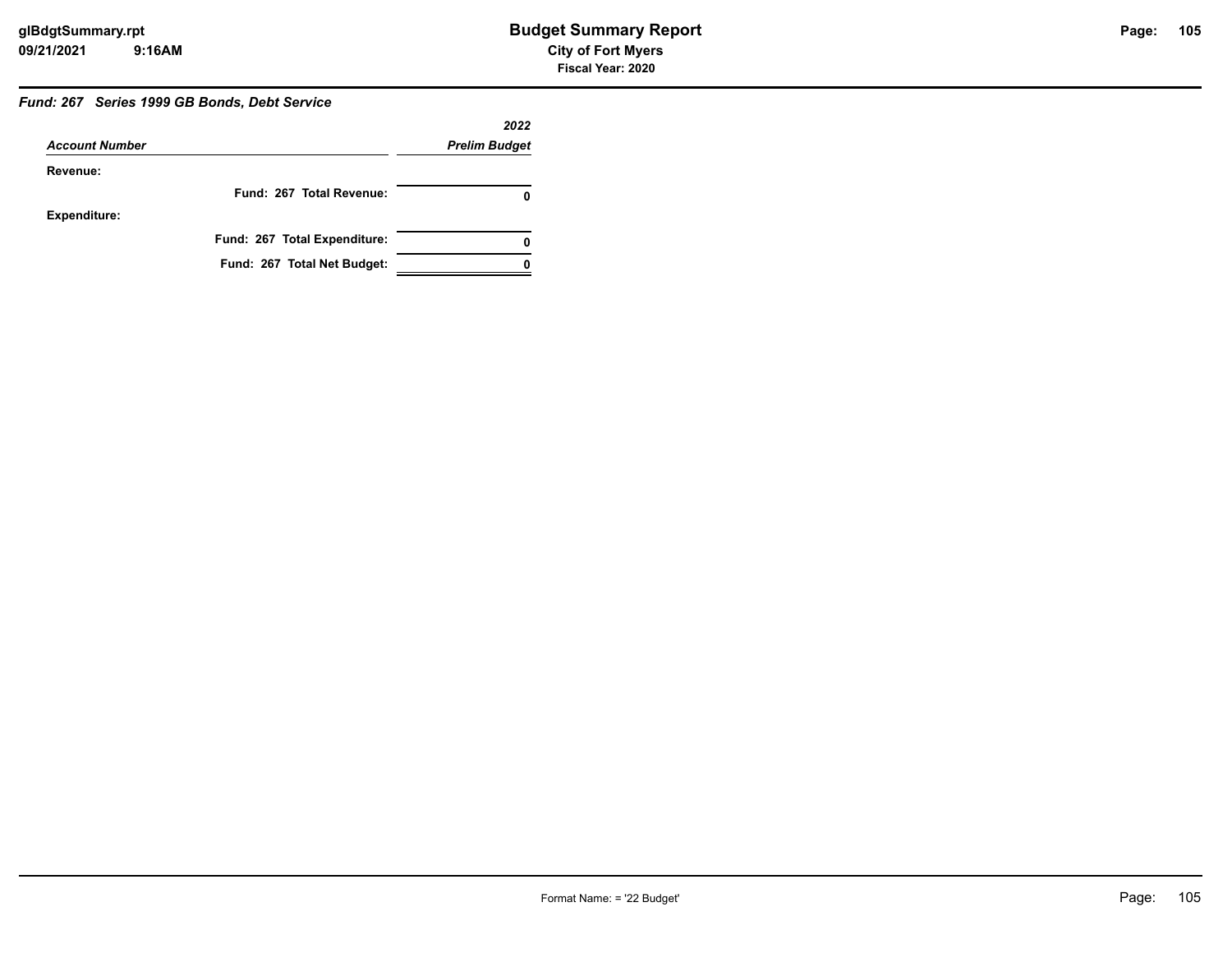#### *Fund: 267 Series 1999 GB Bonds, Debt Service*

|                       |                              | 2022                 |
|-----------------------|------------------------------|----------------------|
| <b>Account Number</b> |                              | <b>Prelim Budget</b> |
| Revenue:              |                              |                      |
|                       | Fund: 267 Total Revenue:     |                      |
| <b>Expenditure:</b>   |                              |                      |
|                       | Fund: 267 Total Expenditure: | 0                    |
|                       | Fund: 267 Total Net Budget:  |                      |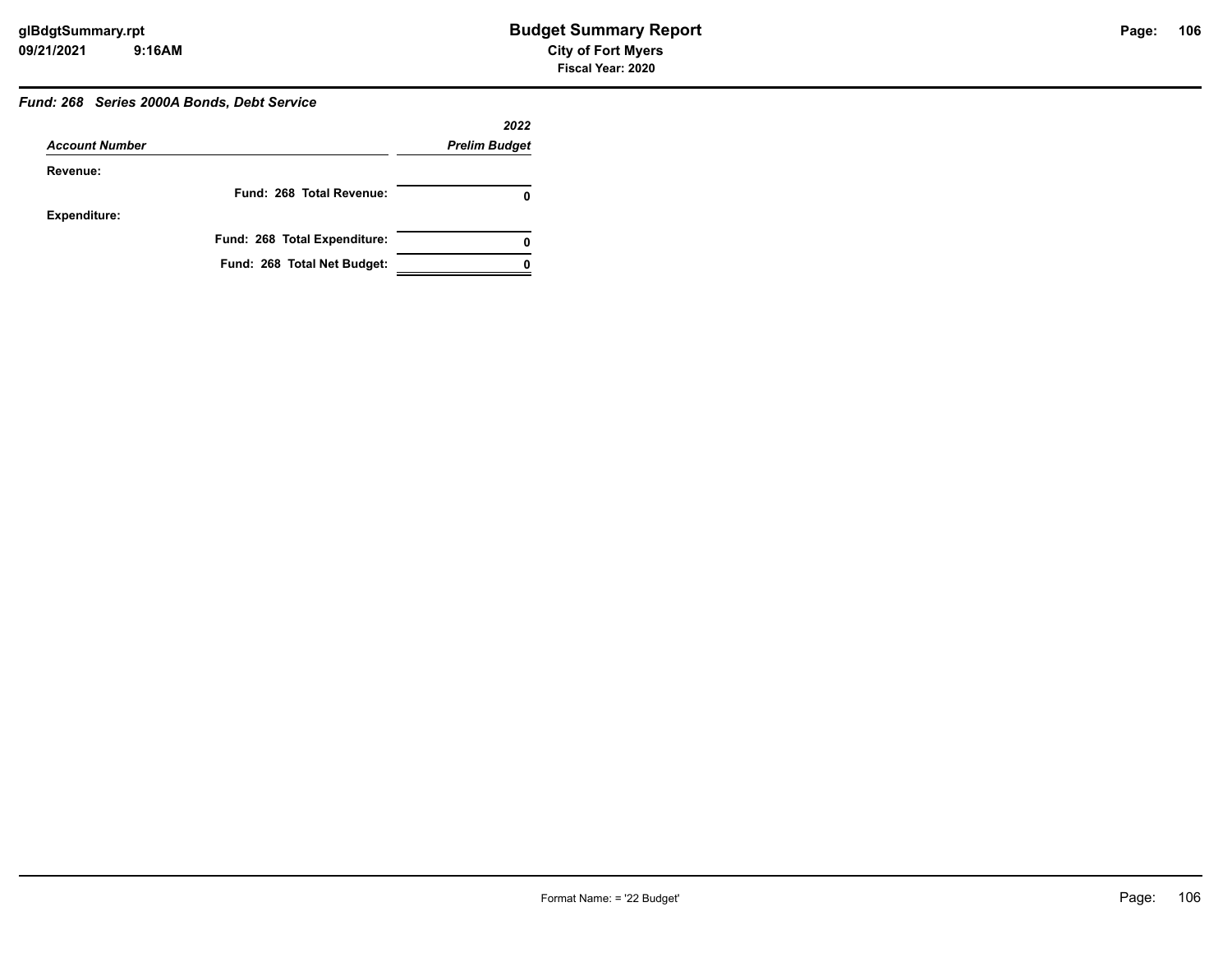# **106**

# *Fund: 268 Series 2000A Bonds, Debt Service*

|                       |                              | 2022                 |
|-----------------------|------------------------------|----------------------|
| <b>Account Number</b> |                              | <b>Prelim Budget</b> |
| Revenue:              |                              |                      |
|                       | Fund: 268 Total Revenue:     |                      |
| <b>Expenditure:</b>   |                              |                      |
|                       | Fund: 268 Total Expenditure: |                      |
|                       | Fund: 268 Total Net Budget:  |                      |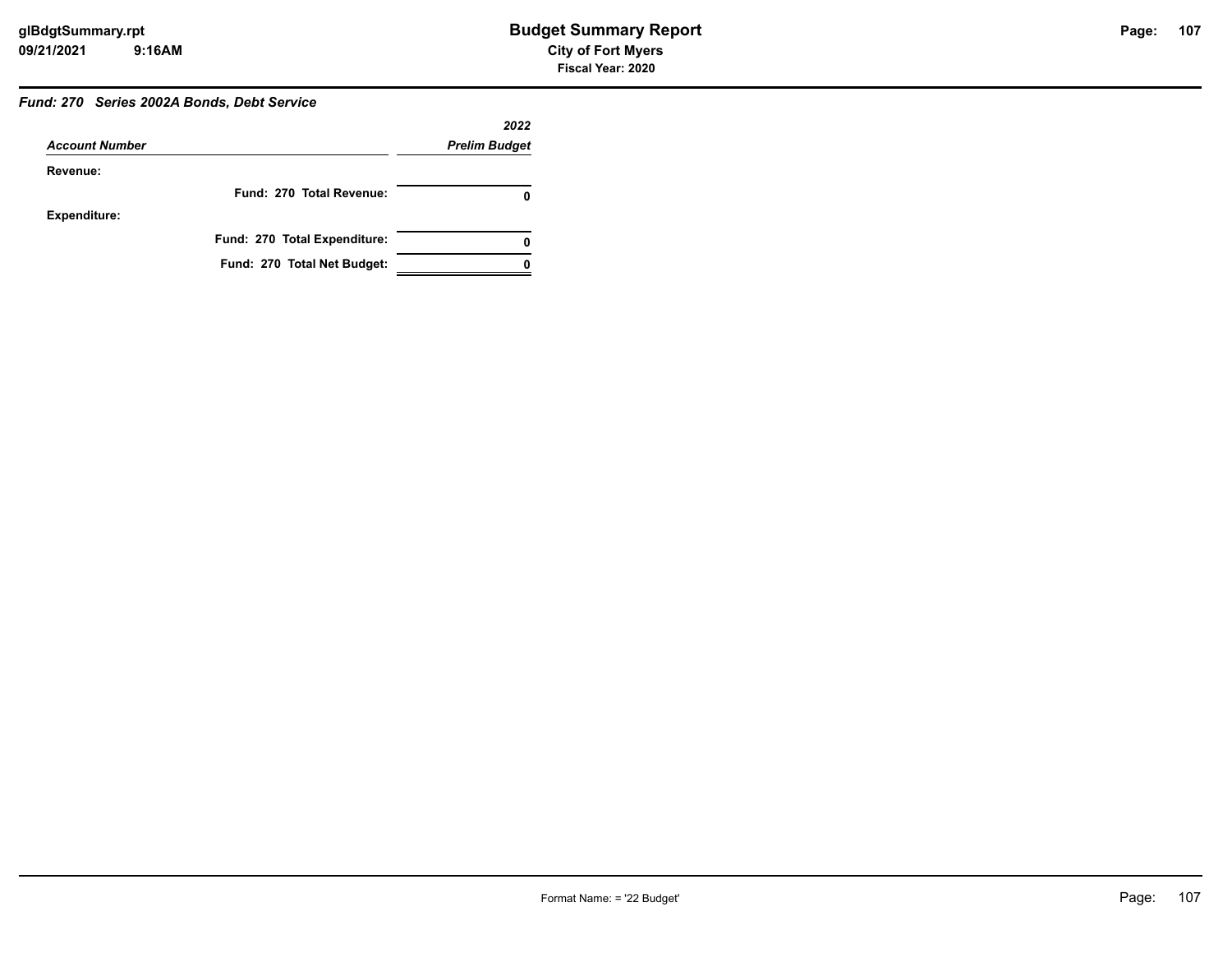# **107**

### *Fund: 270 Series 2002A Bonds, Debt Service*

|                       |                              | 2022                 |
|-----------------------|------------------------------|----------------------|
| <b>Account Number</b> |                              | <b>Prelim Budget</b> |
| Revenue:              |                              |                      |
|                       | Fund: 270 Total Revenue:     |                      |
| <b>Expenditure:</b>   |                              |                      |
|                       | Fund: 270 Total Expenditure: | 0                    |
|                       | Fund: 270 Total Net Budget:  |                      |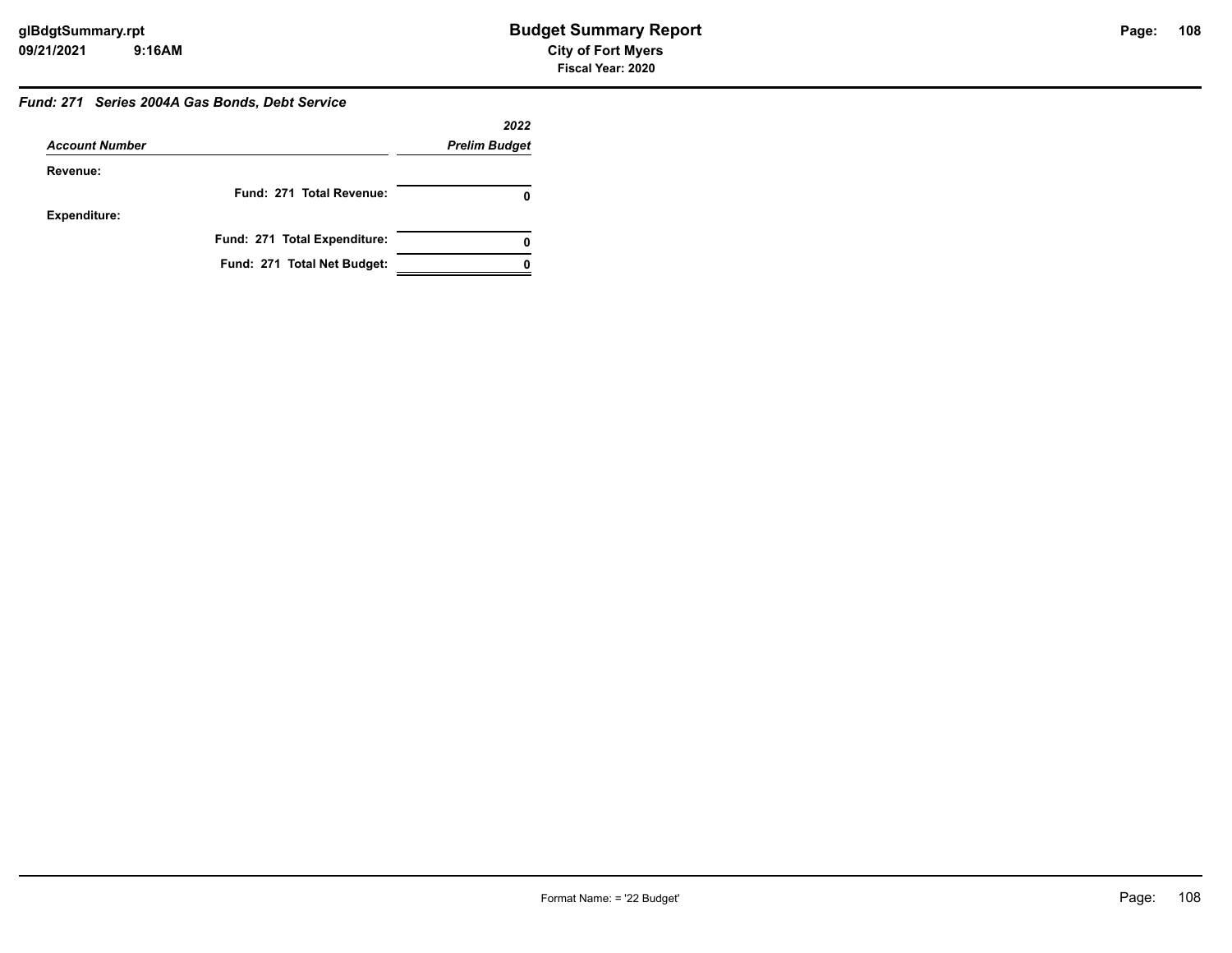#### *Fund: 271 Series 2004A Gas Bonds, Debt Service*

|                       |                              | 2022                 |
|-----------------------|------------------------------|----------------------|
| <b>Account Number</b> |                              | <b>Prelim Budget</b> |
| Revenue:              |                              |                      |
|                       | Fund: 271 Total Revenue:     |                      |
| Expenditure:          |                              |                      |
|                       | Fund: 271 Total Expenditure: |                      |
|                       | Fund: 271 Total Net Budget:  |                      |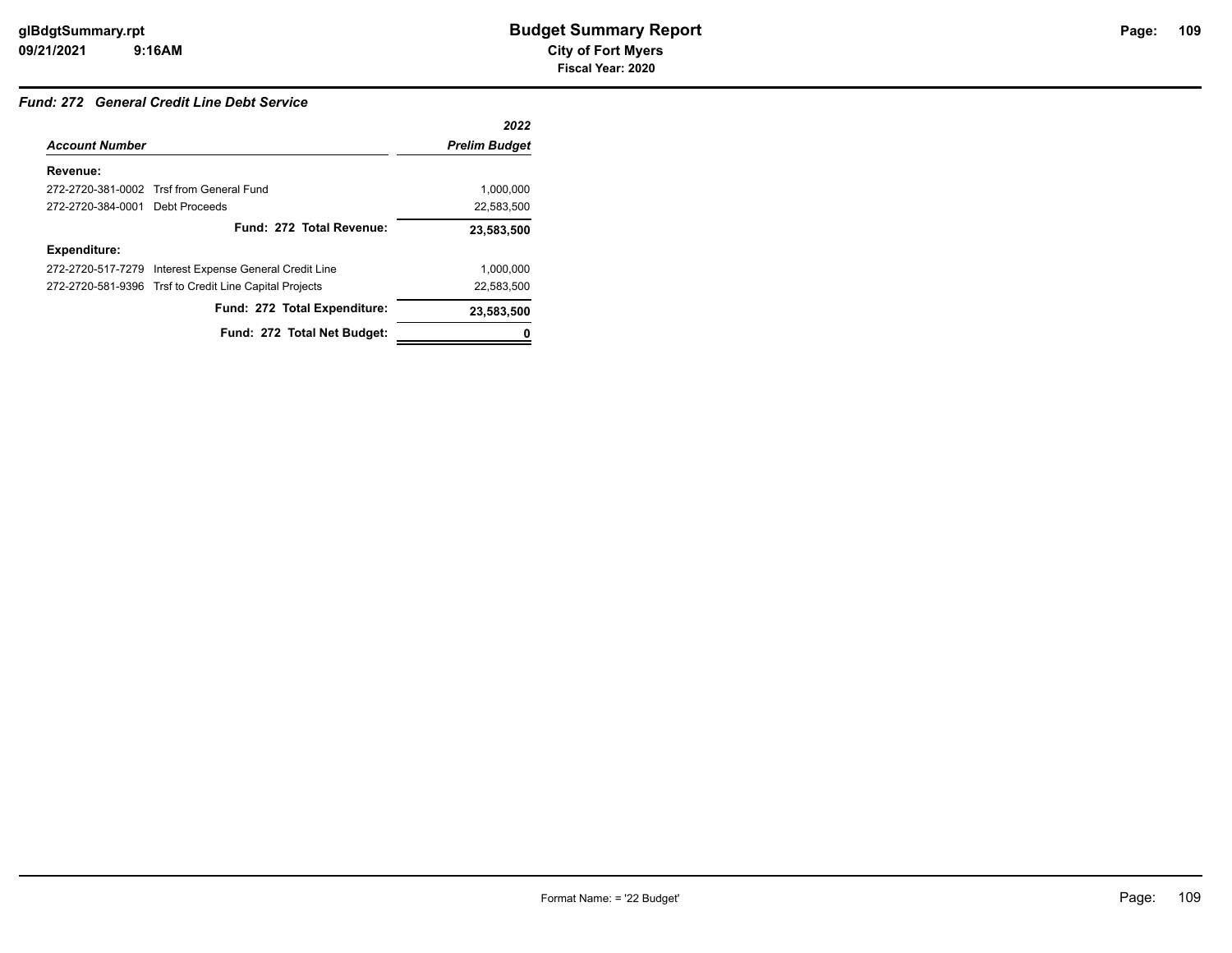## *Fund: 272 General Credit Line Debt Service*

|                                 |                                                        | 2022                 |
|---------------------------------|--------------------------------------------------------|----------------------|
| <b>Account Number</b>           |                                                        | <b>Prelim Budget</b> |
| Revenue:                        |                                                        |                      |
|                                 | 272-2720-381-0002 Trsf from General Fund               | 1.000.000            |
| 272-2720-384-0001 Debt Proceeds |                                                        | 22,583,500           |
|                                 | Fund: 272 Total Revenue:                               | 23,583,500           |
| <b>Expenditure:</b>             |                                                        |                      |
| 272-2720-517-7279               | Interest Expense General Credit Line                   | 1.000.000            |
|                                 | 272-2720-581-9396 Trsf to Credit Line Capital Projects | 22,583,500           |
|                                 | Fund: 272 Total Expenditure:                           | 23,583,500           |
|                                 | Fund: 272 Total Net Budget:                            |                      |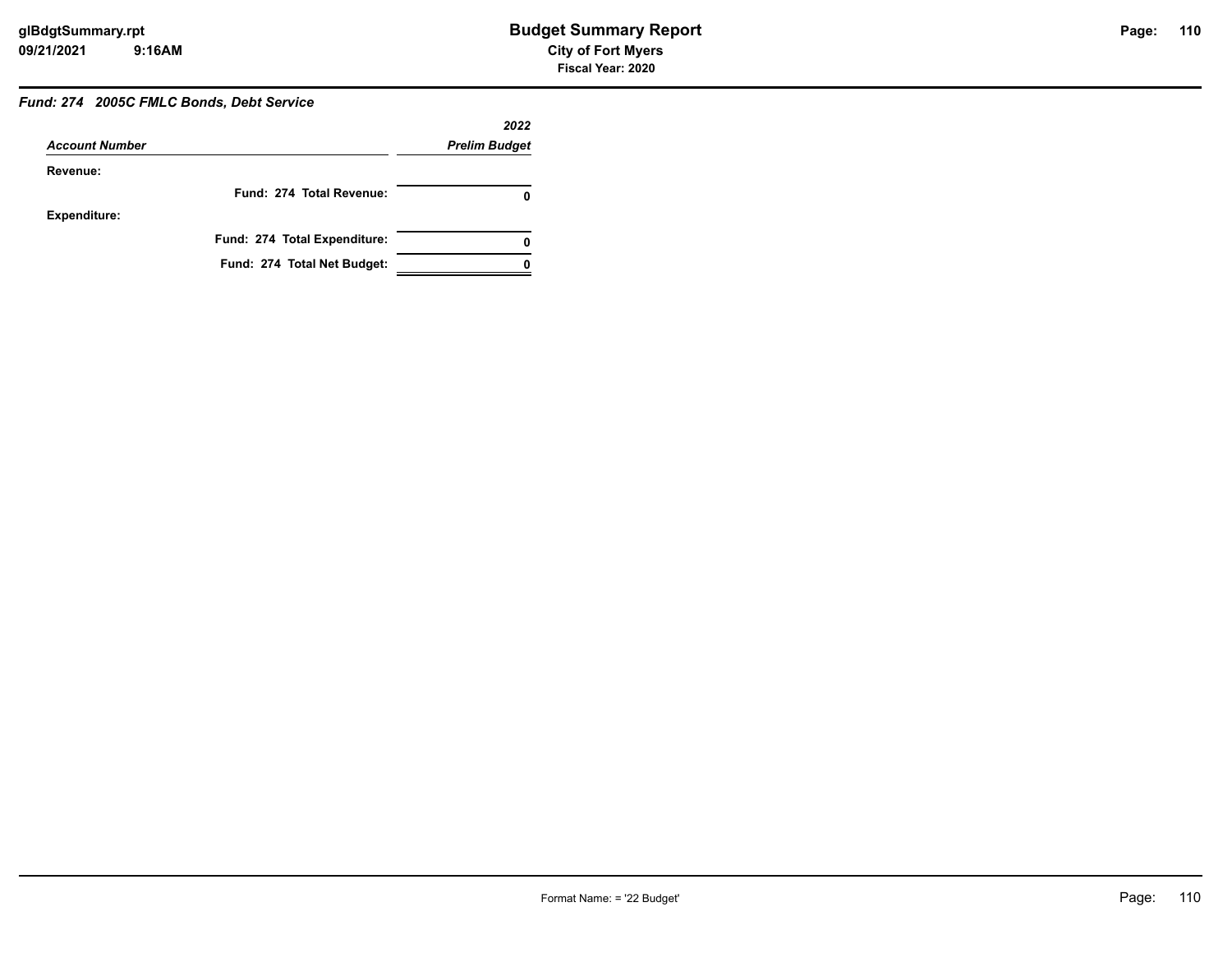## *Fund: 274 2005C FMLC Bonds, Debt Service*

|                       |                              | 2022                 |
|-----------------------|------------------------------|----------------------|
| <b>Account Number</b> |                              | <b>Prelim Budget</b> |
| Revenue:              |                              |                      |
|                       | Fund: 274 Total Revenue:     |                      |
| <b>Expenditure:</b>   |                              |                      |
|                       | Fund: 274 Total Expenditure: |                      |
|                       | Fund: 274 Total Net Budget:  |                      |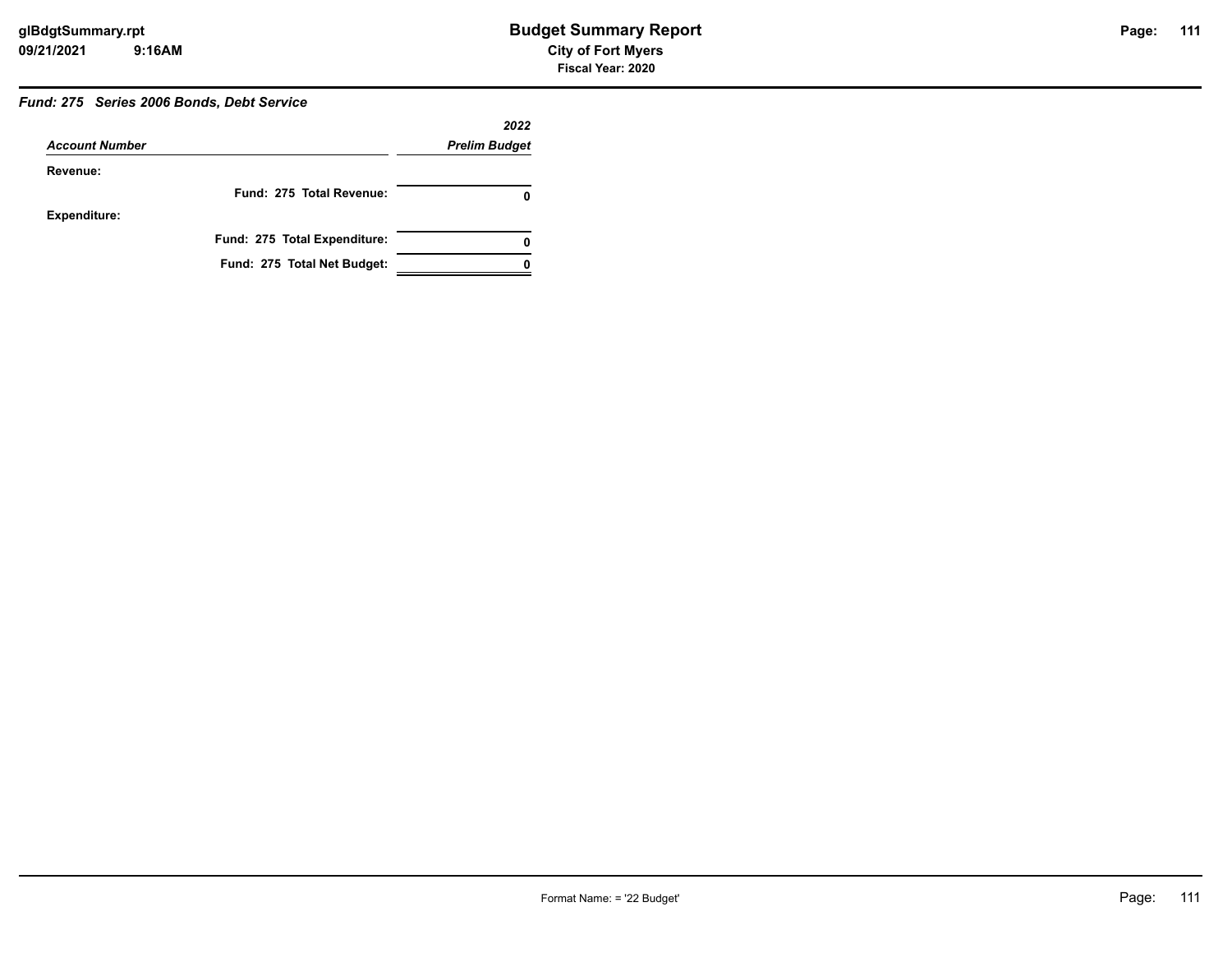## *Fund: 275 Series 2006 Bonds, Debt Service*

|                       |                              | 2022                 |
|-----------------------|------------------------------|----------------------|
| <b>Account Number</b> |                              | <b>Prelim Budget</b> |
| Revenue:              |                              |                      |
|                       | Fund: 275 Total Revenue:     |                      |
| <b>Expenditure:</b>   |                              |                      |
|                       | Fund: 275 Total Expenditure: |                      |
|                       | Fund: 275 Total Net Budget:  |                      |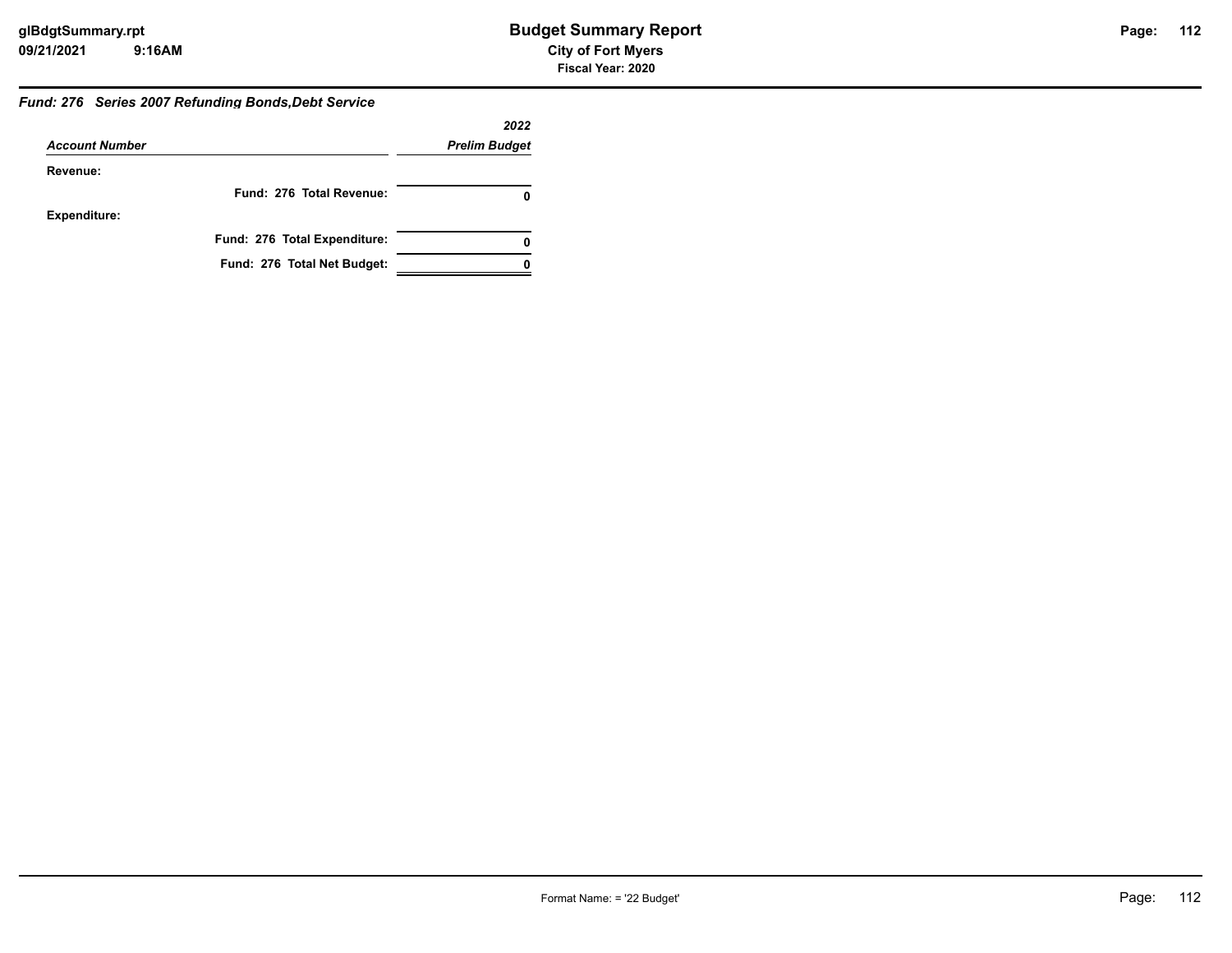## *Fund: 276 Series 2007 Refunding Bonds,Debt Service*

|                       |                              | 2022                 |
|-----------------------|------------------------------|----------------------|
| <b>Account Number</b> |                              | <b>Prelim Budget</b> |
| Revenue:              |                              |                      |
|                       | Fund: 276 Total Revenue:     |                      |
| <b>Expenditure:</b>   |                              |                      |
|                       | Fund: 276 Total Expenditure: |                      |
|                       | Fund: 276 Total Net Budget:  |                      |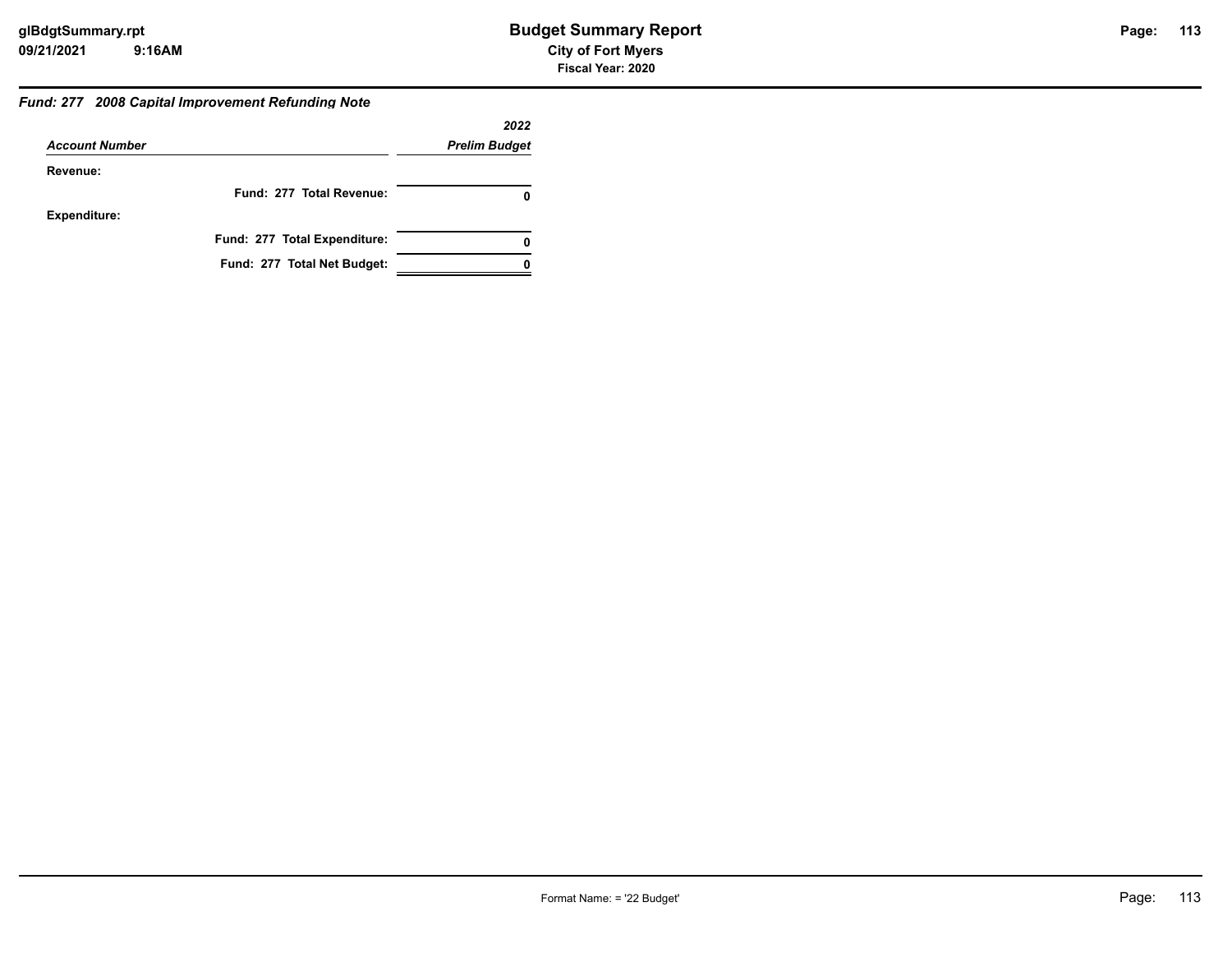## *Fund: 277 2008 Capital Improvement Refunding Note*

|                       |                              | 2022                 |
|-----------------------|------------------------------|----------------------|
| <b>Account Number</b> |                              | <b>Prelim Budget</b> |
| Revenue:              |                              |                      |
|                       | Fund: 277 Total Revenue:     |                      |
| <b>Expenditure:</b>   |                              |                      |
|                       | Fund: 277 Total Expenditure: | 0                    |
|                       | Fund: 277 Total Net Budget:  |                      |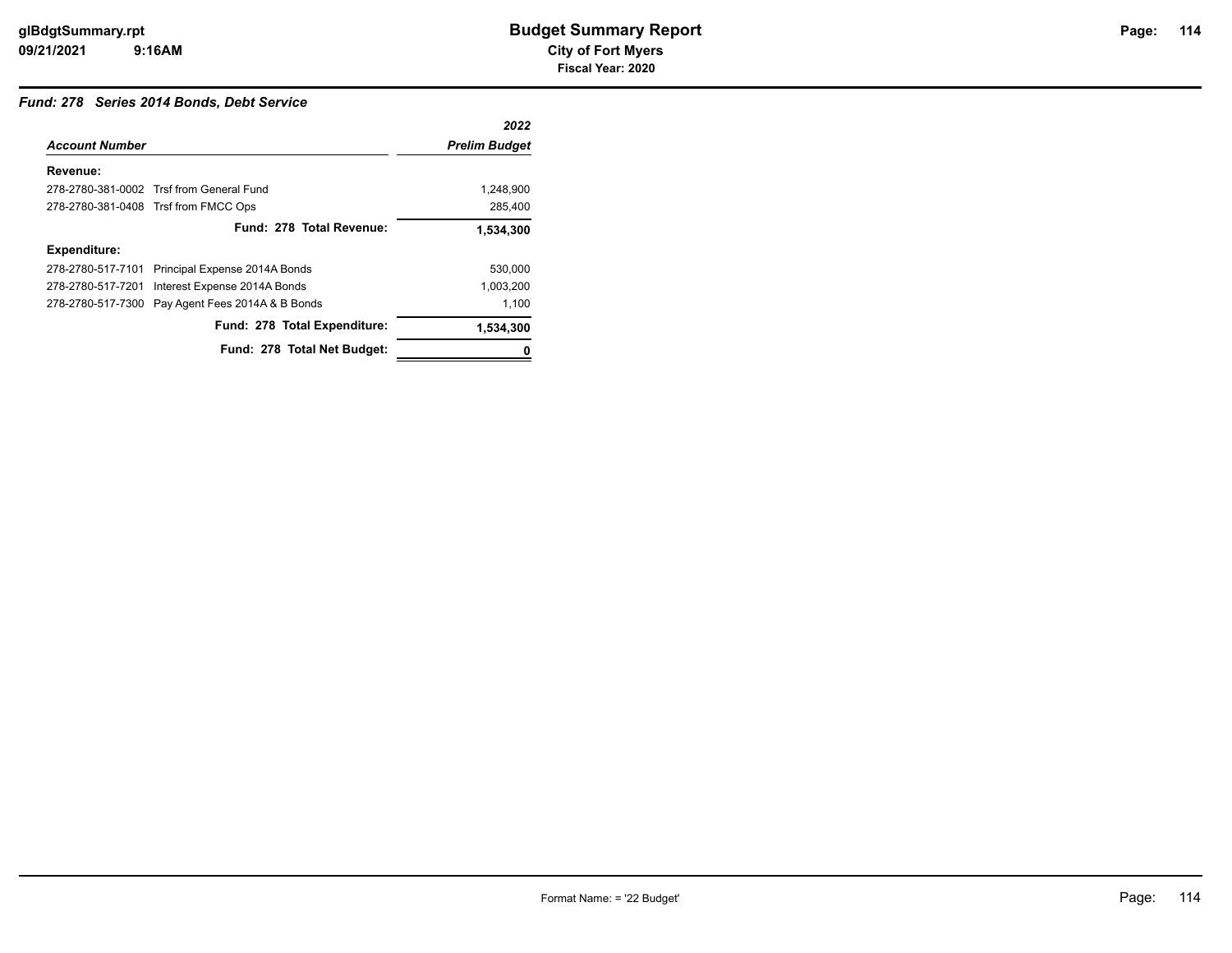## *Fund: 278 Series 2014 Bonds, Debt Service*

|                       |                                          | 2022                 |
|-----------------------|------------------------------------------|----------------------|
| <b>Account Number</b> |                                          | <b>Prelim Budget</b> |
| Revenue:              |                                          |                      |
|                       | 278-2780-381-0002 Trsf from General Fund | 1.248.900            |
|                       | 278-2780-381-0408 Trsf from FMCC Ops     | 285,400              |
|                       | Fund: 278 Total Revenue:                 | 1,534,300            |
| <b>Expenditure:</b>   |                                          |                      |
| 278-2780-517-7101     | Principal Expense 2014A Bonds            | 530.000              |
| 278-2780-517-7201     | Interest Expense 2014A Bonds             | 1,003,200            |
| 278-2780-517-7300     | Pay Agent Fees 2014A & B Bonds           | 1,100                |
|                       | Fund: 278 Total Expenditure:             | 1,534,300            |
|                       | Fund: 278 Total Net Budget:              |                      |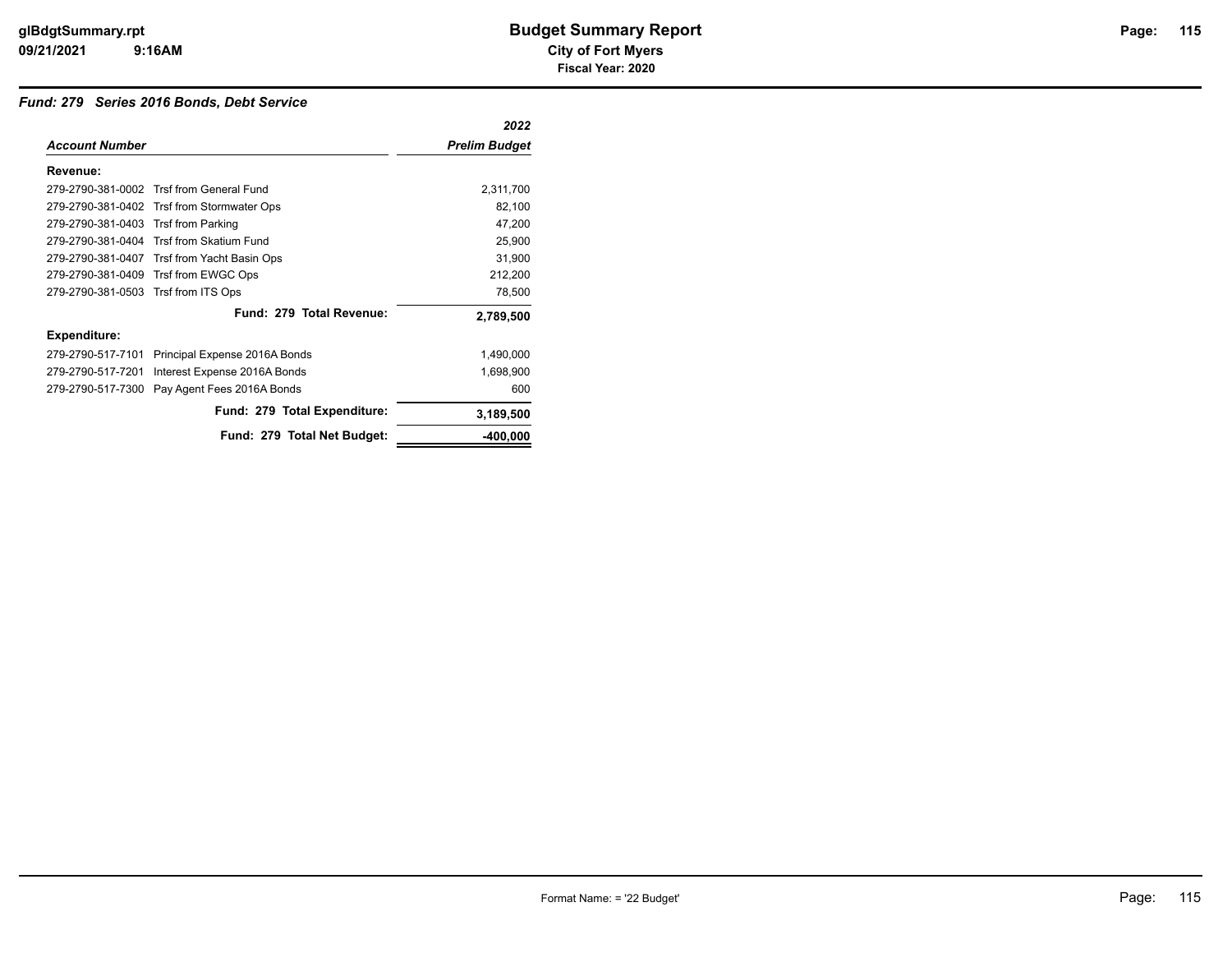## *Fund: 279 Series 2016 Bonds, Debt Service*

|                                     |                                             | 2022                 |
|-------------------------------------|---------------------------------------------|----------------------|
| <b>Account Number</b>               |                                             | <b>Prelim Budget</b> |
| Revenue:                            |                                             |                      |
|                                     | 279-2790-381-0002 Trsf from General Fund    | 2,311,700            |
|                                     | 279-2790-381-0402 Trsf from Stormwater Ops  | 82,100               |
| 279-2790-381-0403 Trsf from Parking |                                             | 47,200               |
|                                     | 279-2790-381-0404 Trsf from Skatium Fund    | 25,900               |
|                                     | 279-2790-381-0407 Trsf from Yacht Basin Ops | 31,900               |
|                                     | 279-2790-381-0409 Trsf from EWGC Ops        | 212,200              |
| 279-2790-381-0503 Trsf from ITS Ops |                                             | 78,500               |
|                                     | Fund: 279 Total Revenue:                    | 2,789,500            |
| <b>Expenditure:</b>                 |                                             |                      |
| 279-2790-517-7101                   | Principal Expense 2016A Bonds               | 1,490,000            |
| 279-2790-517-7201                   | Interest Expense 2016A Bonds                | 1,698,900            |
| 279-2790-517-7300                   | Pay Agent Fees 2016A Bonds                  | 600                  |
|                                     | Fund: 279 Total Expenditure:                | 3,189,500            |
|                                     | Fund: 279 Total Net Budget:                 | $-400,000$           |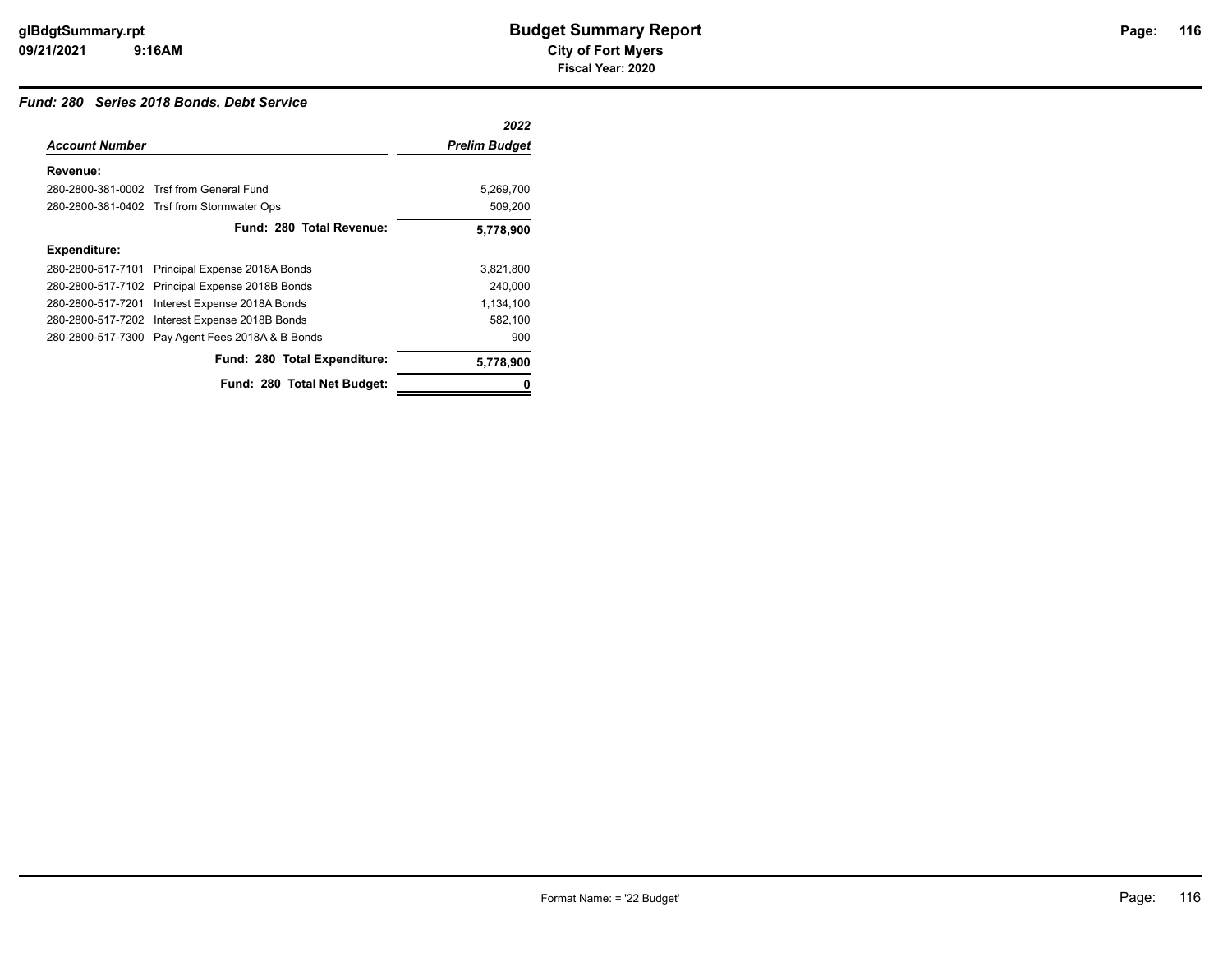## *Fund: 280 Series 2018 Bonds, Debt Service*

|                       |                                                  | 2022                 |
|-----------------------|--------------------------------------------------|----------------------|
| <b>Account Number</b> |                                                  | <b>Prelim Budget</b> |
| Revenue:              |                                                  |                      |
|                       | 280-2800-381-0002 Trsf from General Fund         | 5,269,700            |
|                       | 280-2800-381-0402 Trsf from Stormwater Ops       | 509,200              |
|                       | Fund: 280 Total Revenue:                         | 5,778,900            |
| <b>Expenditure:</b>   |                                                  |                      |
| 280-2800-517-7101     | Principal Expense 2018A Bonds                    | 3,821,800            |
| 280-2800-517-7102     | Principal Expense 2018B Bonds                    | 240,000              |
| 280-2800-517-7201     | Interest Expense 2018A Bonds                     | 1,134,100            |
| 280-2800-517-7202     | Interest Expense 2018B Bonds                     | 582,100              |
|                       | 280-2800-517-7300 Pay Agent Fees 2018A & B Bonds | 900                  |
|                       | Fund: 280 Total Expenditure:                     | 5,778,900            |
|                       | Fund: 280 Total Net Budget:                      | 0                    |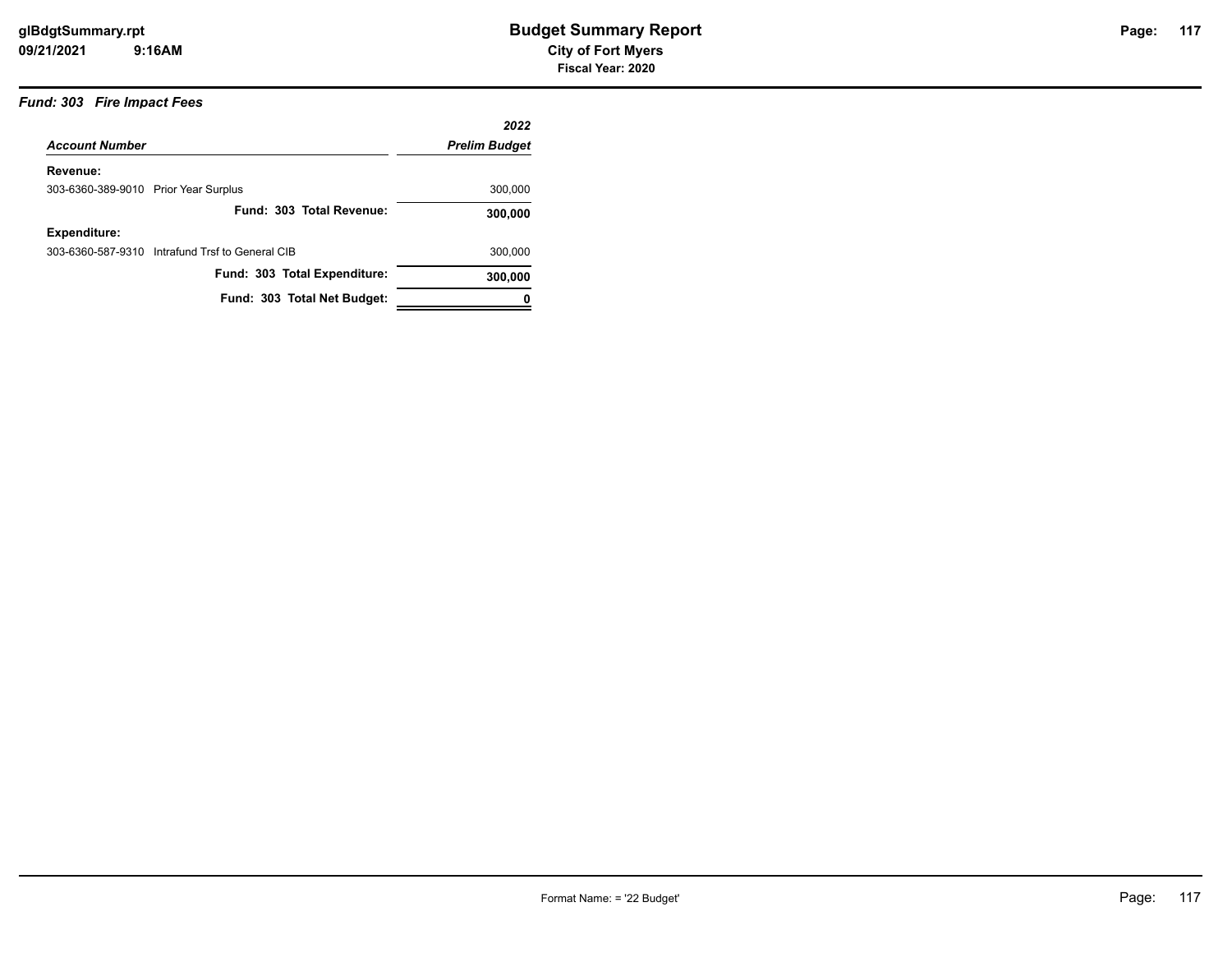## *Fund: 303 Fire Impact Fees*

|                                      |                                                 | 2022                 |
|--------------------------------------|-------------------------------------------------|----------------------|
| <b>Account Number</b>                |                                                 | <b>Prelim Budget</b> |
| Revenue:                             |                                                 |                      |
| 303-6360-389-9010 Prior Year Surplus |                                                 | 300,000              |
|                                      | Fund: 303 Total Revenue:                        | 300,000              |
| <b>Expenditure:</b>                  |                                                 |                      |
|                                      | 303-6360-587-9310 Intrafund Trsf to General CIB | 300,000              |
|                                      | Fund: 303 Total Expenditure:                    | 300,000              |
|                                      | Fund: 303 Total Net Budget:                     |                      |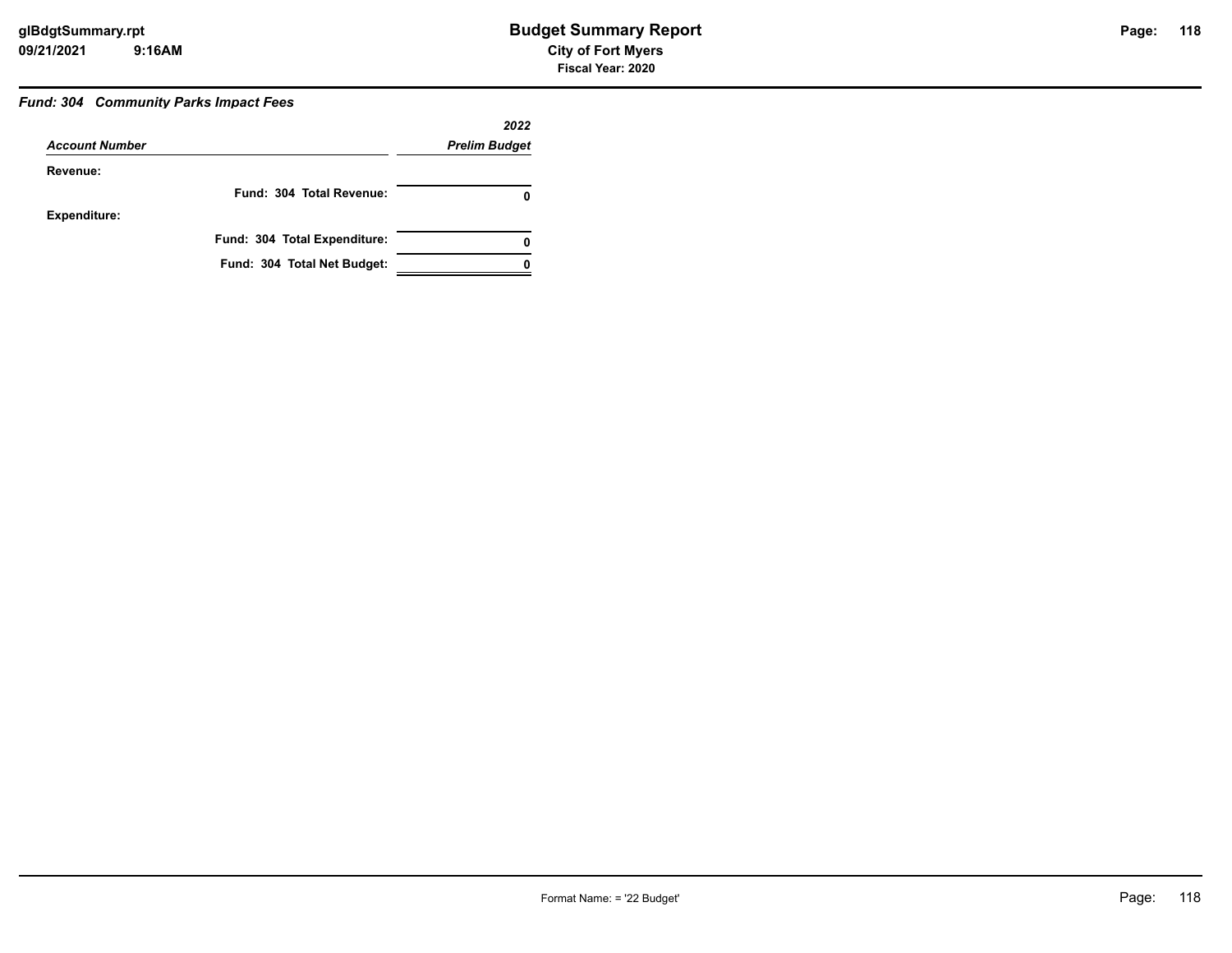## *Fund: 304 Community Parks Impact Fees*

|                       |                              | 2022                 |
|-----------------------|------------------------------|----------------------|
| <b>Account Number</b> |                              | <b>Prelim Budget</b> |
| Revenue:              |                              |                      |
|                       | Fund: 304 Total Revenue:     |                      |
| <b>Expenditure:</b>   |                              |                      |
|                       | Fund: 304 Total Expenditure: | 0                    |
|                       | Fund: 304 Total Net Budget:  |                      |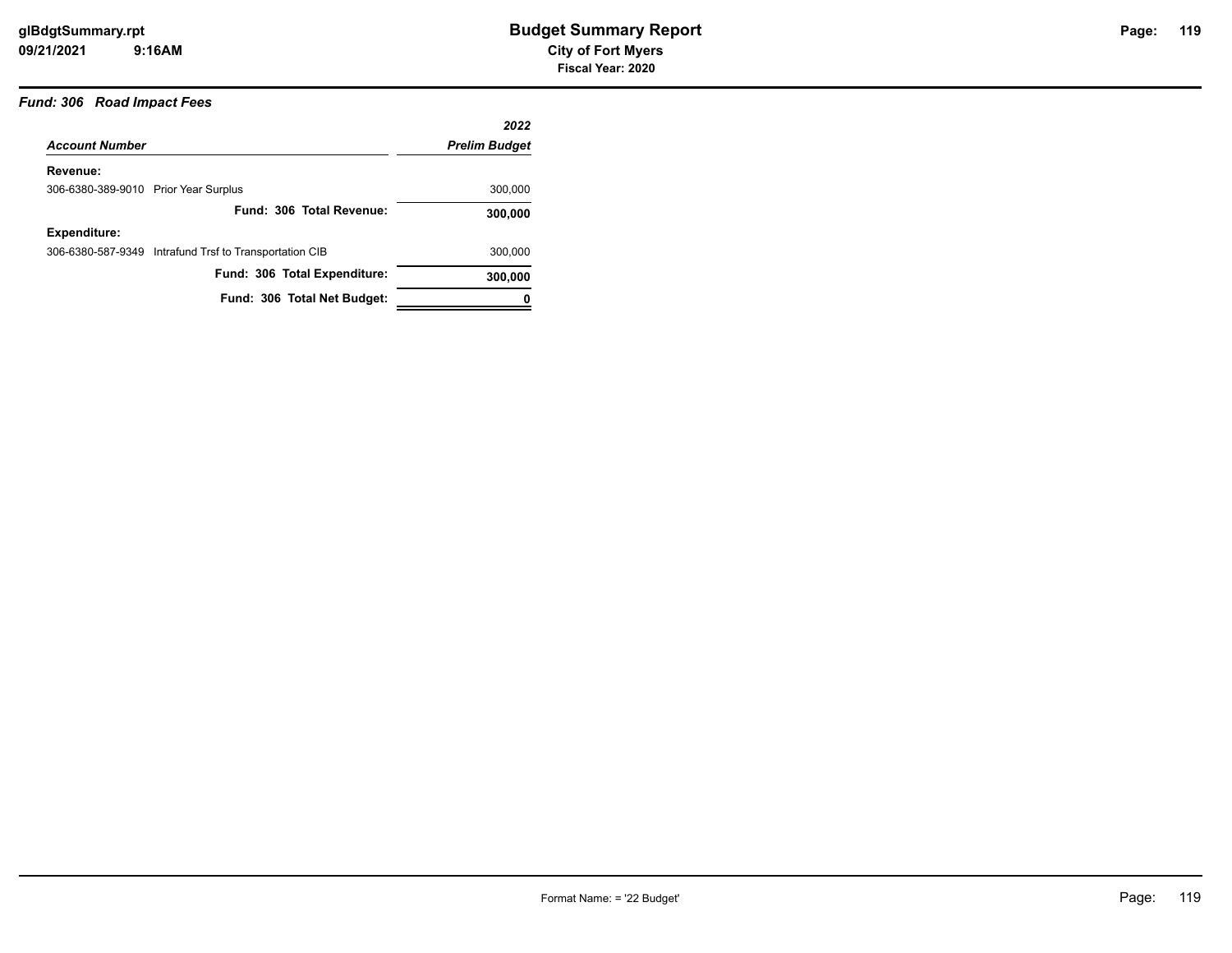## *Fund: 306 Road Impact Fees*

|                                      |                                                        | 2022                 |
|--------------------------------------|--------------------------------------------------------|----------------------|
| <b>Account Number</b>                |                                                        | <b>Prelim Budget</b> |
| Revenue:                             |                                                        |                      |
| 306-6380-389-9010 Prior Year Surplus |                                                        | 300,000              |
|                                      | Fund: 306 Total Revenue:                               | 300,000              |
| <b>Expenditure:</b>                  |                                                        |                      |
|                                      | 306-6380-587-9349 Intrafund Trsf to Transportation CIB | 300,000              |
|                                      | Fund: 306 Total Expenditure:                           | 300,000              |
|                                      | Fund: 306 Total Net Budget:                            | 0                    |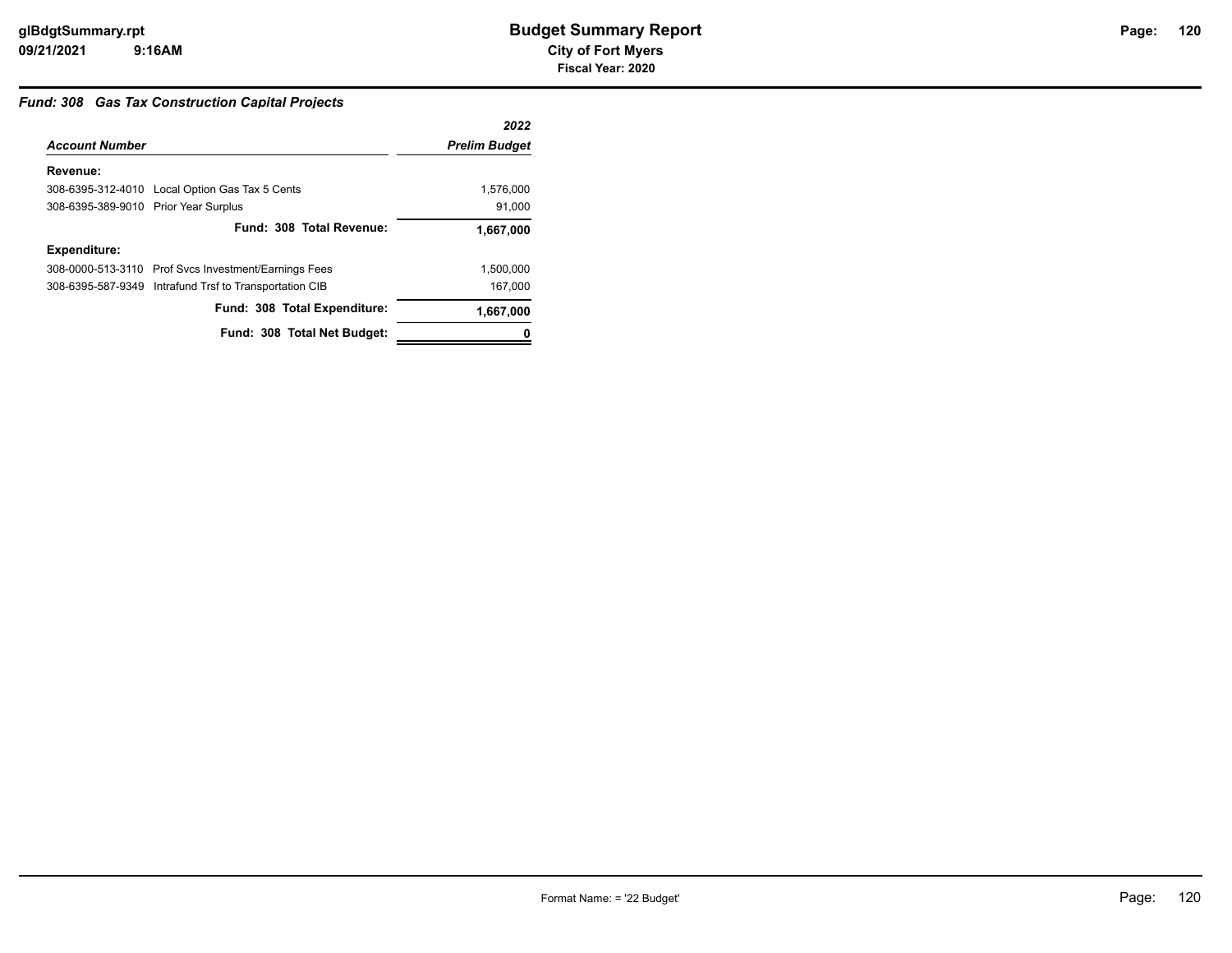#### *Fund: 308 Gas Tax Construction Capital Projects*

|                                      |                                                        | 2022                 |
|--------------------------------------|--------------------------------------------------------|----------------------|
| <b>Account Number</b>                |                                                        | <b>Prelim Budget</b> |
| Revenue:                             |                                                        |                      |
|                                      | 308-6395-312-4010 Local Option Gas Tax 5 Cents         | 1,576,000            |
| 308-6395-389-9010 Prior Year Surplus |                                                        | 91,000               |
|                                      | Fund: 308 Total Revenue:                               | 1,667,000            |
| <b>Expenditure:</b>                  |                                                        |                      |
|                                      | 308-0000-513-3110 Prof Svcs Investment/Earnings Fees   | 1,500,000            |
|                                      | 308-6395-587-9349 Intrafund Trsf to Transportation CIB | 167,000              |
|                                      | Fund: 308 Total Expenditure:                           | 1,667,000            |
|                                      | Fund: 308 Total Net Budget:                            |                      |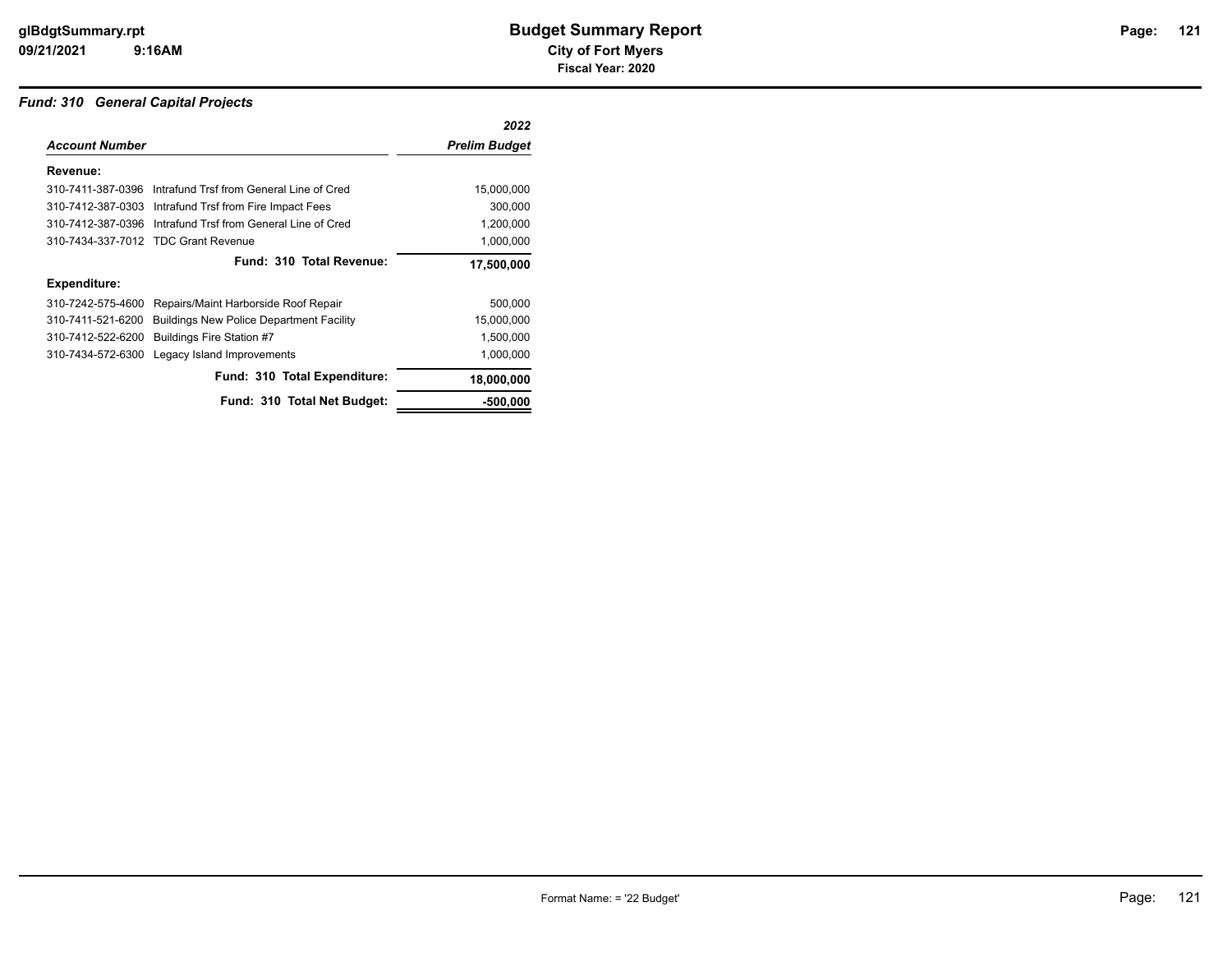## *Fund: 310 General Capital Projects*

|                       |                                                            | 2022                 |
|-----------------------|------------------------------------------------------------|----------------------|
| <b>Account Number</b> |                                                            | <b>Prelim Budget</b> |
| Revenue:              |                                                            |                      |
|                       | 310-7411-387-0396 Intrafund Trsf from General Line of Cred | 15,000,000           |
|                       | 310-7412-387-0303 Intrafund Trsf from Fire Impact Fees     | 300,000              |
| 310-7412-387-0396     | Intrafund Trsf from General Line of Cred                   | 1,200,000            |
|                       | 310-7434-337-7012 TDC Grant Revenue                        | 1,000,000            |
|                       | Fund: 310 Total Revenue:                                   | 17,500,000           |
| <b>Expenditure:</b>   |                                                            |                      |
| 310-7242-575-4600     | Repairs/Maint Harborside Roof Repair                       | 500,000              |
| 310-7411-521-6200     | <b>Buildings New Police Department Facility</b>            | 15,000,000           |
| 310-7412-522-6200     | Buildings Fire Station #7                                  | 1,500,000            |
| 310-7434-572-6300     | Legacy Island Improvements                                 | 1,000,000            |
|                       | Fund: 310 Total Expenditure:                               | 18,000,000           |
|                       | Fund: 310 Total Net Budget:                                | -500,000             |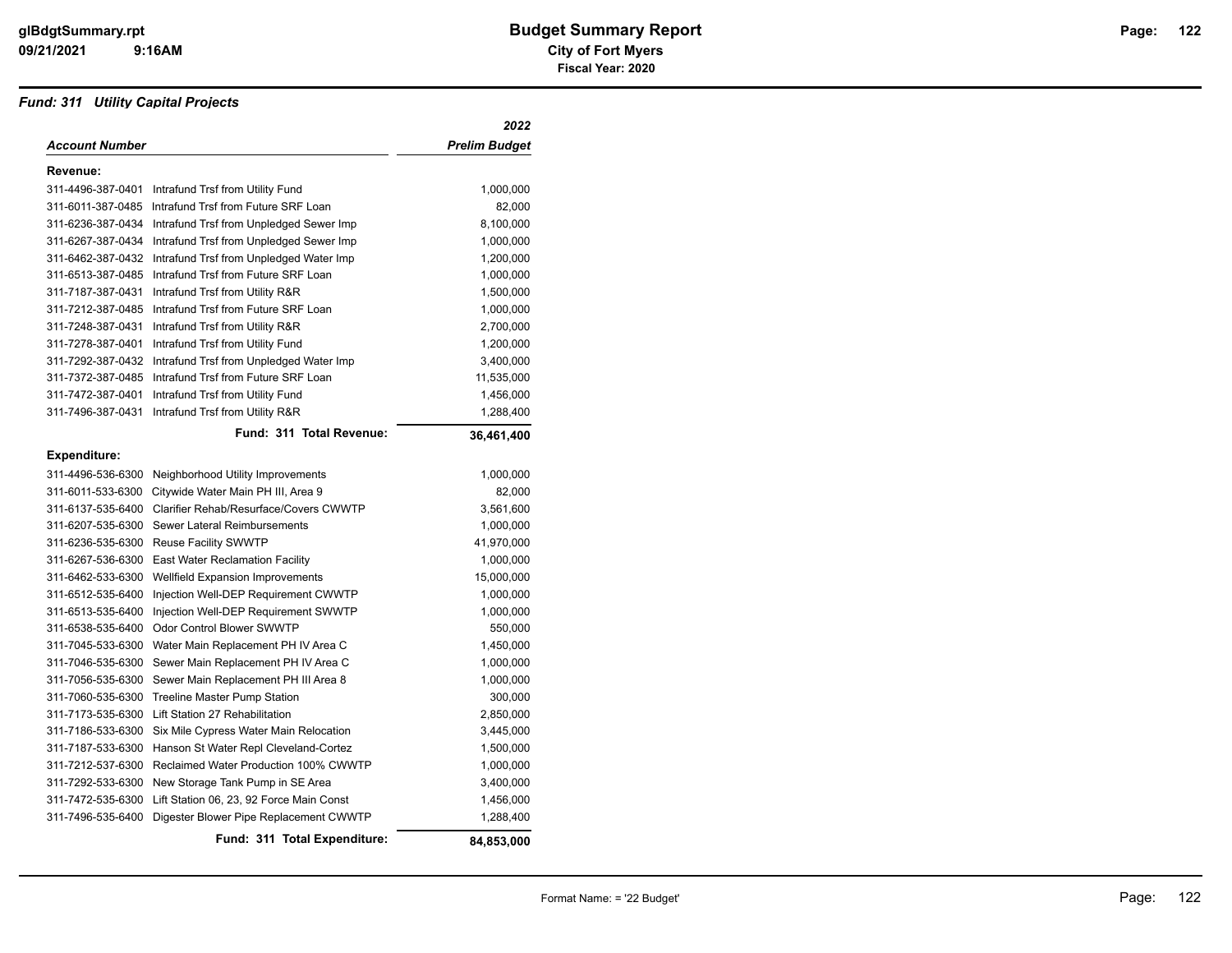## *Fund: 311 Utility Capital Projects*

|                       |                                                           | 2022          |
|-----------------------|-----------------------------------------------------------|---------------|
| <b>Account Number</b> |                                                           | Prelim Budget |
| Revenue:              |                                                           |               |
|                       | 311-4496-387-0401 Intrafund Trsf from Utility Fund        | 1,000,000     |
| 311-6011-387-0485     | Intrafund Trsf from Future SRF Loan                       | 82,000        |
|                       | 311-6236-387-0434 Intrafund Trsf from Unpledged Sewer Imp | 8,100,000     |
| 311-6267-387-0434     | Intrafund Trsf from Unpledged Sewer Imp                   | 1,000,000     |
| 311-6462-387-0432     | Intrafund Trsf from Unpledged Water Imp                   | 1,200,000     |
| 311-6513-387-0485     | Intrafund Trsf from Future SRF Loan                       | 1,000,000     |
| 311-7187-387-0431     | Intrafund Trsf from Utility R&R                           | 1,500,000     |
|                       | 311-7212-387-0485 Intrafund Trsf from Future SRF Loan     | 1,000,000     |
| 311-7248-387-0431     | Intrafund Trsf from Utility R&R                           | 2,700,000     |
| 311-7278-387-0401     | Intrafund Trsf from Utility Fund                          | 1,200,000     |
|                       | 311-7292-387-0432 Intrafund Trsf from Unpledged Water Imp | 3,400,000     |
|                       | 311-7372-387-0485 Intrafund Trsf from Future SRF Loan     | 11,535,000    |
| 311-7472-387-0401     | Intrafund Trsf from Utility Fund                          | 1,456,000     |
| 311-7496-387-0431     | Intrafund Trsf from Utility R&R                           | 1,288,400     |
|                       | Fund: 311 Total Revenue:                                  | 36,461,400    |
| <b>Expenditure:</b>   |                                                           |               |
|                       | 311-4496-536-6300 Neighborhood Utility Improvements       | 1,000,000     |
| 311-6011-533-6300     | Citywide Water Main PH III, Area 9                        | 82,000        |
|                       | 311-6137-535-6400 Clarifier Rehab/Resurface/Covers CWWTP  | 3,561,600     |
|                       | 311-6207-535-6300 Sewer Lateral Reimbursements            | 1,000,000     |
|                       | 311-6236-535-6300 Reuse Facility SWWTP                    | 41,970,000    |
|                       | 311-6267-536-6300 East Water Reclamation Facility         | 1,000,000     |
|                       | 311-6462-533-6300 Wellfield Expansion Improvements        | 15,000,000    |
|                       | 311-6512-535-6400 Injection Well-DEP Requirement CWWTP    | 1,000,000     |
| 311-6513-535-6400     | Injection Well-DEP Requirement SWWTP                      | 1,000,000     |
|                       | 311-6538-535-6400 Odor Control Blower SWWTP               | 550,000       |
|                       | 311-7045-533-6300 Water Main Replacement PH IV Area C     | 1,450,000     |
| 311-7046-535-6300     | Sewer Main Replacement PH IV Area C                       | 1,000,000     |
| 311-7056-535-6300     | Sewer Main Replacement PH III Area 8                      | 1,000,000     |
| 311-7060-535-6300     | Treeline Master Pump Station                              | 300,000       |
|                       | 311-7173-535-6300 Lift Station 27 Rehabilitation          | 2,850,000     |
|                       | 311-7186-533-6300 Six Mile Cypress Water Main Relocation  | 3,445,000     |
|                       | 311-7187-533-6300 Hanson St Water Repl Cleveland-Cortez   | 1,500,000     |
| 311-7212-537-6300     | <b>Reclaimed Water Production 100% CWWTP</b>              | 1,000,000     |
| 311-7292-533-6300     | New Storage Tank Pump in SE Area                          | 3,400,000     |
| 311-7472-535-6300     | Lift Station 06, 23, 92 Force Main Const                  | 1,456,000     |
| 311-7496-535-6400     | Digester Blower Pipe Replacement CWWTP                    | 1,288,400     |
|                       | Fund: 311 Total Expenditure:                              | 84.853.000    |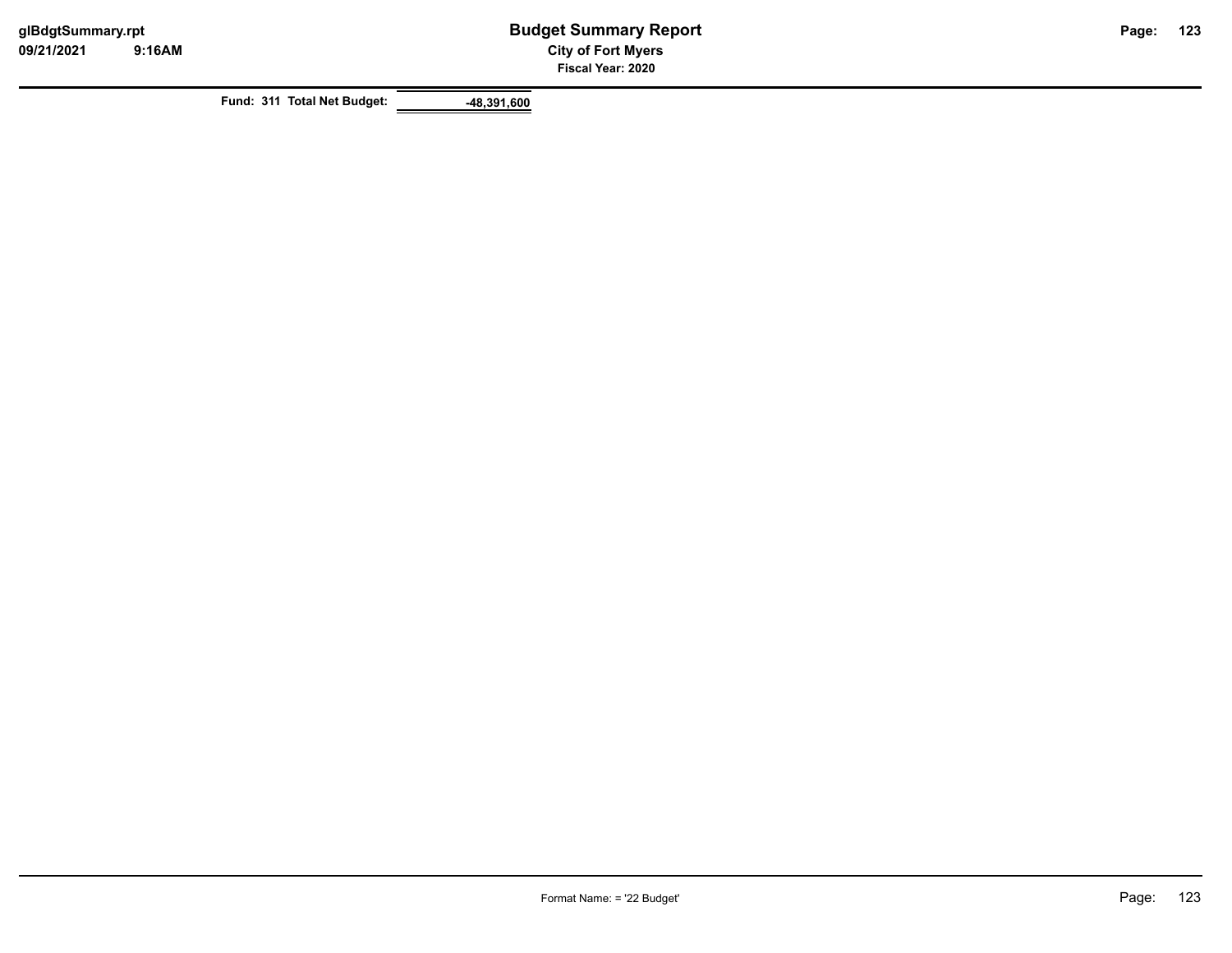**Fund: 311 Total Net Budget: -48,391,600**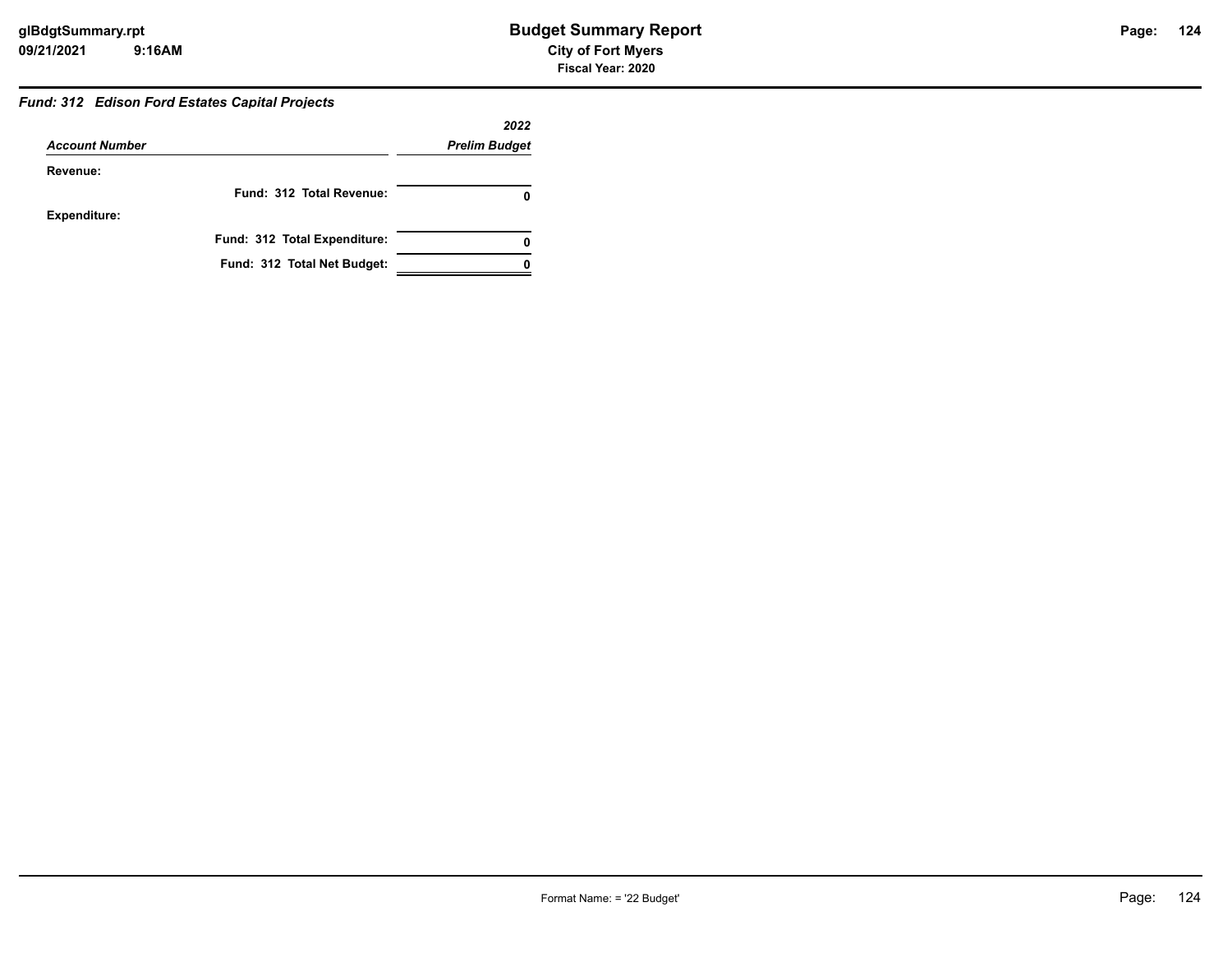## *Fund: 312 Edison Ford Estates Capital Projects*

|                       |                              | 2022                 |
|-----------------------|------------------------------|----------------------|
| <b>Account Number</b> |                              | <b>Prelim Budget</b> |
| Revenue:              |                              |                      |
|                       | Fund: 312 Total Revenue:     |                      |
| <b>Expenditure:</b>   |                              |                      |
|                       | Fund: 312 Total Expenditure: |                      |
|                       | Fund: 312 Total Net Budget:  |                      |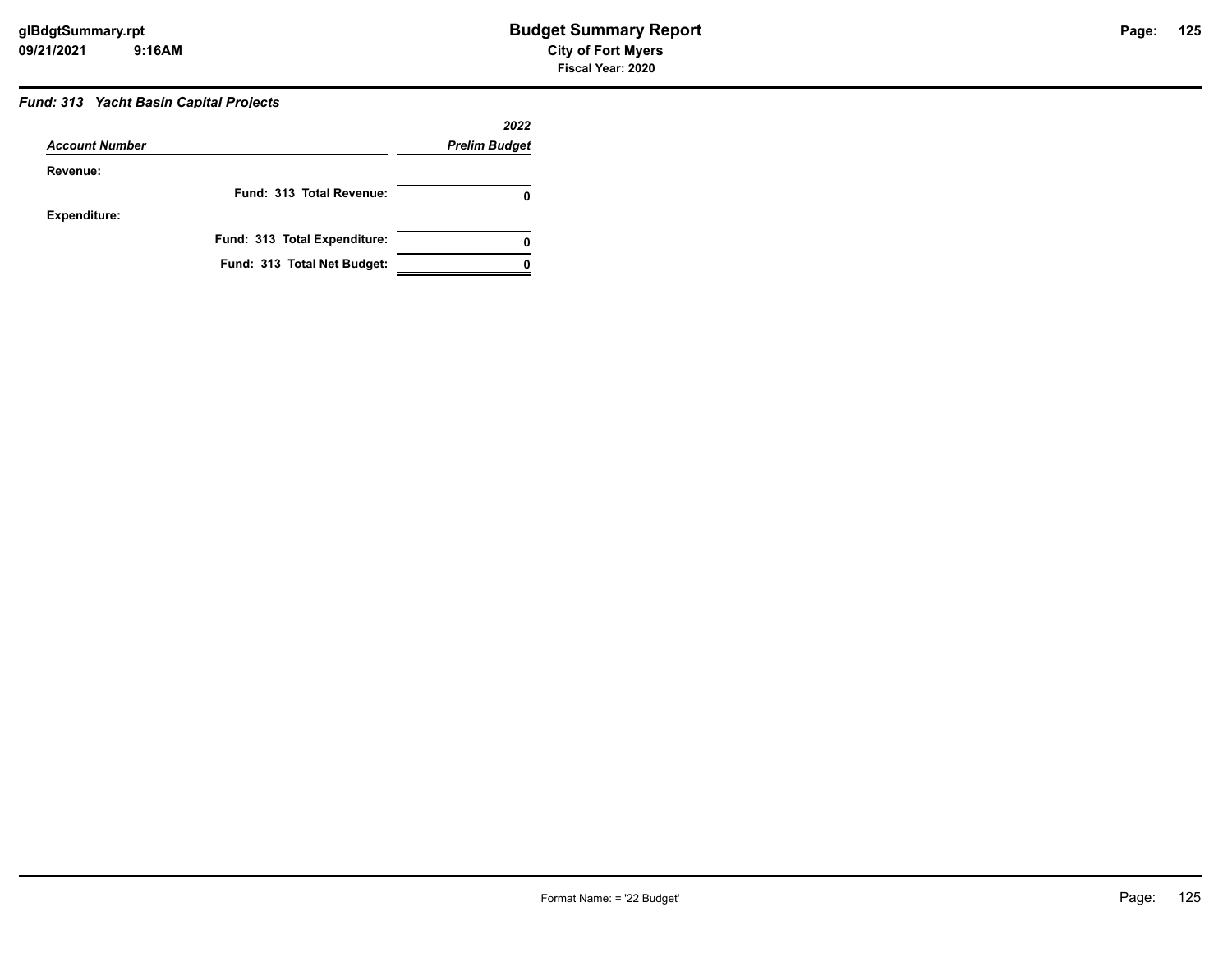## *Fund: 313 Yacht Basin Capital Projects*

| <b>Account Number</b> |                              | 2022<br><b>Prelim Budget</b> |  |
|-----------------------|------------------------------|------------------------------|--|
|                       |                              |                              |  |
| Revenue:              |                              |                              |  |
|                       | Fund: 313 Total Revenue:     |                              |  |
| <b>Expenditure:</b>   |                              |                              |  |
|                       | Fund: 313 Total Expenditure: | 0                            |  |
|                       | Fund: 313 Total Net Budget:  |                              |  |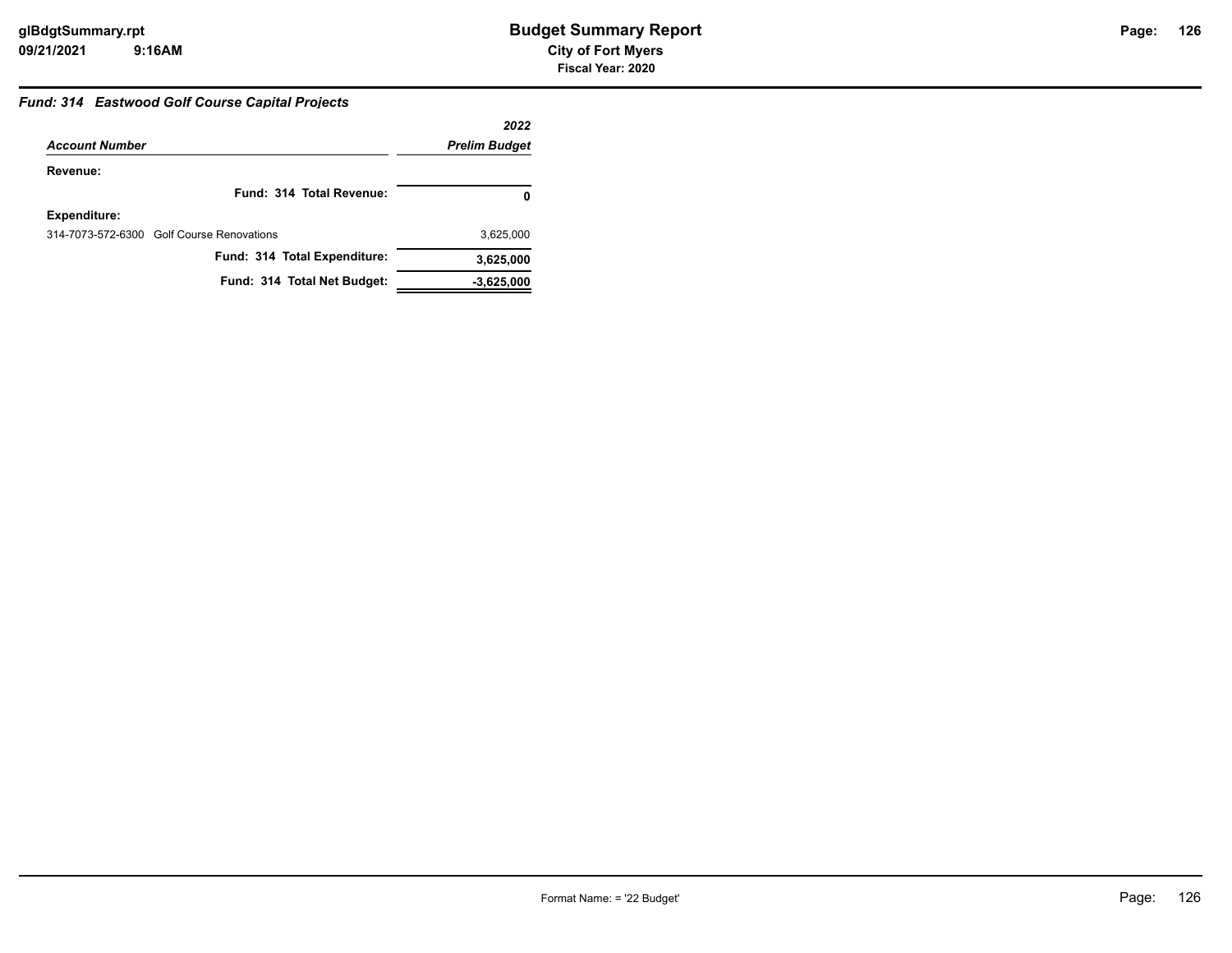## **126**

## *Fund: 314 Eastwood Golf Course Capital Projects*

|                                           | 2022                 |
|-------------------------------------------|----------------------|
| <b>Account Number</b>                     | <b>Prelim Budget</b> |
| Revenue:                                  |                      |
| Fund: 314 Total Revenue:                  | 0                    |
| Expenditure:                              |                      |
| 314-7073-572-6300 Golf Course Renovations | 3,625,000            |
| Fund: 314 Total Expenditure:              | 3,625,000            |
| Fund: 314 Total Net Budget:               | $-3,625,000$         |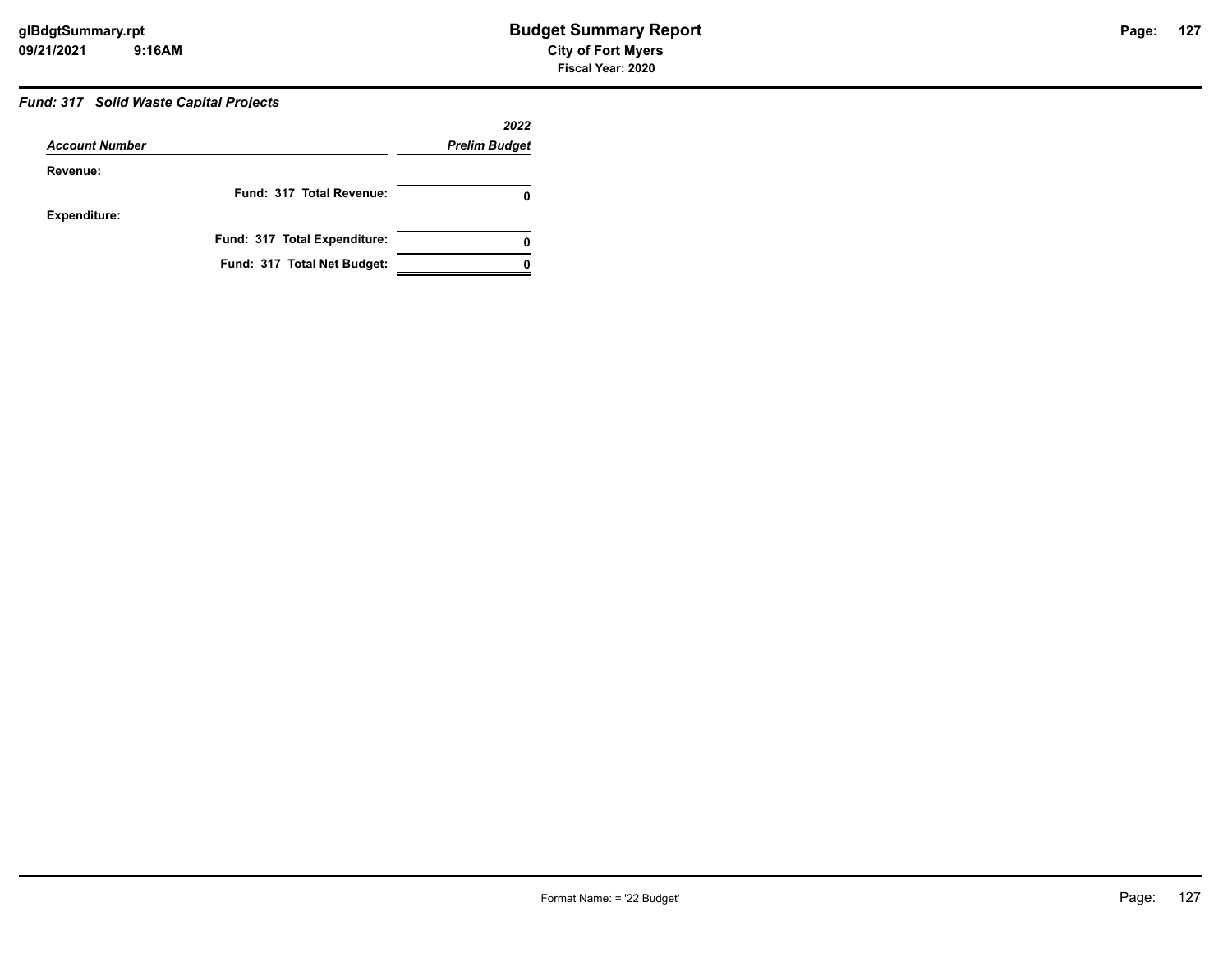## *Fund: 317 Solid Waste Capital Projects*

| <b>Account Number</b> |                              | 2022<br><b>Prelim Budget</b> |  |
|-----------------------|------------------------------|------------------------------|--|
|                       |                              |                              |  |
| Revenue:              |                              |                              |  |
|                       | Fund: 317 Total Revenue:     |                              |  |
| <b>Expenditure:</b>   |                              |                              |  |
|                       | Fund: 317 Total Expenditure: | 0                            |  |
|                       | Fund: 317 Total Net Budget:  |                              |  |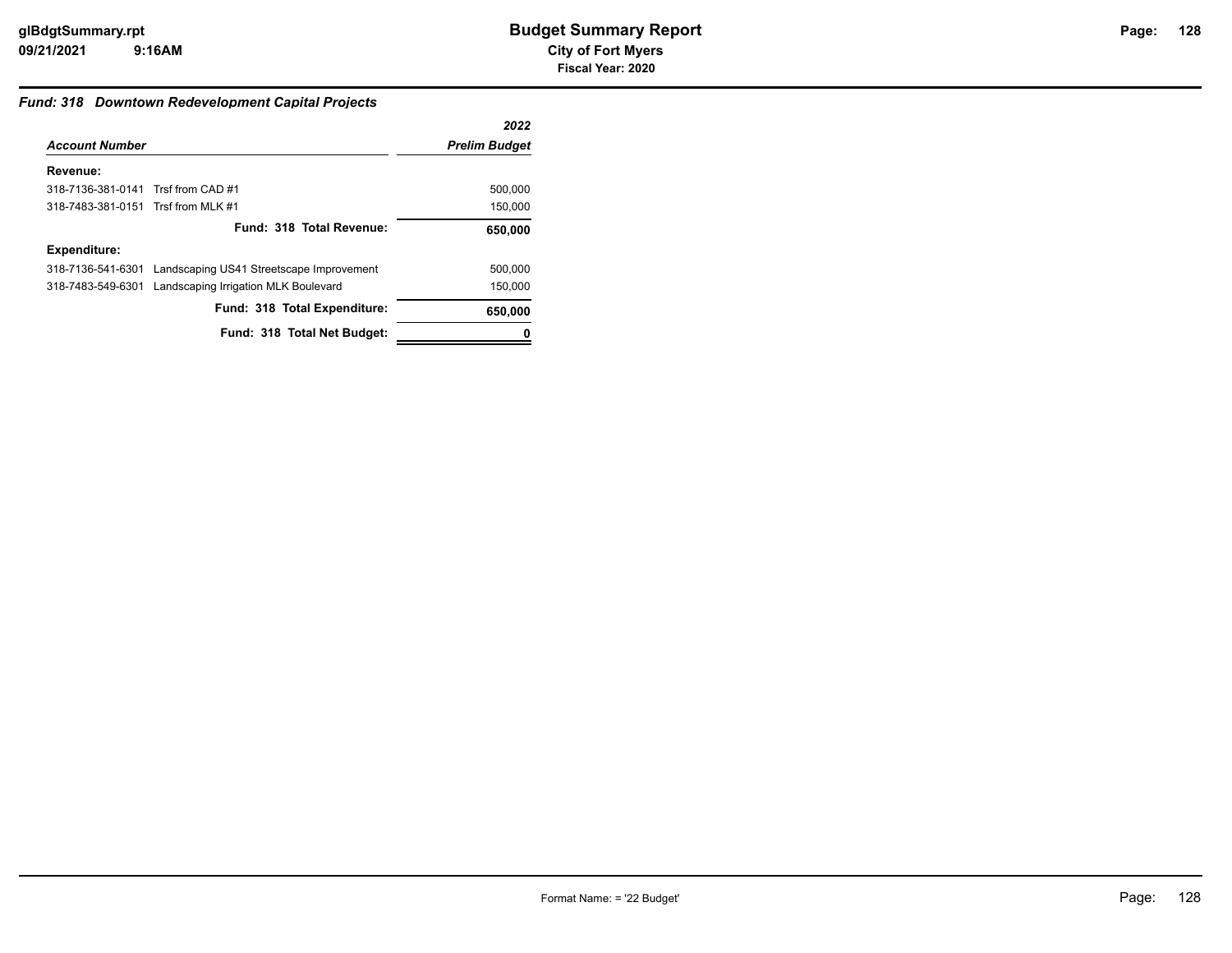## **128**

## *Fund: 318 Downtown Redevelopment Capital Projects*

|                                                            | 2022                 |
|------------------------------------------------------------|----------------------|
| <b>Account Number</b>                                      | <b>Prelim Budget</b> |
|                                                            |                      |
| 318-7136-381-0141 Trsf from CAD #1                         | 500,000              |
| 318-7483-381-0151 Trsf from MLK #1                         | 150,000              |
| Fund: 318 Total Revenue:                                   | 650,000              |
|                                                            |                      |
| 318-7136-541-6301 Landscaping US41 Streetscape Improvement | 500.000              |
| 318-7483-549-6301 Landscaping Irrigation MLK Boulevard     | 150.000              |
| Fund: 318 Total Expenditure:                               | 650,000              |
| Fund: 318 Total Net Budget:                                |                      |
|                                                            |                      |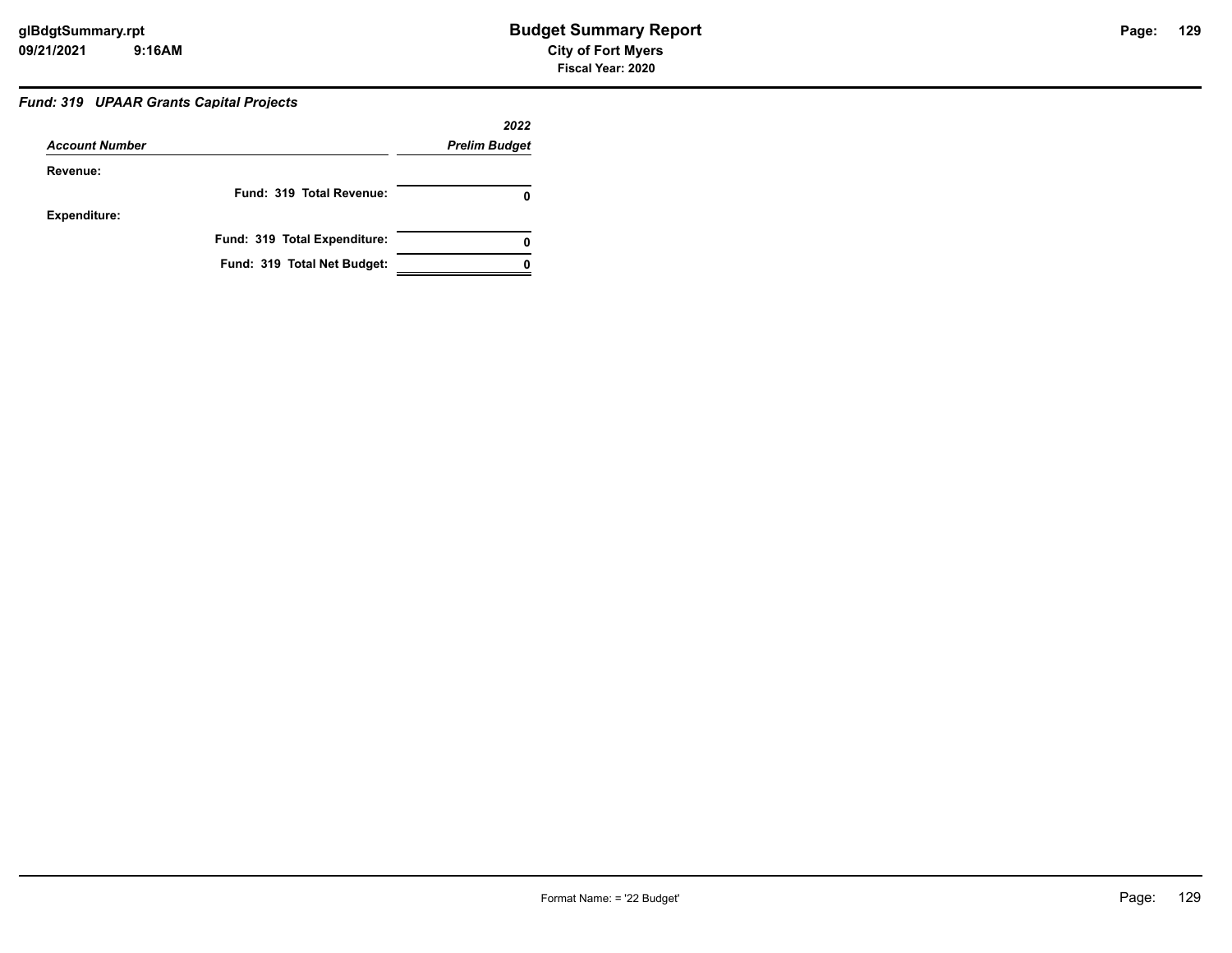## *Fund: 319 UPAAR Grants Capital Projects*

|                       |                              | 2022                 |
|-----------------------|------------------------------|----------------------|
| <b>Account Number</b> |                              | <b>Prelim Budget</b> |
| Revenue:              |                              |                      |
|                       | Fund: 319 Total Revenue:     | 0                    |
| <b>Expenditure:</b>   |                              |                      |
|                       | Fund: 319 Total Expenditure: | 0                    |
|                       | Fund: 319 Total Net Budget:  |                      |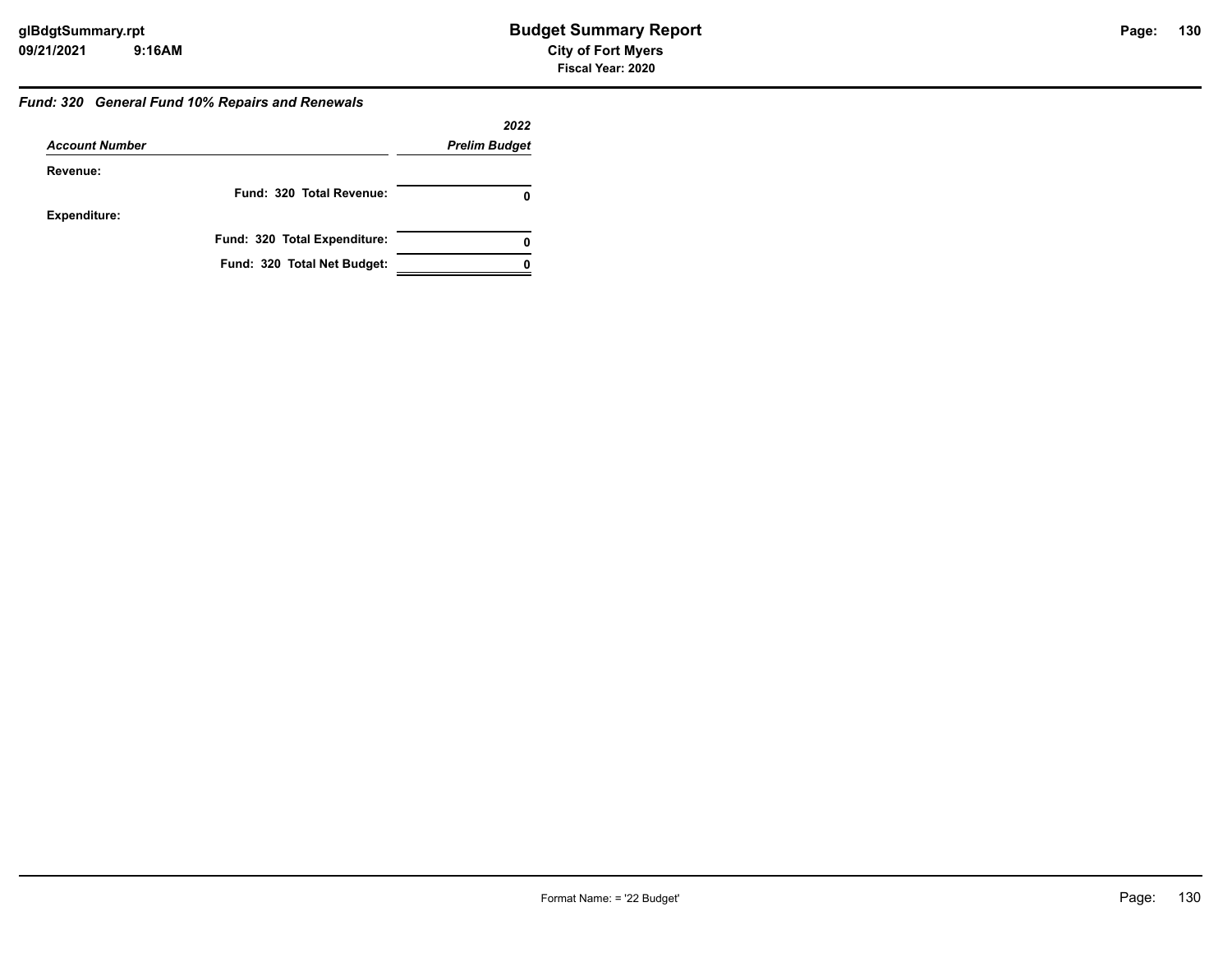## *Fund: 320 General Fund 10% Repairs and Renewals*

|                       |                              | 2022                 |
|-----------------------|------------------------------|----------------------|
| <b>Account Number</b> |                              | <b>Prelim Budget</b> |
| Revenue:              |                              |                      |
|                       | Fund: 320 Total Revenue:     |                      |
| <b>Expenditure:</b>   |                              |                      |
|                       | Fund: 320 Total Expenditure: |                      |
|                       | Fund: 320 Total Net Budget:  |                      |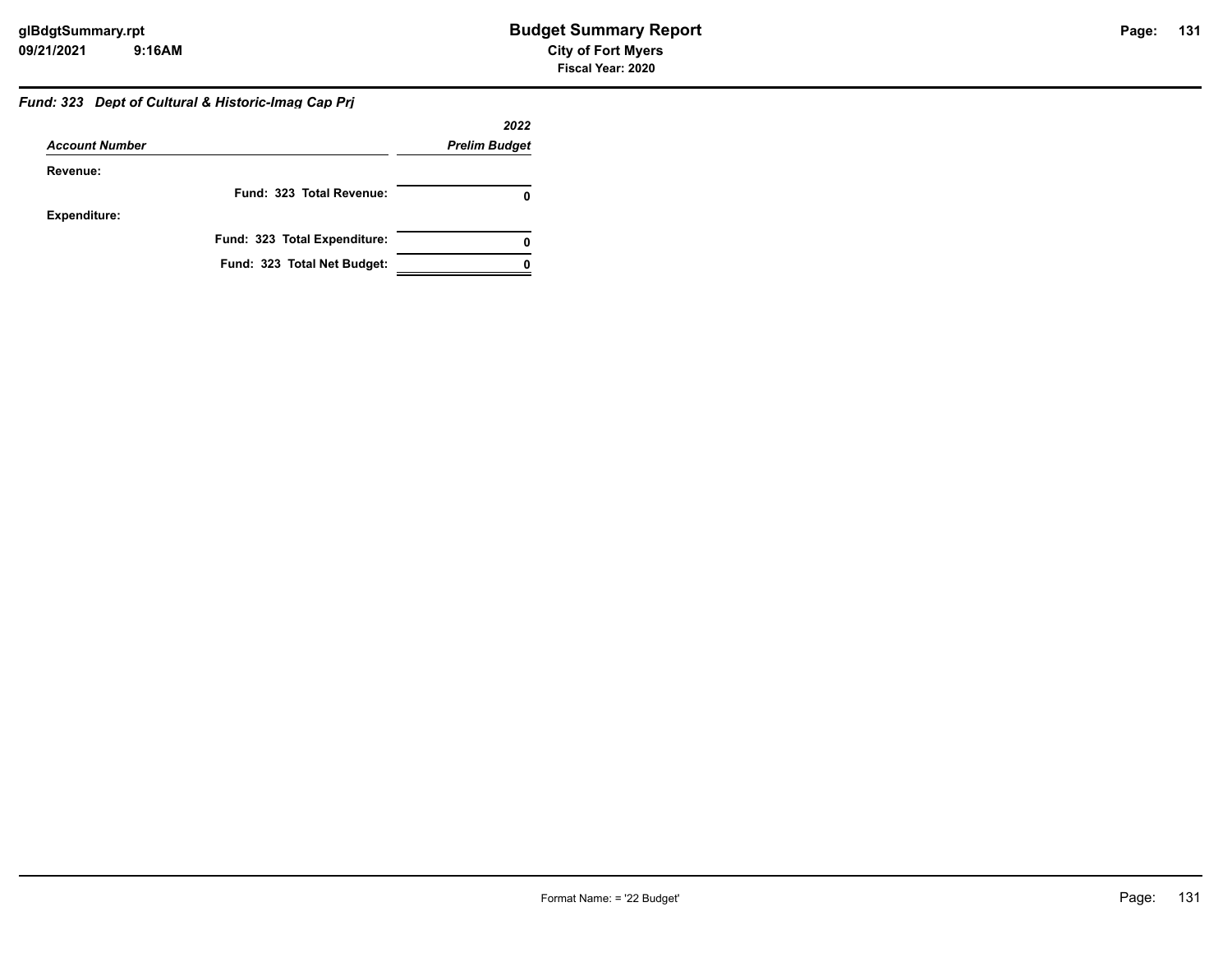## *Fund: 323 Dept of Cultural & Historic-Imag Cap Prj*

|                       |                              | 2022                 |
|-----------------------|------------------------------|----------------------|
| <b>Account Number</b> |                              | <b>Prelim Budget</b> |
| Revenue:              |                              |                      |
|                       | Fund: 323 Total Revenue:     |                      |
| <b>Expenditure:</b>   |                              |                      |
|                       | Fund: 323 Total Expenditure: |                      |
|                       | Fund: 323 Total Net Budget:  |                      |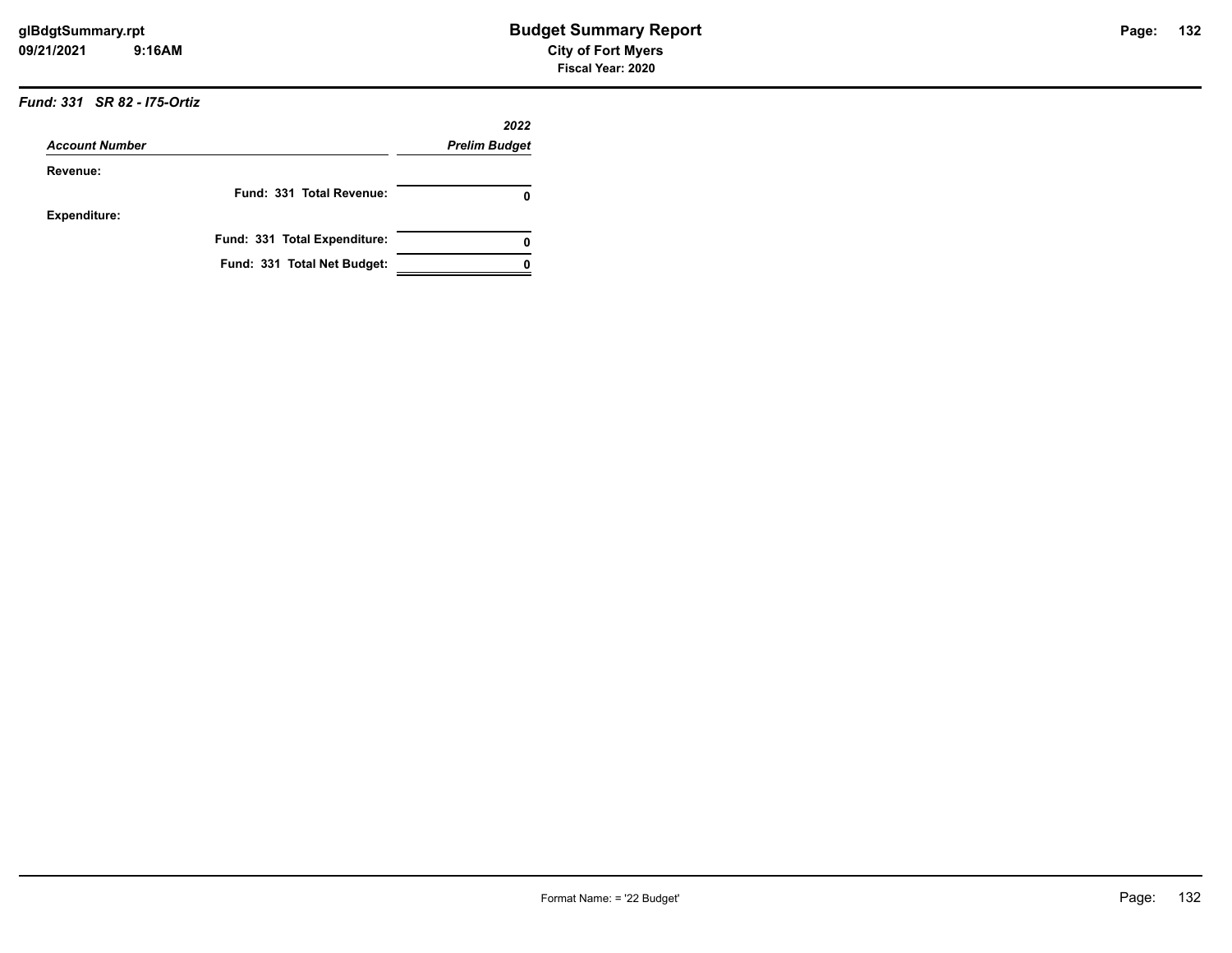## *Fund: 331 SR 82 - I75-Ortiz*

|                       |                              | 2022                 |
|-----------------------|------------------------------|----------------------|
| <b>Account Number</b> |                              | <b>Prelim Budget</b> |
| Revenue:              |                              |                      |
|                       | Fund: 331 Total Revenue:     | 0                    |
| <b>Expenditure:</b>   |                              |                      |
|                       | Fund: 331 Total Expenditure: | 0                    |
|                       | Fund: 331 Total Net Budget:  |                      |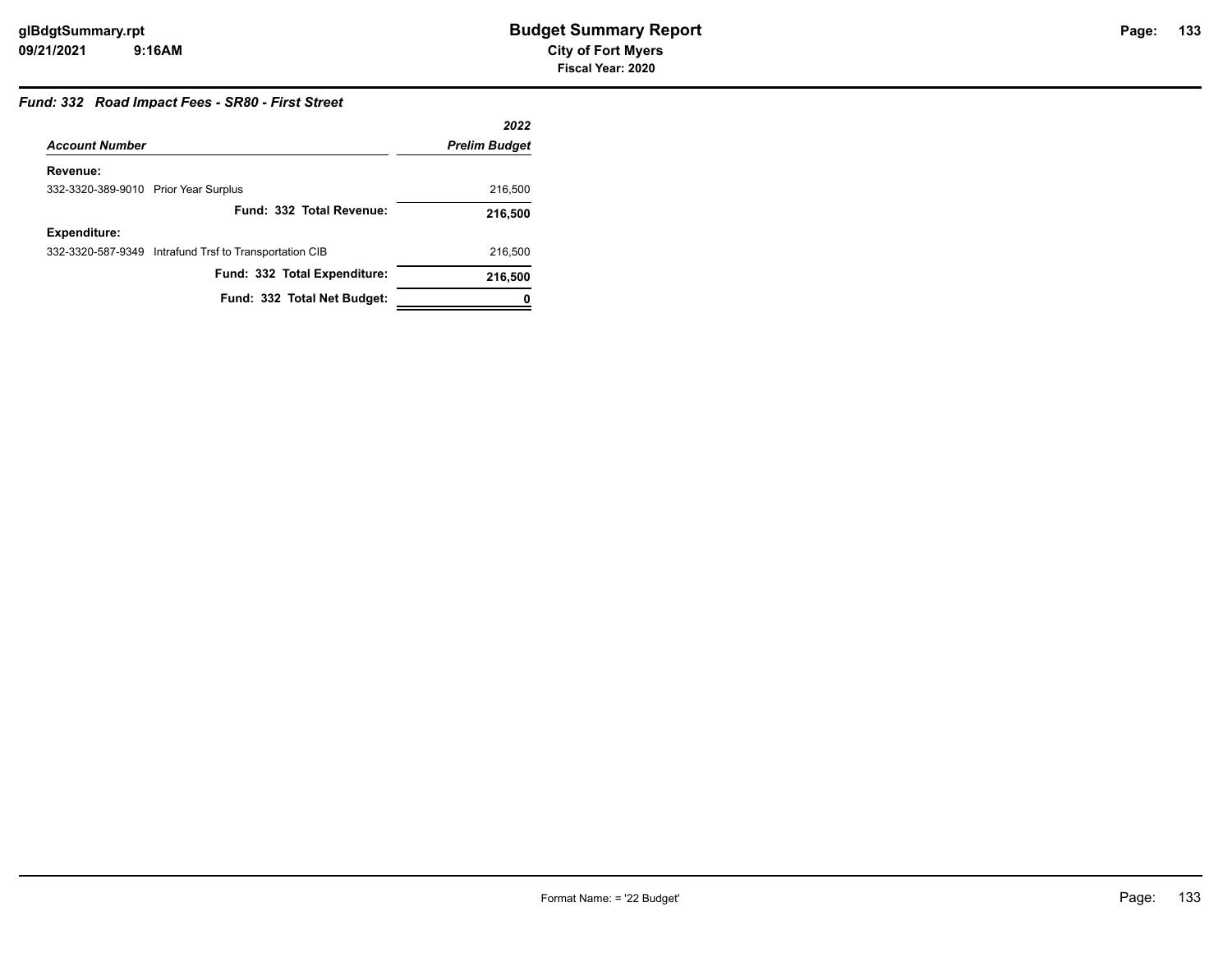## *Fund: 332 Road Impact Fees - SR80 - First Street*

|                                      |                                                        | 2022                 |
|--------------------------------------|--------------------------------------------------------|----------------------|
| <b>Account Number</b>                |                                                        | <b>Prelim Budget</b> |
| Revenue:                             |                                                        |                      |
| 332-3320-389-9010 Prior Year Surplus |                                                        | 216,500              |
|                                      | Fund: 332 Total Revenue:                               | 216,500              |
| <b>Expenditure:</b>                  |                                                        |                      |
|                                      | 332-3320-587-9349 Intrafund Trsf to Transportation CIB | 216,500              |
|                                      | Fund: 332 Total Expenditure:                           | 216,500              |
|                                      | Fund: 332 Total Net Budget:                            | 0                    |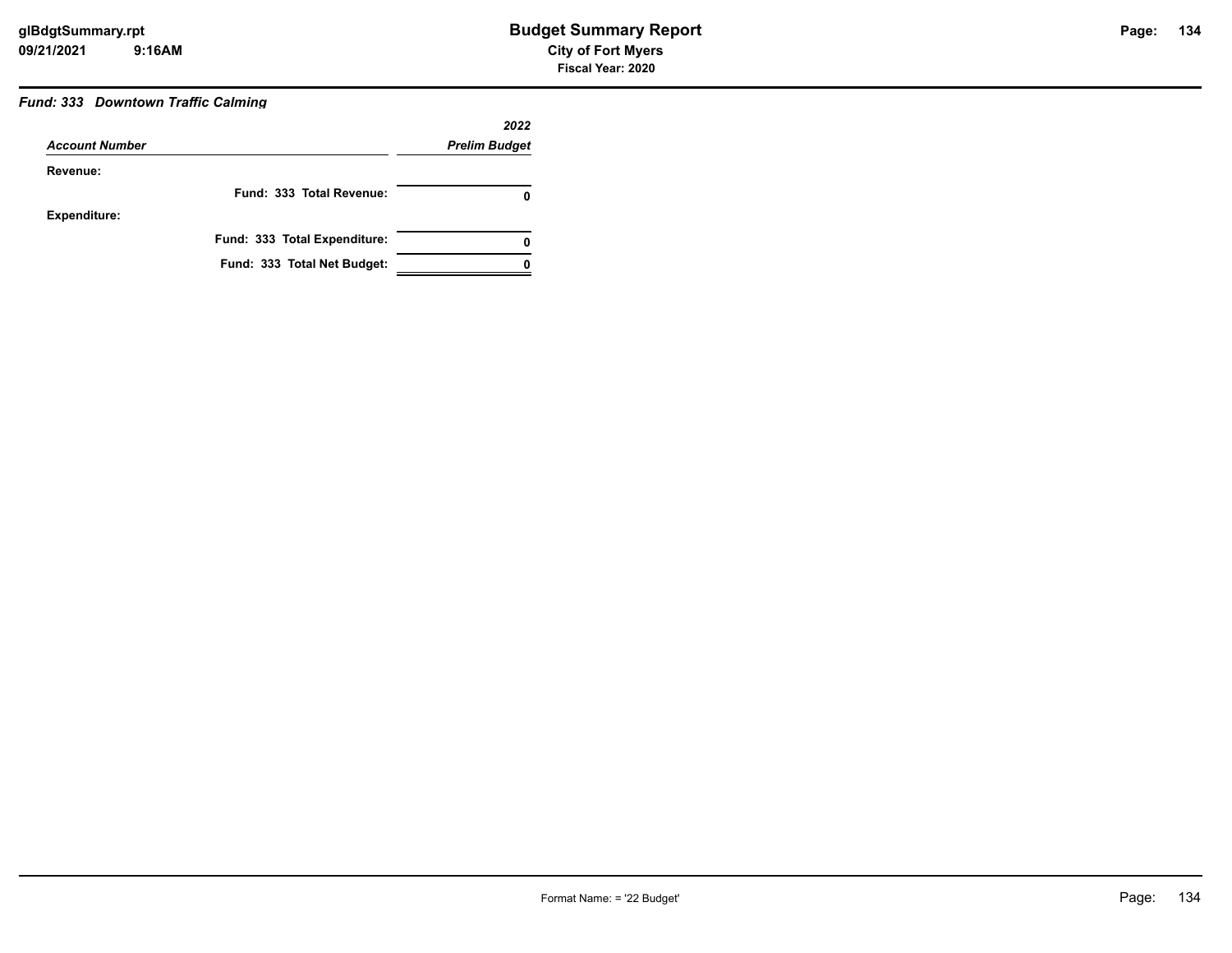## *Fund: 333 Downtown Traffic Calming*

|                       |                              | 2022                 |
|-----------------------|------------------------------|----------------------|
| <b>Account Number</b> |                              | <b>Prelim Budget</b> |
| Revenue:              |                              |                      |
|                       | Fund: 333 Total Revenue:     | 0                    |
| <b>Expenditure:</b>   |                              |                      |
|                       | Fund: 333 Total Expenditure: | 0                    |
|                       | Fund: 333 Total Net Budget:  |                      |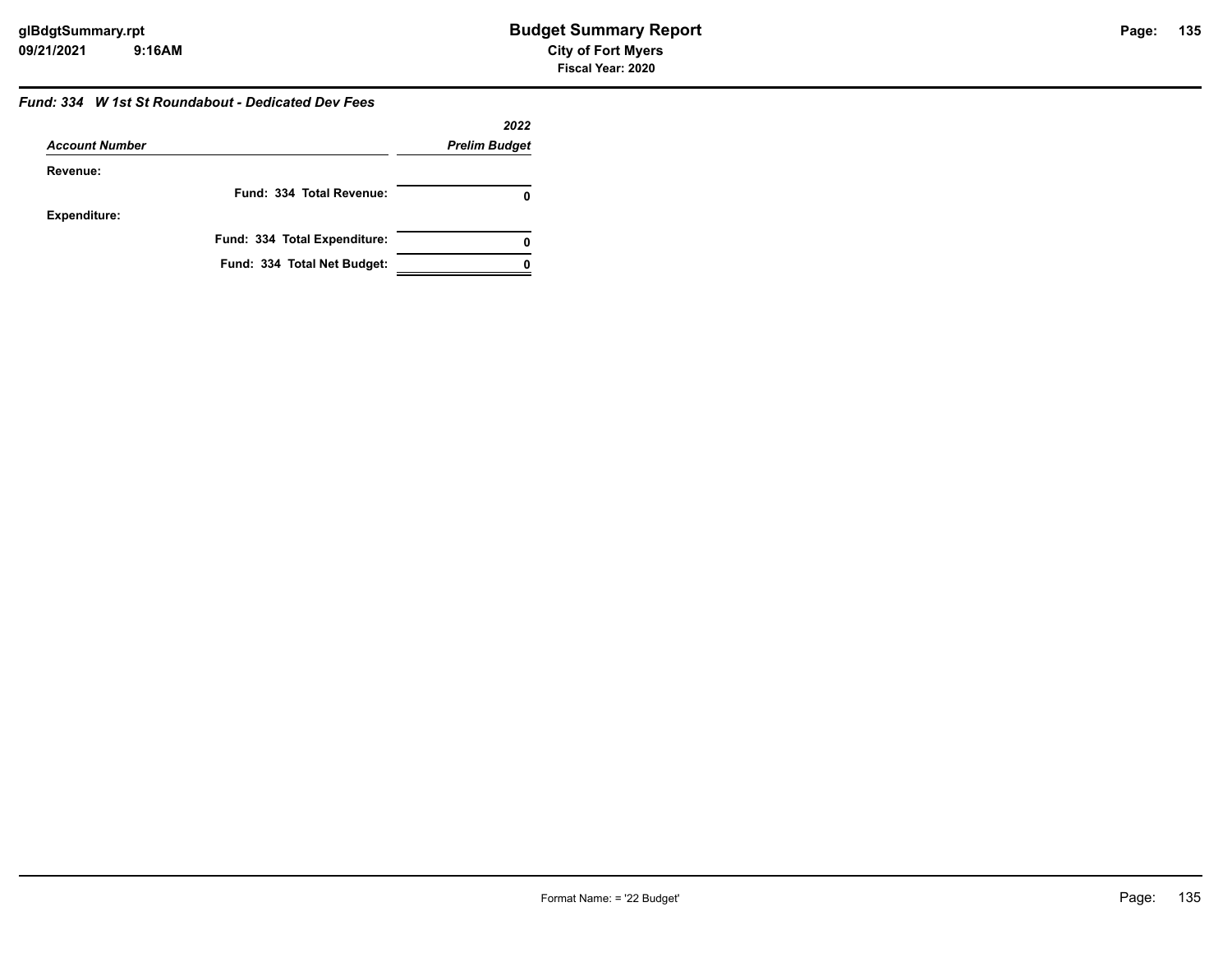#### *Fund: 334 W 1st St Roundabout - Dedicated Dev Fees*

|                       |                              | 2022                 |
|-----------------------|------------------------------|----------------------|
| <b>Account Number</b> |                              | <b>Prelim Budget</b> |
| Revenue:              |                              |                      |
|                       | Fund: 334 Total Revenue:     |                      |
| <b>Expenditure:</b>   |                              |                      |
|                       | Fund: 334 Total Expenditure: |                      |
|                       | Fund: 334 Total Net Budget:  |                      |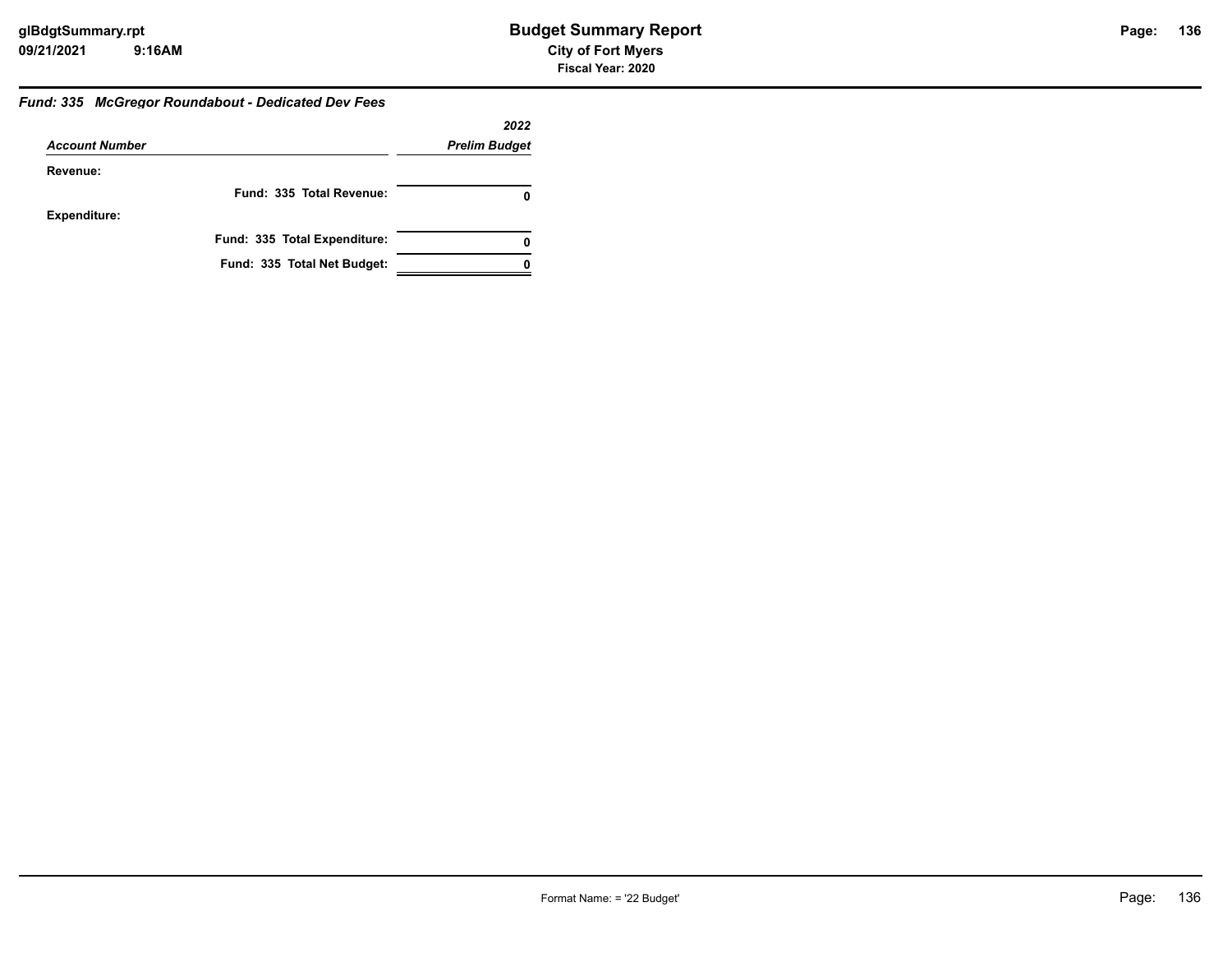## *Fund: 335 McGregor Roundabout - Dedicated Dev Fees*

|                       |                              | 2022                 |
|-----------------------|------------------------------|----------------------|
| <b>Account Number</b> |                              | <b>Prelim Budget</b> |
| Revenue:              |                              |                      |
|                       | Fund: 335 Total Revenue:     | 0                    |
| <b>Expenditure:</b>   |                              |                      |
|                       | Fund: 335 Total Expenditure: | 0                    |
|                       | Fund: 335 Total Net Budget:  |                      |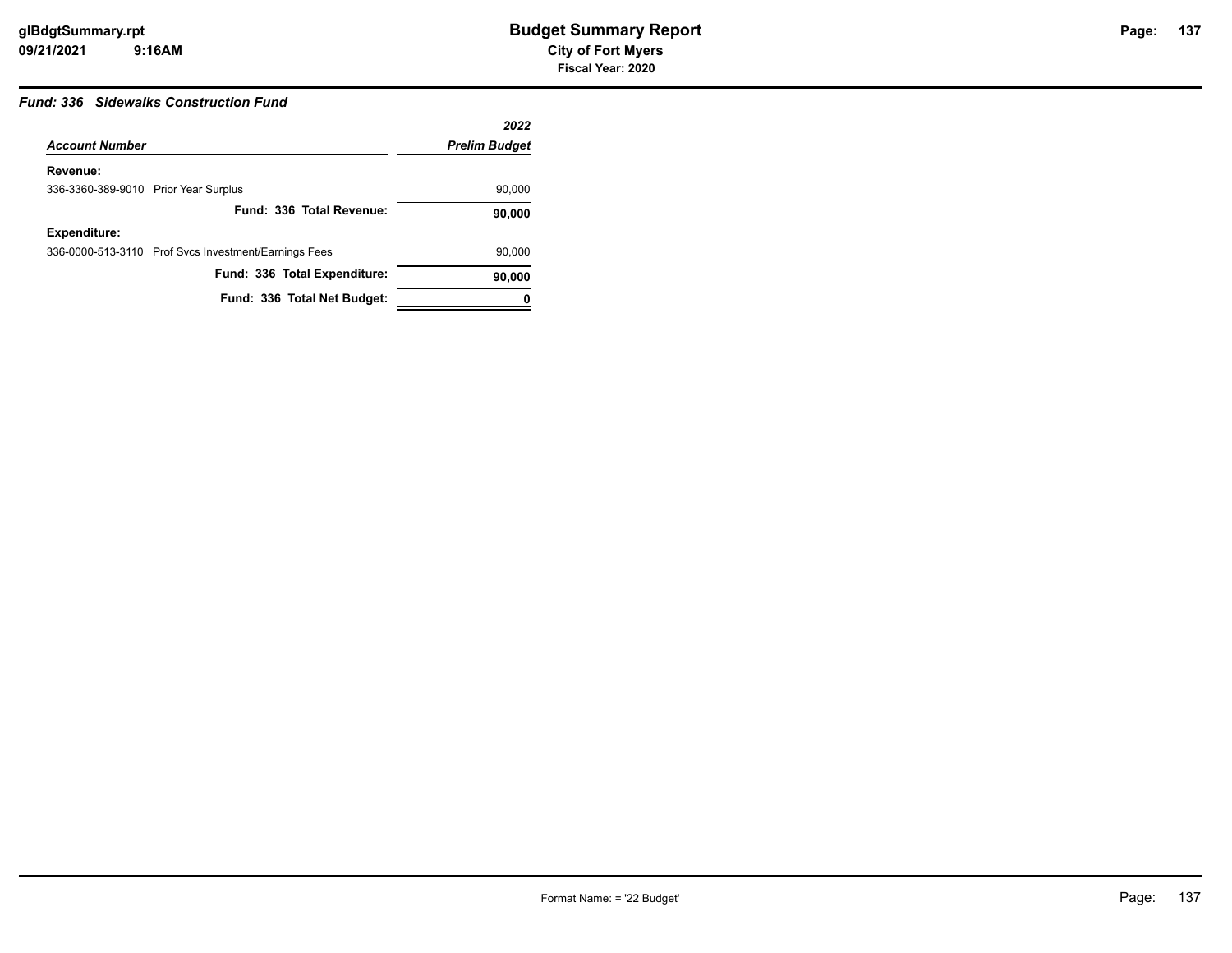## *Fund: 336 Sidewalks Construction Fund*

|                                      |                                                      | 2022                 |
|--------------------------------------|------------------------------------------------------|----------------------|
| <b>Account Number</b>                |                                                      | <b>Prelim Budget</b> |
| Revenue:                             |                                                      |                      |
| 336-3360-389-9010 Prior Year Surplus |                                                      | 90,000               |
|                                      | Fund: 336 Total Revenue:                             | 90,000               |
| <b>Expenditure:</b>                  |                                                      |                      |
|                                      | 336-0000-513-3110 Prof Svcs Investment/Earnings Fees | 90,000               |
|                                      | Fund: 336 Total Expenditure:                         | 90,000               |
|                                      | Fund: 336 Total Net Budget:                          | 0                    |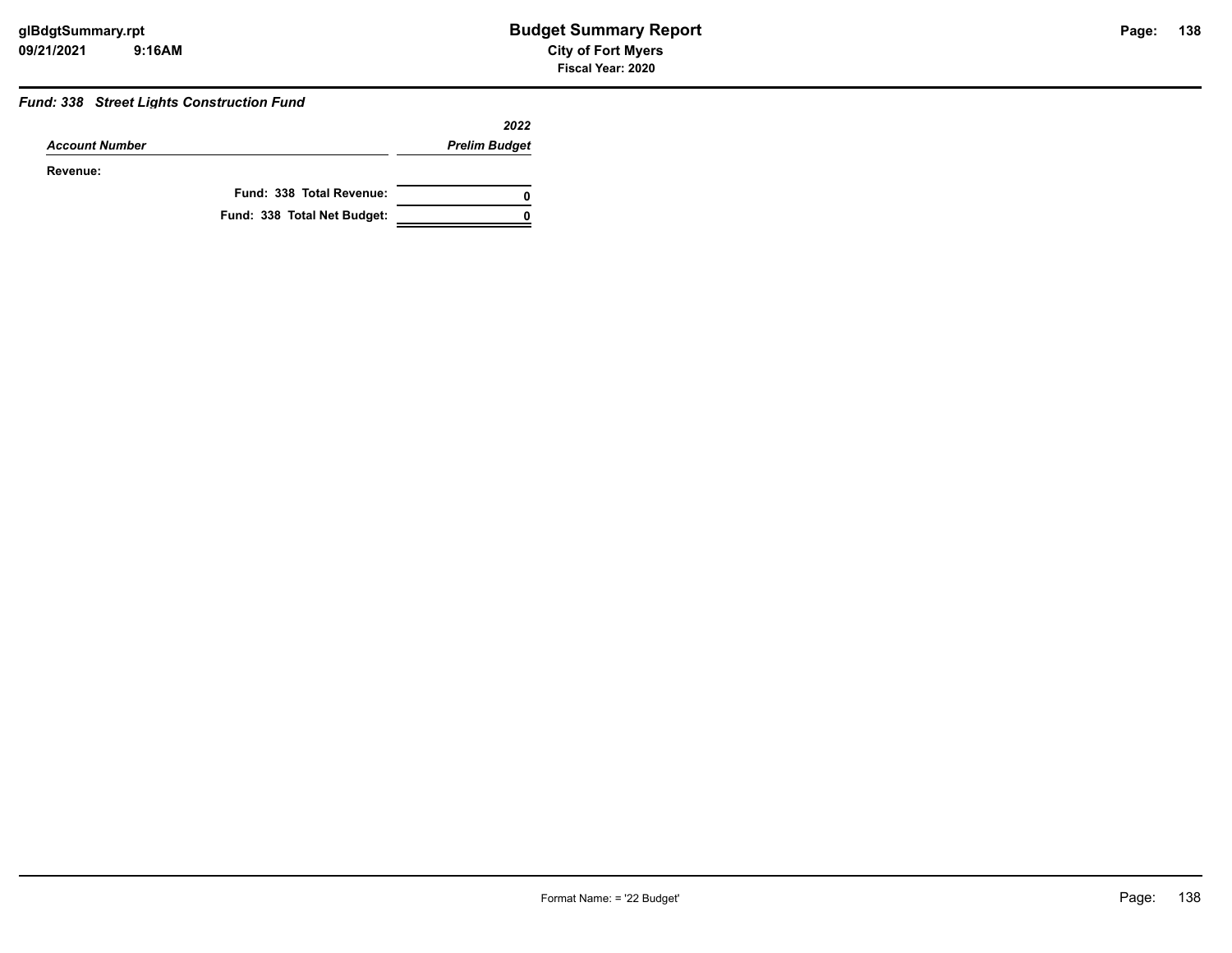## *Fund: 338 Street Lights Construction Fund*

|                       |                             | 2022                 |
|-----------------------|-----------------------------|----------------------|
| <b>Account Number</b> |                             | <b>Prelim Budget</b> |
| Revenue:              |                             |                      |
|                       | Fund: 338 Total Revenue:    | 0                    |
|                       | Fund: 338 Total Net Budget: | 0                    |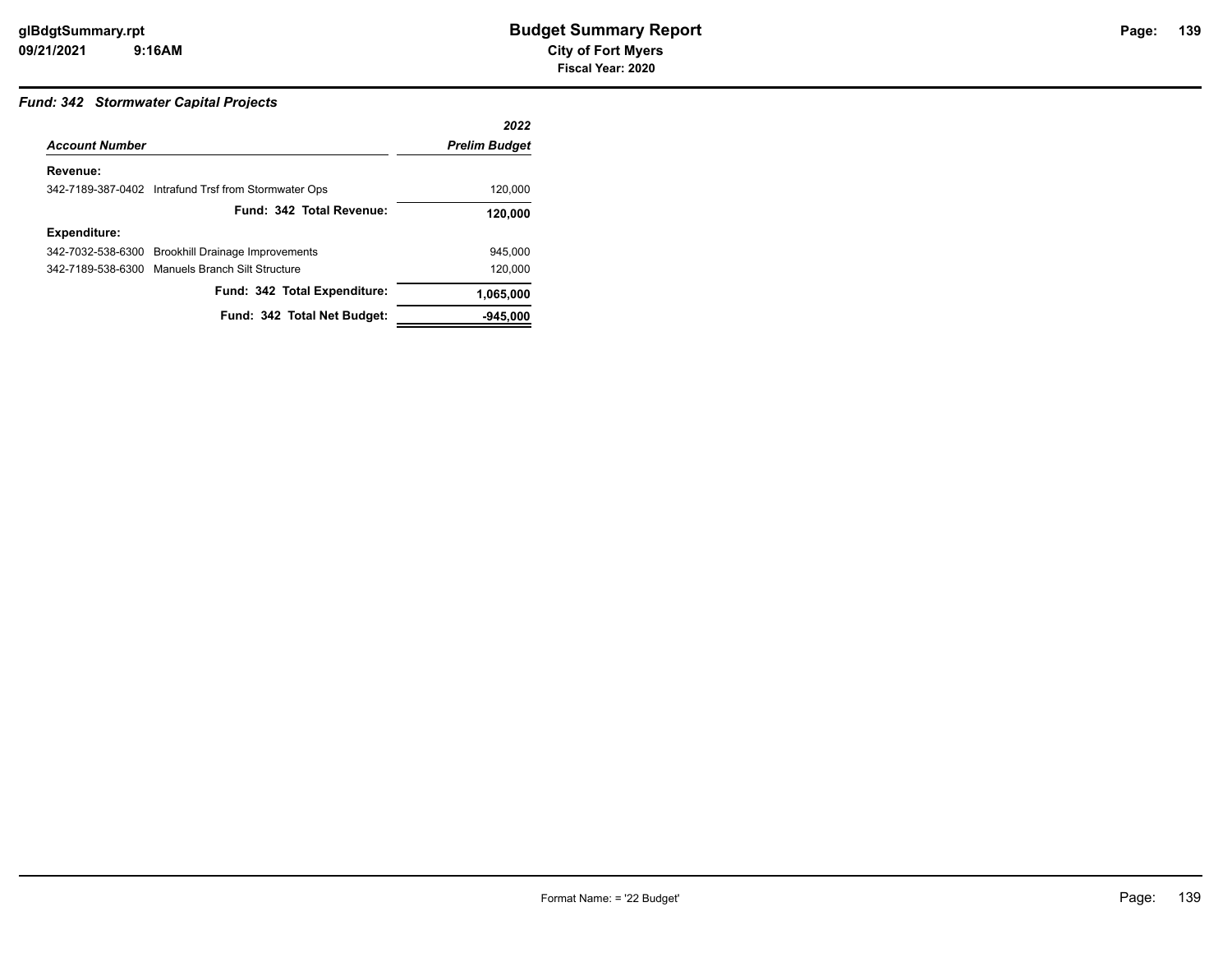## **139**

## *Fund: 342 Stormwater Capital Projects*

|                       |                                                      | 2022                 |
|-----------------------|------------------------------------------------------|----------------------|
| <b>Account Number</b> |                                                      | <b>Prelim Budget</b> |
| Revenue:              |                                                      |                      |
|                       | 342-7189-387-0402 Intrafund Trsf from Stormwater Ops | 120,000              |
|                       | Fund: 342 Total Revenue:                             | 120,000              |
| <b>Expenditure:</b>   |                                                      |                      |
|                       | 342-7032-538-6300 Brookhill Drainage Improvements    | 945.000              |
|                       | 342-7189-538-6300 Manuels Branch Silt Structure      | 120.000              |
|                       | Fund: 342 Total Expenditure:                         | 1,065,000            |
|                       | Fund: 342 Total Net Budget:                          | $-945.000$           |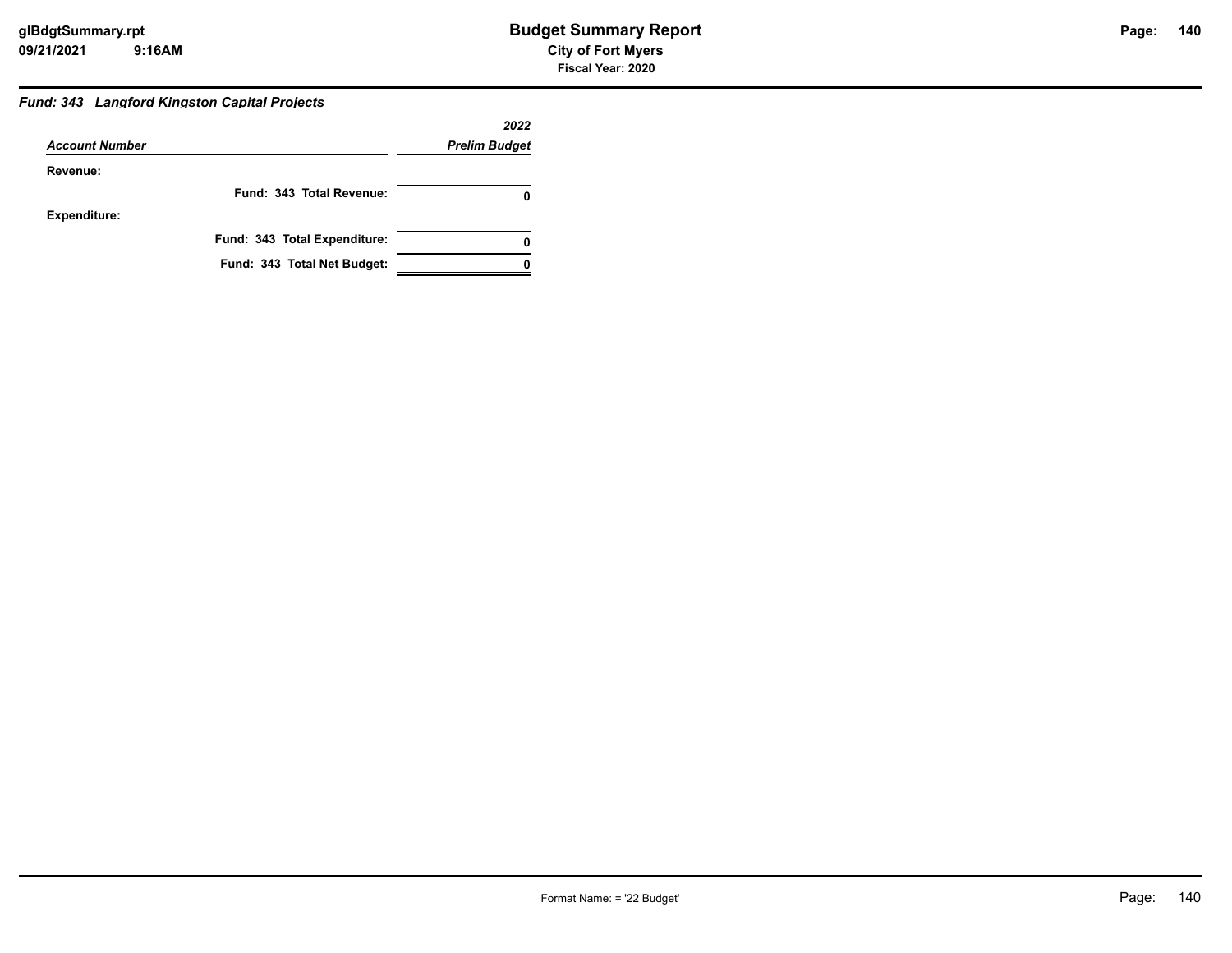## *Fund: 343 Langford Kingston Capital Projects*

|                       |                              | 2022                 |
|-----------------------|------------------------------|----------------------|
| <b>Account Number</b> |                              | <b>Prelim Budget</b> |
| Revenue:              |                              |                      |
|                       | Fund: 343 Total Revenue:     |                      |
| <b>Expenditure:</b>   |                              |                      |
|                       | Fund: 343 Total Expenditure: |                      |
|                       | Fund: 343 Total Net Budget:  |                      |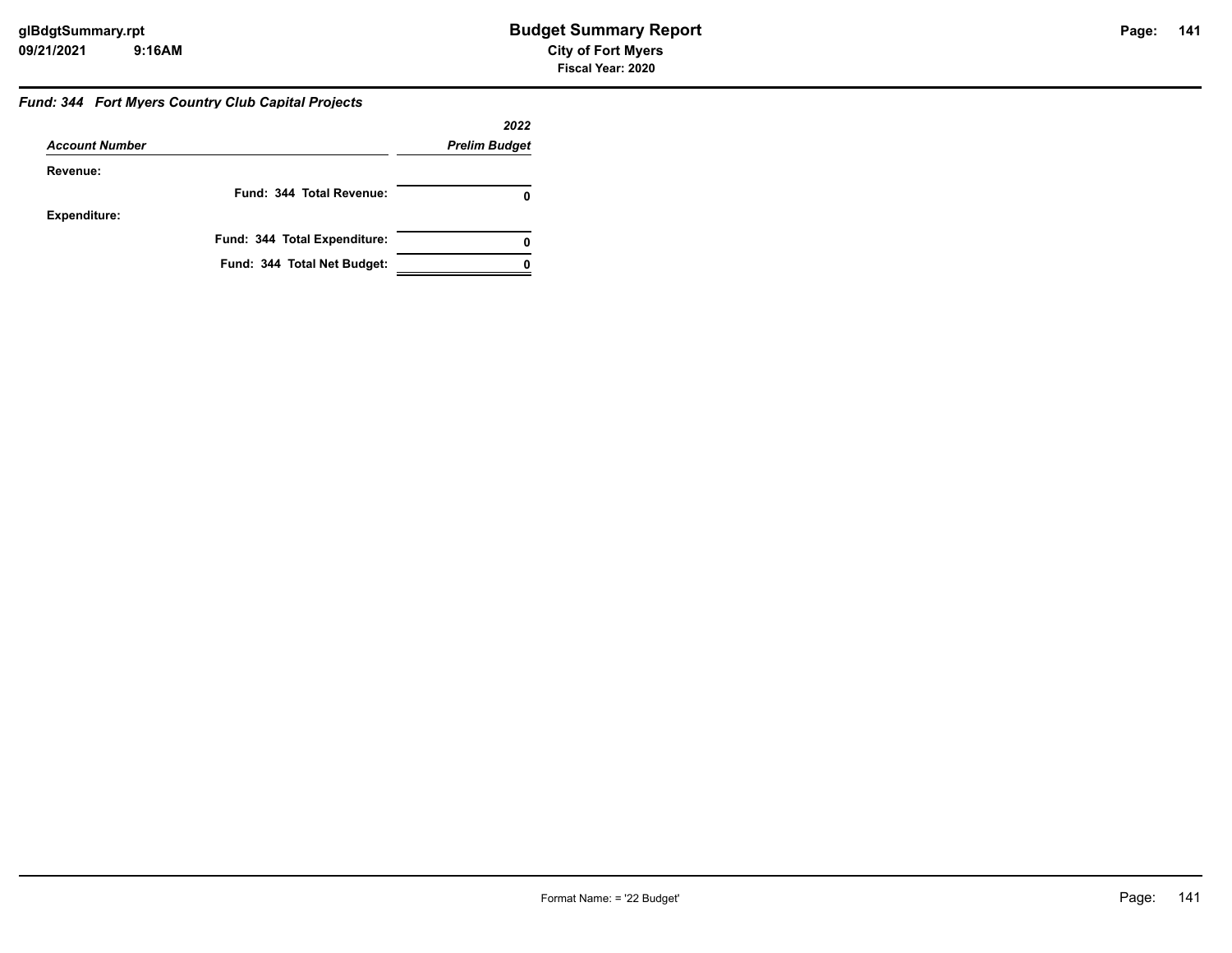## *Fund: 344 Fort Myers Country Club Capital Projects*

|                       |                              | 2022                 |
|-----------------------|------------------------------|----------------------|
| <b>Account Number</b> |                              | <b>Prelim Budget</b> |
| Revenue:              |                              |                      |
|                       | Fund: 344 Total Revenue:     | 0                    |
| <b>Expenditure:</b>   |                              |                      |
|                       | Fund: 344 Total Expenditure: | 0                    |
|                       | Fund: 344 Total Net Budget:  |                      |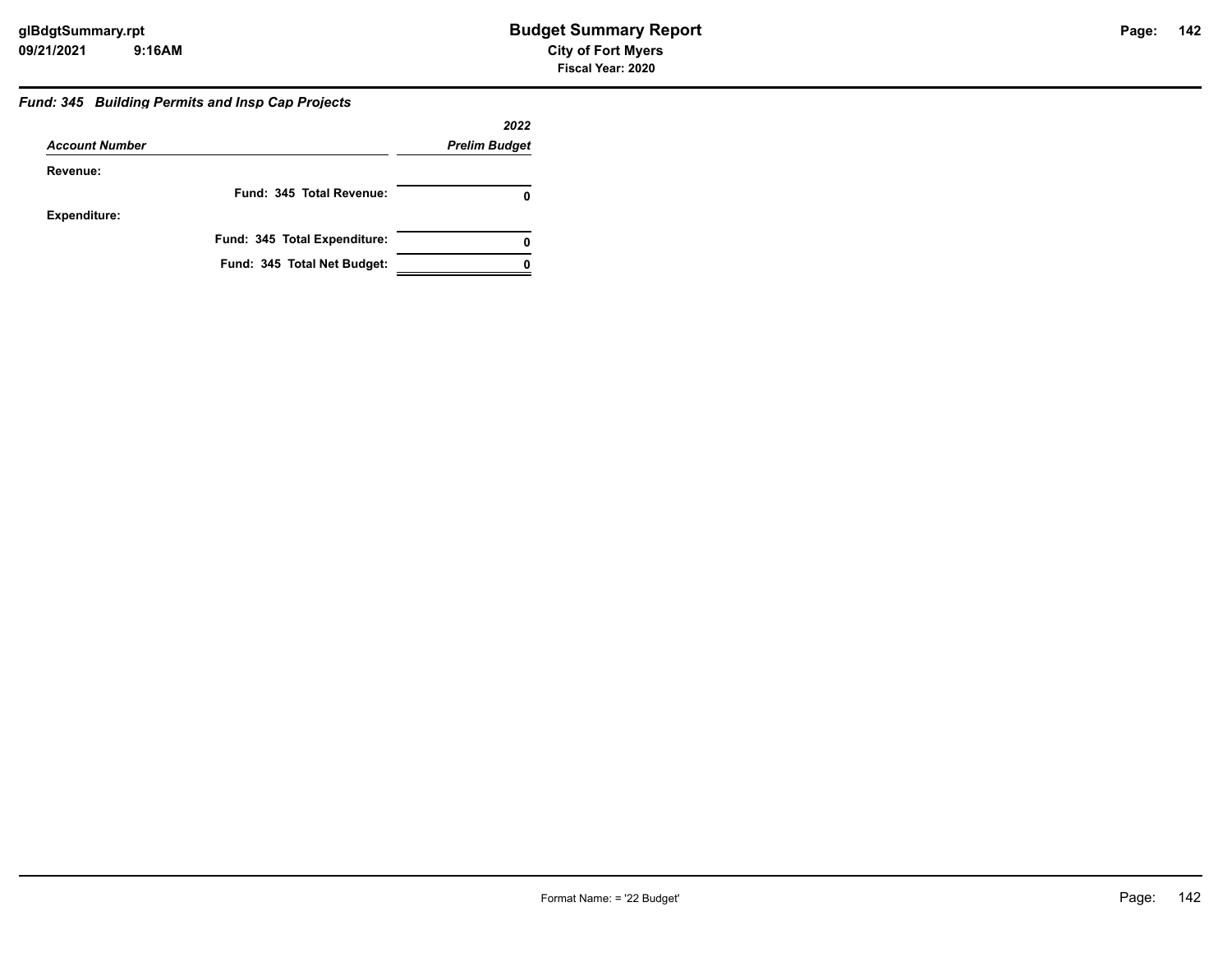## *Fund: 345 Building Permits and Insp Cap Projects*

|                       |                              | 2022                 |
|-----------------------|------------------------------|----------------------|
| <b>Account Number</b> |                              | <b>Prelim Budget</b> |
| Revenue:              |                              |                      |
|                       | Fund: 345 Total Revenue:     |                      |
| <b>Expenditure:</b>   |                              |                      |
|                       | Fund: 345 Total Expenditure: | 0                    |
|                       | Fund: 345 Total Net Budget:  |                      |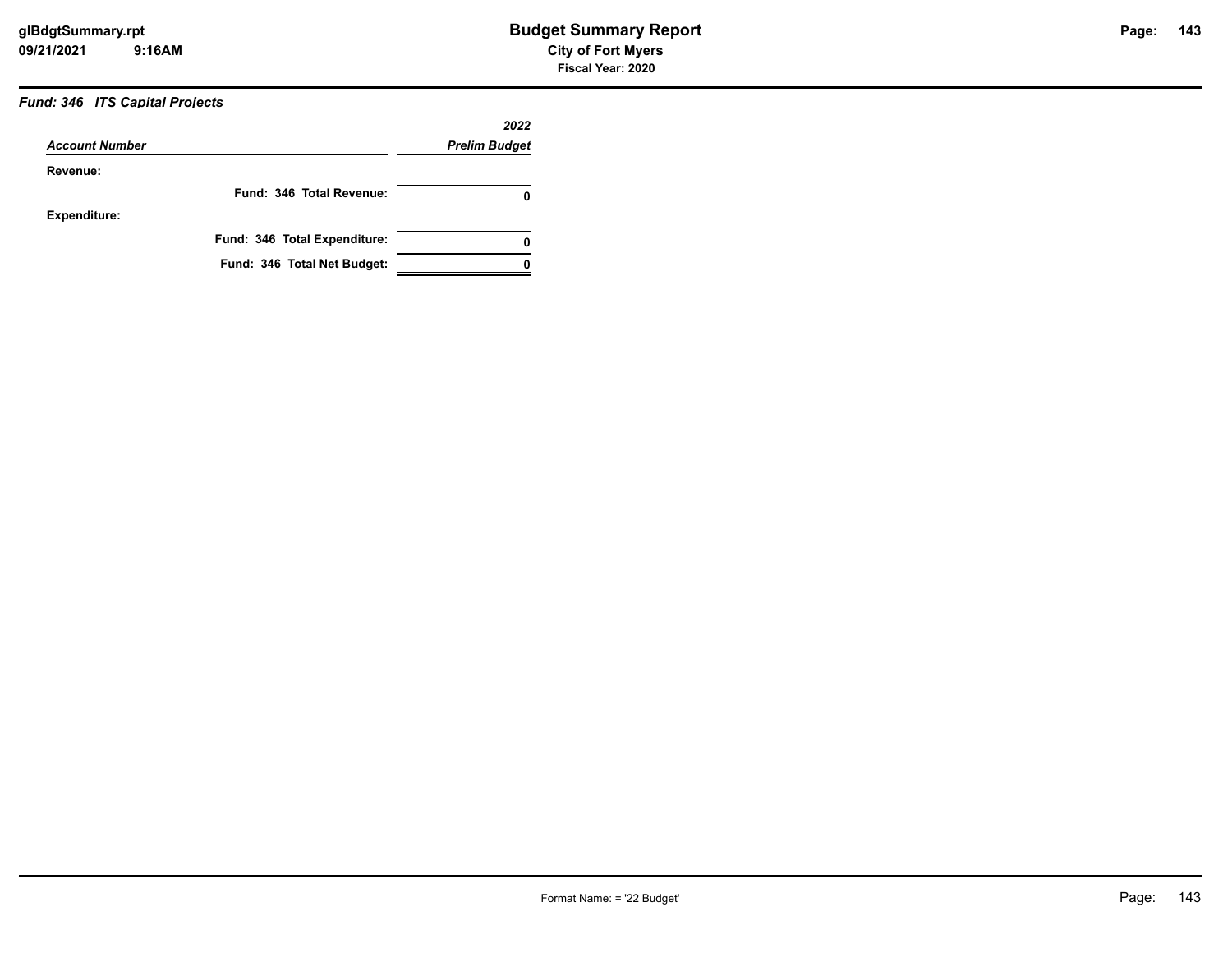## *Fund: 346 ITS Capital Projects*

|                       |                              | 2022                 |
|-----------------------|------------------------------|----------------------|
| <b>Account Number</b> |                              | <b>Prelim Budget</b> |
| Revenue:              |                              |                      |
|                       | Fund: 346 Total Revenue:     | 0                    |
| <b>Expenditure:</b>   |                              |                      |
|                       | Fund: 346 Total Expenditure: | 0                    |
|                       | Fund: 346 Total Net Budget:  |                      |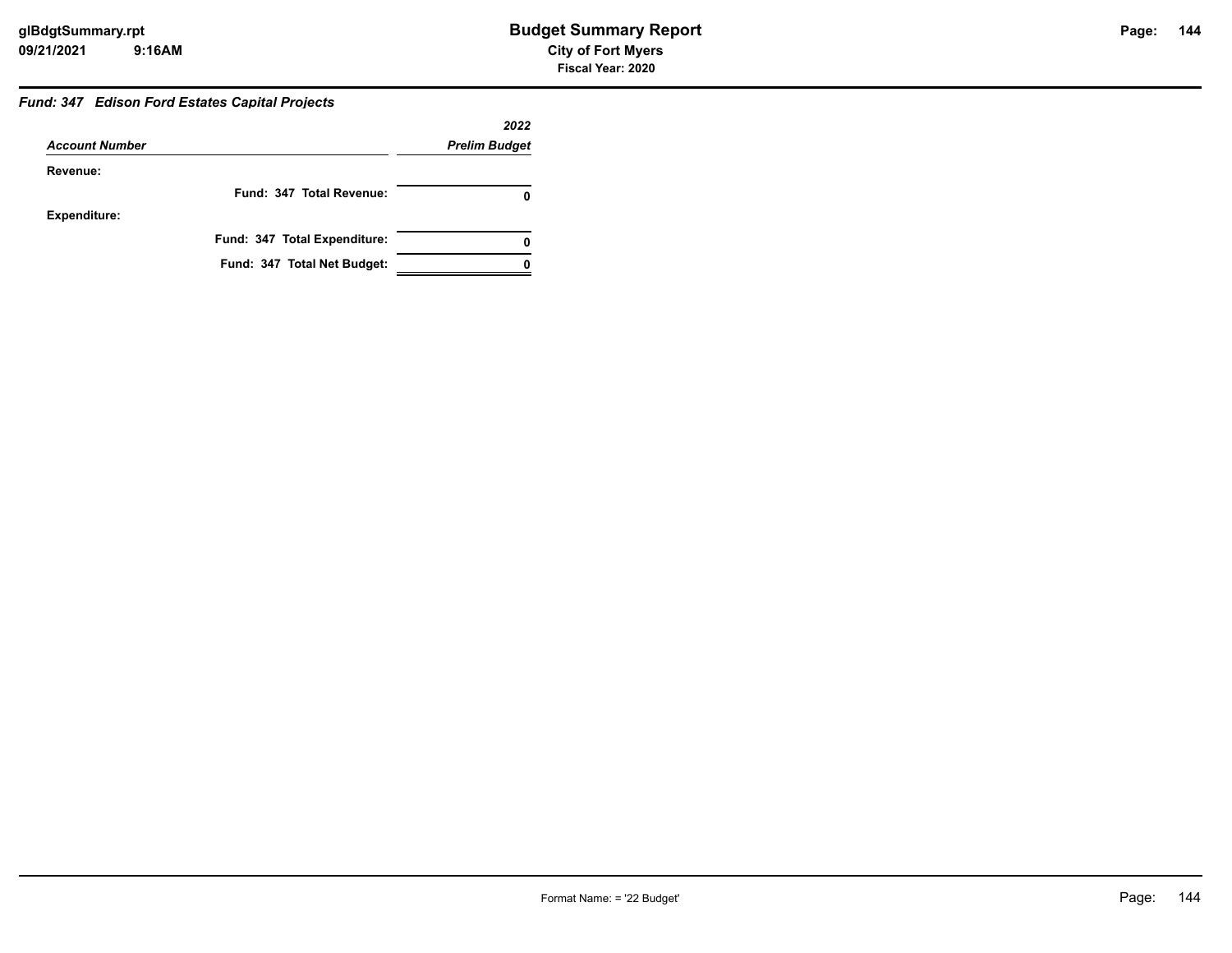## *Fund: 347 Edison Ford Estates Capital Projects*

|                       |                              | 2022                 |
|-----------------------|------------------------------|----------------------|
| <b>Account Number</b> |                              | <b>Prelim Budget</b> |
| Revenue:              |                              |                      |
|                       | Fund: 347 Total Revenue:     |                      |
| <b>Expenditure:</b>   |                              |                      |
|                       | Fund: 347 Total Expenditure: | 0                    |
|                       | Fund: 347 Total Net Budget:  |                      |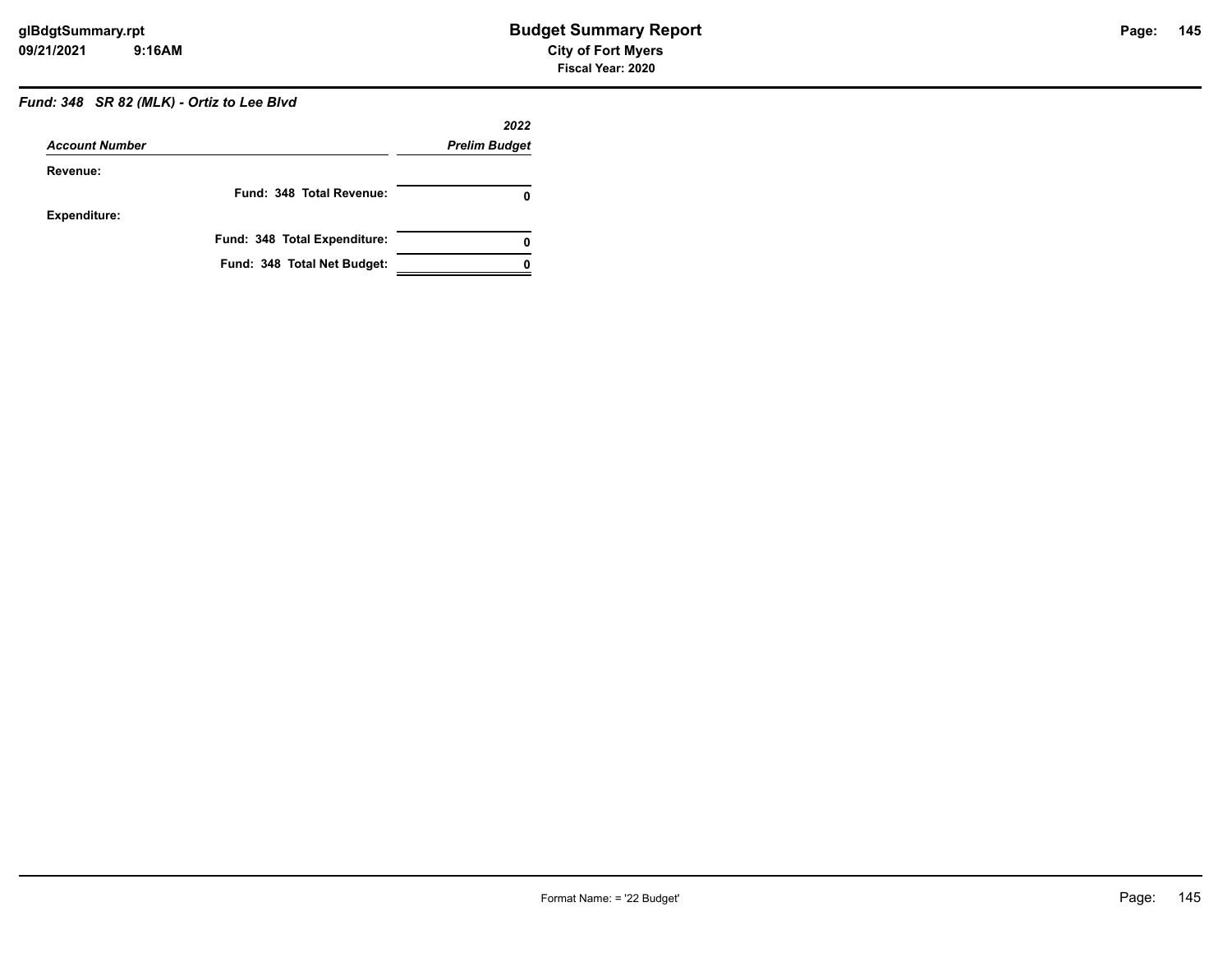# *Fund: 348 SR 82 (MLK) - Ortiz to Lee Blvd*

|                       |                              | 2022                 |
|-----------------------|------------------------------|----------------------|
| <b>Account Number</b> |                              | <b>Prelim Budget</b> |
| Revenue:              |                              |                      |
|                       | Fund: 348 Total Revenue:     |                      |
| <b>Expenditure:</b>   |                              |                      |
|                       | Fund: 348 Total Expenditure: | 0                    |
|                       | Fund: 348 Total Net Budget:  |                      |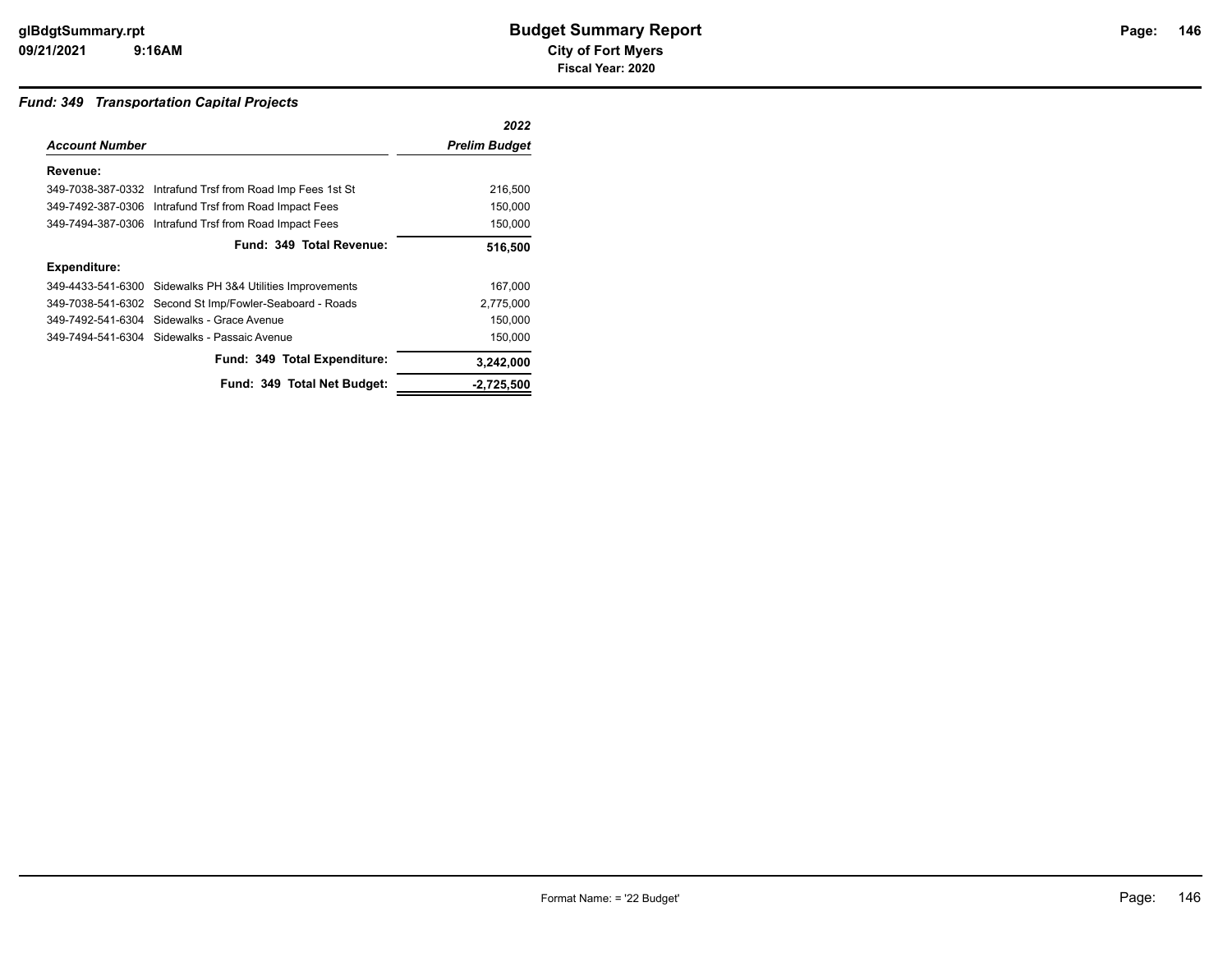#### *Fund: 349 Transportation Capital Projects*

|                       |                                                            | 2022                 |
|-----------------------|------------------------------------------------------------|----------------------|
| <b>Account Number</b> |                                                            | <b>Prelim Budget</b> |
| Revenue:              |                                                            |                      |
|                       | 349-7038-387-0332 Intrafund Trsf from Road Imp Fees 1st St | 216,500              |
|                       | 349-7492-387-0306 Intrafund Trsf from Road Impact Fees     | 150,000              |
|                       | 349-7494-387-0306 Intrafund Trsf from Road Impact Fees     | 150,000              |
|                       | Fund: 349 Total Revenue:                                   | 516,500              |
| <b>Expenditure:</b>   |                                                            |                      |
|                       | 349-4433-541-6300 Sidewalks PH 3&4 Utilities Improvements  | 167,000              |
|                       | 349-7038-541-6302 Second St Imp/Fowler-Seaboard - Roads    | 2,775,000            |
|                       | 349-7492-541-6304 Sidewalks - Grace Avenue                 | 150,000              |
|                       | 349-7494-541-6304 Sidewalks - Passaic Avenue               | 150,000              |
|                       | Fund: 349 Total Expenditure:                               | 3,242,000            |
|                       | Fund: 349 Total Net Budget:                                | $-2,725,500$         |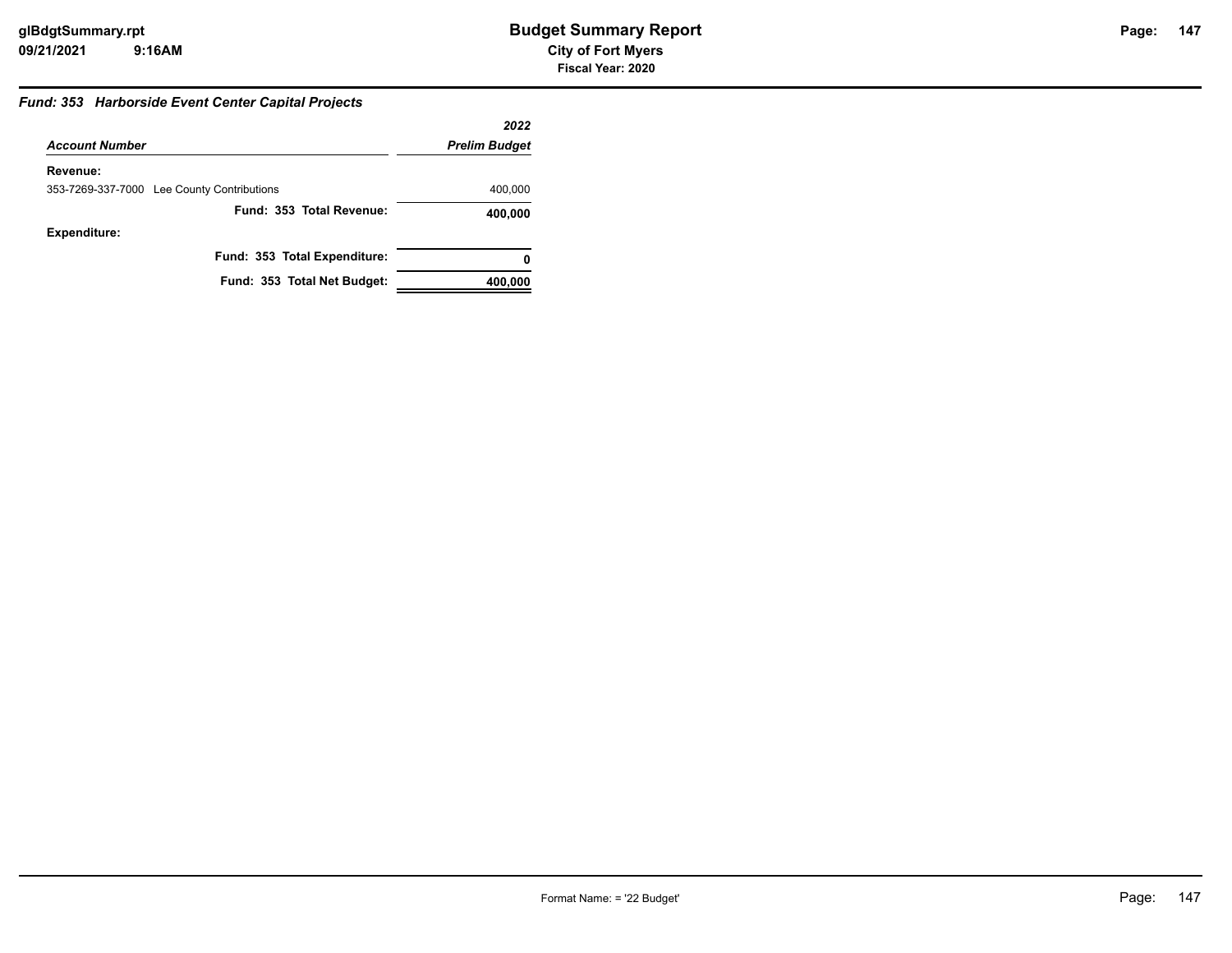#### *Fund: 353 Harborside Event Center Capital Projects*

|                                            | 2022                 |
|--------------------------------------------|----------------------|
| <b>Account Number</b>                      | <b>Prelim Budget</b> |
| Revenue:                                   |                      |
| 353-7269-337-7000 Lee County Contributions | 400,000              |
| Fund: 353 Total Revenue:                   | 400,000              |
| <b>Expenditure:</b>                        |                      |
| Fund: 353 Total Expenditure:               | 0                    |
| Fund: 353 Total Net Budget:                | 400,000              |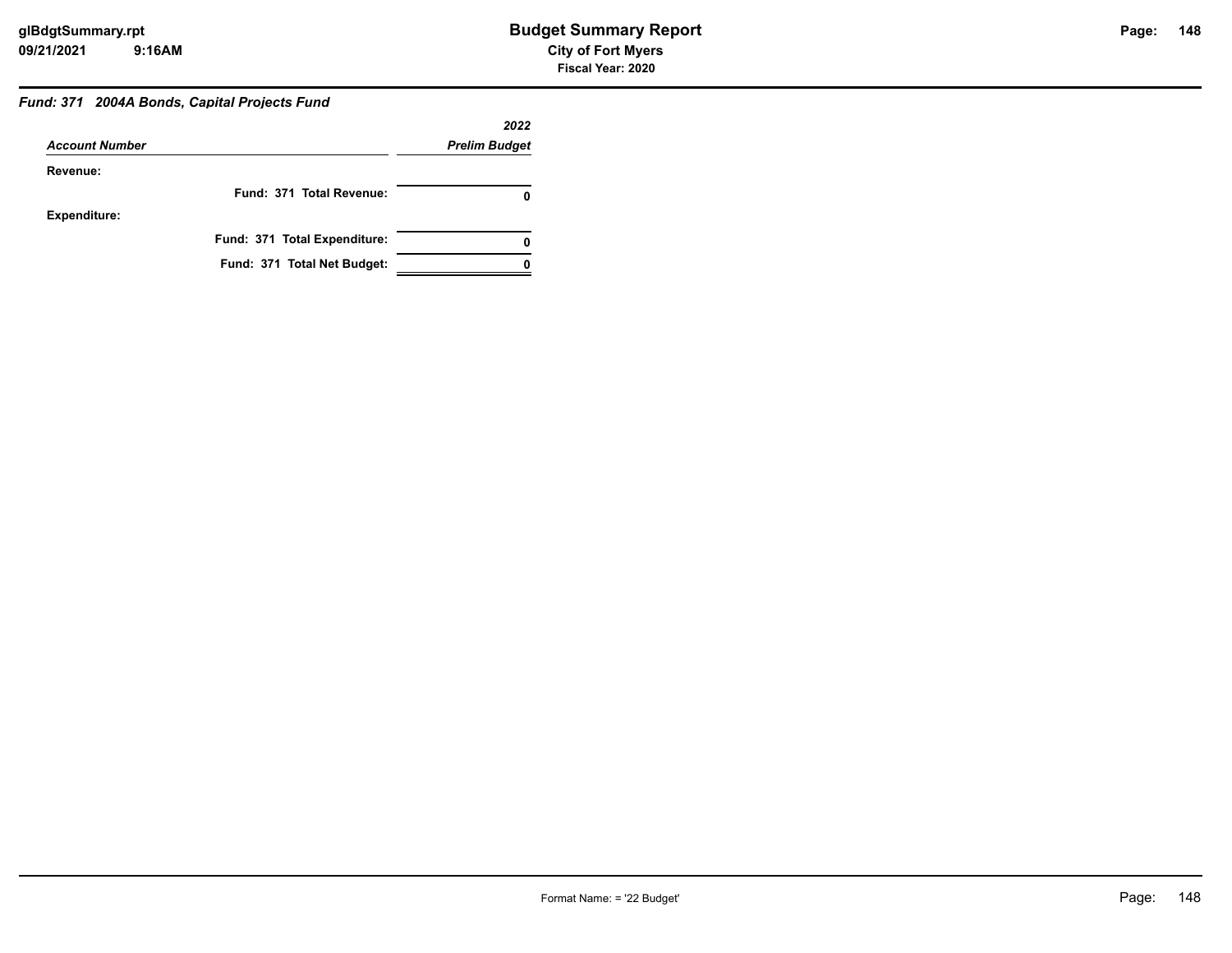#### *Fund: 371 2004A Bonds, Capital Projects Fund*

|                       |                              | 2022                 |
|-----------------------|------------------------------|----------------------|
| <b>Account Number</b> |                              | <b>Prelim Budget</b> |
| Revenue:              |                              |                      |
|                       | Fund: 371 Total Revenue:     |                      |
| <b>Expenditure:</b>   |                              |                      |
|                       | Fund: 371 Total Expenditure: |                      |
|                       | Fund: 371 Total Net Budget:  |                      |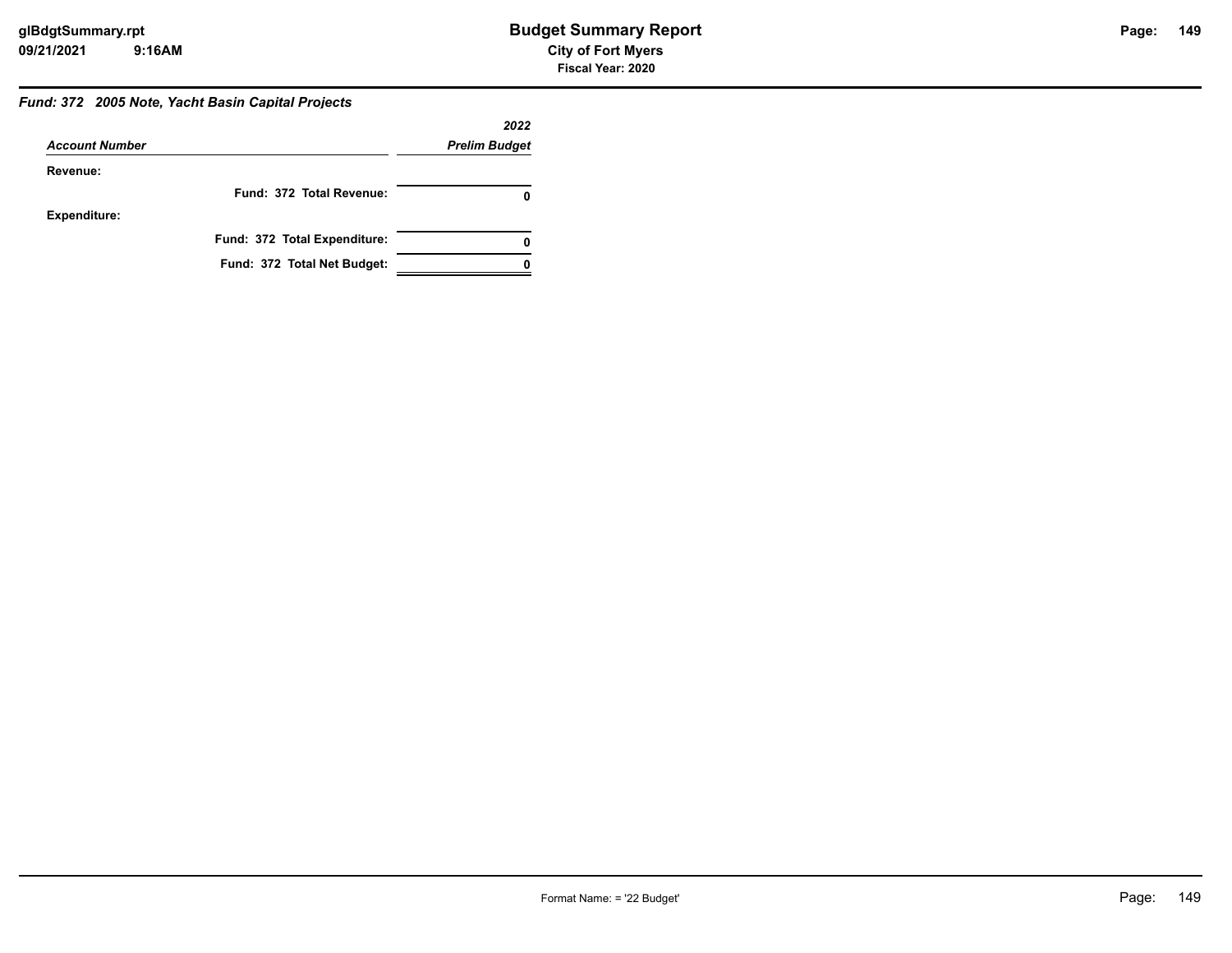#### *Fund: 372 2005 Note, Yacht Basin Capital Projects*

|                       |                              | 2022                 |
|-----------------------|------------------------------|----------------------|
| <b>Account Number</b> |                              | <b>Prelim Budget</b> |
| Revenue:              |                              |                      |
|                       | Fund: 372 Total Revenue:     |                      |
| <b>Expenditure:</b>   |                              |                      |
|                       | Fund: 372 Total Expenditure: |                      |
|                       | Fund: 372 Total Net Budget:  |                      |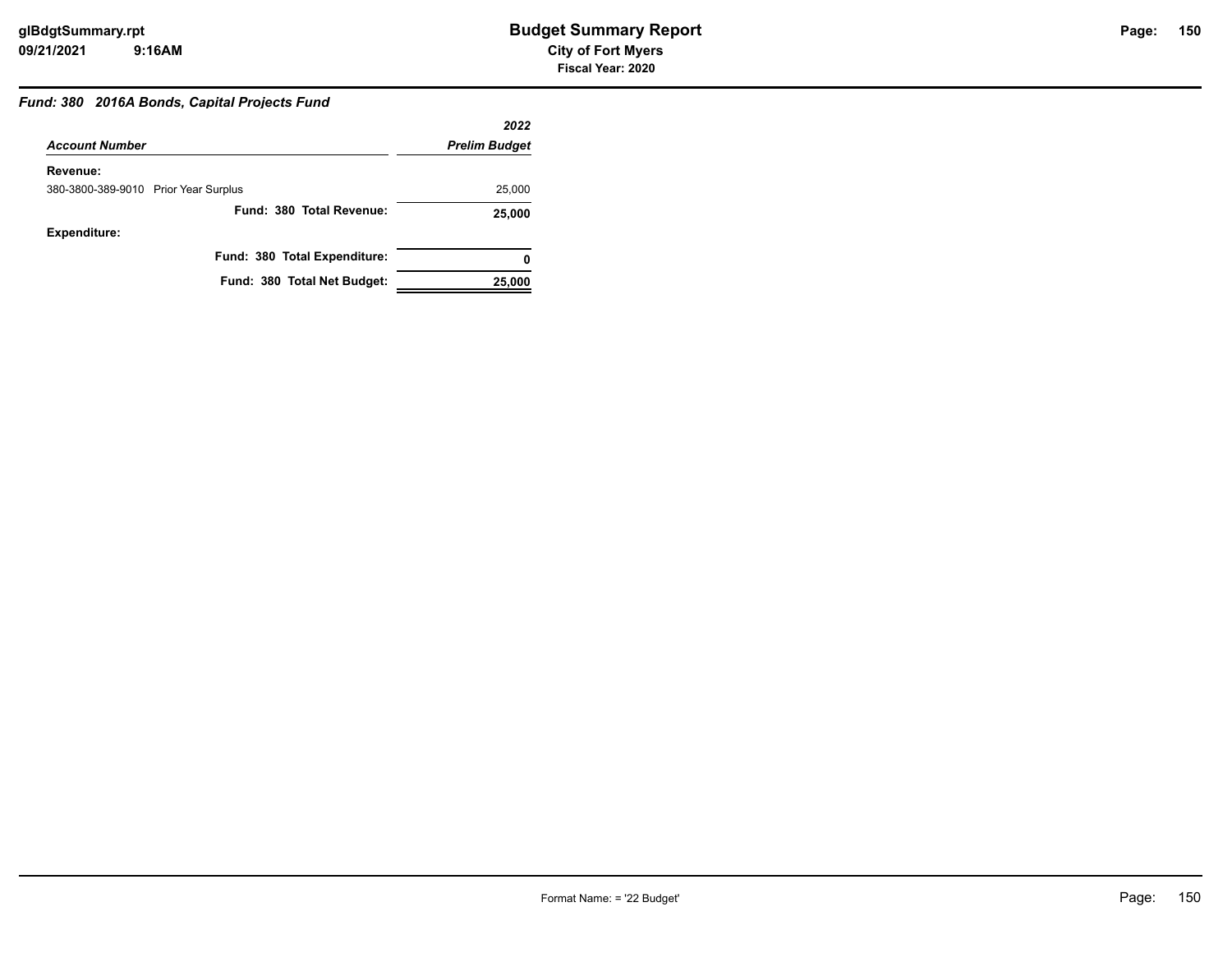#### *Fund: 380 2016A Bonds, Capital Projects Fund*

|                                      | 2022                 |
|--------------------------------------|----------------------|
| <b>Account Number</b>                | <b>Prelim Budget</b> |
| Revenue:                             |                      |
| 380-3800-389-9010 Prior Year Surplus | 25,000               |
| Fund: 380 Total Revenue:             | 25,000               |
| <b>Expenditure:</b>                  |                      |
| Fund: 380 Total Expenditure:         | 0                    |
| Fund: 380 Total Net Budget:          | 25,000               |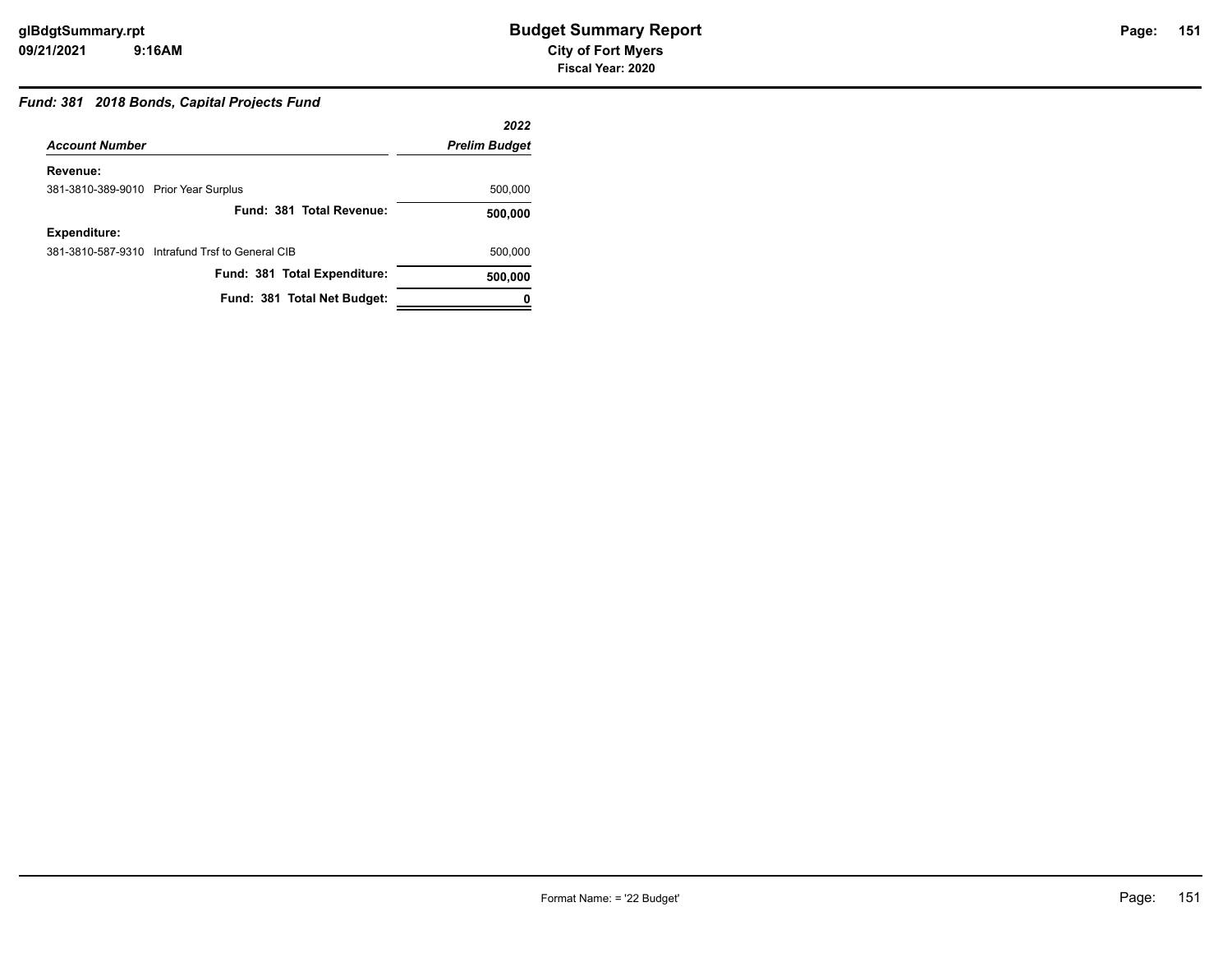#### *Fund: 381 2018 Bonds, Capital Projects Fund*

|                                      |                                                 | 2022                 |
|--------------------------------------|-------------------------------------------------|----------------------|
| <b>Account Number</b>                |                                                 | <b>Prelim Budget</b> |
| Revenue:                             |                                                 |                      |
| 381-3810-389-9010 Prior Year Surplus |                                                 | 500,000              |
|                                      | Fund: 381 Total Revenue:                        | 500,000              |
| Expenditure:                         |                                                 |                      |
|                                      | 381-3810-587-9310 Intrafund Trsf to General CIB | 500,000              |
|                                      | Fund: 381 Total Expenditure:                    | 500,000              |
|                                      | Fund: 381 Total Net Budget:                     |                      |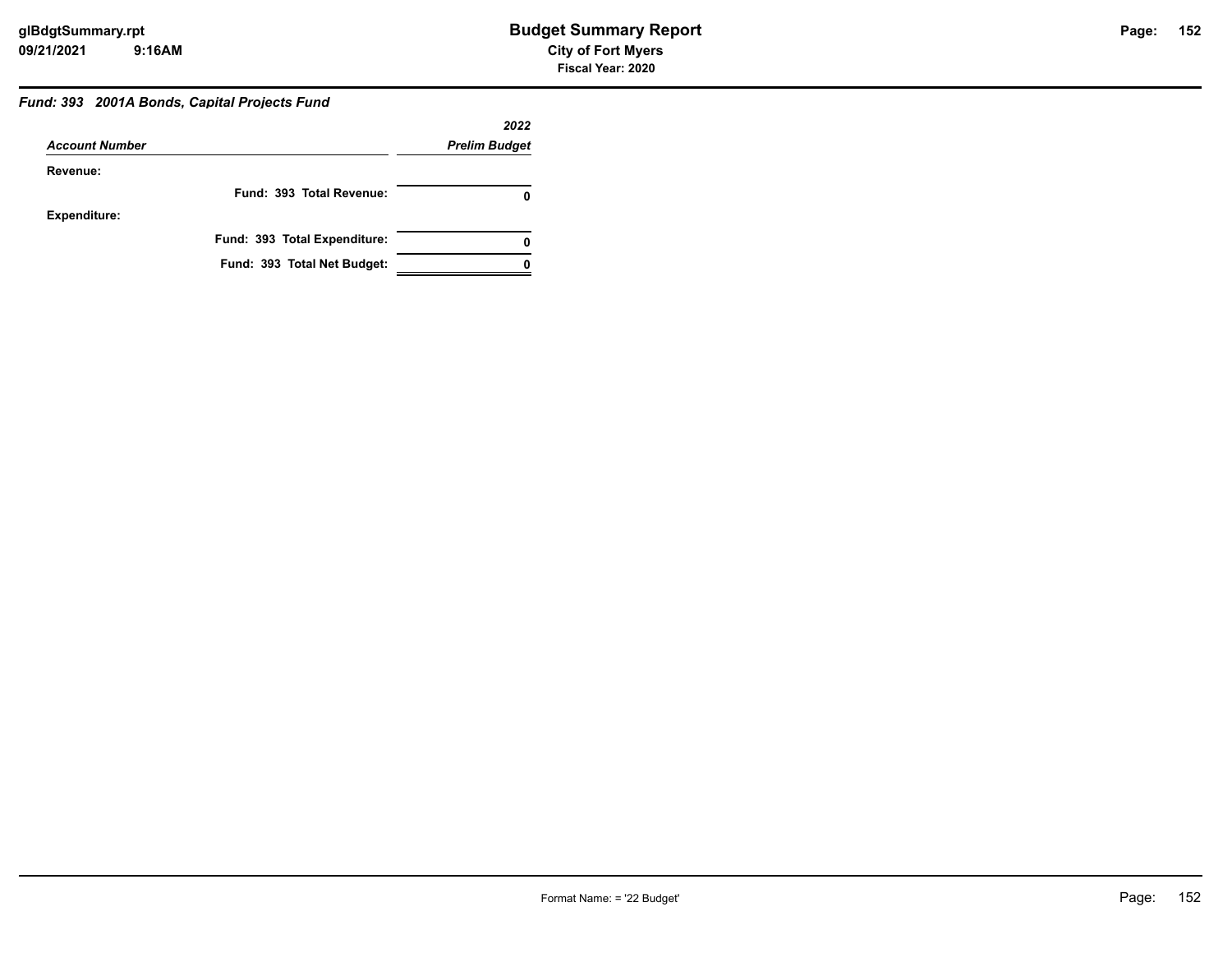#### *Fund: 393 2001A Bonds, Capital Projects Fund*

|                       |                              | 2022                 |
|-----------------------|------------------------------|----------------------|
| <b>Account Number</b> |                              | <b>Prelim Budget</b> |
| Revenue:              |                              |                      |
|                       | Fund: 393 Total Revenue:     |                      |
| <b>Expenditure:</b>   |                              |                      |
|                       | Fund: 393 Total Expenditure: |                      |
|                       | Fund: 393 Total Net Budget:  |                      |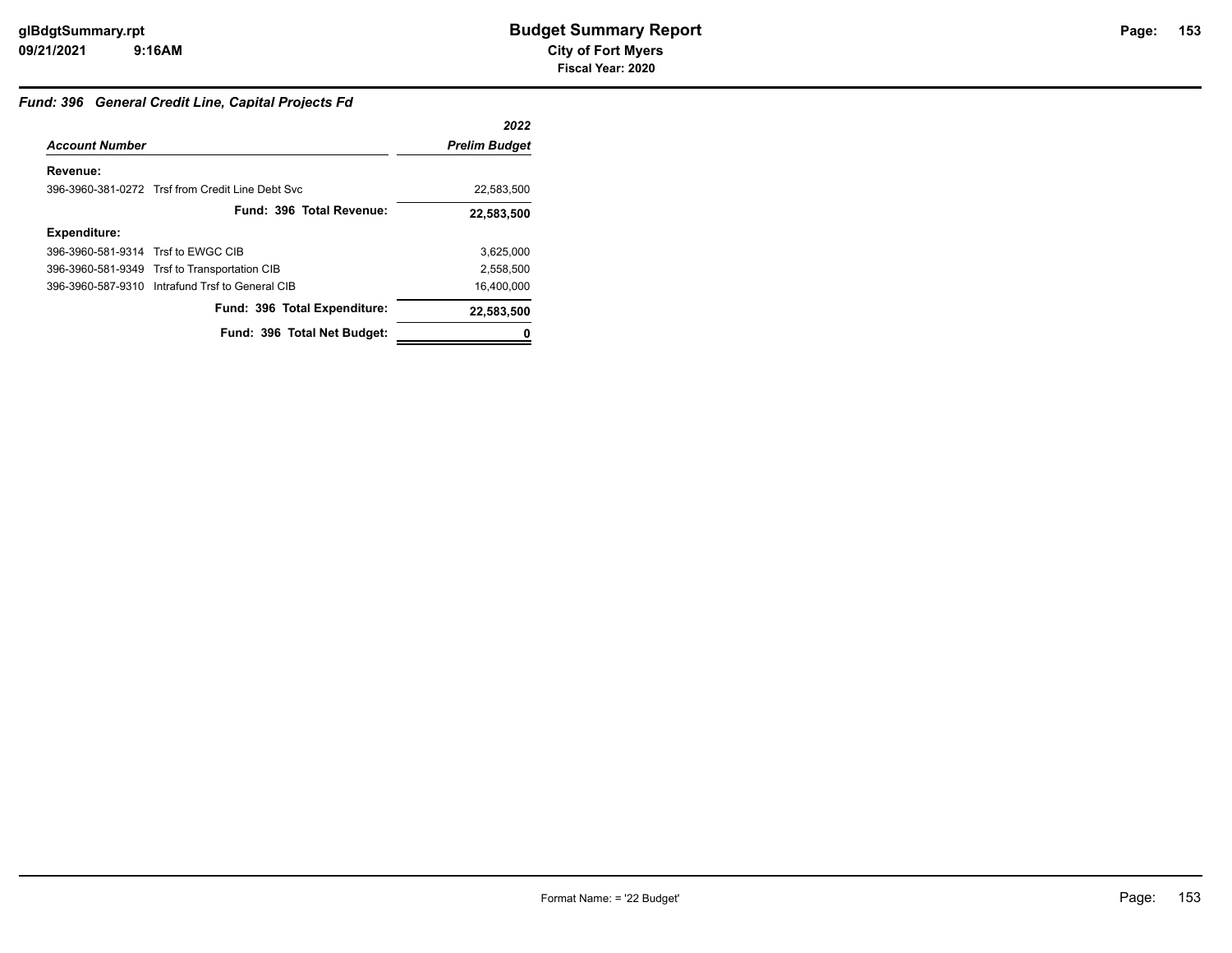#### *Fund: 396 General Credit Line, Capital Projects Fd*

|                                    |                                                  | 2022                 |
|------------------------------------|--------------------------------------------------|----------------------|
| <b>Account Number</b>              |                                                  | <b>Prelim Budget</b> |
| Revenue:                           |                                                  |                      |
|                                    | 396-3960-381-0272 Trsf from Credit Line Debt Svc | 22,583,500           |
|                                    | Fund: 396 Total Revenue:                         | 22,583,500           |
| <b>Expenditure:</b>                |                                                  |                      |
| 396-3960-581-9314 Trsf to EWGC CIB |                                                  | 3,625,000            |
|                                    | 396-3960-581-9349 Trsf to Transportation CIB     | 2,558,500            |
|                                    | 396-3960-587-9310 Intrafund Trsf to General CIB  | 16,400,000           |
|                                    | Fund: 396 Total Expenditure:                     | 22,583,500           |
|                                    | Fund: 396 Total Net Budget:                      |                      |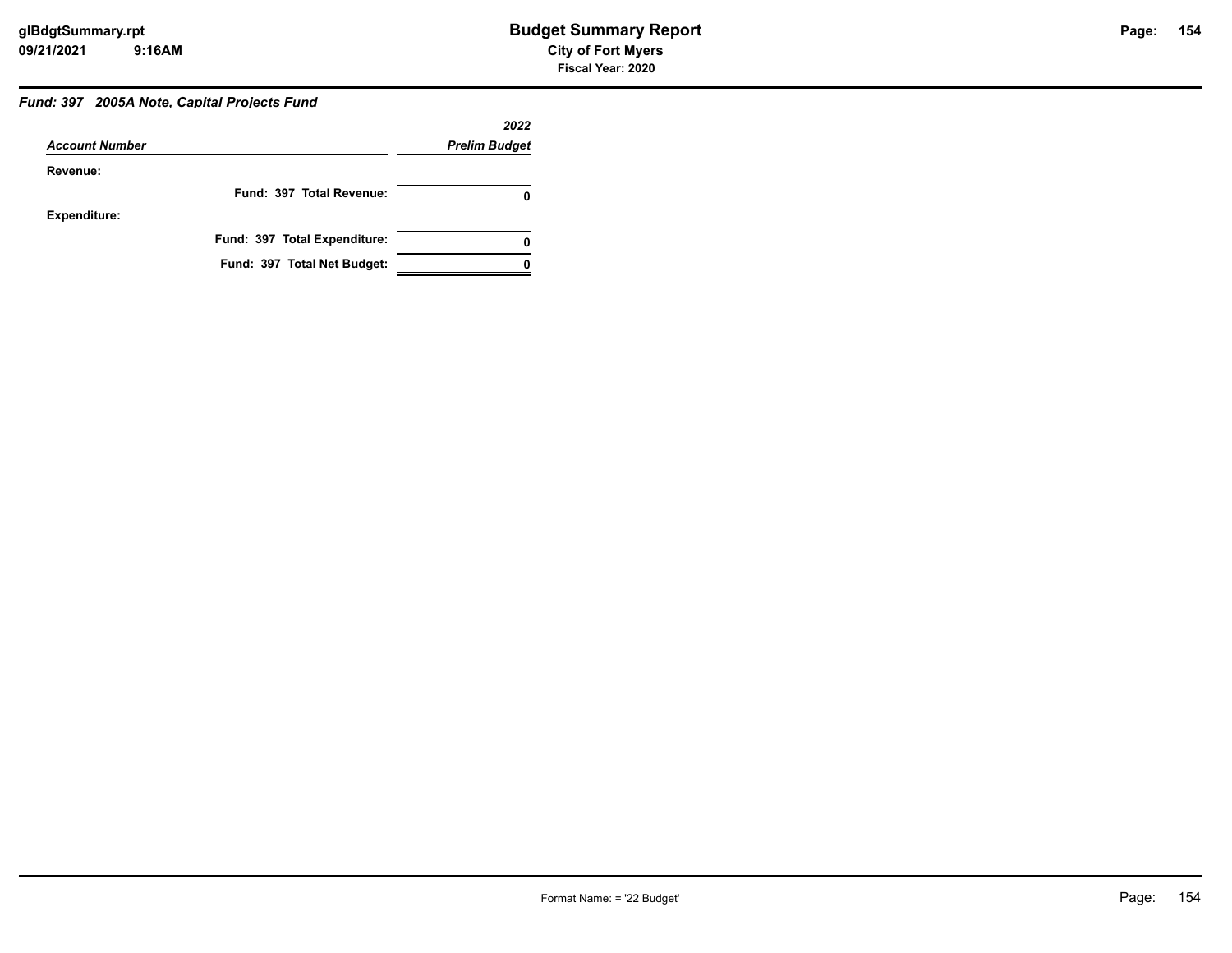# *Fund: 397 2005A Note, Capital Projects Fund*

|                       |                              | 2022                 |
|-----------------------|------------------------------|----------------------|
| <b>Account Number</b> |                              | <b>Prelim Budget</b> |
| Revenue:              |                              |                      |
|                       | Fund: 397 Total Revenue:     |                      |
| <b>Expenditure:</b>   |                              |                      |
|                       | Fund: 397 Total Expenditure: |                      |
|                       | Fund: 397 Total Net Budget:  |                      |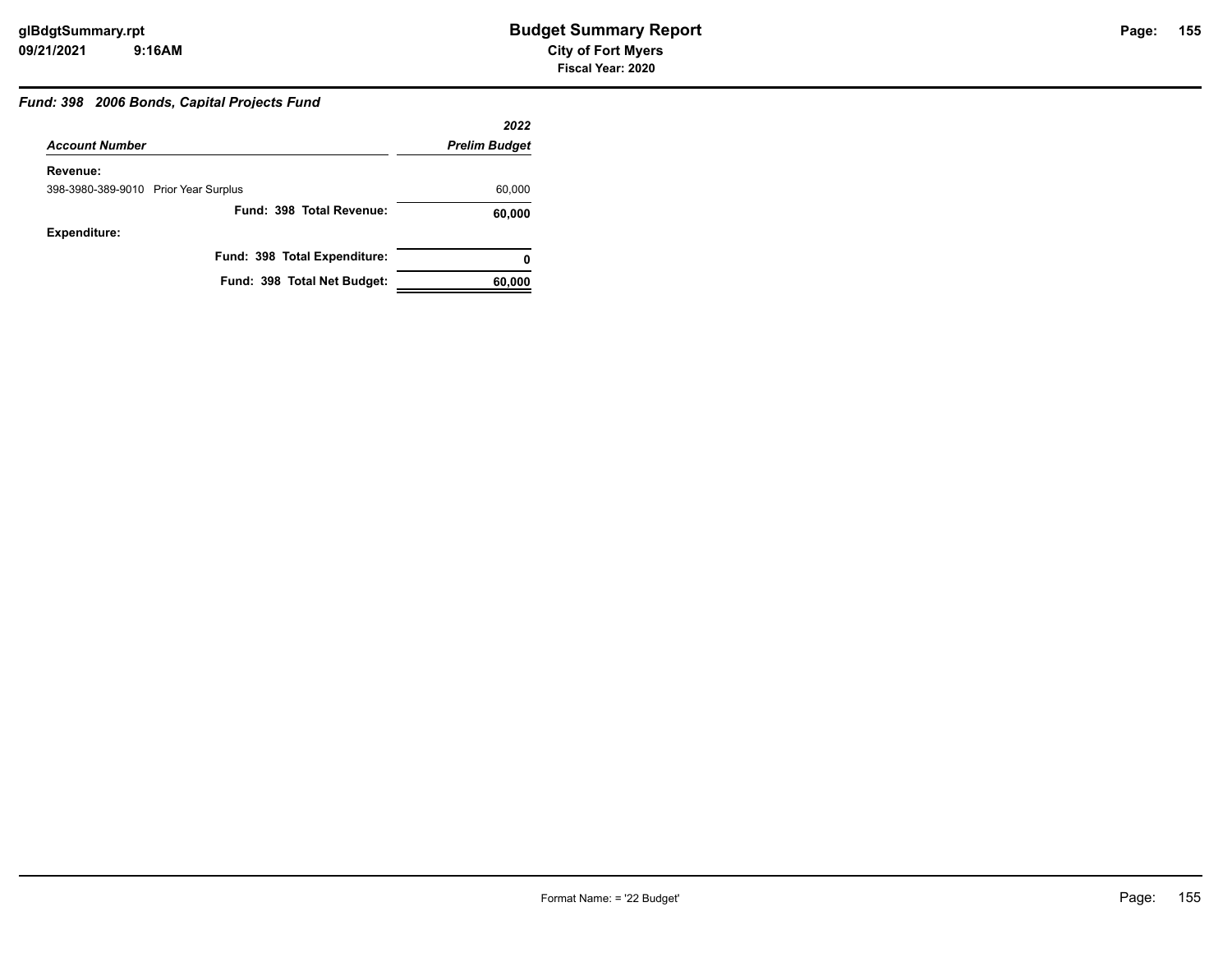#### *Fund: 398 2006 Bonds, Capital Projects Fund*

|                                      | 2022                 |
|--------------------------------------|----------------------|
| <b>Account Number</b>                | <b>Prelim Budget</b> |
| Revenue:                             |                      |
| 398-3980-389-9010 Prior Year Surplus | 60,000               |
| Fund: 398 Total Revenue:             | 60,000               |
| <b>Expenditure:</b>                  |                      |
| Fund: 398 Total Expenditure:         | 0                    |
| Fund: 398 Total Net Budget:          | 60,000               |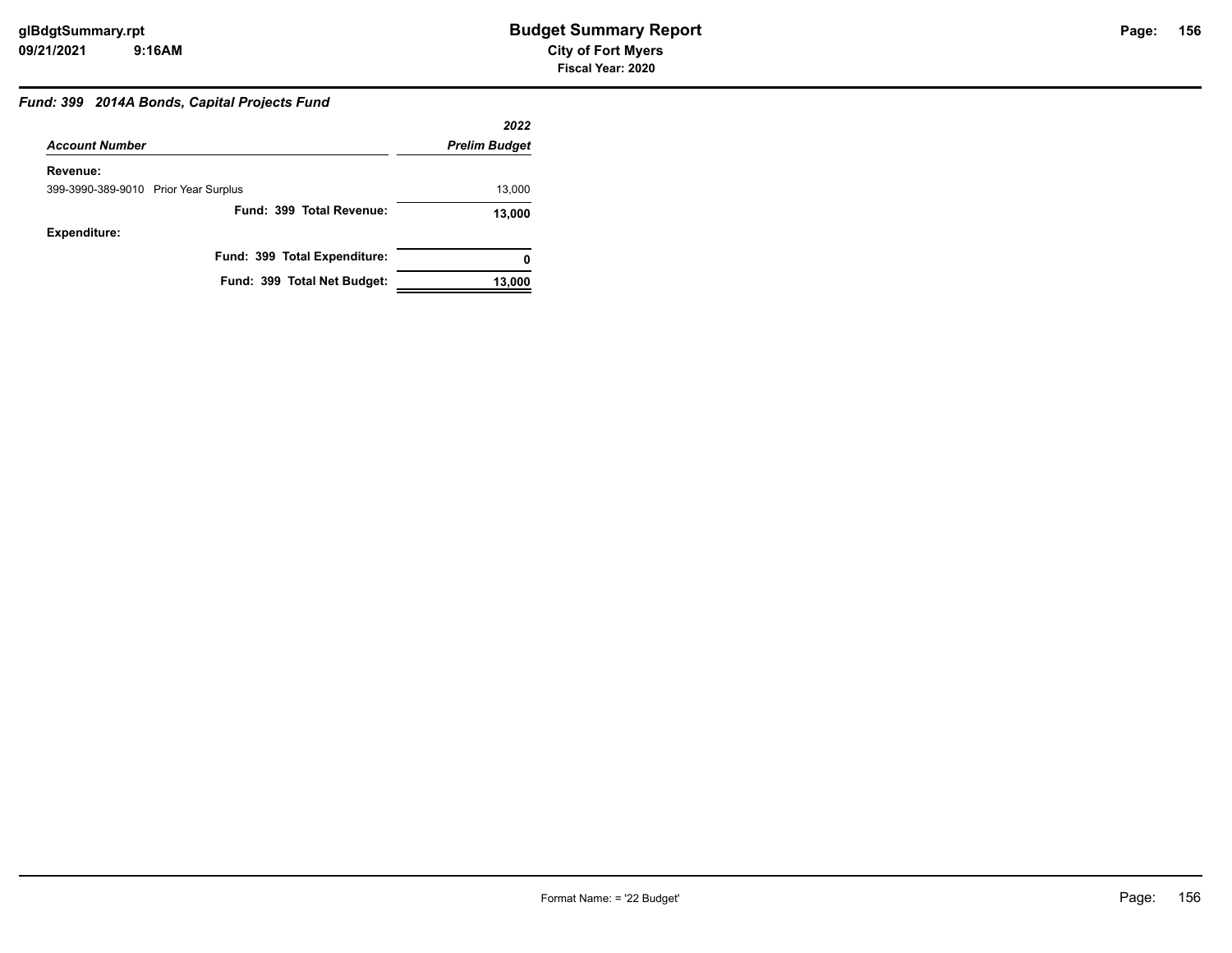#### *Fund: 399 2014A Bonds, Capital Projects Fund*

|                                      | 2022                 |
|--------------------------------------|----------------------|
| <b>Account Number</b>                | <b>Prelim Budget</b> |
| Revenue:                             |                      |
| 399-3990-389-9010 Prior Year Surplus | 13,000               |
| Fund: 399 Total Revenue:             | 13,000               |
| <b>Expenditure:</b>                  |                      |
| Fund: 399 Total Expenditure:         | 0                    |
| Fund: 399 Total Net Budget:          | 13,000               |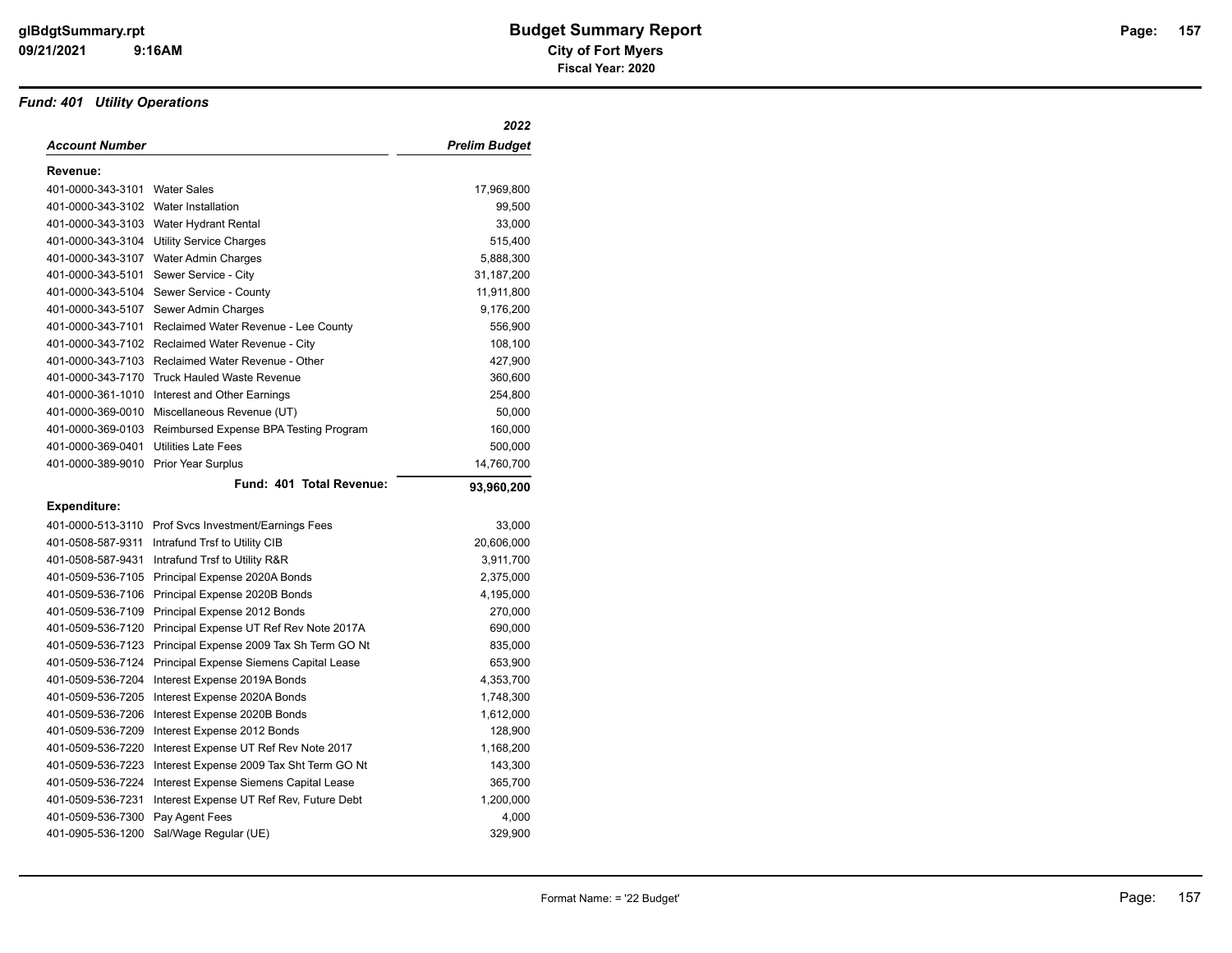#### *Fund: 401 Utility Operations*

|                                      |                                                      | 2022                 |
|--------------------------------------|------------------------------------------------------|----------------------|
| Account Number                       |                                                      | <b>Prelim Budget</b> |
| Revenue:                             |                                                      |                      |
| 401-0000-343-3101                    | <b>Water Sales</b>                                   | 17,969,800           |
| 401-0000-343-3102 Water Installation |                                                      | 99,500               |
|                                      | 401-0000-343-3103 Water Hydrant Rental               | 33,000               |
| 401-0000-343-3104                    | <b>Utility Service Charges</b>                       | 515,400              |
|                                      | 401-0000-343-3107 Water Admin Charges                | 5,888,300            |
| 401-0000-343-5101                    | Sewer Service - City                                 | 31,187,200           |
| 401-0000-343-5104                    | Sewer Service - County                               | 11,911,800           |
| 401-0000-343-5107                    | Sewer Admin Charges                                  | 9,176,200            |
| 401-0000-343-7101                    | Reclaimed Water Revenue - Lee County                 | 556,900              |
| 401-0000-343-7102                    | Reclaimed Water Revenue - City                       | 108,100              |
| 401-0000-343-7103                    | Reclaimed Water Revenue - Other                      | 427,900              |
| 401-0000-343-7170                    | <b>Truck Hauled Waste Revenue</b>                    | 360,600              |
| 401-0000-361-1010                    | Interest and Other Earnings                          | 254,800              |
| 401-0000-369-0010                    | Miscellaneous Revenue (UT)                           | 50,000               |
| 401-0000-369-0103                    | Reimbursed Expense BPA Testing Program               | 160,000              |
| 401-0000-369-0401                    | <b>Utilities Late Fees</b>                           | 500,000              |
| 401-0000-389-9010                    | Prior Year Surplus                                   | 14,760,700           |
|                                      | Fund: 401 Total Revenue:                             | 93,960,200           |
| Expenditure:                         |                                                      |                      |
|                                      | 401-0000-513-3110 Prof Svcs Investment/Earnings Fees | 33,000               |
| 401-0508-587-9311                    | Intrafund Trsf to Utility CIB                        | 20,606,000           |
| 401-0508-587-9431                    | Intrafund Trsf to Utility R&R                        | 3,911,700            |
| 401-0509-536-7105                    | Principal Expense 2020A Bonds                        | 2,375,000            |
| 401-0509-536-7106                    | Principal Expense 2020B Bonds                        | 4,195,000            |
| 401-0509-536-7109                    | Principal Expense 2012 Bonds                         | 270,000              |
| 401-0509-536-7120                    | Principal Expense UT Ref Rev Note 2017A              | 690,000              |
| 401-0509-536-7123                    | Principal Expense 2009 Tax Sh Term GO Nt             | 835,000              |
| 401-0509-536-7124                    | Principal Expense Siemens Capital Lease              | 653,900              |
| 401-0509-536-7204                    | Interest Expense 2019A Bonds                         | 4,353,700            |
| 401-0509-536-7205                    | Interest Expense 2020A Bonds                         | 1,748,300            |
| 401-0509-536-7206                    | Interest Expense 2020B Bonds                         | 1,612,000            |
| 401-0509-536-7209                    | Interest Expense 2012 Bonds                          | 128,900              |
| 401-0509-536-7220                    | Interest Expense UT Ref Rev Note 2017                | 1,168,200            |
| 401-0509-536-7223                    | Interest Expense 2009 Tax Sht Term GO Nt             | 143,300              |
| 401-0509-536-7224                    | Interest Expense Siemens Capital Lease               | 365,700              |
| 401-0509-536-7231                    | Interest Expense UT Ref Rev, Future Debt             | 1,200,000            |
| 401-0509-536-7300                    | Pay Agent Fees                                       | 4,000                |
| 401-0905-536-1200                    | Sal/Wage Regular (UE)                                | 329,900              |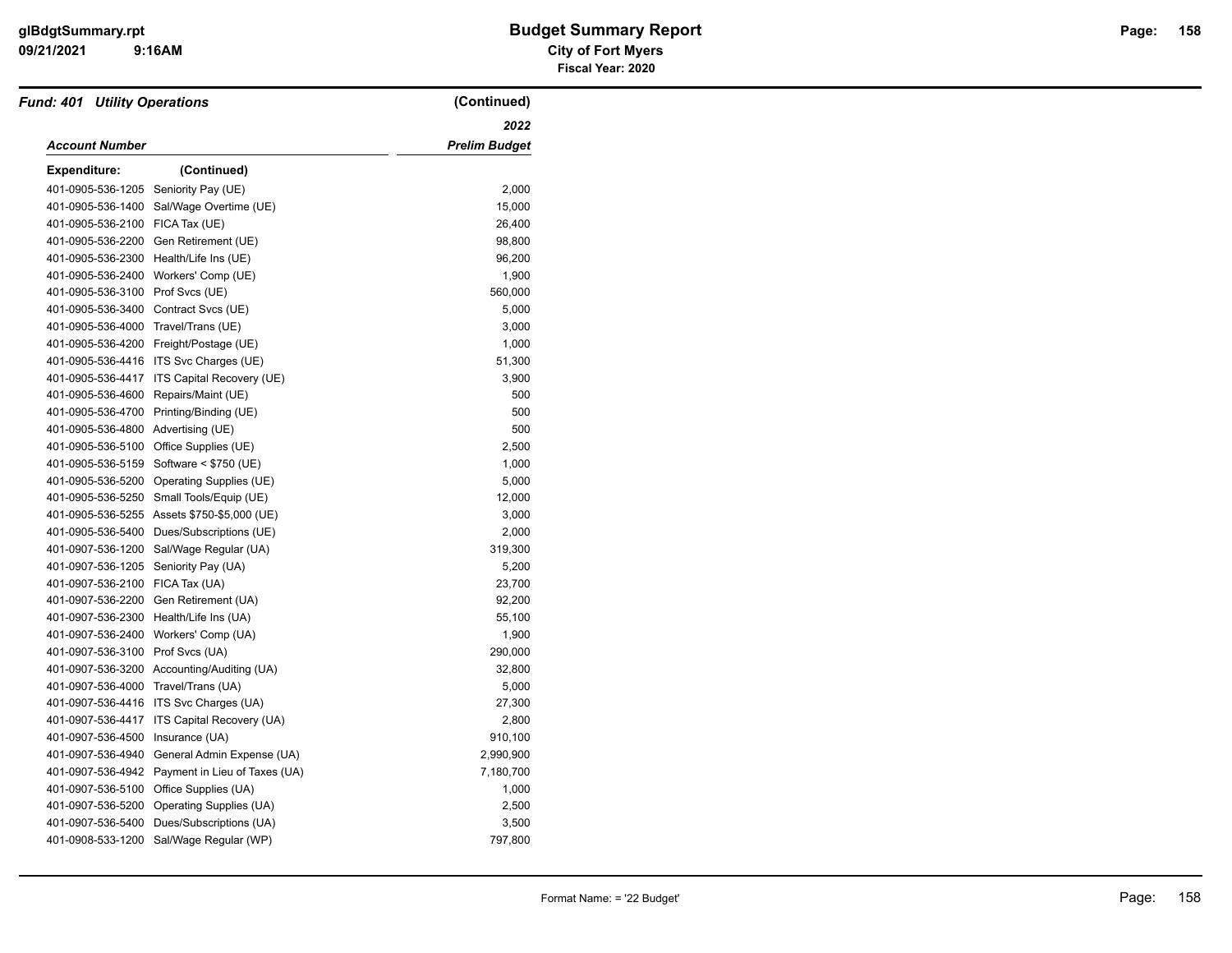| <b>Fund: 401 Utility Operations</b> |                                             | (Continued)   |
|-------------------------------------|---------------------------------------------|---------------|
|                                     |                                             | 2022          |
| <b>Account Number</b>               |                                             | Prelim Budget |
| <b>Expenditure:</b>                 | (Continued)                                 |               |
| 401-0905-536-1205                   | Seniority Pay (UE)                          | 2,000         |
| 401-0905-536-1400                   | Sal/Wage Overtime (UE)                      | 15,000        |
| 401-0905-536-2100                   | FICA Tax (UE)                               | 26,400        |
| 401-0905-536-2200                   | Gen Retirement (UE)                         | 98,800        |
| 401-0905-536-2300                   | Health/Life Ins (UE)                        | 96,200        |
| 401-0905-536-2400                   | Workers' Comp (UE)                          | 1,900         |
| 401-0905-536-3100                   | Prof Svcs (UE)                              | 560,000       |
| 401-0905-536-3400                   | Contract Svcs (UE)                          | 5,000         |
| 401-0905-536-4000                   | Travel/Trans (UE)                           | 3,000         |
|                                     | 401-0905-536-4200 Freight/Postage (UE)      | 1,000         |
|                                     | 401-0905-536-4416 ITS Svc Charges (UE)      | 51,300        |
| 401-0905-536-4417                   | ITS Capital Recovery (UE)                   | 3,900         |
| 401-0905-536-4600                   | Repairs/Maint (UE)                          | 500           |
| 401-0905-536-4700                   | Printing/Binding (UE)                       | 500           |
| 401-0905-536-4800                   | Advertising (UE)                            | 500           |
| 401-0905-536-5100                   | Office Supplies (UE)                        | 2,500         |
| 401-0905-536-5159                   | Software < \$750 (UE)                       | 1,000         |
| 401-0905-536-5200                   | Operating Supplies (UE)                     | 5,000         |
| 401-0905-536-5250                   | Small Tools/Equip (UE)                      | 12,000        |
|                                     | 401-0905-536-5255 Assets \$750-\$5,000 (UE) | 3,000         |
| 401-0905-536-5400                   | Dues/Subscriptions (UE)                     | 2,000         |
| 401-0907-536-1200                   | Sal/Wage Regular (UA)                       | 319,300       |
| 401-0907-536-1205                   | Seniority Pay (UA)                          | 5,200         |
| 401-0907-536-2100                   | FICA Tax (UA)                               | 23,700        |
| 401-0907-536-2200                   | Gen Retirement (UA)                         | 92,200        |
| 401-0907-536-2300                   | Health/Life Ins (UA)                        | 55,100        |
| 401-0907-536-2400                   | Workers' Comp (UA)                          | 1,900         |
| 401-0907-536-3100                   | Prof Svcs (UA)                              | 290,000       |
|                                     | 401-0907-536-3200 Accounting/Auditing (UA)  | 32,800        |
| 401-0907-536-4000                   | Travel/Trans (UA)                           | 5,000         |
| 401-0907-536-4416                   | ITS Svc Charges (UA)                        | 27,300        |
| 401-0907-536-4417                   | ITS Capital Recovery (UA)                   | 2,800         |
| 401-0907-536-4500                   | Insurance (UA)                              | 910,100       |
| 401-0907-536-4940                   | General Admin Expense (UA)                  | 2,990,900     |
| 401-0907-536-4942                   | Payment in Lieu of Taxes (UA)               | 7,180,700     |
| 401-0907-536-5100                   | Office Supplies (UA)                        | 1,000         |
| 401-0907-536-5200                   | Operating Supplies (UA)                     | 2,500         |
| 401-0907-536-5400                   | Dues/Subscriptions (UA)                     | 3,500         |
| 401-0908-533-1200                   | Sal/Wage Regular (WP)                       | 797,800       |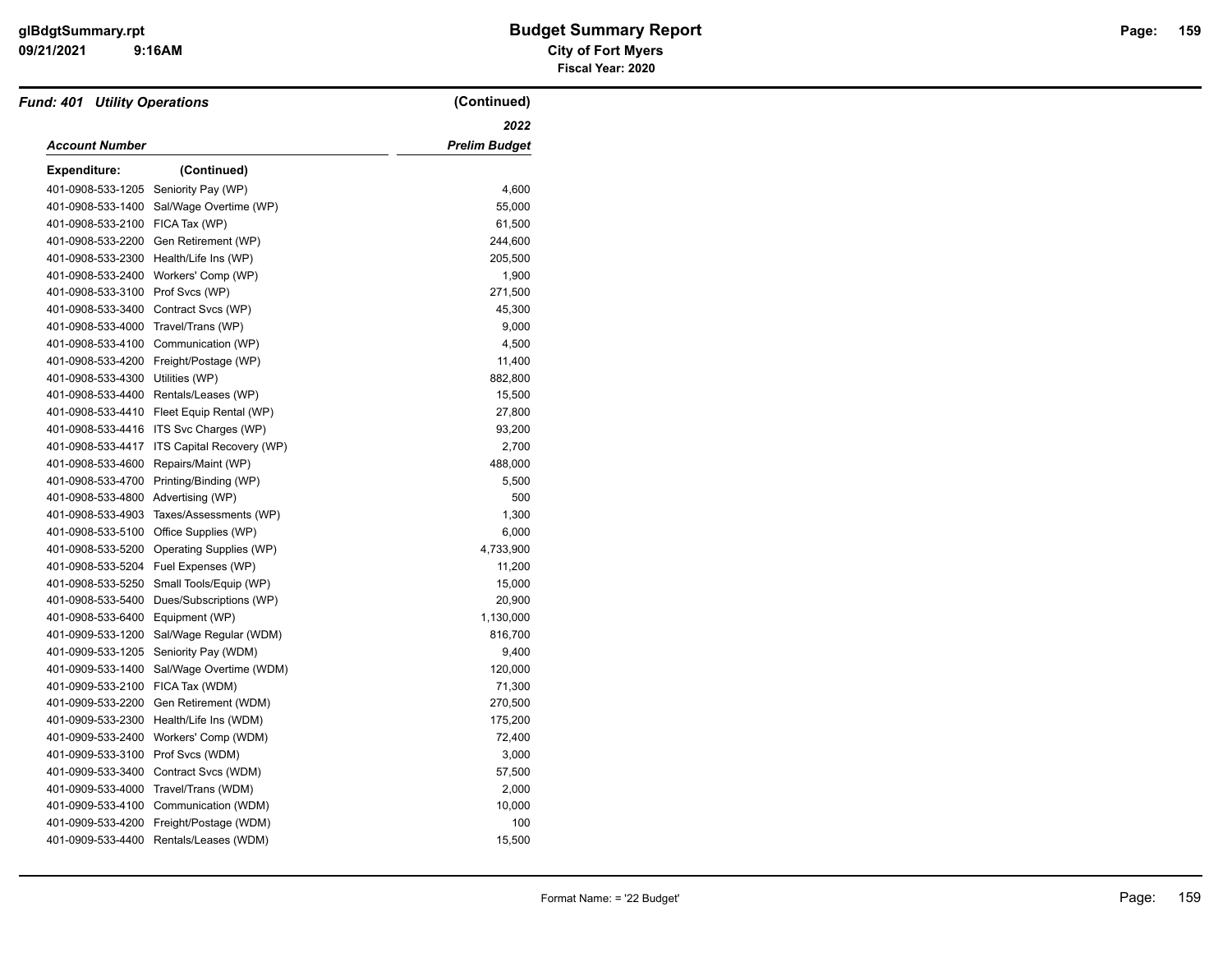| <b>Fund: 401 Utility Operations</b> |                           | (Continued)          |
|-------------------------------------|---------------------------|----------------------|
|                                     |                           | 2022                 |
| <b>Account Number</b>               |                           | <b>Prelim Budget</b> |
| <b>Expenditure:</b>                 | (Continued)               |                      |
| 401-0908-533-1205                   | Seniority Pay (WP)        | 4,600                |
| 401-0908-533-1400                   | Sal/Wage Overtime (WP)    | 55,000               |
| 401-0908-533-2100                   | FICA Tax (WP)             | 61,500               |
| 401-0908-533-2200                   | Gen Retirement (WP)       | 244,600              |
| 401-0908-533-2300                   | Health/Life Ins (WP)      | 205,500              |
| 401-0908-533-2400                   | Workers' Comp (WP)        | 1,900                |
| 401-0908-533-3100                   | Prof Svcs (WP)            | 271,500              |
| 401-0908-533-3400                   | Contract Svcs (WP)        | 45,300               |
| 401-0908-533-4000                   | Travel/Trans (WP)         | 9,000                |
| 401-0908-533-4100                   | Communication (WP)        | 4,500                |
| 401-0908-533-4200                   | Freight/Postage (WP)      | 11,400               |
| 401-0908-533-4300                   | Utilities (WP)            | 882,800              |
| 401-0908-533-4400                   | Rentals/Leases (WP)       | 15,500               |
| 401-0908-533-4410                   | Fleet Equip Rental (WP)   | 27,800               |
| 401-0908-533-4416                   | ITS Svc Charges (WP)      | 93,200               |
| 401-0908-533-4417                   | ITS Capital Recovery (WP) | 2,700                |
| 401-0908-533-4600                   | Repairs/Maint (WP)        | 488,000              |
| 401-0908-533-4700                   | Printing/Binding (WP)     | 5,500                |
| 401-0908-533-4800 Advertising (WP)  |                           | 500                  |
| 401-0908-533-4903                   | Taxes/Assessments (WP)    | 1,300                |
| 401-0908-533-5100                   | Office Supplies (WP)      | 6,000                |
| 401-0908-533-5200                   | Operating Supplies (WP)   | 4,733,900            |
| 401-0908-533-5204                   | Fuel Expenses (WP)        | 11,200               |
| 401-0908-533-5250                   | Small Tools/Equip (WP)    | 15,000               |
| 401-0908-533-5400                   | Dues/Subscriptions (WP)   | 20,900               |
| 401-0908-533-6400                   | Equipment (WP)            | 1,130,000            |
| 401-0909-533-1200                   | Sal/Wage Regular (WDM)    | 816,700              |
| 401-0909-533-1205                   | Seniority Pay (WDM)       | 9,400                |
| 401-0909-533-1400                   | Sal/Wage Overtime (WDM)   | 120,000              |
| 401-0909-533-2100                   | FICA Tax (WDM)            | 71,300               |
| 401-0909-533-2200                   | Gen Retirement (WDM)      | 270,500              |
| 401-0909-533-2300                   | Health/Life Ins (WDM)     | 175,200              |
| 401-0909-533-2400                   | Workers' Comp (WDM)       | 72,400               |
| 401-0909-533-3100                   | Prof Svcs (WDM)           | 3,000                |
| 401-0909-533-3400                   | Contract Svcs (WDM)       | 57,500               |
| 401-0909-533-4000                   | Travel/Trans (WDM)        | 2,000                |
| 401-0909-533-4100                   | Communication (WDM)       | 10,000               |
| 401-0909-533-4200                   | Freight/Postage (WDM)     | 100                  |
| 401-0909-533-4400                   | Rentals/Leases (WDM)      | 15,500               |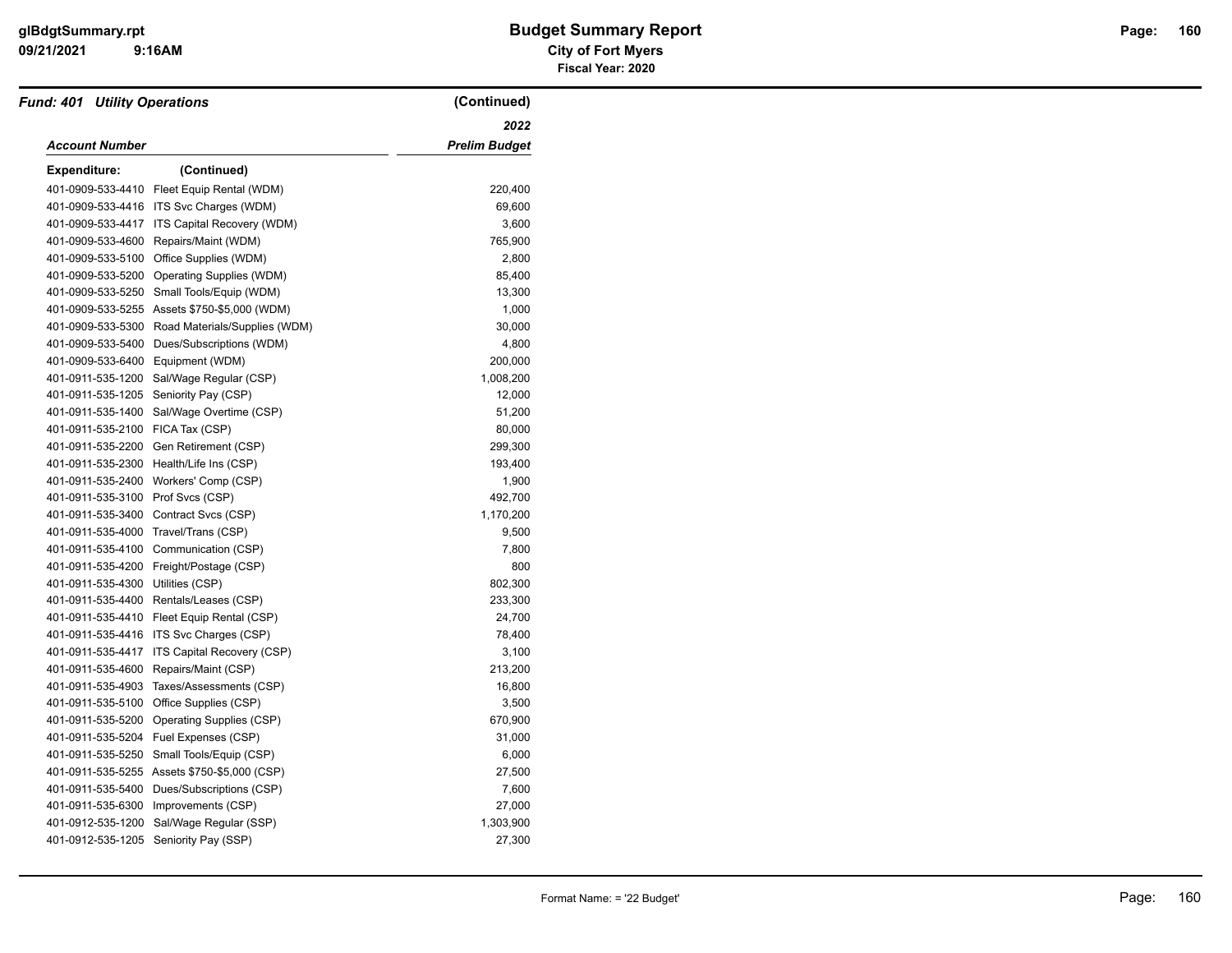| <b>Fund: 401 Utility Operations</b> |                                              | (Continued)   |
|-------------------------------------|----------------------------------------------|---------------|
| <b>Account Number</b>               |                                              | 2022          |
|                                     |                                              | Prelim Budget |
| <b>Expenditure:</b>                 | (Continued)                                  |               |
| 401-0909-533-4410                   | Fleet Equip Rental (WDM)                     | 220,400       |
|                                     | 401-0909-533-4416 ITS Svc Charges (WDM)      | 69,600        |
| 401-0909-533-4417                   | ITS Capital Recovery (WDM)                   | 3,600         |
| 401-0909-533-4600                   | Repairs/Maint (WDM)                          | 765,900       |
| 401-0909-533-5100                   | Office Supplies (WDM)                        | 2,800         |
| 401-0909-533-5200                   | Operating Supplies (WDM)                     | 85,400        |
| 401-0909-533-5250                   | Small Tools/Equip (WDM)                      | 13,300        |
|                                     | 401-0909-533-5255 Assets \$750-\$5,000 (WDM) | 1,000         |
| 401-0909-533-5300                   | Road Materials/Supplies (WDM)                | 30,000        |
| 401-0909-533-5400                   | Dues/Subscriptions (WDM)                     | 4,800         |
| 401-0909-533-6400                   | Equipment (WDM)                              | 200,000       |
| 401-0911-535-1200                   | Sal/Wage Regular (CSP)                       | 1,008,200     |
| 401-0911-535-1205                   | Seniority Pay (CSP)                          | 12,000        |
| 401-0911-535-1400                   | Sal/Wage Overtime (CSP)                      | 51,200        |
| 401-0911-535-2100                   | FICA Tax (CSP)                               | 80,000        |
| 401-0911-535-2200                   | Gen Retirement (CSP)                         | 299,300       |
| 401-0911-535-2300                   | Health/Life Ins (CSP)                        | 193,400       |
| 401-0911-535-2400                   | Workers' Comp (CSP)                          | 1,900         |
| 401-0911-535-3100 Prof Svcs (CSP)   |                                              | 492,700       |
| 401-0911-535-3400                   | Contract Svcs (CSP)                          | 1,170,200     |
| 401-0911-535-4000                   | Travel/Trans (CSP)                           | 9,500         |
| 401-0911-535-4100                   | Communication (CSP)                          | 7,800         |
| 401-0911-535-4200                   | Freight/Postage (CSP)                        | 800           |
| 401-0911-535-4300                   | Utilities (CSP)                              | 802,300       |
| 401-0911-535-4400                   | Rentals/Leases (CSP)                         | 233,300       |
| 401-0911-535-4410                   | Fleet Equip Rental (CSP)                     | 24,700        |
| 401-0911-535-4416                   | ITS Svc Charges (CSP)                        | 78,400        |
| 401-0911-535-4417                   | ITS Capital Recovery (CSP)                   | 3,100         |
| 401-0911-535-4600                   | Repairs/Maint (CSP)                          | 213,200       |
| 401-0911-535-4903                   | Taxes/Assessments (CSP)                      | 16,800        |
| 401-0911-535-5100                   | Office Supplies (CSP)                        | 3,500         |
| 401-0911-535-5200                   | Operating Supplies (CSP)                     | 670,900       |
| 401-0911-535-5204                   | Fuel Expenses (CSP)                          | 31,000        |
| 401-0911-535-5250                   | Small Tools/Equip (CSP)                      | 6,000         |
| 401-0911-535-5255                   | Assets \$750-\$5,000 (CSP)                   | 27,500        |
| 401-0911-535-5400                   | Dues/Subscriptions (CSP)                     | 7,600         |
| 401-0911-535-6300                   | Improvements (CSP)                           | 27,000        |
| 401-0912-535-1200                   | Sal/Wage Regular (SSP)                       | 1,303,900     |
| 401-0912-535-1205                   | Seniority Pay (SSP)                          | 27,300        |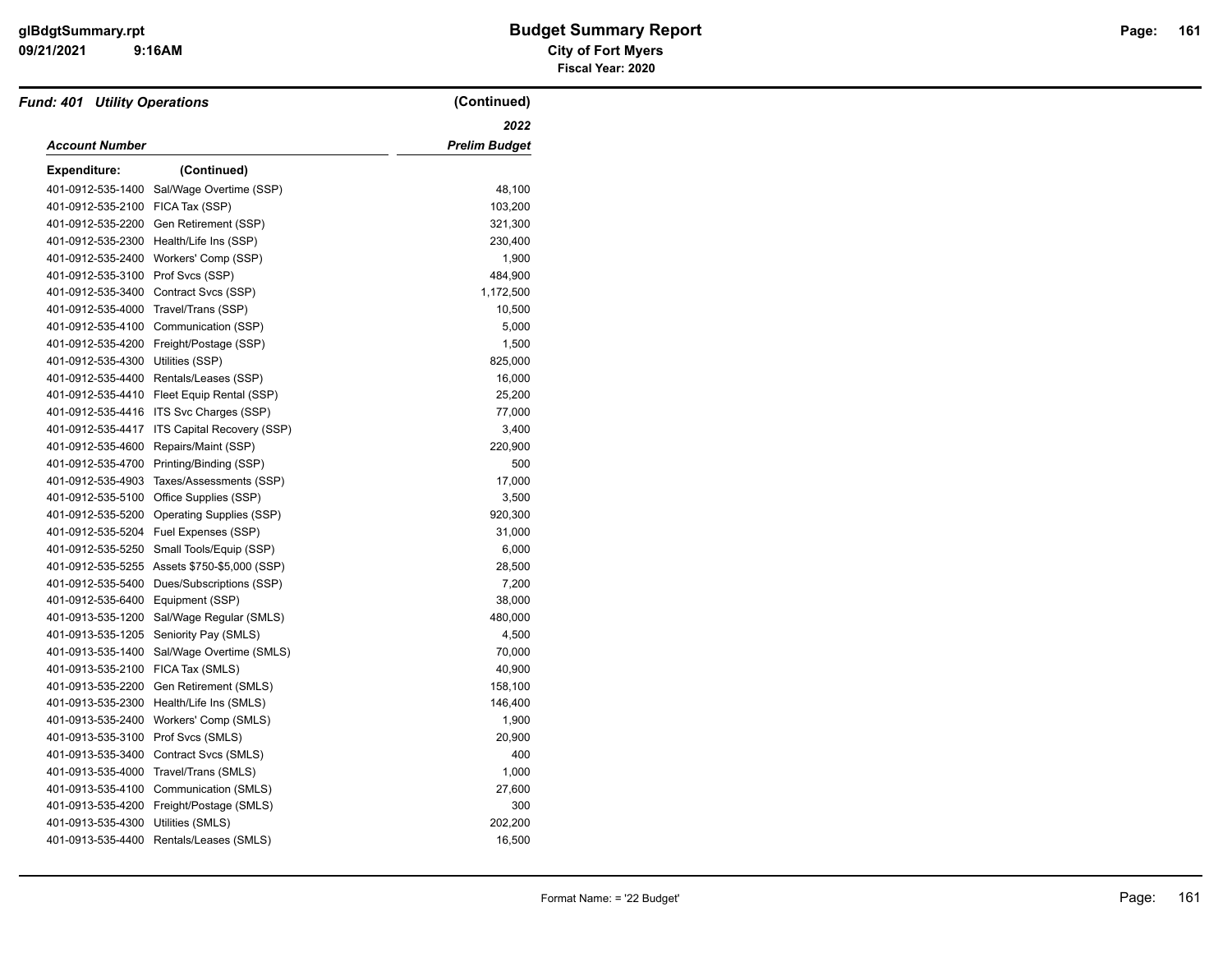| <b>Fund: 401 Utility Operations</b>  |                                              | (Continued)          |
|--------------------------------------|----------------------------------------------|----------------------|
|                                      |                                              | 2022                 |
| <b>Account Number</b>                |                                              | <b>Prelim Budget</b> |
| <b>Expenditure:</b>                  | (Continued)                                  |                      |
| 401-0912-535-1400                    | Sal/Wage Overtime (SSP)                      | 48,100               |
| 401-0912-535-2100                    | FICA Tax (SSP)                               | 103,200              |
| 401-0912-535-2200                    | Gen Retirement (SSP)                         | 321,300              |
| 401-0912-535-2300                    | Health/Life Ins (SSP)                        | 230,400              |
| 401-0912-535-2400                    | Workers' Comp (SSP)                          | 1,900                |
| 401-0912-535-3100                    | Prof Svcs (SSP)                              | 484,900              |
| 401-0912-535-3400                    | Contract Svcs (SSP)                          | 1,172,500            |
| 401-0912-535-4000 Travel/Trans (SSP) |                                              | 10,500               |
| 401-0912-535-4100                    | Communication (SSP)                          | 5,000                |
| 401-0912-535-4200                    | Freight/Postage (SSP)                        | 1,500                |
| 401-0912-535-4300                    | Utilities (SSP)                              | 825,000              |
| 401-0912-535-4400                    | Rentals/Leases (SSP)                         | 16,000               |
|                                      | 401-0912-535-4410 Fleet Equip Rental (SSP)   | 25,200               |
| 401-0912-535-4416                    | ITS Svc Charges (SSP)                        | 77,000               |
| 401-0912-535-4417                    | ITS Capital Recovery (SSP)                   | 3,400                |
| 401-0912-535-4600                    | Repairs/Maint (SSP)                          | 220,900              |
| 401-0912-535-4700                    | Printing/Binding (SSP)                       | 500                  |
| 401-0912-535-4903                    | Taxes/Assessments (SSP)                      | 17,000               |
| 401-0912-535-5100                    | Office Supplies (SSP)                        | 3,500                |
| 401-0912-535-5200                    | Operating Supplies (SSP)                     | 920,300              |
| 401-0912-535-5204                    | Fuel Expenses (SSP)                          | 31,000               |
| 401-0912-535-5250                    | Small Tools/Equip (SSP)                      | 6,000                |
|                                      | 401-0912-535-5255 Assets \$750-\$5,000 (SSP) | 28,500               |
| 401-0912-535-5400                    | Dues/Subscriptions (SSP)                     | 7,200                |
| 401-0912-535-6400                    | Equipment (SSP)                              | 38,000               |
| 401-0913-535-1200                    | Sal/Wage Regular (SMLS)                      | 480,000              |
| 401-0913-535-1205                    | Seniority Pay (SMLS)                         | 4,500                |
| 401-0913-535-1400                    | Sal/Wage Overtime (SMLS)                     | 70,000               |
| 401-0913-535-2100                    | FICA Tax (SMLS)                              | 40,900               |
| 401-0913-535-2200                    | Gen Retirement (SMLS)                        | 158,100              |
| 401-0913-535-2300                    | Health/Life Ins (SMLS)                       | 146,400              |
| 401-0913-535-2400                    | Workers' Comp (SMLS)                         | 1,900                |
| 401-0913-535-3100                    | Prof Svcs (SMLS)                             | 20,900               |
| 401-0913-535-3400                    | Contract Svcs (SMLS)                         | 400                  |
| 401-0913-535-4000                    | Travel/Trans (SMLS)                          | 1,000                |
| 401-0913-535-4100                    | Communication (SMLS)                         | 27,600               |
| 401-0913-535-4200                    | Freight/Postage (SMLS)                       | 300                  |
| 401-0913-535-4300                    | Utilities (SMLS)                             | 202,200              |
| 401-0913-535-4400                    | Rentals/Leases (SMLS)                        | 16,500               |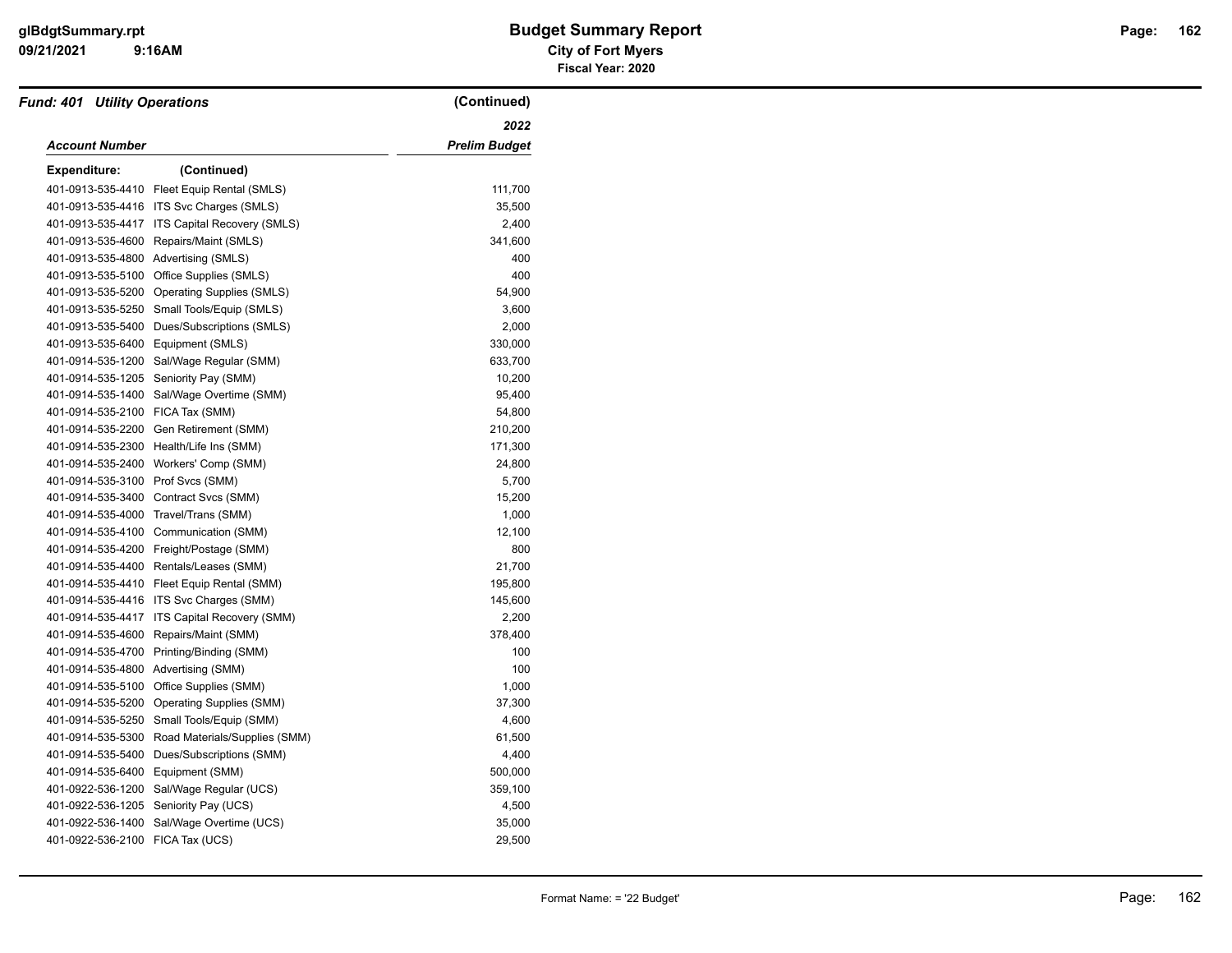| <b>Fund: 401 Utility Operations</b> |                                         | (Continued)          |
|-------------------------------------|-----------------------------------------|----------------------|
|                                     |                                         | 2022                 |
| Account Number                      |                                         | <b>Prelim Budget</b> |
| <b>Expenditure:</b>                 | (Continued)                             |                      |
| 401-0913-535-4410                   | Fleet Equip Rental (SMLS)               | 111,700              |
| 401-0913-535-4416                   | ITS Svc Charges (SMLS)                  | 35,500               |
| 401-0913-535-4417                   | ITS Capital Recovery (SMLS)             | 2,400                |
| 401-0913-535-4600                   | Repairs/Maint (SMLS)                    | 341,600              |
|                                     | 401-0913-535-4800 Advertising (SMLS)    | 400                  |
| 401-0913-535-5100                   | Office Supplies (SMLS)                  | 400                  |
| 401-0913-535-5200                   | <b>Operating Supplies (SMLS)</b>        | 54,900               |
| 401-0913-535-5250                   | Small Tools/Equip (SMLS)                | 3,600                |
| 401-0913-535-5400                   | Dues/Subscriptions (SMLS)               | 2,000                |
| 401-0913-535-6400                   | Equipment (SMLS)                        | 330,000              |
| 401-0914-535-1200                   | Sal/Wage Regular (SMM)                  | 633,700              |
| 401-0914-535-1205                   | Seniority Pay (SMM)                     | 10,200               |
| 401-0914-535-1400                   | Sal/Wage Overtime (SMM)                 | 95,400               |
| 401-0914-535-2100                   | FICA Tax (SMM)                          | 54,800               |
| 401-0914-535-2200                   | Gen Retirement (SMM)                    | 210,200              |
| 401-0914-535-2300                   | Health/Life Ins (SMM)                   | 171,300              |
| 401-0914-535-2400                   | Workers' Comp (SMM)                     | 24,800               |
| 401-0914-535-3100                   | Prof Svcs (SMM)                         | 5,700                |
| 401-0914-535-3400                   | Contract Svcs (SMM)                     | 15,200               |
| 401-0914-535-4000                   | Travel/Trans (SMM)                      | 1,000                |
| 401-0914-535-4100                   | Communication (SMM)                     | 12,100               |
| 401-0914-535-4200                   | Freight/Postage (SMM)                   | 800                  |
| 401-0914-535-4400                   | Rentals/Leases (SMM)                    | 21,700               |
| 401-0914-535-4410                   | Fleet Equip Rental (SMM)                | 195,800              |
|                                     | 401-0914-535-4416 ITS Svc Charges (SMM) | 145,600              |
| 401-0914-535-4417                   | ITS Capital Recovery (SMM)              | 2,200                |
| 401-0914-535-4600                   | Repairs/Maint (SMM)                     | 378,400              |
| 401-0914-535-4700                   | Printing/Binding (SMM)                  | 100                  |
| 401-0914-535-4800                   | Advertising (SMM)                       | 100                  |
| 401-0914-535-5100                   | Office Supplies (SMM)                   | 1,000                |
| 401-0914-535-5200                   | Operating Supplies (SMM)                | 37,300               |
| 401-0914-535-5250                   | Small Tools/Equip (SMM)                 | 4,600                |
| 401-0914-535-5300                   | Road Materials/Supplies (SMM)           | 61,500               |
| 401-0914-535-5400                   | Dues/Subscriptions (SMM)                | 4,400                |
| 401-0914-535-6400                   | Equipment (SMM)                         | 500,000              |
| 401-0922-536-1200                   | Sal/Wage Regular (UCS)                  | 359,100              |
| 401-0922-536-1205                   | Seniority Pay (UCS)                     | 4,500                |
| 401-0922-536-1400                   | Sal/Wage Overtime (UCS)                 | 35,000               |
| 401-0922-536-2100 FICA Tax (UCS)    |                                         | 29,500               |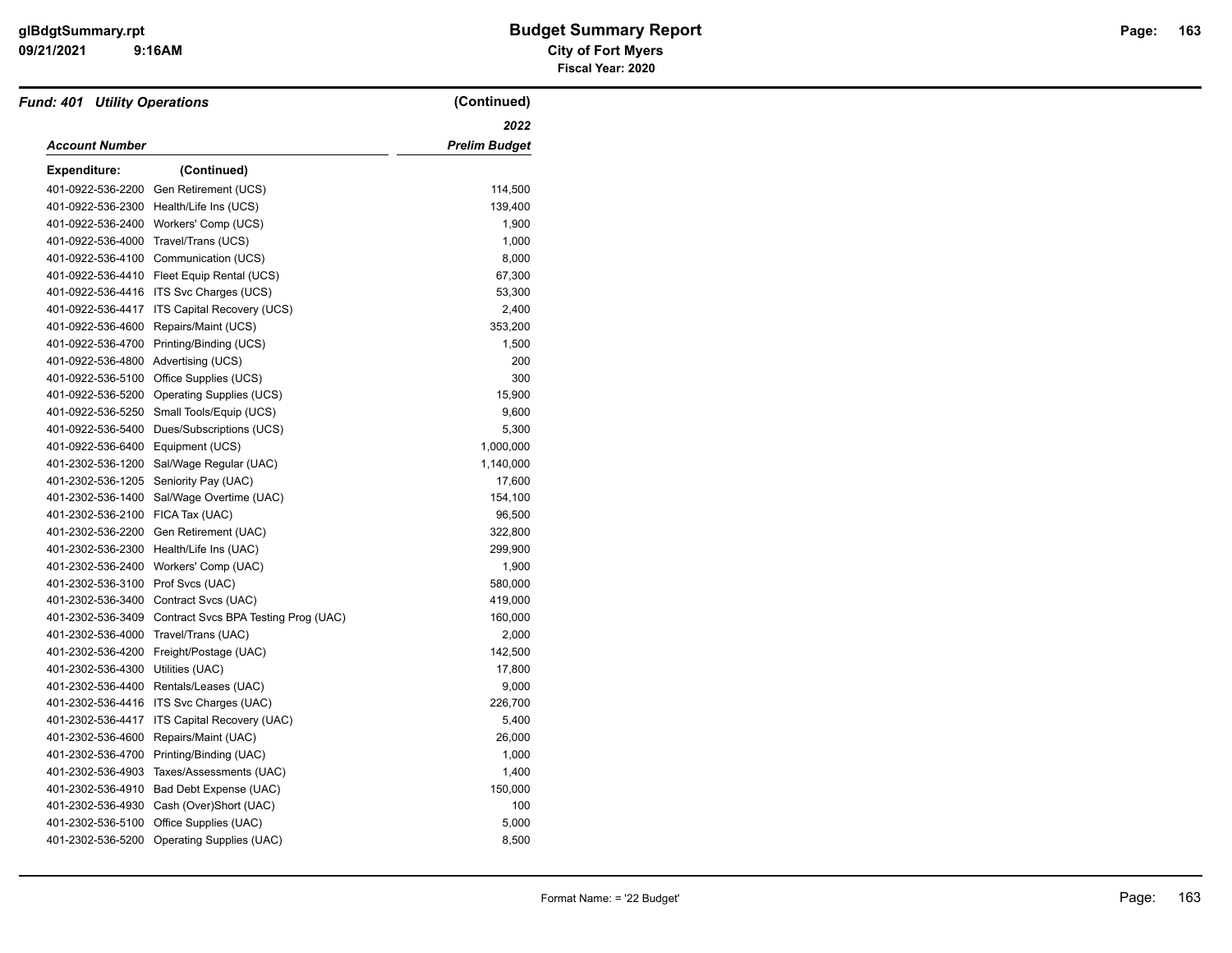| <b>Fund: 401 Utility Operations</b> |                                            | (Continued)   |
|-------------------------------------|--------------------------------------------|---------------|
| Account Number                      |                                            | 2022          |
|                                     |                                            | Prelim Budget |
| <b>Expenditure:</b>                 | (Continued)                                |               |
| 401-0922-536-2200                   | Gen Retirement (UCS)                       | 114,500       |
| 401-0922-536-2300                   | Health/Life Ins (UCS)                      | 139,400       |
| 401-0922-536-2400                   | Workers' Comp (UCS)                        | 1,900         |
| 401-0922-536-4000                   | Travel/Trans (UCS)                         | 1,000         |
| 401-0922-536-4100                   | Communication (UCS)                        | 8,000         |
|                                     | 401-0922-536-4410 Fleet Equip Rental (UCS) | 67,300        |
| 401-0922-536-4416                   | ITS Svc Charges (UCS)                      | 53,300        |
| 401-0922-536-4417                   | ITS Capital Recovery (UCS)                 | 2,400         |
| 401-0922-536-4600                   | Repairs/Maint (UCS)                        | 353,200       |
| 401-0922-536-4700                   | Printing/Binding (UCS)                     | 1,500         |
| 401-0922-536-4800                   | Advertising (UCS)                          | 200           |
| 401-0922-536-5100                   | Office Supplies (UCS)                      | 300           |
| 401-0922-536-5200                   | <b>Operating Supplies (UCS)</b>            | 15,900        |
| 401-0922-536-5250                   | Small Tools/Equip (UCS)                    | 9,600         |
| 401-0922-536-5400                   | Dues/Subscriptions (UCS)                   | 5,300         |
| 401-0922-536-6400                   | Equipment (UCS)                            | 1,000,000     |
| 401-2302-536-1200                   | Sal/Wage Regular (UAC)                     | 1,140,000     |
| 401-2302-536-1205                   | Seniority Pay (UAC)                        | 17,600        |
| 401-2302-536-1400                   | Sal/Wage Overtime (UAC)                    | 154,100       |
| 401-2302-536-2100                   | FICA Tax (UAC)                             | 96,500        |
| 401-2302-536-2200                   | Gen Retirement (UAC)                       | 322,800       |
| 401-2302-536-2300                   | Health/Life Ins (UAC)                      | 299,900       |
| 401-2302-536-2400                   | Workers' Comp (UAC)                        | 1,900         |
| 401-2302-536-3100                   | Prof Svcs (UAC)                            | 580,000       |
| 401-2302-536-3400                   | Contract Svcs (UAC)                        | 419,000       |
| 401-2302-536-3409                   | Contract Svcs BPA Testing Prog (UAC)       | 160,000       |
| 401-2302-536-4000                   | Travel/Trans (UAC)                         | 2,000         |
| 401-2302-536-4200                   | Freight/Postage (UAC)                      | 142,500       |
| 401-2302-536-4300                   | Utilities (UAC)                            | 17,800        |
| 401-2302-536-4400                   | Rentals/Leases (UAC)                       | 9,000         |
| 401-2302-536-4416                   | ITS Svc Charges (UAC)                      | 226,700       |
| 401-2302-536-4417                   | ITS Capital Recovery (UAC)                 | 5,400         |
| 401-2302-536-4600                   | Repairs/Maint (UAC)                        | 26,000        |
| 401-2302-536-4700                   | Printing/Binding (UAC)                     | 1,000         |
| 401-2302-536-4903                   | Taxes/Assessments (UAC)                    | 1,400         |
| 401-2302-536-4910                   | Bad Debt Expense (UAC)                     | 150,000       |
| 401-2302-536-4930                   | Cash (Over)Short (UAC)                     | 100           |
| 401-2302-536-5100                   | Office Supplies (UAC)                      | 5,000         |
| 401-2302-536-5200                   | <b>Operating Supplies (UAC)</b>            | 8,500         |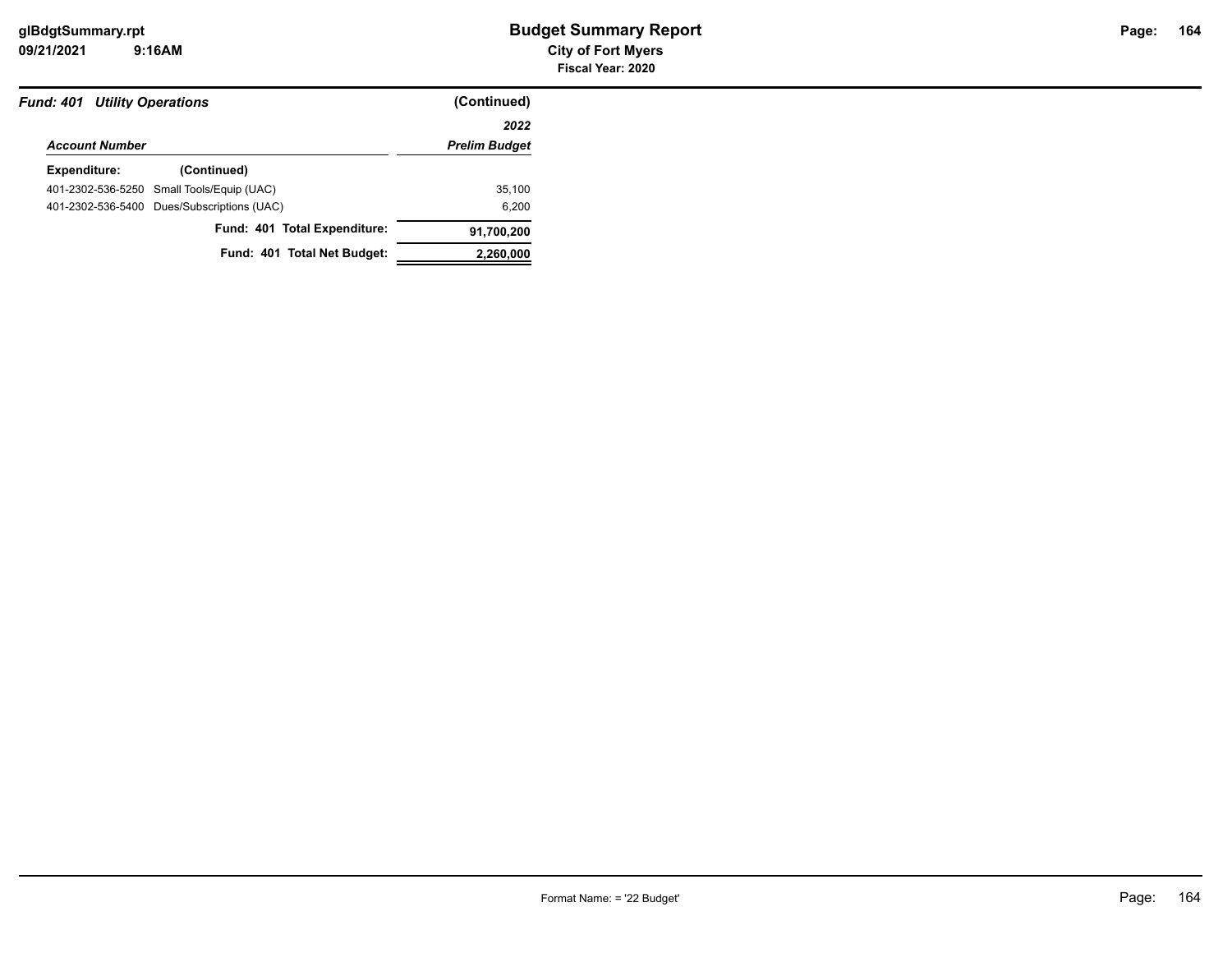| <b>Fund: 401 Utility Operations</b> |                                            | (Continued)          |  |
|-------------------------------------|--------------------------------------------|----------------------|--|
|                                     |                                            | 2022                 |  |
| <b>Account Number</b>               |                                            | <b>Prelim Budget</b> |  |
| Expenditure:                        | (Continued)                                |                      |  |
|                                     | 401-2302-536-5250 Small Tools/Equip (UAC)  | 35,100               |  |
|                                     | 401-2302-536-5400 Dues/Subscriptions (UAC) | 6.200                |  |
|                                     | Fund: 401 Total Expenditure:               | 91,700,200           |  |
|                                     | Fund: 401 Total Net Budget:                | 2,260,000            |  |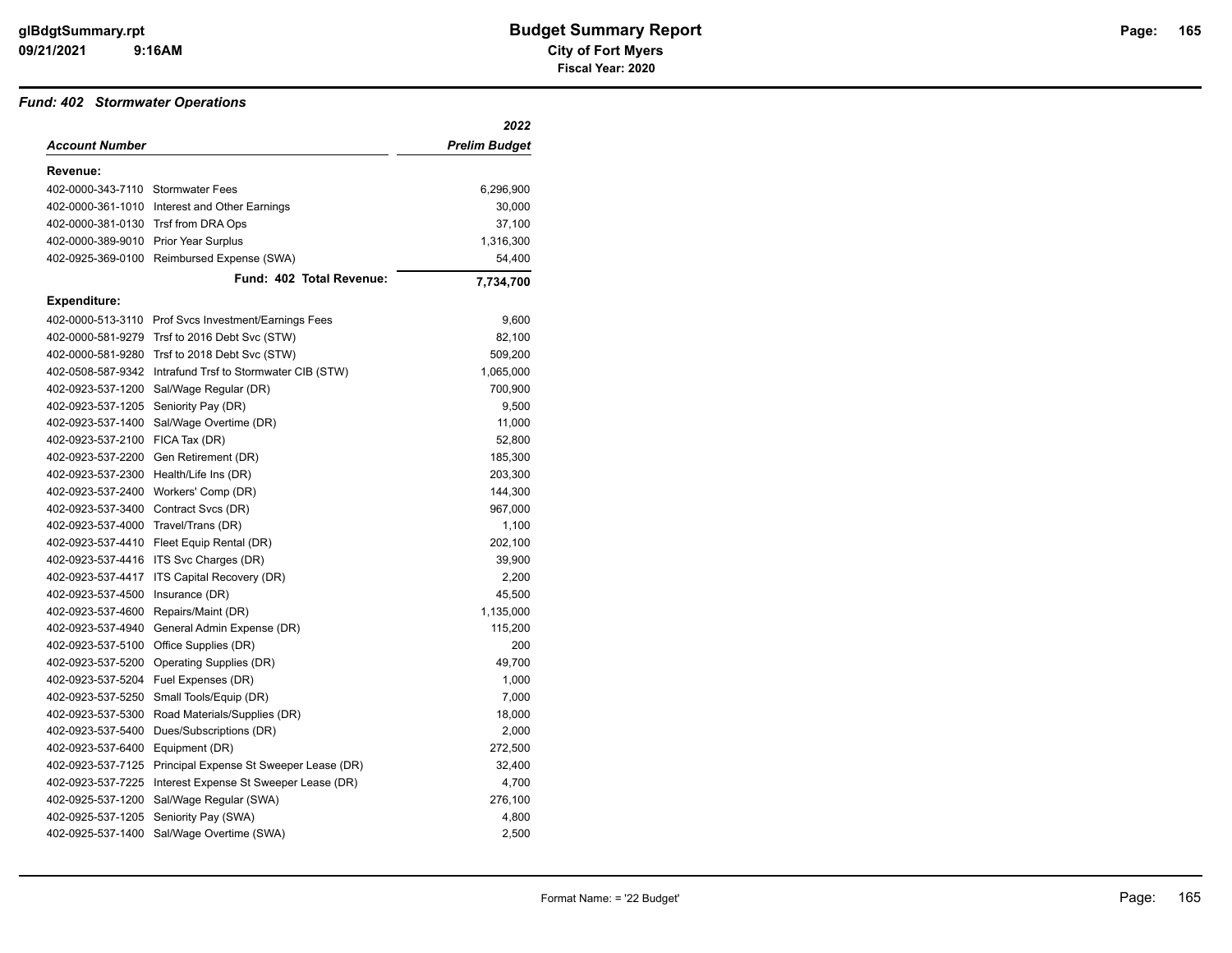#### *Fund: 402 Stormwater Operations*

|                                      |                                               | 2022                 |
|--------------------------------------|-----------------------------------------------|----------------------|
| Account Number                       |                                               | <b>Prelim Budget</b> |
| Revenue:                             |                                               |                      |
| 402-0000-343-7110 Stormwater Fees    |                                               | 6,296,900            |
|                                      | 402-0000-361-1010 Interest and Other Earnings | 30,000               |
| 402-0000-381-0130 Trsf from DRA Ops  |                                               | 37,100               |
| 402-0000-389-9010 Prior Year Surplus |                                               | 1,316,300            |
|                                      | 402-0925-369-0100 Reimbursed Expense (SWA)    | 54,400               |
|                                      | Fund: 402 Total Revenue:                      | 7,734,700            |
| <b>Expenditure:</b>                  |                                               |                      |
| 402-0000-513-3110                    | Prof Svcs Investment/Earnings Fees            | 9,600                |
| 402-0000-581-9279                    | Trsf to 2016 Debt Svc (STW)                   | 82,100               |
| 402-0000-581-9280                    | Trsf to 2018 Debt Svc (STW)                   | 509,200              |
| 402-0508-587-9342                    | Intrafund Trsf to Stormwater CIB (STW)        | 1,065,000            |
| 402-0923-537-1200                    | Sal/Wage Regular (DR)                         | 700,900              |
| 402-0923-537-1205                    | Seniority Pay (DR)                            | 9,500                |
| 402-0923-537-1400                    | Sal/Wage Overtime (DR)                        | 11,000               |
| 402-0923-537-2100                    | FICA Tax (DR)                                 | 52,800               |
| 402-0923-537-2200                    | Gen Retirement (DR)                           | 185,300              |
| 402-0923-537-2300                    | Health/Life Ins (DR)                          | 203,300              |
| 402-0923-537-2400                    | Workers' Comp (DR)                            | 144,300              |
| 402-0923-537-3400                    | Contract Svcs (DR)                            | 967,000              |
| 402-0923-537-4000 Travel/Trans (DR)  |                                               | 1,100                |
| 402-0923-537-4410                    | Fleet Equip Rental (DR)                       | 202,100              |
| 402-0923-537-4416                    | ITS Svc Charges (DR)                          | 39,900               |
| 402-0923-537-4417                    | ITS Capital Recovery (DR)                     | 2,200                |
| 402-0923-537-4500                    | Insurance (DR)                                | 45,500               |
| 402-0923-537-4600                    | Repairs/Maint (DR)                            | 1,135,000            |
| 402-0923-537-4940                    | General Admin Expense (DR)                    | 115,200              |
| 402-0923-537-5100                    | Office Supplies (DR)                          | 200                  |
| 402-0923-537-5200                    | Operating Supplies (DR)                       | 49,700               |
| 402-0923-537-5204                    | Fuel Expenses (DR)                            | 1,000                |
| 402-0923-537-5250                    | Small Tools/Equip (DR)                        | 7,000                |
| 402-0923-537-5300                    | Road Materials/Supplies (DR)                  | 18,000               |
| 402-0923-537-5400                    | Dues/Subscriptions (DR)                       | 2,000                |
| 402-0923-537-6400                    | Equipment (DR)                                | 272,500              |
| 402-0923-537-7125                    | Principal Expense St Sweeper Lease (DR)       | 32,400               |
| 402-0923-537-7225                    | Interest Expense St Sweeper Lease (DR)        | 4,700                |
| 402-0925-537-1200                    | Sal/Wage Regular (SWA)                        | 276,100              |
| 402-0925-537-1205                    | Seniority Pay (SWA)                           | 4,800                |
| 402-0925-537-1400                    | Sal/Wage Overtime (SWA)                       | 2,500                |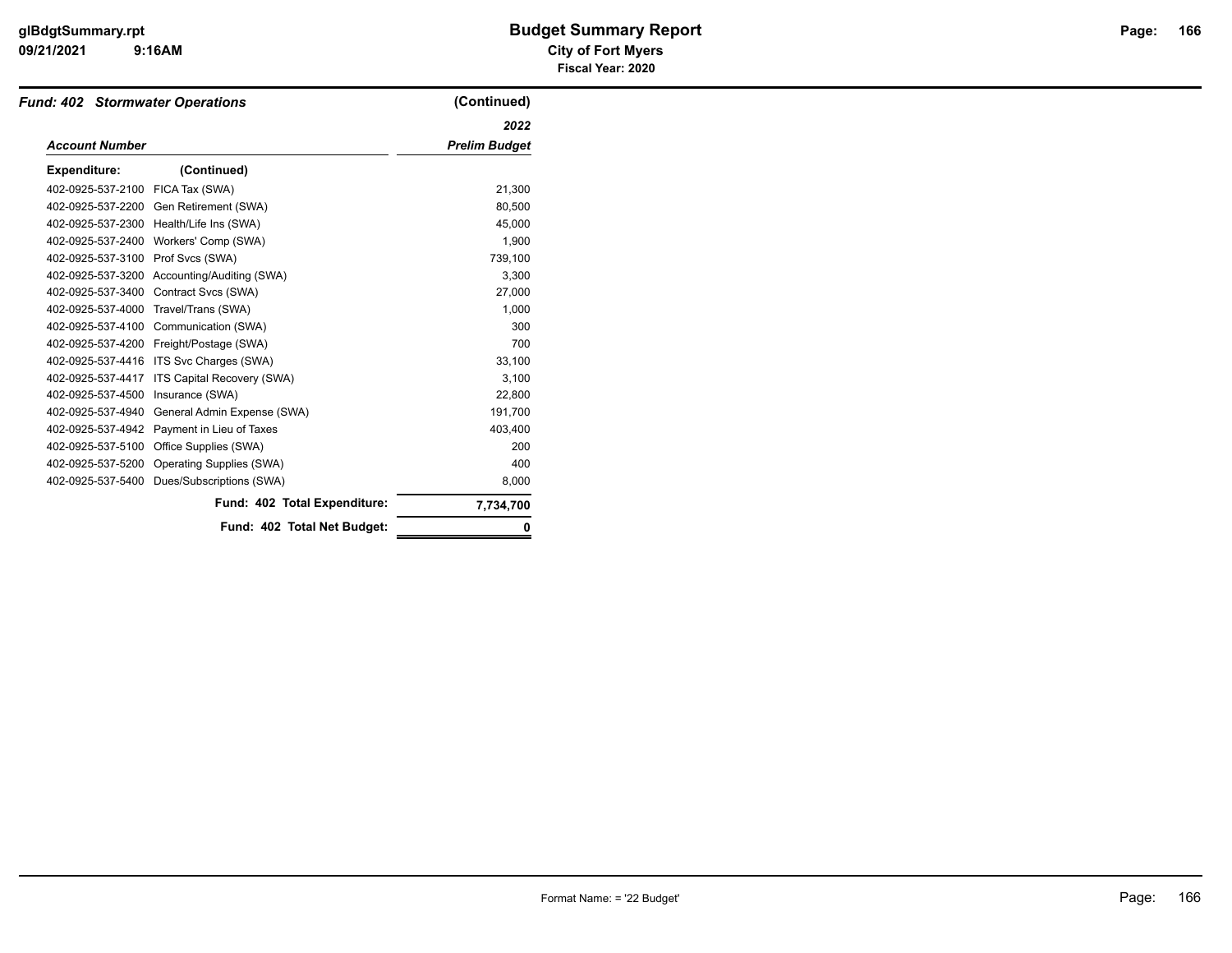#### **09/21/2021 City of Fort Myers 9:16AM**

# **glBdgtSummary.rpt Budget Summary Report Page: Fiscal Year: 2020**

| <b>Fund: 402 Stormwater Operations</b> |                                 | (Continued)          |
|----------------------------------------|---------------------------------|----------------------|
|                                        |                                 | 2022                 |
| <b>Account Number</b>                  |                                 | <b>Prelim Budget</b> |
| <b>Expenditure:</b>                    | (Continued)                     |                      |
| 402-0925-537-2100                      | FICA Tax (SWA)                  | 21,300               |
| 402-0925-537-2200                      | Gen Retirement (SWA)            | 80,500               |
| 402-0925-537-2300                      | Health/Life Ins (SWA)           | 45.000               |
| 402-0925-537-2400                      | Workers' Comp (SWA)             | 1,900                |
| 402-0925-537-3100                      | Prof Svcs (SWA)                 | 739,100              |
| 402-0925-537-3200                      | Accounting/Auditing (SWA)       | 3.300                |
| 402-0925-537-3400                      | Contract Svcs (SWA)             | 27,000               |
| 402-0925-537-4000                      | Travel/Trans (SWA)              | 1,000                |
| 402-0925-537-4100                      | Communication (SWA)             | 300                  |
| 402-0925-537-4200                      | Freight/Postage (SWA)           | 700                  |
| 402-0925-537-4416                      | ITS Svc Charges (SWA)           | 33,100               |
| 402-0925-537-4417                      | ITS Capital Recovery (SWA)      | 3,100                |
| 402-0925-537-4500                      | Insurance (SWA)                 | 22,800               |
| 402-0925-537-4940                      | General Admin Expense (SWA)     | 191,700              |
| 402-0925-537-4942                      | Payment in Lieu of Taxes        | 403,400              |
| 402-0925-537-5100                      | Office Supplies (SWA)           | 200                  |
| 402-0925-537-5200                      | <b>Operating Supplies (SWA)</b> | 400                  |
| 402-0925-537-5400                      | Dues/Subscriptions (SWA)        | 8,000                |
|                                        | Fund: 402 Total Expenditure:    | 7,734,700            |
|                                        | Fund: 402 Total Net Budget:     | 0                    |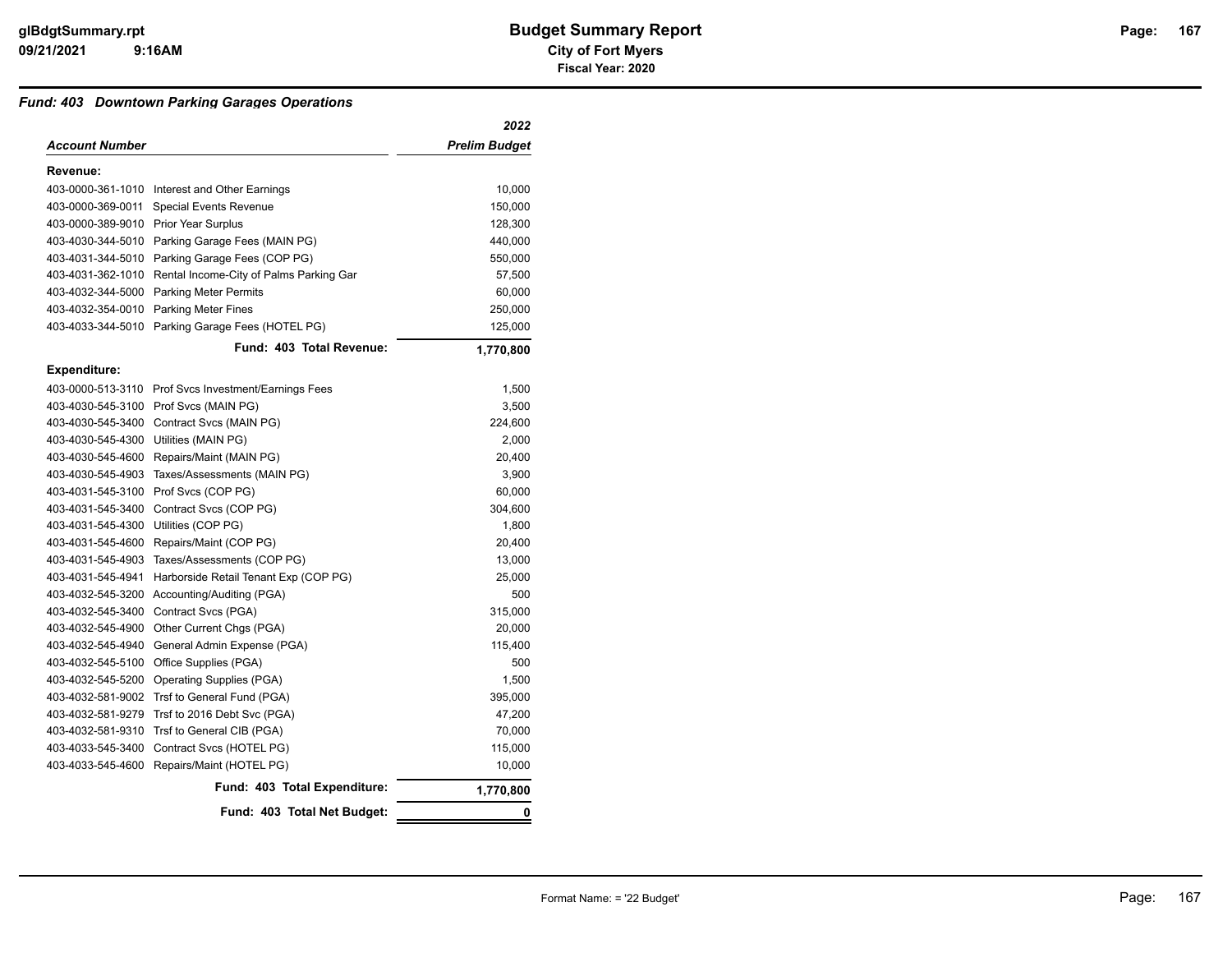#### *Fund: 403 Downtown Parking Garages Operations*

|                   |                                         | 2022                 |
|-------------------|-----------------------------------------|----------------------|
| Account Number    |                                         | <b>Prelim Budget</b> |
| Revenue:          |                                         |                      |
| 403-0000-361-1010 | Interest and Other Earnings             | 10,000               |
| 403-0000-369-0011 | Special Events Revenue                  | 150,000              |
| 403-0000-389-9010 | <b>Prior Year Surplus</b>               | 128,300              |
| 403-4030-344-5010 | Parking Garage Fees (MAIN PG)           | 440,000              |
| 403-4031-344-5010 | Parking Garage Fees (COP PG)            | 550,000              |
| 403-4031-362-1010 | Rental Income-City of Palms Parking Gar | 57,500               |
| 403-4032-344-5000 | <b>Parking Meter Permits</b>            | 60,000               |
| 403-4032-354-0010 | <b>Parking Meter Fines</b>              | 250,000              |
| 403-4033-344-5010 | Parking Garage Fees (HOTEL PG)          | 125,000              |
|                   | Fund: 403 Total Revenue:                | 1,770,800            |
| Expenditure:      |                                         |                      |
| 403-0000-513-3110 | Prof Svcs Investment/Earnings Fees      | 1,500                |
| 403-4030-545-3100 | Prof Svcs (MAIN PG)                     | 3,500                |
| 403-4030-545-3400 | Contract Svcs (MAIN PG)                 | 224,600              |
| 403-4030-545-4300 | Utilities (MAIN PG)                     | 2,000                |
| 403-4030-545-4600 | Repairs/Maint (MAIN PG)                 | 20,400               |
| 403-4030-545-4903 | Taxes/Assessments (MAIN PG)             | 3,900                |
| 403-4031-545-3100 | Prof Svcs (COP PG)                      | 60,000               |
| 403-4031-545-3400 | Contract Svcs (COP PG)                  | 304,600              |
| 403-4031-545-4300 | Utilities (COP PG)                      | 1,800                |
| 403-4031-545-4600 | Repairs/Maint (COP PG)                  | 20,400               |
| 403-4031-545-4903 | Taxes/Assessments (COP PG)              | 13,000               |
| 403-4031-545-4941 | Harborside Retail Tenant Exp (COP PG)   | 25,000               |
| 403-4032-545-3200 | Accounting/Auditing (PGA)               | 500                  |
| 403-4032-545-3400 | Contract Svcs (PGA)                     | 315,000              |
| 403-4032-545-4900 | Other Current Chgs (PGA)                | 20,000               |
| 403-4032-545-4940 | General Admin Expense (PGA)             | 115,400              |
| 403-4032-545-5100 | Office Supplies (PGA)                   | 500                  |
| 403-4032-545-5200 | <b>Operating Supplies (PGA)</b>         | 1,500                |
| 403-4032-581-9002 | Trsf to General Fund (PGA)              | 395,000              |
| 403-4032-581-9279 | Trsf to 2016 Debt Svc (PGA)             | 47,200               |
| 403-4032-581-9310 | Trsf to General CIB (PGA)               | 70,000               |
| 403-4033-545-3400 | Contract Svcs (HOTEL PG)                | 115,000              |
| 403-4033-545-4600 | Repairs/Maint (HOTEL PG)                | 10,000               |
|                   | Fund: 403 Total Expenditure:            | 1,770,800            |
|                   | Fund: 403 Total Net Budget:             | 0                    |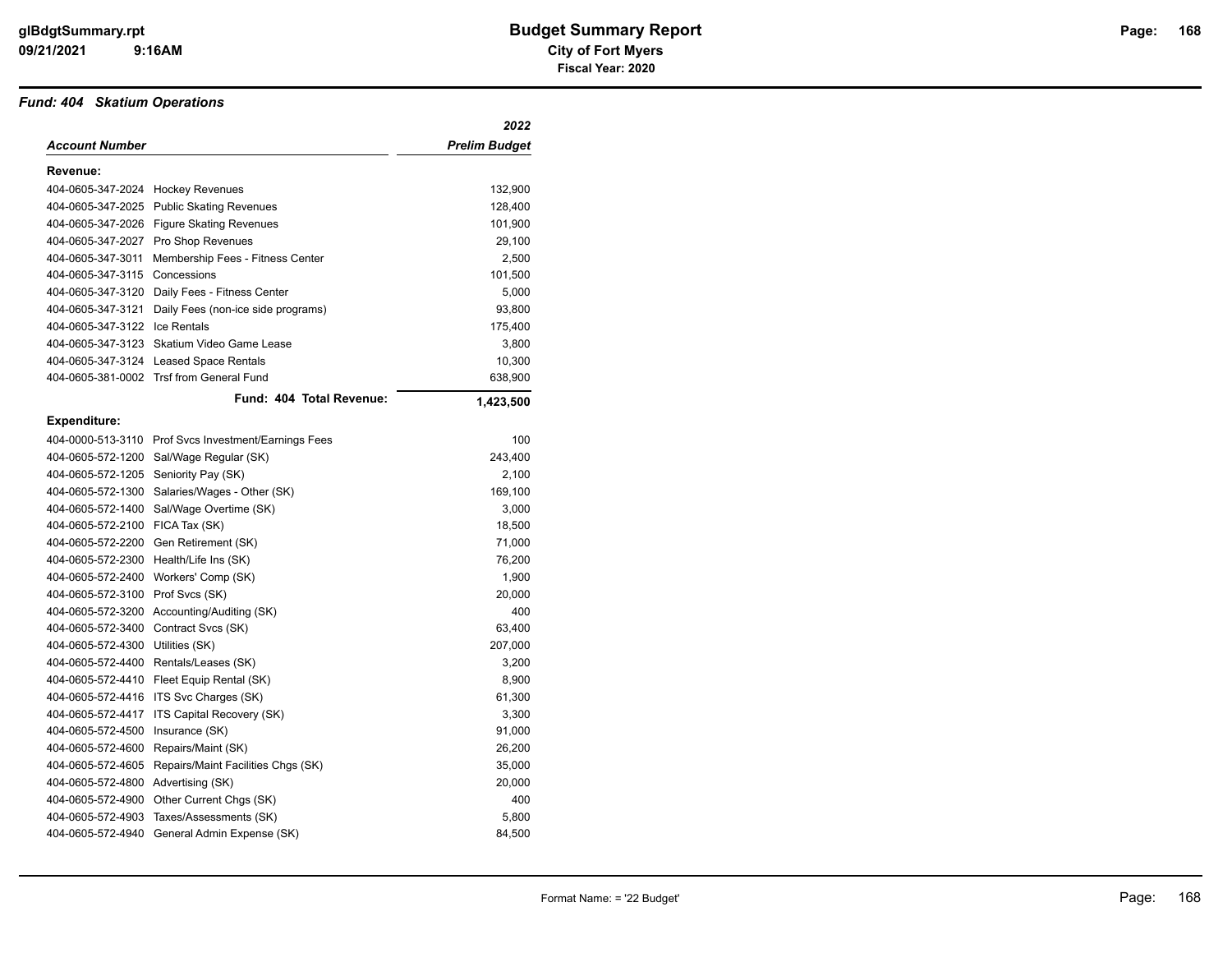#### *Fund: 404 Skatium Operations*

|                                      |                                                      | 2022                 |
|--------------------------------------|------------------------------------------------------|----------------------|
| Account Number                       |                                                      | <b>Prelim Budget</b> |
| Revenue:                             |                                                      |                      |
| 404-0605-347-2024 Hockey Revenues    |                                                      | 132,900              |
| 404-0605-347-2025                    | <b>Public Skating Revenues</b>                       | 128,400              |
|                                      | 404-0605-347-2026 Figure Skating Revenues            | 101,900              |
|                                      | 404-0605-347-2027 Pro Shop Revenues                  | 29,100               |
| 404-0605-347-3011                    | Membership Fees - Fitness Center                     | 2,500                |
| 404-0605-347-3115                    | Concessions                                          | 101,500              |
|                                      | 404-0605-347-3120 Daily Fees - Fitness Center        | 5,000                |
| 404-0605-347-3121                    | Daily Fees (non-ice side programs)                   | 93,800               |
| 404-0605-347-3122                    | Ice Rentals                                          | 175,400              |
| 404-0605-347-3123                    | Skatium Video Game Lease                             | 3,800                |
|                                      | 404-0605-347-3124 Leased Space Rentals               | 10,300               |
|                                      | 404-0605-381-0002 Trsf from General Fund             | 638,900              |
|                                      | Fund: 404 Total Revenue:                             | 1,423,500            |
| <b>Expenditure:</b>                  |                                                      |                      |
|                                      | 404-0000-513-3110 Prof Svcs Investment/Earnings Fees | 100                  |
|                                      | 404-0605-572-1200 Sal/Wage Regular (SK)              | 243,400              |
| 404-0605-572-1205 Seniority Pay (SK) |                                                      | 2,100                |
| 404-0605-572-1300                    | Salaries/Wages - Other (SK)                          | 169,100              |
| 404-0605-572-1400                    | Sal/Wage Overtime (SK)                               | 3,000                |
| 404-0605-572-2100 FICA Tax (SK)      |                                                      | 18,500               |
|                                      | 404-0605-572-2200 Gen Retirement (SK)                | 71,000               |
| 404-0605-572-2300                    | Health/Life Ins (SK)                                 | 76,200               |
| 404-0605-572-2400                    | Workers' Comp (SK)                                   | 1,900                |
| 404-0605-572-3100                    | Prof Svcs (SK)                                       | 20,000               |
|                                      | 404-0605-572-3200 Accounting/Auditing (SK)           | 400                  |
| 404-0605-572-3400                    | Contract Svcs (SK)                                   | 63,400               |
| 404-0605-572-4300                    | Utilities (SK)                                       | 207,000              |
| 404-0605-572-4400                    | Rentals/Leases (SK)                                  | 3,200                |
|                                      | 404-0605-572-4410 Fleet Equip Rental (SK)            | 8,900                |
| 404-0605-572-4416                    | ITS Svc Charges (SK)                                 | 61,300               |
| 404-0605-572-4417                    | ITS Capital Recovery (SK)                            | 3,300                |
| 404-0605-572-4500                    | Insurance (SK)                                       | 91,000               |
| 404-0605-572-4600                    | Repairs/Maint (SK)                                   | 26,200               |
| 404-0605-572-4605                    | Repairs/Maint Facilities Chgs (SK)                   | 35,000               |
| 404-0605-572-4800                    | Advertising (SK)                                     | 20,000               |
| 404-0605-572-4900                    | Other Current Chgs (SK)                              | 400                  |
| 404-0605-572-4903                    | Taxes/Assessments (SK)                               | 5,800                |
| 404-0605-572-4940                    | General Admin Expense (SK)                           | 84,500               |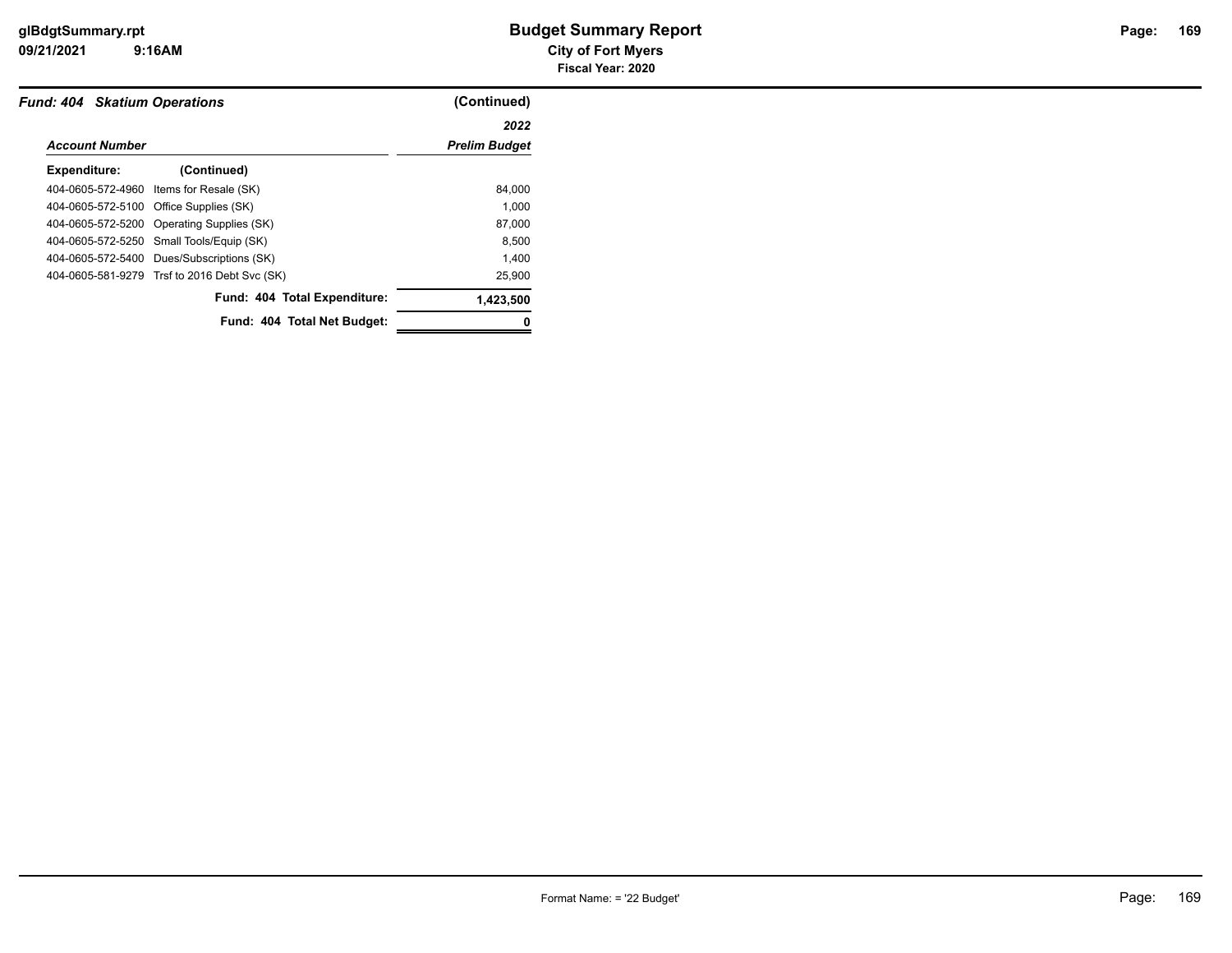| <b>Fund: 404 Skatium Operations</b> |                                              | (Continued)          |
|-------------------------------------|----------------------------------------------|----------------------|
|                                     |                                              | 2022                 |
| <b>Account Number</b>               |                                              | <b>Prelim Budget</b> |
| Expenditure:                        | (Continued)                                  |                      |
| 404-0605-572-4960                   | Items for Resale (SK)                        | 84,000               |
|                                     | 404-0605-572-5100 Office Supplies (SK)       | 1.000                |
|                                     | 404-0605-572-5200 Operating Supplies (SK)    | 87,000               |
|                                     | 404-0605-572-5250 Small Tools/Equip (SK)     | 8,500                |
|                                     | 404-0605-572-5400 Dues/Subscriptions (SK)    | 1,400                |
|                                     | 404-0605-581-9279 Trsf to 2016 Debt Svc (SK) | 25,900               |
|                                     | Fund: 404 Total Expenditure:                 | 1,423,500            |
|                                     | Fund: 404 Total Net Budget:                  |                      |
|                                     |                                              |                      |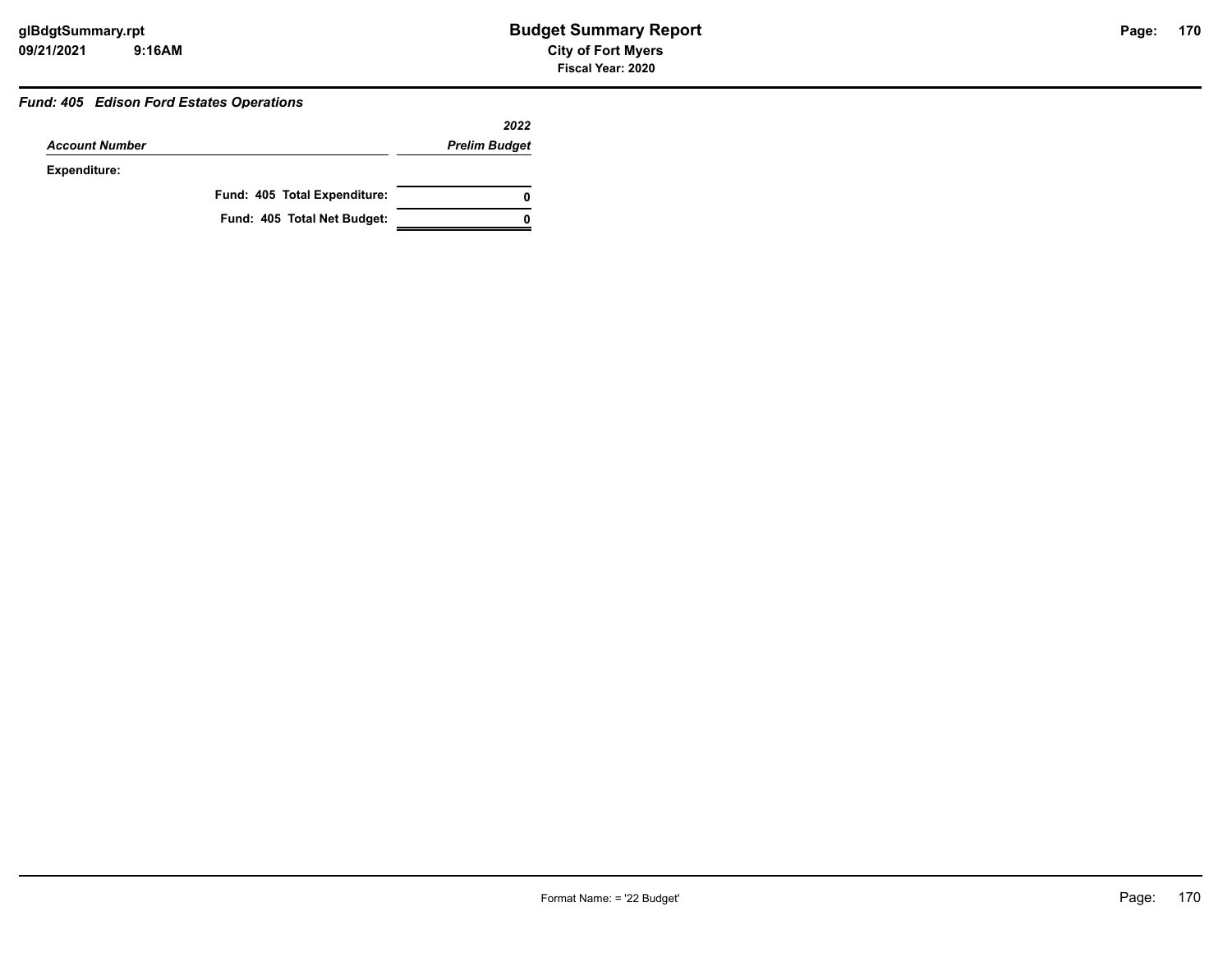#### *Fund: 405 Edison Ford Estates Operations*

|                       |                              | 2022                 |
|-----------------------|------------------------------|----------------------|
| <b>Account Number</b> |                              | <b>Prelim Budget</b> |
| Expenditure:          |                              |                      |
|                       | Fund: 405 Total Expenditure: | 0                    |
|                       | Fund: 405 Total Net Budget:  |                      |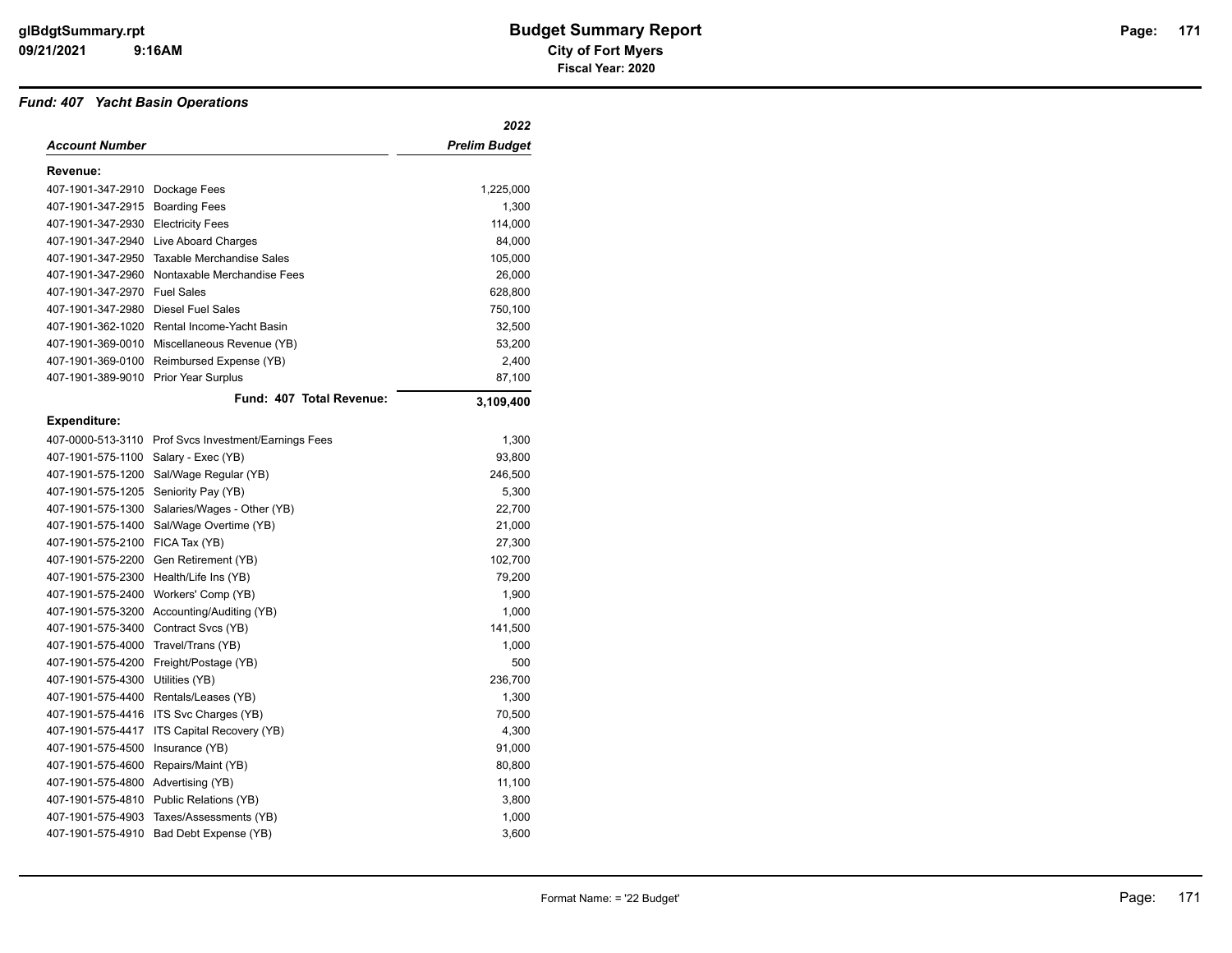#### *Fund: 407 Yacht Basin Operations*

|                                    |                                                      | 2022                 |
|------------------------------------|------------------------------------------------------|----------------------|
| Account Number                     |                                                      | <b>Prelim Budget</b> |
| Revenue:                           |                                                      |                      |
| 407-1901-347-2910 Dockage Fees     |                                                      | 1,225,000            |
| 407-1901-347-2915                  | <b>Boarding Fees</b>                                 | 1,300                |
| 407-1901-347-2930 Electricity Fees |                                                      | 114,000              |
|                                    | 407-1901-347-2940 Live Aboard Charges                | 84,000               |
| 407-1901-347-2950                  | <b>Taxable Merchandise Sales</b>                     | 105,000              |
| 407-1901-347-2960                  | Nontaxable Merchandise Fees                          | 26,000               |
| 407-1901-347-2970                  | <b>Fuel Sales</b>                                    | 628,800              |
| 407-1901-347-2980                  | <b>Diesel Fuel Sales</b>                             | 750,100              |
| 407-1901-362-1020                  | Rental Income-Yacht Basin                            | 32,500               |
| 407-1901-369-0010                  | Miscellaneous Revenue (YB)                           | 53,200               |
| 407-1901-369-0100                  | Reimbursed Expense (YB)                              | 2,400                |
| 407-1901-389-9010                  | Prior Year Surplus                                   | 87,100               |
|                                    | Fund: 407 Total Revenue:                             | 3,109,400            |
| <b>Expenditure:</b>                |                                                      |                      |
|                                    | 407-0000-513-3110 Prof Svcs Investment/Earnings Fees | 1,300                |
| 407-1901-575-1100                  | Salary - Exec (YB)                                   | 93,800               |
| 407-1901-575-1200                  | Sal/Wage Regular (YB)                                | 246,500              |
| 407-1901-575-1205                  | Seniority Pay (YB)                                   | 5,300                |
| 407-1901-575-1300                  | Salaries/Wages - Other (YB)                          | 22,700               |
| 407-1901-575-1400                  | Sal/Wage Overtime (YB)                               | 21,000               |
| 407-1901-575-2100 FICA Tax (YB)    |                                                      | 27,300               |
| 407-1901-575-2200                  | Gen Retirement (YB)                                  | 102,700              |
| 407-1901-575-2300                  | Health/Life Ins (YB)                                 | 79,200               |
| 407-1901-575-2400                  | Workers' Comp (YB)                                   | 1,900                |
|                                    | 407-1901-575-3200 Accounting/Auditing (YB)           | 1,000                |
| 407-1901-575-3400                  | Contract Svcs (YB)                                   | 141,500              |
| 407-1901-575-4000                  | Travel/Trans (YB)                                    | 1,000                |
| 407-1901-575-4200                  | Freight/Postage (YB)                                 | 500                  |
| 407-1901-575-4300                  | Utilities (YB)                                       | 236,700              |
| 407-1901-575-4400                  | Rentals/Leases (YB)                                  | 1,300                |
| 407-1901-575-4416                  | ITS Svc Charges (YB)                                 | 70,500               |
| 407-1901-575-4417                  | ITS Capital Recovery (YB)                            | 4,300                |
| 407-1901-575-4500                  | Insurance (YB)                                       | 91,000               |
| 407-1901-575-4600                  | Repairs/Maint (YB)                                   | 80,800               |
| 407-1901-575-4800                  | Advertising (YB)                                     | 11,100               |
|                                    | 407-1901-575-4810 Public Relations (YB)              | 3,800                |
| 407-1901-575-4903                  | Taxes/Assessments (YB)                               | 1,000                |
| 407-1901-575-4910                  | Bad Debt Expense (YB)                                | 3,600                |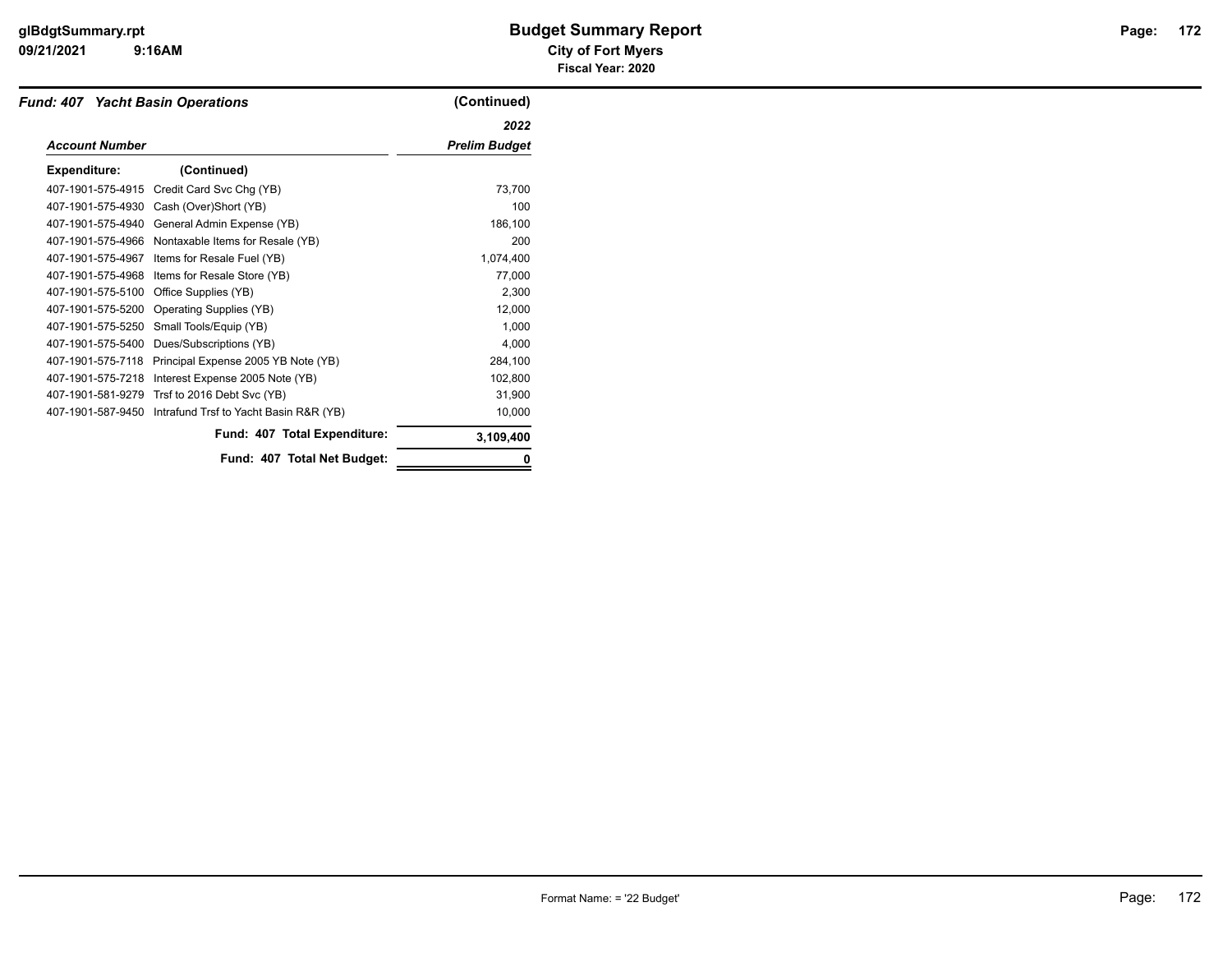| <b>Fund: 407 Yacht Basin Operations</b> |                                        | (Continued)          |
|-----------------------------------------|----------------------------------------|----------------------|
|                                         |                                        | 2022                 |
| <b>Account Number</b>                   |                                        | <b>Prelim Budget</b> |
| <b>Expenditure:</b>                     | (Continued)                            |                      |
| 407-1901-575-4915                       | Credit Card Svc Chg (YB)               | 73,700               |
| 407-1901-575-4930                       | Cash (Over)Short (YB)                  | 100                  |
| 407-1901-575-4940                       | General Admin Expense (YB)             | 186,100              |
| 407-1901-575-4966                       | Nontaxable Items for Resale (YB)       | 200                  |
| 407-1901-575-4967                       | Items for Resale Fuel (YB)             | 1,074,400            |
| 407-1901-575-4968                       | Items for Resale Store (YB)            | 77,000               |
| 407-1901-575-5100                       | Office Supplies (YB)                   | 2,300                |
| 407-1901-575-5200                       | <b>Operating Supplies (YB)</b>         | 12,000               |
| 407-1901-575-5250                       | Small Tools/Equip (YB)                 | 1,000                |
| 407-1901-575-5400                       | Dues/Subscriptions (YB)                | 4,000                |
| 407-1901-575-7118                       | Principal Expense 2005 YB Note (YB)    | 284,100              |
| 407-1901-575-7218                       | Interest Expense 2005 Note (YB)        | 102,800              |
| 407-1901-581-9279                       | Trsf to 2016 Debt Svc (YB)             | 31,900               |
| 407-1901-587-9450                       | Intrafund Trsf to Yacht Basin R&R (YB) | 10,000               |
|                                         | Fund: 407 Total Expenditure:           | 3,109,400            |
|                                         | Fund: 407 Total Net Budget:            |                      |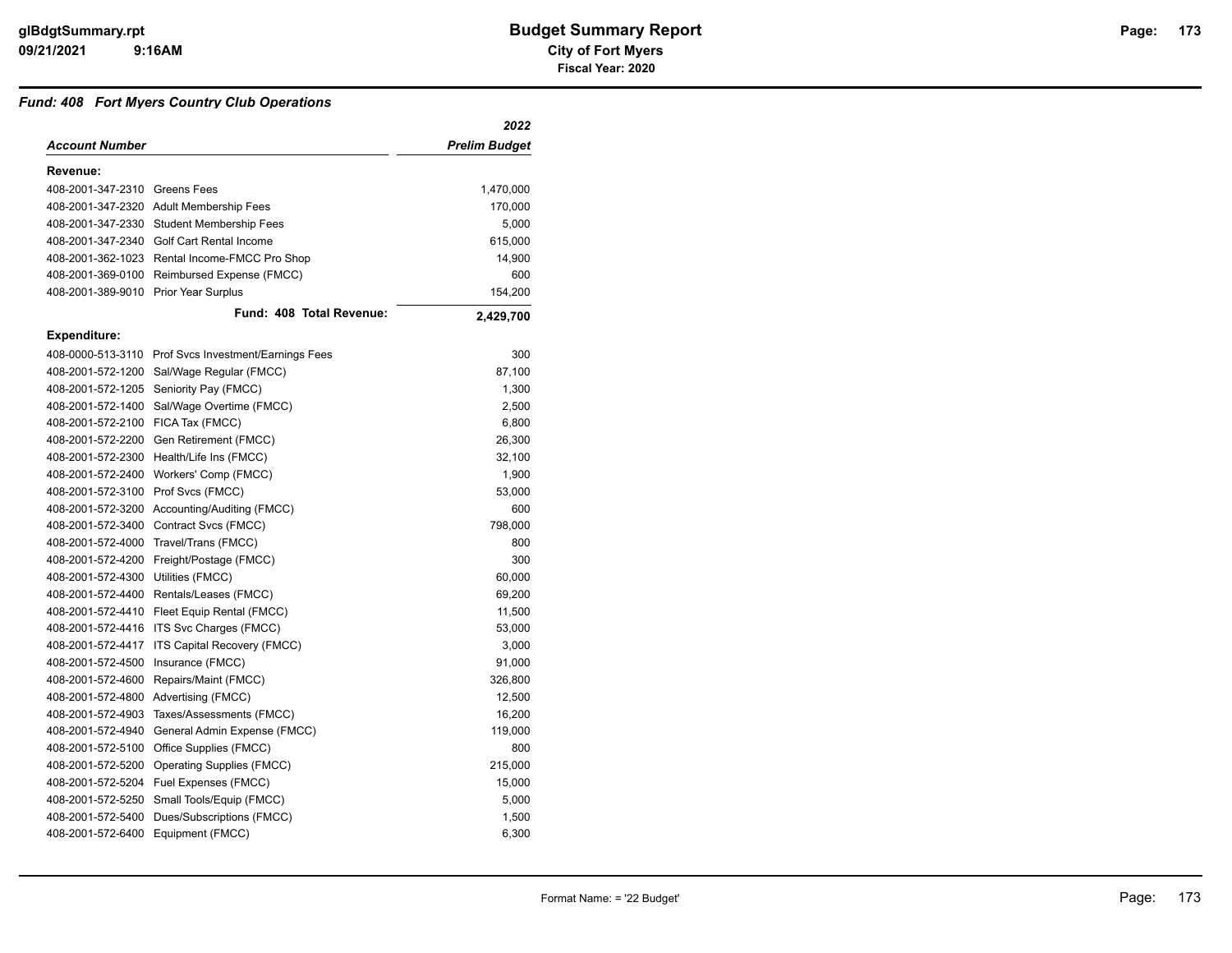#### *Fund: 408 Fort Myers Country Club Operations*

|                                      |                                                      | 2022          |
|--------------------------------------|------------------------------------------------------|---------------|
| <b>Account Number</b>                |                                                      | Prelim Budget |
| Revenue:                             |                                                      |               |
| 408-2001-347-2310 Greens Fees        |                                                      | 1,470,000     |
|                                      | 408-2001-347-2320 Adult Membership Fees              | 170,000       |
|                                      | 408-2001-347-2330 Student Membership Fees            | 5,000         |
|                                      | 408-2001-347-2340 Golf Cart Rental Income            | 615,000       |
|                                      | 408-2001-362-1023 Rental Income-FMCC Pro Shop        | 14,900        |
| 408-2001-369-0100                    | Reimbursed Expense (FMCC)                            | 600           |
| 408-2001-389-9010 Prior Year Surplus |                                                      | 154,200       |
|                                      | Fund: 408 Total Revenue:                             | 2,429,700     |
| Expenditure:                         |                                                      |               |
|                                      | 408-0000-513-3110 Prof Svcs Investment/Earnings Fees | 300           |
| 408-2001-572-1200                    | Sal/Wage Regular (FMCC)                              | 87,100        |
| 408-2001-572-1205                    | Seniority Pay (FMCC)                                 | 1,300         |
|                                      | 408-2001-572-1400 Sal/Wage Overtime (FMCC)           | 2,500         |
| 408-2001-572-2100                    | FICA Tax (FMCC)                                      | 6,800         |
| 408-2001-572-2200                    | Gen Retirement (FMCC)                                | 26,300        |
| 408-2001-572-2300                    | Health/Life Ins (FMCC)                               | 32,100        |
| 408-2001-572-2400                    | Workers' Comp (FMCC)                                 | 1,900         |
| 408-2001-572-3100                    | Prof Svcs (FMCC)                                     | 53,000        |
|                                      | 408-2001-572-3200 Accounting/Auditing (FMCC)         | 600           |
| 408-2001-572-3400                    | Contract Svcs (FMCC)                                 | 798,000       |
| 408-2001-572-4000                    | Travel/Trans (FMCC)                                  | 800           |
| 408-2001-572-4200                    | Freight/Postage (FMCC)                               | 300           |
| 408-2001-572-4300                    | Utilities (FMCC)                                     | 60,000        |
| 408-2001-572-4400                    | Rentals/Leases (FMCC)                                | 69,200        |
|                                      | 408-2001-572-4410 Fleet Equip Rental (FMCC)          | 11,500        |
| 408-2001-572-4416                    | ITS Svc Charges (FMCC)                               | 53,000        |
| 408-2001-572-4417                    | ITS Capital Recovery (FMCC)                          | 3,000         |
| 408-2001-572-4500                    | Insurance (FMCC)                                     | 91,000        |
| 408-2001-572-4600                    | Repairs/Maint (FMCC)                                 | 326,800       |
| 408-2001-572-4800                    | Advertising (FMCC)                                   | 12,500        |
| 408-2001-572-4903                    | Taxes/Assessments (FMCC)                             | 16,200        |
| 408-2001-572-4940                    | General Admin Expense (FMCC)                         | 119,000       |
| 408-2001-572-5100                    | Office Supplies (FMCC)                               | 800           |
| 408-2001-572-5200                    | <b>Operating Supplies (FMCC)</b>                     | 215,000       |
|                                      | 408-2001-572-5204 Fuel Expenses (FMCC)               | 15,000        |
| 408-2001-572-5250                    | Small Tools/Equip (FMCC)                             | 5,000         |
| 408-2001-572-5400                    | Dues/Subscriptions (FMCC)                            | 1,500         |
| 408-2001-572-6400                    | Equipment (FMCC)                                     | 6,300         |
|                                      |                                                      |               |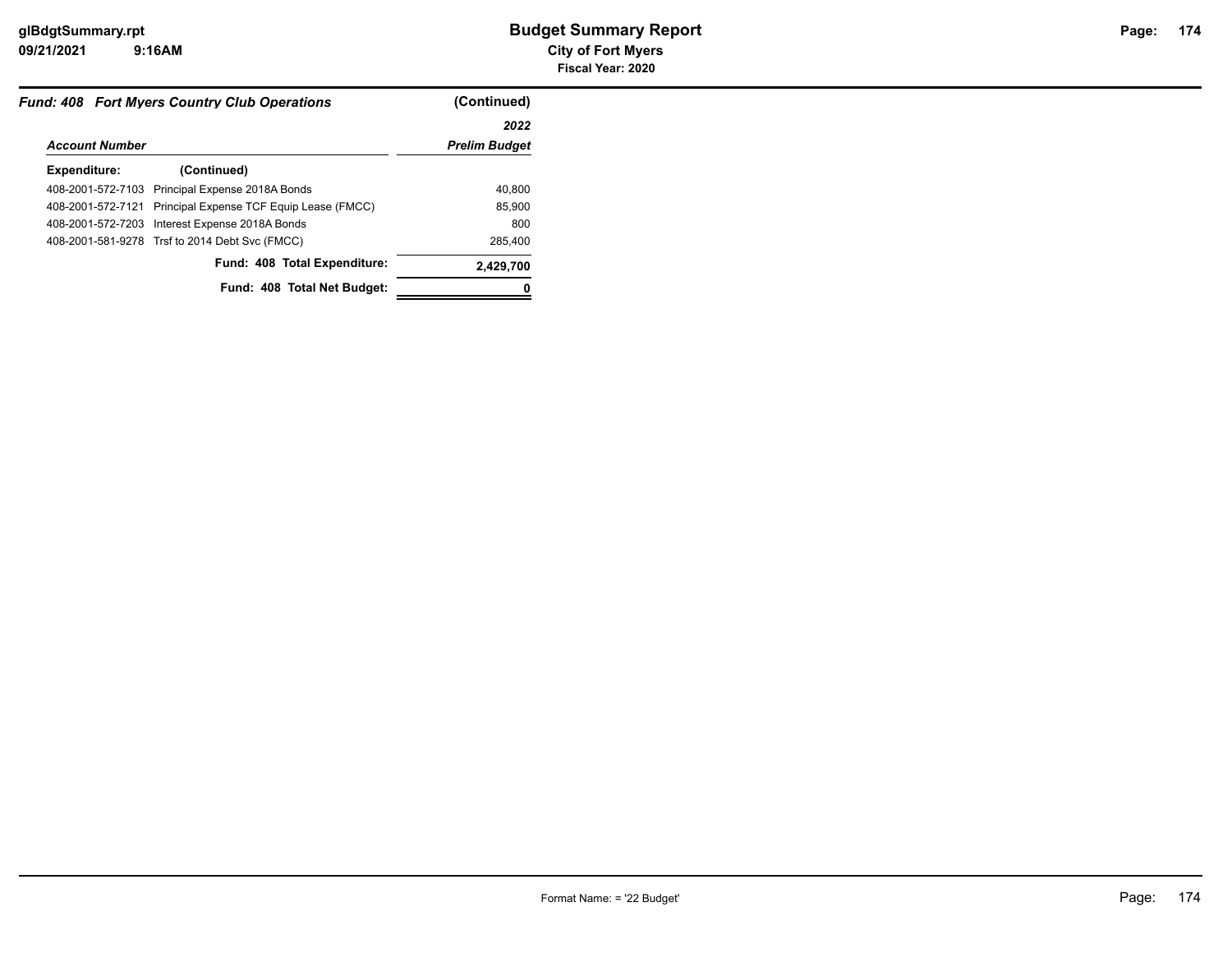| <b>Fund: 408 Fort Myers Country Club Operations</b>        | (Continued)          |
|------------------------------------------------------------|----------------------|
|                                                            | 2022                 |
| <b>Account Number</b>                                      | <b>Prelim Budget</b> |
| (Continued)                                                |                      |
| 408-2001-572-7103 Principal Expense 2018A Bonds            | 40.800               |
| 408-2001-572-7121 Principal Expense TCF Equip Lease (FMCC) | 85,900               |
| 408-2001-572-7203 Interest Expense 2018A Bonds             | 800                  |
| 408-2001-581-9278 Trsf to 2014 Debt Svc (FMCC)             | 285,400              |
| Fund: 408 Total Expenditure:                               | 2,429,700            |
| Fund: 408 Total Net Budget:                                |                      |
|                                                            |                      |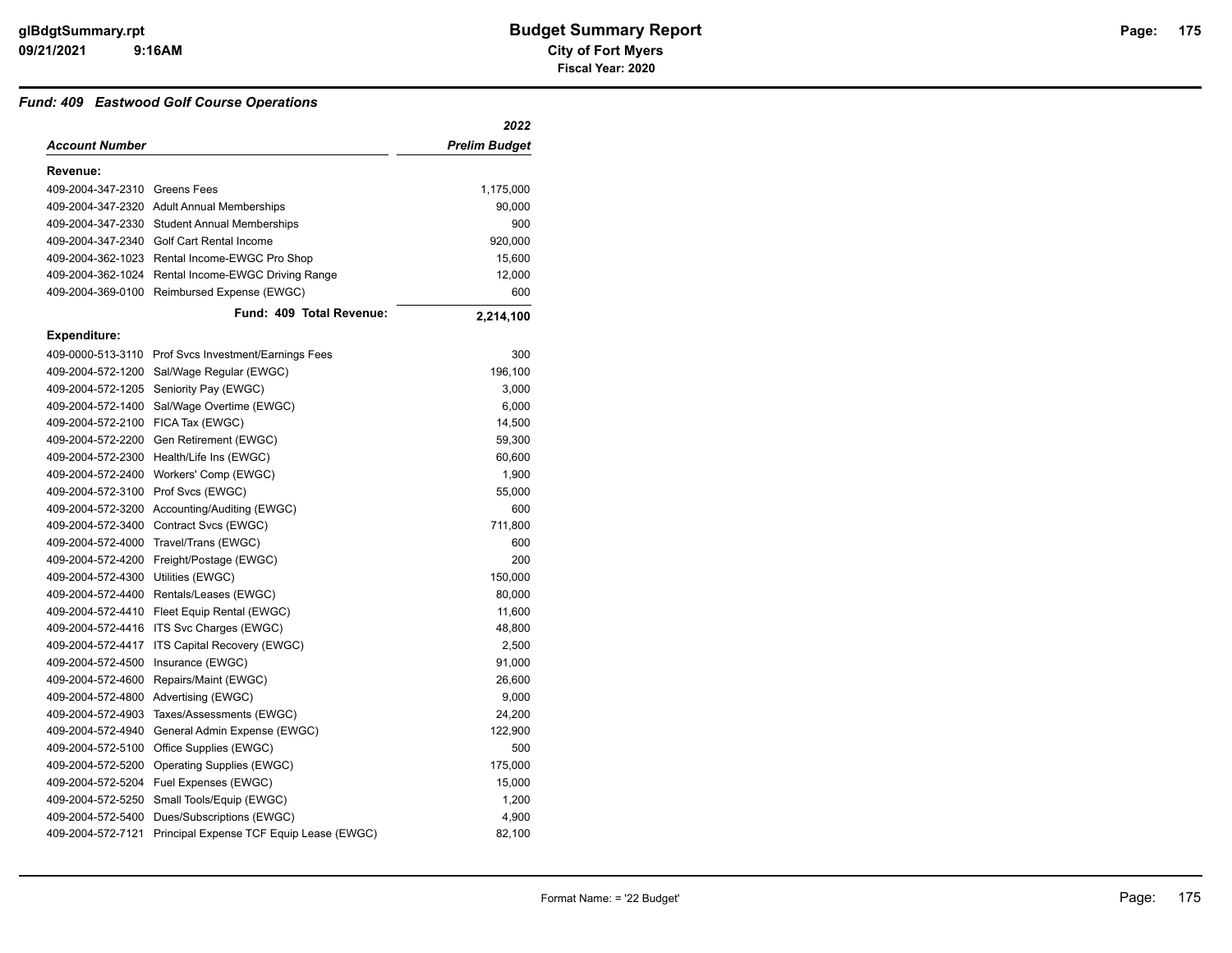#### *Fund: 409 Eastwood Golf Course Operations*

|                               |                                                      | 2022                 |
|-------------------------------|------------------------------------------------------|----------------------|
| Account Number                |                                                      | <b>Prelim Budget</b> |
| Revenue:                      |                                                      |                      |
| 409-2004-347-2310 Greens Fees |                                                      | 1,175,000            |
|                               | 409-2004-347-2320 Adult Annual Memberships           | 90,000               |
|                               | 409-2004-347-2330 Student Annual Memberships         | 900                  |
|                               | 409-2004-347-2340 Golf Cart Rental Income            | 920,000              |
|                               | 409-2004-362-1023 Rental Income-EWGC Pro Shop        | 15,600               |
| 409-2004-362-1024             | Rental Income-EWGC Driving Range                     | 12,000               |
| 409-2004-369-0100             | Reimbursed Expense (EWGC)                            | 600                  |
|                               | Fund: 409 Total Revenue:                             | 2,214,100            |
| Expenditure:                  |                                                      |                      |
|                               | 409-0000-513-3110 Prof Svcs Investment/Earnings Fees | 300                  |
| 409-2004-572-1200             | Sal/Wage Regular (EWGC)                              | 196,100              |
| 409-2004-572-1205             | Seniority Pay (EWGC)                                 | 3,000                |
| 409-2004-572-1400             | Sal/Wage Overtime (EWGC)                             | 6,000                |
| 409-2004-572-2100             | FICA Tax (EWGC)                                      | 14,500               |
| 409-2004-572-2200             | Gen Retirement (EWGC)                                | 59,300               |
|                               | 409-2004-572-2300 Health/Life Ins (EWGC)             | 60,600               |
| 409-2004-572-2400             | Workers' Comp (EWGC)                                 | 1,900                |
| 409-2004-572-3100             | Prof Svcs (EWGC)                                     | 55,000               |
|                               | 409-2004-572-3200 Accounting/Auditing (EWGC)         | 600                  |
| 409-2004-572-3400             | Contract Svcs (EWGC)                                 | 711,800              |
| 409-2004-572-4000             | Travel/Trans (EWGC)                                  | 600                  |
| 409-2004-572-4200             | Freight/Postage (EWGC)                               | 200                  |
| 409-2004-572-4300             | Utilities (EWGC)                                     | 150,000              |
| 409-2004-572-4400             | Rentals/Leases (EWGC)                                | 80,000               |
|                               | 409-2004-572-4410 Fleet Equip Rental (EWGC)          | 11,600               |
|                               | 409-2004-572-4416 ITS Svc Charges (EWGC)             | 48,800               |
| 409-2004-572-4417             | ITS Capital Recovery (EWGC)                          | 2,500                |
| 409-2004-572-4500             | Insurance (EWGC)                                     | 91,000               |
| 409-2004-572-4600             | Repairs/Maint (EWGC)                                 | 26,600               |
|                               | 409-2004-572-4800 Advertising (EWGC)                 | 9,000                |
| 409-2004-572-4903             | Taxes/Assessments (EWGC)                             | 24,200               |
| 409-2004-572-4940             | General Admin Expense (EWGC)                         | 122,900              |
|                               | 409-2004-572-5100 Office Supplies (EWGC)             | 500                  |
| 409-2004-572-5200             | Operating Supplies (EWGC)                            | 175,000              |
|                               | 409-2004-572-5204 Fuel Expenses (EWGC)               | 15,000               |
| 409-2004-572-5250             | Small Tools/Equip (EWGC)                             | 1,200                |
| 409-2004-572-5400             | Dues/Subscriptions (EWGC)                            | 4,900                |
| 409-2004-572-7121             | Principal Expense TCF Equip Lease (EWGC)             | 82,100               |
|                               |                                                      |                      |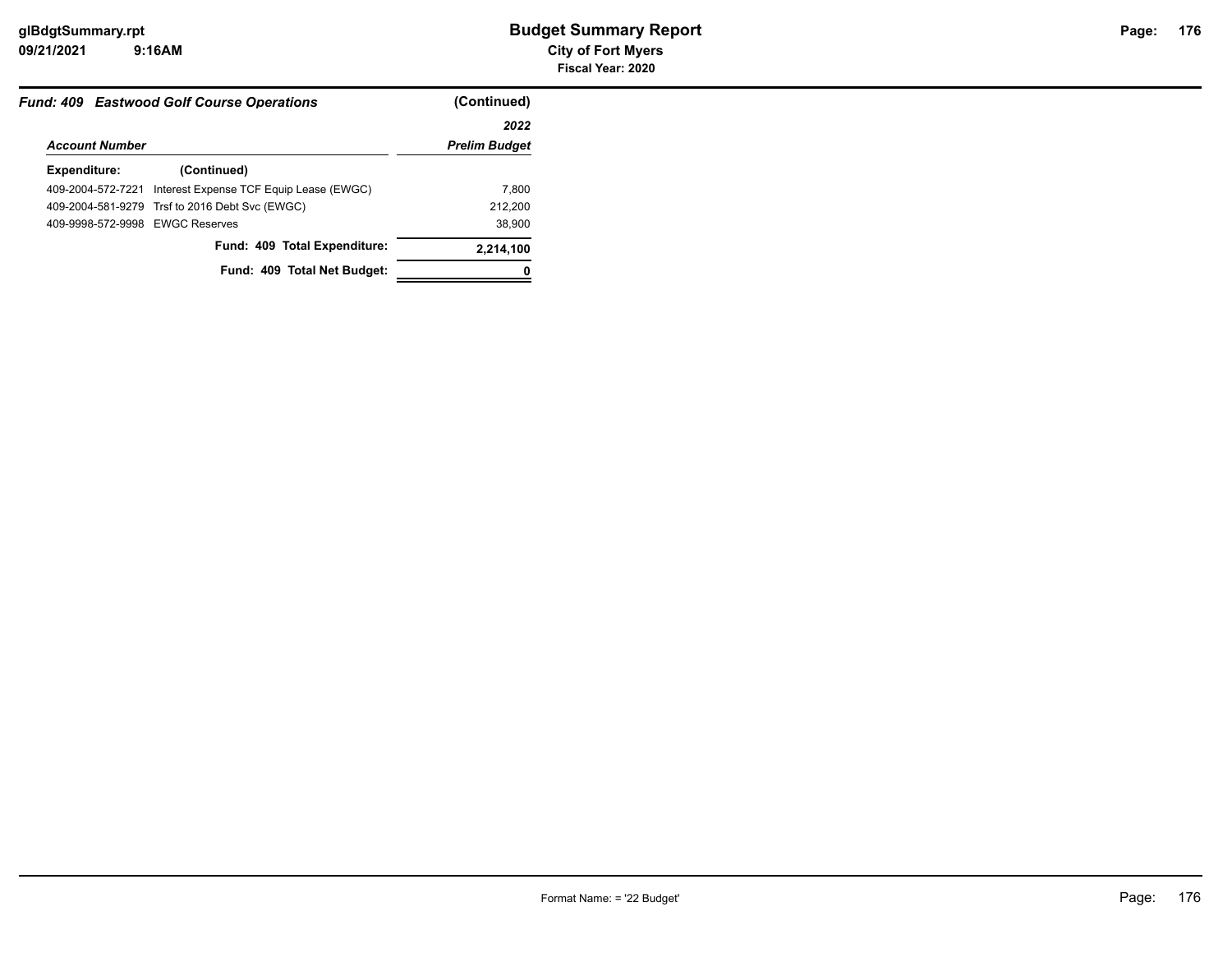|                                 | <b>Fund: 409 Eastwood Golf Course Operations</b> | (Continued)          |
|---------------------------------|--------------------------------------------------|----------------------|
|                                 |                                                  | 2022                 |
| <b>Account Number</b>           |                                                  | <b>Prelim Budget</b> |
| Expenditure:                    | (Continued)                                      |                      |
| 409-2004-572-7221               | Interest Expense TCF Equip Lease (EWGC)          | 7.800                |
|                                 | 409-2004-581-9279 Trsf to 2016 Debt Svc (EWGC)   | 212,200              |
| 409-9998-572-9998 EWGC Reserves |                                                  | 38,900               |
|                                 | Fund: 409 Total Expenditure:                     | 2,214,100            |
|                                 | Fund: 409 Total Net Budget:                      |                      |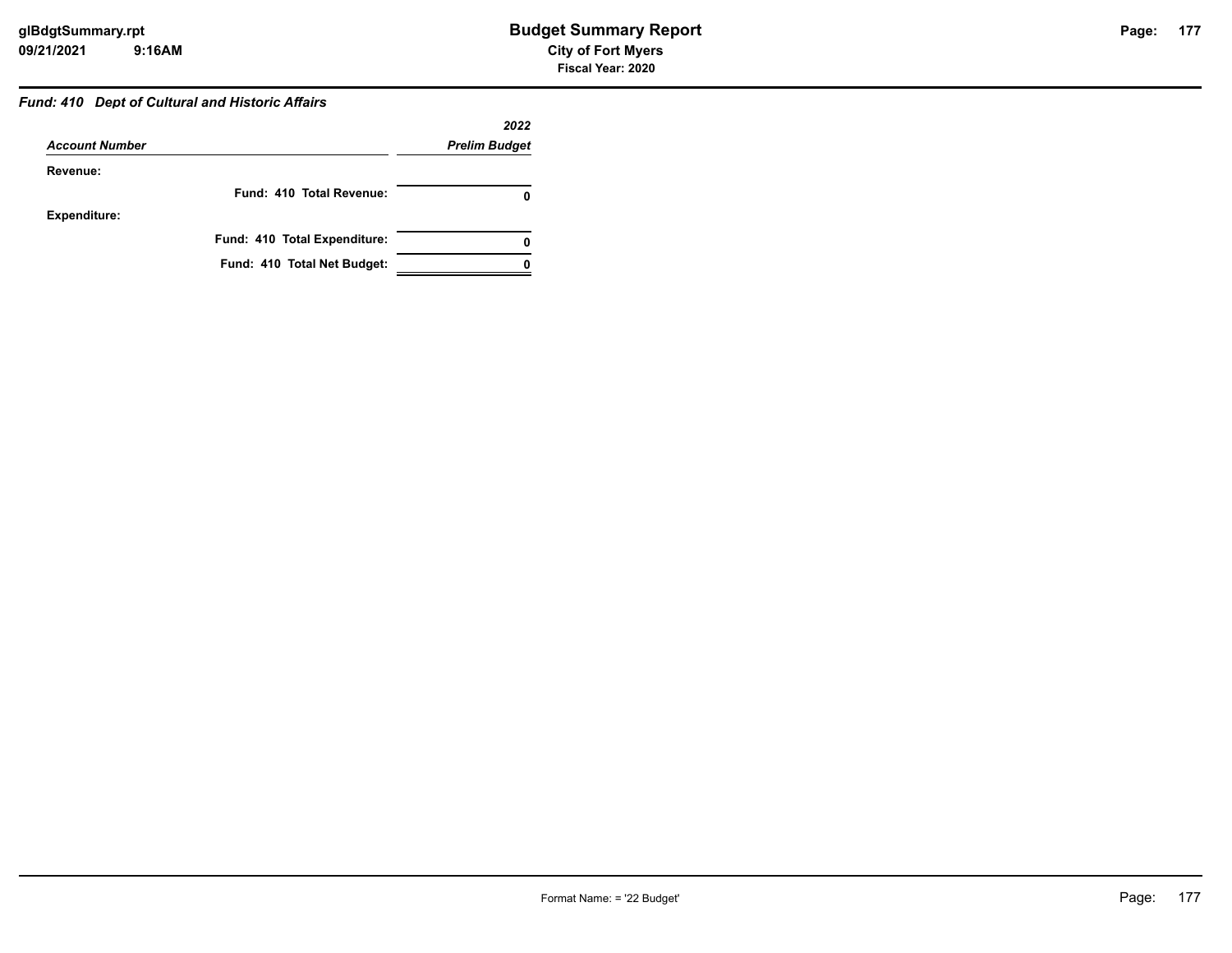# *Fund: 410 Dept of Cultural and Historic Affairs*

|                              | 2022                     |
|------------------------------|--------------------------|
| <b>Account Number</b>        | <b>Prelim Budget</b>     |
| Revenue:                     |                          |
|                              | Fund: 410 Total Revenue: |
| <b>Expenditure:</b>          |                          |
| Fund: 410 Total Expenditure: | o                        |
| Fund: 410 Total Net Budget:  |                          |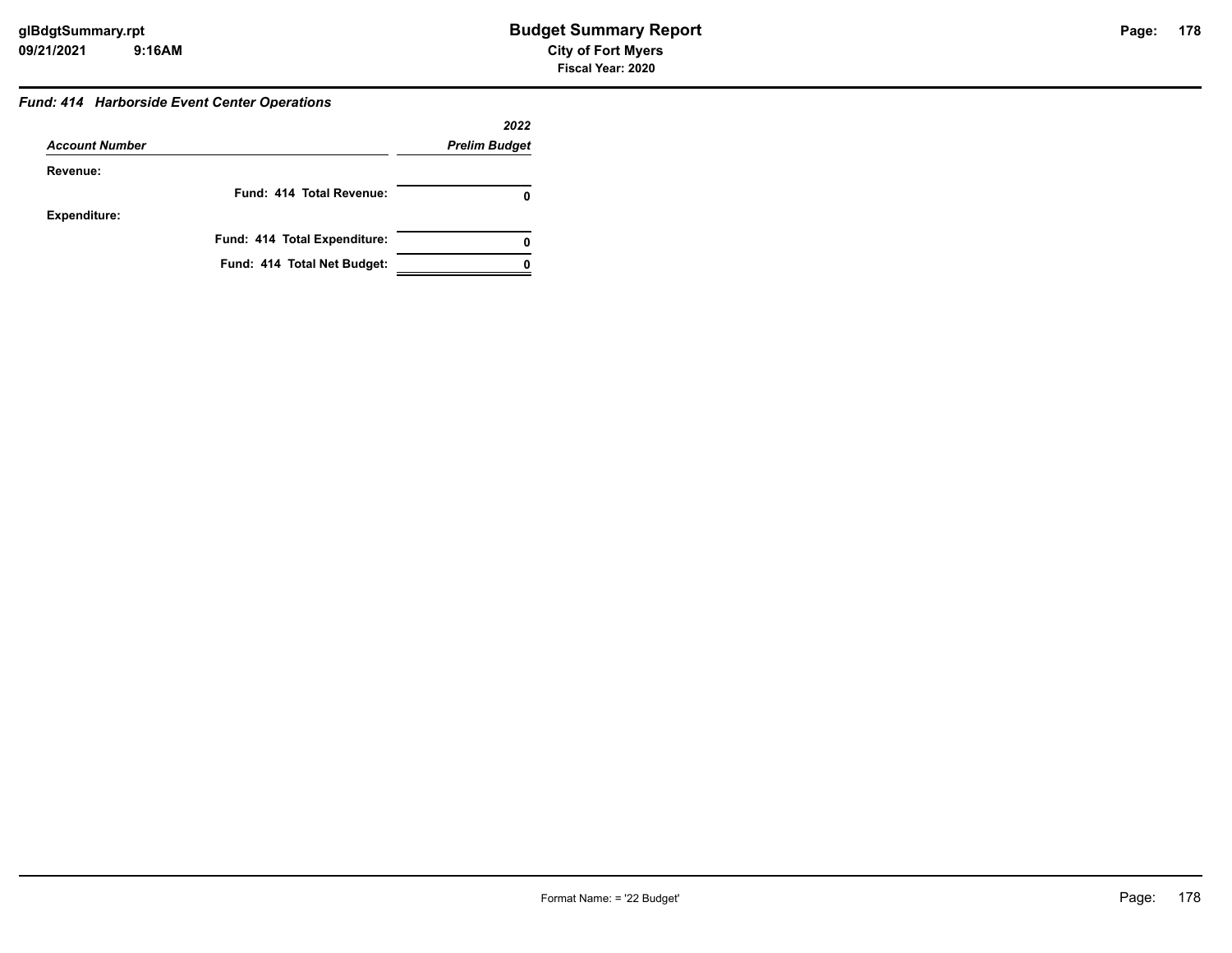#### *Fund: 414 Harborside Event Center Operations*

|                       |                              | 2022                 |
|-----------------------|------------------------------|----------------------|
| <b>Account Number</b> |                              | <b>Prelim Budget</b> |
| Revenue:              |                              |                      |
|                       | Fund: 414 Total Revenue:     |                      |
| <b>Expenditure:</b>   |                              |                      |
|                       | Fund: 414 Total Expenditure: | 0                    |
|                       | Fund: 414 Total Net Budget:  |                      |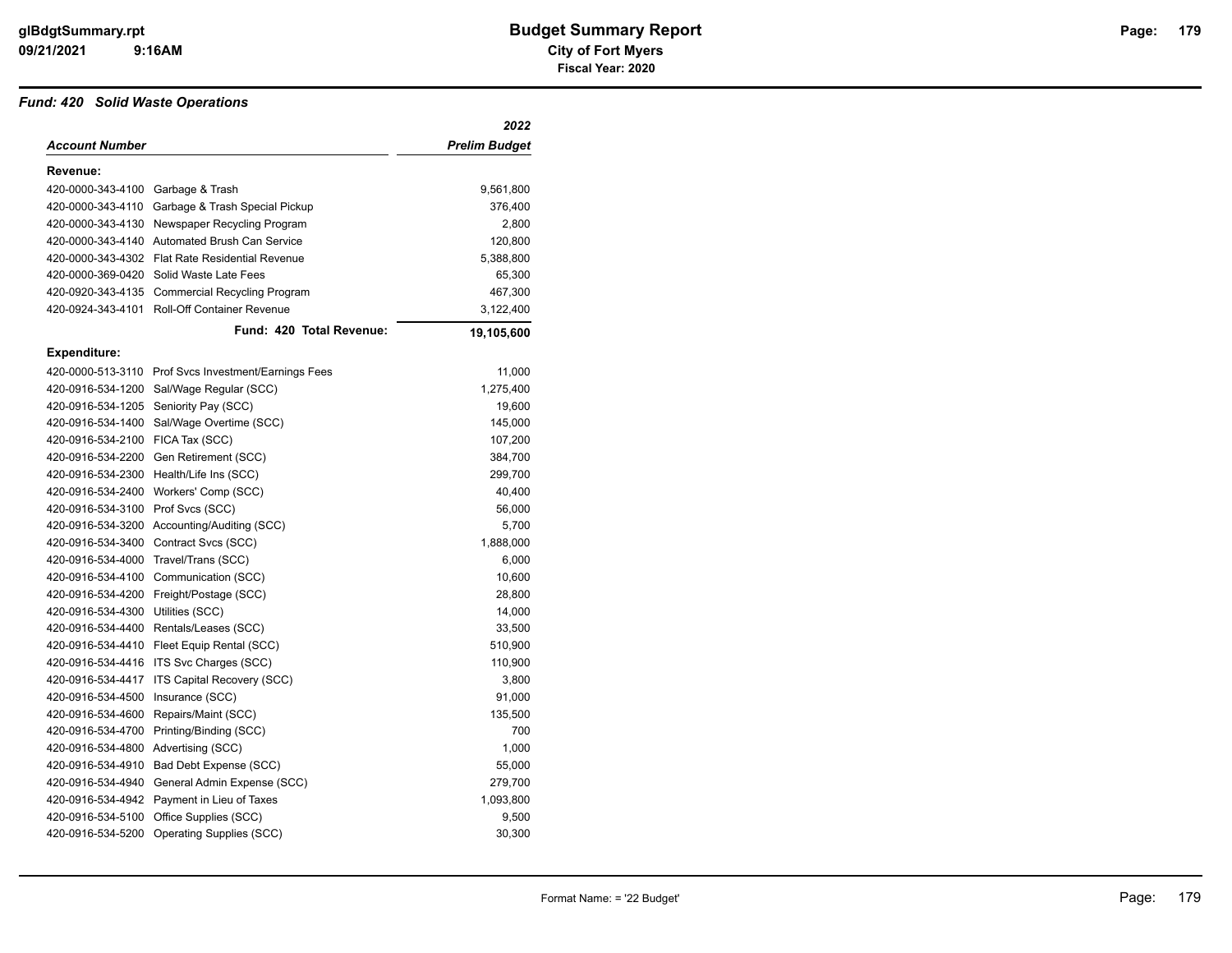#### *Fund: 420 Solid Waste Operations*

|                     |                                                      | 2022                 |
|---------------------|------------------------------------------------------|----------------------|
| Account Number      |                                                      | <b>Prelim Budget</b> |
| Revenue:            |                                                      |                      |
| 420-0000-343-4100   | Garbage & Trash                                      | 9,561,800            |
| 420-0000-343-4110   | Garbage & Trash Special Pickup                       | 376,400              |
| 420-0000-343-4130   | Newspaper Recycling Program                          | 2,800                |
| 420-0000-343-4140   | Automated Brush Can Service                          | 120,800              |
| 420-0000-343-4302   | <b>Flat Rate Residential Revenue</b>                 | 5,388,800            |
| 420-0000-369-0420   | Solid Waste Late Fees                                | 65,300               |
| 420-0920-343-4135   | <b>Commercial Recycling Program</b>                  | 467,300              |
| 420-0924-343-4101   | Roll-Off Container Revenue                           | 3,122,400            |
|                     | Fund: 420 Total Revenue:                             | 19,105,600           |
| <b>Expenditure:</b> |                                                      |                      |
|                     | 420-0000-513-3110 Prof Svcs Investment/Earnings Fees | 11,000               |
| 420-0916-534-1200   | Sal/Wage Regular (SCC)                               | 1,275,400            |
| 420-0916-534-1205   | Seniority Pay (SCC)                                  | 19,600               |
| 420-0916-534-1400   | Sal/Wage Overtime (SCC)                              | 145,000              |
| 420-0916-534-2100   | FICA Tax (SCC)                                       | 107,200              |
| 420-0916-534-2200   | Gen Retirement (SCC)                                 | 384,700              |
| 420-0916-534-2300   | Health/Life Ins (SCC)                                | 299,700              |
| 420-0916-534-2400   | Workers' Comp (SCC)                                  | 40,400               |
| 420-0916-534-3100   | Prof Svcs (SCC)                                      | 56,000               |
| 420-0916-534-3200   | Accounting/Auditing (SCC)                            | 5,700                |
| 420-0916-534-3400   | Contract Svcs (SCC)                                  | 1,888,000            |
| 420-0916-534-4000   | Travel/Trans (SCC)                                   | 6,000                |
| 420-0916-534-4100   | Communication (SCC)                                  | 10,600               |
| 420-0916-534-4200   | Freight/Postage (SCC)                                | 28,800               |
| 420-0916-534-4300   | Utilities (SCC)                                      | 14,000               |
| 420-0916-534-4400   | Rentals/Leases (SCC)                                 | 33,500               |
| 420-0916-534-4410   | Fleet Equip Rental (SCC)                             | 510,900              |
| 420-0916-534-4416   | ITS Svc Charges (SCC)                                | 110,900              |
| 420-0916-534-4417   | ITS Capital Recovery (SCC)                           | 3,800                |
| 420-0916-534-4500   | Insurance (SCC)                                      | 91,000               |
| 420-0916-534-4600   | Repairs/Maint (SCC)                                  | 135,500              |
| 420-0916-534-4700   | Printing/Binding (SCC)                               | 700                  |
| 420-0916-534-4800   | Advertising (SCC)                                    | 1,000                |
| 420-0916-534-4910   | Bad Debt Expense (SCC)                               | 55,000               |
| 420-0916-534-4940   | General Admin Expense (SCC)                          | 279,700              |
| 420-0916-534-4942   | Payment in Lieu of Taxes                             | 1,093,800            |
| 420-0916-534-5100   | Office Supplies (SCC)                                | 9,500                |
| 420-0916-534-5200   | Operating Supplies (SCC)                             | 30,300               |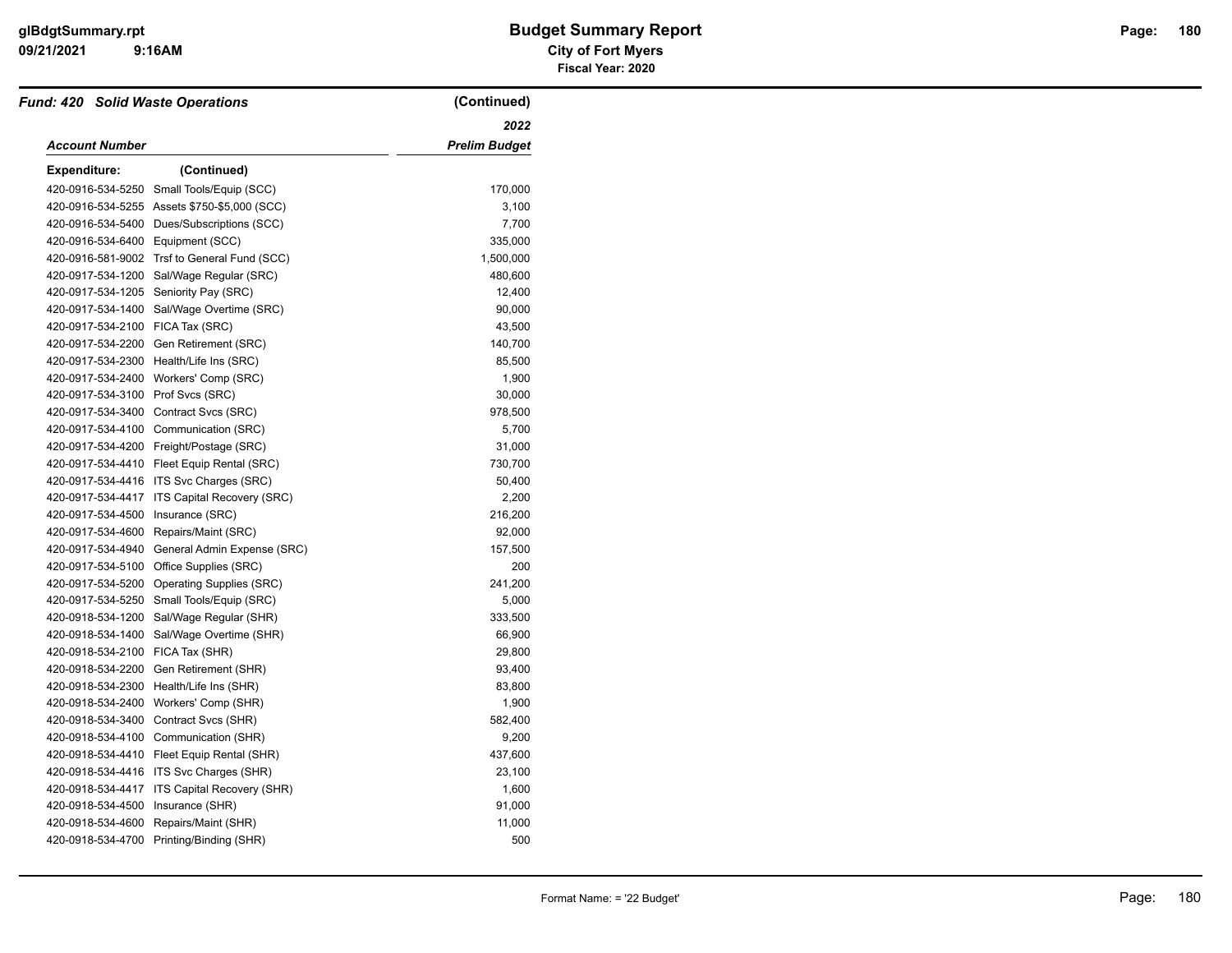#### **09/21/2021 City of Fort Myers 9:16AM**

# **glBdgtSummary.rpt Budget Summary Report Page: Fiscal Year: 2020**

| <b>Fund: 420 Solid Waste Operations</b> |                                               | (Continued)          |
|-----------------------------------------|-----------------------------------------------|----------------------|
|                                         | 2022                                          |                      |
| <b>Account Number</b>                   |                                               | <b>Prelim Budget</b> |
| <b>Expenditure:</b>                     | (Continued)                                   |                      |
|                                         | 420-0916-534-5250 Small Tools/Equip (SCC)     | 170,000              |
|                                         | 420-0916-534-5255 Assets \$750-\$5,000 (SCC)  | 3,100                |
|                                         | 420-0916-534-5400 Dues/Subscriptions (SCC)    | 7,700                |
| 420-0916-534-6400 Equipment (SCC)       |                                               | 335,000              |
|                                         | 420-0916-581-9002 Trsf to General Fund (SCC)  | 1,500,000            |
|                                         | 420-0917-534-1200 Sal/Wage Regular (SRC)      | 480,600              |
|                                         | 420-0917-534-1205 Seniority Pay (SRC)         | 12,400               |
|                                         | 420-0917-534-1400 Sal/Wage Overtime (SRC)     | 90,000               |
| 420-0917-534-2100 FICA Tax (SRC)        |                                               | 43,500               |
|                                         | 420-0917-534-2200 Gen Retirement (SRC)        | 140,700              |
|                                         | 420-0917-534-2300 Health/Life Ins (SRC)       | 85,500               |
|                                         | 420-0917-534-2400 Workers' Comp (SRC)         | 1,900                |
| 420-0917-534-3100 Prof Svcs (SRC)       |                                               | 30,000               |
|                                         | 420-0917-534-3400 Contract Svcs (SRC)         | 978,500              |
|                                         | 420-0917-534-4100 Communication (SRC)         | 5,700                |
|                                         | 420-0917-534-4200 Freight/Postage (SRC)       | 31,000               |
|                                         | 420-0917-534-4410 Fleet Equip Rental (SRC)    | 730,700              |
|                                         | 420-0917-534-4416 ITS Svc Charges (SRC)       | 50,400               |
|                                         | 420-0917-534-4417 ITS Capital Recovery (SRC)  | 2,200                |
| 420-0917-534-4500 Insurance (SRC)       |                                               | 216,200              |
|                                         | 420-0917-534-4600 Repairs/Maint (SRC)         | 92,000               |
|                                         | 420-0917-534-4940 General Admin Expense (SRC) | 157,500              |
|                                         | 420-0917-534-5100 Office Supplies (SRC)       | 200                  |
|                                         | 420-0917-534-5200 Operating Supplies (SRC)    | 241,200              |
|                                         | 420-0917-534-5250 Small Tools/Equip (SRC)     | 5,000                |
|                                         | 420-0918-534-1200 Sal/Wage Regular (SHR)      | 333,500              |
|                                         | 420-0918-534-1400 Sal/Wage Overtime (SHR)     | 66,900               |
| 420-0918-534-2100 FICA Tax (SHR)        |                                               | 29,800               |
|                                         | 420-0918-534-2200 Gen Retirement (SHR)        | 93,400               |
|                                         | 420-0918-534-2300 Health/Life Ins (SHR)       | 83,800               |
|                                         | 420-0918-534-2400 Workers' Comp (SHR)         | 1,900                |
|                                         | 420-0918-534-3400 Contract Svcs (SHR)         | 582,400              |
|                                         | 420-0918-534-4100 Communication (SHR)         | 9,200                |
|                                         | 420-0918-534-4410 Fleet Equip Rental (SHR)    | 437,600              |
|                                         | 420-0918-534-4416 ITS Svc Charges (SHR)       | 23,100               |
|                                         | 420-0918-534-4417 ITS Capital Recovery (SHR)  | 1,600                |
| 420-0918-534-4500 Insurance (SHR)       |                                               | 91,000               |
|                                         | 420-0918-534-4600 Repairs/Maint (SHR)         | 11,000               |
|                                         | 420-0918-534-4700 Printing/Binding (SHR)      | 500                  |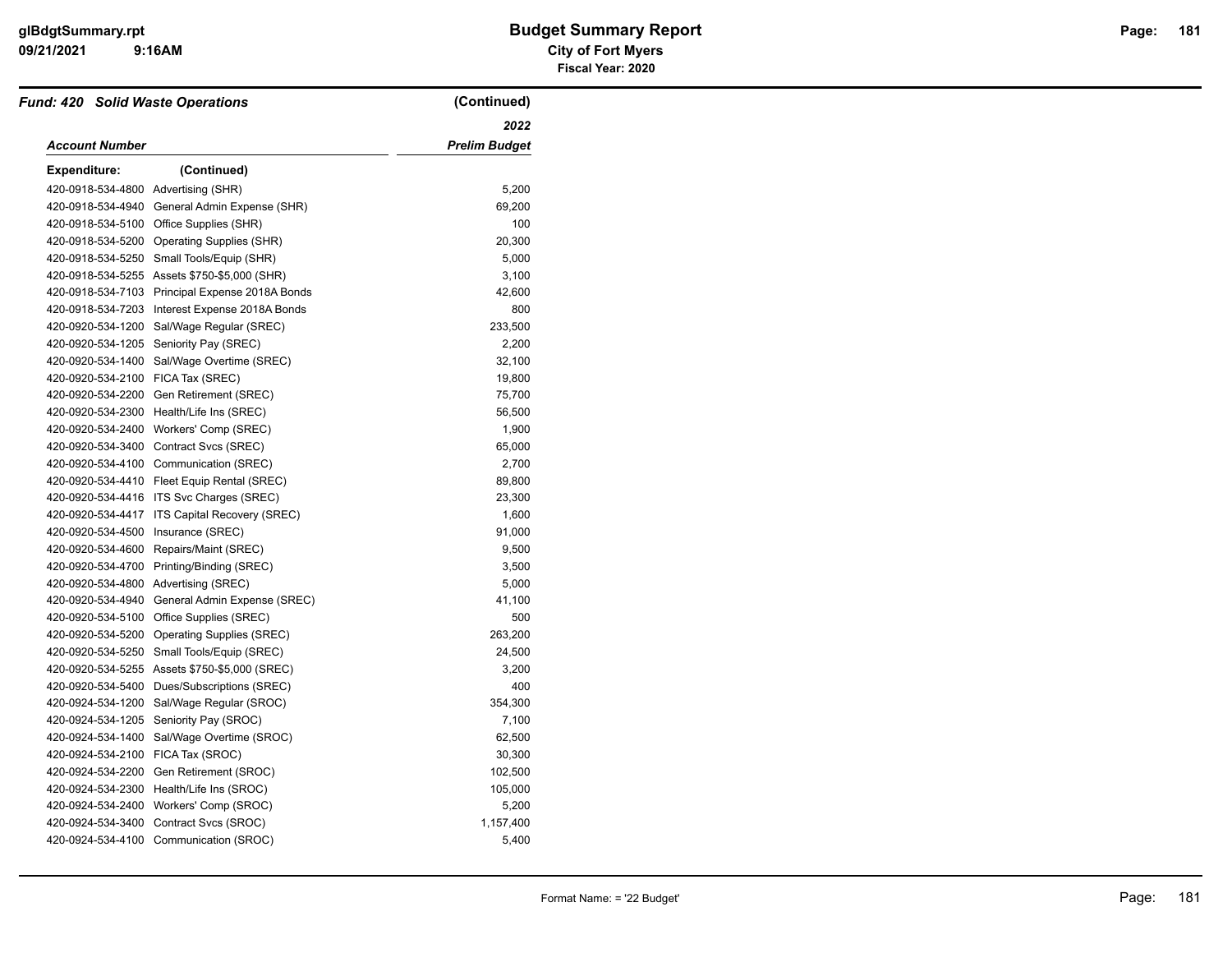#### **09/21/2021 City of Fort Myers 9:16AM**

# **glBdgtSummary.rpt Budget Summary Report Page: Fiscal Year: 2020**

| <b>Fund: 420 Solid Waste Operations</b> |                                                 | (Continued)          |
|-----------------------------------------|-------------------------------------------------|----------------------|
|                                         |                                                 | 2022                 |
| Account Number                          |                                                 | <b>Prelim Budget</b> |
| <b>Expenditure:</b>                     | (Continued)                                     |                      |
| 420-0918-534-4800 Advertising (SHR)     |                                                 | 5,200                |
| 420-0918-534-4940                       | General Admin Expense (SHR)                     | 69,200               |
| 420-0918-534-5100                       | Office Supplies (SHR)                           | 100                  |
| 420-0918-534-5200                       | Operating Supplies (SHR)                        | 20,300               |
| 420-0918-534-5250                       | Small Tools/Equip (SHR)                         | 5,000                |
|                                         | 420-0918-534-5255 Assets \$750-\$5,000 (SHR)    | 3,100                |
|                                         | 420-0918-534-7103 Principal Expense 2018A Bonds | 42,600               |
| 420-0918-534-7203                       | Interest Expense 2018A Bonds                    | 800                  |
| 420-0920-534-1200                       | Sal/Wage Regular (SREC)                         | 233,500              |
| 420-0920-534-1205                       | Seniority Pay (SREC)                            | 2,200                |
| 420-0920-534-1400                       | Sal/Wage Overtime (SREC)                        | 32,100               |
| 420-0920-534-2100                       | FICA Tax (SREC)                                 | 19,800               |
| 420-0920-534-2200                       | Gen Retirement (SREC)                           | 75,700               |
| 420-0920-534-2300                       | Health/Life Ins (SREC)                          | 56,500               |
| 420-0920-534-2400                       | Workers' Comp (SREC)                            | 1,900                |
| 420-0920-534-3400                       | Contract Svcs (SREC)                            | 65,000               |
| 420-0920-534-4100                       | Communication (SREC)                            | 2,700                |
| 420-0920-534-4410                       | Fleet Equip Rental (SREC)                       | 89,800               |
| 420-0920-534-4416                       | ITS Svc Charges (SREC)                          | 23,300               |
| 420-0920-534-4417                       | ITS Capital Recovery (SREC)                     | 1,600                |
| 420-0920-534-4500                       | Insurance (SREC)                                | 91,000               |
| 420-0920-534-4600                       | Repairs/Maint (SREC)                            | 9,500                |
| 420-0920-534-4700                       | Printing/Binding (SREC)                         | 3,500                |
|                                         | 420-0920-534-4800 Advertising (SREC)            | 5,000                |
| 420-0920-534-4940                       | General Admin Expense (SREC)                    | 41,100               |
| 420-0920-534-5100                       | Office Supplies (SREC)                          | 500                  |
| 420-0920-534-5200                       | <b>Operating Supplies (SREC)</b>                | 263,200              |
| 420-0920-534-5250                       | Small Tools/Equip (SREC)                        | 24,500               |
|                                         | 420-0920-534-5255 Assets \$750-\$5,000 (SREC)   | 3,200                |
| 420-0920-534-5400                       | Dues/Subscriptions (SREC)                       | 400                  |
| 420-0924-534-1200                       | Sal/Wage Regular (SROC)                         | 354,300              |
| 420-0924-534-1205                       | Seniority Pay (SROC)                            | 7,100                |
| 420-0924-534-1400                       | Sal/Wage Overtime (SROC)                        | 62,500               |
| 420-0924-534-2100                       | FICA Tax (SROC)                                 | 30,300               |
| 420-0924-534-2200                       | Gen Retirement (SROC)                           | 102,500              |
| 420-0924-534-2300                       | Health/Life Ins (SROC)                          | 105,000              |
| 420-0924-534-2400                       | Workers' Comp (SROC)                            | 5,200                |
| 420-0924-534-3400                       | Contract Svcs (SROC)                            | 1,157,400            |
|                                         | 420-0924-534-4100 Communication (SROC)          | 5,400                |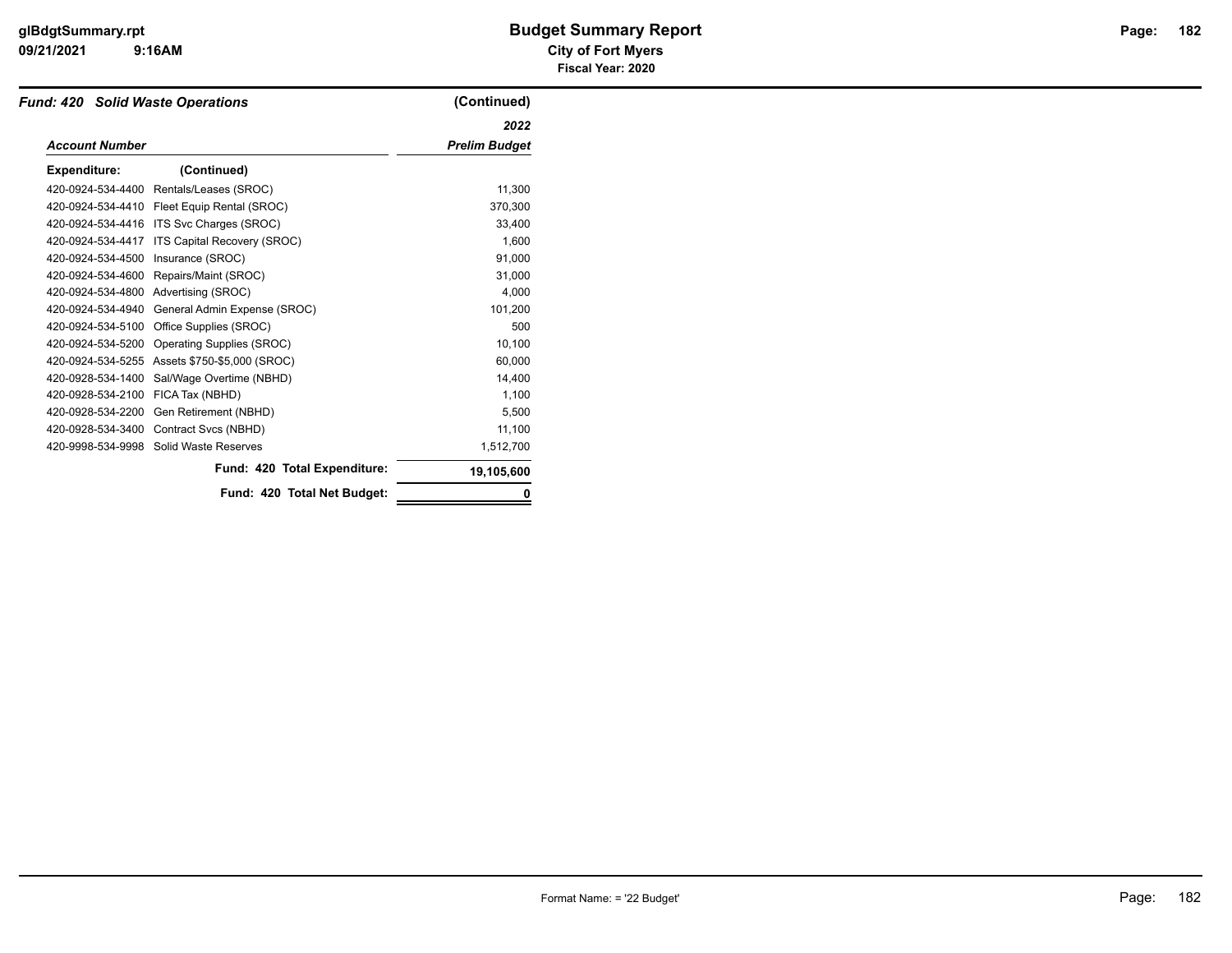### **9:16AM**

### **09/21/2021 City of Fort Myers glBdgtSummary.rpt Budget Summary Report Page: Fiscal Year: 2020**

| <b>Fund: 420 Solid Waste Operations</b> |                              | (Continued)          |
|-----------------------------------------|------------------------------|----------------------|
|                                         |                              | 2022                 |
| <b>Account Number</b>                   |                              | <b>Prelim Budget</b> |
| <b>Expenditure:</b>                     | (Continued)                  |                      |
| 420-0924-534-4400                       | Rentals/Leases (SROC)        | 11,300               |
| 420-0924-534-4410                       | Fleet Equip Rental (SROC)    | 370,300              |
| 420-0924-534-4416                       | ITS Svc Charges (SROC)       | 33,400               |
| 420-0924-534-4417                       | ITS Capital Recovery (SROC)  | 1,600                |
| 420-0924-534-4500                       | Insurance (SROC)             | 91.000               |
| 420-0924-534-4600                       | Repairs/Maint (SROC)         | 31,000               |
| 420-0924-534-4800                       | Advertising (SROC)           | 4,000                |
| 420-0924-534-4940                       | General Admin Expense (SROC) | 101,200              |
| 420-0924-534-5100                       | Office Supplies (SROC)       | 500                  |
| 420-0924-534-5200                       | Operating Supplies (SROC)    | 10,100               |
| 420-0924-534-5255                       | Assets \$750-\$5,000 (SROC)  | 60,000               |
| 420-0928-534-1400                       | Sal/Wage Overtime (NBHD)     | 14,400               |
| 420-0928-534-2100                       | FICA Tax (NBHD)              | 1,100                |
| 420-0928-534-2200                       | Gen Retirement (NBHD)        | 5,500                |
| 420-0928-534-3400                       | Contract Svcs (NBHD)         | 11,100               |
| 420-9998-534-9998                       | Solid Waste Reserves         | 1,512,700            |
|                                         | Fund: 420 Total Expenditure: | 19,105,600           |
|                                         | Fund: 420 Total Net Budget:  | 0                    |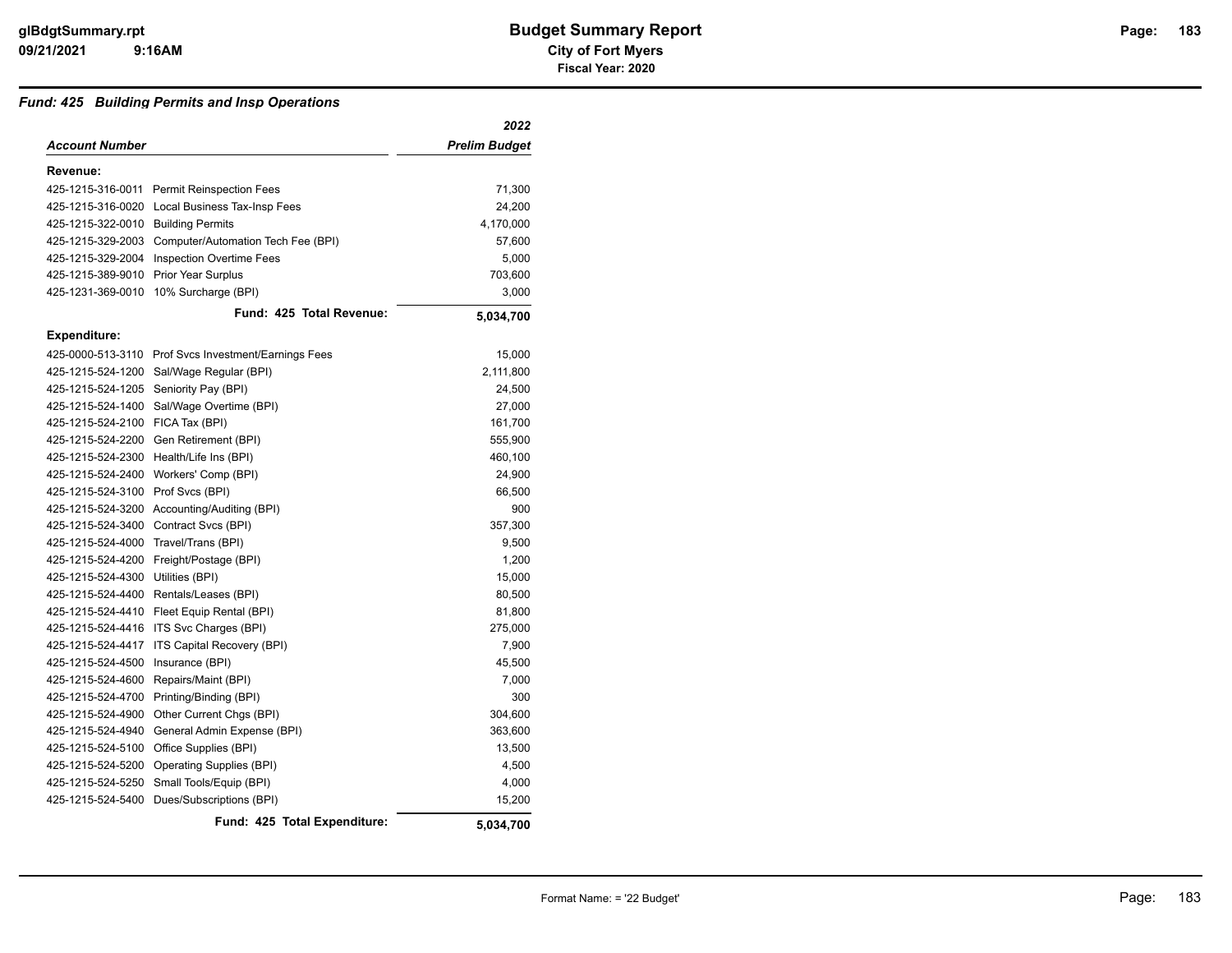#### *Fund: 425 Building Permits and Insp Operations*

|                                       |                                                      | 2022          |
|---------------------------------------|------------------------------------------------------|---------------|
| Account Number                        |                                                      | Prelim Budget |
| Revenue:                              |                                                      |               |
|                                       | 425-1215-316-0011 Permit Reinspection Fees           | 71,300        |
|                                       | 425-1215-316-0020 Local Business Tax-Insp Fees       | 24,200        |
| 425-1215-322-0010 Building Permits    |                                                      | 4,170,000     |
|                                       | 425-1215-329-2003 Computer/Automation Tech Fee (BPI) | 57,600        |
|                                       | 425-1215-329-2004 Inspection Overtime Fees           | 5,000         |
| 425-1215-389-9010 Prior Year Surplus  |                                                      | 703,600       |
| 425-1231-369-0010                     | 10% Surcharge (BPI)                                  | 3,000         |
|                                       | Fund: 425 Total Revenue:                             | 5,034,700     |
| <b>Expenditure:</b>                   |                                                      |               |
|                                       | 425-0000-513-3110 Prof Svcs Investment/Earnings Fees | 15,000        |
|                                       | 425-1215-524-1200 Sal/Wage Regular (BPI)             | 2,111,800     |
| 425-1215-524-1205 Seniority Pay (BPI) |                                                      | 24,500        |
|                                       | 425-1215-524-1400 Sal/Wage Overtime (BPI)            | 27,000        |
| 425-1215-524-2100 FICA Tax (BPI)      |                                                      | 161,700       |
|                                       | 425-1215-524-2200 Gen Retirement (BPI)               | 555,900       |
|                                       | 425-1215-524-2300 Health/Life Ins (BPI)              | 460,100       |
|                                       | 425-1215-524-2400 Workers' Comp (BPI)                | 24,900        |
| 425-1215-524-3100 Prof Svcs (BPI)     |                                                      | 66,500        |
|                                       | 425-1215-524-3200 Accounting/Auditing (BPI)          | 900           |
|                                       | 425-1215-524-3400 Contract Svcs (BPI)                | 357,300       |
| 425-1215-524-4000 Travel/Trans (BPI)  |                                                      | 9,500         |
|                                       | 425-1215-524-4200 Freight/Postage (BPI)              | 1,200         |
| 425-1215-524-4300 Utilities (BPI)     |                                                      | 15,000        |
| 425-1215-524-4400                     | Rentals/Leases (BPI)                                 | 80,500        |
|                                       | 425-1215-524-4410 Fleet Equip Rental (BPI)           | 81,800        |
|                                       | 425-1215-524-4416 ITS Svc Charges (BPI)              | 275,000       |
| 425-1215-524-4417                     | ITS Capital Recovery (BPI)                           | 7,900         |
| 425-1215-524-4500                     | Insurance (BPI)                                      | 45,500        |
| 425-1215-524-4600                     | Repairs/Maint (BPI)                                  | 7,000         |
|                                       | 425-1215-524-4700 Printing/Binding (BPI)             | 300           |
|                                       | 425-1215-524-4900 Other Current Chgs (BPI)           | 304,600       |
| 425-1215-524-4940                     | General Admin Expense (BPI)                          | 363,600       |
|                                       | 425-1215-524-5100 Office Supplies (BPI)              | 13,500        |
|                                       | 425-1215-524-5200 Operating Supplies (BPI)           | 4,500         |
| 425-1215-524-5250                     | Small Tools/Equip (BPI)                              | 4,000         |
| 425-1215-524-5400                     | Dues/Subscriptions (BPI)                             | 15,200        |
|                                       | Fund: 425 Total Expenditure:                         | 5.034.700     |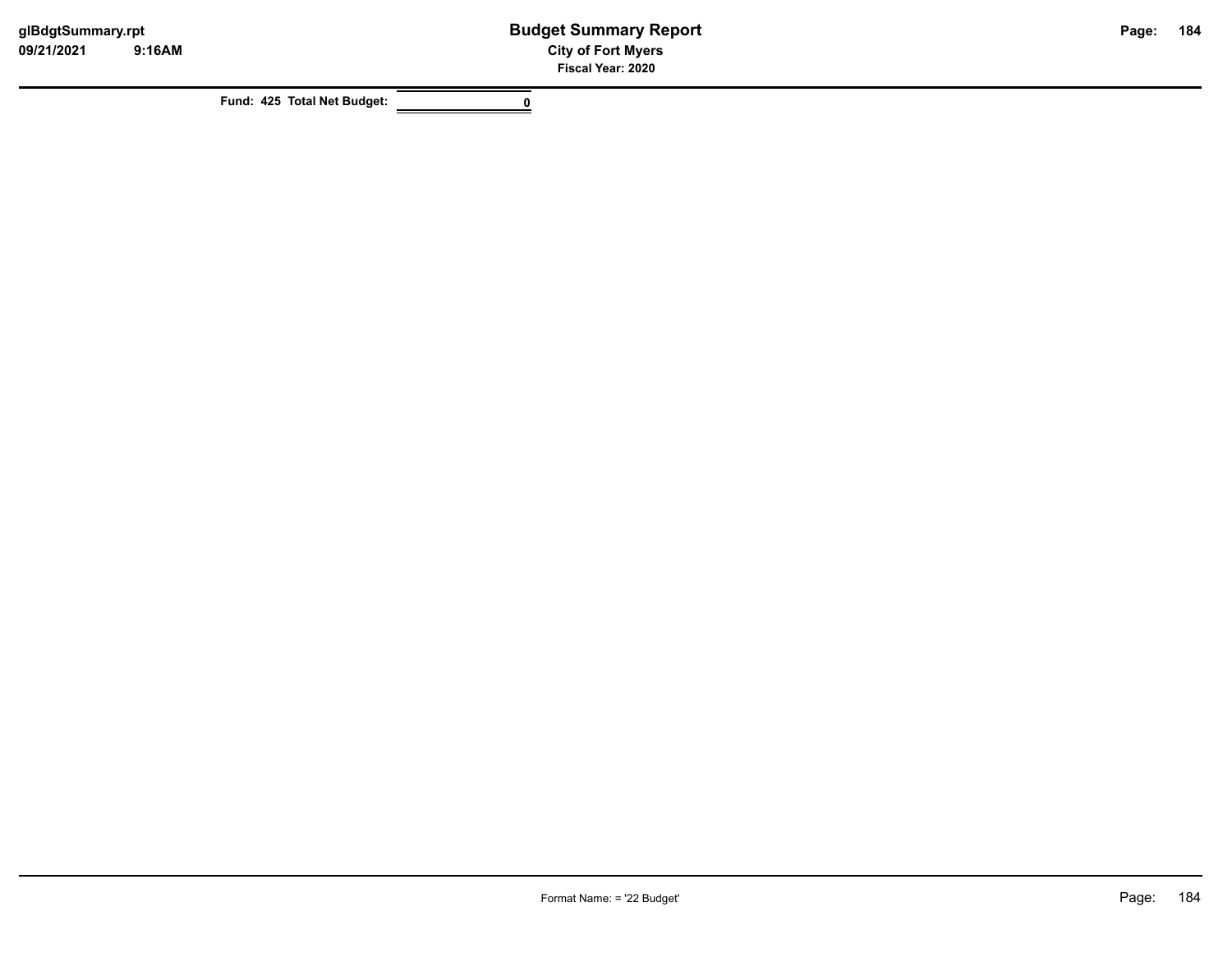**Fund: 425 Total Net Budget: 0**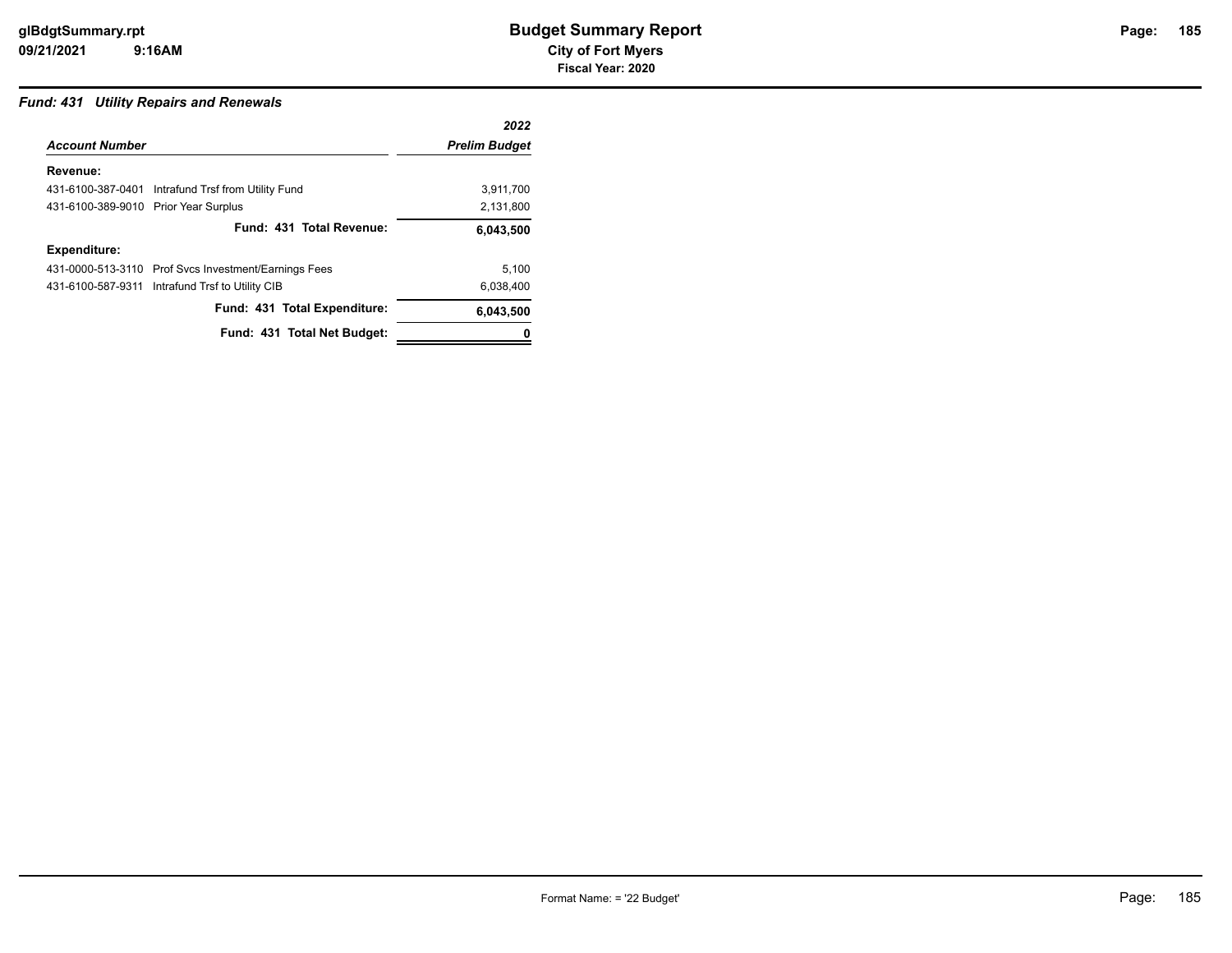### *Fund: 431 Utility Repairs and Renewals*

|                                      |                                                      | 2022                 |
|--------------------------------------|------------------------------------------------------|----------------------|
| <b>Account Number</b>                |                                                      | <b>Prelim Budget</b> |
| Revenue:                             |                                                      |                      |
|                                      | 431-6100-387-0401 Intrafund Trsf from Utility Fund   | 3,911,700            |
| 431-6100-389-9010 Prior Year Surplus |                                                      | 2,131,800            |
|                                      | Fund: 431 Total Revenue:                             | 6,043,500            |
| <b>Expenditure:</b>                  |                                                      |                      |
|                                      | 431-0000-513-3110 Prof Svcs Investment/Earnings Fees | 5.100                |
|                                      | 431-6100-587-9311 Intrafund Trsf to Utility CIB      | 6,038,400            |
|                                      | Fund: 431 Total Expenditure:                         | 6,043,500            |
|                                      | Fund: 431 Total Net Budget:                          |                      |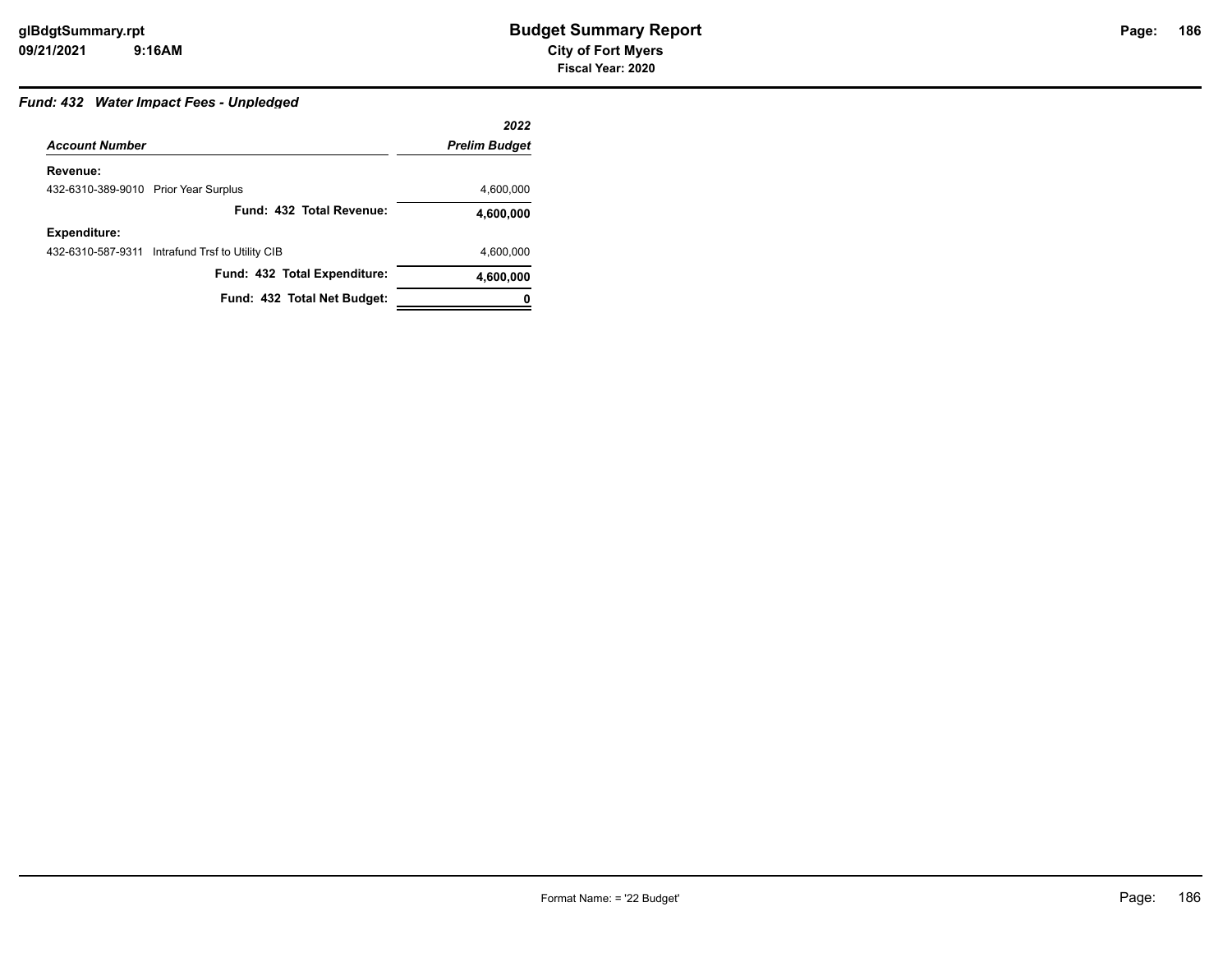## Page: 186

### *Fund: 432 Water Impact Fees - Unpledged*

|                                      |                                                 | 2022                 |
|--------------------------------------|-------------------------------------------------|----------------------|
| <b>Account Number</b>                |                                                 | <b>Prelim Budget</b> |
| Revenue:                             |                                                 |                      |
| 432-6310-389-9010 Prior Year Surplus |                                                 | 4,600,000            |
|                                      | Fund: 432 Total Revenue:                        | 4,600,000            |
| <b>Expenditure:</b>                  |                                                 |                      |
|                                      | 432-6310-587-9311 Intrafund Trsf to Utility CIB | 4,600,000            |
|                                      | Fund: 432 Total Expenditure:                    | 4,600,000            |
|                                      | Fund: 432 Total Net Budget:                     |                      |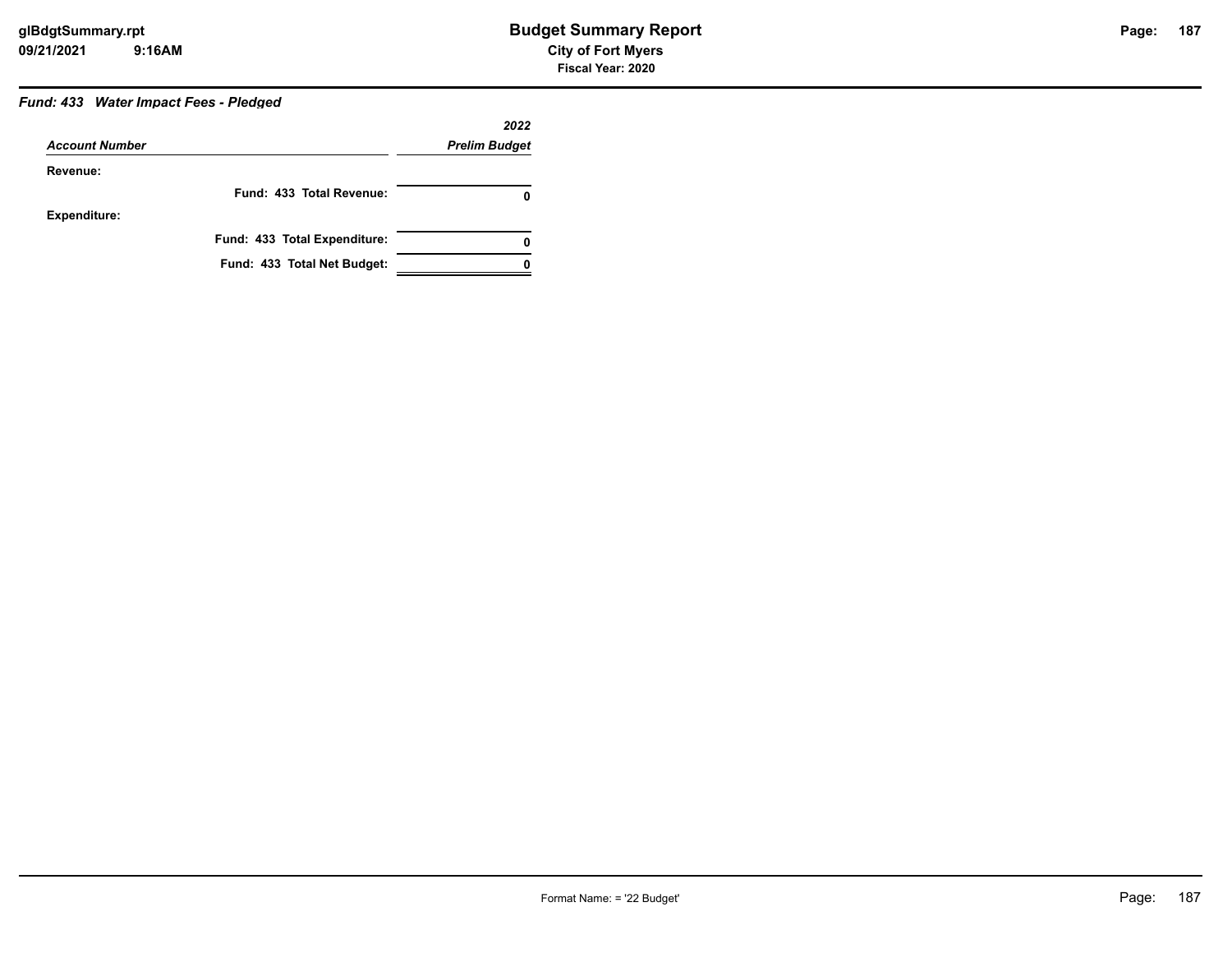### *Fund: 433 Water Impact Fees - Pledged*

|                       |                              | 2022                 |
|-----------------------|------------------------------|----------------------|
| <b>Account Number</b> |                              | <b>Prelim Budget</b> |
| Revenue:              |                              |                      |
|                       | Fund: 433 Total Revenue:     | 0                    |
| Expenditure:          |                              |                      |
|                       | Fund: 433 Total Expenditure: | 0                    |
|                       | Fund: 433 Total Net Budget:  |                      |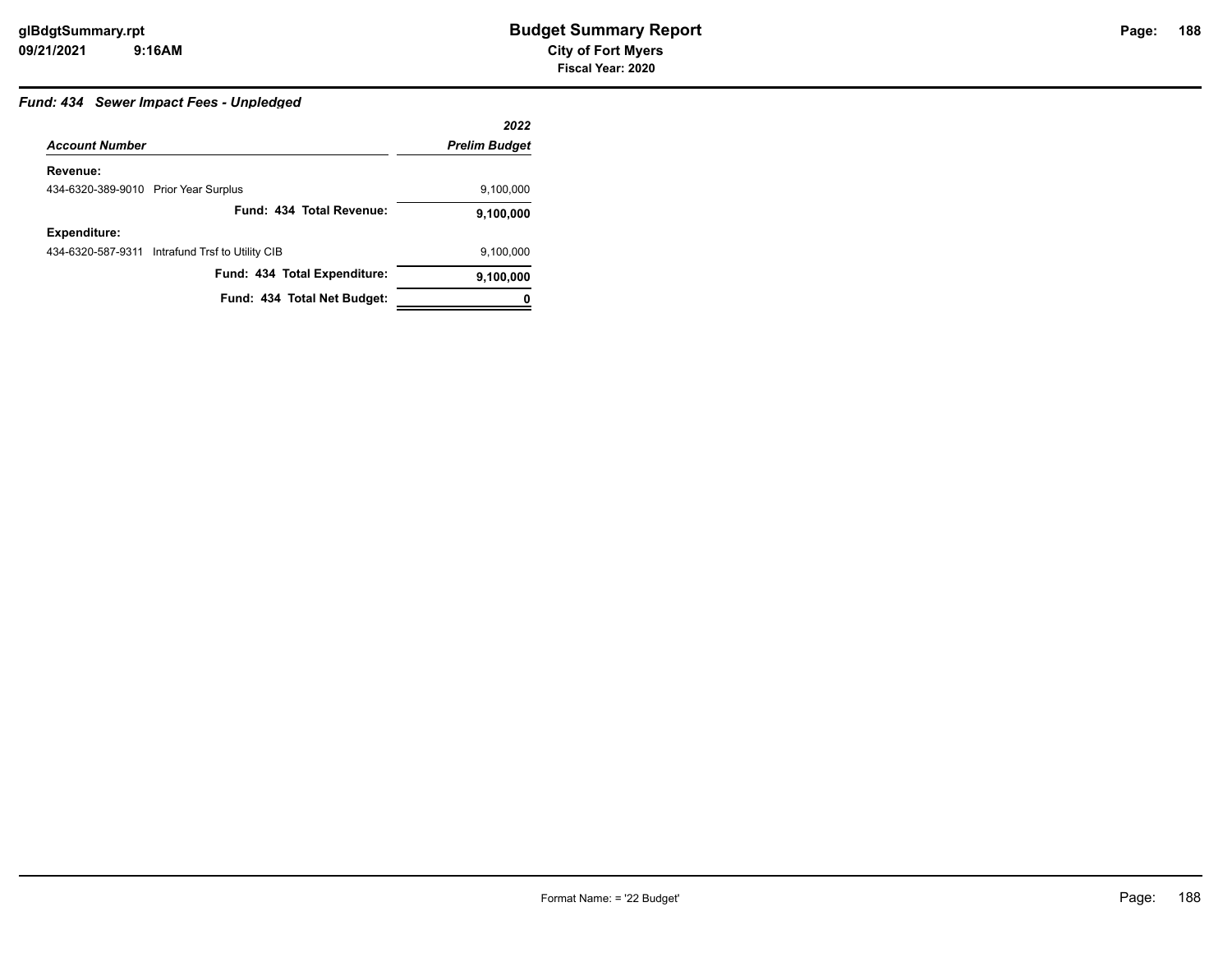### *Fund: 434 Sewer Impact Fees - Unpledged*

|                                      |                                                 | 2022                 |
|--------------------------------------|-------------------------------------------------|----------------------|
| <b>Account Number</b>                |                                                 | <b>Prelim Budget</b> |
| Revenue:                             |                                                 |                      |
| 434-6320-389-9010 Prior Year Surplus |                                                 | 9,100,000            |
|                                      | Fund: 434 Total Revenue:                        | 9,100,000            |
| <b>Expenditure:</b>                  |                                                 |                      |
|                                      | 434-6320-587-9311 Intrafund Trsf to Utility CIB | 9,100,000            |
|                                      | Fund: 434 Total Expenditure:                    | 9,100,000            |
|                                      | Fund: 434 Total Net Budget:                     |                      |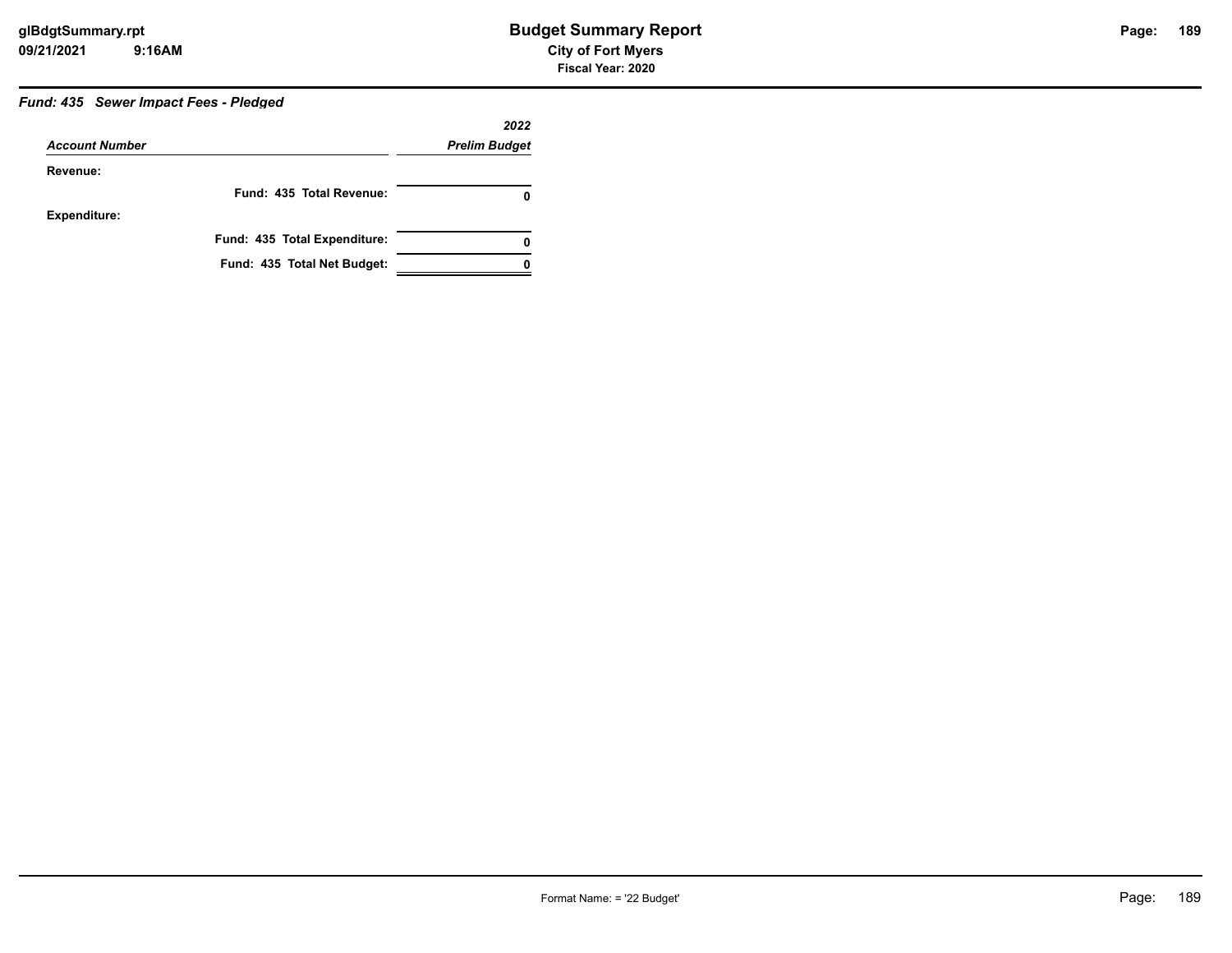### *Fund: 435 Sewer Impact Fees - Pledged*

|                       |                              | 2022                 |
|-----------------------|------------------------------|----------------------|
| <b>Account Number</b> |                              | <b>Prelim Budget</b> |
| Revenue:              |                              |                      |
|                       | Fund: 435 Total Revenue:     |                      |
| <b>Expenditure:</b>   |                              |                      |
|                       | Fund: 435 Total Expenditure: | 0                    |
|                       | Fund: 435 Total Net Budget:  |                      |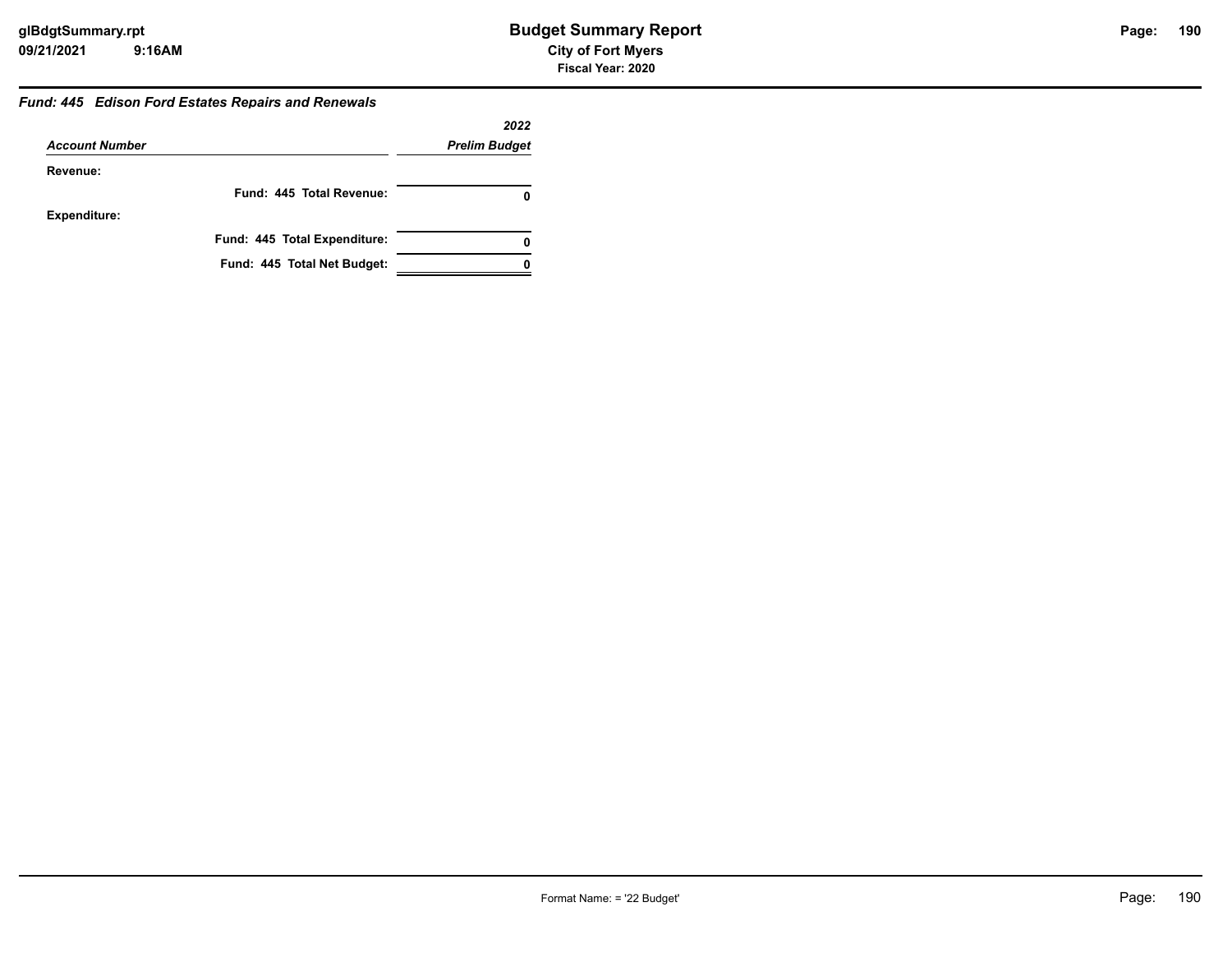#### *Fund: 445 Edison Ford Estates Repairs and Renewals*

| <b>Account Number</b> |                              | 2022                 |
|-----------------------|------------------------------|----------------------|
|                       |                              | <b>Prelim Budget</b> |
| Revenue:              |                              |                      |
|                       | Fund: 445 Total Revenue:     | 0                    |
| <b>Expenditure:</b>   |                              |                      |
|                       | Fund: 445 Total Expenditure: | 0                    |
|                       | Fund: 445 Total Net Budget:  |                      |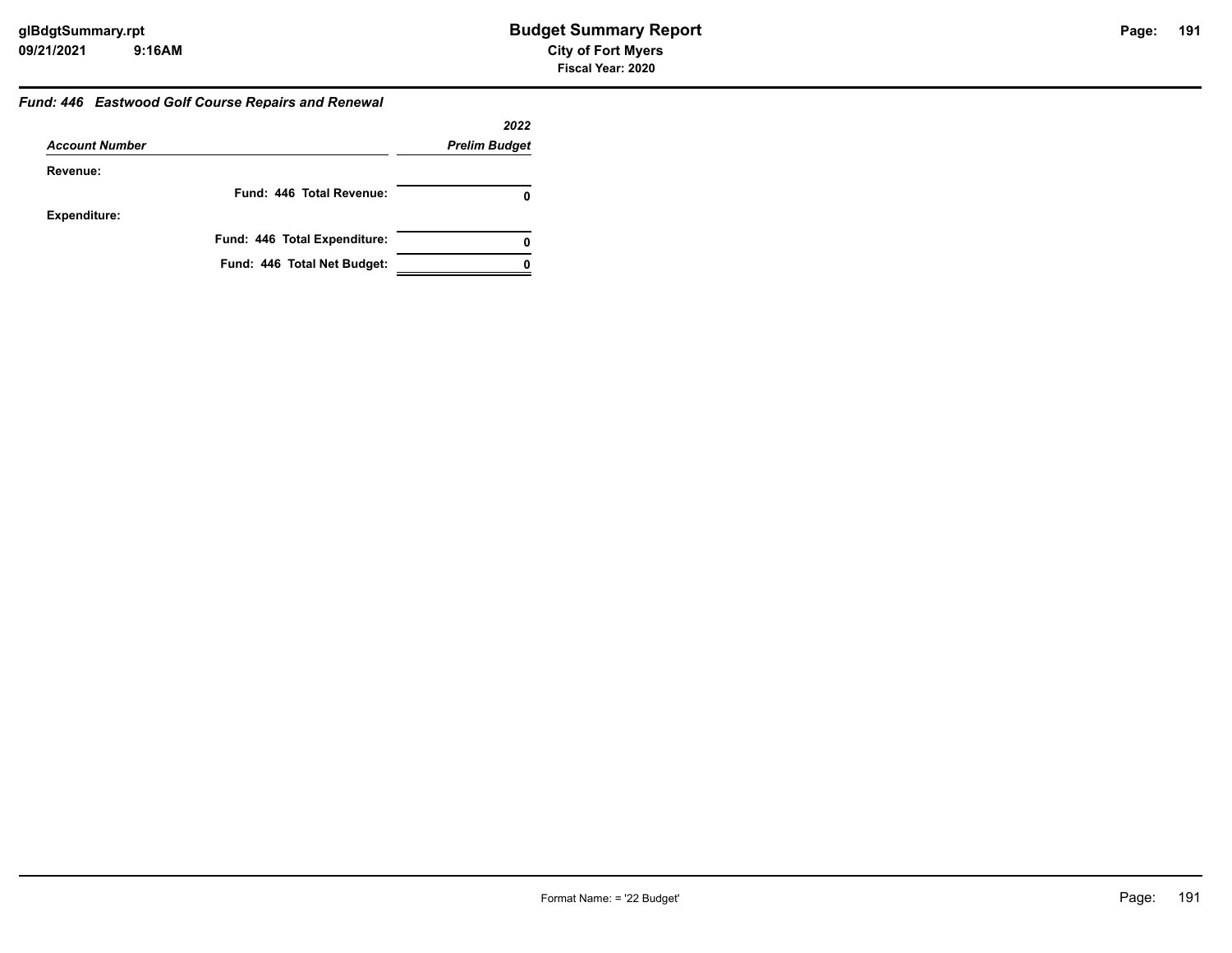#### *Fund: 446 Eastwood Golf Course Repairs and Renewal*

|                       |                              | 2022                 |
|-----------------------|------------------------------|----------------------|
| <b>Account Number</b> |                              | <b>Prelim Budget</b> |
| Revenue:              |                              |                      |
|                       | Fund: 446 Total Revenue:     | 0                    |
| <b>Expenditure:</b>   |                              |                      |
|                       | Fund: 446 Total Expenditure: | 0                    |
|                       | Fund: 446 Total Net Budget:  |                      |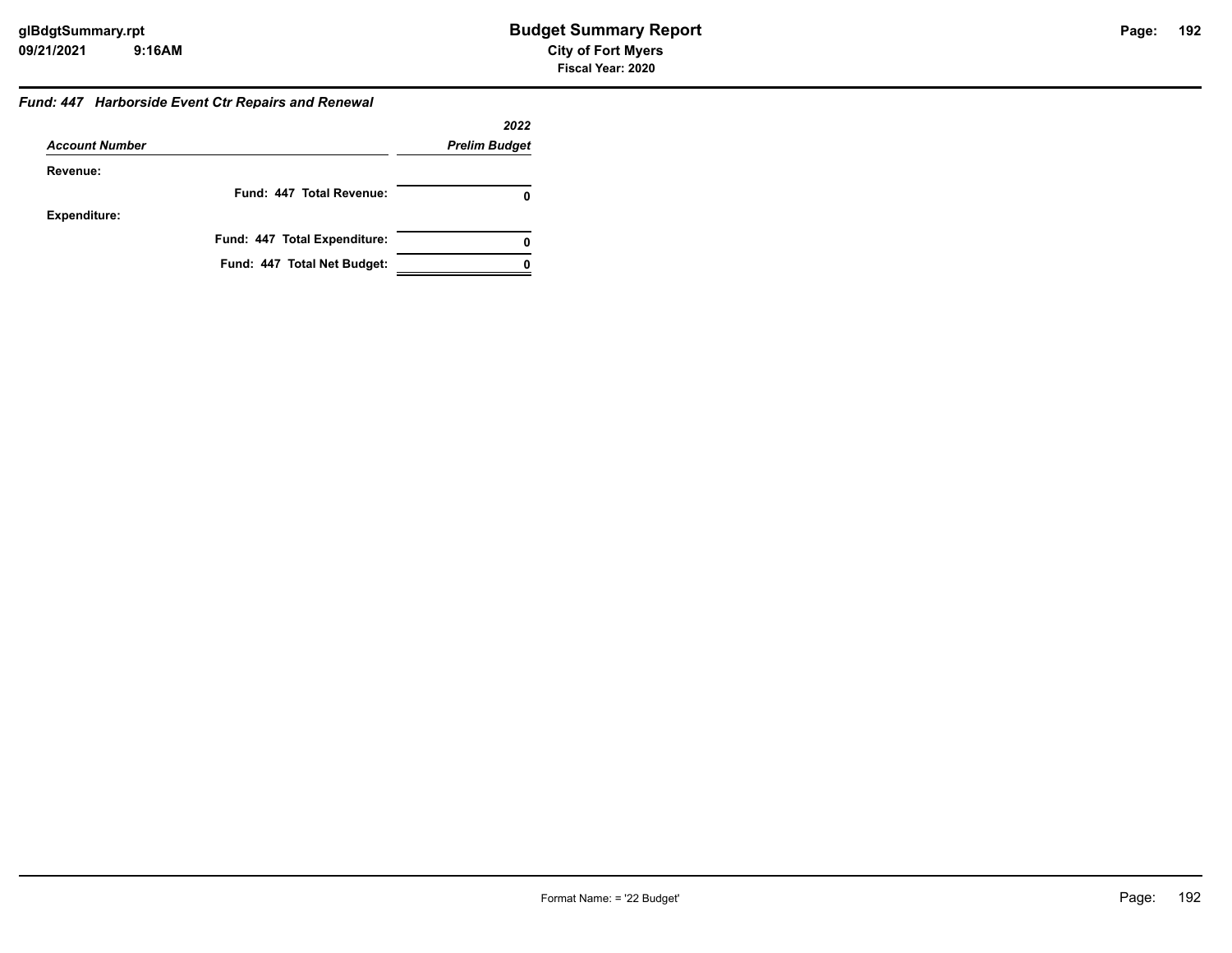#### *Fund: 447 Harborside Event Ctr Repairs and Renewal*

|                       |                              | 2022                 |
|-----------------------|------------------------------|----------------------|
| <b>Account Number</b> |                              | <b>Prelim Budget</b> |
| Revenue:              |                              |                      |
|                       | Fund: 447 Total Revenue:     |                      |
| <b>Expenditure:</b>   |                              |                      |
|                       | Fund: 447 Total Expenditure: |                      |
|                       | Fund: 447 Total Net Budget:  |                      |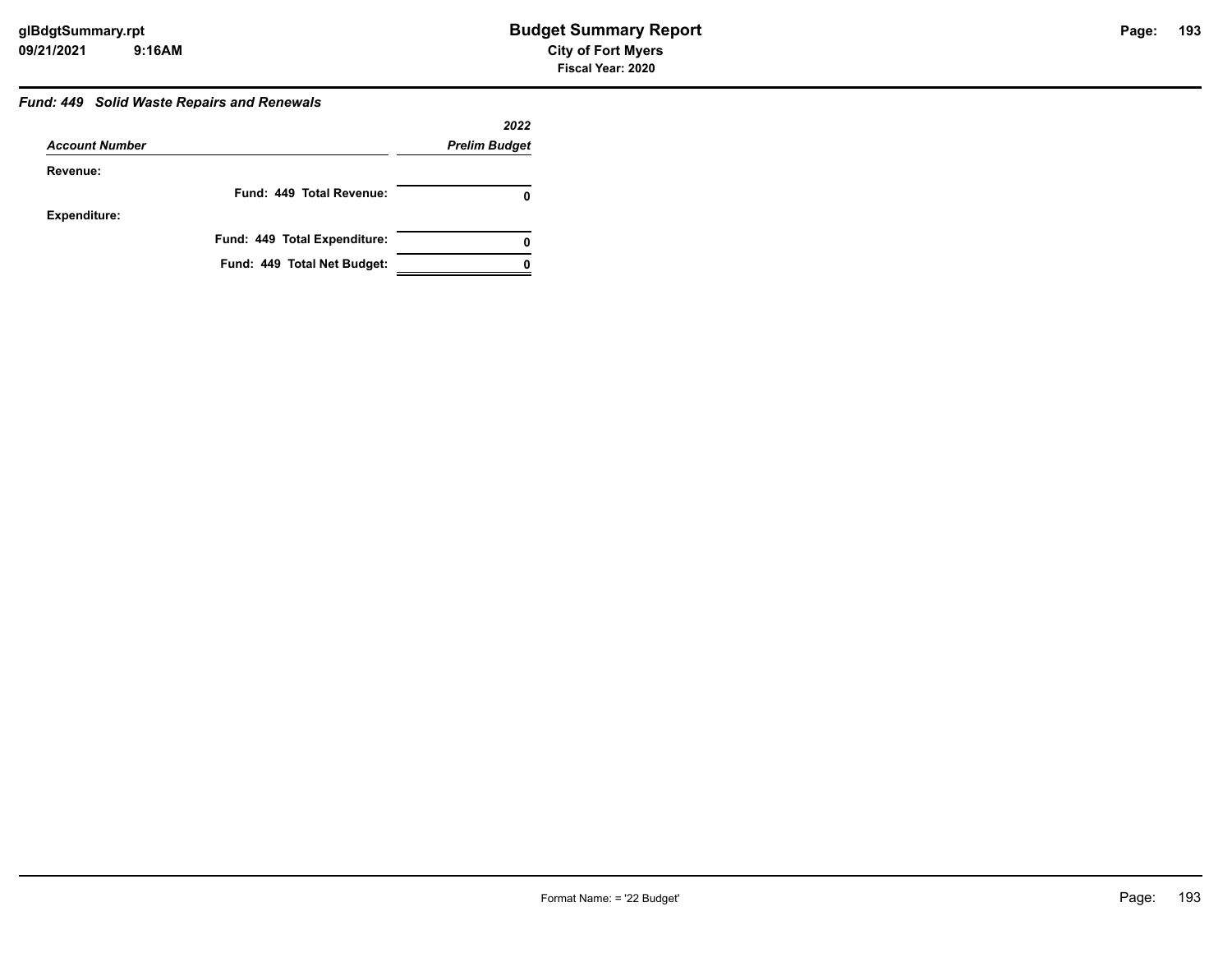### Page: 193

#### *Fund: 449 Solid Waste Repairs and Renewals*

|                       |                              | 2022                 |
|-----------------------|------------------------------|----------------------|
| <b>Account Number</b> |                              | <b>Prelim Budget</b> |
| Revenue:              |                              |                      |
|                       | Fund: 449 Total Revenue:     |                      |
| <b>Expenditure:</b>   |                              |                      |
|                       | Fund: 449 Total Expenditure: | 0                    |
|                       | Fund: 449 Total Net Budget:  |                      |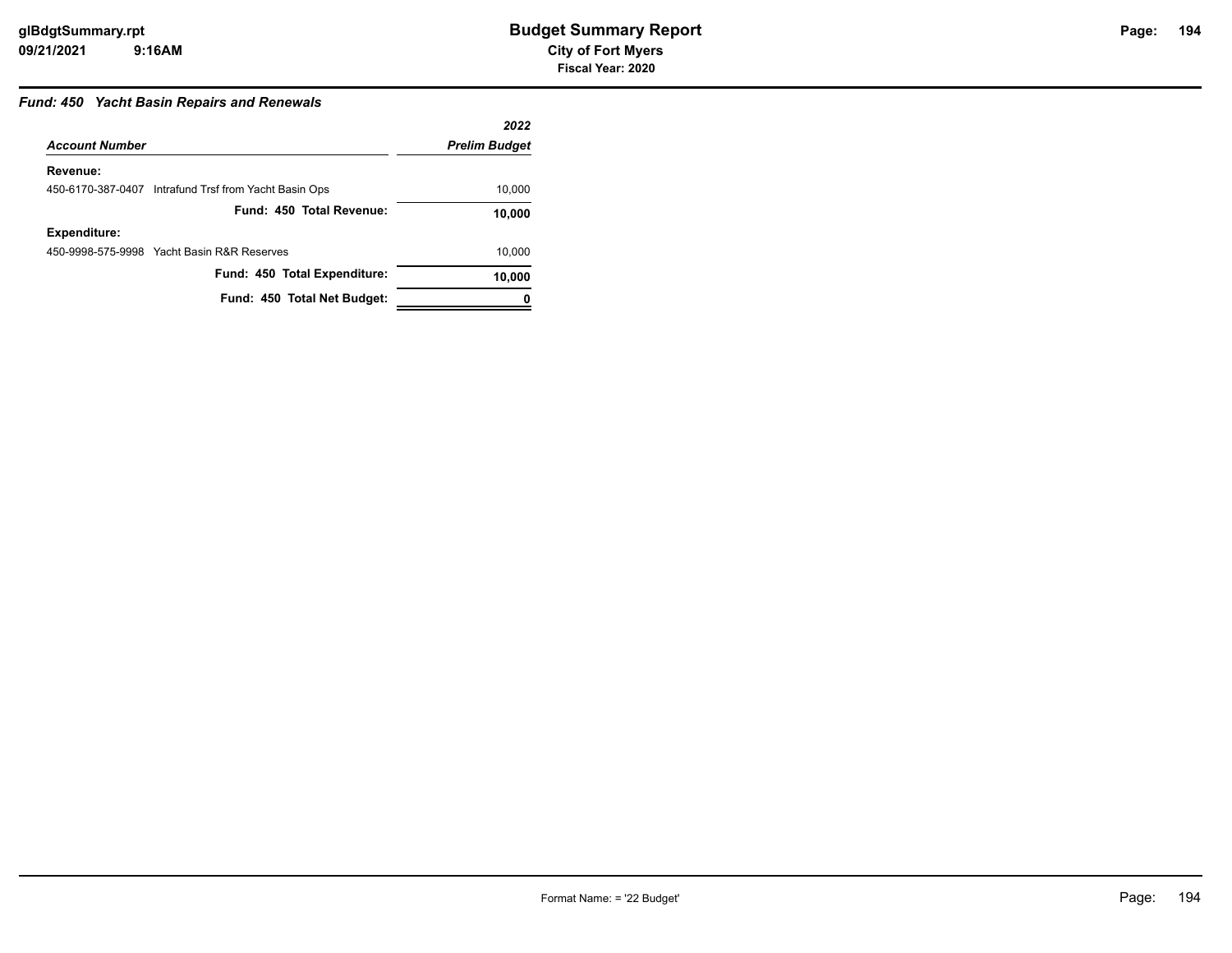#### *Fund: 450 Yacht Basin Repairs and Renewals*

|                       |                                                       | 2022                 |
|-----------------------|-------------------------------------------------------|----------------------|
| <b>Account Number</b> |                                                       | <b>Prelim Budget</b> |
| Revenue:              |                                                       |                      |
|                       | 450-6170-387-0407 Intrafund Trsf from Yacht Basin Ops | 10,000               |
|                       | Fund: 450 Total Revenue:                              | 10,000               |
| <b>Expenditure:</b>   |                                                       |                      |
|                       | 450-9998-575-9998 Yacht Basin R&R Reserves            | 10.000               |
|                       | Fund: 450 Total Expenditure:                          | 10,000               |
|                       | Fund: 450 Total Net Budget:                           |                      |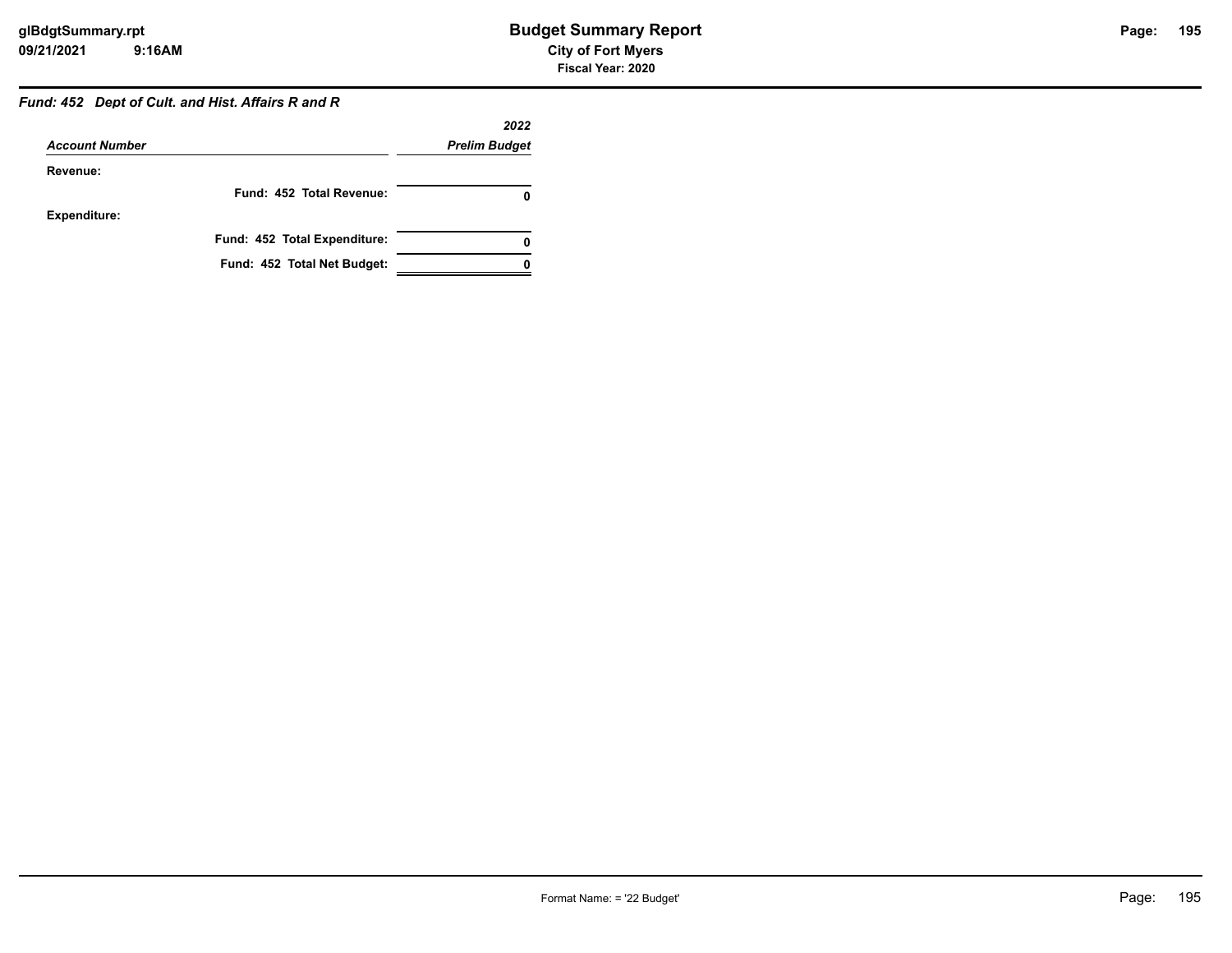### *Fund: 452 Dept of Cult. and Hist. Affairs R and R*

|                       |                              | 2022                 |
|-----------------------|------------------------------|----------------------|
| <b>Account Number</b> |                              | <b>Prelim Budget</b> |
| Revenue:              |                              |                      |
|                       | Fund: 452 Total Revenue:     |                      |
| <b>Expenditure:</b>   |                              |                      |
|                       | Fund: 452 Total Expenditure: |                      |
|                       | Fund: 452 Total Net Budget:  |                      |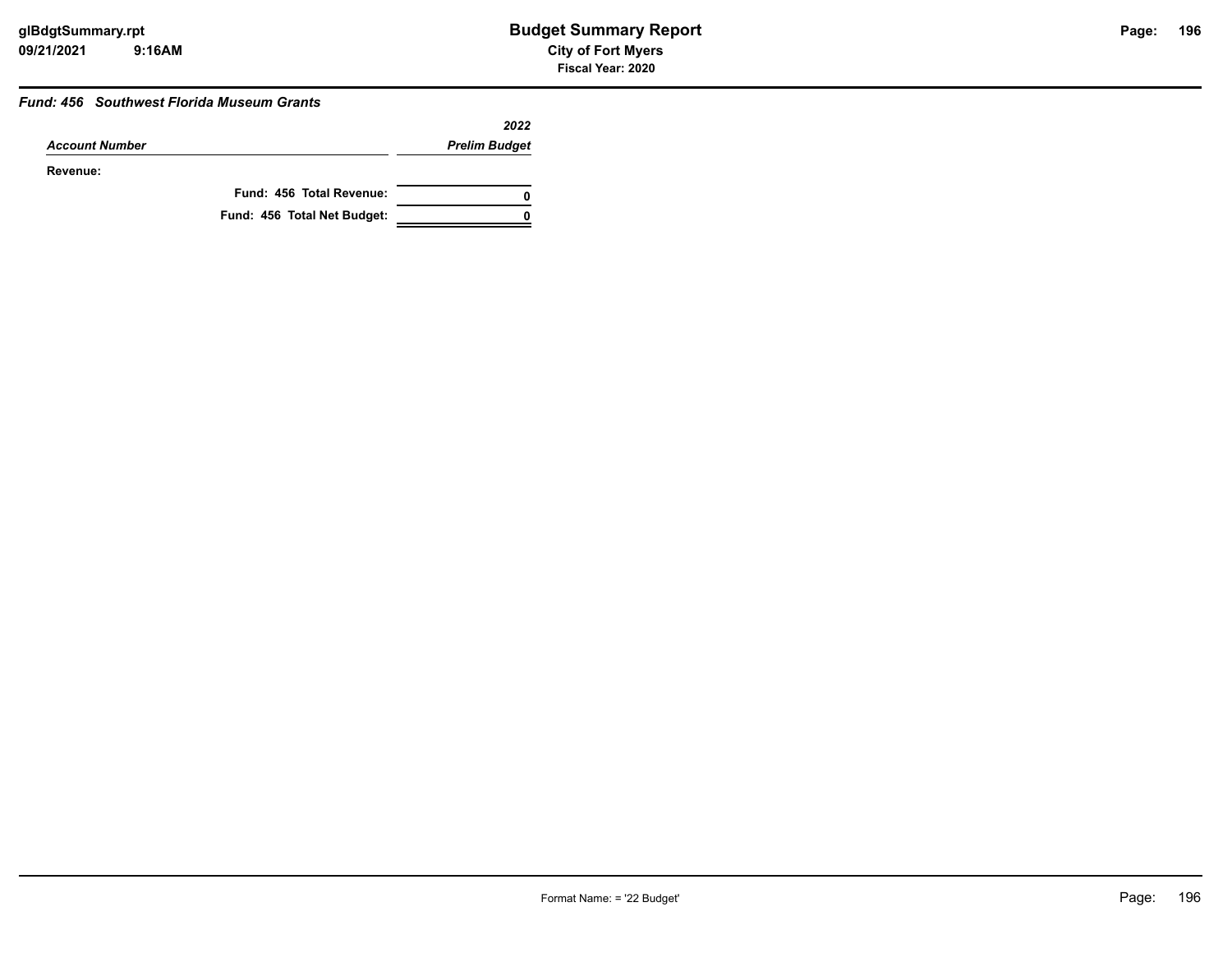#### *Fund: 456 Southwest Florida Museum Grants*

|                       |                             | 2022                 |
|-----------------------|-----------------------------|----------------------|
| <b>Account Number</b> |                             | <b>Prelim Budget</b> |
| Revenue:              |                             |                      |
|                       | Fund: 456 Total Revenue:    | 0                    |
|                       | Fund: 456 Total Net Budget: |                      |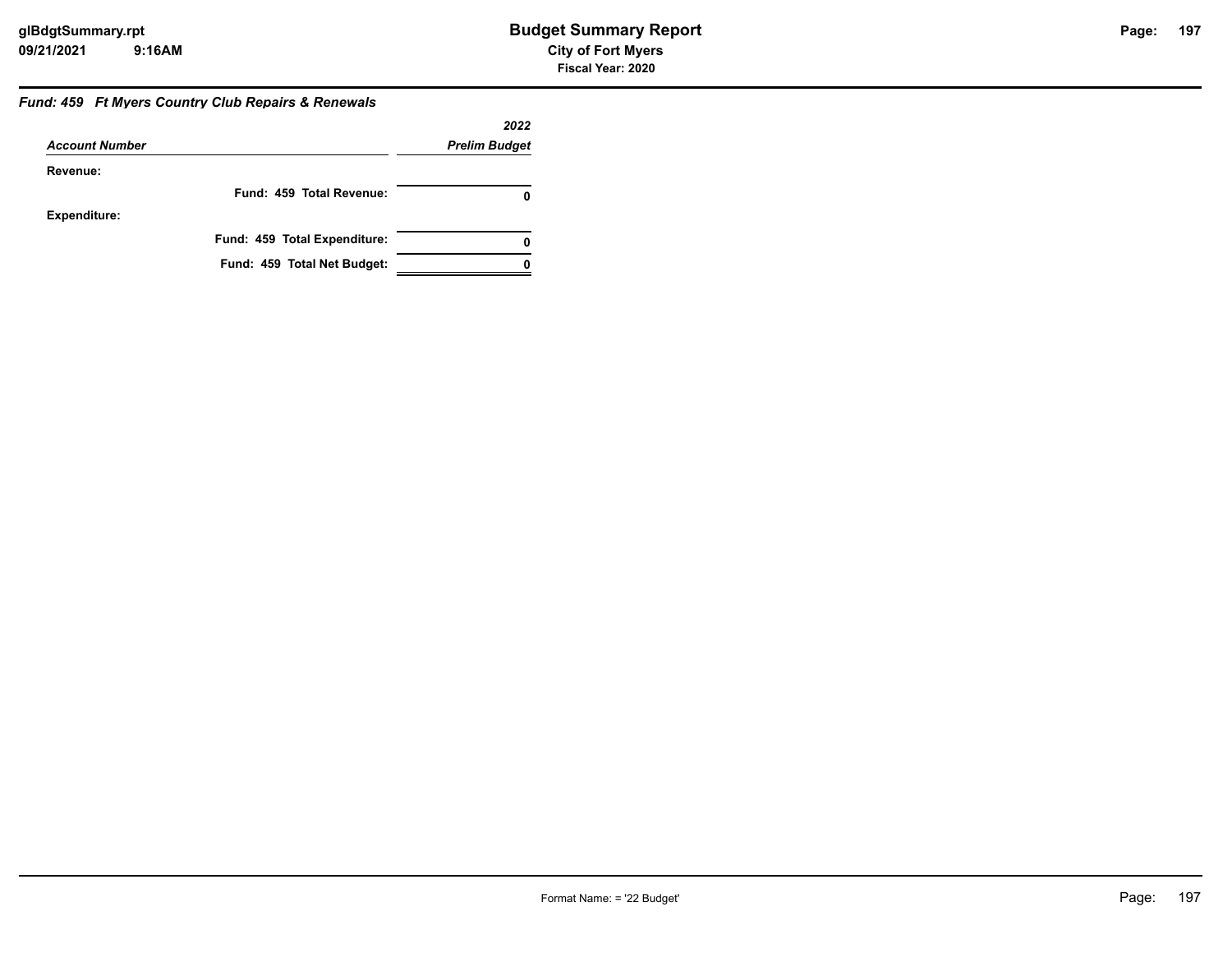#### *Fund: 459 Ft Myers Country Club Repairs & Renewals*

|                       |                              | 2022                 |
|-----------------------|------------------------------|----------------------|
| <b>Account Number</b> |                              | <b>Prelim Budget</b> |
| Revenue:              |                              |                      |
|                       | Fund: 459 Total Revenue:     |                      |
| <b>Expenditure:</b>   |                              |                      |
|                       | Fund: 459 Total Expenditure: | 0                    |
|                       | Fund: 459 Total Net Budget:  |                      |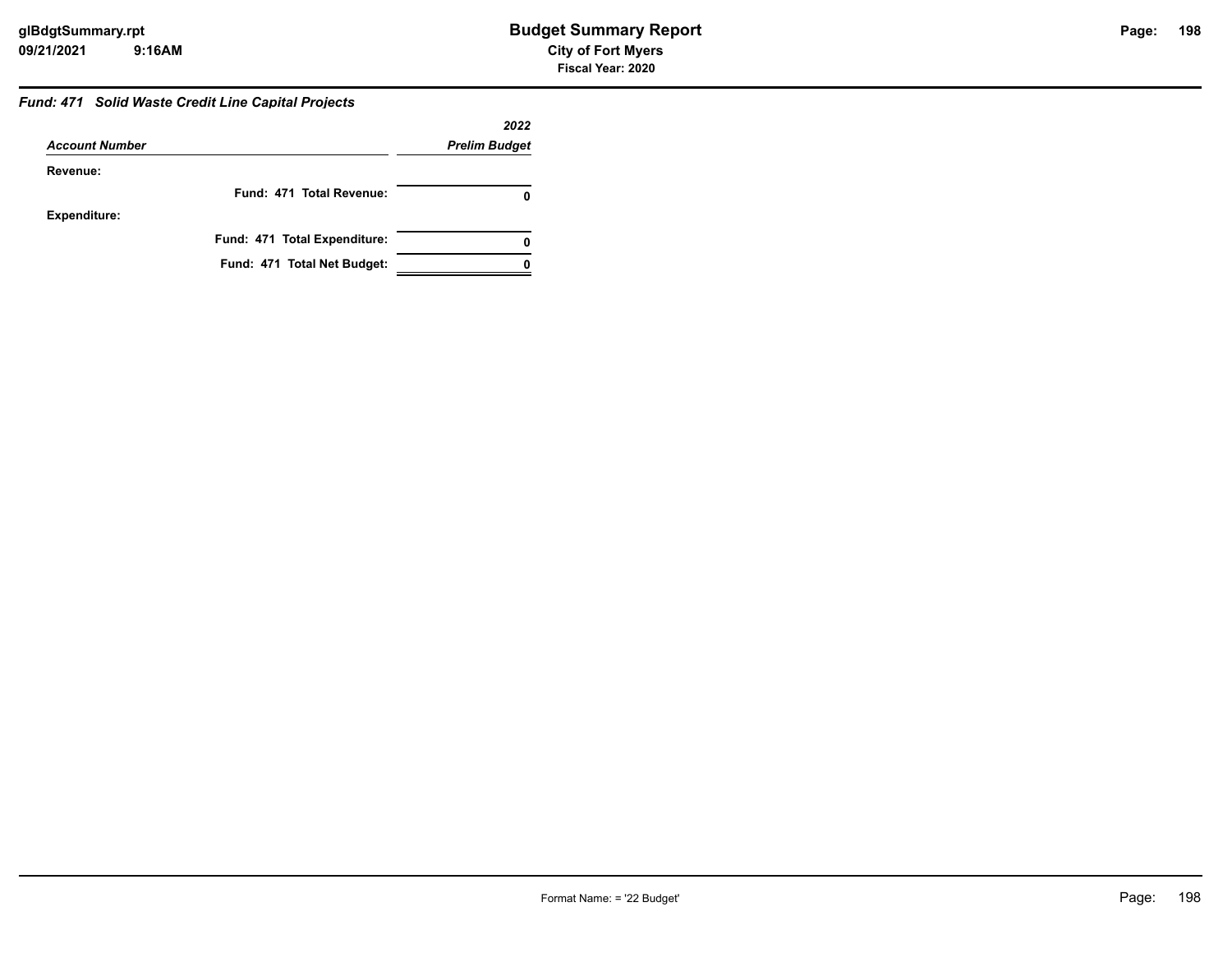#### *Fund: 471 Solid Waste Credit Line Capital Projects*

|                       |                              | 2022                 |
|-----------------------|------------------------------|----------------------|
| <b>Account Number</b> |                              | <b>Prelim Budget</b> |
| Revenue:              |                              |                      |
|                       | Fund: 471 Total Revenue:     |                      |
| <b>Expenditure:</b>   |                              |                      |
|                       | Fund: 471 Total Expenditure: | 0                    |
|                       | Fund: 471 Total Net Budget:  |                      |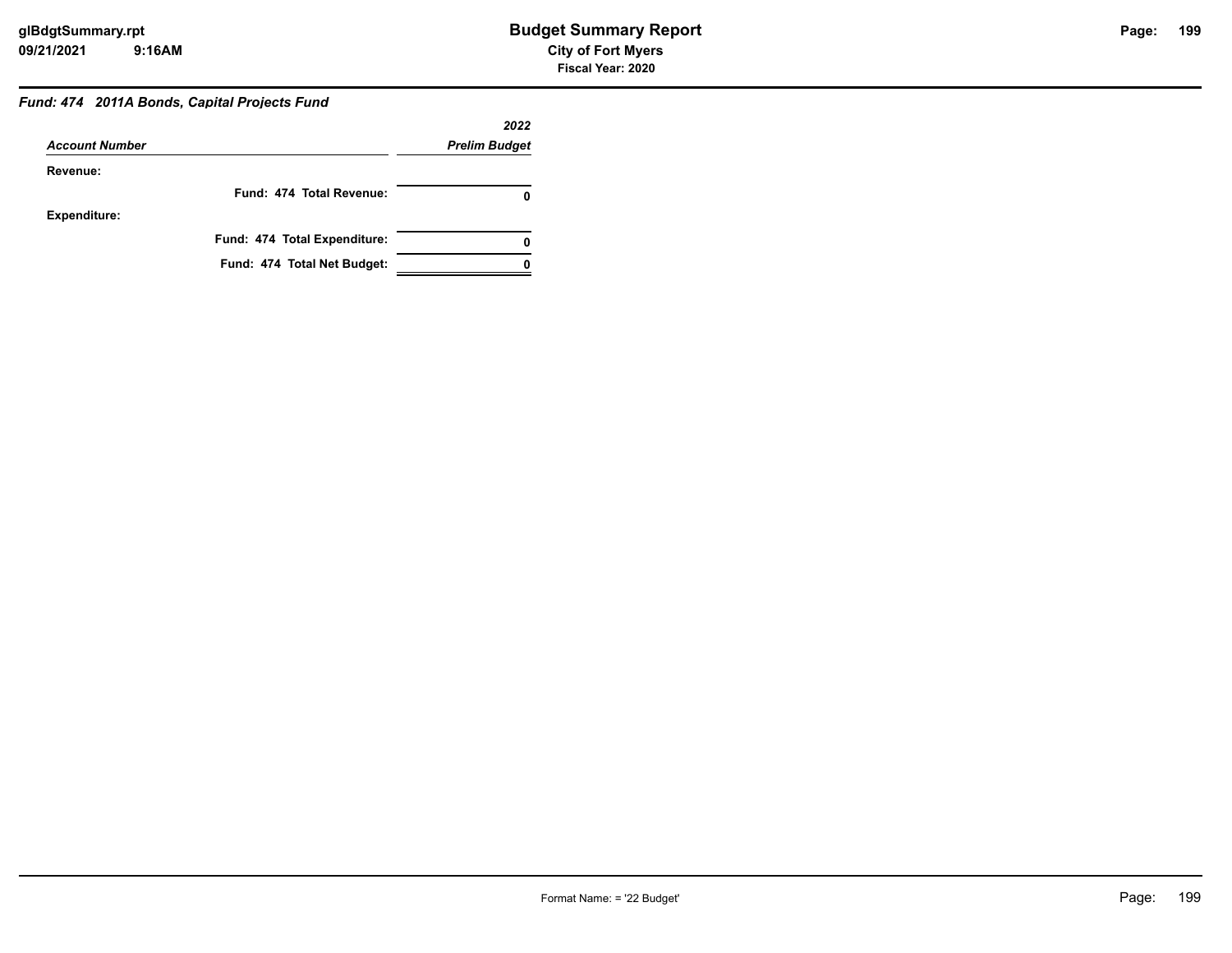#### *Fund: 474 2011A Bonds, Capital Projects Fund*

|                       |                              | 2022                 |
|-----------------------|------------------------------|----------------------|
| <b>Account Number</b> |                              | <b>Prelim Budget</b> |
| Revenue:              |                              |                      |
|                       | Fund: 474 Total Revenue:     |                      |
| <b>Expenditure:</b>   |                              |                      |
|                       | Fund: 474 Total Expenditure: |                      |
|                       | Fund: 474 Total Net Budget:  |                      |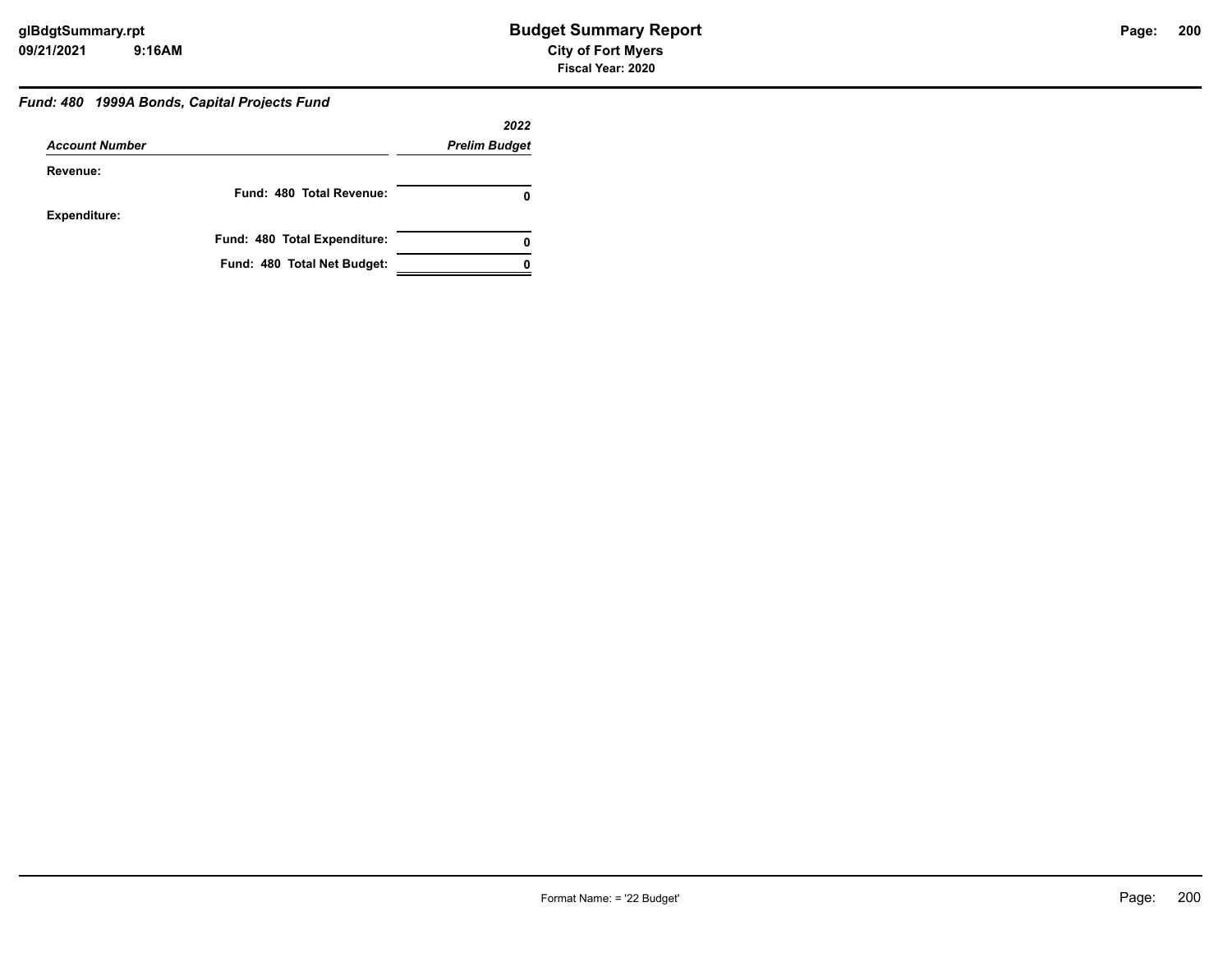### *Fund: 480 1999A Bonds, Capital Projects Fund*

|                       |                              | 2022                 |
|-----------------------|------------------------------|----------------------|
| <b>Account Number</b> |                              | <b>Prelim Budget</b> |
| Revenue:              |                              |                      |
|                       | Fund: 480 Total Revenue:     |                      |
| <b>Expenditure:</b>   |                              |                      |
|                       | Fund: 480 Total Expenditure: |                      |
|                       | Fund: 480 Total Net Budget:  |                      |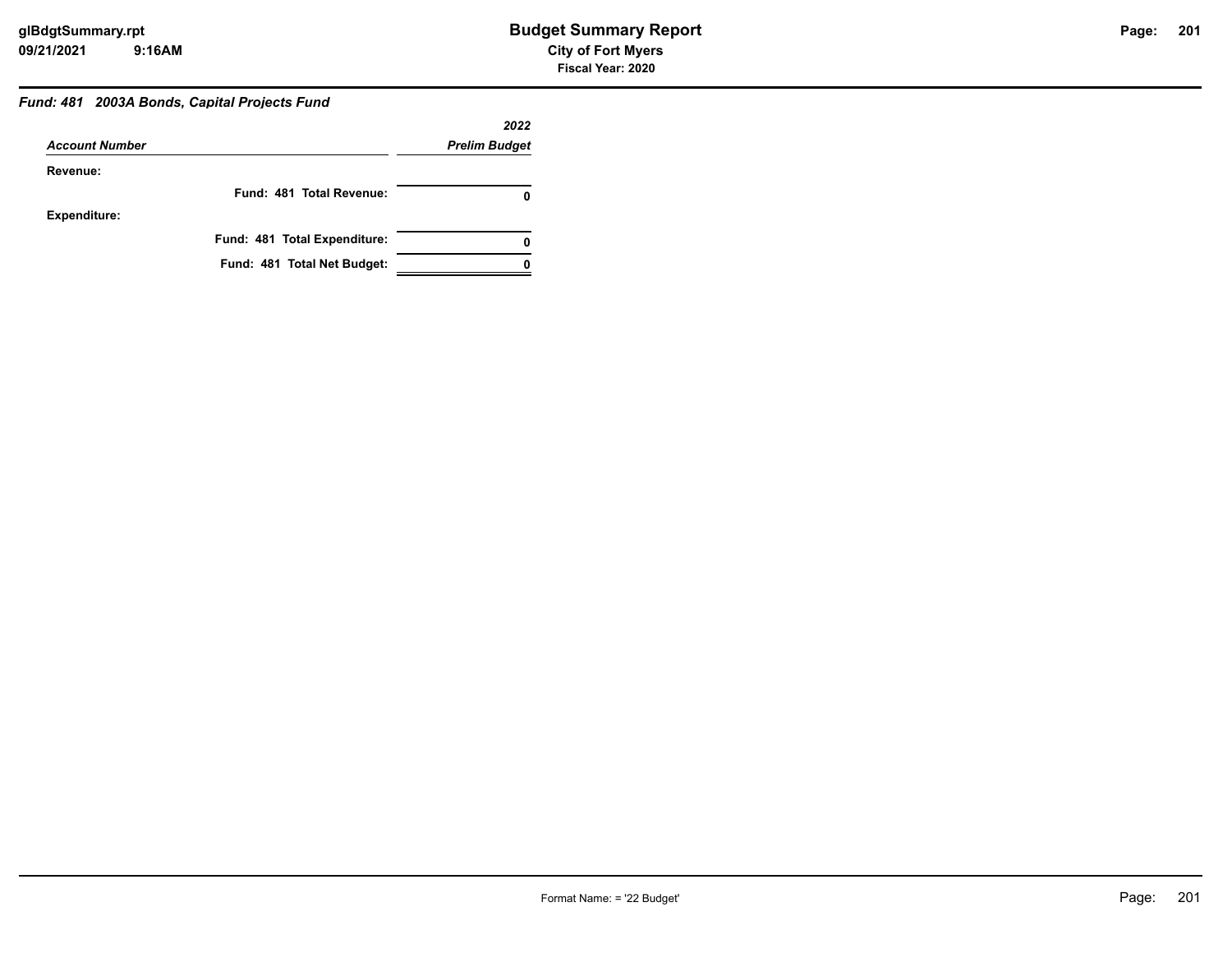### *Fund: 481 2003A Bonds, Capital Projects Fund*

|                       |                              | 2022                 |
|-----------------------|------------------------------|----------------------|
| <b>Account Number</b> |                              | <b>Prelim Budget</b> |
| Revenue:              |                              |                      |
|                       | Fund: 481 Total Revenue:     |                      |
| <b>Expenditure:</b>   |                              |                      |
|                       | Fund: 481 Total Expenditure: | 0                    |
|                       | Fund: 481 Total Net Budget:  |                      |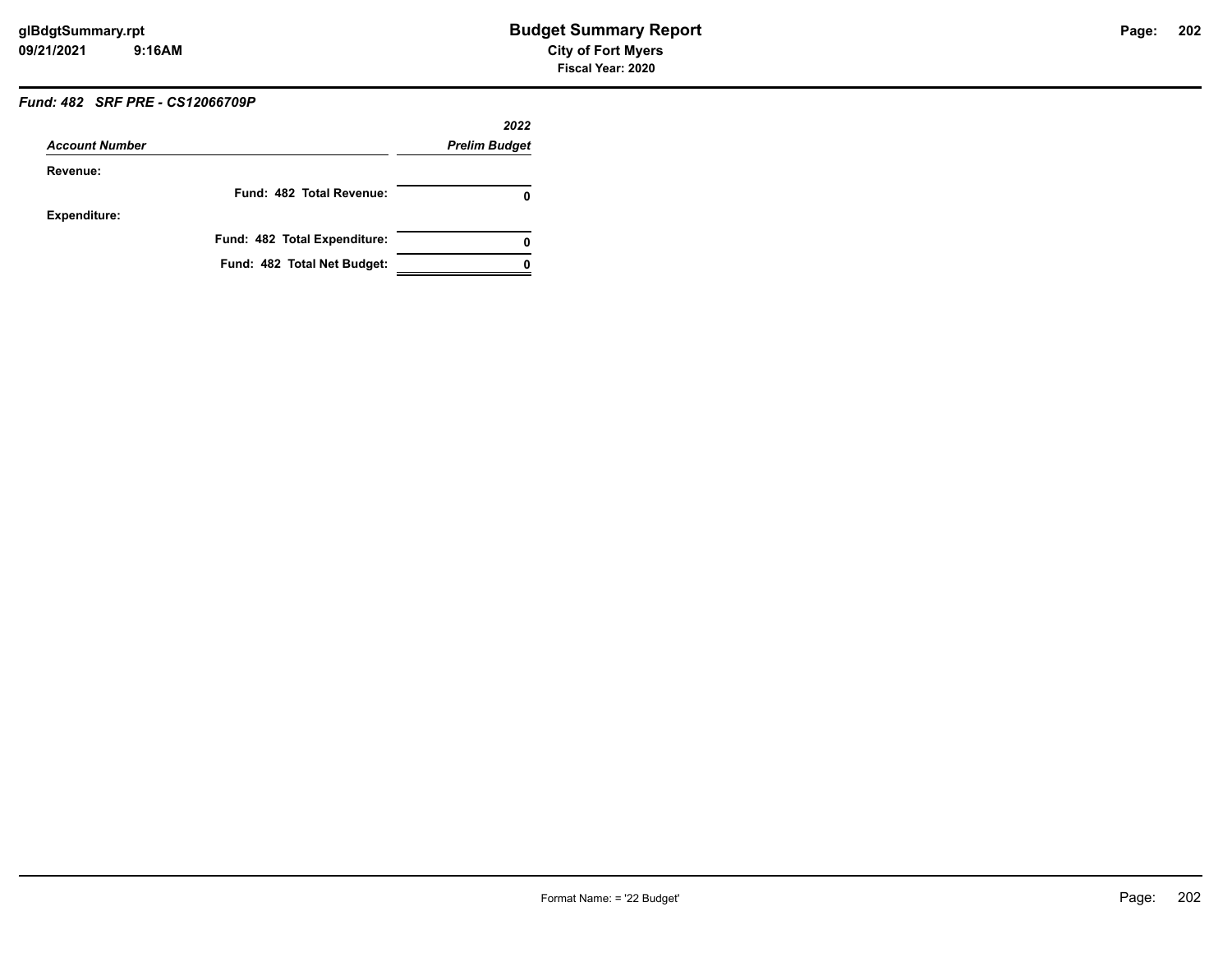### *Fund: 482 SRF PRE - CS12066709P*

|                       |                              | 2022                 |
|-----------------------|------------------------------|----------------------|
| <b>Account Number</b> |                              | <b>Prelim Budget</b> |
| Revenue:              |                              |                      |
|                       | Fund: 482 Total Revenue:     | 0                    |
| <b>Expenditure:</b>   |                              |                      |
|                       | Fund: 482 Total Expenditure: | 0                    |
|                       | Fund: 482 Total Net Budget:  |                      |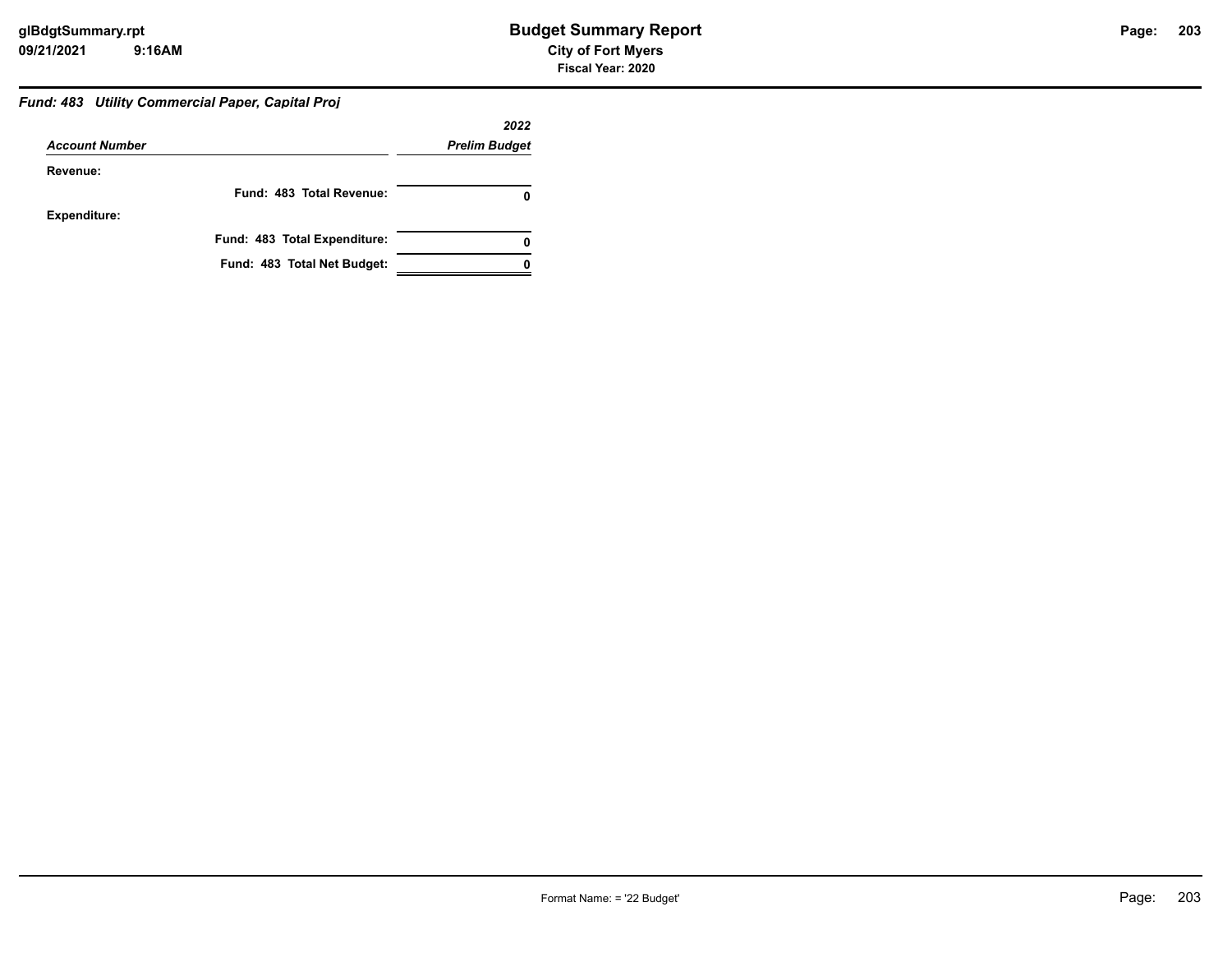### *Fund: 483 Utility Commercial Paper, Capital Proj*

|                       |                              | 2022                 |
|-----------------------|------------------------------|----------------------|
| <b>Account Number</b> |                              | <b>Prelim Budget</b> |
| Revenue:              |                              |                      |
|                       | Fund: 483 Total Revenue:     |                      |
| <b>Expenditure:</b>   |                              |                      |
|                       | Fund: 483 Total Expenditure: | 0                    |
|                       | Fund: 483 Total Net Budget:  |                      |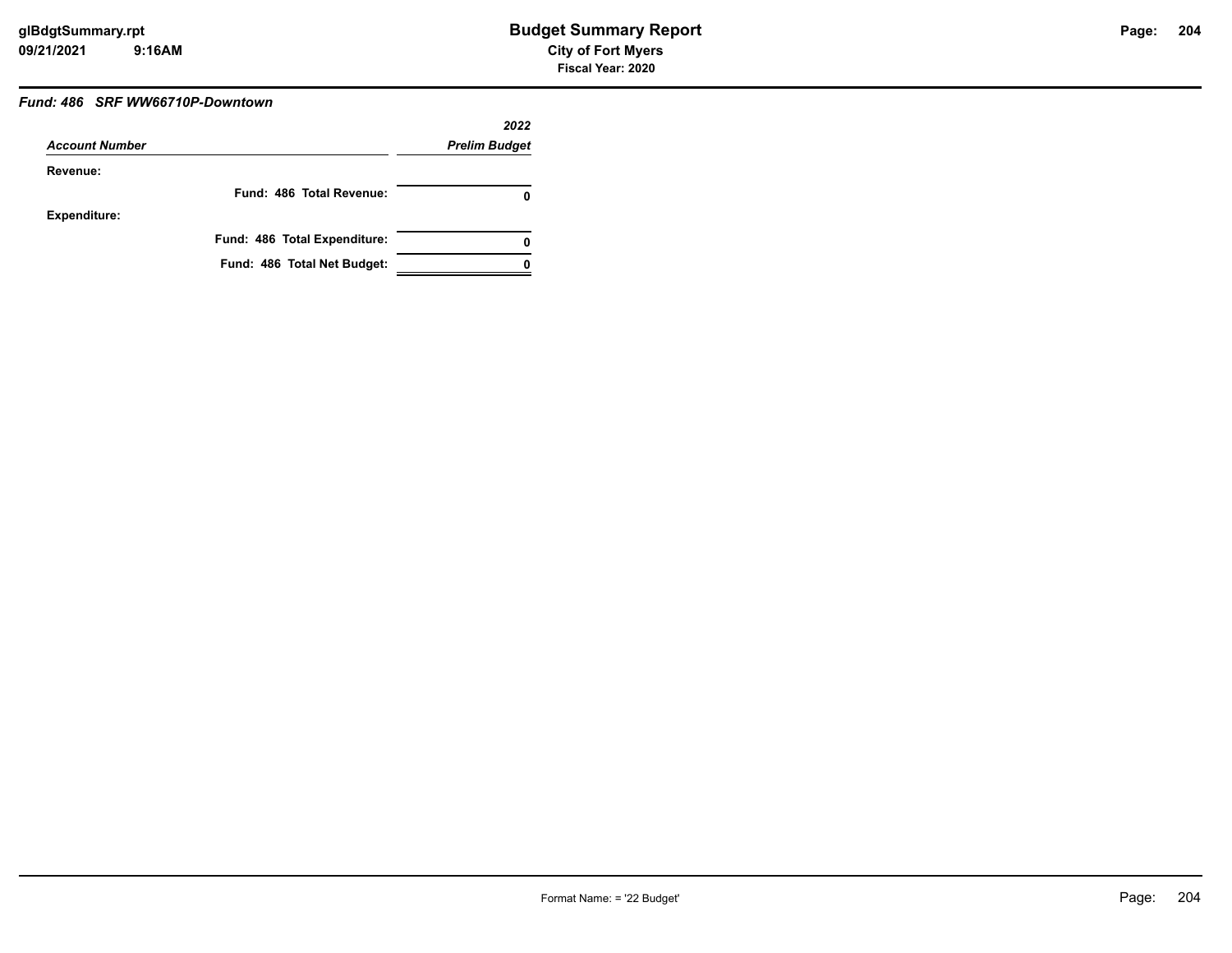#### *Fund: 486 SRF WW66710P-Downtown*

|                       |                              | 2022                 |
|-----------------------|------------------------------|----------------------|
| <b>Account Number</b> |                              | <b>Prelim Budget</b> |
| Revenue:              |                              |                      |
|                       | Fund: 486 Total Revenue:     | 0                    |
| Expenditure:          |                              |                      |
|                       | Fund: 486 Total Expenditure: | 0                    |
|                       | Fund: 486 Total Net Budget:  |                      |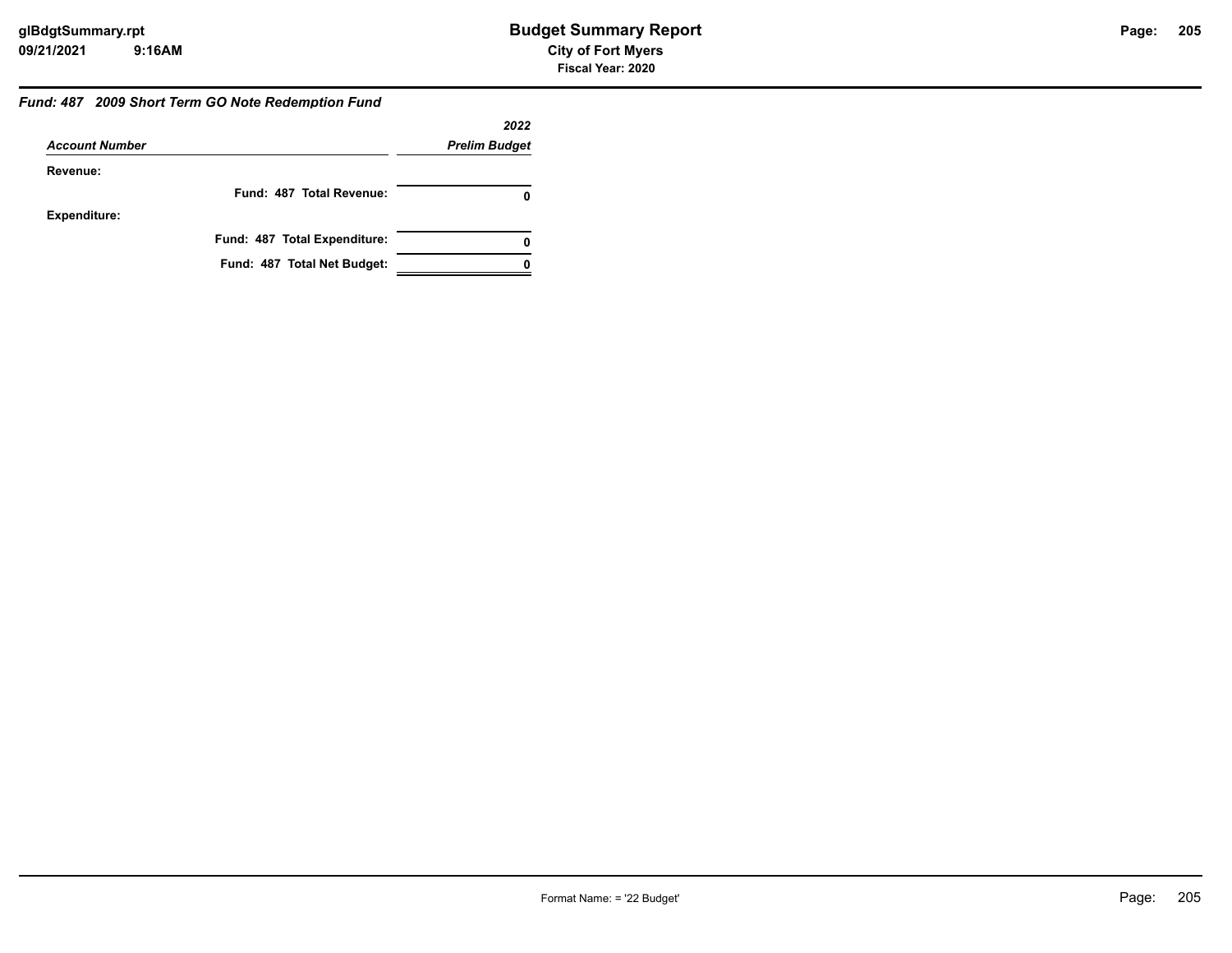#### *Fund: 487 2009 Short Term GO Note Redemption Fund*

|                       |                              | 2022                 |
|-----------------------|------------------------------|----------------------|
| <b>Account Number</b> |                              | <b>Prelim Budget</b> |
| Revenue:              |                              |                      |
|                       | Fund: 487 Total Revenue:     | 0                    |
| <b>Expenditure:</b>   |                              |                      |
|                       | Fund: 487 Total Expenditure: | 0                    |
|                       | Fund: 487 Total Net Budget:  |                      |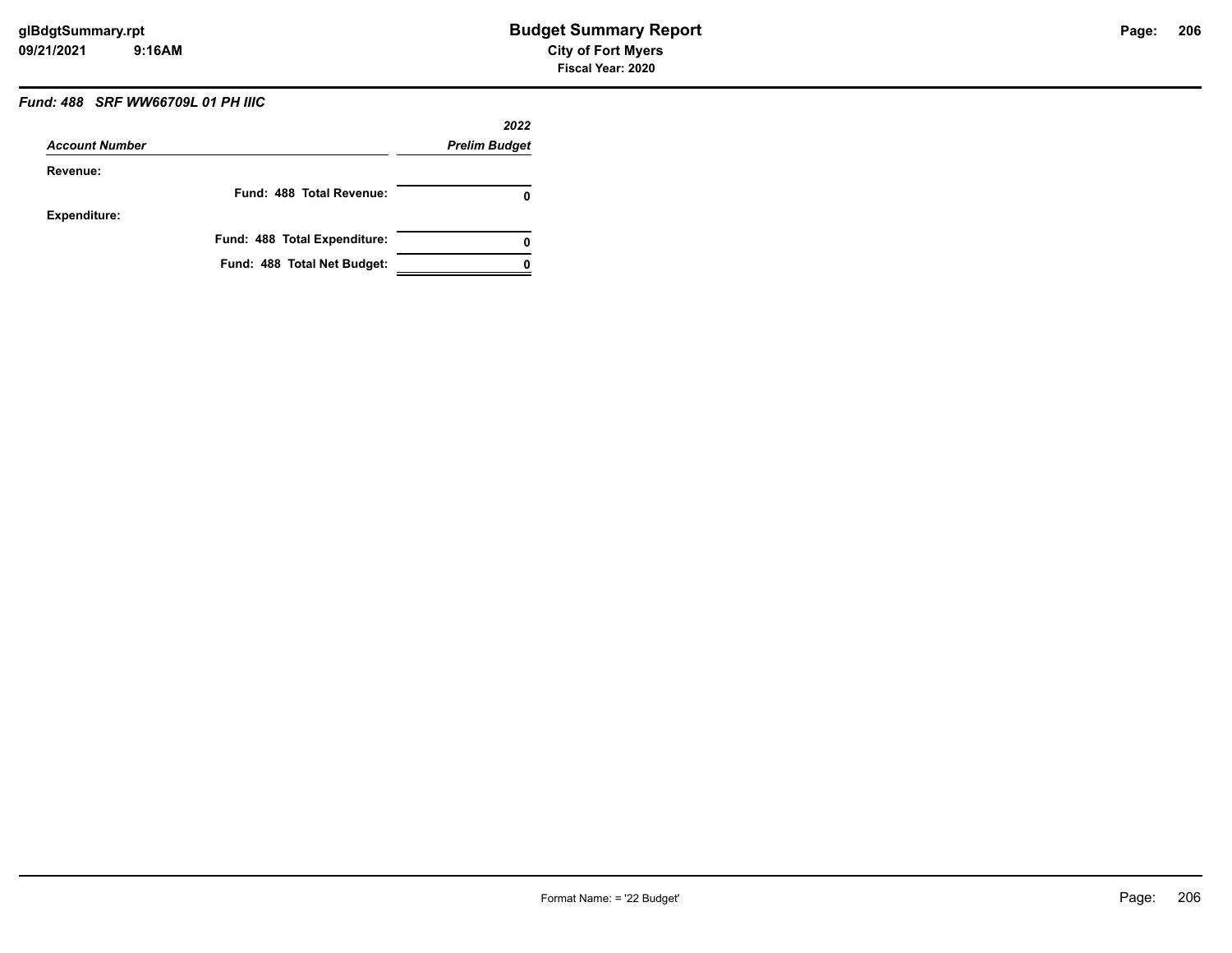### *Fund: 488 SRF WW66709L 01 PH IIIC*

| <b>Account Number</b> |                              | 2022<br><b>Prelim Budget</b> |
|-----------------------|------------------------------|------------------------------|
|                       |                              |                              |
|                       | Fund: 488 Total Revenue:     | 0                            |
| <b>Expenditure:</b>   |                              |                              |
|                       | Fund: 488 Total Expenditure: | 0                            |
|                       | Fund: 488 Total Net Budget:  |                              |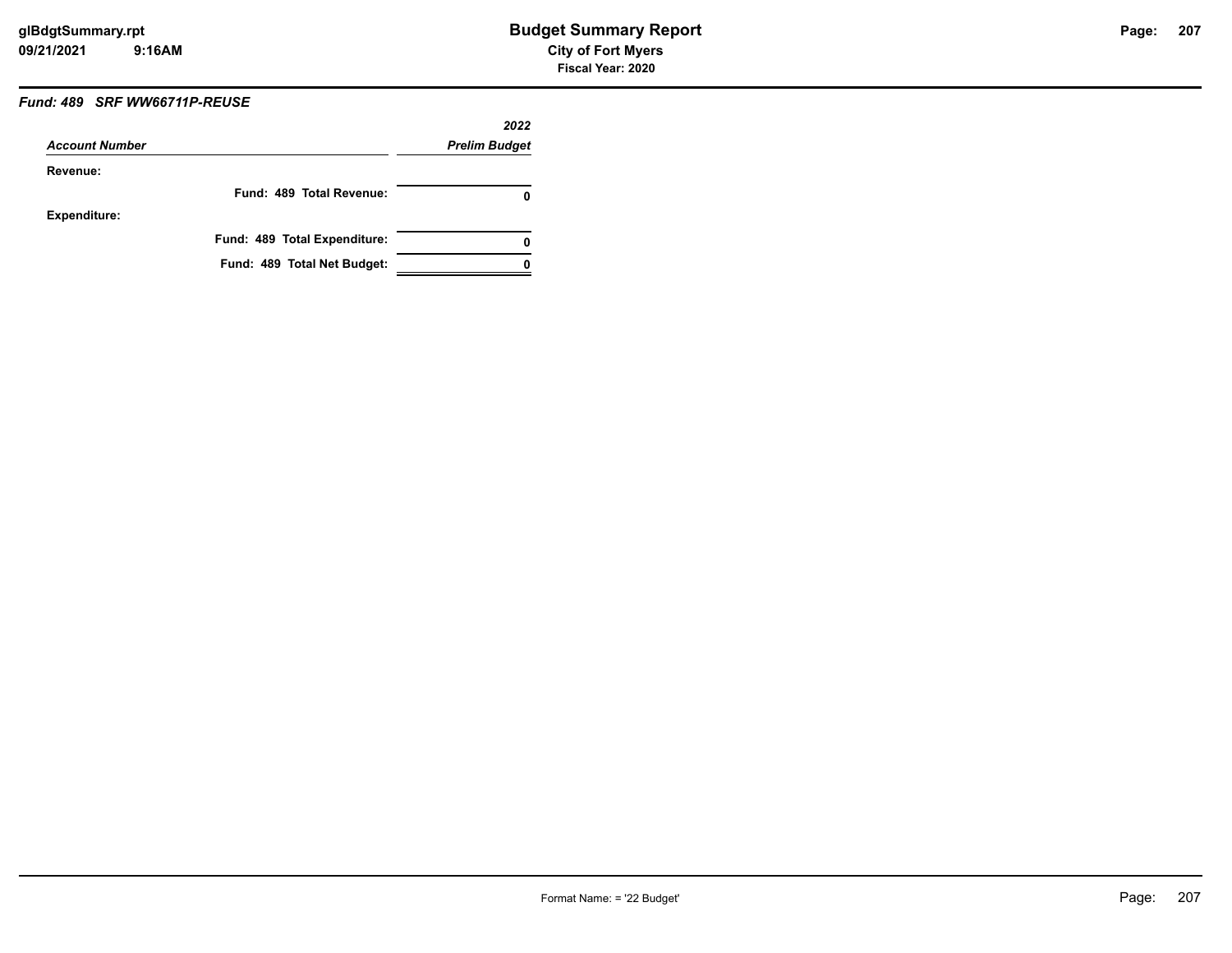### *Fund: 489 SRF WW66711P-REUSE*

|                       |                              | 2022                 |
|-----------------------|------------------------------|----------------------|
| <b>Account Number</b> |                              | <b>Prelim Budget</b> |
| Revenue:              |                              |                      |
|                       | Fund: 489 Total Revenue:     | O                    |
| <b>Expenditure:</b>   |                              |                      |
|                       | Fund: 489 Total Expenditure: | 0                    |
|                       | Fund: 489 Total Net Budget:  |                      |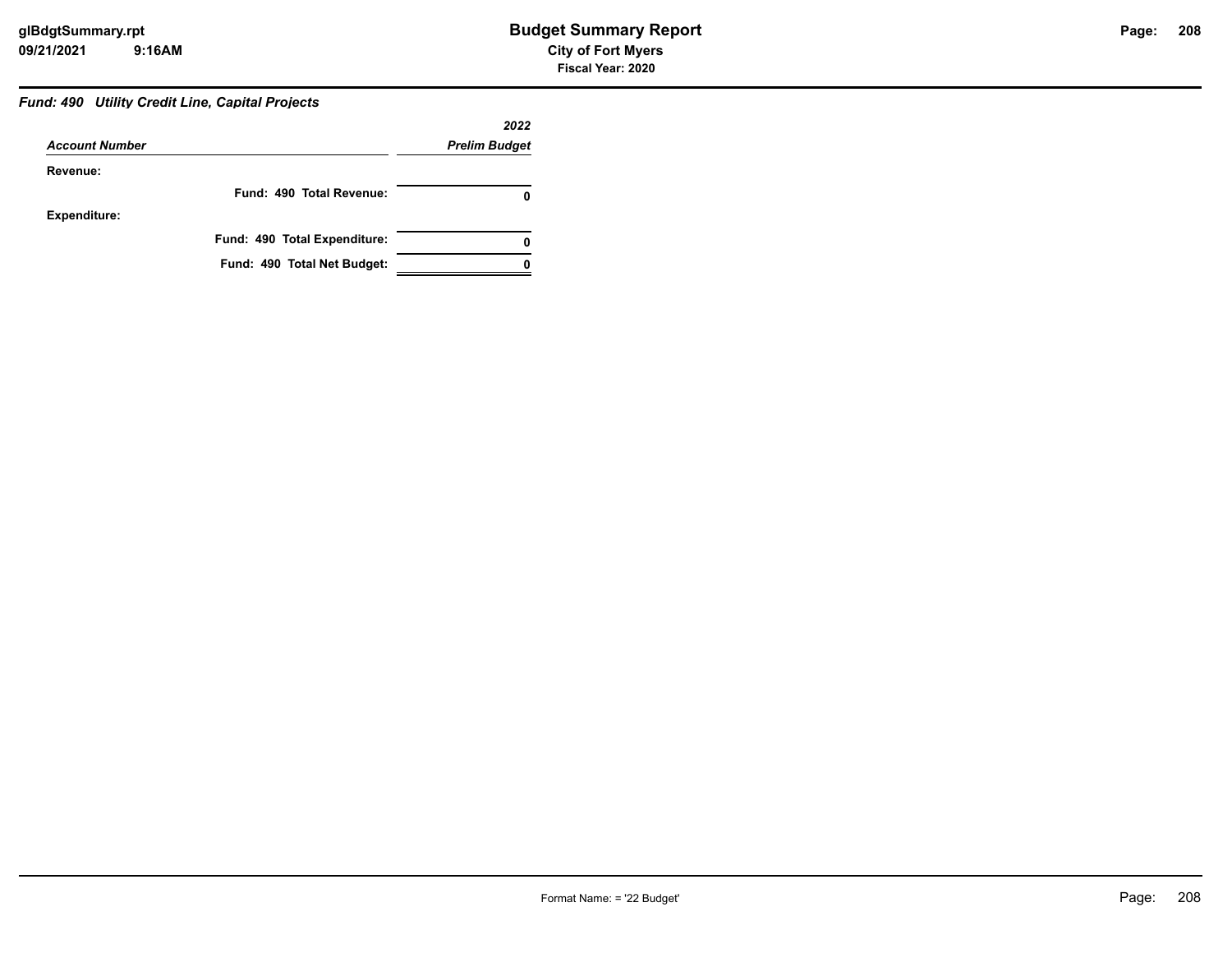### **208**

#### *Fund: 490 Utility Credit Line, Capital Projects*

|                       |                              | 2022                 |
|-----------------------|------------------------------|----------------------|
| <b>Account Number</b> |                              | <b>Prelim Budget</b> |
| Revenue:              |                              |                      |
|                       | Fund: 490 Total Revenue:     |                      |
| <b>Expenditure:</b>   |                              |                      |
|                       | Fund: 490 Total Expenditure: |                      |
|                       | Fund: 490 Total Net Budget:  |                      |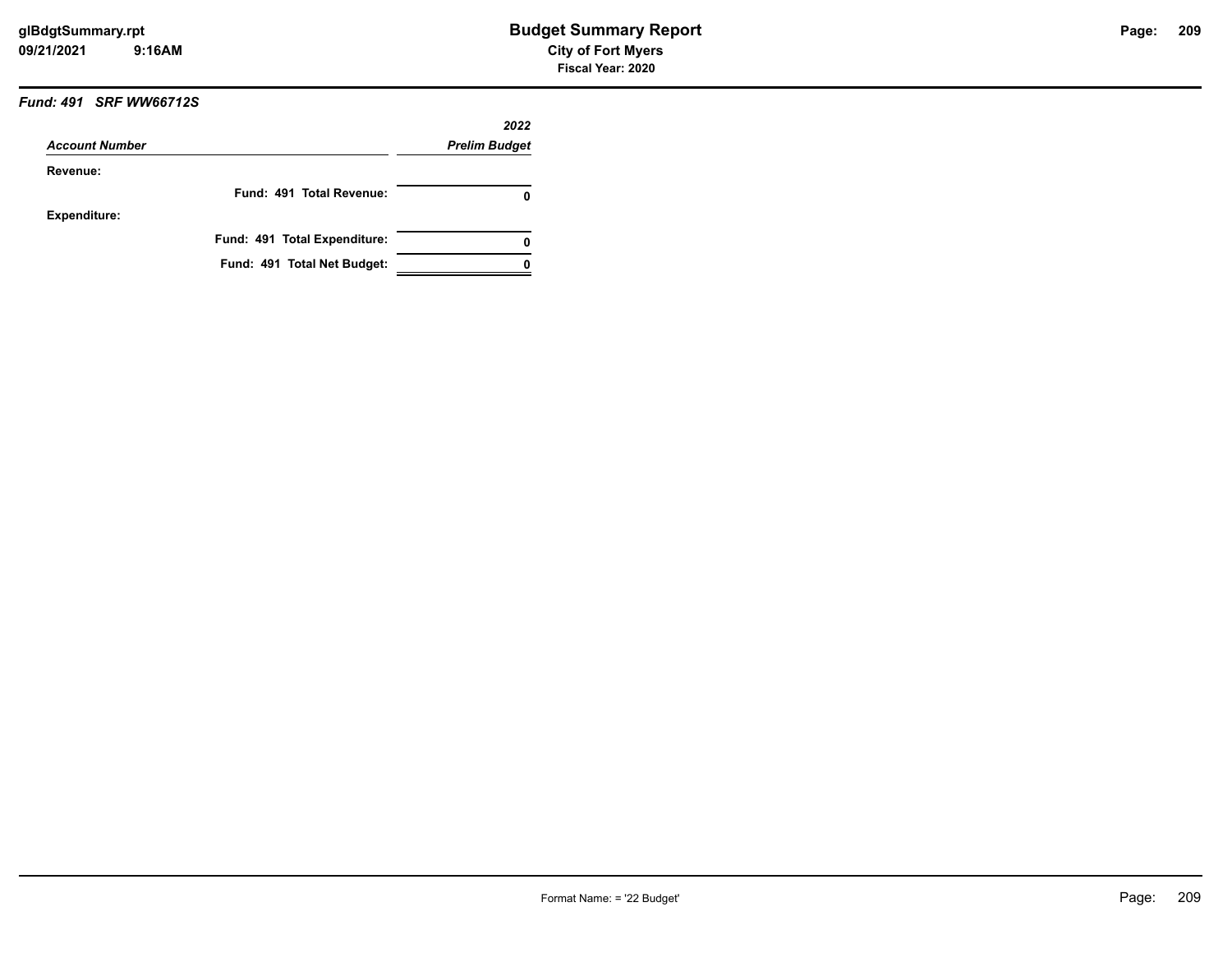#### *Fund: 491 SRF WW66712S*

| <b>Account Number</b> |                              | 2022<br><b>Prelim Budget</b> |
|-----------------------|------------------------------|------------------------------|
|                       |                              |                              |
|                       | Fund: 491 Total Revenue:     | o                            |
| <b>Expenditure:</b>   |                              |                              |
|                       | Fund: 491 Total Expenditure: |                              |
|                       | Fund: 491 Total Net Budget:  |                              |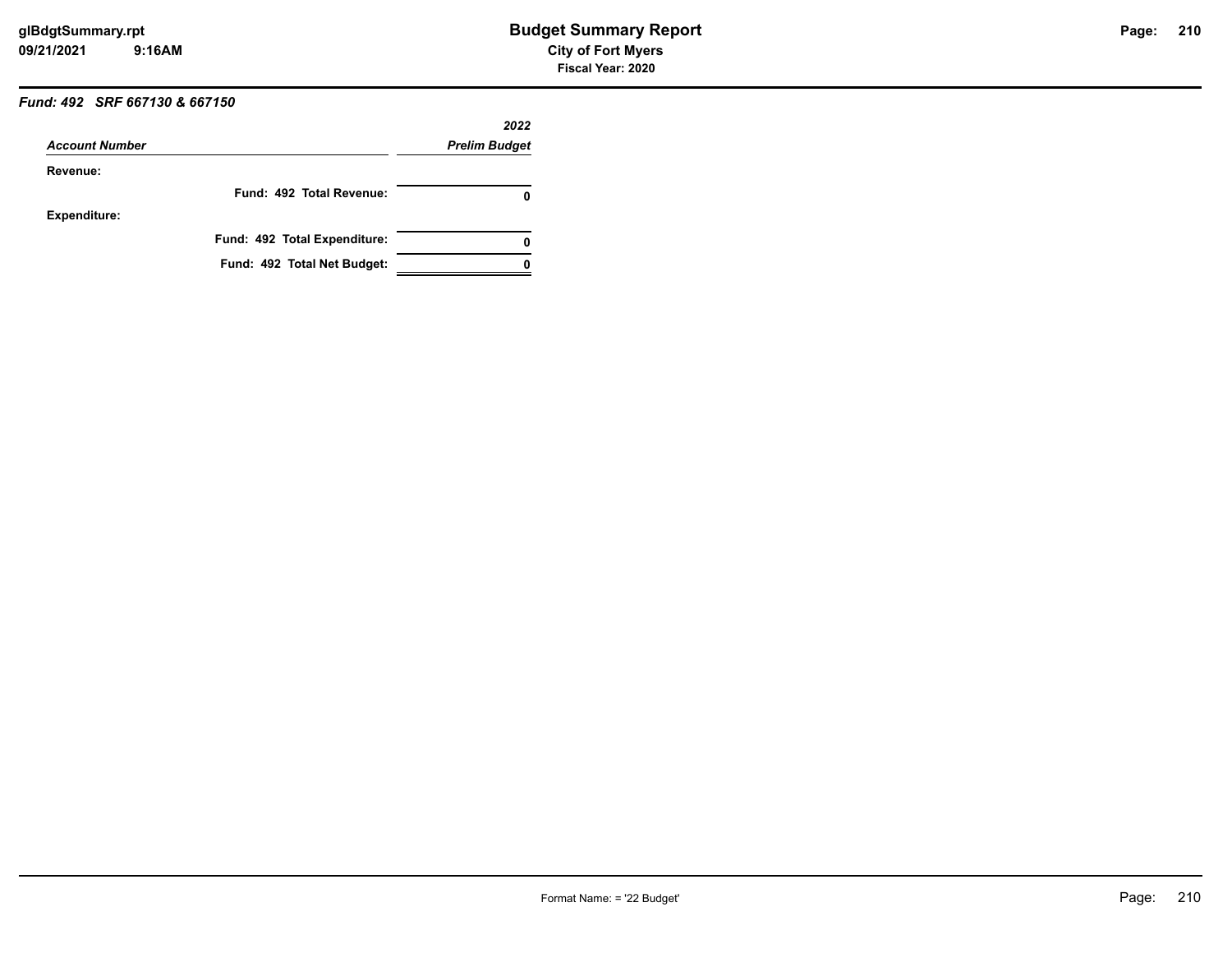### *Fund: 492 SRF 667130 & 667150*

| <b>Account Number</b> |                              | 2022<br><b>Prelim Budget</b> |
|-----------------------|------------------------------|------------------------------|
|                       |                              |                              |
|                       | Fund: 492 Total Revenue:     | 0                            |
| <b>Expenditure:</b>   |                              |                              |
|                       | Fund: 492 Total Expenditure: | 0                            |
|                       | Fund: 492 Total Net Budget:  |                              |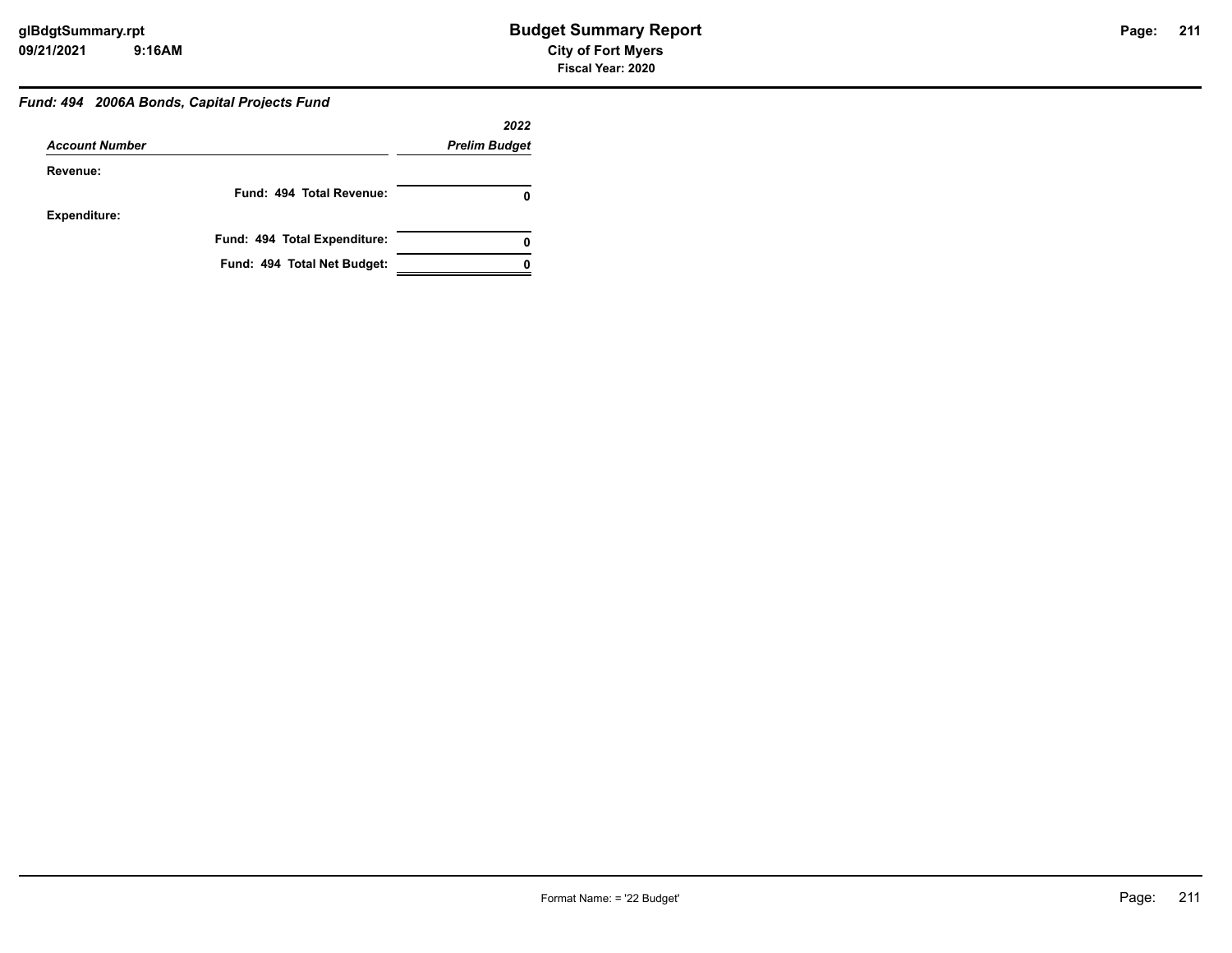## **211**

### *Fund: 494 2006A Bonds, Capital Projects Fund*

|                       |                              | 2022                 |
|-----------------------|------------------------------|----------------------|
| <b>Account Number</b> |                              | <b>Prelim Budget</b> |
| Revenue:              |                              |                      |
|                       | Fund: 494 Total Revenue:     | 0                    |
| <b>Expenditure:</b>   |                              |                      |
|                       | Fund: 494 Total Expenditure: | 0                    |
|                       | Fund: 494 Total Net Budget:  |                      |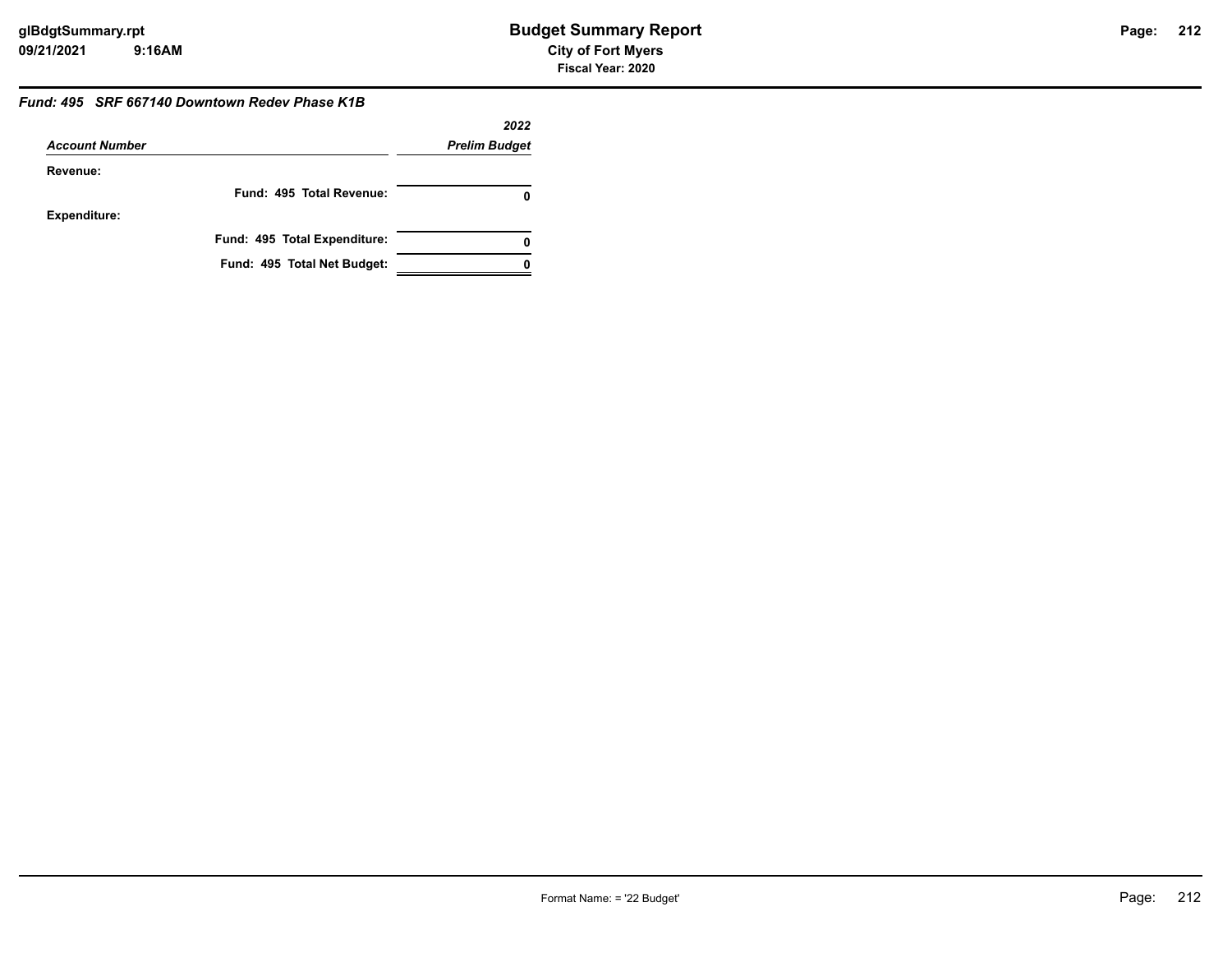#### *Fund: 495 SRF 667140 Downtown Redev Phase K1B*

|                       |                              | 2022                 |
|-----------------------|------------------------------|----------------------|
| <b>Account Number</b> |                              | <b>Prelim Budget</b> |
| Revenue:              |                              |                      |
|                       | Fund: 495 Total Revenue:     |                      |
| <b>Expenditure:</b>   |                              |                      |
|                       | Fund: 495 Total Expenditure: |                      |
|                       | Fund: 495 Total Net Budget:  |                      |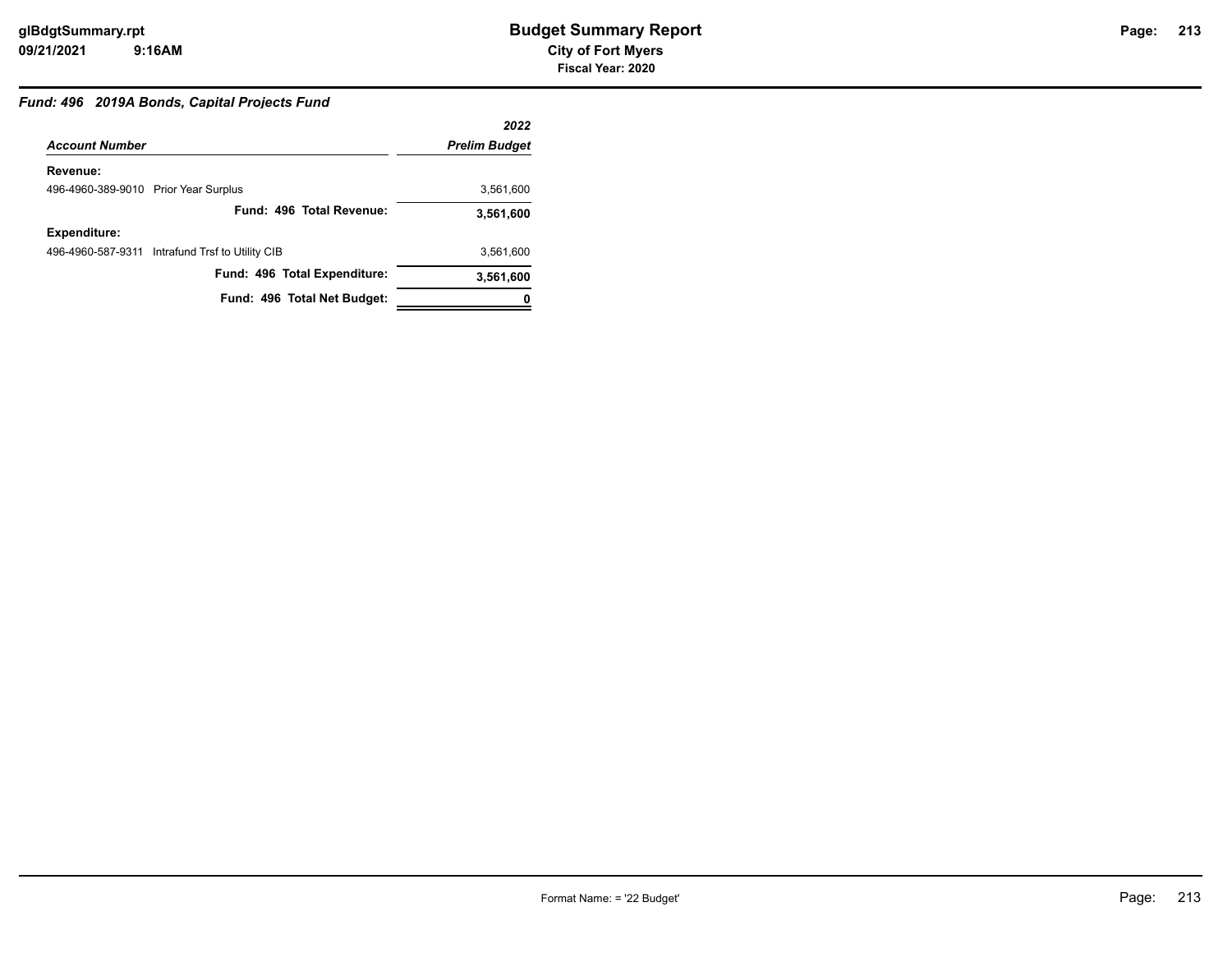### *Fund: 496 2019A Bonds, Capital Projects Fund*

|                                                 | 2022                 |
|-------------------------------------------------|----------------------|
| <b>Account Number</b>                           | <b>Prelim Budget</b> |
| Revenue:                                        |                      |
| 496-4960-389-9010 Prior Year Surplus            | 3,561,600            |
| Fund: 496 Total Revenue:                        | 3,561,600            |
| Expenditure:                                    |                      |
| 496-4960-587-9311 Intrafund Trsf to Utility CIB | 3.561.600            |
| Fund: 496 Total Expenditure:                    | 3,561,600            |
| Fund: 496 Total Net Budget:                     |                      |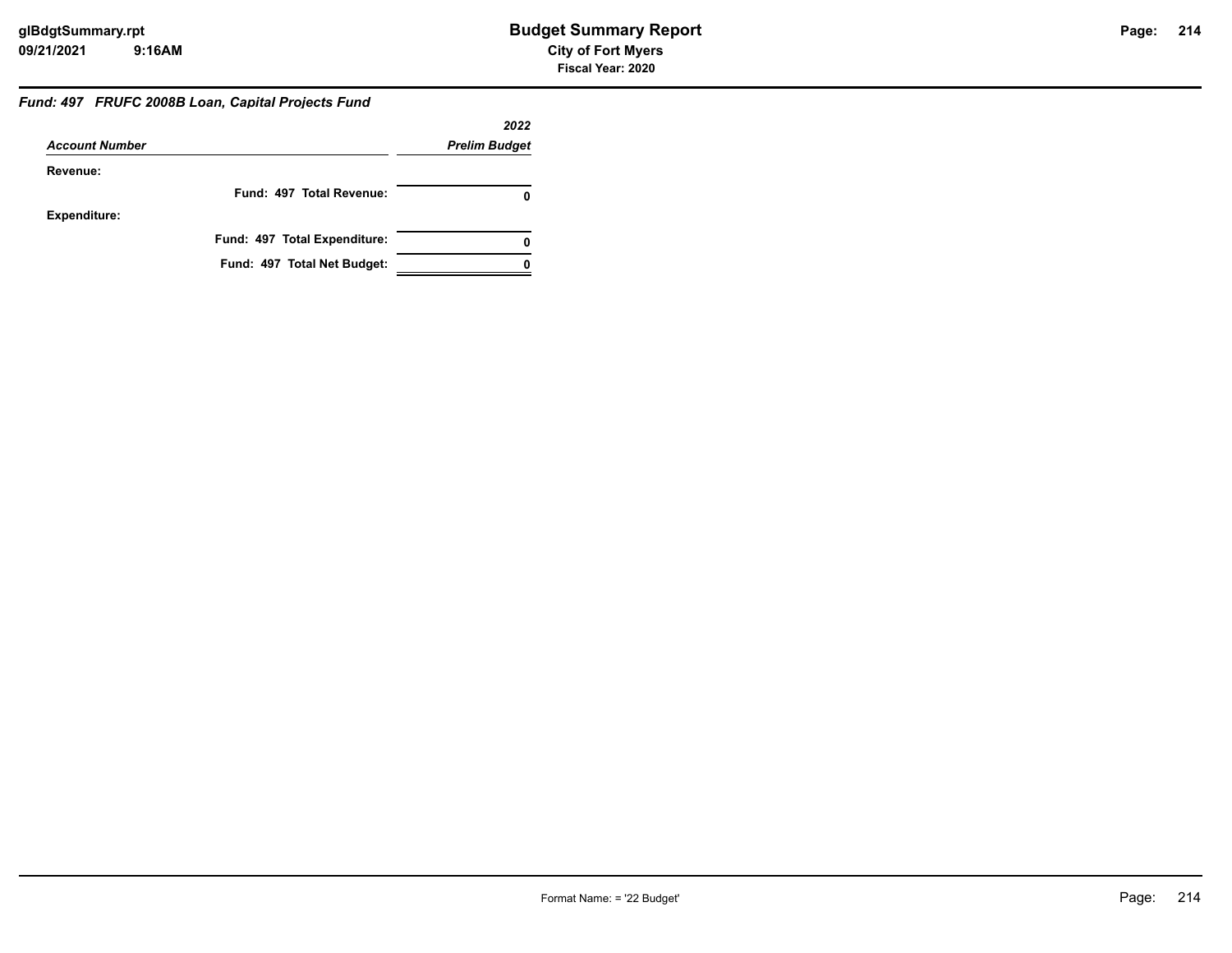#### *Fund: 497 FRUFC 2008B Loan, Capital Projects Fund*

|                       |                              | 2022                 |
|-----------------------|------------------------------|----------------------|
| <b>Account Number</b> |                              | <b>Prelim Budget</b> |
| Revenue:              |                              |                      |
|                       | Fund: 497 Total Revenue:     |                      |
| <b>Expenditure:</b>   |                              |                      |
|                       | Fund: 497 Total Expenditure: | 0                    |
|                       | Fund: 497 Total Net Budget:  |                      |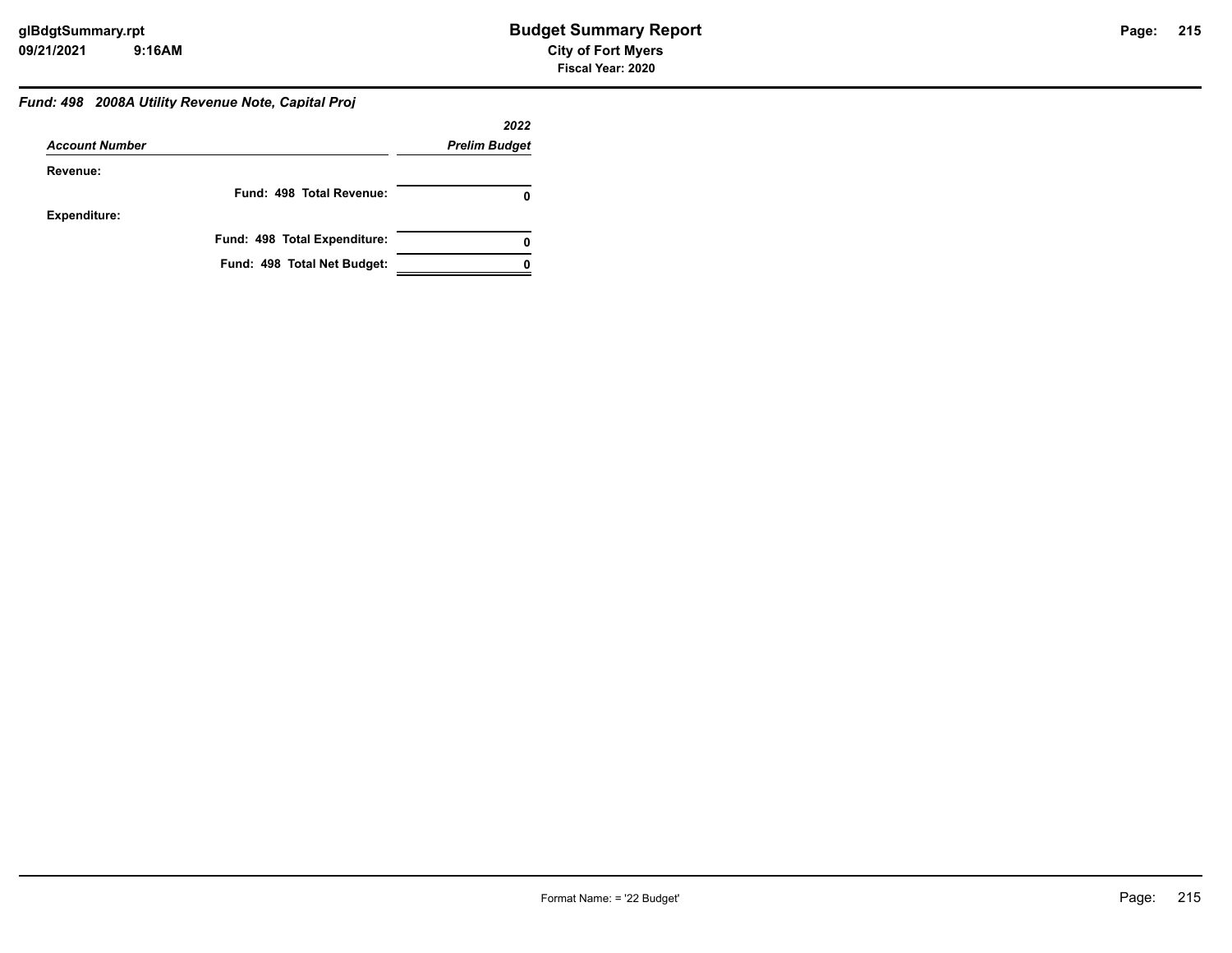### *Fund: 498 2008A Utility Revenue Note, Capital Proj*

|                       |                              | 2022                 |
|-----------------------|------------------------------|----------------------|
| <b>Account Number</b> |                              | <b>Prelim Budget</b> |
| Revenue:              |                              |                      |
|                       | Fund: 498 Total Revenue:     |                      |
| <b>Expenditure:</b>   |                              |                      |
|                       | Fund: 498 Total Expenditure: | 0                    |
|                       | Fund: 498 Total Net Budget:  |                      |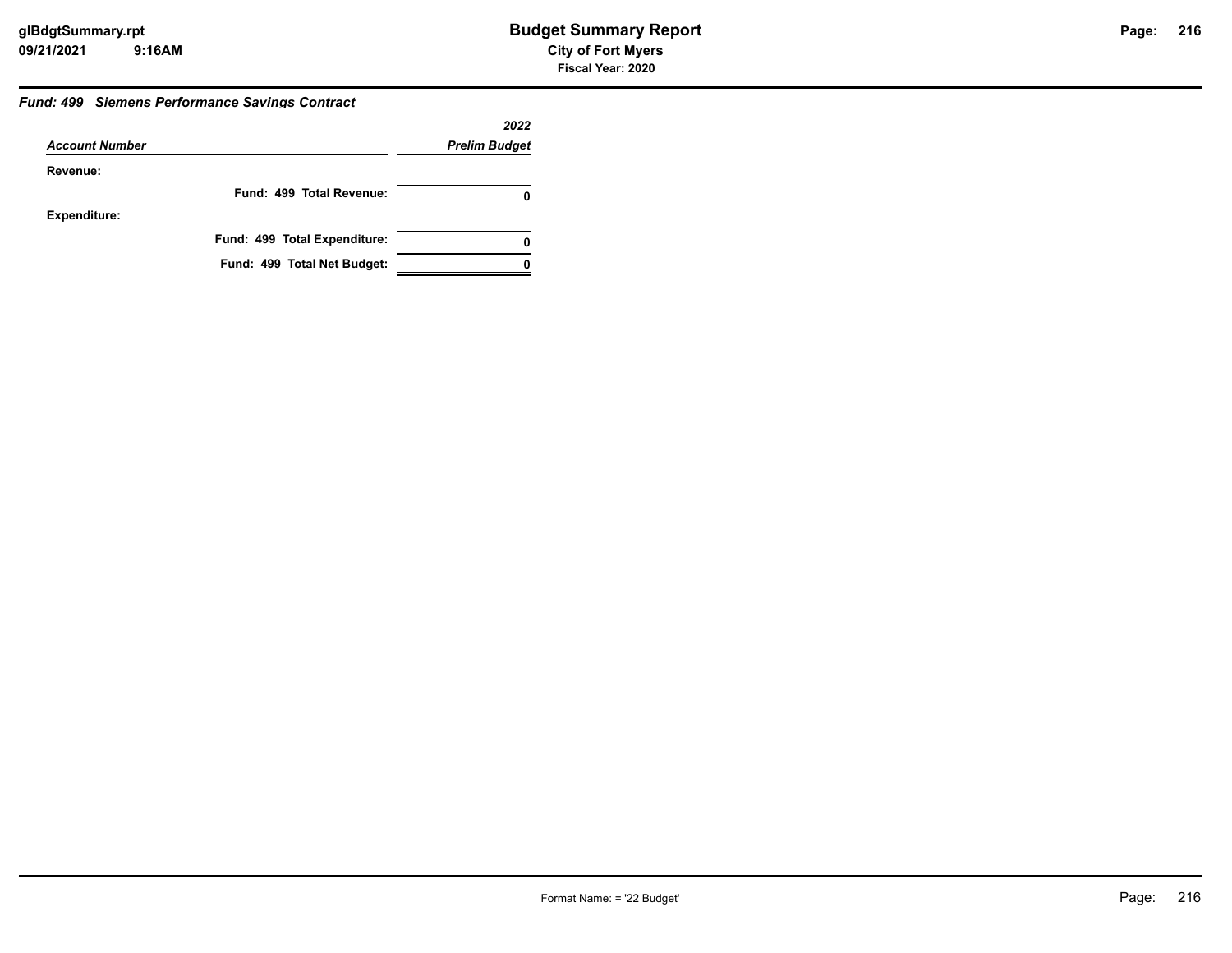#### *Fund: 499 Siemens Performance Savings Contract*

|                       |                              | 2022                 |
|-----------------------|------------------------------|----------------------|
| <b>Account Number</b> |                              | <b>Prelim Budget</b> |
| Revenue:              |                              |                      |
|                       | Fund: 499 Total Revenue:     | 0                    |
| <b>Expenditure:</b>   |                              |                      |
|                       | Fund: 499 Total Expenditure: | 0                    |
|                       | Fund: 499 Total Net Budget:  |                      |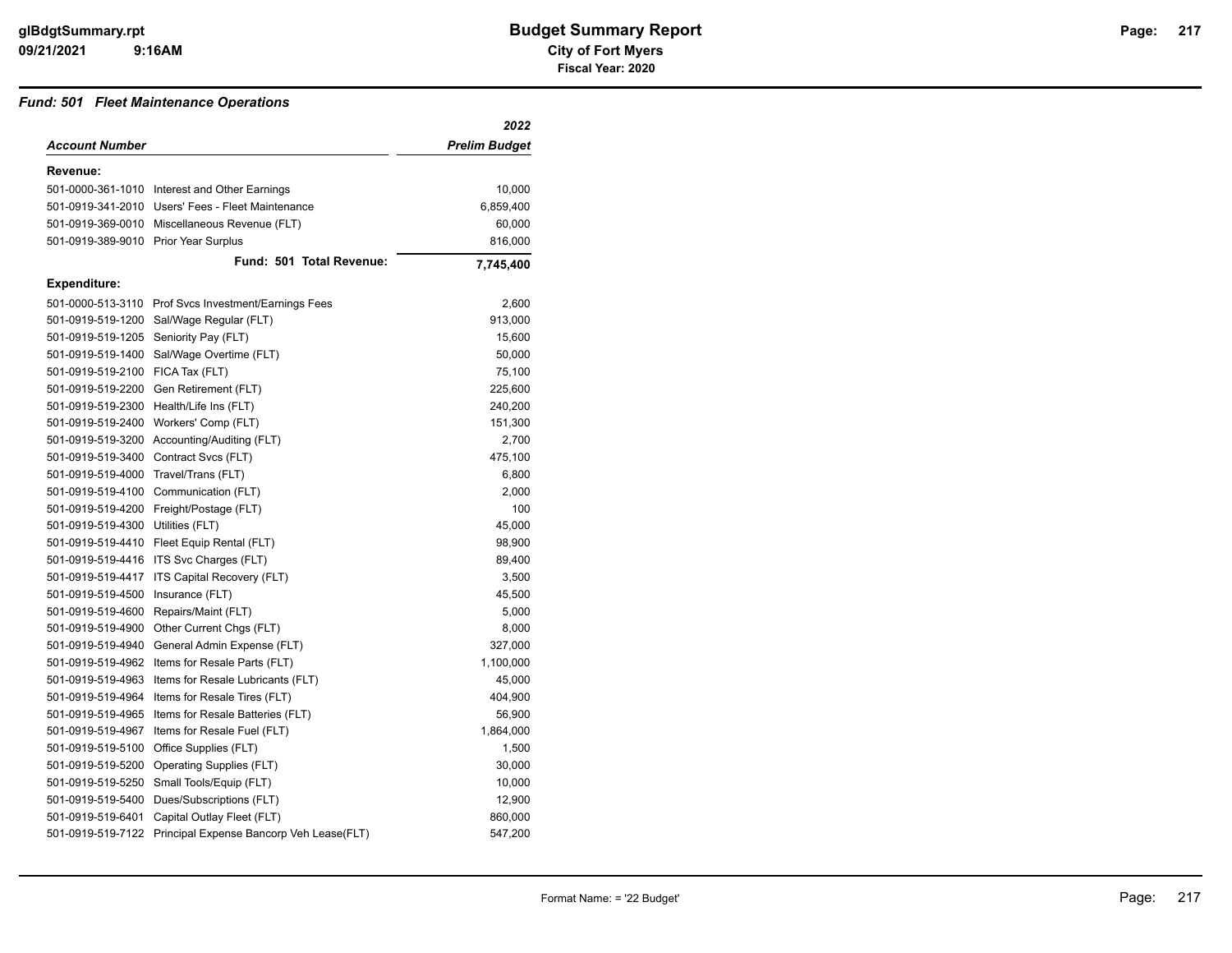#### *Fund: 501 Fleet Maintenance Operations*

| <b>Account Number</b><br><b>Prelim Budget</b><br>Revenue:<br>501-0000-361-1010 Interest and Other Earnings<br>10,000<br>501-0919-341-2010 Users' Fees - Fleet Maintenance<br>6,859,400<br>501-0919-369-0010 Miscellaneous Revenue (FLT)<br>60,000<br>501-0919-389-9010 Prior Year Surplus<br>816,000<br>Fund: 501 Total Revenue:<br>7,745,400<br><b>Expenditure:</b><br>501-0000-513-3110<br>Prof Svcs Investment/Earnings Fees<br>2,600<br>501-0919-519-1200<br>Sal/Wage Regular (FLT)<br>913,000<br>501-0919-519-1205<br>Seniority Pay (FLT)<br>15,600<br>501-0919-519-1400<br>Sal/Wage Overtime (FLT)<br>50,000<br>501-0919-519-2100 FICA Tax (FLT)<br>75,100<br>501-0919-519-2200<br>Gen Retirement (FLT)<br>225,600<br>501-0919-519-2300<br>Health/Life Ins (FLT)<br>240,200<br>501-0919-519-2400<br>151,300<br>Workers' Comp (FLT)<br>501-0919-519-3200<br>Accounting/Auditing (FLT)<br>2,700<br>501-0919-519-3400<br>475,100<br>Contract Svcs (FLT)<br>501-0919-519-4000<br>Travel/Trans (FLT)<br>6,800<br>501-0919-519-4100<br>Communication (FLT)<br>2,000<br>501-0919-519-4200<br>Freight/Postage (FLT)<br>100<br>501-0919-519-4300<br>Utilities (FLT)<br>45,000<br>501-0919-519-4410<br>Fleet Equip Rental (FLT)<br>98,900<br>501-0919-519-4416<br>ITS Svc Charges (FLT)<br>89,400<br>501-0919-519-4417<br>ITS Capital Recovery (FLT)<br>3,500<br>501-0919-519-4500<br>Insurance (FLT)<br>45,500<br>501-0919-519-4600<br>Repairs/Maint (FLT)<br>5,000 |
|------------------------------------------------------------------------------------------------------------------------------------------------------------------------------------------------------------------------------------------------------------------------------------------------------------------------------------------------------------------------------------------------------------------------------------------------------------------------------------------------------------------------------------------------------------------------------------------------------------------------------------------------------------------------------------------------------------------------------------------------------------------------------------------------------------------------------------------------------------------------------------------------------------------------------------------------------------------------------------------------------------------------------------------------------------------------------------------------------------------------------------------------------------------------------------------------------------------------------------------------------------------------------------------------------------------------------------------------------------------------------------------------------------------------------------------------------------------|
|                                                                                                                                                                                                                                                                                                                                                                                                                                                                                                                                                                                                                                                                                                                                                                                                                                                                                                                                                                                                                                                                                                                                                                                                                                                                                                                                                                                                                                                                  |
|                                                                                                                                                                                                                                                                                                                                                                                                                                                                                                                                                                                                                                                                                                                                                                                                                                                                                                                                                                                                                                                                                                                                                                                                                                                                                                                                                                                                                                                                  |
|                                                                                                                                                                                                                                                                                                                                                                                                                                                                                                                                                                                                                                                                                                                                                                                                                                                                                                                                                                                                                                                                                                                                                                                                                                                                                                                                                                                                                                                                  |
|                                                                                                                                                                                                                                                                                                                                                                                                                                                                                                                                                                                                                                                                                                                                                                                                                                                                                                                                                                                                                                                                                                                                                                                                                                                                                                                                                                                                                                                                  |
|                                                                                                                                                                                                                                                                                                                                                                                                                                                                                                                                                                                                                                                                                                                                                                                                                                                                                                                                                                                                                                                                                                                                                                                                                                                                                                                                                                                                                                                                  |
|                                                                                                                                                                                                                                                                                                                                                                                                                                                                                                                                                                                                                                                                                                                                                                                                                                                                                                                                                                                                                                                                                                                                                                                                                                                                                                                                                                                                                                                                  |
|                                                                                                                                                                                                                                                                                                                                                                                                                                                                                                                                                                                                                                                                                                                                                                                                                                                                                                                                                                                                                                                                                                                                                                                                                                                                                                                                                                                                                                                                  |
|                                                                                                                                                                                                                                                                                                                                                                                                                                                                                                                                                                                                                                                                                                                                                                                                                                                                                                                                                                                                                                                                                                                                                                                                                                                                                                                                                                                                                                                                  |
|                                                                                                                                                                                                                                                                                                                                                                                                                                                                                                                                                                                                                                                                                                                                                                                                                                                                                                                                                                                                                                                                                                                                                                                                                                                                                                                                                                                                                                                                  |
|                                                                                                                                                                                                                                                                                                                                                                                                                                                                                                                                                                                                                                                                                                                                                                                                                                                                                                                                                                                                                                                                                                                                                                                                                                                                                                                                                                                                                                                                  |
|                                                                                                                                                                                                                                                                                                                                                                                                                                                                                                                                                                                                                                                                                                                                                                                                                                                                                                                                                                                                                                                                                                                                                                                                                                                                                                                                                                                                                                                                  |
|                                                                                                                                                                                                                                                                                                                                                                                                                                                                                                                                                                                                                                                                                                                                                                                                                                                                                                                                                                                                                                                                                                                                                                                                                                                                                                                                                                                                                                                                  |
|                                                                                                                                                                                                                                                                                                                                                                                                                                                                                                                                                                                                                                                                                                                                                                                                                                                                                                                                                                                                                                                                                                                                                                                                                                                                                                                                                                                                                                                                  |
|                                                                                                                                                                                                                                                                                                                                                                                                                                                                                                                                                                                                                                                                                                                                                                                                                                                                                                                                                                                                                                                                                                                                                                                                                                                                                                                                                                                                                                                                  |
|                                                                                                                                                                                                                                                                                                                                                                                                                                                                                                                                                                                                                                                                                                                                                                                                                                                                                                                                                                                                                                                                                                                                                                                                                                                                                                                                                                                                                                                                  |
|                                                                                                                                                                                                                                                                                                                                                                                                                                                                                                                                                                                                                                                                                                                                                                                                                                                                                                                                                                                                                                                                                                                                                                                                                                                                                                                                                                                                                                                                  |
|                                                                                                                                                                                                                                                                                                                                                                                                                                                                                                                                                                                                                                                                                                                                                                                                                                                                                                                                                                                                                                                                                                                                                                                                                                                                                                                                                                                                                                                                  |
|                                                                                                                                                                                                                                                                                                                                                                                                                                                                                                                                                                                                                                                                                                                                                                                                                                                                                                                                                                                                                                                                                                                                                                                                                                                                                                                                                                                                                                                                  |
|                                                                                                                                                                                                                                                                                                                                                                                                                                                                                                                                                                                                                                                                                                                                                                                                                                                                                                                                                                                                                                                                                                                                                                                                                                                                                                                                                                                                                                                                  |
|                                                                                                                                                                                                                                                                                                                                                                                                                                                                                                                                                                                                                                                                                                                                                                                                                                                                                                                                                                                                                                                                                                                                                                                                                                                                                                                                                                                                                                                                  |
|                                                                                                                                                                                                                                                                                                                                                                                                                                                                                                                                                                                                                                                                                                                                                                                                                                                                                                                                                                                                                                                                                                                                                                                                                                                                                                                                                                                                                                                                  |
|                                                                                                                                                                                                                                                                                                                                                                                                                                                                                                                                                                                                                                                                                                                                                                                                                                                                                                                                                                                                                                                                                                                                                                                                                                                                                                                                                                                                                                                                  |
|                                                                                                                                                                                                                                                                                                                                                                                                                                                                                                                                                                                                                                                                                                                                                                                                                                                                                                                                                                                                                                                                                                                                                                                                                                                                                                                                                                                                                                                                  |
|                                                                                                                                                                                                                                                                                                                                                                                                                                                                                                                                                                                                                                                                                                                                                                                                                                                                                                                                                                                                                                                                                                                                                                                                                                                                                                                                                                                                                                                                  |
|                                                                                                                                                                                                                                                                                                                                                                                                                                                                                                                                                                                                                                                                                                                                                                                                                                                                                                                                                                                                                                                                                                                                                                                                                                                                                                                                                                                                                                                                  |
|                                                                                                                                                                                                                                                                                                                                                                                                                                                                                                                                                                                                                                                                                                                                                                                                                                                                                                                                                                                                                                                                                                                                                                                                                                                                                                                                                                                                                                                                  |
|                                                                                                                                                                                                                                                                                                                                                                                                                                                                                                                                                                                                                                                                                                                                                                                                                                                                                                                                                                                                                                                                                                                                                                                                                                                                                                                                                                                                                                                                  |
| 8,000<br>501-0919-519-4900<br>Other Current Chgs (FLT)                                                                                                                                                                                                                                                                                                                                                                                                                                                                                                                                                                                                                                                                                                                                                                                                                                                                                                                                                                                                                                                                                                                                                                                                                                                                                                                                                                                                           |
| 501-0919-519-4940<br>General Admin Expense (FLT)<br>327,000                                                                                                                                                                                                                                                                                                                                                                                                                                                                                                                                                                                                                                                                                                                                                                                                                                                                                                                                                                                                                                                                                                                                                                                                                                                                                                                                                                                                      |
| 501-0919-519-4962<br>Items for Resale Parts (FLT)<br>1,100,000                                                                                                                                                                                                                                                                                                                                                                                                                                                                                                                                                                                                                                                                                                                                                                                                                                                                                                                                                                                                                                                                                                                                                                                                                                                                                                                                                                                                   |
| 501-0919-519-4963<br>Items for Resale Lubricants (FLT)<br>45,000                                                                                                                                                                                                                                                                                                                                                                                                                                                                                                                                                                                                                                                                                                                                                                                                                                                                                                                                                                                                                                                                                                                                                                                                                                                                                                                                                                                                 |
| 404,900<br>501-0919-519-4964<br>Items for Resale Tires (FLT)                                                                                                                                                                                                                                                                                                                                                                                                                                                                                                                                                                                                                                                                                                                                                                                                                                                                                                                                                                                                                                                                                                                                                                                                                                                                                                                                                                                                     |
| 501-0919-519-4965<br>Items for Resale Batteries (FLT)<br>56,900                                                                                                                                                                                                                                                                                                                                                                                                                                                                                                                                                                                                                                                                                                                                                                                                                                                                                                                                                                                                                                                                                                                                                                                                                                                                                                                                                                                                  |
| 501-0919-519-4967<br>Items for Resale Fuel (FLT)<br>1,864,000                                                                                                                                                                                                                                                                                                                                                                                                                                                                                                                                                                                                                                                                                                                                                                                                                                                                                                                                                                                                                                                                                                                                                                                                                                                                                                                                                                                                    |
| 501-0919-519-5100<br>Office Supplies (FLT)<br>1,500                                                                                                                                                                                                                                                                                                                                                                                                                                                                                                                                                                                                                                                                                                                                                                                                                                                                                                                                                                                                                                                                                                                                                                                                                                                                                                                                                                                                              |
| 501-0919-519-5200<br>Operating Supplies (FLT)<br>30,000                                                                                                                                                                                                                                                                                                                                                                                                                                                                                                                                                                                                                                                                                                                                                                                                                                                                                                                                                                                                                                                                                                                                                                                                                                                                                                                                                                                                          |
| 501-0919-519-5250<br>Small Tools/Equip (FLT)<br>10,000                                                                                                                                                                                                                                                                                                                                                                                                                                                                                                                                                                                                                                                                                                                                                                                                                                                                                                                                                                                                                                                                                                                                                                                                                                                                                                                                                                                                           |
| 501-0919-519-5400<br>Dues/Subscriptions (FLT)<br>12,900                                                                                                                                                                                                                                                                                                                                                                                                                                                                                                                                                                                                                                                                                                                                                                                                                                                                                                                                                                                                                                                                                                                                                                                                                                                                                                                                                                                                          |
| 501-0919-519-6401<br>Capital Outlay Fleet (FLT)<br>860,000                                                                                                                                                                                                                                                                                                                                                                                                                                                                                                                                                                                                                                                                                                                                                                                                                                                                                                                                                                                                                                                                                                                                                                                                                                                                                                                                                                                                       |
| 501-0919-519-7122<br>547,200<br>Principal Expense Bancorp Veh Lease(FLT)                                                                                                                                                                                                                                                                                                                                                                                                                                                                                                                                                                                                                                                                                                                                                                                                                                                                                                                                                                                                                                                                                                                                                                                                                                                                                                                                                                                         |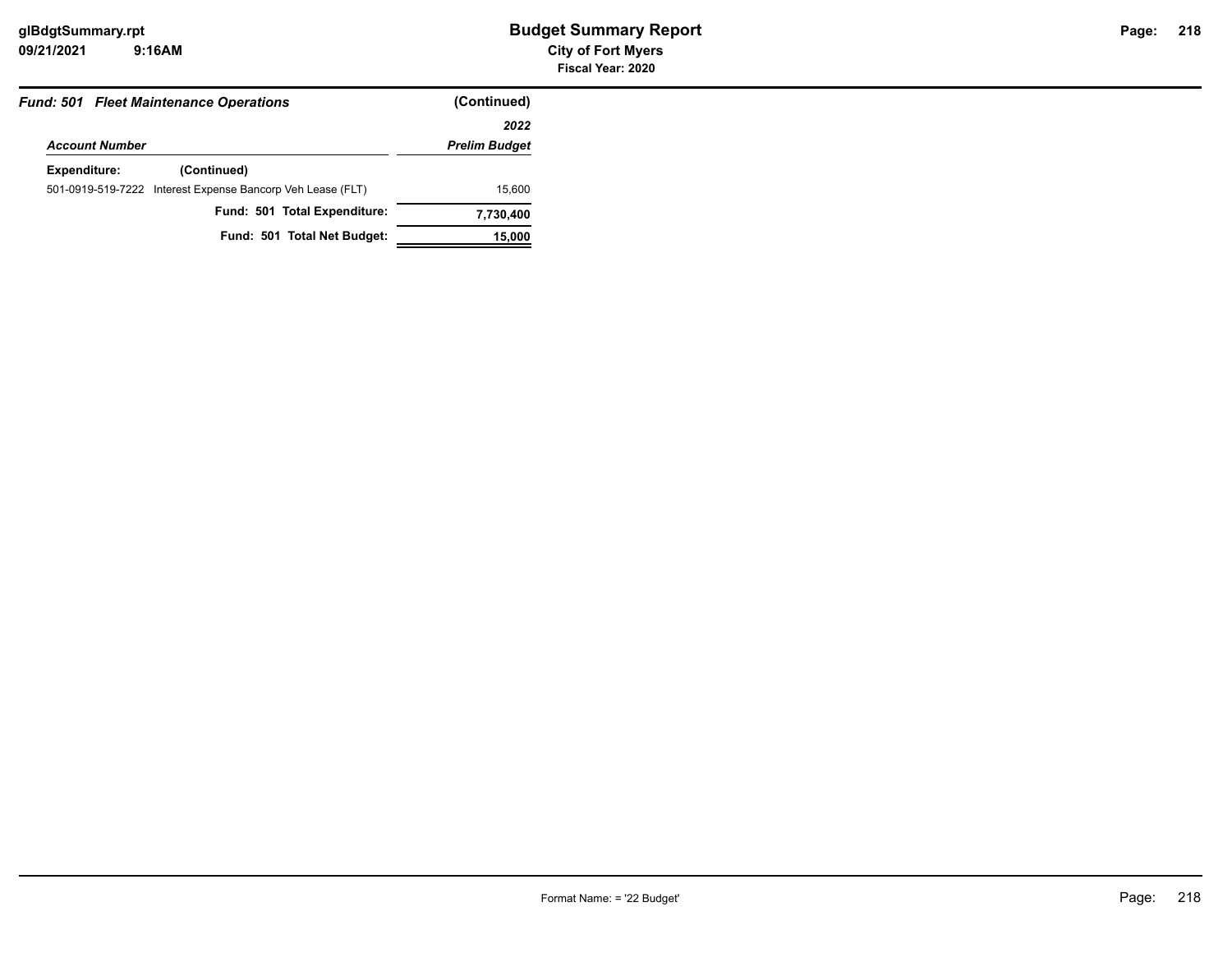|                       | <b>Fund: 501 Fleet Maintenance Operations</b>              | (Continued)          |
|-----------------------|------------------------------------------------------------|----------------------|
|                       |                                                            | 2022                 |
| <b>Account Number</b> |                                                            | <b>Prelim Budget</b> |
| <b>Expenditure:</b>   | (Continued)                                                |                      |
|                       | 501-0919-519-7222 Interest Expense Bancorp Veh Lease (FLT) | 15,600               |
|                       | Fund: 501 Total Expenditure:                               | 7,730,400            |
|                       | Fund: 501 Total Net Budget:                                | 15,000               |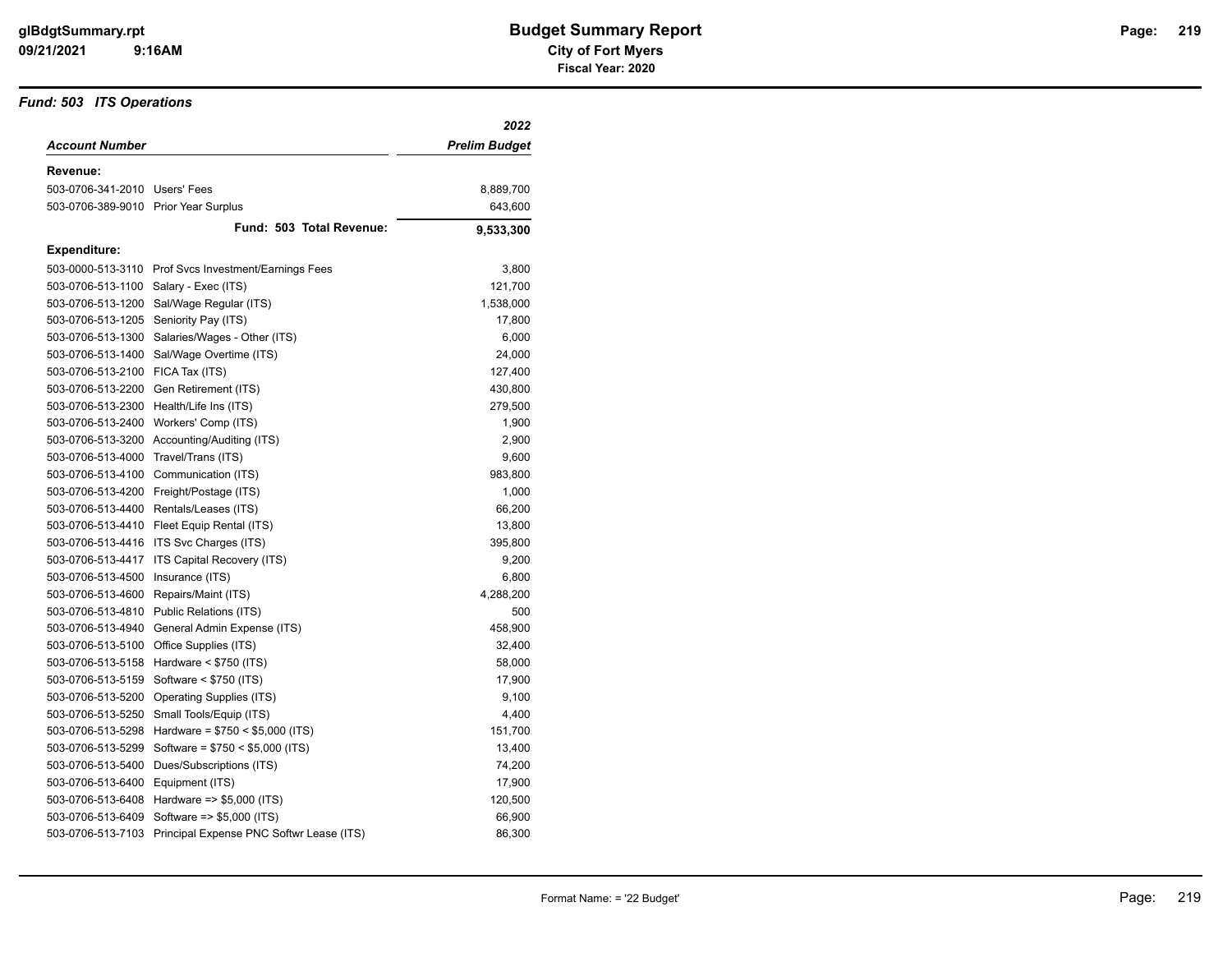#### *Fund: 503 ITS Operations*

|                                      |                                                      | 2022          |
|--------------------------------------|------------------------------------------------------|---------------|
| <b>Account Number</b>                |                                                      | Prelim Budget |
| Revenue:                             |                                                      |               |
| 503-0706-341-2010 Users' Fees        |                                                      | 8,889,700     |
| 503-0706-389-9010 Prior Year Surplus |                                                      | 643,600       |
|                                      | Fund: 503 Total Revenue:                             | 9,533,300     |
| <b>Expenditure:</b>                  |                                                      |               |
|                                      | 503-0000-513-3110 Prof Svcs Investment/Earnings Fees | 3,800         |
| 503-0706-513-1100                    | Salary - Exec (ITS)                                  | 121,700       |
| 503-0706-513-1200                    | Sal/Wage Regular (ITS)                               | 1,538,000     |
| 503-0706-513-1205                    | Seniority Pay (ITS)                                  | 17,800        |
| 503-0706-513-1300                    | Salaries/Wages - Other (ITS)                         | 6,000         |
| 503-0706-513-1400                    | Sal/Wage Overtime (ITS)                              | 24,000        |
| 503-0706-513-2100                    | FICA Tax (ITS)                                       | 127,400       |
| 503-0706-513-2200                    | Gen Retirement (ITS)                                 | 430,800       |
| 503-0706-513-2300                    | Health/Life Ins (ITS)                                | 279,500       |
| 503-0706-513-2400                    | Workers' Comp (ITS)                                  | 1,900         |
| 503-0706-513-3200                    | Accounting/Auditing (ITS)                            | 2,900         |
| 503-0706-513-4000                    | Travel/Trans (ITS)                                   | 9,600         |
| 503-0706-513-4100                    | Communication (ITS)                                  | 983,800       |
|                                      | 503-0706-513-4200 Freight/Postage (ITS)              | 1,000         |
|                                      | 503-0706-513-4400 Rentals/Leases (ITS)               | 66,200        |
| 503-0706-513-4410                    | Fleet Equip Rental (ITS)                             | 13,800        |
| 503-0706-513-4416                    | ITS Svc Charges (ITS)                                | 395,800       |
| 503-0706-513-4417                    | ITS Capital Recovery (ITS)                           | 9,200         |
| 503-0706-513-4500                    | Insurance (ITS)                                      | 6,800         |
| 503-0706-513-4600                    | Repairs/Maint (ITS)                                  | 4,288,200     |
| 503-0706-513-4810                    | Public Relations (ITS)                               | 500           |
| 503-0706-513-4940                    | General Admin Expense (ITS)                          | 458,900       |
| 503-0706-513-5100                    | Office Supplies (ITS)                                | 32,400        |
| 503-0706-513-5158                    | Hardware $<$ \$750 (ITS)                             | 58,000        |
| 503-0706-513-5159                    | Software < \$750 (ITS)                               | 17,900        |
| 503-0706-513-5200                    | <b>Operating Supplies (ITS)</b>                      | 9,100         |
| 503-0706-513-5250                    | Small Tools/Equip (ITS)                              | 4,400         |
| 503-0706-513-5298                    | Hardware = $$750 < $5,000$ (ITS)                     | 151,700       |
| 503-0706-513-5299                    | Software = $$750 < $5,000$ (ITS)                     | 13,400        |
| 503-0706-513-5400                    | Dues/Subscriptions (ITS)                             | 74,200        |
| 503-0706-513-6400                    | Equipment (ITS)                                      | 17,900        |
| 503-0706-513-6408                    | Hardware $\approx$ \$5,000 (ITS)                     | 120,500       |
| 503-0706-513-6409                    | Software => \$5,000 (ITS)                            | 66,900        |
| 503-0706-513-7103                    | Principal Expense PNC Softwr Lease (ITS)             | 86,300        |
|                                      |                                                      |               |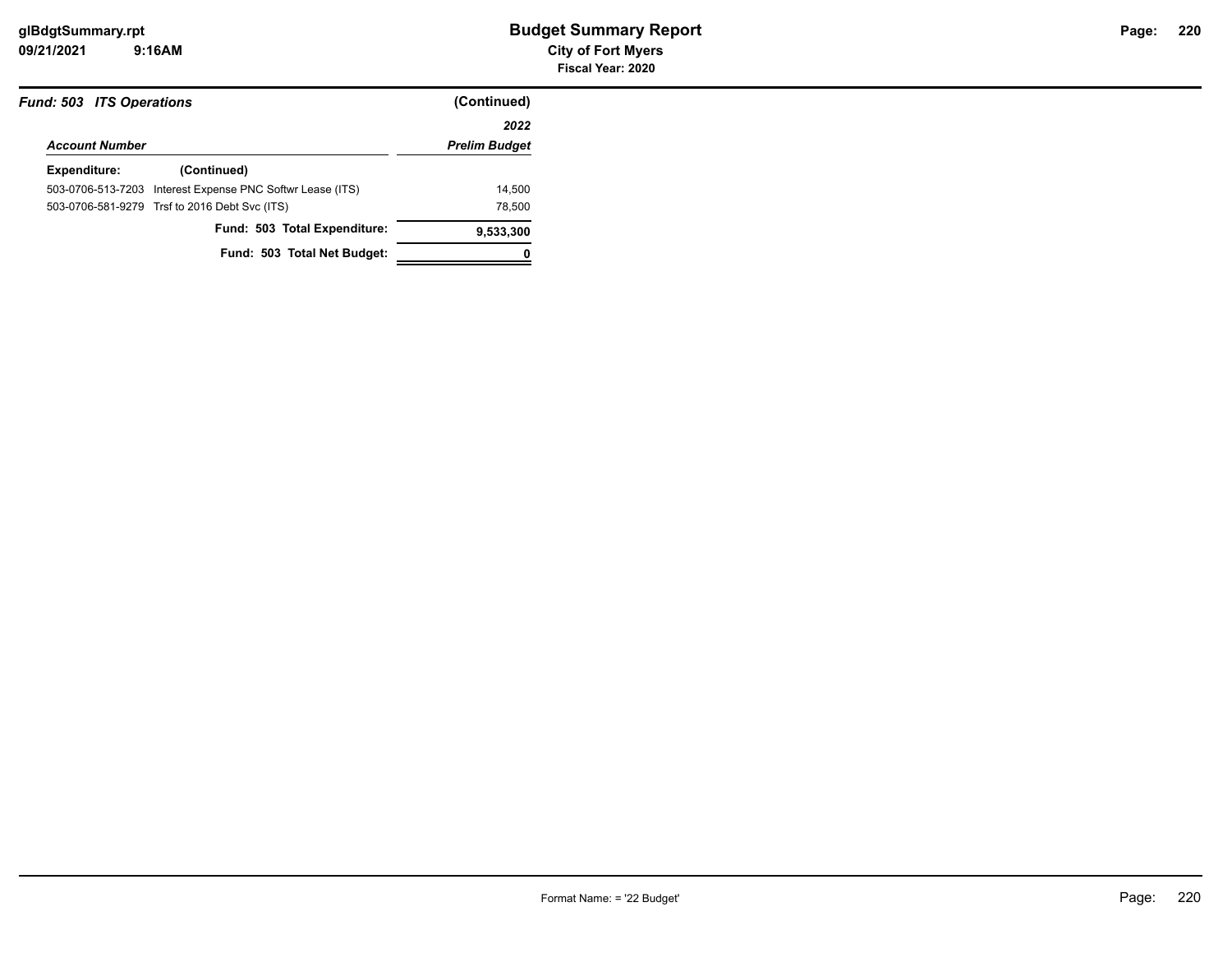**09/21/2021 City of Fort Myers 9:16AM**

| <b>Fund: 503 ITS Operations</b> |                                                                                                            |
|---------------------------------|------------------------------------------------------------------------------------------------------------|
|                                 | 2022                                                                                                       |
| <b>Account Number</b>           |                                                                                                            |
| (Continued)                     |                                                                                                            |
|                                 | 14.500                                                                                                     |
|                                 | 78,500                                                                                                     |
| Fund: 503 Total Expenditure:    | 9,533,300                                                                                                  |
| Fund: 503 Total Net Budget:     |                                                                                                            |
|                                 | 503-0706-513-7203 Interest Expense PNC Softwr Lease (ITS)<br>503-0706-581-9279 Trsf to 2016 Debt Svc (ITS) |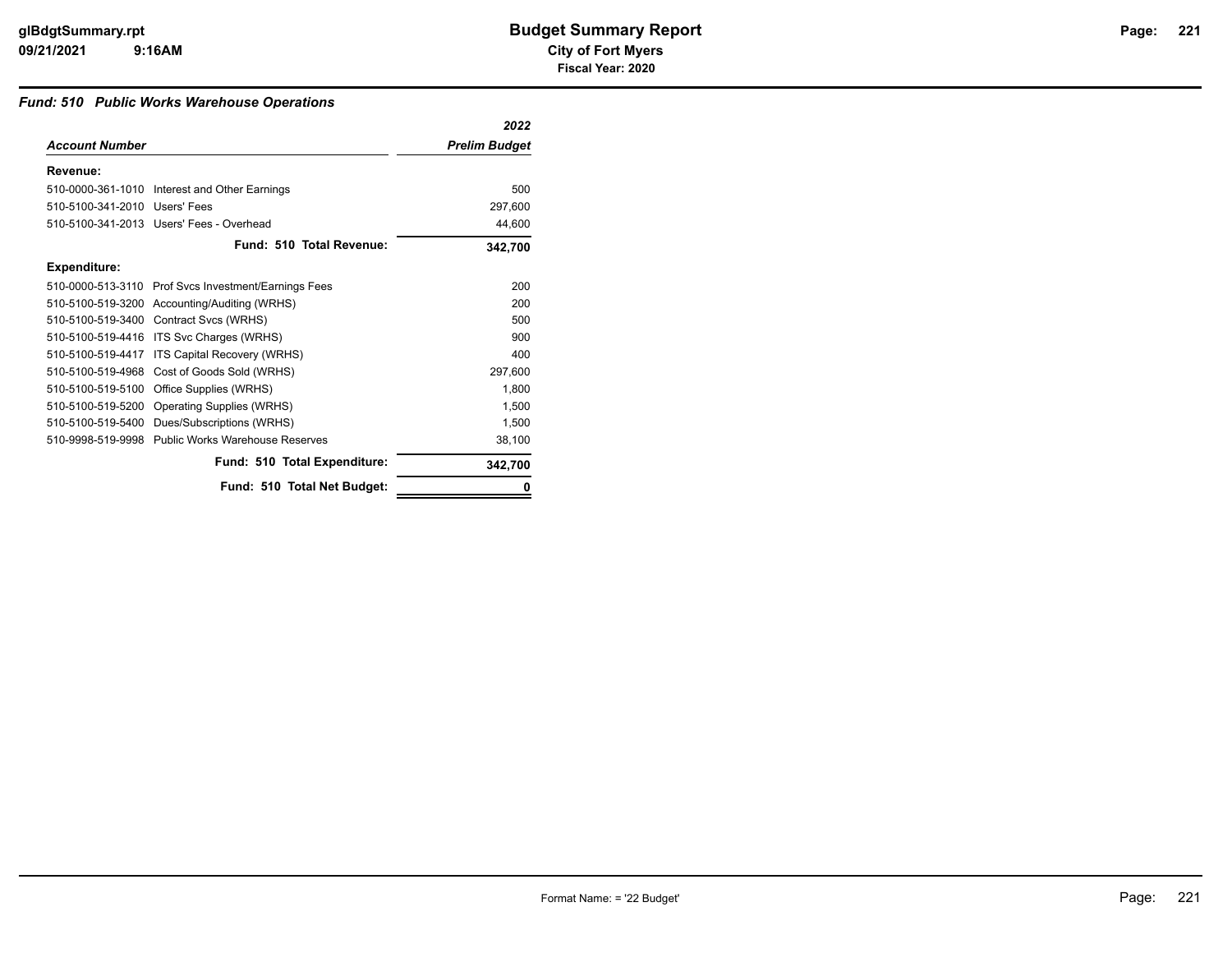### *Fund: 510 Public Works Warehouse Operations*

|                               |                                                      | 2022                 |
|-------------------------------|------------------------------------------------------|----------------------|
| <b>Account Number</b>         |                                                      | <b>Prelim Budget</b> |
| Revenue:                      |                                                      |                      |
|                               | 510-0000-361-1010 Interest and Other Earnings        | 500                  |
| 510-5100-341-2010 Users' Fees |                                                      | 297,600              |
|                               | 510-5100-341-2013 Users' Fees - Overhead             | 44,600               |
|                               | Fund: 510 Total Revenue:                             | 342,700              |
| <b>Expenditure:</b>           |                                                      |                      |
|                               | 510-0000-513-3110 Prof Svcs Investment/Earnings Fees | 200                  |
|                               | 510-5100-519-3200 Accounting/Auditing (WRHS)         | 200                  |
|                               | 510-5100-519-3400 Contract Svcs (WRHS)               | 500                  |
| 510-5100-519-4416             | ITS Svc Charges (WRHS)                               | 900                  |
| 510-5100-519-4417             | ITS Capital Recovery (WRHS)                          | 400                  |
| 510-5100-519-4968             | Cost of Goods Sold (WRHS)                            | 297,600              |
| 510-5100-519-5100             | Office Supplies (WRHS)                               | 1,800                |
| 510-5100-519-5200             | Operating Supplies (WRHS)                            | 1,500                |
| 510-5100-519-5400             | Dues/Subscriptions (WRHS)                            | 1,500                |
|                               | 510-9998-519-9998 Public Works Warehouse Reserves    | 38,100               |
|                               | Fund: 510 Total Expenditure:                         | 342,700              |
|                               | Fund: 510 Total Net Budget:                          |                      |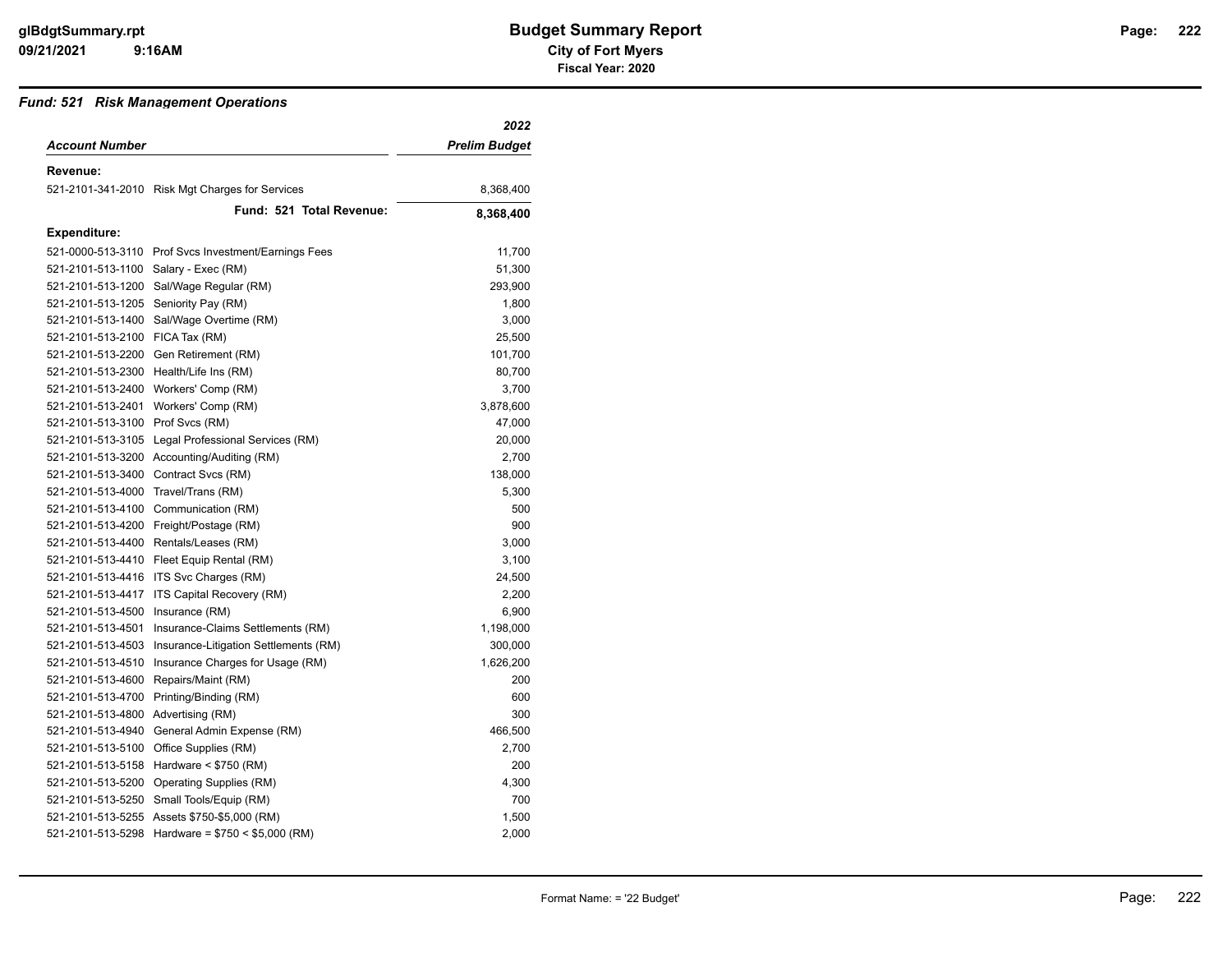#### *Fund: 521 Risk Management Operations*

|                                      |                                                      | 2022                 |
|--------------------------------------|------------------------------------------------------|----------------------|
| <b>Account Number</b>                |                                                      | <b>Prelim Budget</b> |
| Revenue:                             |                                                      |                      |
|                                      | 521-2101-341-2010 Risk Mgt Charges for Services      | 8,368,400            |
|                                      | Fund: 521 Total Revenue:                             | 8,368,400            |
| <b>Expenditure:</b>                  |                                                      |                      |
|                                      | 521-0000-513-3110 Prof Svcs Investment/Earnings Fees | 11,700               |
| 521-2101-513-1100 Salary - Exec (RM) |                                                      | 51,300               |
| 521-2101-513-1200                    | Sal/Wage Regular (RM)                                | 293,900              |
| 521-2101-513-1205                    | Seniority Pay (RM)                                   | 1,800                |
| 521-2101-513-1400                    | Sal/Wage Overtime (RM)                               | 3,000                |
| 521-2101-513-2100 FICA Tax (RM)      |                                                      | 25,500               |
|                                      | 521-2101-513-2200 Gen Retirement (RM)                | 101,700              |
|                                      | 521-2101-513-2300 Health/Life Ins (RM)               | 80,700               |
|                                      | 521-2101-513-2400 Workers' Comp (RM)                 | 3,700                |
| 521-2101-513-2401                    | Workers' Comp (RM)                                   | 3,878,600            |
| 521-2101-513-3100                    | Prof Svcs (RM)                                       | 47,000               |
| 521-2101-513-3105                    | Legal Professional Services (RM)                     | 20,000               |
| 521-2101-513-3200                    | Accounting/Auditing (RM)                             | 2,700                |
| 521-2101-513-3400                    | Contract Svcs (RM)                                   | 138,000              |
| 521-2101-513-4000                    | Travel/Trans (RM)                                    | 5,300                |
|                                      | 521-2101-513-4100 Communication (RM)                 | 500                  |
| 521-2101-513-4200                    | Freight/Postage (RM)                                 | 900                  |
| 521-2101-513-4400                    | Rentals/Leases (RM)                                  | 3,000                |
| 521-2101-513-4410                    | Fleet Equip Rental (RM)                              | 3,100                |
| 521-2101-513-4416                    | ITS Svc Charges (RM)                                 | 24,500               |
| 521-2101-513-4417                    | ITS Capital Recovery (RM)                            | 2,200                |
| 521-2101-513-4500                    | Insurance (RM)                                       | 6,900                |
| 521-2101-513-4501                    | Insurance-Claims Settlements (RM)                    | 1,198,000            |
| 521-2101-513-4503                    | Insurance-Litigation Settlements (RM)                | 300,000              |
| 521-2101-513-4510                    | Insurance Charges for Usage (RM)                     | 1,626,200            |
| 521-2101-513-4600                    | Repairs/Maint (RM)                                   | 200                  |
| 521-2101-513-4700                    | Printing/Binding (RM)                                | 600                  |
| 521-2101-513-4800                    | Advertising (RM)                                     | 300                  |
| 521-2101-513-4940                    | General Admin Expense (RM)                           | 466,500              |
|                                      | 521-2101-513-5100 Office Supplies (RM)               | 2,700                |
| 521-2101-513-5158                    | Hardware $<$ \$750 (RM)                              | 200                  |
| 521-2101-513-5200                    | Operating Supplies (RM)                              | 4,300                |
| 521-2101-513-5250                    | Small Tools/Equip (RM)                               | 700                  |
|                                      | 521-2101-513-5255 Assets \$750-\$5,000 (RM)          | 1,500                |
| 521-2101-513-5298                    | Hardware = $$750 < $5,000$ (RM)                      | 2,000                |
|                                      |                                                      |                      |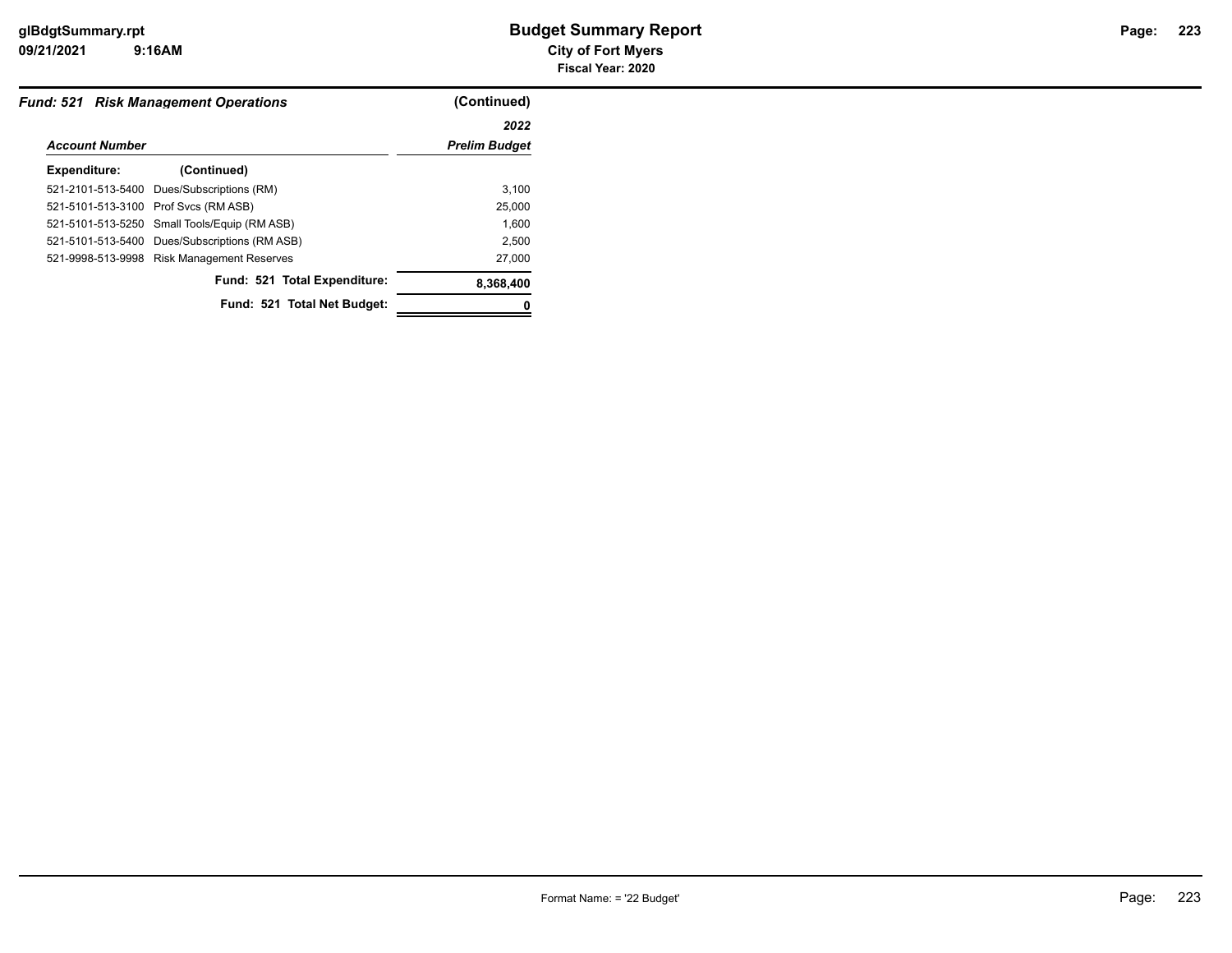**09/21/2021 City of Fort Myers 9:16AM**

| <b>Fund: 521 Risk Management Operations</b> | (Continued)                                                                                                                                                                                                                                               |
|---------------------------------------------|-----------------------------------------------------------------------------------------------------------------------------------------------------------------------------------------------------------------------------------------------------------|
|                                             | 2022                                                                                                                                                                                                                                                      |
|                                             | <b>Prelim Budget</b>                                                                                                                                                                                                                                      |
| (Continued)                                 |                                                                                                                                                                                                                                                           |
|                                             | 3.100                                                                                                                                                                                                                                                     |
|                                             | 25,000                                                                                                                                                                                                                                                    |
|                                             | 1.600                                                                                                                                                                                                                                                     |
|                                             | 2.500                                                                                                                                                                                                                                                     |
|                                             | 27,000                                                                                                                                                                                                                                                    |
| Fund: 521 Total Expenditure:                | 8,368,400                                                                                                                                                                                                                                                 |
| Fund: 521 Total Net Budget:                 |                                                                                                                                                                                                                                                           |
|                                             | <b>Account Number</b><br>521-2101-513-5400 Dues/Subscriptions (RM)<br>521-5101-513-3100 Prof Svcs (RM ASB)<br>521-5101-513-5250 Small Tools/Equip (RM ASB)<br>521-5101-513-5400 Dues/Subscriptions (RM ASB)<br>521-9998-513-9998 Risk Management Reserves |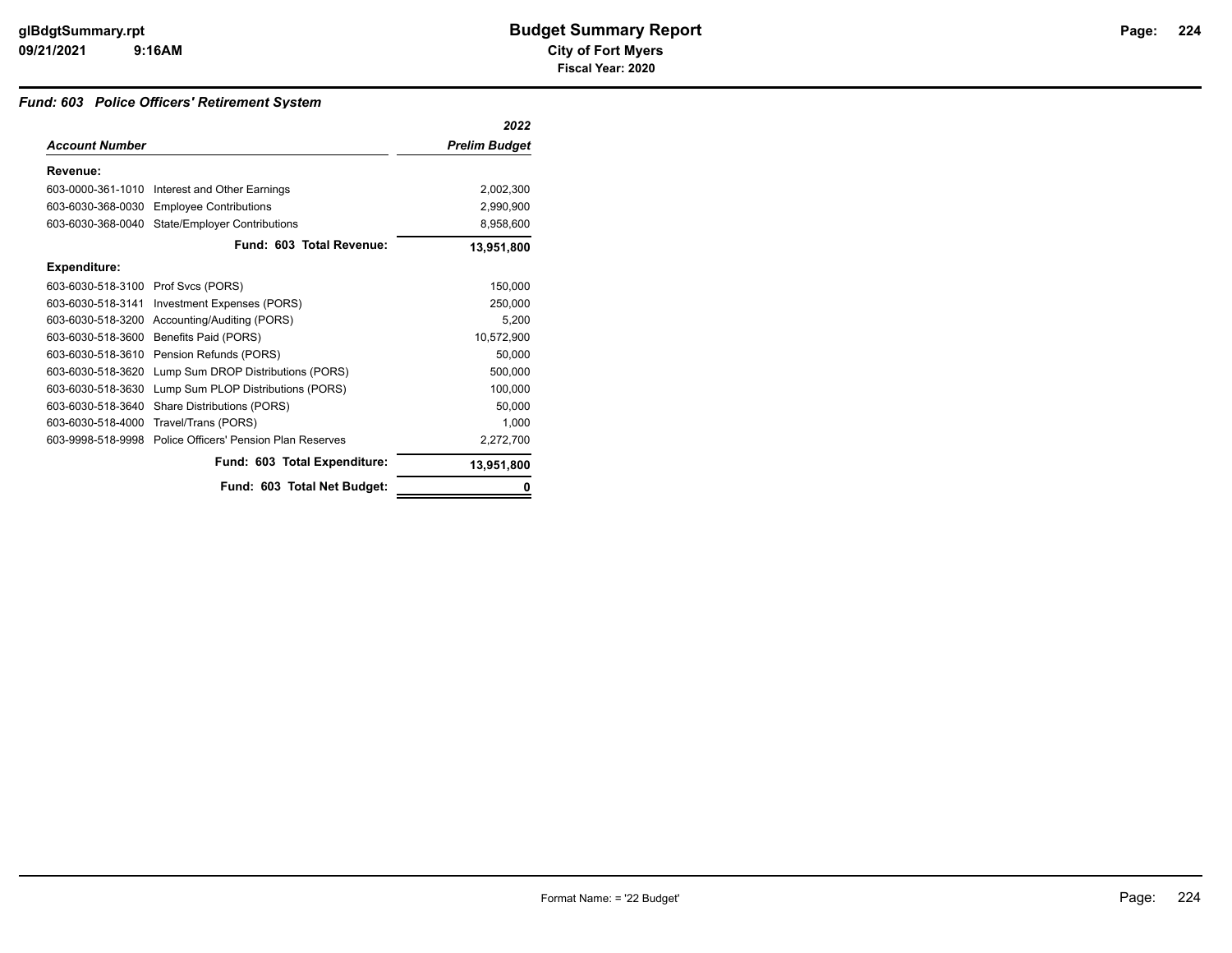## *Fund: 603 Police Officers' Retirement System*

|                       |                                        | 2022                 |
|-----------------------|----------------------------------------|----------------------|
| <b>Account Number</b> |                                        | <b>Prelim Budget</b> |
| Revenue:              |                                        |                      |
| 603-0000-361-1010     | Interest and Other Earnings            | 2,002,300            |
| 603-6030-368-0030     | <b>Employee Contributions</b>          | 2,990,900            |
| 603-6030-368-0040     | <b>State/Employer Contributions</b>    | 8,958,600            |
|                       | Fund: 603 Total Revenue:               | 13,951,800           |
| <b>Expenditure:</b>   |                                        |                      |
| 603-6030-518-3100     | Prof Svcs (PORS)                       | 150,000              |
| 603-6030-518-3141     | Investment Expenses (PORS)             | 250,000              |
| 603-6030-518-3200     | Accounting/Auditing (PORS)             | 5,200                |
| 603-6030-518-3600     | Benefits Paid (PORS)                   | 10,572,900           |
| 603-6030-518-3610     | Pension Refunds (PORS)                 | 50,000               |
| 603-6030-518-3620     | Lump Sum DROP Distributions (PORS)     | 500,000              |
| 603-6030-518-3630     | Lump Sum PLOP Distributions (PORS)     | 100,000              |
| 603-6030-518-3640     | Share Distributions (PORS)             | 50,000               |
| 603-6030-518-4000     | Travel/Trans (PORS)                    | 1,000                |
| 603-9998-518-9998     | Police Officers' Pension Plan Reserves | 2,272,700            |
|                       | Fund: 603 Total Expenditure:           | 13,951,800           |
|                       | Fund: 603 Total Net Budget:            |                      |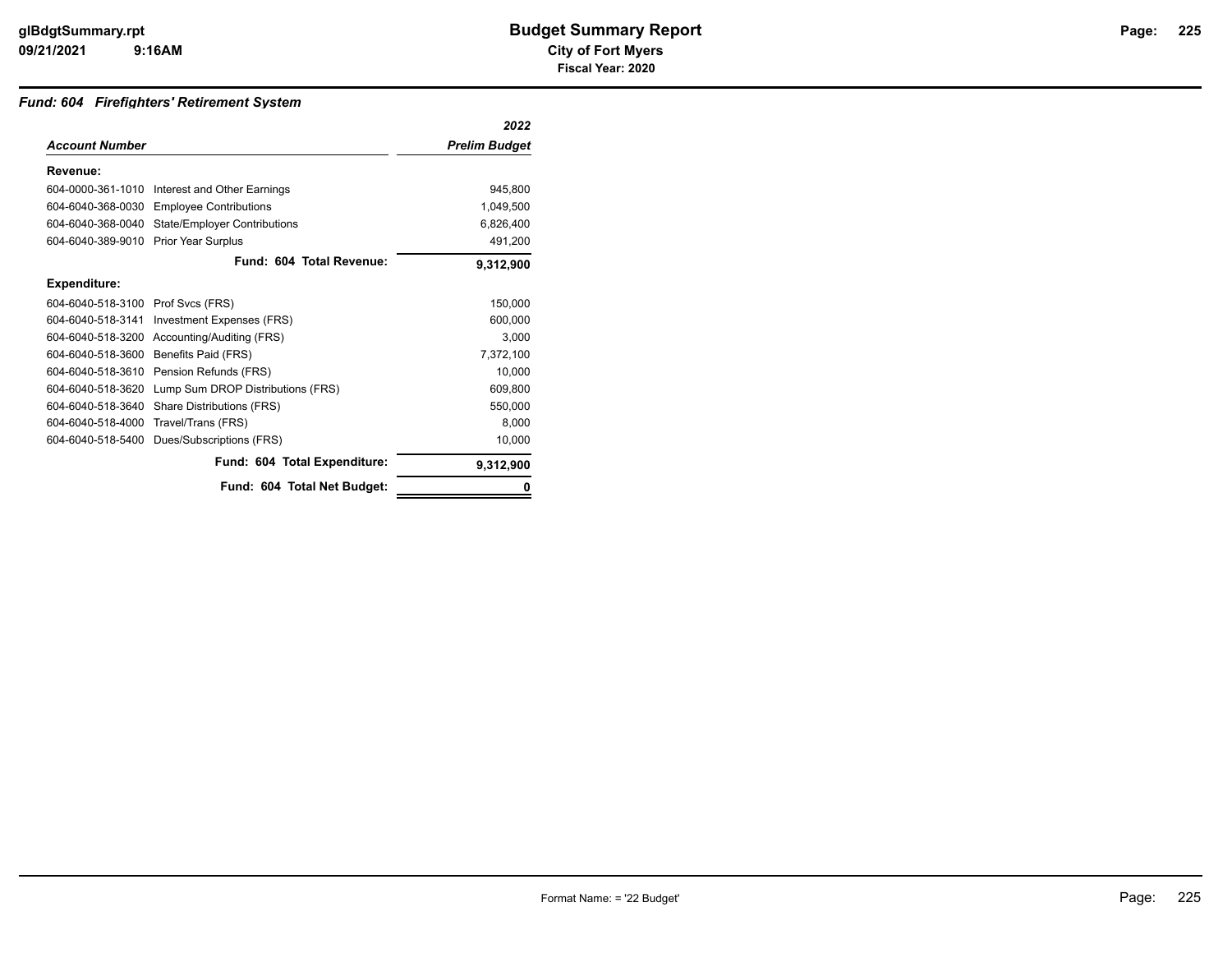## *Fund: 604 Firefighters' Retirement System*

|                       |                                     | 2022          |
|-----------------------|-------------------------------------|---------------|
| <b>Account Number</b> |                                     | Prelim Budget |
| Revenue:              |                                     |               |
| 604-0000-361-1010     | Interest and Other Earnings         | 945.800       |
| 604-6040-368-0030     | <b>Employee Contributions</b>       | 1,049,500     |
| 604-6040-368-0040     | <b>State/Employer Contributions</b> | 6,826,400     |
| 604-6040-389-9010     | Prior Year Surplus                  | 491,200       |
|                       | Fund: 604 Total Revenue:            | 9,312,900     |
| <b>Expenditure:</b>   |                                     |               |
| 604-6040-518-3100     | Prof Svcs (FRS)                     | 150.000       |
| 604-6040-518-3141     | Investment Expenses (FRS)           | 600.000       |
| 604-6040-518-3200     | Accounting/Auditing (FRS)           | 3,000         |
| 604-6040-518-3600     | Benefits Paid (FRS)                 | 7,372,100     |
| 604-6040-518-3610     | Pension Refunds (FRS)               | 10.000        |
| 604-6040-518-3620     | Lump Sum DROP Distributions (FRS)   | 609,800       |
| 604-6040-518-3640     | Share Distributions (FRS)           | 550,000       |
| 604-6040-518-4000     | Travel/Trans (FRS)                  | 8,000         |
| 604-6040-518-5400     | Dues/Subscriptions (FRS)            | 10,000        |
|                       | Fund: 604 Total Expenditure:        | 9,312,900     |
|                       | Fund: 604 Total Net Budget:         |               |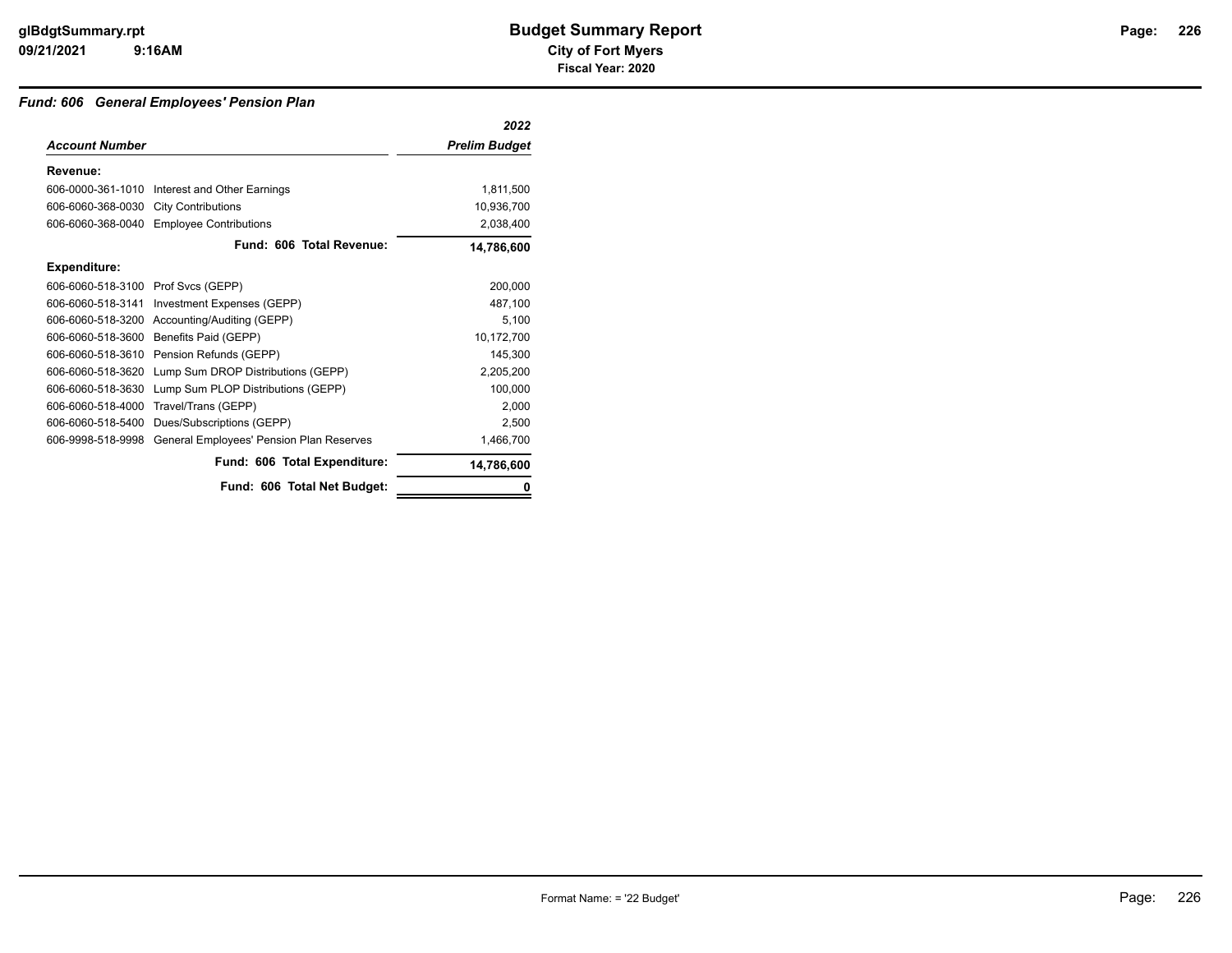## *Fund: 606 General Employees' Pension Plan*

|                                    |                                               | 2022                 |
|------------------------------------|-----------------------------------------------|----------------------|
| <b>Account Number</b>              |                                               | <b>Prelim Budget</b> |
| Revenue:                           |                                               |                      |
|                                    | 606-0000-361-1010 Interest and Other Earnings | 1,811,500            |
| 606-6060-368-0030                  | <b>City Contributions</b>                     | 10,936,700           |
| 606-6060-368-0040                  | <b>Employee Contributions</b>                 | 2,038,400            |
|                                    | Fund: 606 Total Revenue:                      | 14,786,600           |
| Expenditure:                       |                                               |                      |
| 606-6060-518-3100 Prof Svcs (GEPP) |                                               | 200,000              |
| 606-6060-518-3141                  | Investment Expenses (GEPP)                    | 487,100              |
| 606-6060-518-3200                  | Accounting/Auditing (GEPP)                    | 5,100                |
| 606-6060-518-3600                  | Benefits Paid (GEPP)                          | 10,172,700           |
| 606-6060-518-3610                  | Pension Refunds (GEPP)                        | 145,300              |
| 606-6060-518-3620                  | Lump Sum DROP Distributions (GEPP)            | 2,205,200            |
| 606-6060-518-3630                  | Lump Sum PLOP Distributions (GEPP)            | 100,000              |
| 606-6060-518-4000                  | Travel/Trans (GEPP)                           | 2,000                |
| 606-6060-518-5400                  | Dues/Subscriptions (GEPP)                     | 2,500                |
| 606-9998-518-9998                  | General Employees' Pension Plan Reserves      | 1,466,700            |
|                                    | Fund: 606 Total Expenditure:                  | 14,786,600           |
|                                    | Fund: 606 Total Net Budget:                   | 0                    |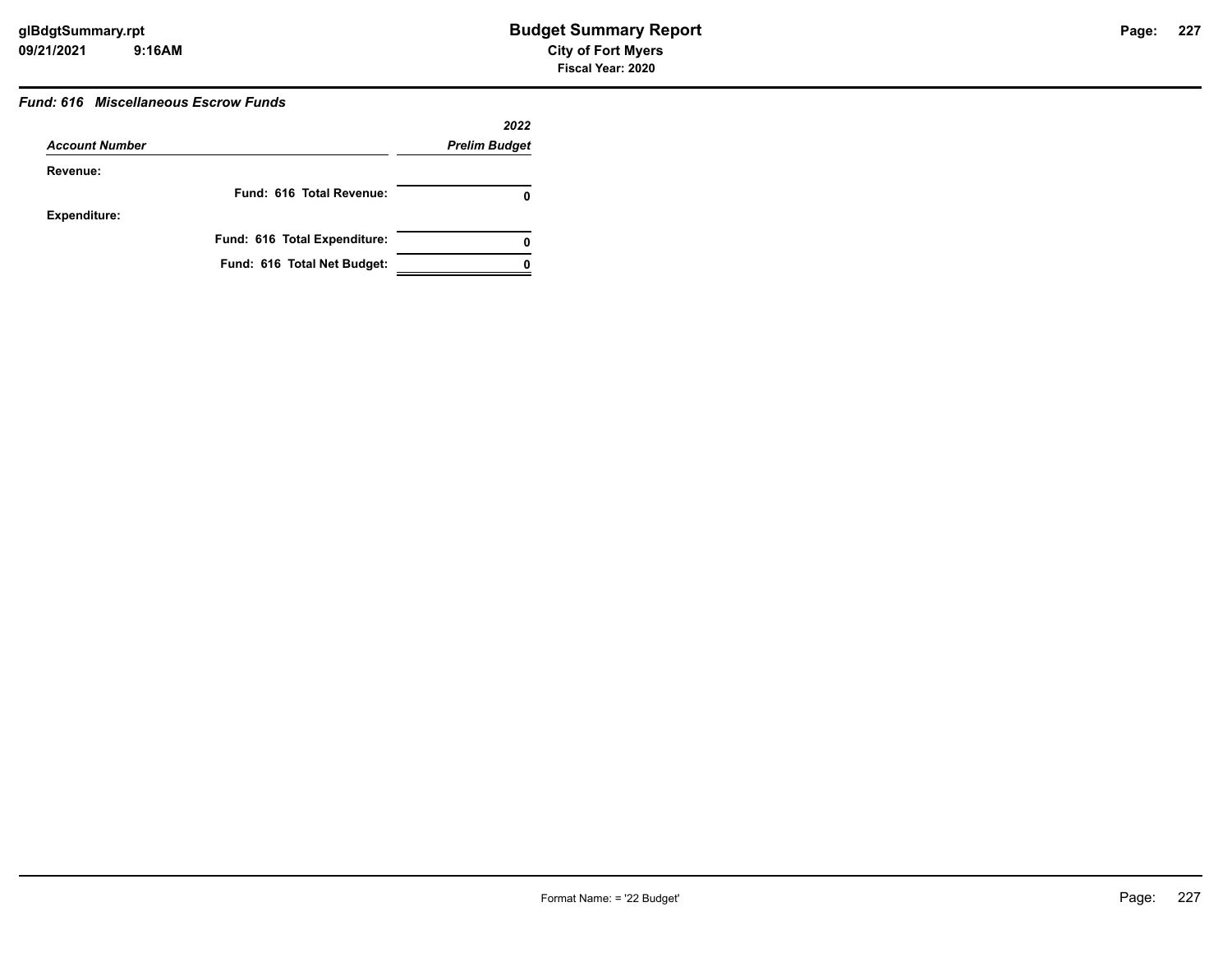## *Fund: 616 Miscellaneous Escrow Funds*

|                       |                              | 2022                 |
|-----------------------|------------------------------|----------------------|
| <b>Account Number</b> |                              | <b>Prelim Budget</b> |
| Revenue:              |                              |                      |
|                       | Fund: 616 Total Revenue:     |                      |
| <b>Expenditure:</b>   |                              |                      |
|                       | Fund: 616 Total Expenditure: | 0                    |
|                       | Fund: 616 Total Net Budget:  |                      |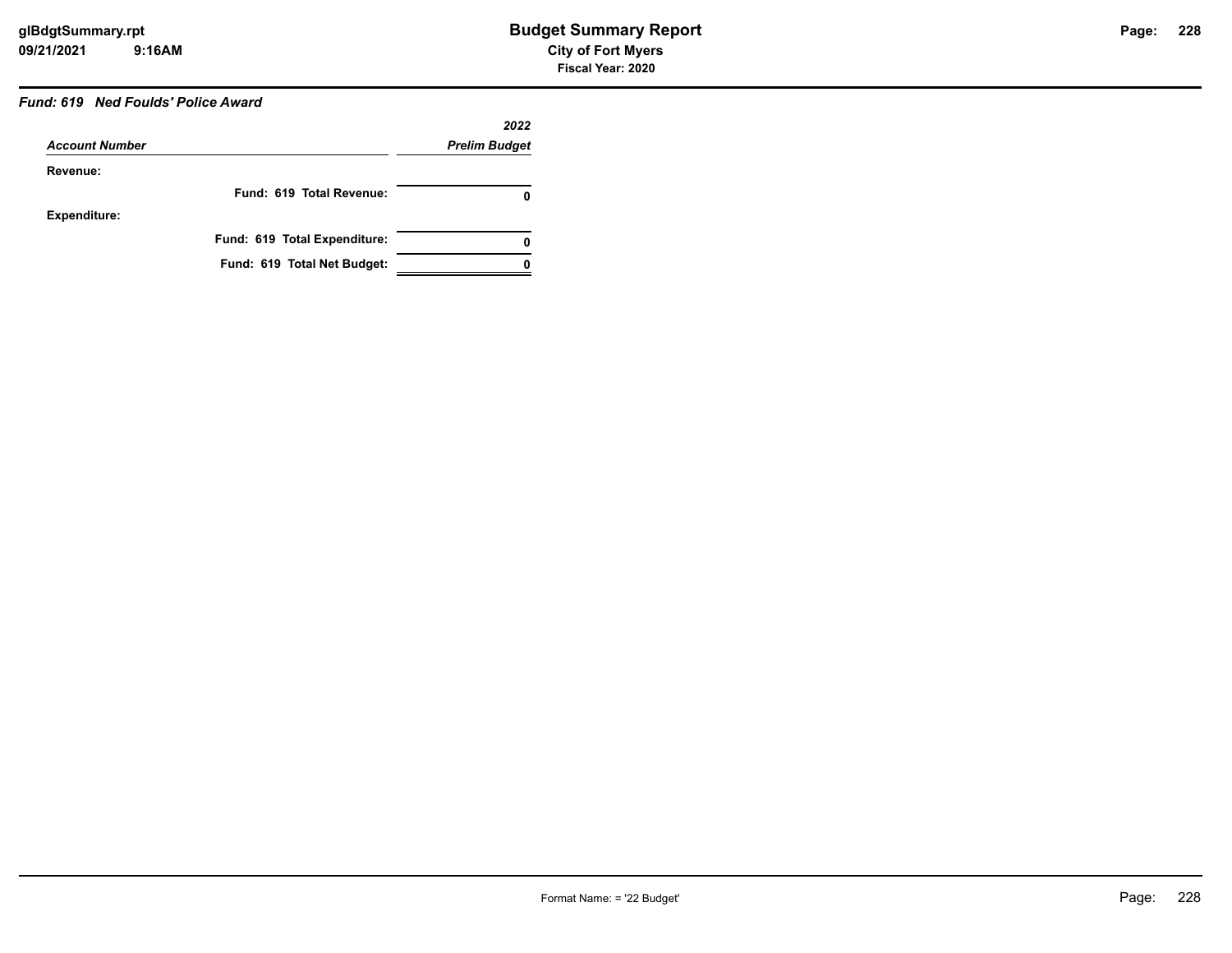## *Fund: 619 Ned Foulds' Police Award*

|                       |                              | 2022                 |
|-----------------------|------------------------------|----------------------|
| <b>Account Number</b> |                              | <b>Prelim Budget</b> |
| Revenue:              |                              |                      |
|                       | Fund: 619 Total Revenue:     | 0                    |
| <b>Expenditure:</b>   |                              |                      |
|                       | Fund: 619 Total Expenditure: | 0                    |
|                       | Fund: 619 Total Net Budget:  |                      |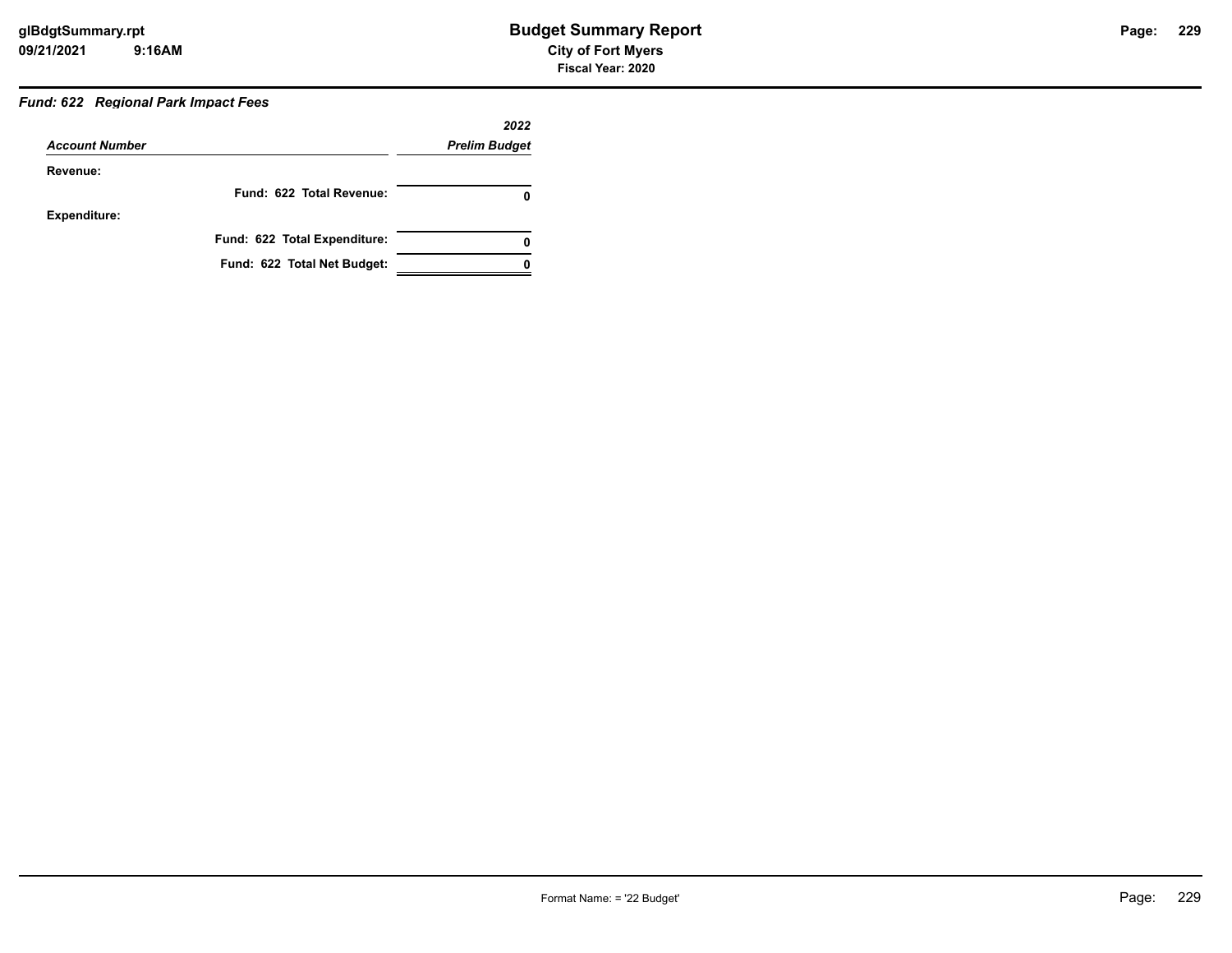## *Fund: 622 Regional Park Impact Fees*

| <b>Account Number</b> |                              | 2022<br><b>Prelim Budget</b> |
|-----------------------|------------------------------|------------------------------|
|                       |                              |                              |
|                       | Fund: 622 Total Revenue:     | 0                            |
| <b>Expenditure:</b>   |                              |                              |
|                       | Fund: 622 Total Expenditure: | 0                            |
|                       | Fund: 622 Total Net Budget:  |                              |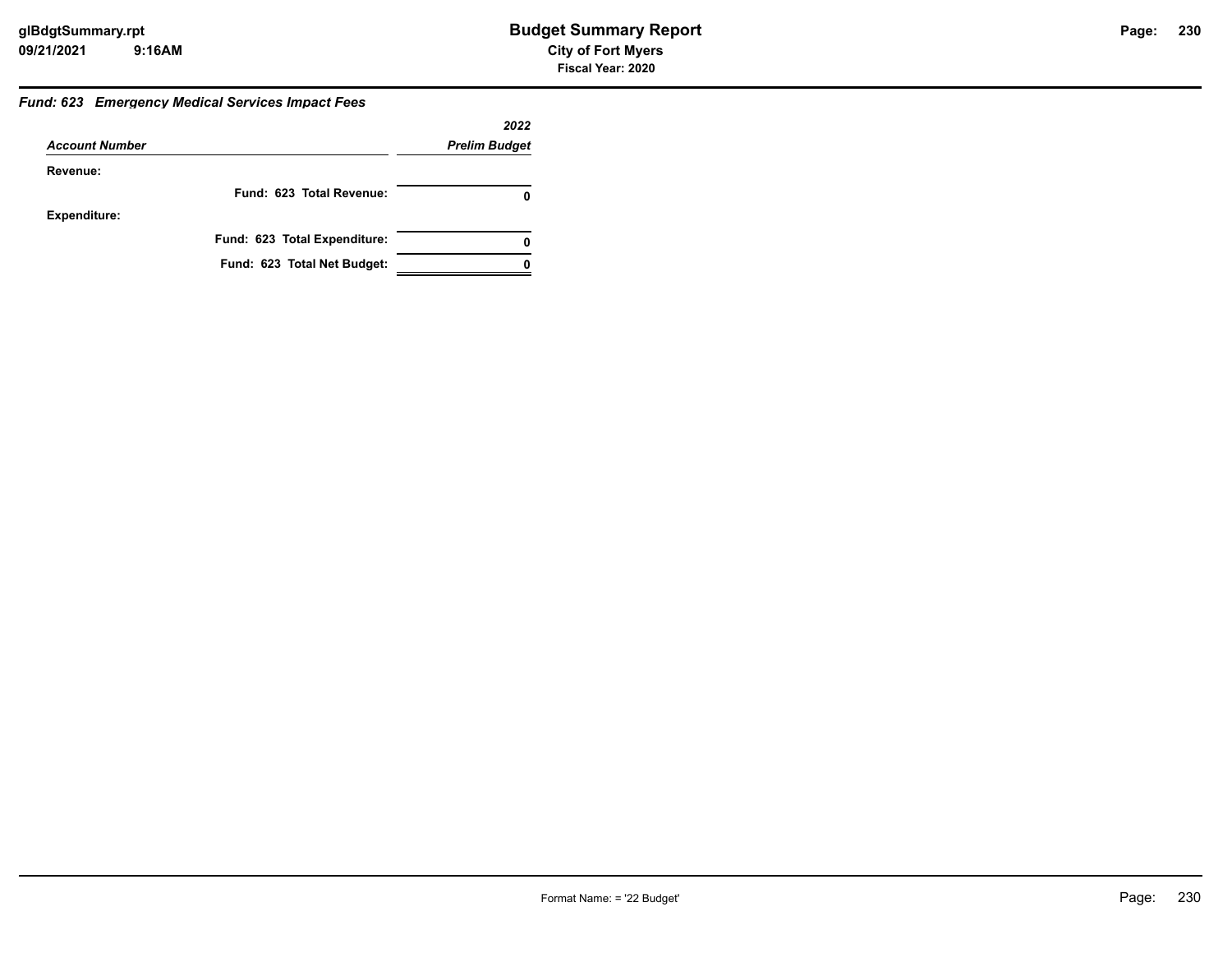#### *Fund: 623 Emergency Medical Services Impact Fees*

|                       |                              | 2022                 |
|-----------------------|------------------------------|----------------------|
| <b>Account Number</b> |                              | <b>Prelim Budget</b> |
| Revenue:              |                              |                      |
|                       | Fund: 623 Total Revenue:     |                      |
| <b>Expenditure:</b>   |                              |                      |
|                       | Fund: 623 Total Expenditure: |                      |
|                       | Fund: 623 Total Net Budget:  |                      |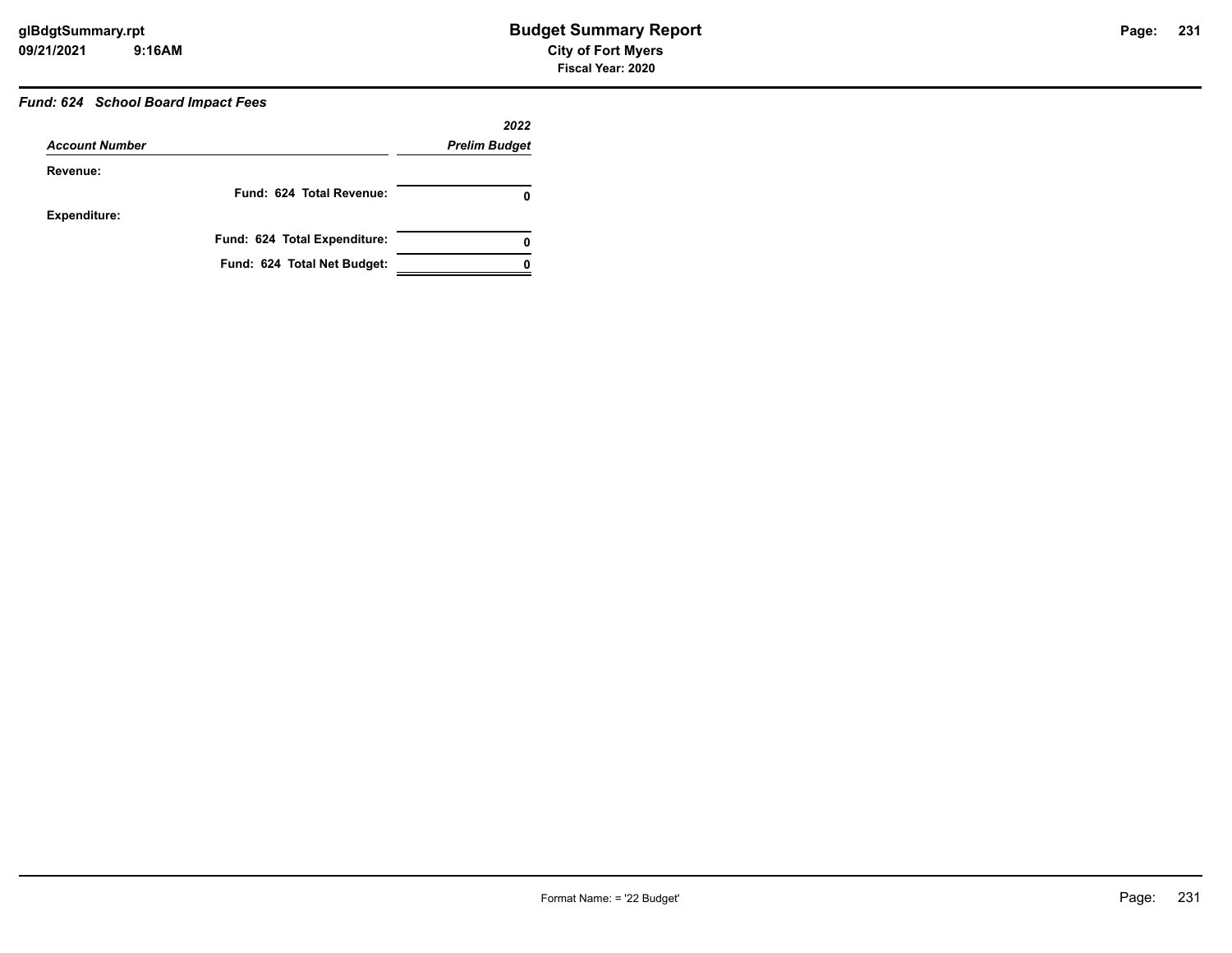# *Fund: 624 School Board Impact Fees*

| <b>Account Number</b> |                              | 2022<br><b>Prelim Budget</b> |
|-----------------------|------------------------------|------------------------------|
|                       |                              |                              |
|                       | Fund: 624 Total Revenue:     | 0                            |
| Expenditure:          |                              |                              |
|                       | Fund: 624 Total Expenditure: | 0                            |
|                       | Fund: 624 Total Net Budget:  |                              |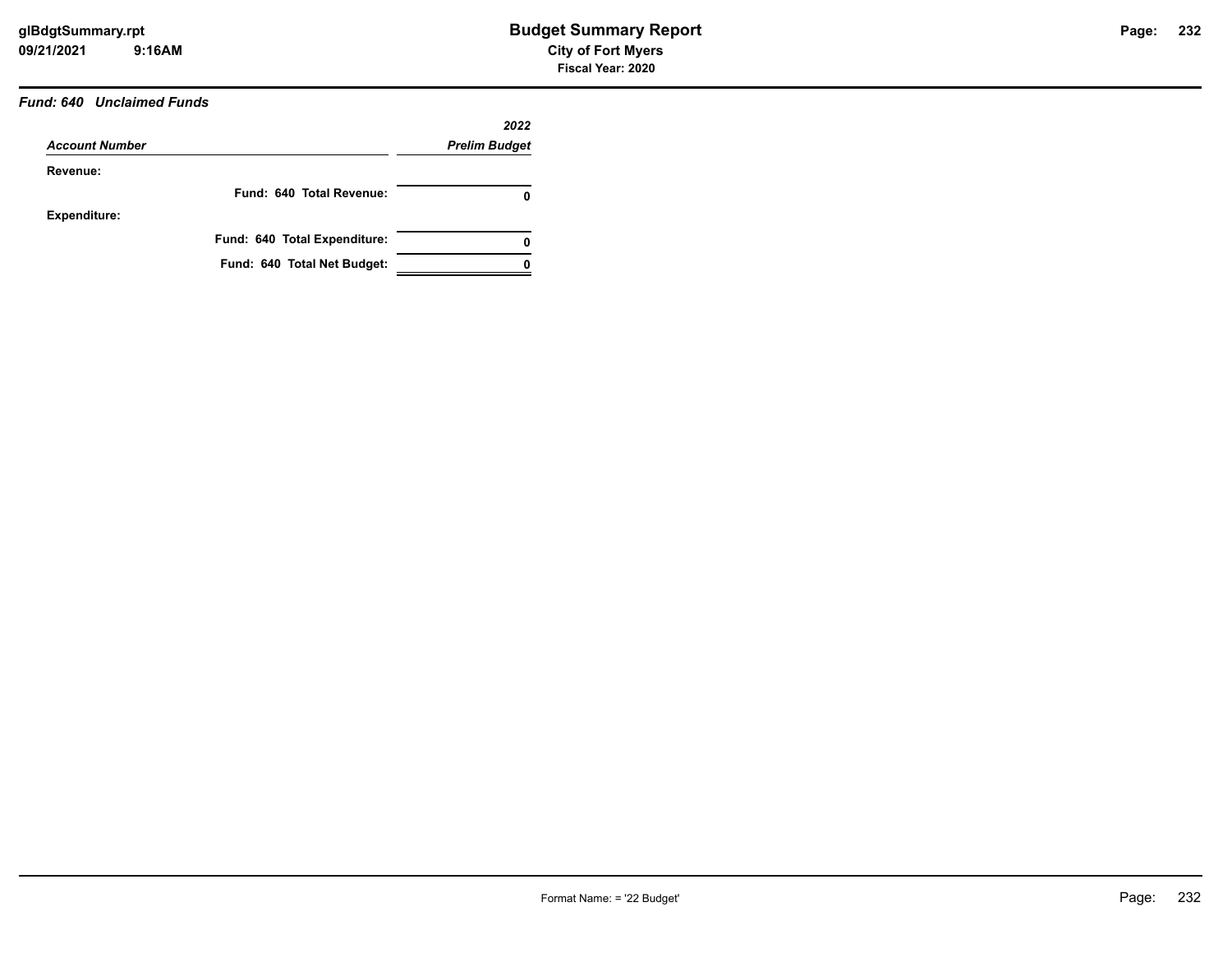## *Fund: 640 Unclaimed Funds*

| <b>Account Number</b> |                              | 2022<br><b>Prelim Budget</b> |
|-----------------------|------------------------------|------------------------------|
|                       |                              |                              |
|                       | Fund: 640 Total Revenue:     | 0                            |
| Expenditure:          |                              |                              |
|                       | Fund: 640 Total Expenditure: | 0                            |
|                       | Fund: 640 Total Net Budget:  |                              |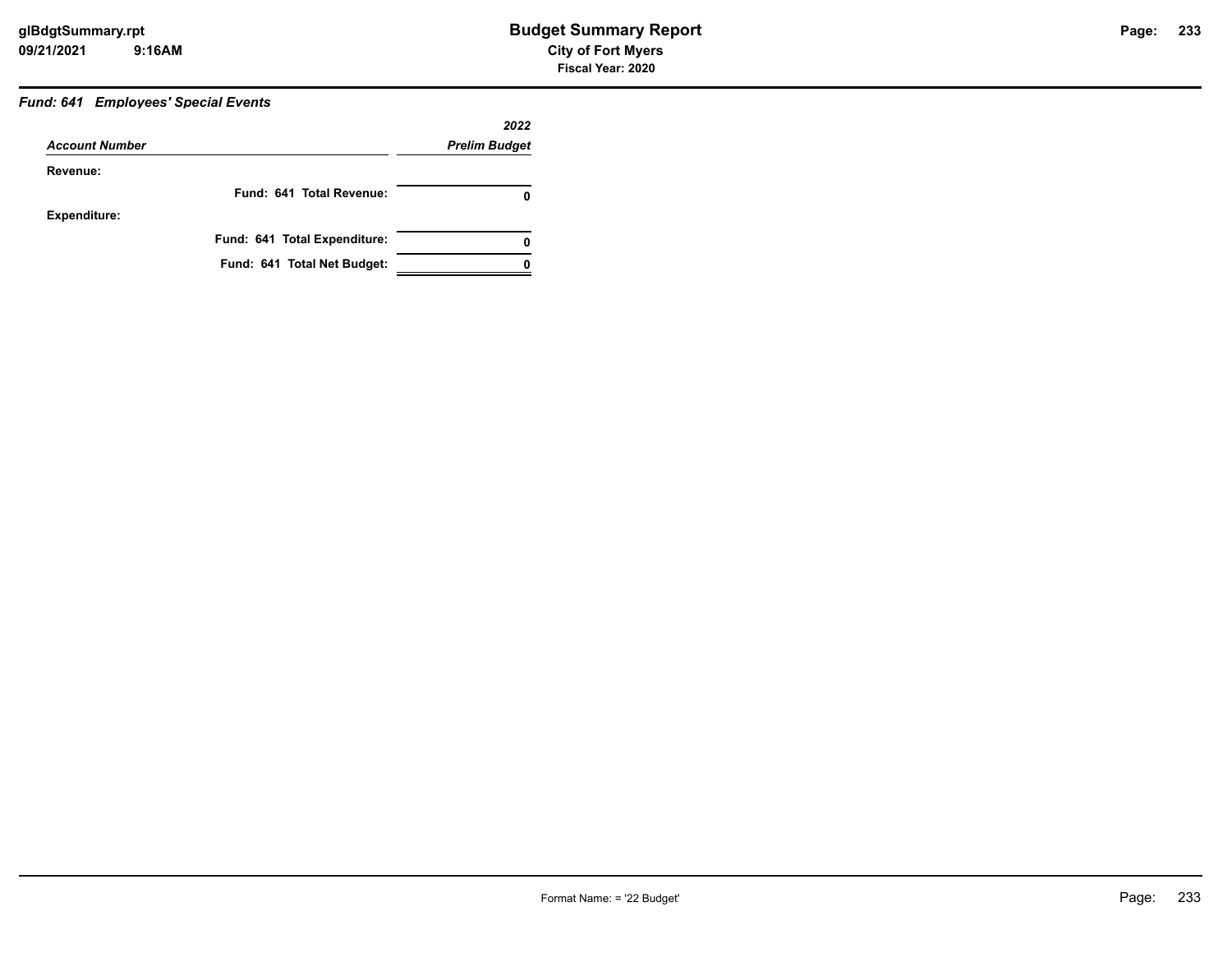# *Fund: 641 Employees' Special Events*

|                       |                              | 2022                 |
|-----------------------|------------------------------|----------------------|
| <b>Account Number</b> |                              | <b>Prelim Budget</b> |
| Revenue:              |                              |                      |
|                       | Fund: 641 Total Revenue:     | 0                    |
| <b>Expenditure:</b>   |                              |                      |
|                       | Fund: 641 Total Expenditure: | 0                    |
|                       | Fund: 641 Total Net Budget:  |                      |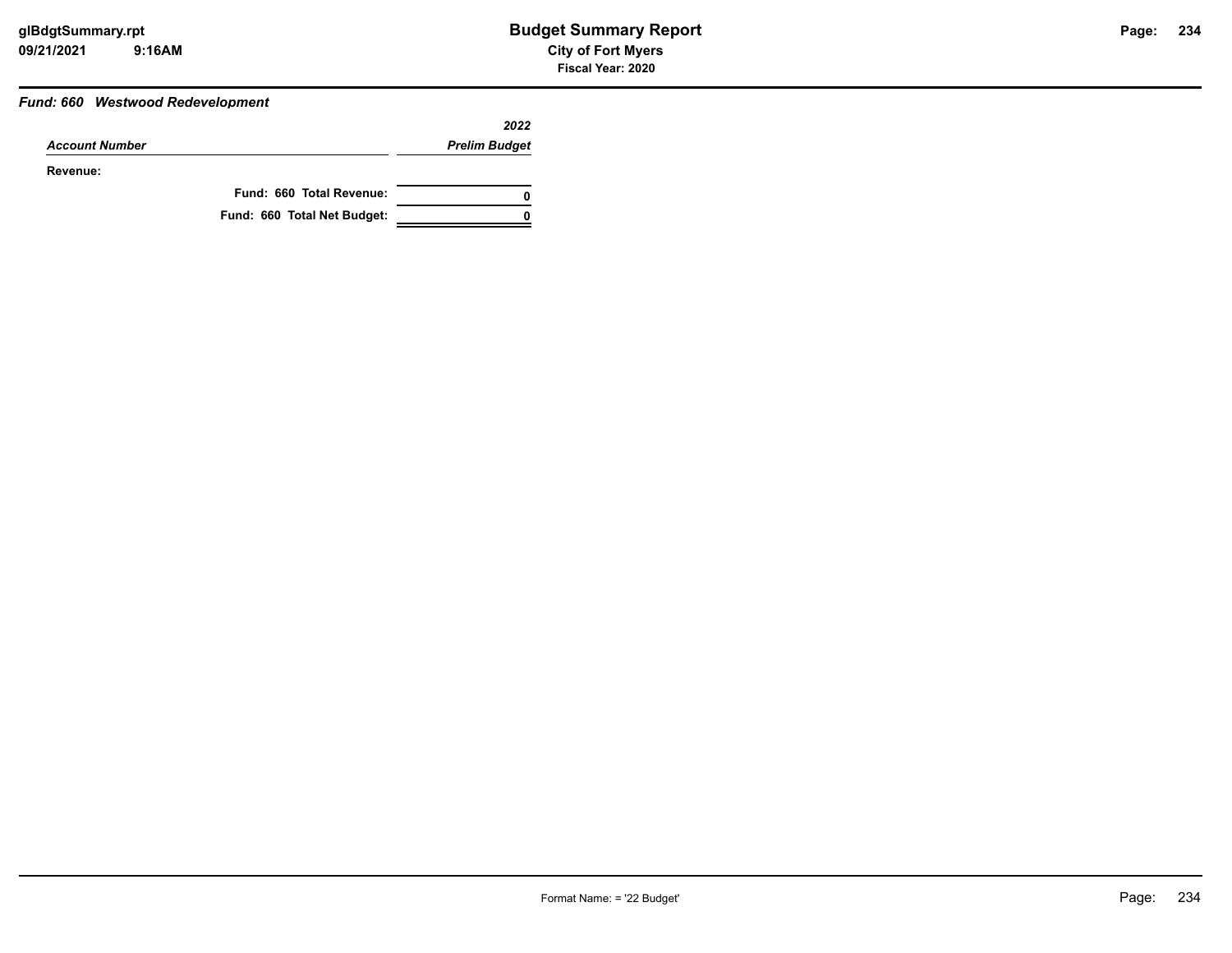#### *Fund: 660 Westwood Redevelopment*

|                       |                             | 2022                 |
|-----------------------|-----------------------------|----------------------|
| <b>Account Number</b> |                             | <b>Prelim Budget</b> |
| Revenue:              |                             |                      |
|                       | Fund: 660 Total Revenue:    | 0                    |
|                       | Fund: 660 Total Net Budget: |                      |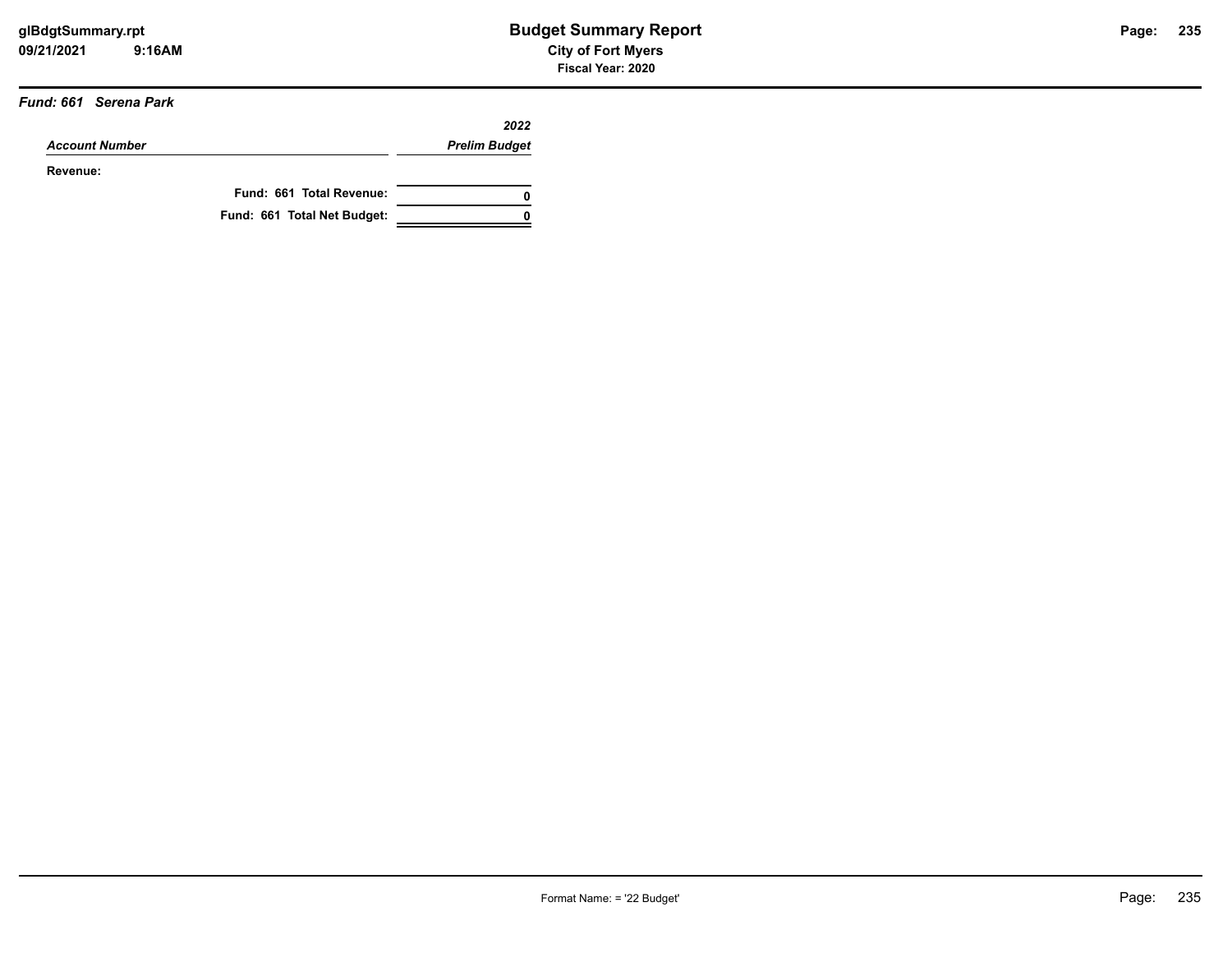#### *Fund: 661 Serena Park*

|                       |                             | 2022                 |
|-----------------------|-----------------------------|----------------------|
| <b>Account Number</b> |                             | <b>Prelim Budget</b> |
| Revenue:              |                             |                      |
|                       | Fund: 661 Total Revenue:    | 0                    |
|                       | Fund: 661 Total Net Budget: |                      |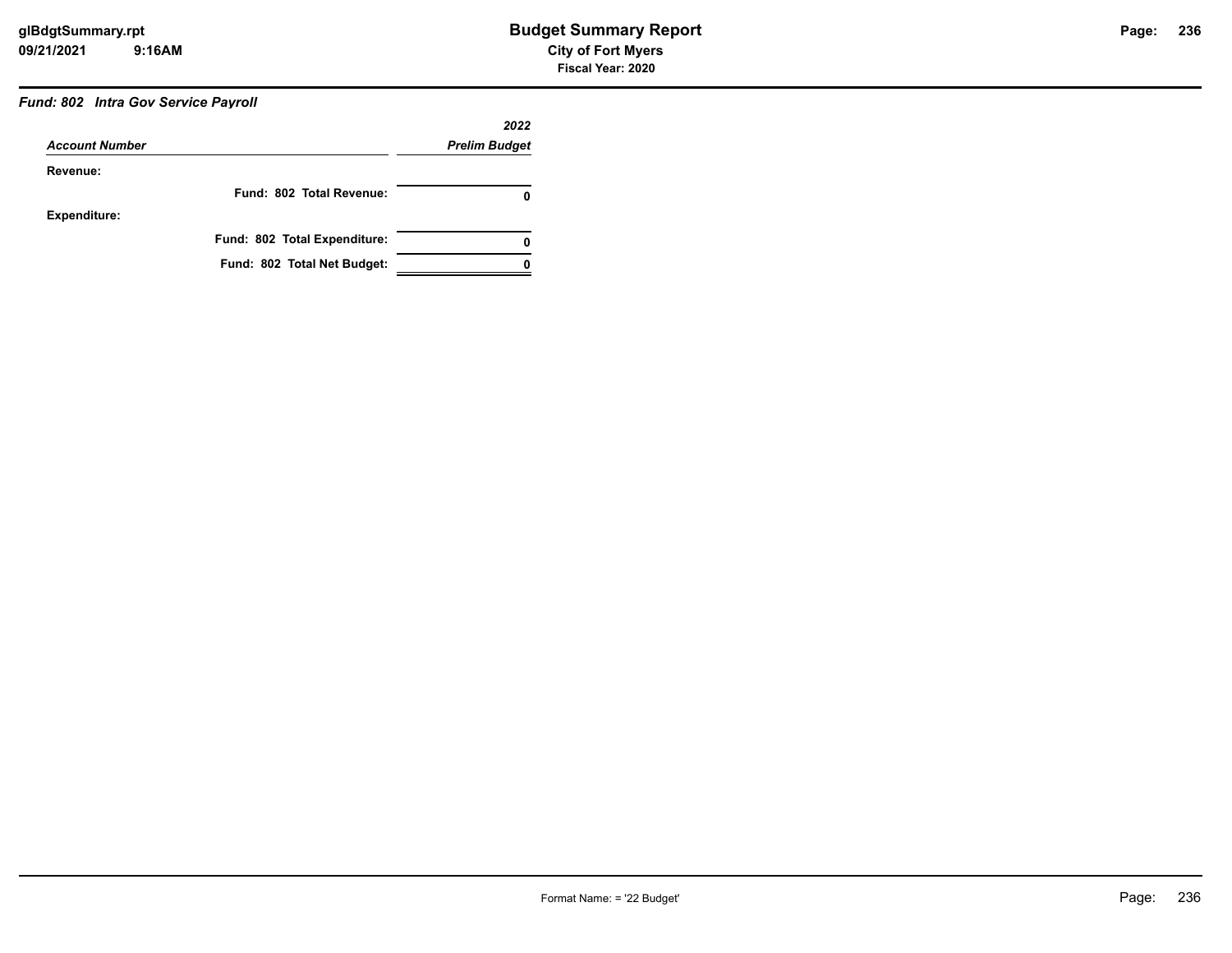## *Fund: 802 Intra Gov Service Payroll*

|                       |                              | 2022                 |
|-----------------------|------------------------------|----------------------|
| <b>Account Number</b> |                              | <b>Prelim Budget</b> |
| Revenue:              |                              |                      |
|                       | Fund: 802 Total Revenue:     | 0                    |
| <b>Expenditure:</b>   |                              |                      |
|                       | Fund: 802 Total Expenditure: | 0                    |
|                       | Fund: 802 Total Net Budget:  |                      |